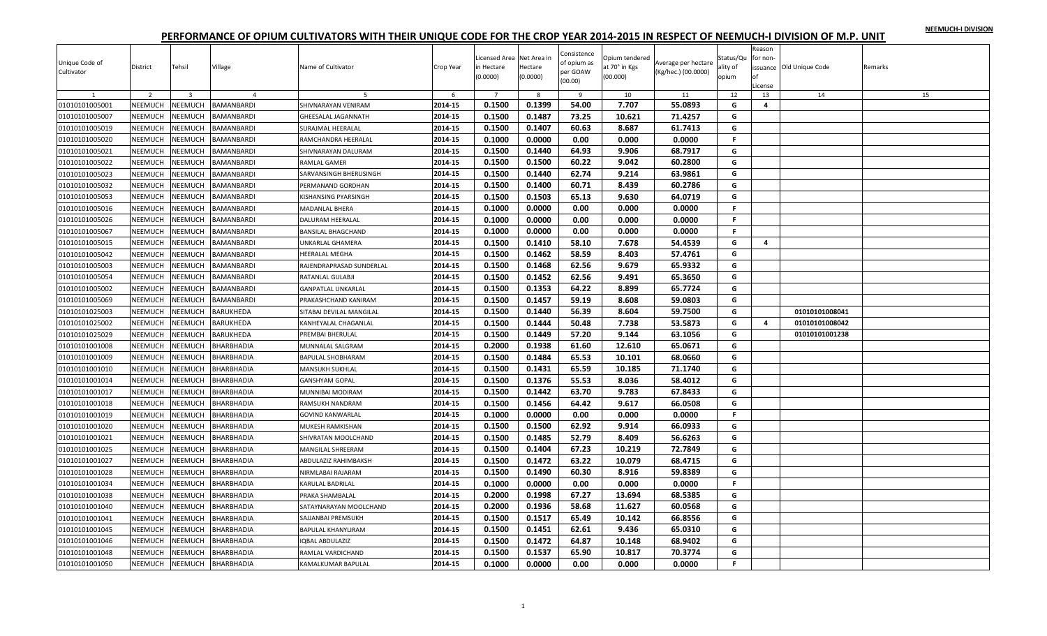| NEEMUCH-I DIVISION |  |
|--------------------|--|
|                    |  |

| Unique Code of<br>Cultivator | District       | Tehsil                  | Village           | Name of Cultivator        | Crop Year | icensed Area Net Area in<br>in Hectare<br>(0.0000) | Hectare<br>(0.0000) | Consistence<br>of opium as<br>per GOAW<br>(00.00) | Opium tendered<br>at 70° in Kgs<br>(00.000) | Average per hectare<br>(Kg/hec.) (00.0000) | Status/Qu<br>ality of<br>opium | Reason<br>for non-<br>License | issuance Old Unique Code | Remarks |
|------------------------------|----------------|-------------------------|-------------------|---------------------------|-----------|----------------------------------------------------|---------------------|---------------------------------------------------|---------------------------------------------|--------------------------------------------|--------------------------------|-------------------------------|--------------------------|---------|
|                              | $\overline{2}$ | $\overline{\mathbf{3}}$ | $\overline{a}$    | .5                        | -6        | $\overline{7}$                                     | 8                   | 9                                                 | 10                                          | 11                                         | 12                             | 13                            | 14                       | 15      |
| 01010101005001               | NEEMUCH        | NEEMUCH                 | BAMANBARDI        | SHIVNARAYAN VENIRAM       | 2014-15   | 0.1500                                             | 0.1399              | 54.00                                             | 7.707                                       | 55.0893                                    | G                              | 4                             |                          |         |
| 01010101005007               | NEEMUCH        | <b>NEEMUCH</b>          | BAMANBARDI        | GHEESALAL JAGANNATH       | 2014-15   | 0.1500                                             | 0.1487              | 73.25                                             | 10.621                                      | 71.4257                                    | G                              |                               |                          |         |
| 01010101005019               | NEEMUCH        | NEEMUCH                 | BAMANBARDI        | SURAJMAL HEERALAL         | 2014-15   | 0.1500                                             | 0.1407              | 60.63                                             | 8.687                                       | 61.7413                                    | G                              |                               |                          |         |
| 01010101005020               | NEEMUCH        | <b>NEEMUCH</b>          | BAMANBARDI        | RAMCHANDRA HEERALAL       | 2014-15   | 0.1000                                             | 0.0000              | 0.00                                              | 0.000                                       | 0.0000                                     | F.                             |                               |                          |         |
| 01010101005021               | NEEMUCH        | NEEMUCH                 | <b>BAMANBARDI</b> | SHIVNARAYAN DALURAM       | 2014-15   | 0.1500                                             | 0.1440              | 64.93                                             | 9.906                                       | 68.7917                                    | G                              |                               |                          |         |
| 01010101005022               | NEEMUCH        | NEEMUCH                 | BAMANBARDI        | RAMLAL GAMER              | 2014-15   | 0.1500                                             | 0.1500              | 60.22                                             | 9.042                                       | 60.2800                                    | G                              |                               |                          |         |
| 01010101005023               | NEEMUCH        | <b>NEEMUCH</b>          | BAMANBARDI        | SARVANSINGH BHERUSINGH    | 2014-15   | 0.1500                                             | 0.1440              | 62.74                                             | 9.214                                       | 63.9861                                    | G                              |                               |                          |         |
| 01010101005032               | NEEMUCH        | <b>NEEMUCH</b>          | BAMANBARDI        | PERMANAND GORDHAN         | 2014-15   | 0.1500                                             | 0.1400              | 60.71                                             | 8.439                                       | 60.2786                                    | G                              |                               |                          |         |
| 01010101005053               | NEEMUCH        | NEEMUCH                 | BAMANBARDI        | KISHANSING PYARSINGH      | 2014-15   | 0.1500                                             | 0.1503              | 65.13                                             | 9.630                                       | 64.0719                                    | G                              |                               |                          |         |
| 01010101005016               | NEEMUCH        | NEEMUCH                 | BAMANBARDI        | MADANLAL BHERA            | 2014-15   | 0.1000                                             | 0.0000              | 0.00                                              | 0.000                                       | 0.0000                                     | $\mathbb F$                    |                               |                          |         |
| 01010101005026               | NEEMUCH        | NEEMUCH                 | BAMANBARDI        | DALURAM HEERALAL          | 2014-15   | 0.1000                                             | 0.0000              | 0.00                                              | 0.000                                       | 0.0000                                     | F.                             |                               |                          |         |
| 01010101005067               | NEEMUCH        | <b>NEEMUCH</b>          | BAMANBARDI        | <b>BANSILAL BHAGCHAND</b> | 2014-15   | 0.1000                                             | 0.0000              | 0.00                                              | 0.000                                       | 0.0000                                     | F.                             |                               |                          |         |
| 01010101005015               | NEEMUCH        | NEEMUCH                 | BAMANBARDI        | UNKARLAL GHAMERA          | 2014-15   | 0.1500                                             | 0.1410              | 58.10                                             | 7.678                                       | 54.4539                                    | G                              | 4                             |                          |         |
| 01010101005042               | NEEMUCH        | NEEMUCH                 | BAMANBARDI        | <b>HEERALAL MEGHA</b>     | 2014-15   | 0.1500                                             | 0.1462              | 58.59                                             | 8.403                                       | 57.4761                                    | G                              |                               |                          |         |
| 01010101005003               | NEEMUCH        | <b>NEEMUCH</b>          | BAMANBARDI        | RAJENDRAPRASAD SUNDERLAL  | 2014-15   | 0.1500                                             | 0.1468              | 62.56                                             | 9.679                                       | 65.9332                                    | G                              |                               |                          |         |
| 01010101005054               | NEEMUCH        | NEEMUCH                 | BAMANBARDI        | RATANLAL GULABJI          | 2014-15   | 0.1500                                             | 0.1452              | 62.56                                             | 9.491                                       | 65.3650                                    | G                              |                               |                          |         |
| 01010101005002               | NEEMUCH        | NEEMUCH                 | BAMANBARDI        | <b>GANPATLAL UNKARLAL</b> | 2014-15   | 0.1500                                             | 0.1353              | 64.22                                             | 8.899                                       | 65.7724                                    | G                              |                               |                          |         |
| 01010101005069               | NEEMUCH        | <b>NEEMUCH</b>          | BAMANBARDI        | PRAKASHCHAND KANIRAM      | 2014-15   | 0.1500                                             | 0.1457              | 59.19                                             | 8.608                                       | 59.0803                                    | G                              |                               |                          |         |
| 01010101025003               | NEEMUCH        | NEEMUCH                 | BARUKHEDA         | SITABAI DEVILAL MANGILAL  | 2014-15   | 0.1500                                             | 0.1440              | 56.39                                             | 8.604                                       | 59.7500                                    | G                              |                               | 01010101008041           |         |
| 01010101025002               | NEEMUCH        | NEEMUCH                 | BARUKHEDA         | KANHEYALAL CHAGANLAL      | 2014-15   | 0.1500                                             | 0.1444              | 50.48                                             | 7.738                                       | 53.5873                                    | G                              | 4                             | 01010101008042           |         |
| 01010101025029               | NEEMUCH        | NEEMUCH                 | BARUKHEDA         | PREMBAI BHERULAL          | 2014-15   | 0.1500                                             | 0.1449              | 57.20                                             | 9.144                                       | 63.1056                                    | G                              |                               | 01010101001238           |         |
| 01010101001008               | NEEMUCH        | NEEMUCH                 | BHARBHADIA        | MUNNALAL SALGRAM          | 2014-15   | 0.2000                                             | 0.1938              | 61.60                                             | 12.610                                      | 65.0671                                    | G                              |                               |                          |         |
| 01010101001009               | NEEMUCH        | NEEMUCH                 | BHARBHADIA        | <b>BAPULAL SHOBHARAM</b>  | 2014-15   | 0.1500                                             | 0.1484              | 65.53                                             | 10.101                                      | 68.0660                                    | G                              |                               |                          |         |
| 01010101001010               | NEEMUCH        | NEEMUCH                 | BHARBHADIA        | MANSUKH SUKHLAL           | 2014-15   | 0.1500                                             | 0.1431              | 65.59                                             | 10.185                                      | 71.1740                                    | G                              |                               |                          |         |
| 01010101001014               | NEEMUCH        | NEEMUCH                 | <b>BHARBHADIA</b> | <b>GANSHYAM GOPAL</b>     | 2014-15   | 0.1500                                             | 0.1376              | 55.53                                             | 8.036                                       | 58.4012                                    | G                              |                               |                          |         |
| 01010101001017               | NEEMUCH        | NEEMUCH                 | <b>BHARBHADIA</b> | MUNNIBAI MODIRAM          | 2014-15   | 0.1500                                             | 0.1442              | 63.70                                             | 9.783                                       | 67.8433                                    | G                              |                               |                          |         |
| 01010101001018               | NEEMUCH        | NEEMUCH                 | BHARBHADIA        | RAMSUKH NANDRAM           | 2014-15   | 0.1500                                             | 0.1456              | 64.42                                             | 9.617                                       | 66.0508                                    | G                              |                               |                          |         |
| 01010101001019               | NEEMUCH        | <b>NEEMUCH</b>          | BHARBHADIA        | <b>GOVIND KANWARLAL</b>   | 2014-15   | 0.1000                                             | 0.0000              | 0.00                                              | 0.000                                       | 0.0000                                     | F.                             |                               |                          |         |
| 01010101001020               | NEEMUCH        | <b>NEEMUCH</b>          | BHARBHADIA        | MUKESH RAMKISHAN          | 2014-15   | 0.1500                                             | 0.1500              | 62.92                                             | 9.914                                       | 66.0933                                    | G                              |                               |                          |         |
| 01010101001021               | NEEMUCH        | NEEMUCH                 | BHARBHADIA        | SHIVRATAN MOOLCHAND       | 2014-15   | 0.1500                                             | 0.1485              | 52.79                                             | 8.409                                       | 56.6263                                    | G                              |                               |                          |         |
| 01010101001025               | NEEMUCH        | NEEMUCH                 | BHARBHADIA        | <b>MANGILAL SHREERAM</b>  | 2014-15   | 0.1500                                             | 0.1404              | 67.23                                             | 10.219                                      | 72.7849                                    | G                              |                               |                          |         |
| 01010101001027               | NEEMUCH        | NEEMUCH                 | BHARBHADIA        | ABDULAZIZ RAHIMBAKSH      | 2014-15   | 0.1500                                             | 0.1472              | 63.22                                             | 10.079                                      | 68.4715                                    | G                              |                               |                          |         |
| 01010101001028               | NEEMUCH        | NEEMUCH                 | BHARBHADIA        | NIRMLABAI RAJARAM         | 2014-15   | 0.1500                                             | 0.1490              | 60.30                                             | 8.916                                       | 59.8389                                    | G                              |                               |                          |         |
| 01010101001034               | NEEMUCH        | <b>NEEMUCH</b>          | BHARBHADIA        | KARULAL BADRILAL          | 2014-15   | 0.1000                                             | 0.0000              | 0.00                                              | 0.000                                       | 0.0000                                     | F.                             |                               |                          |         |
| 01010101001038               | NEEMUCH        | NEEMUCH                 | BHARBHADIA        | PRAKA SHAMBALAL           | 2014-15   | 0.2000                                             | 0.1998              | 67.27                                             | 13.694                                      | 68.5385                                    | G                              |                               |                          |         |
| 01010101001040               | NEEMUCH        | NEEMUCH                 | BHARBHADIA        | SATAYNARAYAN MOOLCHAND    | 2014-15   | 0.2000                                             | 0.1936              | 58.68                                             | 11.627                                      | 60.0568                                    | G                              |                               |                          |         |
| 01010101001041               | NEEMUCH        | NEEMUCH                 | BHARBHADIA        | SAJJANBAI PREMSUKH        | 2014-15   | 0.1500                                             | 0.1517              | 65.49                                             | 10.142                                      | 66.8556                                    | G                              |                               |                          |         |
| 01010101001045               | NEEMUCH        | NEEMUCH                 | BHARBHADIA        | BAPULAL KHANYLIRAM        | 2014-15   | 0.1500                                             | 0.1451              | 62.61                                             | 9.436                                       | 65.0310                                    | G                              |                               |                          |         |
| 01010101001046               | NEEMUCH        | NEEMUCH                 | <b>BHARBHADIA</b> | IQBAL ABDULAZIZ           | 2014-15   | 0.1500                                             | 0.1472              | 64.87                                             | 10.148                                      | 68.9402                                    | G                              |                               |                          |         |
| 01010101001048               | NEEMUCH        | NEEMUCH                 | BHARBHADIA        | RAMLAL VARDICHAND         | 2014-15   | 0.1500                                             | 0.1537              | 65.90                                             | 10.817                                      | 70.3774                                    | G                              |                               |                          |         |
| 01010101001050               | NEEMUCH        | <b>NEEMUCH</b>          | <b>BHARBHADIA</b> | KAMALKUMAR BAPULAL        | 2014-15   | 0.1000                                             | 0.0000              | 0.00                                              | 0.000                                       | 0.0000                                     | F.                             |                               |                          |         |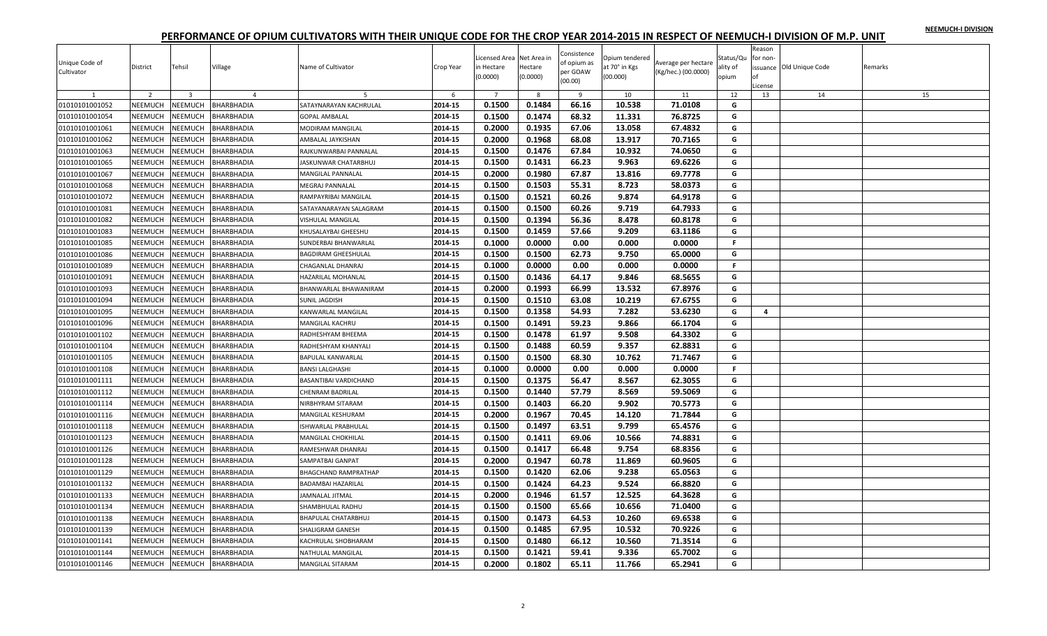|  |  | NEEMUCH-I DIVISION |
|--|--|--------------------|
|  |  |                    |

| Unique Code of<br>Cultivator | District       | Tehsil                  | Village           | Name of Cultivator         | Crop Year | Licensed Area Net Area in<br>in Hectare<br>(0.0000) | Hectare<br>(0.0000) | Consistence<br>of opium as<br>per GOAW<br>(00.00) | Opium tendered<br>at 70° in Kgs<br>(00.000) | Average per hectare<br>(Kg/hec.) (00.0000) | Status/Qu<br>ality of<br>opium | Reason<br>for non-<br>nf<br>License | issuance Old Unique Code | Remarks |
|------------------------------|----------------|-------------------------|-------------------|----------------------------|-----------|-----------------------------------------------------|---------------------|---------------------------------------------------|---------------------------------------------|--------------------------------------------|--------------------------------|-------------------------------------|--------------------------|---------|
|                              | $\overline{2}$ | $\overline{\mathbf{3}}$ | $\overline{4}$    |                            | -6        | $\overline{7}$                                      | 8                   | $\overline{9}$                                    | 10                                          | 11                                         | 12                             | 13                                  | 14                       | 15      |
| 01010101001052               | NEEMUCH        | NEEMUCH                 | BHARBHADIA        | SATAYNARAYAN KACHRULAI     | 2014-15   | 0.1500                                              | 0.1484              | 66.16                                             | 10.538                                      | 71.0108                                    | G                              |                                     |                          |         |
| 01010101001054               | NEEMUCH        | <b>NEEMUCH</b>          | BHARBHADIA        | <b>GOPAL AMBALAL</b>       | 2014-15   | 0.1500                                              | 0.1474              | 68.32                                             | 11.331                                      | 76.8725                                    | G                              |                                     |                          |         |
| 01010101001061               | NEEMUCH        | NEEMUCH                 | BHARBHADIA        | MODIRAM MANGILAL           | 2014-15   | 0.2000                                              | 0.1935              | 67.06                                             | 13.058                                      | 67.4832                                    | G                              |                                     |                          |         |
| 01010101001062               | NEEMUCH        | <b>NEEMUCH</b>          | BHARBHADIA        | AMBALAL JAYKISHAN          | 2014-15   | 0.2000                                              | 0.1968              | 68.08                                             | 13.917                                      | 70.7165                                    | G                              |                                     |                          |         |
| 01010101001063               | <b>NEEMUCH</b> | <b>NEEMUCH</b>          | BHARBHADIA        | RAJKUNWARBAI PANNALAL      | 2014-15   | 0.1500                                              | 0.1476              | 67.84                                             | 10.932                                      | 74.0650                                    | G                              |                                     |                          |         |
| 01010101001065               | NEEMUCH        | NEEMUCH                 | BHARBHADIA        | ASKUNWAR CHATARBHUJ        | 2014-15   | 0.1500                                              | 0.1431              | 66.23                                             | 9.963                                       | 69.6226                                    | G                              |                                     |                          |         |
| 01010101001067               | NEEMUCH        | NEEMUCH                 | BHARBHADIA        | MANGILAL PANNALAL          | 2014-15   | 0.2000                                              | 0.1980              | 67.87                                             | 13.816                                      | 69.7778                                    | G                              |                                     |                          |         |
| 01010101001068               | NEEMUCH        | <b>NEEMUCH</b>          | BHARBHADIA        | MEGRAJ PANNALAL            | 2014-15   | 0.1500                                              | 0.1503              | 55.31                                             | 8.723                                       | 58.0373                                    | G                              |                                     |                          |         |
| 01010101001072               | <b>NEEMUCH</b> | VEEMUCH                 | BHARBHADIA        | RAMPAYRIBAI MANGILAL       | 2014-15   | 0.1500                                              | 0.1521              | 60.26                                             | 9.874                                       | 64.9178                                    | G                              |                                     |                          |         |
| 01010101001081               | NEEMUCH        | <b>NEEMUCH</b>          | BHARBHADIA        | SATAYANARAYAN SALAGRAM     | 2014-15   | 0.1500                                              | 0.1500              | 60.26                                             | 9.719                                       | 64.7933                                    | G                              |                                     |                          |         |
| 01010101001082               | NEEMUCH        | NEEMUCH                 | BHARBHADIA        | VISHULAL MANGILAL          | 2014-15   | 0.1500                                              | 0.1394              | 56.36                                             | 8.478                                       | 60.8178                                    | G                              |                                     |                          |         |
| 01010101001083               | NEEMUCH        | <b>NEEMUCH</b>          | BHARBHADIA        | KHUSALAYBAI GHEESHU        | 2014-15   | 0.1500                                              | 0.1459              | 57.66                                             | 9.209                                       | 63.1186                                    | G                              |                                     |                          |         |
| 01010101001085               | NEEMUCH        | <b>NEEMUCH</b>          | BHARBHADIA        | SUNDERBAI BHANWARLAL       | 2014-15   | 0.1000                                              | 0.0000              | 0.00                                              | 0.000                                       | 0.0000                                     | F.                             |                                     |                          |         |
| 01010101001086               | NEEMUCH        | <b>NEEMUCH</b>          | BHARBHADIA        | <b>BAGDIRAM GHEESHULAL</b> | 2014-15   | 0.1500                                              | 0.1500              | 62.73                                             | 9.750                                       | 65.0000                                    | G                              |                                     |                          |         |
| 01010101001089               | NEEMUCH        | <b>NEEMUCH</b>          | BHARBHADIA        | CHAGANLAL DHANRAJ          | 2014-15   | 0.1000                                              | 0.0000              | 0.00                                              | 0.000                                       | 0.0000                                     | F.                             |                                     |                          |         |
| 01010101001091               | <b>NEEMUCH</b> | <b>NEEMUCH</b>          | BHARBHADIA        | HAZARILAL MOHANLAL         | 2014-15   | 0.1500                                              | 0.1436              | 64.17                                             | 9.846                                       | 68.5655                                    | G                              |                                     |                          |         |
| 01010101001093               | NEEMUCH        | <b>NEEMUCH</b>          | BHARBHADIA        | BHANWARLAL BHAWANIRAM      | 2014-15   | 0.2000                                              | 0.1993              | 66.99                                             | 13.532                                      | 67.8976                                    | G                              |                                     |                          |         |
| 01010101001094               | NEEMUCH        | <b>NEEMUCH</b>          | BHARBHADIA        | SUNIL JAGDISH              | 2014-15   | 0.1500                                              | 0.1510              | 63.08                                             | 10.219                                      | 67.6755                                    | G                              |                                     |                          |         |
| 01010101001095               | NEEMUCH        | <b>NEEMUCH</b>          | BHARBHADIA        | KANWARLAL MANGILAL         | 2014-15   | 0.1500                                              | 0.1358              | 54.93                                             | 7.282                                       | 53.6230                                    | G                              | 4                                   |                          |         |
| 01010101001096               | <b>NEEMUCH</b> | VEEMUCH                 | BHARBHADIA        | MANGILAL KACHRU            | 2014-15   | 0.1500                                              | 0.1491              | 59.23                                             | 9.866                                       | 66.1704                                    | G                              |                                     |                          |         |
| 01010101001102               | NEEMUCH        | <b>NEEMUCH</b>          | BHARBHADIA        | RADHESHYAM BHEEMA          | 2014-15   | 0.1500                                              | 0.1478              | 61.97                                             | 9.508                                       | 64.3302                                    | G                              |                                     |                          |         |
| 01010101001104               | <b>NEEMUCH</b> | <b>NEEMUCH</b>          | BHARBHADIA        | RADHESHYAM KHANYALI        | 2014-15   | 0.1500                                              | 0.1488              | 60.59                                             | 9.357                                       | 62.8831                                    | G                              |                                     |                          |         |
| 01010101001105               | <b>NEEMUCH</b> | <b>NEEMUCH</b>          | BHARBHADIA        | <b>BAPULAL KANWARLAL</b>   | 2014-15   | 0.1500                                              | 0.1500              | 68.30                                             | 10.762                                      | 71.7467                                    | G                              |                                     |                          |         |
| 01010101001108               | NEEMUCH        | <b>NEEMUCH</b>          | BHARBHADIA        | BANSI LALGHASHI            | 2014-15   | 0.1000                                              | 0.0000              | 0.00                                              | 0.000                                       | 0.0000                                     | F.                             |                                     |                          |         |
| 01010101001111               | NEEMUCH        | NEEMUCH                 | BHARBHADIA        | BASANTIBAI VARDICHAND      | 2014-15   | 0.1500                                              | 0.1375              | 56.47                                             | 8.567                                       | 62.3055                                    | G                              |                                     |                          |         |
| 01010101001112               | NEEMUCH        | <b>NEEMUCH</b>          | BHARBHADIA        | CHENRAM BADRILAL           | 2014-15   | 0.1500                                              | 0.1440              | 57.79                                             | 8.569                                       | 59.5069                                    | G                              |                                     |                          |         |
| 01010101001114               | NEEMUCH        | <b>NEEMUCH</b>          | BHARBHADIA        | NIRBHYRAM SITARAM          | 2014-15   | 0.1500                                              | 0.1403              | 66.20                                             | 9.902                                       | 70.5773                                    | G                              |                                     |                          |         |
| 01010101001116               | NEEMUCH        | NEEMUCH                 | BHARBHADIA        | MANGILAL KESHURAM          | 2014-15   | 0.2000                                              | 0.1967              | 70.45                                             | 14.120                                      | 71.7844                                    | G                              |                                     |                          |         |
| 01010101001118               | NEEMUCH        | NEEMUCH                 | BHARBHADIA        | ISHWARLAL PRABHULAL        | 2014-15   | 0.1500                                              | 0.1497              | 63.51                                             | 9.799                                       | 65.4576                                    | G                              |                                     |                          |         |
| 01010101001123               | NEEMUCH        | <b>NEEMUCH</b>          | BHARBHADIA        | MANGILAL CHOKHILAL         | 2014-15   | 0.1500                                              | 0.1411              | 69.06                                             | 10.566                                      | 74.8831                                    | G                              |                                     |                          |         |
| 01010101001126               | <b>NEEMUCH</b> | VEEMUCH                 | BHARBHADIA        | RAMESHWAR DHANRAJ          | 2014-15   | 0.1500                                              | 0.1417              | 66.48                                             | 9.754                                       | 68.8356                                    | G                              |                                     |                          |         |
| 01010101001128               | NEEMUCH        | <b>NEEMUCH</b>          | BHARBHADIA        | SAMPATBAI GANPAT           | 2014-15   | 0.2000                                              | 0.1947              | 60.78                                             | 11.869                                      | 60.9605                                    | G                              |                                     |                          |         |
| 01010101001129               | NEEMUCH        | <b>NEEMUCH</b>          | BHARBHADIA        | BHAGCHAND RAMPRATHAP       | 2014-15   | 0.1500                                              | 0.1420              | 62.06                                             | 9.238                                       | 65.0563                                    | G                              |                                     |                          |         |
| 01010101001132               | NEEMUCH        | <b>NEEMUCH</b>          | BHARBHADIA        | BADAMBAI HAZARILAL         | 2014-15   | 0.1500                                              | 0.1424              | 64.23                                             | 9.524                                       | 66.8820                                    | G                              |                                     |                          |         |
| 01010101001133               | NEEMUCH        | <b>NEEMUCH</b>          | <b>BHARBHADIA</b> | JAMNALAL JITMAL            | 2014-15   | 0.2000                                              | 0.1946              | 61.57                                             | 12.525                                      | 64.3628                                    | G                              |                                     |                          |         |
| 01010101001134               | NEEMUCH        | <b>NEEMUCH</b>          | BHARBHADIA        | SHAMBHULAL RADHU           | 2014-15   | 0.1500                                              | 0.1500              | 65.66                                             | 10.656                                      | 71.0400                                    | G                              |                                     |                          |         |
|                              | NEEMUCH        | <b>NEEMUCH</b>          | BHARBHADIA        |                            | 2014-15   | 0.1500                                              | 0.1473              | 64.53                                             | 10.260                                      |                                            | G                              |                                     |                          |         |
| 01010101001138               |                |                         |                   | BHAPULAL CHATARBHUJ        |           |                                                     |                     |                                                   |                                             | 69.6538                                    |                                |                                     |                          |         |
| 01010101001139               | NEEMUCH        | <b>NEEMUCH</b>          | BHARBHADIA        | SHALIGRAM GANESH           | 2014-15   | 0.1500                                              | 0.1485              | 67.95                                             | 10.532                                      | 70.9226                                    | G                              |                                     |                          |         |
| 01010101001141               | <b>NEEMUCH</b> | <b>NEEMUCH</b>          | BHARBHADIA        | KACHRULAL SHOBHARAM        | 2014-15   | 0.1500                                              | 0.1480              | 66.12                                             | 10.560                                      | 71.3514                                    | G                              |                                     |                          |         |
| 01010101001144               | <b>NEEMUCH</b> | <b>NEEMUCH</b>          | BHARBHADIA        | NATHULAL MANGILAI          | 2014-15   | 0.1500                                              | 0.1421              | 59.41                                             | 9.336                                       | 65.7002                                    | G                              |                                     |                          |         |
| 01010101001146               | <b>NEEMUCH</b> | NEEMUCH                 | <b>BHARBHADIA</b> | <b>MANGILAL SITARAM</b>    | 2014-15   | 0.2000                                              | 0.1802              | 65.11                                             | 11.766                                      | 65.2941                                    | G                              |                                     |                          |         |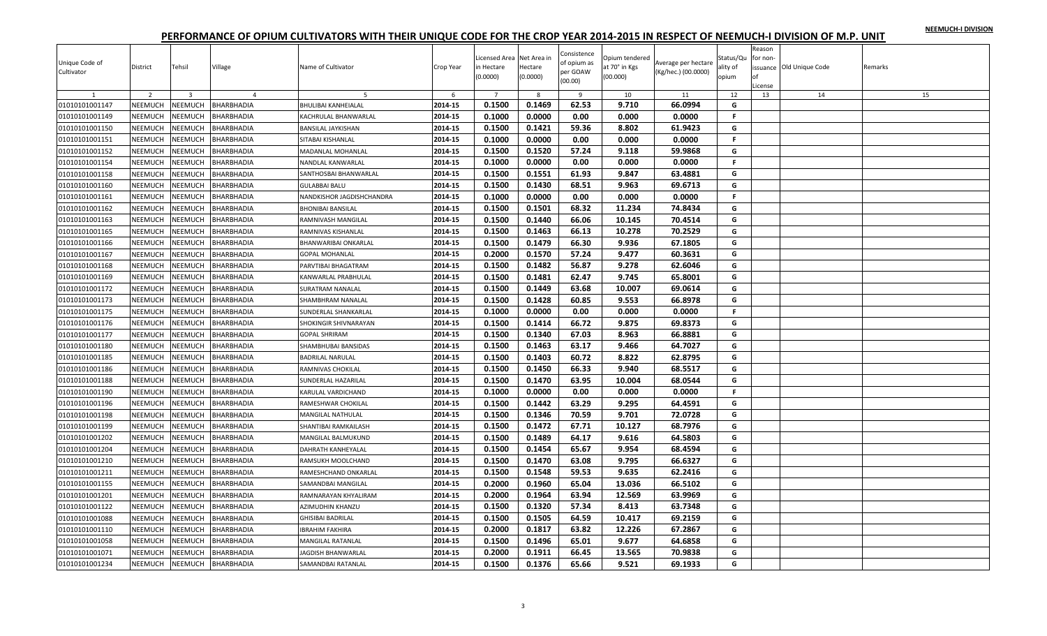| NEEMUCH-I DIVISION |  |
|--------------------|--|
|                    |  |

| $\overline{7}$<br>2<br>$\overline{3}$<br>$\overline{4}$<br>8<br>9<br>10<br>11<br>12<br>13<br>14<br>$\mathbf{1}$<br>-5<br>-6                                  | 15 |
|--------------------------------------------------------------------------------------------------------------------------------------------------------------|----|
|                                                                                                                                                              |    |
| 0.1500<br>0.1469<br>2014-15<br>62.53<br>9.710<br>66.0994<br>01010101001147<br>NEEMUCH<br>NEEMUCH<br><b>BHARBHADIA</b><br>G<br><b>BHULIBAI KANHEIALAL</b>     |    |
| NEEMUCH<br>2014-15<br>0.1000<br>0.0000<br>0.000<br>01010101001149<br><b>NEEMUCH</b><br>BHARBHADIA<br>0.00<br>0.0000<br>F.<br>KACHRULAL BHANWARLAL            |    |
| 2014-15<br>0.1500<br>0.1421<br>59.36<br>8.802<br>61.9423<br>G<br><b>NEEMUCH</b><br><b>NEEMUCH</b><br>01010101001150<br>BHARBHADIA<br>BANSILAL JAYKISHAN      |    |
| NEEMUCH<br>2014-15<br>0.1000<br>0.0000<br>0.00<br>01010101001151<br><b>NEEMUCH</b><br>BHARBHADIA<br>0.000<br>0.0000<br>F.<br>SITABAI KISHANLAL               |    |
| 2014-15<br>0.1500<br>0.1520<br>57.24<br>9.118<br>59.9868<br>G<br>01010101001152<br>NEEMUCH<br><b>NEEMUCH</b><br><b>BHARBHADIA</b><br>MADANLAL MOHANLAL       |    |
| 01010101001154<br>NEEMUCH<br><b>NEEMUCH</b><br>2014-15<br>0.1000<br>0.0000<br>0.00<br>0.000<br>0.0000<br>F.<br>BHARBHADIA<br>NANDLAL KANWARLAL               |    |
| 2014-15<br>0.1500<br>0.1551<br>61.93<br>9.847<br>63.4881<br>G<br>01010101001158<br>NEEMUCH<br>NEEMUCH<br>BHARBHADIA<br>SANTHOSBAI BHANWARLAL                 |    |
| <b>NEEMUCH</b><br>2014-15<br>0.1500<br>0.1430<br>68.51<br>9.963<br>69.6713<br>01010101001160<br><b>NEEMUCH</b><br>BHARBHADIA<br>G<br><b>GULABBAI BALU</b>    |    |
| 01010101001161<br>NEEMUCH<br><b>NEEMUCH</b><br>2014-15<br>0.1000<br>0.0000<br>0.00<br>0.000<br>0.0000<br>F.<br>BHARBHADIA<br>NANDKISHOR JAGDISHCHANDRA       |    |
| 0.1500<br>01010101001162<br>NEEMUCH<br>2014-15<br>0.1501<br>68.32<br>11.234<br>74.8434<br>G<br><b>NEEMUCH</b><br>BHARBHADIA<br><b>BHONIBAI BANSILAL</b>      |    |
| <b>NEEMUCH</b><br>2014-15<br>0.1500<br>0.1440<br>66.06<br>70.4514<br>G<br>01010101001163<br><b>NEEMUCH</b><br>BHARBHADIA<br>10.145<br>RAMNIVASH MANGILAL     |    |
| 2014-15<br>0.1500<br>0.1463<br>66.13<br>10.278<br>70.2529<br>01010101001165<br>NEEMUCH<br>NEEMUCH<br>G<br>BHARBHADIA<br>RAMNIVAS KISHANLAL                   |    |
| 0.1500<br>66.30<br>NEEMUCH<br><b>NEEMUCH</b><br>2014-15<br>0.1479<br>9.936<br>67.1805<br>G<br>01010101001166<br>BHARBHADIA<br>BHANWARIBAI ONKARLAL           |    |
| 0.2000<br>0.1570<br>57.24<br>2014-15<br>9.477<br>60.3631<br>G<br>01010101001167<br>NEEMUCH<br><b>NEEMUCH</b><br>BHARBHADIA<br><b>GOPAL MOHANLAL</b>          |    |
| NEEMUCH<br>2014-15<br>0.1500<br>0.1482<br>56.87<br>9.278<br>01010101001168<br>NEEMUCH<br>BHARBHADIA<br>62.6046<br>G<br>PARVTIBAI BHAGATRAM                   |    |
| NEEMUCH<br>2014-15<br>0.1500<br>0.1481<br>62.47<br>9.745<br>65.8001<br>G<br>01010101001169<br><b>NEEMUCH</b><br>BHARBHADIA<br>KANWARLAL PRABHULAL            |    |
| 0.1500<br>63.68<br>10.007<br>01010101001172<br>NEEMUCH<br><b>NEEMUCH</b><br>2014-15<br>0.1449<br>69.0614<br>G<br>BHARBHADIA<br>SURATRAM NANALAL              |    |
| 01010101001173<br><b>NEEMUCH</b><br>2014-15<br>0.1500<br>0.1428<br>60.85<br>9.553<br>66.8978<br>G<br>NEEMUCH<br>BHARBHADIA<br>SHAMBHRAM NANALAL              |    |
| 0.1000<br>0.0000<br>0.00<br>0.0000<br>01010101001175<br>NEEMUCH<br>2014-15<br>0.000<br><b>NEEMUCH</b><br>BHARBHADIA<br>SUNDERLAL SHANKARLAL<br>F.            |    |
| NEEMUCH<br>2014-15<br>0.1500<br>0.1414<br>66.72<br>9.875<br>69.8373<br>01010101001176<br><b>NEEMUCH</b><br>G<br>BHARBHADIA<br>SHOKINGIR SHIVNARAYAN          |    |
| 0.1500<br>0.1340<br>67.03<br>8.963<br>2014-15<br>66.8881<br>G<br>01010101001177<br><b>NEEMUCH</b><br><b>NEEMUCH</b><br>BHARBHADIA<br><b>GOPAL SHRIRAM</b>    |    |
| NEEMUCH<br>2014-15<br>0.1500<br>0.1463<br>63.17<br>G<br>01010101001180<br><b>NEEMUCH</b><br>BHARBHADIA<br>9.466<br>64.7027<br>SHAMBHUBAI BANSIDAS            |    |
| 2014-15<br>0.1500<br>0.1403<br>60.72<br>8.822<br>62.8795<br>01010101001185<br>NEEMUCH<br>NEEMUCH<br>BHARBHADIA<br><b>BADRILAL NARULAL</b><br>G               |    |
| NEEMUCH<br>2014-15<br>0.1500<br>0.1450<br>66.33<br>9.940<br>68.5517<br>G<br>01010101001186<br><b>NEEMUCH</b><br>BHARBHADIA<br>RAMNIVAS CHOKILAL              |    |
| 0.1500<br>63.95<br>2014-15<br>0.1470<br>10.004<br>68.0544<br>G<br>01010101001188<br>NEEMUCH<br><b>NEEMUCH</b><br>SUNDERLAL HAZARILAL<br>BHARBHADIA           |    |
| NEEMUCH<br>2014-15<br>0.1000<br>0.0000<br>0.00<br>01010101001190<br><b>NEEMUCH</b><br>BHARBHADIA<br>0.000<br>0.0000<br>F.<br>KARULAL VARDICHAND              |    |
| 0.1500<br>01010101001196<br>NEEMUCH<br>NEEMUCH<br><b>BHARBHADIA</b><br>2014-15<br>0.1442<br>63.29<br>9.295<br>64.4591<br>G<br>RAMESHWAR CHOKILAL             |    |
| NEEMUCH<br>0.1500<br>0.1346<br>70.59<br>9.701<br>72.0728<br>01010101001198<br>NEEMUCH<br>BHARBHADIA<br>2014-15<br>G<br>MANGILAL NATHULAL                     |    |
| 01010101001199<br><b>NEEMUCH</b><br>NEEMUCH<br>2014-15<br>0.1500<br>0.1472<br>67.71<br>10.127<br>68.7976<br>G<br>BHARBHADIA<br>SHANTIBAI RAMKAILASH          |    |
| 0.1500<br>2014-15<br>0.1489<br>64.17<br>9.616<br>64.5803<br>01010101001202<br>NEEMUCH<br><b>NEEMUCH</b><br>MANGILAL BALMUKUND<br>G<br>BHARBHADIA             |    |
| 01010101001204<br><b>NEEMUCH</b><br>VEEMUCH<br>2014-15<br>0.1500<br>0.1454<br>65.67<br>9.954<br>68.4594<br>BHARBHADIA<br>G<br>DAHRATH KANHEYALAL             |    |
| 2014-15<br>0.1500<br>0.1470<br>63.08<br>9.795<br>66.6327<br><b>NEEMUCH</b><br>G<br>01010101001210<br><b>NEEMUCH</b><br>BHARBHADIA<br>RAMSUKH MOOLCHAND       |    |
| 0.1500<br>59.53<br>9.635<br>NEEMUCH<br>2014-15<br>0.1548<br>62.2416<br>G<br>01010101001211<br><b>NEEMUCH</b><br>BHARBHADIA<br>RAMESHCHAND ONKARLAL           |    |
| 2014-15<br>0.2000<br>0.1960<br>65.04<br>13.036<br>66.5102<br>01010101001155<br>NEEMUCH<br>NEEMUCH<br><b>BHARBHADIA</b><br>G<br>SAMANDBAI MANGILAL            |    |
| 0.2000<br>NEEMUCH<br>2014-15<br>0.1964<br>63.94<br>12.569<br>63.9969<br>G<br>01010101001201<br><b>NEEMUCH</b><br>BHARBHADIA<br>RAMNARAYAN KHYALIRAM          |    |
| 0.1500<br>0.1320<br>57.34<br>8.413<br>63.7348<br>01010101001122<br><b>NEEMUCH</b><br><b>NEEMUCH</b><br>BHARBHADIA<br>2014-15<br>G<br>AZIMUDHIN KHANZU        |    |
| 0.1505<br>64.59<br>NEEMUCH<br><b>NEEMUCH</b><br>2014-15<br>0.1500<br>10.417<br>69.2159<br>G<br>01010101001088<br>BHARBHADIA<br>GHISIBAI BADRILAL             |    |
| 01010101001110<br>NEEMUCH<br><b>NEEMUCH</b><br><b>BHARBHADIA</b><br>2014-15<br>0.2000<br>0.1817<br>63.82<br>12.226<br>67.2867<br>G<br><b>IBRAHIM FAKHIRA</b> |    |
| 0.1500<br>0.1496<br>65.01<br>9.677<br>64.6858<br>G<br>2014-15<br>01010101001058<br>NEEMUCH<br><b>NEEMUCH</b><br>BHARBHADIA<br>MANGILAL RATANLAL              |    |
| 0.1911<br>NEEMUCH<br>2014-15<br>0.2000<br>66.45<br>13.565<br>70.9838<br>G<br>01010101001071<br>NEEMUCH<br>BHARBHADIA<br>JAGDISH BHANWARLAL                   |    |
| 2014-15<br>0.1500<br>0.1376<br>65.66<br>G<br>9.521<br>69.1933<br>01010101001234<br>NEEMUCH<br>NEEMUCH<br>BHARBHADIA<br>SAMANDBAI RATANLAL                    |    |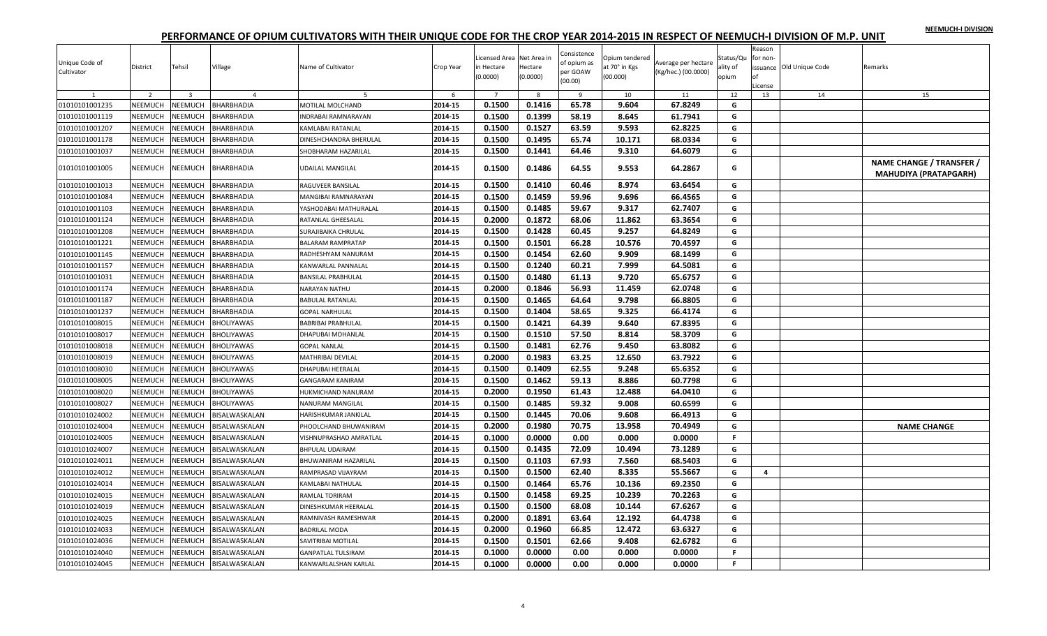| NEEMUCH-I DIVISION |  |
|--------------------|--|
|                    |  |

| Unique Code of<br>Cultivator | District       | Tehsil         | Village              | Name of Cultivator         | Crop Year | Licensed Area Net Area in<br>in Hectare<br>(0.0000) | Hectare<br>(0.0000) | Consistence<br>of opium as<br>per GOAW<br>00.00) | Opium tendered<br>at 70° in Kgs<br>(00.000) | Average per hectare<br>(Kg/hec.) (00.0000) | Status/Qu<br>ality of<br>opium | Reason<br>for non<br>License | issuance Old Unique Code | Remarks                                                  |
|------------------------------|----------------|----------------|----------------------|----------------------------|-----------|-----------------------------------------------------|---------------------|--------------------------------------------------|---------------------------------------------|--------------------------------------------|--------------------------------|------------------------------|--------------------------|----------------------------------------------------------|
|                              | $\overline{2}$ | $\overline{3}$ | $\overline{4}$       | 5                          | 6         | $\overline{7}$                                      | 8                   | 9                                                | 10                                          | 11                                         | 12                             | 13                           | 14                       | 15                                                       |
| 01010101001235               | NEEMUCH        | NEEMUCH        | BHARBHADIA           | MOTILAL MOLCHAND           | 2014-15   | 0.1500                                              | 0.1416              | 65.78                                            | 9.604                                       | 67.8249                                    | G                              |                              |                          |                                                          |
| 01010101001119               | NEEMUCH        | <b>NEEMUCH</b> | BHARBHADIA           | <b>INDRABAI RAMNARAYAN</b> | 2014-15   | 0.1500                                              | 0.1399              | 58.19                                            | 8.645                                       | 61.7941                                    | G                              |                              |                          |                                                          |
| 01010101001207               | NEEMUCH        | NEEMUCH        | BHARBHADIA           | KAMLABAI RATANLAL          | 2014-15   | 0.1500                                              | 0.1527              | 63.59                                            | 9.593                                       | 62.8225                                    | G                              |                              |                          |                                                          |
| 01010101001178               | NEEMUCH        | <b>NEEMUCH</b> | BHARBHADIA           | DINESHCHANDRA BHERULAL     | 2014-15   | 0.1500                                              | 0.1495              | 65.74                                            | 10.171                                      | 68.0334                                    | G                              |                              |                          |                                                          |
| 01010101001037               | NEEMUCH        | NEEMUCH        | BHARBHADIA           | SHOBHARAM HAZARILAI        | 2014-15   | 0.1500                                              | 0.1441              | 64.46                                            | 9.310                                       | 64.6079                                    | G                              |                              |                          |                                                          |
| 01010101001005               | NEEMUCH        | NEEMUCH        | <b>BHARBHADIA</b>    | <b>UDAILAL MANGILAL</b>    | 2014-15   | 0.1500                                              | 0.1486              | 64.55                                            | 9.553                                       | 64.2867                                    | G                              |                              |                          | NAME CHANGE / TRANSFER /<br><b>MAHUDIYA (PRATAPGARH)</b> |
| 01010101001013               | <b>NEEMUCH</b> | <b>NEEMUCH</b> | BHARBHADIA           | RAGUVEER BANSILAL          | 2014-15   | 0.1500                                              | 0.1410              | 60.46                                            | 8.974                                       | 63.6454                                    | G                              |                              |                          |                                                          |
| 01010101001084               | NEEMUCH        | NEEMUCH        | BHARBHADIA           | MANGIBAI RAMNARAYAN        | 2014-15   | 0.1500                                              | 0.1459              | 59.96                                            | 9.696                                       | 66.4565                                    | G                              |                              |                          |                                                          |
| 01010101001103               | NEEMUCH        | <b>NEEMUCH</b> | BHARBHADIA           | YASHODABAI MATHURALAL      | 2014-15   | 0.1500                                              | 0.1485              | 59.67                                            | 9.317                                       | 62.7407                                    | G                              |                              |                          |                                                          |
| 01010101001124               | NEEMUCH        | NEEMUCH        | BHARBHADIA           | RATANLAL GHEESALAL         | 2014-15   | 0.2000                                              | 0.1872              | 68.06                                            | 11.862                                      | 63.3654                                    | G                              |                              |                          |                                                          |
| 01010101001208               | <b>NEEMUCH</b> | <b>NEEMUCH</b> | BHARBHADIA           | SURAJIBAIKA CHRULAL        | 2014-15   | 0.1500                                              | 0.1428              | 60.45                                            | 9.257                                       | 64.8249                                    | G                              |                              |                          |                                                          |
| 01010101001221               | NEEMUCH        | NEEMUCH        | BHARBHADIA           | <b>BALARAM RAMPRATAP</b>   | 2014-15   | 0.1500                                              | 0.1501              | 66.28                                            | 10.576                                      | 70.4597                                    | G                              |                              |                          |                                                          |
| 01010101001145               | NEEMUCH        | <b>NEEMUCH</b> | BHARBHADIA           | RADHESHYAM NANURAM         | 2014-15   | 0.1500                                              | 0.1454              | 62.60                                            | 9.909                                       | 68.1499                                    | G                              |                              |                          |                                                          |
| 01010101001157               | NEEMUCH        | <b>NEEMUCH</b> | BHARBHADIA           | KANWARLAL PANNALAL         | 2014-15   | 0.1500                                              | 0.1240              | 60.21                                            | 7.999                                       | 64.5081                                    | G                              |                              |                          |                                                          |
| 01010101001031               | NEEMUCH        | NEEMUCH        | BHARBHADIA           | <b>BANSILAL PRABHULAL</b>  | 2014-15   | 0.1500                                              | 0.1480              | 61.13                                            | 9.720                                       | 65.6757                                    | G                              |                              |                          |                                                          |
| 01010101001174               | NEEMUCH        | NEEMUCH        | BHARBHADIA           | NARAYAN NATHU              | 2014-15   | 0.2000                                              | 0.1846              | 56.93                                            | 11.459                                      | 62.0748                                    | G                              |                              |                          |                                                          |
| 01010101001187               | NEEMUCH        | <b>NEEMUCH</b> | BHARBHADIA           | <b>BABULAL RATANLAL</b>    | 2014-15   | 0.1500                                              | 0.1465              | 64.64                                            | 9.798                                       | 66.8805                                    | G                              |                              |                          |                                                          |
| 01010101001237               | NEEMUCH        | NEEMUCH        | BHARBHADIA           | <b>GOPAL NARHULAL</b>      | 2014-15   | 0.1500                                              | 0.1404              | 58.65                                            | 9.325                                       | 66.4174                                    | G                              |                              |                          |                                                          |
| 01010101008015               | NEEMUCH        | NEEMUCH        | <b>BHOLIYAWAS</b>    | <b>BABRIBAI PRABHULAL</b>  | 2014-15   | 0.1500                                              | 0.1421              | 64.39                                            | 9.640                                       | 67.8395                                    | G                              |                              |                          |                                                          |
| 01010101008017               | NEEMUCH        | NEEMUCH        | BHOLIYAWAS           | DHAPUBAI MOHANLAL          | 2014-15   | 0.1500                                              | 0.1510              | 57.50                                            | 8.814                                       | 58.3709                                    | G                              |                              |                          |                                                          |
| 01010101008018               | NEEMUCH        | NEEMUCH        | <b>BHOLIYAWAS</b>    | <b>GOPAL NANLAL</b>        | 2014-15   | 0.1500                                              | 0.1481              | 62.76                                            | 9.450                                       | 63.8082                                    | G                              |                              |                          |                                                          |
| 01010101008019               | NEEMUCH        | <b>NEEMUCH</b> | <b>BHOLIYAWAS</b>    | MATHRIBAI DEVILAL          | 2014-15   | 0.2000                                              | 0.1983              | 63.25                                            | 12.650                                      | 63.7922                                    | G                              |                              |                          |                                                          |
| 01010101008030               | NEEMUCH        | NEEMUCH        | BHOLIYAWAS           | DHAPUBAI HEERALAL          | 2014-15   | 0.1500                                              | 0.1409              | 62.55                                            | 9.248                                       | 65.6352                                    | G                              |                              |                          |                                                          |
| 01010101008005               | NEEMUCH        | NEEMUCH        | <b>BHOLIYAWAS</b>    | <b>GANGARAM KANIRAM</b>    | 2014-15   | 0.1500                                              | 0.1462              | 59.13                                            | 8.886                                       | 60.7798                                    | G                              |                              |                          |                                                          |
| 01010101008020               | NEEMUCH        | NEEMUCH        | <b>BHOLIYAWAS</b>    | HUKMICHAND NANURAM         | 2014-15   | 0.2000                                              | 0.1950              | 61.43                                            | 12.488                                      | 64.0410                                    | G                              |                              |                          |                                                          |
| 01010101008027               | NEEMUCH        | NEEMUCH        | <b>BHOLIYAWAS</b>    | NANURAM MANGILAL           | 2014-15   | 0.1500                                              | 0.1485              | 59.32                                            | 9.008                                       | 60.6599                                    | G                              |                              |                          |                                                          |
| 01010101024002               | NEEMUCH        | NEEMUCH        | BISALWASKALAN        | HARISHKUMAR JANKILAL       | 2014-15   | 0.1500                                              | 0.1445              | 70.06                                            | 9.608                                       | 66.4913                                    | G                              |                              |                          |                                                          |
| 01010101024004               | NEEMUCH        | <b>NEEMUCH</b> | BISALWASKALAN        | PHOOLCHAND BHUWANIRAM      | 2014-15   | 0.2000                                              | 0.1980              | 70.75                                            | 13.958                                      | 70.4949                                    | G                              |                              |                          | <b>NAME CHANGE</b>                                       |
| 01010101024005               | <b>NEEMUCH</b> | NEEMUCH        | BISALWASKALAN        | VISHNUPRASHAD AMRATLAL     | 2014-15   | 0.1000                                              | 0.0000              | 0.00                                             | 0.000                                       | 0.0000                                     | F.                             |                              |                          |                                                          |
| 01010101024007               | NEEMUCH        | NEEMUCH        | BISALWASKALAN        | <b>BHPULAL UDAIRAM</b>     | 2014-15   | 0.1500                                              | 0.1435              | 72.09                                            | 10.494                                      | 73.1289                                    | G                              |                              |                          |                                                          |
| 01010101024011               | NEEMUCH        | NEEMUCH        | BISALWASKALAN        | BHUWANIRAM HAZARILAL       | 2014-15   | 0.1500                                              | 0.1103              | 67.93                                            | 7.560                                       | 68.5403                                    | G                              |                              |                          |                                                          |
| 01010101024012               | NEEMUCH        | <b>NEEMUCH</b> | <b>BISALWASKALAN</b> | RAMPRASAD VIJAYRAM         | 2014-15   | 0.1500                                              | 0.1500              | 62.40                                            | 8.335                                       | 55.5667                                    | G                              | $\overline{a}$               |                          |                                                          |
| 01010101024014               | NEEMUCH        | <b>NEEMUCH</b> | BISALWASKALAN        | KAMLABAI NATHULAL          | 2014-15   | 0.1500                                              | 0.1464              | 65.76                                            | 10.136                                      | 69.2350                                    | G                              |                              |                          |                                                          |
| 01010101024015               | NEEMUCH        | NEEMUCH        | BISALWASKALAN        | RAMLAL TORIRAM             | 2014-15   | 0.1500                                              | 0.1458              | 69.25                                            | 10.239                                      | 70.2263                                    | G                              |                              |                          |                                                          |
| 01010101024019               | NEEMUCH        | NEEMUCH        | BISALWASKALAN        | DINESHKUMAR HEERALAL       | 2014-15   | 0.1500                                              | 0.1500              | 68.08                                            | 10.144                                      | 67.6267                                    | G                              |                              |                          |                                                          |
| 01010101024025               | NEEMUCH        | NEEMUCH        | BISALWASKALAN        | RAMNIVASH RAMESHWAR        | 2014-15   | 0.2000                                              | 0.1891              | 63.64                                            | 12.192                                      | 64.4738                                    | G                              |                              |                          |                                                          |
| 01010101024033               | NEEMUCH        | NEEMUCH        | BISALWASKALAN        | <b>BADRILAL MODA</b>       | 2014-15   | 0.2000                                              | 0.1960              | 66.85                                            | 12.472                                      | 63.6327                                    | G                              |                              |                          |                                                          |
| 01010101024036               | NEEMUCH        | NEEMUCH        | <b>BISALWASKALAN</b> | SAVITRIBAI MOTILAL         | 2014-15   | 0.1500                                              | 0.1501              | 62.66                                            | 9.408                                       | 62.6782                                    | G                              |                              |                          |                                                          |
| 01010101024040               | NEEMUCH        | NEEMUCH        | BISALWASKALAN        | <b>GANPATLAL TULSIRAM</b>  | 2014-15   | 0.1000                                              | 0.0000              | 0.00                                             | 0.000                                       | 0.0000                                     | $\mathsf F$                    |                              |                          |                                                          |
| 01010101024045               | NEEMUCH        | <b>NEEMUCH</b> | BISALWASKALAN        | KANWARLALSHAN KARLAL       | 2014-15   | 0.1000                                              | 0.0000              | 0.00                                             | 0.000                                       | 0.0000                                     | F.                             |                              |                          |                                                          |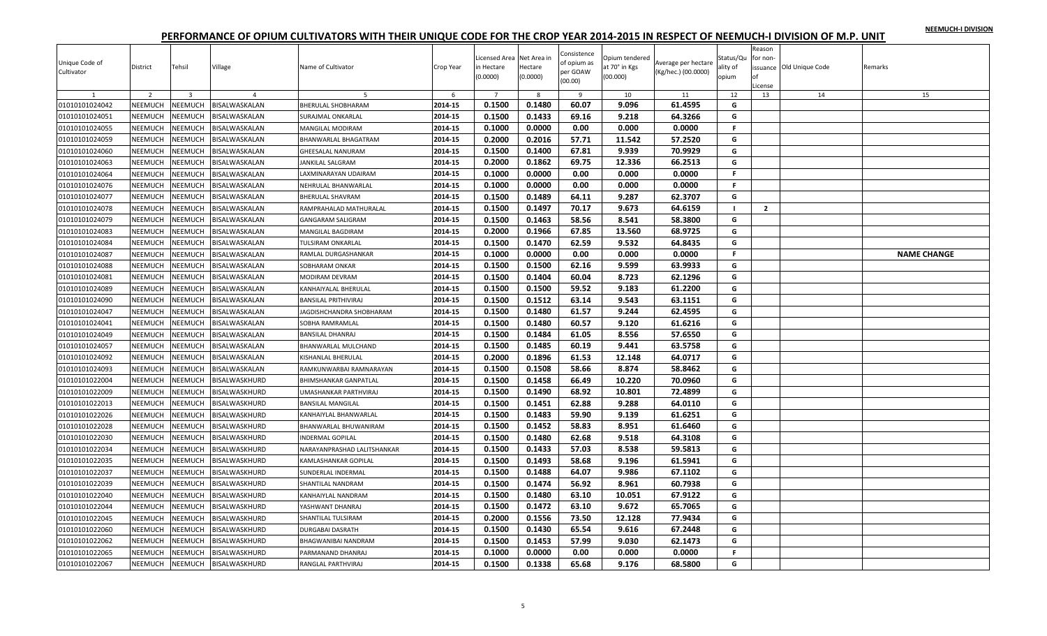|  |  | NEEMUCH-I DIVISION |
|--|--|--------------------|
|  |  |                    |

| Unique Code of<br>Cultivator | District       | Tehsil                  | Village              | Name of Cultivator           | Crop Year | Licensed Area Net Area in<br>in Hectare<br>(0.0000) | Hectare<br>(0.0000) | Consistence<br>of opium as<br>per GOAW<br>(00.00) | Opium tendered<br>at 70° in Kgs<br>(00.000) | Average per hectare<br>(Kg/hec.) (00.0000) | Status/Qu<br>ality of<br>opium | Reason<br>for non<br>License | issuance Old Unique Code | Remarks            |
|------------------------------|----------------|-------------------------|----------------------|------------------------------|-----------|-----------------------------------------------------|---------------------|---------------------------------------------------|---------------------------------------------|--------------------------------------------|--------------------------------|------------------------------|--------------------------|--------------------|
|                              | $\overline{2}$ | $\overline{\mathbf{3}}$ | $\overline{4}$       | -5                           | 6         | $\overline{7}$                                      | 8                   | -9                                                | 10                                          | 11                                         | 12                             | 13                           | 14                       | 15                 |
| 01010101024042               | <b>NEEMUCH</b> | <b>NEEMUCH</b>          | BISALWASKALAN        | <b>BHERULAL SHOBHARAM</b>    | 2014-15   | 0.1500                                              | 0.1480              | 60.07                                             | 9.096                                       | 61.4595                                    | G                              |                              |                          |                    |
| 01010101024051               | NEEMUCH        | <b>NEEMUCH</b>          | BISALWASKALAN        | SURAJMAL ONKARLAL            | 2014-15   | 0.1500                                              | 0.1433              | 69.16                                             | 9.218                                       | 64.3266                                    | G                              |                              |                          |                    |
| 01010101024055               | NEEMUCH        | <b>NEEMUCH</b>          | BISALWASKALAN        | MANGILAL MODIRAM             | 2014-15   | 0.1000                                              | 0.0000              | 0.00                                              | 0.000                                       | 0.0000                                     | F.                             |                              |                          |                    |
| 01010101024059               | NEEMUCH        | NEEMUCH                 | BISALWASKALAN        | BHANWARLAL BHAGATRAM         | 2014-15   | 0.2000                                              | 0.2016              | 57.71                                             | 11.542                                      | 57.2520                                    | G                              |                              |                          |                    |
| 01010101024060               | NEEMUCH        | <b>NEEMUCH</b>          | BISALWASKALAN        | <b>GHEESALAL NANURAM</b>     | 2014-15   | 0.1500                                              | 0.1400              | 67.81                                             | 9.939                                       | 70.9929                                    | G                              |                              |                          |                    |
| 01010101024063               | NEEMUCH        | NEEMUCH                 | BISALWASKALAN        | JANKILAL SALGRAM             | 2014-15   | 0.2000                                              | 0.1862              | 69.75                                             | 12.336                                      | 66.2513                                    | G                              |                              |                          |                    |
| 01010101024064               | NEEMUCH        | <b>NEEMUCH</b>          | BISALWASKALAN        | LAXMINARAYAN UDAIRAM         | 2014-15   | 0.1000                                              | 0.0000              | 0.00                                              | 0.000                                       | 0.0000                                     | F                              |                              |                          |                    |
| 01010101024076               | NEEMUCH        | <b>NEEMUCH</b>          | BISALWASKALAN        | NEHRULAL BHANWARLAL          | 2014-15   | 0.1000                                              | 0.0000              | 0.00                                              | 0.000                                       | 0.0000                                     | F.                             |                              |                          |                    |
| 01010101024077               | NEEMUCH        | NEEMUCH                 | BISALWASKALAN        | <b>BHERULAL SHAVRAM</b>      | 2014-15   | 0.1500                                              | 0.1489              | 64.11                                             | 9.287                                       | 62.3707                                    | G                              |                              |                          |                    |
| 01010101024078               | NEEMUCH        | NEEMUCH                 | BISALWASKALAN        | RAMPRAHALAD MATHURALAL       | 2014-15   | 0.1500                                              | 0.1497              | 70.17                                             | 9.673                                       | 64.6159                                    | $\mathbf{I}$                   | $\overline{2}$               |                          |                    |
| 01010101024079               | NEEMUCH        | NEEMUCH                 | BISALWASKALAN        | GANGARAM SALIGRAM            | 2014-15   | 0.1500                                              | 0.1463              | 58.56                                             | 8.541                                       | 58.3800                                    | G                              |                              |                          |                    |
| 01010101024083               | NEEMUCH        | <b>NEEMUCH</b>          | BISALWASKALAN        | <b>MANGILAL BAGDIRAM</b>     | 2014-15   | 0.2000                                              | 0.1966              | 67.85                                             | 13.560                                      | 68.9725                                    | G                              |                              |                          |                    |
| 01010101024084               | NEEMUCH        | NEEMUCH                 | BISALWASKALAN        | TULSIRAM ONKARLAL            | 2014-15   | 0.1500                                              | 0.1470              | 62.59                                             | 9.532                                       | 64.8435                                    | G                              |                              |                          |                    |
| 01010101024087               | NEEMUCH        | NEEMUCH                 | BISALWASKALAN        | RAMLAL DURGASHANKAR          | 2014-15   | 0.1000                                              | 0.0000              | 0.00                                              | 0.000                                       | 0.0000                                     | F.                             |                              |                          | <b>NAME CHANGE</b> |
| 01010101024088               | NEEMUCH        | <b>NEEMUCH</b>          | BISALWASKALAN        | SOBHARAM ONKAR               | 2014-15   | 0.1500                                              | 0.1500              | 62.16                                             | 9.599                                       | 63.9933                                    | G                              |                              |                          |                    |
| 01010101024081               | NEEMUCH        | NEEMUCH                 | BISALWASKALAN        | <b>MODIRAM DEVRAM</b>        | 2014-15   | 0.1500                                              | 0.1404              | 60.04                                             | 8.723                                       | 62.1296                                    | G                              |                              |                          |                    |
| 01010101024089               | NEEMUCH        | NEEMUCH                 | BISALWASKALAN        | KANHAIYALAL BHERULAL         | 2014-15   | 0.1500                                              | 0.1500              | 59.52                                             | 9.183                                       | 61.2200                                    | G                              |                              |                          |                    |
| 01010101024090               | NEEMUCH        | <b>NEEMUCH</b>          | BISALWASKALAN        | <b>BANSILAL PRITHIVIRAJ</b>  | 2014-15   | 0.1500                                              | 0.1512              | 63.14                                             | 9.543                                       | 63.1151                                    | G                              |                              |                          |                    |
| 01010101024047               | NEEMUCH        | NEEMUCH                 | BISALWASKALAN        | JAGDISHCHANDRA SHOBHARAM     | 2014-15   | 0.1500                                              | 0.1480              | 61.57                                             | 9.244                                       | 62.4595                                    | G                              |                              |                          |                    |
| 01010101024041               | <b>NEEMUCH</b> | NEEMUCH                 | BISALWASKALAN        | SOBHA RAMRAMLAL              | 2014-15   | 0.1500                                              | 0.1480              | 60.57                                             | 9.120                                       | 61.6216                                    | G                              |                              |                          |                    |
| 01010101024049               | NEEMUCH        | NEEMUCH                 | BISALWASKALAN        | <b>BANSILAL DHANRAJ</b>      | 2014-15   | 0.1500                                              | 0.1484              | 61.05                                             | 8.556                                       | 57.6550                                    | G                              |                              |                          |                    |
| 01010101024057               | <b>NEEMUCH</b> | <b>NEEMUCH</b>          | BISALWASKALAN        | <b>BHANWARLAL MULCHAND</b>   | 2014-15   | 0.1500                                              | 0.1485              | 60.19                                             | 9.441                                       | 63.5758                                    | G                              |                              |                          |                    |
| 01010101024092               | NEEMUCH        | <b>NEEMUCH</b>          | BISALWASKALAN        | KISHANLAL BHERULAI           | 2014-15   | 0.2000                                              | 0.1896              | 61.53                                             | 12.148                                      | 64.0717                                    | G                              |                              |                          |                    |
| 01010101024093               | NEEMUCH        | NEEMUCH                 | BISALWASKALAN        | RAMKUNWARBAI RAMNARAYAN      | 2014-15   | 0.1500                                              | 0.1508              | 58.66                                             | 8.874                                       | 58.8462                                    | G                              |                              |                          |                    |
| 01010101022004               | NEEMUCH        | <b>NEEMUCH</b>          | BISALWASKHURD        | <b>BHIMSHANKAR GANPATLAL</b> | 2014-15   | 0.1500                                              | 0.1458              | 66.49                                             | 10.220                                      | 70.0960                                    | G                              |                              |                          |                    |
| 01010101022009               | NEEMUCH        | NEEMUCH                 | BISALWASKHURD        | UMASHANKAR PARTHVIRAJ        | 2014-15   | 0.1500                                              | 0.1490              | 68.92                                             | 10.801                                      | 72.4899                                    | G                              |                              |                          |                    |
| 01010101022013               | NEEMUCH        | NEEMUCH                 | BISALWASKHURD        | <b>BANSILAL MANGILAL</b>     | 2014-15   | 0.1500                                              | 0.1451              | 62.88                                             | 9.288                                       | 64.0110                                    | G                              |                              |                          |                    |
| 01010101022026               | NEEMUCH        | <b>NEEMUCH</b>          | BISALWASKHURD        | KANHAIYLAL BHANWARLAL        | 2014-15   | 0.1500                                              | 0.1483              | 59.90                                             | 9.139                                       | 61.6251                                    | G                              |                              |                          |                    |
| 01010101022028               | NEEMUCH        | <b>NEEMUCH</b>          | BISALWASKHURD        | BHANWARLAL BHUWANIRAM        | 2014-15   | 0.1500                                              | 0.1452              | 58.83                                             | 8.951                                       | 61.6460                                    | G                              |                              |                          |                    |
| 01010101022030               | NEEMUCH        | NEEMUCH                 | BISALWASKHURD        | <b>INDERMAL GOPILAL</b>      | 2014-15   | 0.1500                                              | 0.1480              | 62.68                                             | 9.518                                       | 64.3108                                    | G                              |                              |                          |                    |
| 01010101022034               | NEEMUCH        | NEEMUCH                 | BISALWASKHURD        | NARAYANPRASHAD LALITSHANKAR  | 2014-15   | 0.1500                                              | 0.1433              | 57.03                                             | 8.538                                       | 59.5813                                    | G                              |                              |                          |                    |
| 01010101022035               | NEEMUCH        | <b>NEEMUCH</b>          | BISALWASKHURD        | KAMLASHANKAR GOPILAL         | 2014-15   | 0.1500                                              | 0.1493              | 58.68                                             | 9.196                                       | 61.5941                                    | G                              |                              |                          |                    |
| 01010101022037               | NEEMUCH        | <b>NEEMUCH</b>          | BISALWASKHURD        | SUNDERLAL INDERMAL           | 2014-15   | 0.1500                                              | 0.1488              | 64.07                                             | 9.986                                       | 67.1102                                    | G                              |                              |                          |                    |
| 01010101022039               | NEEMUCH        | <b>NEEMUCH</b>          | BISALWASKHURD        | SHANTILAL NANDRAM            | 2014-15   | 0.1500                                              | 0.1474              | 56.92                                             | 8.961                                       | 60.7938                                    | G                              |                              |                          |                    |
| 01010101022040               | NEEMUCH        | <b>NEEMUCH</b>          | BISALWASKHURD        | KANHAIYLAL NANDRAM           | 2014-15   | 0.1500                                              | 0.1480              | 63.10                                             | 10.051                                      | 67.9122                                    | G                              |                              |                          |                    |
| 01010101022044               | NEEMUCH        | NEEMUCH                 | BISALWASKHURD        | YASHWANT DHANRAJ             | 2014-15   | 0.1500                                              | 0.1472              | 63.10                                             | 9.672                                       | 65.7065                                    | G                              |                              |                          |                    |
| 01010101022045               | NEEMUCH        | NEEMUCH                 | BISALWASKHURD        | SHANTILAL TULSIRAM           | 2014-15   | 0.2000                                              | 0.1556              | 73.50                                             | 12.128                                      | 77.9434                                    | G                              |                              |                          |                    |
| 01010101022060               | NEEMUCH        | NEEMUCH                 | BISALWASKHURD        | <b>DURGABAI DASRATH</b>      | 2014-15   | 0.1500                                              | 0.1430              | 65.54                                             | 9.616                                       | 67.2448                                    | G                              |                              |                          |                    |
| 01010101022062               | NEEMUCH        | NEEMUCH                 | <b>BISALWASKHURD</b> | BHAGWANIBAI NANDRAM          | 2014-15   | 0.1500                                              | 0.1453              | 57.99                                             | 9.030                                       | 62.1473                                    | G                              |                              |                          |                    |
| 01010101022065               | NEEMUCH        | <b>NEEMUCH</b>          | BISALWASKHURD        | PARMANAND DHANRAJ            | 2014-15   | 0.1000                                              | 0.0000              | 0.00                                              | 0.000                                       | 0.0000                                     | $\mathsf F$                    |                              |                          |                    |
| 01010101022067               | NEEMUCH        | <b>NEEMUCH</b>          | BISALWASKHURD        | RANGLAL PARTHVIRAJ           | 2014-15   | 0.1500                                              | 0.1338              | 65.68                                             | 9.176                                       | 68.5800                                    | G                              |                              |                          |                    |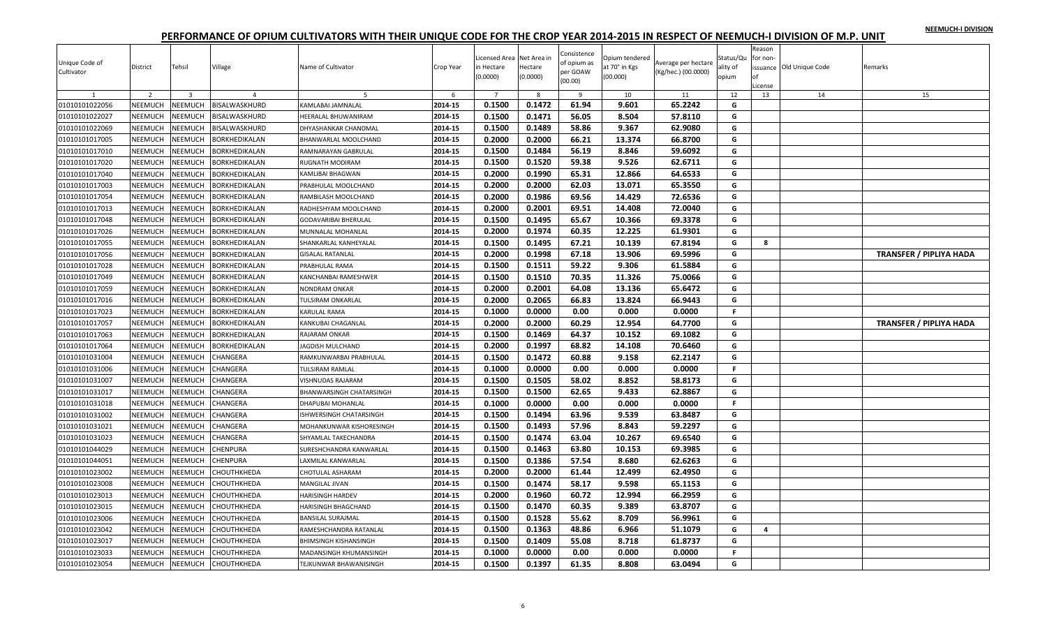|  |  | NEEMUCH-I DIVISION |
|--|--|--------------------|
|  |  |                    |

| Unique Code of<br>Cultivator | District<br>$\overline{\phantom{a}}$ | Tehsil<br>$\mathbf{3}$ | Village<br>$\overline{4}$ | Name of Cultivator       | Crop Year<br>-6 | icensed Area Net Area in<br>in Hectare<br>(0.0000) | Hectare<br>(0.0000)<br>-8 | Consistence<br>of opium as<br>per GOAW<br>(00.00)<br>9 | Opium tendered<br>at 70° in Kgs<br>(00.000)<br>10 | Average per hectare<br>(Kg/hec.) (00.0000)<br>11 | Status/Qu<br>ality of<br>opium<br>12 | Reason<br>for non-<br>of<br>License<br>13 | issuance Old Unique Code<br>14 | Remarks<br>15                  |
|------------------------------|--------------------------------------|------------------------|---------------------------|--------------------------|-----------------|----------------------------------------------------|---------------------------|--------------------------------------------------------|---------------------------------------------------|--------------------------------------------------|--------------------------------------|-------------------------------------------|--------------------------------|--------------------------------|
| 01010101022056               | NEEMUCH                              | NEEMUCH                | BISALWASKHURD             | KAMLABAI JAMNALAL        | 2014-15         | 0.1500                                             | 0.1472                    | 61.94                                                  | 9.601                                             | 65.2242                                          | G                                    |                                           |                                |                                |
| 01010101022027               | NEEMUCH                              | NEEMUCH                | BISALWASKHURD             | HEERALAL BHUWANIRAM      | 2014-15         | 0.1500                                             | 0.1471                    | 56.05                                                  | 8.504                                             | 57.8110                                          | G                                    |                                           |                                |                                |
| 01010101022069               | <b>NEEMUCH</b>                       | NEEMUCH                | BISALWASKHURD             | DHYASHANKAR CHANDMAL     | 2014-15         | 0.1500                                             | 0.1489                    | 58.86                                                  | 9.367                                             | 62.9080                                          | G                                    |                                           |                                |                                |
| 01010101017005               | NEEMUCH                              | <b>NEEMUCH</b>         | BORKHEDIKALAN             | BHANWARLAL MOOLCHAND     | 2014-15         | 0.2000                                             | 0.2000                    | 66.21                                                  | 13.374                                            | 66.8700                                          | G                                    |                                           |                                |                                |
| 01010101017010               | <b>NEEMUCH</b>                       | <b>NEEMUCH</b>         | BORKHEDIKALAN             | RAMNARAYAN GABRULAL      | 2014-15         | 0.1500                                             | 0.1484                    | 56.19                                                  | 8.846                                             | 59.6092                                          | G                                    |                                           |                                |                                |
| 01010101017020               | <b>NEEMUCH</b>                       | NEEMUCH                | BORKHEDIKALAN             | RUGNATH MODIRAM          | 2014-15         | 0.1500                                             | 0.1520                    | 59.38                                                  | 9.526                                             | 62.6711                                          | G                                    |                                           |                                |                                |
| 01010101017040               | NEEMUCH                              | <b>NEEMUCH</b>         | BORKHEDIKALAN             | KAMLIBAI BHAGWAN         | 2014-15         | 0.2000                                             | 0.1990                    | 65.31                                                  | 12.866                                            | 64.6533                                          | G                                    |                                           |                                |                                |
| 01010101017003               | NEEMUCH                              | <b>NEEMUCH</b>         | BORKHEDIKALAN             | PRABHULAL MOOLCHAND      | 2014-15         | 0.2000                                             | 0.2000                    | 62.03                                                  | 13.071                                            | 65.3550                                          | G                                    |                                           |                                |                                |
| 01010101017054               | <b>NEEMUCH</b>                       | NEEMUCH                | BORKHEDIKALAN             | RAMBILASH MOOLCHAND      | 2014-15         | 0.2000                                             | 0.1986                    | 69.56                                                  | 14.429                                            | 72.6536                                          | G                                    |                                           |                                |                                |
| 01010101017013               | NEEMUCH                              | NEEMUCH                | BORKHEDIKALAN             | RADHESHYAM MOOLCHAND     | 2014-15         | 0.2000                                             | 0.2001                    | 69.51                                                  | 14.408                                            | 72.0040                                          | G                                    |                                           |                                |                                |
| 01010101017048               | NEEMUCH                              | NEEMUCH                | BORKHEDIKALAN             | GODAVARIBAI BHERULAL     | 2014-15         | 0.1500                                             | 0.1495                    | 65.67                                                  | 10.366                                            | 69.3378                                          | G                                    |                                           |                                |                                |
| 01010101017026               | NEEMUCH                              | NEEMUCH                | BORKHEDIKALAN             | MUNNALAL MOHANLAL        | 2014-15         | 0.2000                                             | 0.1974                    | 60.35                                                  | 12.225                                            | 61.9301                                          | G                                    |                                           |                                |                                |
| 01010101017055               | NEEMUCH                              | NEEMUCH                | BORKHEDIKALAN             | SHANKARLAL KANHEYALAL    | 2014-15         | 0.1500                                             | 0.1495                    | 67.21                                                  | 10.139                                            | 67.8194                                          | G                                    | 8                                         |                                |                                |
| 01010101017056               | NEEMUCH                              | <b>NEEMUCH</b>         | <b>BORKHEDIKALAN</b>      | <b>GISALAL RATANLAL</b>  | 2014-15         | 0.2000                                             | 0.1998                    | 67.18                                                  | 13.906                                            | 69.5996                                          | G                                    |                                           |                                | <b>TRANSFER / PIPLIYA HADA</b> |
| 01010101017028               | NEEMUCH                              | NEEMUCH                | BORKHEDIKALAN             | PRABHULAL RAMA           | 2014-15         | 0.1500                                             | 0.1511                    | 59.22                                                  | 9.306                                             | 61.5884                                          | G                                    |                                           |                                |                                |
| 01010101017049               | NEEMUCH                              | <b>NEEMUCH</b>         | BORKHEDIKALAN             | KANCHANBAI RAMESHWER     | 2014-15         | 0.1500                                             | 0.1510                    | 70.35                                                  | 11.326                                            | 75.0066                                          | G                                    |                                           |                                |                                |
| 01010101017059               | <b>NEEMUCH</b>                       | NEEMUCH                | BORKHEDIKALAN             | NONDRAM ONKAR            | 2014-15         | 0.2000                                             | 0.2001                    | 64.08                                                  | 13.136                                            | 65.6472                                          | G                                    |                                           |                                |                                |
| 01010101017016               | NEEMUCH                              | <b>NEEMUCH</b>         | BORKHEDIKALAN             | TULSIRAM ONKARLAL        | 2014-15         | 0.2000                                             | 0.2065                    | 66.83                                                  | 13.824                                            | 66.9443                                          | G                                    |                                           |                                |                                |
| 01010101017023               | NEEMUCH                              | NEEMUCH                | BORKHEDIKALAN             | KARULAL RAMA             | 2014-15         | 0.1000                                             | 0.0000                    | 0.00                                                   | 0.000                                             | 0.0000                                           | F.                                   |                                           |                                |                                |
| 01010101017057               | NEEMUCH                              | NEEMUCH                | BORKHEDIKALAN             | KANKUBAI CHAGANLAL       | 2014-15         | 0.2000                                             | 0.2000                    | 60.29                                                  | 12.954                                            | 64.7700                                          | G                                    |                                           |                                | <b>TRANSFER / PIPLIYA HADA</b> |
| 01010101017063               | <b>NEEMUCH</b>                       | <b>NEEMUCH</b>         | BORKHEDIKALAN             | RAJARAM ONKAR            | 2014-15         | 0.1500                                             | 0.1469                    | 64.37                                                  | 10.152                                            | 69.1082                                          | G                                    |                                           |                                |                                |
| 01010101017064               | NEEMUCH                              | <b>NEEMUCH</b>         | BORKHEDIKALAN             | <b>IAGDISH MULCHAND</b>  | 2014-15         | 0.2000                                             | 0.1997                    | 68.82                                                  | 14.108                                            | 70.6460                                          | G                                    |                                           |                                |                                |
| 01010101031004               | NEEMUCH                              | <b>NEEMUCH</b>         | CHANGERA                  | RAMKUNWARBAI PRABHULAL   | 2014-15         | 0.1500                                             | 0.1472                    | 60.88                                                  | 9.158                                             | 62.2147                                          | G                                    |                                           |                                |                                |
| 01010101031006               | NEEMUCH                              | NEEMUCH                | CHANGERA                  | TULSIRAM RAMLAL          | 2014-15         | 0.1000                                             | 0.0000                    | 0.00                                                   | 0.000                                             | 0.0000                                           | F.                                   |                                           |                                |                                |
| 01010101031007               | NEEMUCH                              | <b>NEEMUCH</b>         | CHANGERA                  | VISHNUDAS RAJARAM        | 2014-15         | 0.1500                                             | 0.1505                    | 58.02                                                  | 8.852                                             | 58.8173                                          | G                                    |                                           |                                |                                |
| 01010101031017               | <b>NEEMUCH</b>                       | NEEMUCH                | CHANGERA                  | BHANWARSINGH CHATARSINGH | 2014-15         | 0.1500                                             | 0.1500                    | 62.65                                                  | 9.433                                             | 62.8867                                          | G                                    |                                           |                                |                                |
| 01010101031018               | <b>NEEMUCH</b>                       | <b>NEEMUCH</b>         | CHANGERA                  | DHAPUBAI MOHANLAL        | 2014-15         | 0.1000                                             | 0.0000                    | 0.00                                                   | 0.000                                             | 0.0000                                           | F.                                   |                                           |                                |                                |
| 01010101031002               | NEEMUCH                              | NEEMUCH                | CHANGERA                  | ISHWERSINGH CHATARSINGH  | 2014-15         | 0.1500                                             | 0.1494                    | 63.96                                                  | 9.539                                             | 63.8487                                          | G                                    |                                           |                                |                                |
| 01010101031021               | NEEMUCH                              | <b>NEEMUCH</b>         | CHANGERA                  | MOHANKUNWAR KISHORESINGH | 2014-15         | 0.1500                                             | 0.1493                    | 57.96                                                  | 8.843                                             | 59.2297                                          | G                                    |                                           |                                |                                |
| 01010101031023               | <b>NEEMUCH</b>                       | <b>NEEMUCH</b>         | CHANGERA                  | SHYAMLAL TAKECHANDRA     | 2014-15         | 0.1500                                             | 0.1474                    | 63.04                                                  | 10.267                                            | 69.6540                                          | G                                    |                                           |                                |                                |
| 01010101044029               | NEEMUCH                              | NEEMUCH                | CHENPURA                  | SURESHCHANDRA KANWARLAL  | 2014-15         | 0.1500                                             | 0.1463                    | 63.80                                                  | 10.153                                            | 69.3985                                          | G                                    |                                           |                                |                                |
| 01010101044051               | NEEMUCH                              | NEEMUCH                | CHENPURA                  | LAXMILAL KANWARLAL       | 2014-15         | 0.1500                                             | 0.1386                    | 57.54                                                  | 8.680                                             | 62.6263                                          | G                                    |                                           |                                |                                |
| 01010101023002               | NEEMUCH                              | <b>NEEMUCH</b>         | CHOUTHKHEDA               | CHOTULAL ASHARAM         | 2014-15         | 0.2000                                             | 0.2000                    | 61.44                                                  | 12.499                                            | 62.4950                                          | G                                    |                                           |                                |                                |
| 01010101023008               | NEEMUCH                              | NEEMUCH                | CHOUTHKHEDA               | MANGILAL JIVAN           | 2014-15         | 0.1500                                             | 0.1474                    | 58.17                                                  | 9.598                                             | 65.1153                                          | G                                    |                                           |                                |                                |
| 01010101023013               | <b>NEEMUCH</b>                       | NEEMUCH                | CHOUTHKHEDA               | <b>HARISINGH HARDEV</b>  | 2014-15         | 0.2000                                             | 0.1960                    | 60.72                                                  | 12.994                                            | 66.2959                                          | G                                    |                                           |                                |                                |
| 01010101023015               | NEEMUCH                              | NEEMUCH                | CHOUTHKHEDA               | HARISINGH BHAGCHAND      | 2014-15         | 0.1500                                             | 0.1470                    | 60.35                                                  | 9.389                                             | 63.8707                                          | G                                    |                                           |                                |                                |
| 01010101023006               | NEEMUCH                              | NEEMUCH                | CHOUTHKHEDA               | <b>BANSILAL SURAJMAL</b> | 2014-15         | 0.1500                                             | 0.1528                    | 55.62                                                  | 8.709                                             | 56.9961                                          | G                                    |                                           |                                |                                |
| 01010101023042               | NEEMUCH                              | <b>NEEMUCH</b>         | CHOUTHKHEDA               | RAMESHCHANDRA RATANLAL   | 2014-15         | 0.1500                                             | 0.1363                    | 48.86                                                  | 6.966                                             | 51.1079                                          | G                                    | 4                                         |                                |                                |
| 01010101023017               | NEEMUCH                              | <b>NEEMUCH</b>         | CHOUTHKHEDA               | BHIMSINGH KISHANSINGH    | 2014-15         | 0.1500                                             | 0.1409                    | 55.08                                                  | 8.718                                             | 61.8737                                          | G                                    |                                           |                                |                                |
| 01010101023033               | NEEMUCH                              | <b>NEEMUCH</b>         | CHOUTHKHEDA               | MADANSINGH KHUMANSINGH   | 2014-15         | 0.1000                                             | 0.0000                    | 0.00                                                   | 0.000                                             | 0.0000                                           | F.                                   |                                           |                                |                                |
| 01010101023054               | NEEMUCH                              | NEEMUCH                | <b>CHOUTHKHEDA</b>        | TEJKUNWAR BHAWANISINGH   | 2014-15         | 0.1500                                             | 0.1397                    | 61.35                                                  | 8.808                                             | 63.0494                                          | G                                    |                                           |                                |                                |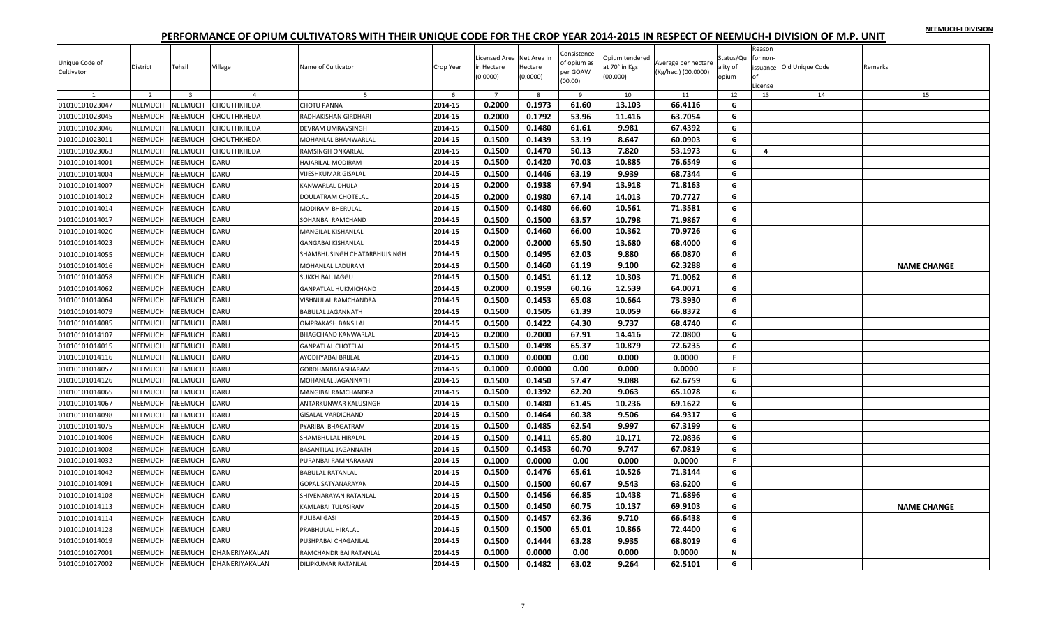| NEEMUCH-I DIVISION |  |
|--------------------|--|
|                    |  |

| Unique Code of<br>Cultivator | District       | Tehsil                  | Village        | Name of Cultivator           | Crop Year | icensed Area Net Area in<br>in Hectare<br>(0.0000) | Hectare<br>(0.0000) | Consistence<br>of opium as<br>per GOAW<br>(00.00) | Opium tendered<br>at 70° in Kgs<br>(00.000) | Average per hectare<br>(Kg/hec.) (00.0000) | Status/Qu<br>ality of<br>opium | Reason<br>for non-<br>License | issuance Old Unique Code | Remarks            |
|------------------------------|----------------|-------------------------|----------------|------------------------------|-----------|----------------------------------------------------|---------------------|---------------------------------------------------|---------------------------------------------|--------------------------------------------|--------------------------------|-------------------------------|--------------------------|--------------------|
|                              | $\overline{2}$ | $\overline{\mathbf{3}}$ | $\overline{a}$ | 5                            | -6        | $\overline{7}$                                     | 8                   | 9                                                 | 10                                          | 11                                         | 12                             | 13                            | 14                       | 15                 |
| 01010101023047               | NEEMUCH        | NEEMUCH                 | CHOUTHKHEDA    | <b>CHOTU PANNA</b>           | 2014-15   | 0.2000                                             | 0.1973              | 61.60                                             | 13.103                                      | 66.4116                                    | G                              |                               |                          |                    |
| 01010101023045               | NEEMUCH        | <b>NEEMUCH</b>          | CHOUTHKHEDA    | RADHAKISHAN GIRDHARI         | 2014-15   | 0.2000                                             | 0.1792              | 53.96                                             | 11.416                                      | 63.7054                                    | G                              |                               |                          |                    |
| 01010101023046               | NEEMUCH        | NEEMUCH                 | CHOUTHKHEDA    | DEVRAM UMRAVSINGH            | 2014-15   | 0.1500                                             | 0.1480              | 61.61                                             | 9.981                                       | 67.4392                                    | G                              |                               |                          |                    |
| 01010101023011               | NEEMUCH        | NEEMUCH                 | CHOUTHKHEDA    | MOHANLAL BHANWARLAL          | 2014-15   | 0.1500                                             | 0.1439              | 53.19                                             | 8.647                                       | 60.0903                                    | G                              |                               |                          |                    |
| 01010101023063               | NEEMUCH        | NEEMUCH                 | СНОИТНКНЕDА    | RAMSINGH ONKARLAI            | 2014-15   | 0.1500                                             | 0.1470              | 50.13                                             | 7.820                                       | 53.1973                                    | G                              | 4                             |                          |                    |
| 01010101014001               | NEEMUCH        | NEEMUCH                 | DARU           | HAJARILAL MODIRAM            | 2014-15   | 0.1500                                             | 0.1420              | 70.03                                             | 10.885                                      | 76.6549                                    | G                              |                               |                          |                    |
| 01010101014004               | NEEMUCH        | NEEMUCH                 | DARU           | VIJESHKUMAR GISALAL          | 2014-15   | 0.1500                                             | 0.1446              | 63.19                                             | 9.939                                       | 68.7344                                    | G                              |                               |                          |                    |
| 01010101014007               | NEEMUCH        | NEEMUCH                 | DARU           | KANWARLAL DHULA              | 2014-15   | 0.2000                                             | 0.1938              | 67.94                                             | 13.918                                      | 71.8163                                    | G                              |                               |                          |                    |
| 01010101014012               | NEEMUCH        | NEEMUCH                 | DARU           | DOULATRAM CHOTELAL           | 2014-15   | 0.2000                                             | 0.1980              | 67.14                                             | 14.013                                      | 70.7727                                    | G                              |                               |                          |                    |
| 01010101014014               | NEEMUCH        | NEEMUCH                 | DARU           | MODIRAM BHERULAL             | 2014-15   | 0.1500                                             | 0.1480              | 66.60                                             | 10.561                                      | 71.3581                                    | G                              |                               |                          |                    |
| 01010101014017               | <b>NEEMUCH</b> | NEEMUCH                 | DARU           | SOHANBAI RAMCHAND            | 2014-15   | 0.1500                                             | 0.1500              | 63.57                                             | 10.798                                      | 71.9867                                    | G                              |                               |                          |                    |
| 01010101014020               | <b>NEEMUCH</b> | <b>NEEMUCH</b>          | DARU           | <b>MANGILAL KISHANLAL</b>    | 2014-15   | 0.1500                                             | 0.1460              | 66.00                                             | 10.362                                      | 70.9726                                    | G                              |                               |                          |                    |
| 01010101014023               | NEEMUCH        | NEEMUCH                 | DARU           | <b>GANGABAI KISHANLAL</b>    | 2014-15   | 0.2000                                             | 0.2000              | 65.50                                             | 13.680                                      | 68.4000                                    | G                              |                               |                          |                    |
| 01010101014055               | NEEMUCH        | NEEMUCH                 | DARU           | SHAMBHUSINGH CHATARBHUJSINGH | 2014-15   | 0.1500                                             | 0.1495              | 62.03                                             | 9.880                                       | 66.0870                                    | G                              |                               |                          |                    |
| 01010101014016               | NEEMUCH        | NEEMUCH                 | DARU           | MOHANLAL LADURAM             | 2014-15   | 0.1500                                             | 0.1460              | 61.19                                             | 9.100                                       | 62.3288                                    | G                              |                               |                          | <b>NAME CHANGE</b> |
| 01010101014058               | NEEMUCH        | NEEMUCH                 | DARU           | <b>SUKKHIBAI .JAGGU</b>      | 2014-15   | 0.1500                                             | 0.1451              | 61.12                                             | 10.303                                      | 71.0062                                    | G                              |                               |                          |                    |
| 01010101014062               | NEEMUCH        | NEEMUCH                 | DARU           | GANPATLAL HUKMICHAND         | 2014-15   | 0.2000                                             | 0.1959              | 60.16                                             | 12.539                                      | 64.0071                                    | G                              |                               |                          |                    |
| 01010101014064               | NEEMUCH        | <b>NEEMUCH</b>          | DARU           | VISHNULAL RAMCHANDRA         | 2014-15   | 0.1500                                             | 0.1453              | 65.08                                             | 10.664                                      | 73.3930                                    | G                              |                               |                          |                    |
| 01010101014079               | NEEMUCH        | NEEMUCH                 | DARU           | <b>BABULAL JAGANNATH</b>     | 2014-15   | 0.1500                                             | 0.1505              | 61.39                                             | 10.059                                      | 66.8372                                    | G                              |                               |                          |                    |
| 01010101014085               | NEEMUCH        | NEEMUCH                 | DARU           | <b>OMPRAKASH BANSILAL</b>    | 2014-15   | 0.1500                                             | 0.1422              | 64.30                                             | 9.737                                       | 68.4740                                    | G                              |                               |                          |                    |
| 01010101014107               | NEEMUCH        | NEEMUCH                 | DARU           | <b>BHAGCHAND KANWARLAL</b>   | 2014-15   | 0.2000                                             | 0.2000              | 67.91                                             | 14.416                                      | 72.0800                                    | G                              |                               |                          |                    |
| 01010101014015               | NEEMUCH        | NEEMUCH                 | DARU           | <b>GANPATLAL CHOTELAL</b>    | 2014-15   | 0.1500                                             | 0.1498              | 65.37                                             | 10.879                                      | 72.6235                                    | G                              |                               |                          |                    |
| 01010101014116               | NEEMUCH        | NEEMUCH                 | DARU           | AYODHYABAI BRIJLAL           | 2014-15   | 0.1000                                             | 0.0000              | 0.00                                              | 0.000                                       | 0.0000                                     | F.                             |                               |                          |                    |
| 01010101014057               | NEEMUCH        | NEEMUCH                 | DARU           | GORDHANBAI ASHARAM           | 2014-15   | 0.1000                                             | 0.0000              | 0.00                                              | 0.000                                       | 0.0000                                     | F.                             |                               |                          |                    |
| 01010101014126               | NEEMUCH        | NEEMUCH                 | DARU           | MOHANLAL JAGANNATH           | 2014-15   | 0.1500                                             | 0.1450              | 57.47                                             | 9.088                                       | 62.6759                                    | G                              |                               |                          |                    |
| 01010101014065               | NEEMUCH        | NEEMUCH                 | DARU           | MANGIBAI RAMCHANDRA          | 2014-15   | 0.1500                                             | 0.1392              | 62.20                                             | 9.063                                       | 65.1078                                    | G                              |                               |                          |                    |
| 01010101014067               | NEEMUCH        | NEEMUCH                 | DARU           | ANTARKUNWAR KALUSINGH        | 2014-15   | 0.1500                                             | 0.1480              | 61.45                                             | 10.236                                      | 69.1622                                    | G                              |                               |                          |                    |
| 01010101014098               | NEEMUCH        | <b>NEEMUCH</b>          | DARU           | <b>GISALAL VARDICHAND</b>    | 2014-15   | 0.1500                                             | 0.1464              | 60.38                                             | 9.506                                       | 64.9317                                    | G                              |                               |                          |                    |
| 01010101014075               | NEEMUCH        | <b>NEEMUCH</b>          | DARU           | PYARIBAI BHAGATRAM           | 2014-15   | 0.1500                                             | 0.1485              | 62.54                                             | 9.997                                       | 67.3199                                    | G                              |                               |                          |                    |
| 01010101014006               | NEEMUCH        | NEEMUCH                 | DARU           | SHAMBHULAL HIRALAL           | 2014-15   | 0.1500                                             | 0.1411              | 65.80                                             | 10.171                                      | 72.0836                                    | G                              |                               |                          |                    |
| 01010101014008               | NEEMUCH        | NEEMUCH                 | DARU           | BASANTILAL JAGANNATH         | 2014-15   | 0.1500                                             | 0.1453              | 60.70                                             | 9.747                                       | 67.0819                                    | G                              |                               |                          |                    |
| 01010101014032               | NEEMUCH        | NEEMUCH                 | DARU           | PURANBAI RAMNARAYAN          | 2014-15   | 0.1000                                             | 0.0000              | 0.00                                              | 0.000                                       | 0.0000                                     | F.                             |                               |                          |                    |
| 01010101014042               | NEEMUCH        | NEEMUCH                 | DARU           | <b>BABULAL RATANLAL</b>      | 2014-15   | 0.1500                                             | 0.1476              | 65.61                                             | 10.526                                      | 71.3144                                    | G                              |                               |                          |                    |
| 01010101014091               | NEEMUCH        | <b>NEEMUCH</b>          | DARU           | <b>GOPAL SATYANARAYAN</b>    | 2014-15   | 0.1500                                             | 0.1500              | 60.67                                             | 9.543                                       | 63.6200                                    | G                              |                               |                          |                    |
| 01010101014108               | NEEMUCH        | NEEMUCH                 | DARU           | SHIVENARAYAN RATANLAL        | 2014-15   | 0.1500                                             | 0.1456              | 66.85                                             | 10.438                                      | 71.6896                                    | G                              |                               |                          |                    |
| 01010101014113               | NEEMUCH        | NEEMUCH                 | DARU           | KAMLABAI TULASIRAM           | 2014-15   | 0.1500                                             | 0.1450              | 60.75                                             | 10.137                                      | 69.9103                                    | G                              |                               |                          | <b>NAME CHANGE</b> |
| 01010101014114               | NEEMUCH        | NEEMUCH                 | DARU           | <b>FULIBAI GASI</b>          | 2014-15   | 0.1500                                             | 0.1457              | 62.36                                             | 9.710                                       | 66.6438                                    | G                              |                               |                          |                    |
| 01010101014128               | NEEMUCH        | NEEMUCH                 | DARU           | PRABHULAL HIRALAL            | 2014-15   | 0.1500                                             | 0.1500              | 65.01                                             | 10.866                                      | 72.4400                                    | G                              |                               |                          |                    |
| 01010101014019               | NEEMUCH        | NEEMUCH                 | DARU           | PUSHPABAI CHAGANLAL          | 2014-15   | 0.1500                                             | 0.1444              | 63.28                                             | 9.935                                       | 68.8019                                    | G                              |                               |                          |                    |
| 01010101027001               | NEEMUCH        | NEEMUCH                 | DHANERIYAKALAN | RAMCHANDRIBAI RATANLAL       | 2014-15   | 0.1000                                             | 0.0000              | 0.00                                              | 0.000                                       | 0.0000                                     | N                              |                               |                          |                    |
| 01010101027002               | NEEMUCH        | <b>NEEMUCH</b>          | DHANERIYAKALAN | DILIPKUMAR RATANLAL          | 2014-15   | 0.1500                                             | 0.1482              | 63.02                                             | 9.264                                       | 62.5101                                    | G                              |                               |                          |                    |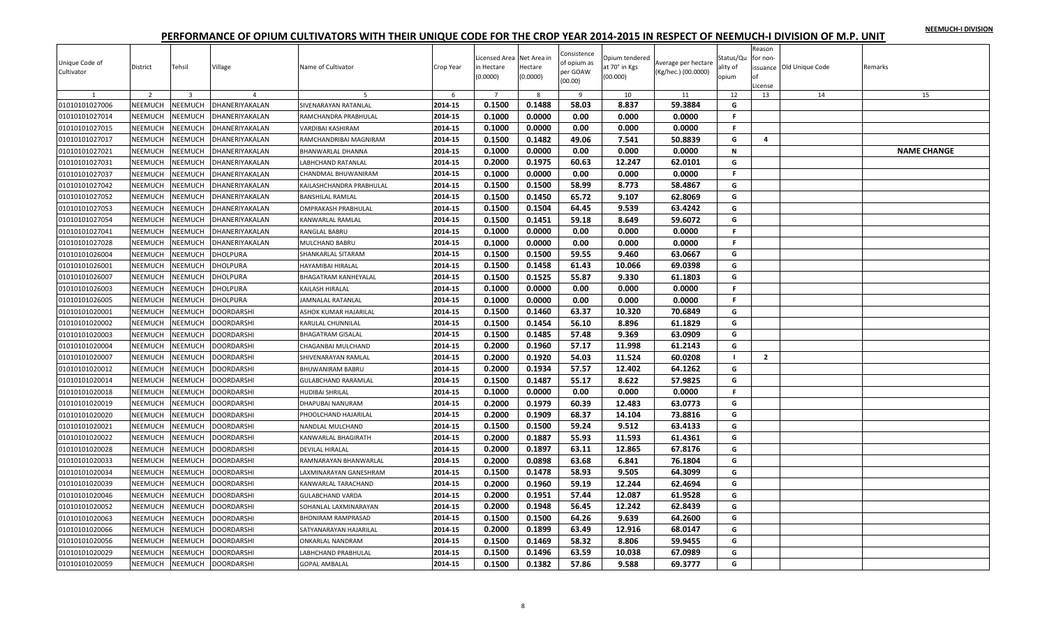|  |  | NEEMUCH-I DIVISION |
|--|--|--------------------|
|  |  |                    |

| Unique Code of<br>Cultivator | District       | Tehsil         | Village           | Name of Cultivator         | Crop Year | Licensed Area Net Area in<br>in Hectare<br>(0.0000) | Hectare<br>(0.0000) | Consistence<br>of opium as<br>per GOAW<br>(00.00) | Opium tendered<br>at 70° in Kgs<br>(00.000) | Average per hectare<br>(Kg/hec.) (00.0000) | Status/Qu<br>ality of<br>opium | Reason<br>for non-<br>License | issuance Old Unique Code | Remarks            |
|------------------------------|----------------|----------------|-------------------|----------------------------|-----------|-----------------------------------------------------|---------------------|---------------------------------------------------|---------------------------------------------|--------------------------------------------|--------------------------------|-------------------------------|--------------------------|--------------------|
| $\mathbf{1}$                 | 2              | $\overline{3}$ | $\overline{a}$    | -5                         | 6         | $\overline{7}$                                      | 8                   | -9                                                | 10                                          | 11                                         | 12                             | 13                            | 14                       | 15                 |
| 01010101027006               | NEEMUCH        | <b>NEEMUCH</b> | DHANERIYAKALAN    | SIVENARAYAN RATANLAL       | 2014-15   | 0.1500                                              | 0.1488              | 58.03                                             | 8.837                                       | 59.3884                                    | G                              |                               |                          |                    |
| 01010101027014               | NEEMUCH        | <b>NEEMUCH</b> | DHANERIYAKALAN    | RAMCHANDRA PRABHULAL       | 2014-15   | 0.1000                                              | 0.0000              | 0.00                                              | 0.000                                       | 0.0000                                     | F.                             |                               |                          |                    |
| 01010101027015               | NEEMUCH        | <b>NEEMUCH</b> | DHANERIYAKALAN    | VARDIBAI KASHIRAM          | 2014-15   | 0.1000                                              | 0.0000              | 0.00                                              | 0.000                                       | 0.0000                                     | F.                             |                               |                          |                    |
| 01010101027017               | NEEMUCH        | <b>NEEMUCH</b> | DHANERIYAKALAN    | RAMCHANDRIBAI MAGNIRAM     | 2014-15   | 0.1500                                              | 0.1482              | 49.06                                             | 7.541                                       | 50.8839                                    | G                              | 4                             |                          |                    |
| 01010101027021               | NEEMUCH        | <b>NEEMUCH</b> | DHANERIYAKALAN    | BHANWARLAL DHANNA          | 2014-15   | 0.1000                                              | 0.0000              | 0.00                                              | 0.000                                       | 0.0000                                     | $\mathbf N$                    |                               |                          | <b>NAME CHANGE</b> |
| 01010101027031               | NEEMUCH        | <b>NEEMUCH</b> | DHANERIYAKALAN    | ABHCHAND RATANLAL          | 2014-15   | 0.2000                                              | 0.1975              | 60.63                                             | 12.247                                      | 62.0101                                    | G                              |                               |                          |                    |
| 01010101027037               | NEEMUCH        | <b>NEEMUCH</b> | DHANERIYAKALAN    | CHANDMAL BHUWANIRAM        | 2014-15   | 0.1000                                              | 0.0000              | 0.00                                              | 0.000                                       | 0.0000                                     | F.                             |                               |                          |                    |
| 01010101027042               | NEEMUCH        | <b>NEEMUCH</b> | DHANERIYAKALAN    | KAILASHCHANDRA PRABHULAL   | 2014-15   | 0.1500                                              | 0.1500              | 58.99                                             | 8.773                                       | 58.4867                                    | G                              |                               |                          |                    |
| 01010101027052               | NEEMUCH        | <b>NEEMUCH</b> | DHANERIYAKALAN    | BANSHILAL RAMLAL           | 2014-15   | 0.1500                                              | 0.1450              | 65.72                                             | 9.107                                       | 62.8069                                    | G                              |                               |                          |                    |
| 01010101027053               | NEEMUCH        | <b>NEEMUCH</b> | DHANERIYAKALAN    | OMPRAKASH PRABHULAL        | 2014-15   | 0.1500                                              | 0.1504              | 64.45                                             | 9.539                                       | 63.4242                                    | G                              |                               |                          |                    |
| 01010101027054               | NEEMUCH        | <b>NEEMUCH</b> | DHANERIYAKALAN    | KANWARLAL RAMLAL           | 2014-15   | 0.1500                                              | 0.1451              | 59.18                                             | 8.649                                       | 59.6072                                    | G                              |                               |                          |                    |
| 01010101027041               | NEEMUCH        | <b>NEEMUCH</b> | DHANERIYAKALAN    | RANGLAL BABRU              | 2014-15   | 0.1000                                              | 0.0000              | 0.00                                              | 0.000                                       | 0.0000                                     | F.                             |                               |                          |                    |
| 01010101027028               | NEEMUCH        | <b>NEEMUCH</b> | DHANERIYAKALAN    | MULCHAND BABRU             | 2014-15   | 0.1000                                              | 0.0000              | 0.00                                              | 0.000                                       | 0.0000                                     | $\mathsf{F}$                   |                               |                          |                    |
| 01010101026004               | NEEMUCH        | <b>NEEMUCH</b> | DHOLPURA          | SHANKARLAL SITARAM         | 2014-15   | 0.1500                                              | 0.1500              | 59.55                                             | 9.460                                       | 63.0667                                    | G                              |                               |                          |                    |
| 01010101026001               | NEEMUCH        | <b>NEEMUCH</b> | DHOLPURA          | HAYAMIBAI HIRALAL          | 2014-15   | 0.1500                                              | 0.1458              | 61.43                                             | 10.066                                      | 69.0398                                    | G                              |                               |                          |                    |
| 01010101026007               | NEEMUCH        | <b>NEEMUCH</b> | DHOLPURA          | BHAGATRAM KANHEYALAL       | 2014-15   | 0.1500                                              | 0.1525              | 55.87                                             | 9.330                                       | 61.1803                                    | G                              |                               |                          |                    |
| 01010101026003               | NEEMUCH        | <b>NEEMUCH</b> | <b>DHOLPURA</b>   | KAILASH HIRALAL            | 2014-15   | 0.1000                                              | 0.0000              | 0.00                                              | 0.000                                       | 0.0000                                     | F.                             |                               |                          |                    |
| 01010101026005               | <b>NEEMUCH</b> | <b>NEEMUCH</b> | <b>DHOLPURA</b>   | <b>JAMNALAL RATANLAL</b>   | 2014-15   | 0.1000                                              | 0.0000              | 0.00                                              | 0.000                                       | 0.0000                                     | $\mathbf{F}$                   |                               |                          |                    |
| 01010101020001               | NEEMUCH        | <b>NEEMUCH</b> | DOORDARSHI        | ASHOK KUMAR HAJARILAL      | 2014-15   | 0.1500                                              | 0.1460              | 63.37                                             | 10.320                                      | 70.6849                                    | G                              |                               |                          |                    |
| 01010101020002               | NEEMUCH        | <b>NEEMUCH</b> | DOORDARSHI        | KARULAL CHUNNILAL          | 2014-15   | 0.1500                                              | 0.1454              | 56.10                                             | 8.896                                       | 61.1829                                    | G                              |                               |                          |                    |
| 01010101020003               | NEEMUCH        | <b>NEEMUCH</b> | <b>DOORDARSHI</b> | BHAGATRAM GISALAL          | 2014-15   | 0.1500                                              | 0.1485              | 57.48                                             | 9.369                                       | 63.0909                                    | G                              |                               |                          |                    |
| 01010101020004               | NEEMUCH        | <b>NEEMUCH</b> | DOORDARSHI        | CHAGANBAI MULCHAND         | 2014-15   | 0.2000                                              | 0.1960              | 57.17                                             | 11.998                                      | 61.2143                                    | G                              |                               |                          |                    |
| 01010101020007               | NEEMUCH        | <b>NEEMUCH</b> | <b>DOORDARSHI</b> | SHIVENARAYAN RAMLAL        | 2014-15   | 0.2000                                              | 0.1920              | 54.03                                             | 11.524                                      | 60.0208                                    | $\blacksquare$                 | $\overline{2}$                |                          |                    |
| 01010101020012               | NEEMUCH        | <b>NEEMUCH</b> | DOORDARSHI        | BHUWANIRAM BABRU           | 2014-15   | 0.2000                                              | 0.1934              | 57.57                                             | 12.402                                      | 64.1262                                    | G                              |                               |                          |                    |
| 01010101020014               | NEEMUCH        | <b>NEEMUCH</b> | DOORDARSHI        | <b>GULABCHAND RARAMLAL</b> | 2014-15   | 0.1500                                              | 0.1487              | 55.17                                             | 8.622                                       | 57.9825                                    | G                              |                               |                          |                    |
| 01010101020018               | NEEMUCH        | <b>NEEMUCH</b> | DOORDARSHI        | <b>IUDIBAI SHRILAL</b>     | 2014-15   | 0.1000                                              | 0.0000              | 0.00                                              | 0.000                                       | 0.0000                                     | F.                             |                               |                          |                    |
| 01010101020019               | NEEMUCH        | <b>NEEMUCH</b> | <b>DOORDARSHI</b> | DHAPUBAI NANURAM           | 2014-15   | 0.2000                                              | 0.1979              | 60.39                                             | 12.483                                      | 63.0773                                    | G                              |                               |                          |                    |
| 01010101020020               | NEEMUCH        | <b>NEEMUCH</b> | DOORDARSHI        | <b>HOOLCHAND HAJARILAL</b> | 2014-15   | 0.2000                                              | 0.1909              | 68.37                                             | 14.104                                      | 73.8816                                    | G                              |                               |                          |                    |
| 01010101020021               | NEEMUCH        | <b>NEEMUCH</b> | DOORDARSHI        | NANDLAL MULCHAND           | 2014-15   | 0.1500                                              | 0.1500              | 59.24                                             | 9.512                                       | 63.4133                                    | G                              |                               |                          |                    |
| 01010101020022               | NEEMUCH        | <b>NEEMUCH</b> | DOORDARSHI        | KANWARLAL BHAGIRATH        | 2014-15   | 0.2000                                              | 0.1887              | 55.93                                             | 11.593                                      | 61.4361                                    | G                              |                               |                          |                    |
| 01010101020028               | NEEMUCH        | <b>NEEMUCH</b> | DOORDARSHI        | DEVILAL HIRALAL            | 2014-15   | 0.2000                                              | 0.1897              | 63.11                                             | 12.865                                      | 67.8176                                    | G                              |                               |                          |                    |
| 01010101020033               | NEEMUCH        | <b>NEEMUCH</b> | DOORDARSHI        | RAMNARAYAN BHANWARLAL      | 2014-15   | 0.2000                                              | 0.0898              | 63.68                                             | 6.841                                       | 76.1804                                    | G                              |                               |                          |                    |
| 01010101020034               | NEEMUCH        | <b>NEEMUCH</b> | DOORDARSHI        | AXMINARAYAN GANESHRAM      | 2014-15   | 0.1500                                              | 0.1478              | 58.93                                             | 9.505                                       | 64.3099                                    | G                              |                               |                          |                    |
| 01010101020039               | NEEMUCH        | <b>NEEMUCH</b> | DOORDARSHI        | KANWARLAL TARACHAND        | 2014-15   | 0.2000                                              | 0.1960              | 59.19                                             | 12.244                                      | 62.4694                                    | G                              |                               |                          |                    |
| 01010101020046               | NEEMUCH        | <b>NEEMUCH</b> | DOORDARSHI        | <b>GULABCHAND VARDA</b>    | 2014-15   | 0.2000                                              | 0.1951              | 57.44                                             | 12.087                                      | 61.9528                                    | G                              |                               |                          |                    |
|                              |                |                |                   |                            |           |                                                     |                     |                                                   |                                             |                                            |                                |                               |                          |                    |
| 01010101020052               | NEEMUCH        | <b>NEEMUCH</b> | DOORDARSHI        | SOHANLAL LAXMINARAYAN      | 2014-15   | 0.2000                                              | 0.1948              | 56.45                                             | 12.242                                      | 62.8439                                    | G                              |                               |                          |                    |
| 01010101020063               | NEEMUCH        | <b>NEEMUCH</b> | DOORDARSHI        | <b>BHONIRAM RAMPRASAD</b>  | 2014-15   | 0.1500                                              | 0.1500              | 64.26                                             | 9.639                                       | 64.2600                                    | G                              |                               |                          |                    |
| 01010101020066               | NEEMUCH        | <b>NEEMUCH</b> | <b>DOORDARSHI</b> | SATYANARAYAN HAJARILAL     | 2014-15   | 0.2000                                              | 0.1899              | 63.49                                             | 12.916                                      | 68.0147                                    | G                              |                               |                          |                    |
| 01010101020056               | NEEMUCH        | <b>NEEMUCH</b> | DOORDARSHI        | <b>ONKARLAL NANDRAM</b>    | 2014-15   | 0.1500                                              | 0.1469              | 58.32                                             | 8.806                                       | 59.9455                                    | G                              |                               |                          |                    |
| 01010101020029               | NEEMUCH        | <b>NEEMUCH</b> | DOORDARSHI        | <b>ABHCHAND PRABHULAL</b>  | 2014-15   | 0.1500                                              | 0.1496              | 63.59                                             | 10.038                                      | 67.0989                                    | G                              |                               |                          |                    |
| 01010101020059               | NEEMUCH        | NEEMUCH        | <b>DOORDARSHI</b> | <b>GOPAL AMBALAL</b>       | 2014-15   | 0.1500                                              | 0.1382              | 57.86                                             | 9.588                                       | 69.3777                                    | G                              |                               |                          |                    |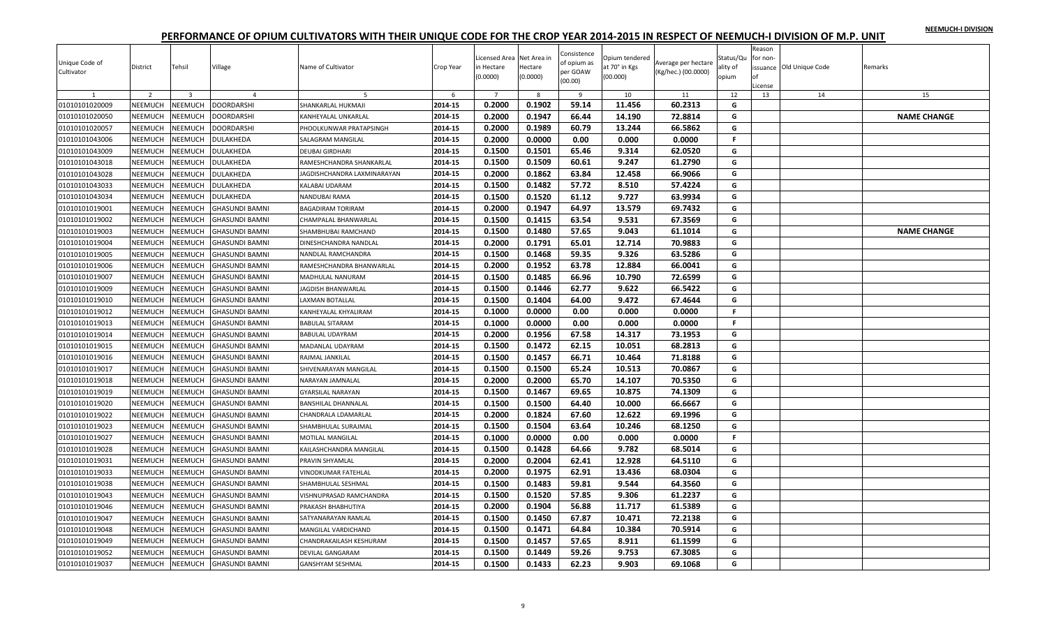|  |  | NEEMUCH-I DIVISION |
|--|--|--------------------|
|  |  |                    |

| Unique Code of<br>Cultivator | District       | Tehsil                  | Village               | Name of Cultivator          | Crop Year | Licensed Area Net Area in<br>in Hectare<br>(0.0000) | Hectare<br>(0.0000) | Consistence<br>of opium as<br>per GOAW<br>(00.00) | Opium tendered<br>at 70° in Kgs<br>(00.000) | Average per hectare<br>(Kg/hec.) (00.0000) | Status/Qu<br>ality of<br>opium | Reason<br>for non-<br>nf<br>License | issuance Old Unique Code | Remarks            |
|------------------------------|----------------|-------------------------|-----------------------|-----------------------------|-----------|-----------------------------------------------------|---------------------|---------------------------------------------------|---------------------------------------------|--------------------------------------------|--------------------------------|-------------------------------------|--------------------------|--------------------|
| 1                            | $\overline{2}$ | $\overline{\mathbf{3}}$ | $\overline{4}$        | 5                           | 6         | $\overline{7}$                                      | 8                   | 9                                                 | 10                                          | 11                                         | 12                             | 13                                  | 14                       | 15                 |
| 01010101020009               | NEEMUCH        | <b>NEEMUCH</b>          | <b>DOORDARSHI</b>     | SHANKARLAL HUKMAJI          | 2014-15   | 0.2000                                              | 0.1902              | 59.14                                             | 11.456                                      | 60.2313                                    | G                              |                                     |                          |                    |
| 01010101020050               | NEEMUCH        | <b>NEEMUCH</b>          | <b>DOORDARSHI</b>     | KANHEYALAL UNKARLAL         | 2014-15   | 0.2000                                              | 0.1947              | 66.44                                             | 14.190                                      | 72.8814                                    | G                              |                                     |                          | <b>NAME CHANGE</b> |
| 01010101020057               | NEEMUCH        | <b>NEEMUCH</b>          | <b>DOORDARSHI</b>     | PHOOLKUNWAR PRATAPSINGH     | 2014-15   | 0.2000                                              | 0.1989              | 60.79                                             | 13.244                                      | 66.5862                                    | G                              |                                     |                          |                    |
| 01010101043006               | NEEMUCH        | <b>NEEMUCH</b>          | DULAKHEDA             | SALAGRAM MANGILAL           | 2014-15   | 0.2000                                              | 0.0000              | 0.00                                              | 0.000                                       | 0.0000                                     | F.                             |                                     |                          |                    |
| 01010101043009               | NEEMUCH        | <b>NEEMUCH</b>          | DULAKHEDA             | DEUBAI GIRDHARI             | 2014-15   | 0.1500                                              | 0.1501              | 65.46                                             | 9.314                                       | 62.0520                                    | G                              |                                     |                          |                    |
| 01010101043018               | <b>NEEMUCH</b> | VEEMUCH                 | DULAKHEDA             | RAMESHCHANDRA SHANKARLAL    | 2014-15   | 0.1500                                              | 0.1509              | 60.61                                             | 9.247                                       | 61.2790                                    | G                              |                                     |                          |                    |
| 01010101043028               | <b>NEEMUCH</b> | <b>NEEMUCH</b>          | DULAKHEDA             | JAGDISHCHANDRA LAXMINARAYAN | 2014-15   | 0.2000                                              | 0.1862              | 63.84                                             | 12.458                                      | 66.9066                                    | G                              |                                     |                          |                    |
| 01010101043033               | NEEMUCH        | <b>NEEMUCH</b>          | DULAKHEDA             | KALABAI UDARAM              | 2014-15   | 0.1500                                              | 0.1482              | 57.72                                             | 8.510                                       | 57.4224                                    | G                              |                                     |                          |                    |
| 01010101043034               | NEEMUCH        | NEEMUCH                 | DULAKHEDA             | NANDUBAI RAMA               | 2014-15   | 0.1500                                              | 0.1520              | 61.12                                             | 9.727                                       | 63.9934                                    | G                              |                                     |                          |                    |
| 01010101019001               | NEEMUCH        | <b>NEEMUCH</b>          | <b>GHASUNDI BAMNI</b> | <b>BAGADIRAM TORIRAM</b>    | 2014-15   | 0.2000                                              | 0.1947              | 64.97                                             | 13.579                                      | 69.7432                                    | G                              |                                     |                          |                    |
| 01010101019002               | <b>NEEMUCH</b> | <b>NEEMUCH</b>          | GHASUNDI BAMNI        | CHAMPALAL BHANWARLAL        | 2014-15   | 0.1500                                              | 0.1415              | 63.54                                             | 9.531                                       | 67.3569                                    | G                              |                                     |                          |                    |
| 01010101019003               | NEEMUCH        | <b>NEEMUCH</b>          | <b>GHASUNDI BAMNI</b> | SHAMBHUBAI RAMCHAND         | 2014-15   | 0.1500                                              | 0.1480              | 57.65                                             | 9.043                                       | 61.1014                                    | G                              |                                     |                          | <b>NAME CHANGE</b> |
| 01010101019004               | NEEMUCH        | <b>NEEMUCH</b>          | GHASUNDI BAMNI        | DINESHCHANDRA NANDLAL       | 2014-15   | 0.2000                                              | 0.1791              | 65.01                                             | 12.714                                      | 70.9883                                    | G                              |                                     |                          |                    |
| 01010101019005               | NEEMUCH        | <b>NEEMUCH</b>          | <b>GHASUNDI BAMNI</b> | <b>VANDLAL RAMCHANDRA</b>   | 2014-15   | 0.1500                                              | 0.1468              | 59.35                                             | 9.326                                       | 63.5286                                    | G                              |                                     |                          |                    |
| 01010101019006               | <b>NEEMUCH</b> | NEEMUCH                 | <b>GHASUNDI BAMNI</b> | RAMESHCHANDRA BHANWARLAL    | 2014-15   | 0.2000                                              | 0.1952              | 63.78                                             | 12.884                                      | 66.0041                                    | G                              |                                     |                          |                    |
| 01010101019007               | NEEMUCH        | <b>NEEMUCH</b>          | <b>GHASUNDI BAMNI</b> | MADHULAL NANURAM            | 2014-15   | 0.1500                                              | 0.1485              | 66.96                                             | 10.790                                      | 72.6599                                    | G                              |                                     |                          |                    |
| 01010101019009               | NEEMUCH        | <b>NEEMUCH</b>          | <b>GHASUNDI BAMNI</b> | <b>AGDISH BHANWARLAL</b>    | 2014-15   | 0.1500                                              | 0.1446              | 62.77                                             | 9.622                                       | 66.5422                                    | G                              |                                     |                          |                    |
| 01010101019010               | <b>NEEMUCH</b> | <b>NEEMUCH</b>          | <b>GHASUNDI BAMNI</b> | <b>AXMAN BOTALLAL</b>       | 2014-15   | 0.1500                                              | 0.1404              | 64.00                                             | 9.472                                       | 67.4644                                    | G                              |                                     |                          |                    |
| 01010101019012               | NEEMUCH        | <b>NEEMUCH</b>          | <b>GHASUNDI BAMNI</b> | KANHEYALAL KHYALIRAM        | 2014-15   | 0.1000                                              | 0.0000              | 0.00                                              | 0.000                                       | 0.0000                                     | F.                             |                                     |                          |                    |
| 01010101019013               | NEEMUCH        | NEEMUCH                 | <b>GHASUNDI BAMNI</b> | <b>BABULAL SITARAM</b>      | 2014-15   | 0.1000                                              | 0.0000              | 0.00                                              | 0.000                                       | 0.0000                                     | $\mathbb F$                    |                                     |                          |                    |
| 01010101019014               | NEEMUCH        | <b>NEEMUCH</b>          | <b>GHASUNDI BAMNI</b> | <b>BABULAL UDAYRAM</b>      | 2014-15   | 0.2000                                              | 0.1956              | 67.58                                             | 14.317                                      | 73.1953                                    | G                              |                                     |                          |                    |
| 01010101019015               | <b>NEEMUCH</b> | NEEMUCH                 | <b>GHASUNDI BAMNI</b> | MADANLAL UDAYRAM            | 2014-15   | 0.1500                                              | 0.1472              | 62.15                                             | 10.051                                      | 68.2813                                    | G                              |                                     |                          |                    |
| 01010101019016               | NEEMUCH        | <b>NEEMUCH</b>          | <b>GHASUNDI BAMNI</b> | RAJMAL JANKILAL             | 2014-15   | 0.1500                                              | 0.1457              | 66.71                                             | 10.464                                      | 71.8188                                    | G                              |                                     |                          |                    |
| 01010101019017               | NEEMUCH        | <b>NEEMUCH</b>          | GHASUNDI BAMNI        | SHIVENARAYAN MANGILAL       | 2014-15   | 0.1500                                              | 0.1500              | 65.24                                             | 10.513                                      | 70.0867                                    | G                              |                                     |                          |                    |
| 01010101019018               | NEEMUCH        | <b>NEEMUCH</b>          | <b>GHASUNDI BAMNI</b> | NARAYAN JAMNALAL            | 2014-15   | 0.2000                                              | 0.2000              | 65.70                                             | 14.107                                      | 70.5350                                    | G                              |                                     |                          |                    |
| 01010101019019               | NEEMUCH        | <b>NEEMUCH</b>          | GHASUNDI BAMNI        | <b>GYARSILAL NARAYAN</b>    | 2014-15   | 0.1500                                              | 0.1467              | 69.65                                             | 10.875                                      | 74.1309                                    | G                              |                                     |                          |                    |
| 01010101019020               | <b>NEEMUCH</b> | NEEMUCH                 | <b>GHASUNDI BAMNI</b> | <b>BANSHILAL DHANNALAL</b>  | 2014-15   | 0.1500                                              | 0.1500              | 64.40                                             | 10.000                                      | 66.6667                                    | G                              |                                     |                          |                    |
|                              | NEEMUCH        | NEEMUCH                 |                       |                             |           |                                                     |                     | 67.60                                             | 12.622                                      |                                            | G                              |                                     |                          |                    |
| 01010101019022               |                |                         | <b>GHASUNDI BAMNI</b> | CHANDRALA LDAMARLAL         | 2014-15   | 0.2000                                              | 0.1824              |                                                   |                                             | 69.1996                                    |                                |                                     |                          |                    |
| 01010101019023               | NEEMUCH        | NEEMUCH                 | <b>GHASUNDI BAMNI</b> | SHAMBHULAL SURAJMAL         | 2014-15   | 0.1500                                              | 0.1504              | 63.64                                             | 10.246                                      | 68.1250                                    | G<br>F.                        |                                     |                          |                    |
| 01010101019027               | NEEMUCH        | <b>NEEMUCH</b>          | <b>GHASUNDI BAMNI</b> | <b>MOTILAL MANGILAL</b>     | 2014-15   | 0.1000                                              | 0.0000              | 0.00                                              | 0.000                                       | 0.0000                                     |                                |                                     |                          |                    |
| 01010101019028               | <b>NEEMUCH</b> | NEEMUCH                 | <b>GHASUNDI BAMNI</b> | KAILASHCHANDRA MANGILAL     | 2014-15   | 0.1500                                              | 0.1428              | 64.66                                             | 9.782                                       | 68.5014                                    | G                              |                                     |                          |                    |
| 01010101019031               | NEEMUCH        | <b>NEEMUCH</b>          | <b>GHASUNDI BAMNI</b> | PRAVIN SHYAMLAL             | 2014-15   | 0.2000                                              | 0.2004              | 62.41                                             | 12.928                                      | 64.5110                                    | G                              |                                     |                          |                    |
| 01010101019033               | <b>NEEMUCH</b> | <b>NEEMUCH</b>          | <b>GHASUNDI BAMNI</b> | VINODKUMAR FATEHLAL         | 2014-15   | 0.2000                                              | 0.1975              | 62.91                                             | 13.436                                      | 68.0304                                    | G                              |                                     |                          |                    |
| 01010101019038               | <b>NEEMUCH</b> | <b>NEEMUCH</b>          | <b>GHASUNDI BAMNI</b> | SHAMBHULAL SESHMAL          | 2014-15   | 0.1500                                              | 0.1483              | 59.81                                             | 9.544                                       | 64.3560                                    | G                              |                                     |                          |                    |
| 01010101019043               | NEEMUCH        | <b>NEEMUCH</b>          | <b>GHASUNDI BAMNI</b> | VISHNUPRASAD RAMCHANDRA     | 2014-15   | 0.1500                                              | 0.1520              | 57.85                                             | 9.306                                       | 61.2237                                    | G                              |                                     |                          |                    |
| 01010101019046               | NEEMUCH        | <b>NEEMUCH</b>          | <b>GHASUNDI BAMNI</b> | PRAKASH BHABHUTIYA          | 2014-15   | 0.2000                                              | 0.1904              | 56.88                                             | 11.717                                      | 61.5389                                    | G                              |                                     |                          |                    |
| 01010101019047               | <b>NEEMUCH</b> | <b>NEEMUCH</b>          | GHASUNDI BAMNI        | SATYANARAYAN RAMLAL         | 2014-15   | 0.1500                                              | 0.1450              | 67.87                                             | 10.471                                      | 72.2138                                    | G                              |                                     |                          |                    |
| 01010101019048               | NEEMUCH        | <b>NEEMUCH</b>          | <b>GHASUNDI BAMNI</b> | MANGILAL VARDICHAND         | 2014-15   | 0.1500                                              | 0.1471              | 64.84                                             | 10.384                                      | 70.5914                                    | G                              |                                     |                          |                    |
| 01010101019049               | NEEMUCH        | <b>NEEMUCH</b>          | <b>GHASUNDI BAMNI</b> | CHANDRAKAILASH KESHURAM     | 2014-15   | 0.1500                                              | 0.1457              | 57.65                                             | 8.911                                       | 61.1599                                    | G                              |                                     |                          |                    |
| 01010101019052               | <b>NEEMUCH</b> | NEEMUCH                 | GHASUNDI BAMNI        | DEVILAL GANGARAM            | 2014-15   | 0.1500                                              | 0.1449              | 59.26                                             | 9.753                                       | 67.3085                                    | G                              |                                     |                          |                    |
| 01010101019037               | <b>NEEMUCH</b> | NEEMUCH                 | <b>GHASUNDI BAMNI</b> | <b>GANSHYAM SESHMAL</b>     | 2014-15   | 0.1500                                              | 0.1433              | 62.23                                             | 9.903                                       | 69.1068                                    | G                              |                                     |                          |                    |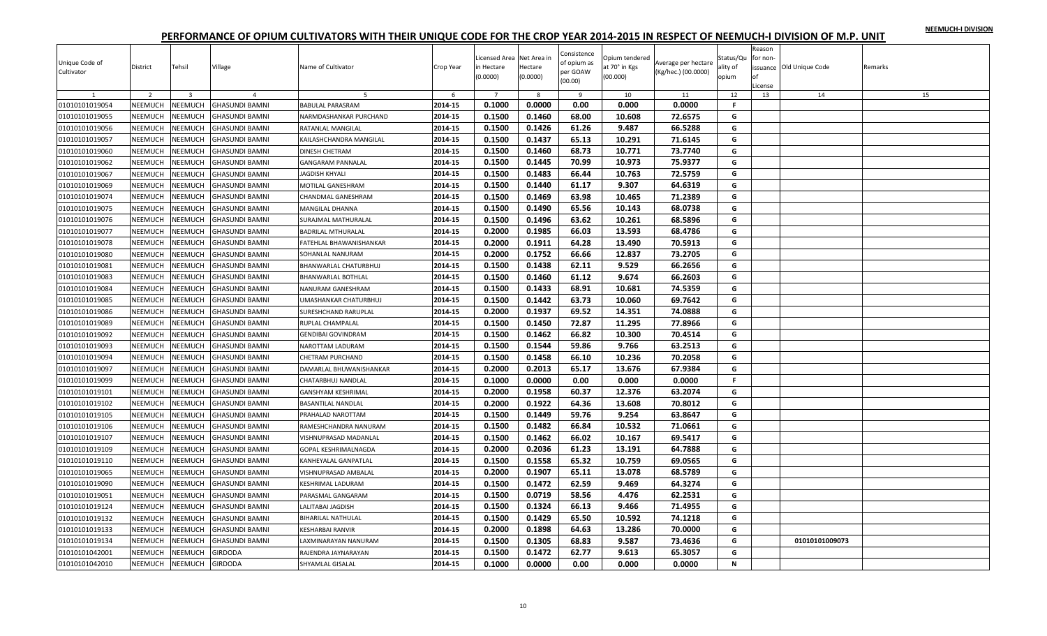| NEEMUCH-I DIVISION |  |
|--------------------|--|
|                    |  |

| Unique Code of<br>Cultivator | District       | Tehsil         | Village               | Name of Cultivator          | Crop Year | Licensed Area Net Area in<br>in Hectare<br>(0.0000) | Hectare<br>(0.0000) | Consistence<br>of opium as<br>per GOAW<br>(00.00) | Opium tendered<br>at 70° in Kgs<br>(00.000) | Average per hectare<br>(Kg/hec.) (00.0000) | Status/Qu<br>ality of<br>opium | Reason<br>for non-<br>Ωf<br>License | issuance Old Unique Code | Remarks |
|------------------------------|----------------|----------------|-----------------------|-----------------------------|-----------|-----------------------------------------------------|---------------------|---------------------------------------------------|---------------------------------------------|--------------------------------------------|--------------------------------|-------------------------------------|--------------------------|---------|
|                              | $\overline{2}$ | $\overline{3}$ | $\overline{a}$        | 5                           | 6         | $\overline{7}$                                      | 8                   | $\mathbf{q}$                                      | 10                                          | 11                                         | 12                             | 13                                  | 14                       | 15      |
| 01010101019054               | <b>NEEMUCH</b> | NEEMUCH        | <b>GHASUNDI BAMNI</b> | <b>BABULAL PARASRAM</b>     | 2014-15   | 0.1000                                              | 0.0000              | 0.00                                              | 0.000                                       | 0.0000                                     | F.                             |                                     |                          |         |
| 01010101019055               | <b>NEEMUCH</b> | NEEMUCH        | <b>GHASUNDI BAMNI</b> | NARMDASHANKAR PURCHAND      | 2014-15   | 0.1500                                              | 0.1460              | 68.00                                             | 10.608                                      | 72.6575                                    | G                              |                                     |                          |         |
| 01010101019056               | NEEMUCH        | NEEMUCH        | <b>GHASUNDI BAMNI</b> | RATANLAL MANGILAL           | 2014-15   | 0.1500                                              | 0.1426              | 61.26                                             | 9.487                                       | 66.5288                                    | G                              |                                     |                          |         |
| 01010101019057               | <b>NEEMUCH</b> | <b>NEEMUCH</b> | <b>GHASUNDI BAMNI</b> | KAILASHCHANDRA MANGILAL     | 2014-15   | 0.1500                                              | 0.1437              | 65.13                                             | 10.291                                      | 71.6145                                    | G                              |                                     |                          |         |
| 01010101019060               | <b>NEEMUCH</b> | <b>NEEMUCH</b> | <b>GHASUNDI BAMNI</b> | <b>DINESH CHETRAM</b>       | 2014-15   | 0.1500                                              | 0.1460              | 68.73                                             | 10.771                                      | 73.7740                                    | G                              |                                     |                          |         |
| 01010101019062               | NEEMUCH        | NEEMUCH        | <b>GHASUNDI BAMNI</b> | GANGARAM PANNALAL           | 2014-15   | 0.1500                                              | 0.1445              | 70.99                                             | 10.973                                      | 75.9377                                    | G                              |                                     |                          |         |
| 01010101019067               | NEEMUCH        | NEEMUCH        | <b>GHASUNDI BAMNI</b> | JAGDISH KHYALI              | 2014-15   | 0.1500                                              | 0.1483              | 66.44                                             | 10.763                                      | 72.5759                                    | G                              |                                     |                          |         |
| 01010101019069               | NEEMUCH        | <b>NEEMUCH</b> | <b>GHASUNDI BAMNI</b> | MOTILAL GANESHRAM           | 2014-15   | 0.1500                                              | 0.1440              | 61.17                                             | 9.307                                       | 64.6319                                    | G                              |                                     |                          |         |
| 01010101019074               | <b>NEEMUCH</b> | NEEMUCH        | <b>GHASUNDI BAMNI</b> | CHANDMAL GANESHRAM          | 2014-15   | 0.1500                                              | 0.1469              | 63.98                                             | 10.465                                      | 71.2389                                    | G                              |                                     |                          |         |
| 01010101019075               | NEEMUCH        | <b>NEEMUCH</b> | <b>GHASUNDI BAMNI</b> | <b>MANGILAL DHANNA</b>      | 2014-15   | 0.1500                                              | 0.1490              | 65.56                                             | 10.143                                      | 68.0738                                    | G                              |                                     |                          |         |
| 01010101019076               | NEEMUCH        | NEEMUCH        | <b>GHASUNDI BAMNI</b> | SURAJMAL MATHURALAL         | 2014-15   | 0.1500                                              | 0.1496              | 63.62                                             | 10.261                                      | 68.5896                                    | G                              |                                     |                          |         |
| 01010101019077               | <b>NEEMUCH</b> | NEEMUCH        | <b>GHASUNDI BAMNI</b> | <b>BADRILAL MTHURALAL</b>   | 2014-15   | 0.2000                                              | 0.1985              | 66.03                                             | 13.593                                      | 68.4786                                    | G                              |                                     |                          |         |
| 01010101019078               | NEEMUCH        | <b>NEEMUCH</b> | <b>GHASUNDI BAMNI</b> | FATEHLAL BHAWANISHANKAR     | 2014-15   | 0.2000                                              | 0.1911              | 64.28                                             | 13.490                                      | 70.5913                                    | G                              |                                     |                          |         |
| 01010101019080               | NEEMUCH        | <b>NEEMUCH</b> | <b>GHASUNDI BAMNI</b> | SOHANLAL NANURAM            | 2014-15   | 0.2000                                              | 0.1752              | 66.66                                             | 12.837                                      | 73.2705                                    | G                              |                                     |                          |         |
| 01010101019081               | <b>NEEMUCH</b> | NEEMUCH        | <b>GHASUNDI BAMNI</b> | BHANWARLAL CHATURBHUJ       | 2014-15   | 0.1500                                              | 0.1438              | 62.11                                             | 9.529                                       | 66.2656                                    | G                              |                                     |                          |         |
| 01010101019083               | <b>NEEMUCH</b> | <b>NEEMUCH</b> | <b>GHASUNDI BAMNI</b> | <b>BHANWARLAL BOTHLAL</b>   | 2014-15   | 0.1500                                              | 0.1460              | 61.12                                             | 9.674                                       | 66.2603                                    | G                              |                                     |                          |         |
| 01010101019084               | NEEMUCH        | <b>NEEMUCH</b> | <b>GHASUNDI BAMNI</b> | NANURAM GANESHRAM           | 2014-15   | 0.1500                                              | 0.1433              | 68.91                                             | 10.681                                      | 74.5359                                    | G                              |                                     |                          |         |
| 01010101019085               | NEEMUCH        | NEEMUCH        | <b>GHASUNDI BAMNI</b> | JMASHANKAR CHATURBHUJ       | 2014-15   | 0.1500                                              | 0.1442              | 63.73                                             | 10.060                                      | 69.7642                                    | G                              |                                     |                          |         |
| 01010101019086               | NEEMUCH        | <b>NEEMUCH</b> | <b>GHASUNDI BAMNI</b> | <b>SURESHCHAND RARUPLAL</b> | 2014-15   | 0.2000                                              | 0.1937              | 69.52                                             | 14.351                                      | 74.0888                                    | G                              |                                     |                          |         |
| 01010101019089               | <b>NEEMUCH</b> | NEEMUCH        | <b>GHASUNDI BAMNI</b> | RUPLAL CHAMPALAL            | 2014-15   | 0.1500                                              | 0.1450              | 72.87                                             | 11.295                                      | 77.8966                                    | G                              |                                     |                          |         |
| 01010101019092               | NEEMUCH        | <b>NEEMUCH</b> | <b>GHASUNDI BAMNI</b> | <b>GENDIBAI GOVINDRAM</b>   | 2014-15   | 0.1500                                              | 0.1462              | 66.82                                             | 10.300                                      | 70.4514                                    | G                              |                                     |                          |         |
| 01010101019093               | NEEMUCH        | NEEMUCH        | <b>GHASUNDI BAMNI</b> | NAROTTAM LADURAM            | 2014-15   | 0.1500                                              | 0.1544              | 59.86                                             | 9.766                                       | 63.2513                                    | G                              |                                     |                          |         |
| 01010101019094               | <b>NEEMUCH</b> | NEEMUCH        | <b>GHASUNDI BAMNI</b> | CHETRAM PURCHAND            | 2014-15   | 0.1500                                              | 0.1458              | 66.10                                             | 10.236                                      | 70.2058                                    | G                              |                                     |                          |         |
| 01010101019097               | NEEMUCH        | <b>NEEMUCH</b> | <b>GHASUNDI BAMNI</b> | DAMARLAL BHUWANISHANKAR     | 2014-15   | 0.2000                                              | 0.2013              | 65.17                                             | 13.676                                      | 67.9384                                    | G                              |                                     |                          |         |
| 01010101019099               | NEEMUCH        | NEEMUCH        | <b>GHASUNDI BAMNI</b> | CHATARBHUJ NANDLAL          | 2014-15   | 0.1000                                              | 0.0000              | 0.00                                              | 0.000                                       | 0.0000                                     | F.                             |                                     |                          |         |
| 01010101019101               | <b>NEEMUCH</b> | <b>NEEMUCH</b> | <b>GHASUNDI BAMNI</b> | GANSHYAM KESHRIMAL          | 2014-15   | 0.2000                                              | 0.1958              | 60.37                                             | 12.376                                      | 63.2074                                    | G                              |                                     |                          |         |
| 01010101019102               | NEEMUCH        | NEEMUCH        | <b>GHASUNDI BAMNI</b> | <b>BASANTILAL NANDLAL</b>   | 2014-15   | 0.2000                                              | 0.1922              | 64.36                                             | 13.608                                      | 70.8012                                    | G                              |                                     |                          |         |
| 01010101019105               | NEEMUCH        | NEEMUCH        | <b>GHASUNDI BAMNI</b> | PRAHALAD NAROTTAM           | 2014-15   | 0.1500                                              | 0.1449              | 59.76                                             | 9.254                                       | 63.8647                                    | G                              |                                     |                          |         |
| 01010101019106               | NEEMUCH        | NEEMUCH        | <b>GHASUNDI BAMNI</b> | RAMESHCHANDRA NANURAM       | 2014-15   | 0.1500                                              | 0.1482              | 66.84                                             | 10.532                                      | 71.0661                                    | G                              |                                     |                          |         |
| 01010101019107               | NEEMUCH        | <b>NEEMUCH</b> | <b>GHASUNDI BAMNI</b> | VISHNUPRASAD MADANLAL       | 2014-15   | 0.1500                                              | 0.1462              | 66.02                                             | 10.167                                      | 69.5417                                    | G                              |                                     |                          |         |
| 01010101019109               | <b>NEEMUCH</b> | NEEMUCH        | <b>GHASUNDI BAMNI</b> | GOPAL KESHRIMALNAGDA        | 2014-15   | 0.2000                                              | 0.2036              | 61.23                                             | 13.191                                      | 64.7888                                    | G                              |                                     |                          |         |
| 01010101019110               | NEEMUCH        | <b>NEEMUCH</b> | <b>GHASUNDI BAMNI</b> | KANHEYALAL GANPATLAL        | 2014-15   | 0.1500                                              | 0.1558              | 65.32                                             | 10.759                                      | 69.0565                                    | G                              |                                     |                          |         |
| 01010101019065               | NEEMUCH        | <b>NEEMUCH</b> | <b>GHASUNDI BAMNI</b> | VISHNUPRASAD AMBALAL        | 2014-15   | 0.2000                                              | 0.1907              | 65.11                                             | 13.078                                      | 68.5789                                    | G                              |                                     |                          |         |
| 01010101019090               | <b>NEEMUCH</b> | NEEMUCH        | <b>GHASUNDI BAMNI</b> | <b>KESHRIMAL LADURAM</b>    | 2014-15   | 0.1500                                              | 0.1472              | 62.59                                             | 9.469                                       | 64.3274                                    | G                              |                                     |                          |         |
| 01010101019051               | NEEMUCH        | <b>NEEMUCH</b> | GHASUNDI BAMNI        | PARASMAL GANGARAM           | 2014-15   | 0.1500                                              | 0.0719              | 58.56                                             | 4.476                                       | 62.2531                                    | G                              |                                     |                          |         |
| 01010101019124               | <b>NEEMUCH</b> | <b>NEEMUCH</b> | <b>GHASUNDI BAMNI</b> | LALITABAI JAGDISH           | 2014-15   | 0.1500                                              | 0.1324              | 66.13                                             | 9.466                                       | 71.4955                                    | G                              |                                     |                          |         |
| 01010101019132               | <b>NEEMUCH</b> | <b>NEEMUCH</b> | <b>GHASUNDI BAMNI</b> |                             | 2014-15   | 0.1500                                              | 0.1429              | 65.50                                             | 10.592                                      | 74.1218                                    | G                              |                                     |                          |         |
|                              |                |                |                       | <b>BIHARILAL NATHULAL</b>   |           |                                                     |                     |                                                   |                                             |                                            |                                |                                     |                          |         |
| 01010101019133               | NEEMUCH        | <b>NEEMUCH</b> | <b>GHASUNDI BAMNI</b> | <b>KESHARBAI RANVIR</b>     | 2014-15   | 0.2000                                              | 0.1898              | 64.63                                             | 13.286                                      | 70.0000                                    | G<br>G                         |                                     |                          |         |
| 01010101019134               | NEEMUCH        | <b>NEEMUCH</b> | <b>GHASUNDI BAMNI</b> | AXMINARAYAN NANURAM         | 2014-15   | 0.1500                                              | 0.1305              | 68.83                                             | 9.587                                       | 73.4636                                    |                                |                                     | 01010101009073           |         |
| 01010101042001               | <b>NEEMUCH</b> | NEEMUCH        | GIRDODA               | RAJENDRA JAYNARAYAN         | 2014-15   | 0.1500                                              | 0.1472              | 62.77                                             | 9.613                                       | 65.3057                                    | G                              |                                     |                          |         |
| 01010101042010               | <b>NEEMUCH</b> | NEEMUCH        | <b>GIRDODA</b>        | SHYAMLAL GISALAL            | 2014-15   | 0.1000                                              | 0.0000              | 0.00                                              | 0.000                                       | 0.0000                                     | N                              |                                     |                          |         |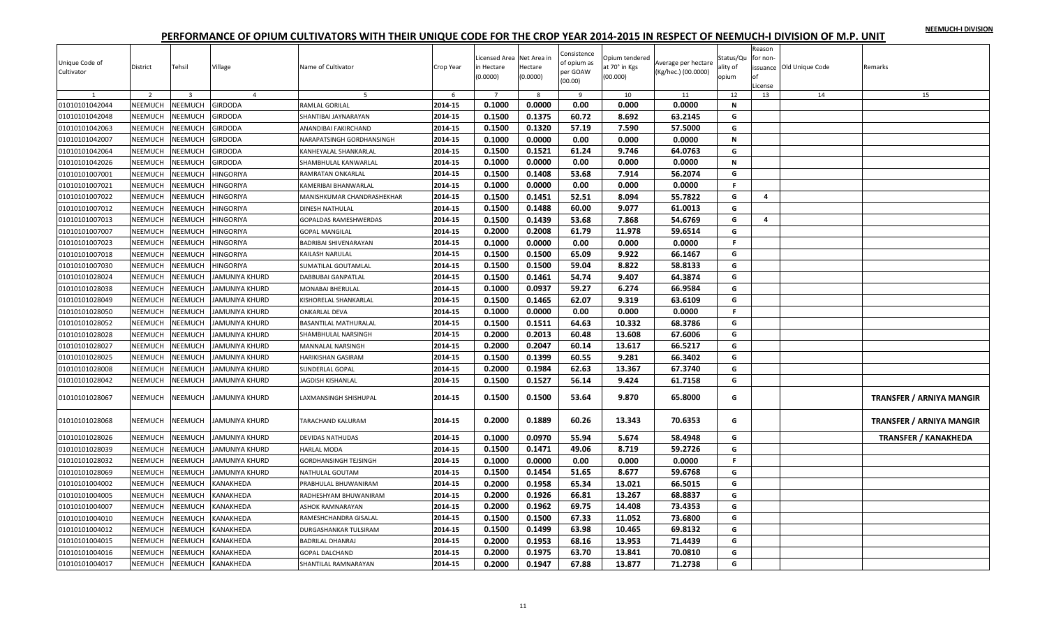|  |  | NEEMUCH-I DIVISION |
|--|--|--------------------|
|  |  |                    |

| Unique Code of<br>Cultivator   | District                  | Tehsil                    | Village                          | Name of Cultivator           | Crop Year    | Licensed Area Net Area in<br>in Hectare<br>(0.0000) | Hectare<br>(0.0000) | Consistence<br>of opium as<br>per GOAW<br>(00.00) | Opium tendered<br>at 70° in Kgs<br>(00.000) | Average per hectare<br>(Kg/hec.) (00.0000) | Status/Qu<br>ality of<br>opium | Reason<br>for non-<br>.icense | issuance Old Unique Code | Remarks                         |
|--------------------------------|---------------------------|---------------------------|----------------------------------|------------------------------|--------------|-----------------------------------------------------|---------------------|---------------------------------------------------|---------------------------------------------|--------------------------------------------|--------------------------------|-------------------------------|--------------------------|---------------------------------|
| $\mathbf{1}$<br>01010101042044 | $\overline{2}$<br>NEEMUCH | $\overline{3}$<br>NEEMUCH | $\overline{4}$<br><b>GIRDODA</b> | 5<br>RAMLAL GORILAL          | 6<br>2014-15 | 0.1000                                              | 8<br>0.0000         | 9<br>0.00                                         | 10<br>0.000                                 | 11<br>0.0000                               | 12<br>N                        | 13                            | 14                       | 15                              |
| 01010101042048                 | NEEMUCH                   | <b>NEEMUCH</b>            | <b>GIRDODA</b>                   | SHANTIBAI JAYNARAYAN         | 2014-15      | 0.1500                                              | 0.1375              | 60.72                                             | 8.692                                       | 63.2145                                    | G                              |                               |                          |                                 |
| 01010101042063                 | NEEMUCH                   | NEEMUCH                   | <b>GIRDODA</b>                   | ANANDIBAI FAKIRCHAND         | 2014-15      | 0.1500                                              | 0.1320              | 57.19                                             | 7.590                                       | 57.5000                                    | G                              |                               |                          |                                 |
| 01010101042007                 | NEEMUCH                   | NEEMUCH                   | GIRDODA                          | NARAPATSINGH GORDHANSINGH    | 2014-15      | 0.1000                                              | 0.0000              | 0.00                                              | 0.000                                       | 0.0000                                     | N                              |                               |                          |                                 |
| 01010101042064                 | <b>NEEMUCH</b>            | <b>NEEMUCH</b>            | <b>GIRDODA</b>                   | KANHEYALAL SHANKARLAL        | 2014-15      | 0.1500                                              | 0.1521              | 61.24                                             | 9.746                                       | 64.0763                                    | G                              |                               |                          |                                 |
| 01010101042026                 | NEEMUCH                   | <b>NEEMUCH</b>            | <b>GIRDODA</b>                   | SHAMBHULAL KANWARLAL         | 2014-15      | 0.1000                                              | 0.0000              | 0.00                                              | 0.000                                       | 0.0000                                     | N                              |                               |                          |                                 |
| 01010101007001                 | NEEMUCH                   | NEEMUCH                   | <b>HINGORIYA</b>                 | RAMRATAN ONKARLAL            | 2014-15      | 0.1500                                              | 0.1408              | 53.68                                             | 7.914                                       | 56.2074                                    | G                              |                               |                          |                                 |
| 01010101007021                 | NEEMUCH                   | <b>NEEMUCH</b>            | <b>HINGORIYA</b>                 | KAMERIBAI BHANWARLAL         | 2014-15      | 0.1000                                              | 0.0000              | 0.00                                              | 0.000                                       | 0.0000                                     | F.                             |                               |                          |                                 |
| 01010101007022                 | <b>NEEMUCH</b>            | NEEMUCH                   | <b>HINGORIYA</b>                 | MANISHKUMAR CHANDRASHEKHAR   | 2014-15      | 0.1500                                              | 0.1451              | 52.51                                             | 8.094                                       | 55.7822                                    | G                              | $\overline{4}$                |                          |                                 |
| 01010101007012                 | NEEMUCH                   | NEEMUCH                   | <b>HINGORIYA</b>                 | DINESH NATHULAL              | 2014-15      | 0.1500                                              | 0.1488              | 60.00                                             | 9.077                                       | 61.0013                                    | G                              |                               |                          |                                 |
| 01010101007013                 | NEEMUCH                   | <b>NEEMUCH</b>            | <b>HINGORIYA</b>                 | GOPALDAS RAMESHWERDAS        | 2014-15      | 0.1500                                              | 0.1439              | 53.68                                             | 7.868                                       | 54.6769                                    | G                              | $\overline{a}$                |                          |                                 |
| 01010101007007                 | NEEMUCH                   | NEEMUCH                   | <b>HINGORIYA</b>                 | <b>GOPAL MANGILAL</b>        | 2014-15      | 0.2000                                              | 0.2008              | 61.79                                             | 11.978                                      | 59.6514                                    | G                              |                               |                          |                                 |
| 01010101007023                 | <b>NEEMUCH</b>            | <b>NEEMUCH</b>            | HINGORIYA                        | BADRIBAI SHIVENARAYAN        | 2014-15      | 0.1000                                              | 0.0000              | 0.00                                              | 0.000                                       | 0.0000                                     | -F.                            |                               |                          |                                 |
| 01010101007018                 | NEEMUCH                   | NEEMUCH                   | <b>HINGORIYA</b>                 | KAILASH NARULAL              | 2014-15      | 0.1500                                              | 0.1500              | 65.09                                             | 9.922                                       | 66.1467                                    | G                              |                               |                          |                                 |
| 01010101007030                 | NEEMUCH                   | NEEMUCH                   | <b>HINGORIYA</b>                 | SUMATILAL GOUTAMLAL          | 2014-15      | 0.1500                                              | 0.1500              | 59.04                                             | 8.822                                       | 58.8133                                    | G                              |                               |                          |                                 |
| 01010101028024                 | NEEMUCH                   | <b>NEEMUCH</b>            | JAMUNIYA KHURD                   | DABBUBAI GANPATLAL           | 2014-15      | 0.1500                                              | 0.1461              | 54.74                                             | 9.407                                       | 64.3874                                    | G                              |                               |                          |                                 |
| 01010101028038                 | NEEMUCH                   | <b>NEEMUCH</b>            | JAMUNIYA KHURD                   | MONABAI BHERULAL             | 2014-15      | 0.1000                                              | 0.0937              | 59.27                                             | 6.274                                       | 66.9584                                    | G                              |                               |                          |                                 |
| 01010101028049                 | NEEMUCH                   | NEEMUCH                   | JAMUNIYA KHURD                   | KISHORELAL SHANKARLAL        | 2014-15      | 0.1500                                              | 0.1465              | 62.07                                             | 9.319                                       | 63.6109                                    | G                              |                               |                          |                                 |
| 01010101028050                 | NEEMUCH                   | <b>NEEMUCH</b>            | JAMUNIYA KHURD                   | <b>ONKARLAL DEVA</b>         | 2014-15      | 0.1000                                              | 0.0000              | 0.00                                              | 0.000                                       | 0.0000                                     | -F                             |                               |                          |                                 |
| 01010101028052                 | <b>NEEMUCH</b>            | NEEMUCH                   | JAMUNIYA KHURD                   | BASANTILAL MATHURALAL        | 2014-15      | 0.1500                                              | 0.1511              | 64.63                                             | 10.332                                      | 68.3786                                    | G                              |                               |                          |                                 |
| 01010101028028                 | NEEMUCH                   | <b>NEEMUCH</b>            | JAMUNIYA KHURD                   | SHAMBHULAL NARSINGH          | 2014-15      | 0.2000                                              | 0.2013              | 60.48                                             | 13.608                                      | 67.6006                                    | G                              |                               |                          |                                 |
| 01010101028027                 | <b>NEEMUCH</b>            | NEEMUCH                   | JAMUNIYA KHURD                   | MANNALAL NARSINGH            | 2014-15      | 0.2000                                              | 0.2047              | 60.14                                             | 13.617                                      | 66.5217                                    | G                              |                               |                          |                                 |
| 01010101028025                 | NEEMUCH                   | NEEMUCH                   | JAMUNIYA KHURD                   | HARIKISHAN GASIRAM           | 2014-15      | 0.1500                                              | 0.1399              | 60.55                                             | 9.281                                       | 66.3402                                    | G                              |                               |                          |                                 |
| 01010101028008                 | NEEMUCH                   | NEEMUCH                   | JAMUNIYA KHURD                   | SUNDERLAL GOPAL              | 2014-15      | 0.2000                                              | 0.1984              | 62.63                                             | 13.367                                      | 67.3740                                    | G                              |                               |                          |                                 |
| 01010101028042                 | NEEMUCH                   | NEEMUCH                   | <b>JAMUNIYA KHURD</b>            | <b>JAGDISH KISHANLAL</b>     | 2014-15      | 0.1500                                              | 0.1527              | 56.14                                             | 9.424                                       | 61.7158                                    | G                              |                               |                          |                                 |
| 01010101028067                 | NEEMUCH                   | NEEMUCH                   | JAMUNIYA KHURD                   | LAXMANSINGH SHISHUPAL        | 2014-15      | 0.1500                                              | 0.1500              | 53.64                                             | 9.870                                       | 65.8000                                    | G                              |                               |                          | <b>TRANSFER / ARNIYA MANGIR</b> |
| 01010101028068                 | <b>NEEMUCH</b>            | <b>NEEMUCH</b>            | <b>JAMUNIYA KHURD</b>            | TARACHAND KALURAM            | 2014-15      | 0.2000                                              | 0.1889              | 60.26                                             | 13.343                                      | 70.6353                                    | G                              |                               |                          | <b>TRANSFER / ARNIYA MANGIR</b> |
| 01010101028026                 | NEEMUCH                   | NEEMUCH                   | JAMUNIYA KHURD                   | DEVIDAS NATHUDAS             | 2014-15      | 0.1000                                              | 0.0970              | 55.94                                             | 5.674                                       | 58.4948                                    | G                              |                               |                          | <b>TRANSFER / KANAKHEDA</b>     |
| 01010101028039                 | NEEMUCH                   | NEEMUCH                   | JAMUNIYA KHURD                   | HARLAL MODA                  | 2014-15      | 0.1500                                              | 0.1471              | 49.06                                             | 8.719                                       | 59.2726                                    | G                              |                               |                          |                                 |
| 01010101028032                 | NEEMUCH                   | NEEMUCH                   | JAMUNIYA KHURD                   | <b>GORDHANSINGH TEJSINGH</b> | 2014-15      | 0.1000                                              | 0.0000              | 0.00                                              | 0.000                                       | 0.0000                                     | F.                             |                               |                          |                                 |
| 01010101028069                 | NEEMUCH                   | NEEMUCH                   | JAMUNIYA KHURD                   | NATHULAL GOUTAM              | 2014-15      | 0.1500                                              | 0.1454              | 51.65                                             | 8.677                                       | 59.6768                                    | G                              |                               |                          |                                 |
| 01010101004002                 | NEEMUCH                   | <b>NEEMUCH</b>            | KANAKHEDA                        | PRABHULAL BHUWANIRAM         | 2014-15      | 0.2000                                              | 0.1958              | 65.34                                             | 13.021                                      | 66.5015                                    | G                              |                               |                          |                                 |
| 01010101004005                 | NEEMUCH                   | <b>NEEMUCH</b>            | KANAKHEDA                        | RADHESHYAM BHUWANIRAM        | 2014-15      | 0.2000                                              | 0.1926              | 66.81                                             | 13.267                                      | 68.8837                                    | G                              |                               |                          |                                 |
| 01010101004007                 | <b>NEEMUCH</b>            | NEEMUCH                   | KANAKHEDA                        | <b>ASHOK RAMNARAYAN</b>      | 2014-15      | 0.2000                                              | 0.1962              | 69.75                                             | 14.408                                      | 73.4353                                    | G                              |                               |                          |                                 |
| 01010101004010                 | NEEMUCH                   | <b>NEEMUCH</b>            | KANAKHEDA                        | RAMESHCHANDRA GISALAL        | 2014-15      | 0.1500                                              | 0.1500              | 67.33                                             | 11.052                                      | 73.6800                                    | G                              |                               |                          |                                 |
| 01010101004012                 | NEEMUCH                   | <b>NEEMUCH</b>            | KANAKHEDA                        | DURGASHANKAR TULSIRAM        | 2014-15      | 0.1500                                              | 0.1499              | 63.98                                             | 10.465                                      | 69.8132                                    | G                              |                               |                          |                                 |
| 01010101004015                 | <b>NEEMUCH</b>            | NEEMUCH                   | KANAKHEDA                        | <b>BADRILAL DHANRAJ</b>      | 2014-15      | 0.2000                                              | 0.1953              | 68.16                                             | 13.953                                      | 71.4439                                    | G                              |                               |                          |                                 |
| 01010101004016                 | NEEMUCH                   | <b>NEEMUCH</b>            | KANAKHEDA                        | <b>GOPAL DALCHAND</b>        | 2014-15      | 0.2000                                              | 0.1975              | 63.70                                             | 13.841                                      | 70.0810                                    | G                              |                               |                          |                                 |
| 01010101004017                 | NEEMUCH                   | NEEMUCH                   | KANAKHEDA                        | SHANTILAL RAMNARAYAN         | 2014-15      | 0.2000                                              | 0.1947              | 67.88                                             | 13.877                                      | 71.2738                                    | G                              |                               |                          |                                 |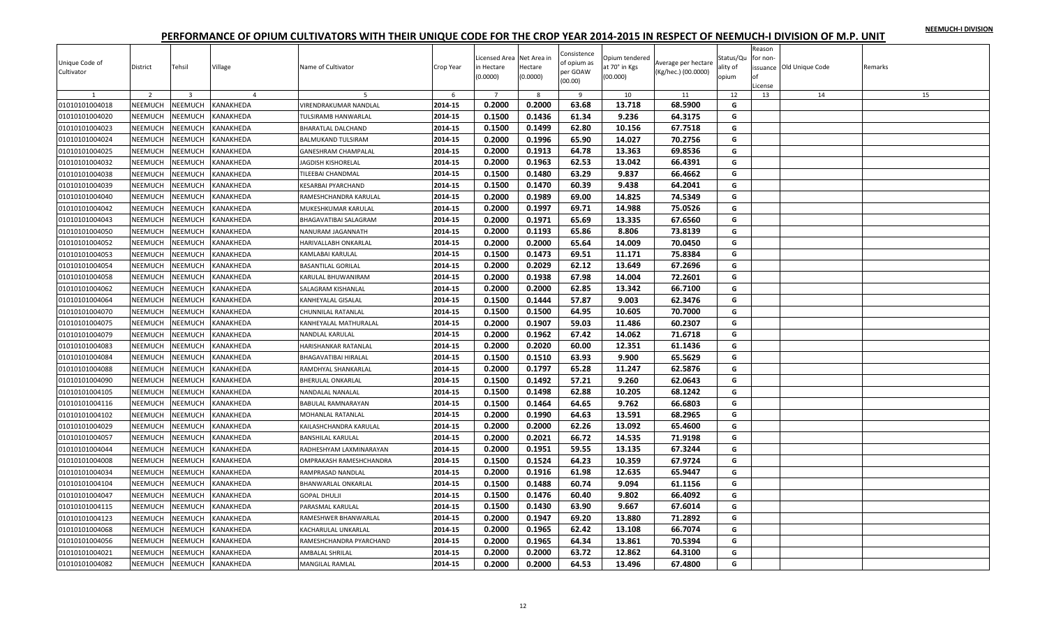|  |  | NEEMUCH-I DIVISION |
|--|--|--------------------|
|  |  |                    |

| Unique Code of<br>Cultivator | District       | Tehsil                  | Village        | Name of Cultivator          | Crop Year | icensed Area Net Area in<br>in Hectare<br>(0.0000) | Hectare<br>(0.0000) | Consistence<br>of opium as<br>per GOAW<br>(00.00) | Opium tendered<br>at 70° in Kgs<br>(00.000) | Average per hectare<br>(Kg/hec.) (00.0000) | Status/Qu<br>ality of<br>opium | Reason<br>for non-<br>Ωf<br>License | issuance Old Unique Code | Remarks |
|------------------------------|----------------|-------------------------|----------------|-----------------------------|-----------|----------------------------------------------------|---------------------|---------------------------------------------------|---------------------------------------------|--------------------------------------------|--------------------------------|-------------------------------------|--------------------------|---------|
| $\mathbf{1}$                 | $\overline{2}$ | $\overline{\mathbf{3}}$ | $\overline{4}$ | 5                           | 6         | $\overline{7}$                                     | 8                   | 9                                                 | 10                                          | 11                                         | 12                             | 13                                  | 14                       | 15      |
| 01010101004018               | NEEMUCH        | <b>NEEMUCH</b>          | KANAKHEDA      | VIRENDRAKUMAR NANDLAL       | 2014-15   | 0.2000                                             | 0.2000              | 63.68                                             | 13.718                                      | 68.5900                                    | G                              |                                     |                          |         |
| 01010101004020               | NEEMUCH        | NEEMUCH                 | KANAKHEDA      | TULSIRAMB HANWARLAL         | 2014-15   | 0.1500                                             | 0.1436              | 61.34                                             | 9.236                                       | 64.3175                                    | G                              |                                     |                          |         |
| 01010101004023               | NEEMUCH        | <b>NEEMUCH</b>          | KANAKHEDA      | <b>BHARATLAL DALCHAND</b>   | 2014-15   | 0.1500                                             | 0.1499              | 62.80                                             | 10.156                                      | 67.7518                                    | G                              |                                     |                          |         |
| 01010101004024               | NEEMUCH        | <b>NEEMUCH</b>          | KANAKHEDA      | <b>BALMUKAND TULSIRAM</b>   | 2014-15   | 0.2000                                             | 0.1996              | 65.90                                             | 14.027                                      | 70.2756                                    | G                              |                                     |                          |         |
| 01010101004025               | NEEMUCH        | <b>NEEMUCH</b>          | KANAKHEDA      | GANESHRAM CHAMPALAL         | 2014-15   | 0.2000                                             | 0.1913              | 64.78                                             | 13.363                                      | 69.8536                                    | G                              |                                     |                          |         |
| 01010101004032               | NEEMUCH        | NEEMUCH                 | KANAKHEDA      | JAGDISH KISHORELAL          | 2014-15   | 0.2000                                             | 0.1963              | 62.53                                             | 13.042                                      | 66.4391                                    | G                              |                                     |                          |         |
| 01010101004038               | NEEMUCH        | <b>NEEMUCH</b>          | KANAKHEDA      | TILEEBAI CHANDMAL           | 2014-15   | 0.1500                                             | 0.1480              | 63.29                                             | 9.837                                       | 66.4662                                    | G                              |                                     |                          |         |
| 01010101004039               | NEEMUCH        | NEEMUCH                 | KANAKHEDA      | KESARBAI PYARCHAND          | 2014-15   | 0.1500                                             | 0.1470              | 60.39                                             | 9.438                                       | 64.2041                                    | G                              |                                     |                          |         |
| 01010101004040               | NEEMUCH        | <b>NEEMUCH</b>          | KANAKHEDA      | RAMESHCHANDRA KARULAL       | 2014-15   | 0.2000                                             | 0.1989              | 69.00                                             | 14.825                                      | 74.5349                                    | G                              |                                     |                          |         |
| 01010101004042               | NEEMUCH        | NEEMUCH                 | KANAKHEDA      | MUKESHKUMAR KARULAL         | 2014-15   | 0.2000                                             | 0.1997              | 69.71                                             | 14.988                                      | 75.0526                                    | G                              |                                     |                          |         |
| 01010101004043               | NEEMUCH        | NEEMUCH                 | KANAKHEDA      | BHAGAVATIBAI SALAGRAM       | 2014-15   | 0.2000                                             | 0.1971              | 65.69                                             | 13.335                                      | 67.6560                                    | G                              |                                     |                          |         |
| 01010101004050               | NEEMUCH        | <b>NEEMUCH</b>          | KANAKHEDA      | NANURAM JAGANNATH           | 2014-15   | 0.2000                                             | 0.1193              | 65.86                                             | 8.806                                       | 73.8139                                    | G                              |                                     |                          |         |
| 01010101004052               | NEEMUCH        | NEEMUCH                 | KANAKHEDA      | HARIVALLABH ONKARLAL        | 2014-15   | 0.2000                                             | 0.2000              | 65.64                                             | 14.009                                      | 70.0450                                    | G                              |                                     |                          |         |
| 01010101004053               | NEEMUCH        | NEEMUCH                 | KANAKHEDA      | KAMLABAI KARULAL            | 2014-15   | 0.1500                                             | 0.1473              | 69.51                                             | 11.171                                      | 75.8384                                    | G                              |                                     |                          |         |
| 01010101004054               | <b>NEEMUCH</b> | <b>NEEMUCH</b>          | KANAKHEDA      | <b>BASANTILAL GORILAL</b>   | 2014-15   | 0.2000                                             | 0.2029              | 62.12                                             | 13.649                                      | 67.2696                                    | G                              |                                     |                          |         |
| 01010101004058               | NEEMUCH        | <b>NEEMUCH</b>          | KANAKHEDA      | KARULAL BHUWANIRAM          | 2014-15   | 0.2000                                             | 0.1938              | 67.98                                             | 14.004                                      | 72.2601                                    | G                              |                                     |                          |         |
| 01010101004062               | NEEMUCH        | NEEMUCH                 | KANAKHEDA      | SALAGRAM KISHANLAL          | 2014-15   | 0.2000                                             | 0.2000              | 62.85                                             | 13.342                                      | 66.7100                                    | G                              |                                     |                          |         |
| 01010101004064               | NEEMUCH        | <b>NEEMUCH</b>          | KANAKHEDA      | KANHEYALAL GISALAL          | 2014-15   | 0.1500                                             | 0.1444              | 57.87                                             | 9.003                                       | 62.3476                                    | G                              |                                     |                          |         |
| 01010101004070               | NEEMUCH        | NEEMUCH                 | KANAKHEDA      | <b>CHUNNILAL RATANLAL</b>   | 2014-15   | 0.1500                                             | 0.1500              | 64.95                                             | 10.605                                      | 70.7000                                    | G                              |                                     |                          |         |
| 01010101004075               | NEEMUCH        | <b>NEEMUCH</b>          | KANAKHEDA      | KANHEYALAL MATHURALAL       | 2014-15   | 0.2000                                             | 0.1907              | 59.03                                             | 11.486                                      | 60.2307                                    | G                              |                                     |                          |         |
| 01010101004079               | NEEMUCH        | NEEMUCH                 | KANAKHEDA      | NANDLAL KARULAL             | 2014-15   | 0.2000                                             | 0.1962              | 67.42                                             | 14.062                                      | 71.6718                                    | G                              |                                     |                          |         |
| 01010101004083               | NEEMUCH        | <b>NEEMUCH</b>          | KANAKHEDA      | HARISHANKAR RATANLAL        | 2014-15   | 0.2000                                             | 0.2020              | 60.00                                             | 12.351                                      | 61.1436                                    | G                              |                                     |                          |         |
| 01010101004084               | NEEMUCH        | <b>NEEMUCH</b>          | KANAKHEDA      | <b>BHAGAVATIBAI HIRALAL</b> | 2014-15   | 0.1500                                             | 0.1510              | 63.93                                             | 9.900                                       | 65.5629                                    | G                              |                                     |                          |         |
| 01010101004088               | NEEMUCH        | NEEMUCH                 | KANAKHEDA      | RAMDHYAL SHANKARLAL         | 2014-15   | 0.2000                                             | 0.1797              | 65.28                                             | 11.247                                      | 62.5876                                    | G                              |                                     |                          |         |
| 01010101004090               | NEEMUCH        | <b>NEEMUCH</b>          | KANAKHEDA      | <b>BHERULAL ONKARLAL</b>    | 2014-15   | 0.1500                                             | 0.1492              | 57.21                                             | 9.260                                       | 62.0643                                    | G                              |                                     |                          |         |
| 01010101004105               | NEEMUCH        | NEEMUCH                 | KANAKHEDA      | NANDALAL NANALAL            | 2014-15   | 0.1500                                             | 0.1498              | 62.88                                             | 10.205                                      | 68.1242                                    | G                              |                                     |                          |         |
| 01010101004116               | <b>NEEMUCH</b> | <b>NEEMUCH</b>          | KANAKHEDA      | BABULAL RAMNARAYAN          | 2014-15   | 0.1500                                             | 0.1464              | 64.65                                             | 9.762                                       | 66.6803                                    | G                              |                                     |                          |         |
| 01010101004102               | NEEMUCH        | <b>NEEMUCH</b>          | KANAKHEDA      | MOHANLAL RATANLAL           | 2014-15   | 0.2000                                             | 0.1990              | 64.63                                             | 13.591                                      | 68.2965                                    | G                              |                                     |                          |         |
| 01010101004029               | NEEMUCH        | <b>NEEMUCH</b>          | KANAKHEDA      | KAILASHCHANDRA KARULAL      | 2014-15   | 0.2000                                             | 0.2000              | 62.26                                             | 13.092                                      | 65.4600                                    | G                              |                                     |                          |         |
| 01010101004057               | NEEMUCH        | NEEMUCH                 | KANAKHEDA      | <b>BANSHILAL KARULAL</b>    | 2014-15   | 0.2000                                             | 0.2021              | 66.72                                             | 14.535                                      | 71.9198                                    | G                              |                                     |                          |         |
| 01010101004044               | NEEMUCH        | NEEMUCH                 | KANAKHEDA      | RADHESHYAM LAXMINARAYAN     | 2014-15   | 0.2000                                             | 0.1951              | 59.55                                             | 13.135                                      | 67.3244                                    | G                              |                                     |                          |         |
| 01010101004008               | NEEMUCH        | NEEMUCH                 | KANAKHEDA      | OMPRAKASH RAMESHCHANDRA     | 2014-15   | 0.1500                                             | 0.1524              | 64.23                                             | 10.359                                      | 67.9724                                    | G                              |                                     |                          |         |
| 01010101004034               | NEEMUCH        | NEEMUCH                 | KANAKHEDA      | RAMPRASAD NANDLAL           | 2014-15   | 0.2000                                             | 0.1916              | 61.98                                             | 12.635                                      | 65.9447                                    | G                              |                                     |                          |         |
| 01010101004104               | NEEMUCH        | <b>NEEMUCH</b>          | KANAKHEDA      | <b>BHANWARLAL ONKARLAL</b>  | 2014-15   | 0.1500                                             | 0.1488              | 60.74                                             | 9.094                                       | 61.1156                                    | G                              |                                     |                          |         |
| 01010101004047               | <b>NEEMUCH</b> | NEEMUCH                 | KANAKHEDA      | <b>GOPAL DHULJI</b>         | 2014-15   | 0.1500                                             | 0.1476              | 60.40                                             | 9.802                                       | 66.4092                                    | G                              |                                     |                          |         |
| 01010101004115               | NEEMUCH        | NEEMUCH                 | KANAKHEDA      | PARASMAL KARULAL            | 2014-15   | 0.1500                                             | 0.1430              | 63.90                                             | 9.667                                       | 67.6014                                    | G                              |                                     |                          |         |
| 01010101004123               | NEEMUCH        | NEEMUCH                 | KANAKHEDA      | RAMESHWER BHANWARLAL        | 2014-15   | 0.2000                                             | 0.1947              | 69.20                                             | 13.880                                      | 71.2892                                    | G                              |                                     |                          |         |
| 01010101004068               | NEEMUCH        | NEEMUCH                 | KANAKHEDA      | KACHARULAL UNKARLAL         | 2014-15   | 0.2000                                             | 0.1965              | 62.42                                             | 13.108                                      | 66.7074                                    | G                              |                                     |                          |         |
| 01010101004056               | NEEMUCH        | NEEMUCH                 | KANAKHEDA      | RAMESHCHANDRA PYARCHAND     | 2014-15   | 0.2000                                             | 0.1965              | 64.34                                             | 13.861                                      | 70.5394                                    | G                              |                                     |                          |         |
| 01010101004021               | NEEMUCH        | NEEMUCH                 | KANAKHEDA      | AMBALAL SHRILAL             | 2014-15   | 0.2000                                             | 0.2000              | 63.72                                             | 12.862                                      | 64.3100                                    | G                              |                                     |                          |         |
| 01010101004082               | NEEMUCH        | <b>NEEMUCH</b>          | KANAKHEDA      | <b>MANGILAL RAMLAL</b>      | 2014-15   | 0.2000                                             | 0.2000              | 64.53                                             | 13.496                                      | 67.4800                                    | G                              |                                     |                          |         |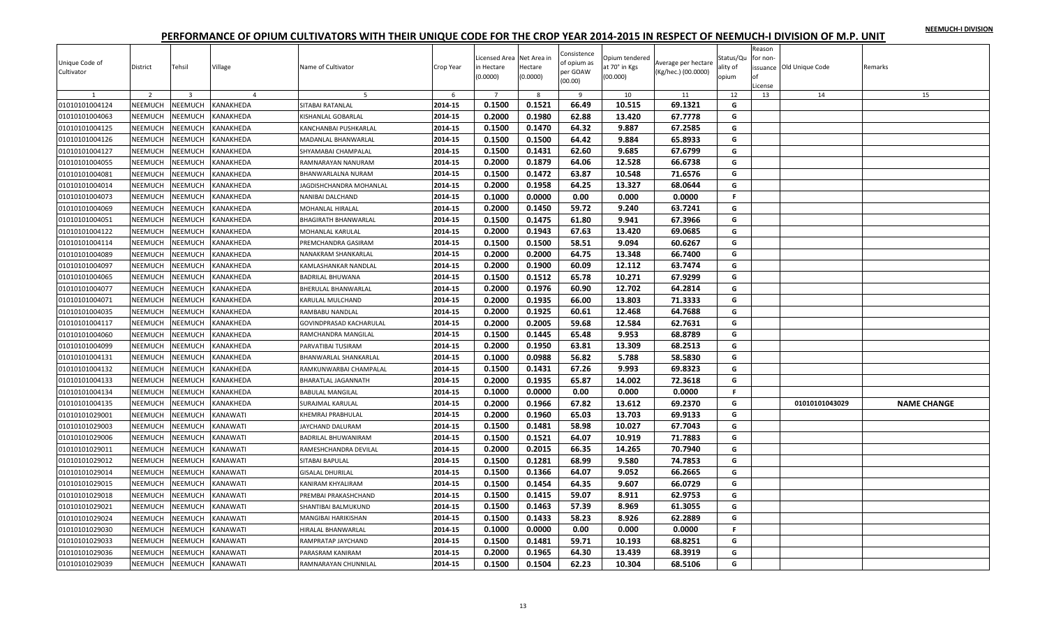|  |  | NEEMUCH-I DIVISION |
|--|--|--------------------|
|  |  |                    |

| Unique Code of<br>Cultivator     | District                  | Tehsil                    | Village                | Name of Cultivator                          | Crop Year          | Licensed Area Net Area in<br>in Hectare<br>(0.0000) | Hectare<br>(0.0000) | Consistence<br>of opium as<br>per GOAW<br>(00.00) | Opium tendered<br>at 70° in Kgs<br>(00.000) | Average per hectare<br>(Kg/hec.) (00.0000) | Status/Qu<br>ality of<br>opium | Reason<br>for non-<br>License | issuance Old Unique Code | Remarks            |
|----------------------------------|---------------------------|---------------------------|------------------------|---------------------------------------------|--------------------|-----------------------------------------------------|---------------------|---------------------------------------------------|---------------------------------------------|--------------------------------------------|--------------------------------|-------------------------------|--------------------------|--------------------|
| $\mathbf{1}$                     | $\overline{2}$            | $\overline{3}$            | $\overline{a}$         | 5                                           | 6                  | 0.1500                                              | 8<br>0.1521         | 9<br>66.49                                        | 10<br>10.515                                | 11<br>69.1321                              | 12                             | 13                            | 14                       | 15                 |
| 01010101004124<br>01010101004063 | NEEMUCH<br>NEEMUCH        | NEEMUCH<br>NEEMUCH        | KANAKHEDA<br>KANAKHEDA | SITABAI RATANLAL                            | 2014-15<br>2014-15 | 0.2000                                              | 0.1980              | 62.88                                             | 13.420                                      | 67.7778                                    | G<br>G                         |                               |                          |                    |
| 01010101004125                   | NEEMUCH                   | NEEMUCH                   | KANAKHEDA              | KISHANLAL GOBARLAL<br>KANCHANBAI PUSHKARLAL | 2014-15            | 0.1500                                              | 0.1470              | 64.32                                             | 9.887                                       | 67.2585                                    | G                              |                               |                          |                    |
| 01010101004126                   | <b>NEEMUCH</b>            | NEEMUCH                   | KANAKHEDA              | MADANLAL BHANWARLAL                         | 2014-15            | 0.1500                                              | 0.1500              | 64.42                                             | 9.884                                       | 65.8933                                    | G                              |                               |                          |                    |
|                                  |                           |                           |                        | SHYAMABAI CHAMPALAL                         | 2014-15            | 0.1500                                              | 0.1431              | 62.60                                             | 9.685                                       | 67.6799                                    | G                              |                               |                          |                    |
| 01010101004127<br>01010101004055 | NEEMUCH<br>NEEMUCH        | NEEMUCH<br>NEEMUCH        | KANAKHEDA<br>KANAKHEDA | RAMNARAYAN NANURAM                          | 2014-15            | 0.2000                                              | 0.1879              | 64.06                                             | 12.528                                      | 66.6738                                    | G                              |                               |                          |                    |
| 01010101004081                   | NEEMUCH                   | NEEMUCH                   | KANAKHEDA              | BHANWARLALNA NURAM                          | 2014-15            | 0.1500                                              | 0.1472              | 63.87                                             | 10.548                                      | 71.6576                                    | G                              |                               |                          |                    |
| 01010101004014                   | NEEMUCH                   | NEEMUCH                   | KANAKHEDA              |                                             | 2014-15            | 0.2000                                              | 0.1958              | 64.25                                             | 13.327                                      | 68.0644                                    | G                              |                               |                          |                    |
|                                  | <b>NEEMUCH</b>            | NEEMUCH                   | KANAKHEDA              | <b>AGDISHCHANDRA MOHANLAL</b>               | 2014-15            | 0.1000                                              | 0.0000              | 0.00                                              | 0.000                                       | 0.0000                                     | F.                             |                               |                          |                    |
| 01010101004073                   |                           |                           |                        | NANIBAI DALCHAND                            |                    |                                                     |                     |                                                   |                                             |                                            |                                |                               |                          |                    |
| 01010101004069<br>01010101004051 | NEEMUCH<br><b>NEEMUCH</b> | <b>NEEMUCH</b><br>NEEMUCH | KANAKHEDA<br>KANAKHEDA | MOHANLAL HIRALAL                            | 2014-15<br>2014-15 | 0.2000<br>0.1500                                    | 0.1450<br>0.1475    | 59.72<br>61.80                                    | 9.240<br>9.941                              | 63.7241<br>67.3966                         | G<br>G                         |                               |                          |                    |
|                                  |                           |                           |                        | BHAGIRATH BHANWARLAL<br>MOHANLAL KARULAL    | 2014-15            | 0.2000                                              | 0.1943              | 67.63                                             | 13.420                                      | 69.0685                                    | G                              |                               |                          |                    |
| 01010101004122                   | <b>NEEMUCH</b><br>NEEMUCH | NEEMUCH<br>NEEMUCH        | KANAKHEDA<br>KANAKHEDA | PREMCHANDRA GASIRAM                         | 2014-15            | 0.1500                                              | 0.1500              | 58.51                                             | 9.094                                       | 60.6267                                    | G                              |                               |                          |                    |
| 01010101004114<br>01010101004089 | NEEMUCH                   | NEEMUCH                   | KANAKHEDA              | NANAKRAM SHANKARLAL                         | 2014-15            | 0.2000                                              | 0.2000              | 64.75                                             | 13.348                                      | 66.7400                                    | G                              |                               |                          |                    |
| 01010101004097                   | NEEMUCH                   | <b>NEEMUCH</b>            | KANAKHEDA              | KAMLASHANKAR NANDLAL                        | 2014-15            | 0.2000                                              | 0.1900              | 60.09                                             | 12.112                                      | 63.7474                                    | G                              |                               |                          |                    |
|                                  | <b>NEEMUCH</b>            | NEEMUCH                   | KANAKHEDA              | <b>BADRILAL BHUWANA</b>                     | 2014-15            | 0.1500                                              | 0.1512              | 65.78                                             | 10.271                                      | 67.9299                                    | G                              |                               |                          |                    |
| 01010101004065                   | NEEMUCH                   |                           |                        |                                             | 2014-15            |                                                     | 0.1976              |                                                   |                                             |                                            | G                              |                               |                          |                    |
| 01010101004077<br>01010101004071 | NEEMUCH                   | NEEMUCH<br>NEEMUCH        | KANAKHEDA<br>KANAKHEDA | BHERULAL BHANWARLAL                         | 2014-15            | 0.2000<br>0.2000                                    | 0.1935              | 60.90<br>66.00                                    | 12.702<br>13.803                            | 64.2814<br>71.3333                         | G                              |                               |                          |                    |
|                                  |                           |                           |                        | KARULAL MULCHAND                            |                    |                                                     | 0.1925              | 60.61                                             |                                             | 64.7688                                    |                                |                               |                          |                    |
| 01010101004035                   | NEEMUCH                   | <b>NEEMUCH</b>            | KANAKHEDA              | RAMBABU NANDLAL                             | 2014-15            | 0.2000                                              |                     |                                                   | 12.468                                      |                                            | G                              |                               |                          |                    |
| 01010101004117                   | <b>NEEMUCH</b>            | NEEMUCH                   | KANAKHEDA              | GOVINDPRASAD KACHARULAL                     | 2014-15            | 0.2000                                              | 0.2005              | 59.68                                             | 12.584                                      | 62.7631                                    | G                              |                               |                          |                    |
| 01010101004060                   | NEEMUCH                   | NEEMUCH                   | KANAKHEDA              | RAMCHANDRA MANGILAL                         | 2014-15            | 0.1500                                              | 0.1445              | 65.48                                             | 9.953                                       | 68.8789                                    | G                              |                               |                          |                    |
| 01010101004099                   | NEEMUCH                   | NEEMUCH                   | KANAKHEDA              | PARVATIBAI TUSIRAM                          | 2014-15            | 0.2000                                              | 0.1950              | 63.81                                             | 13.309                                      | 68.2513                                    | G                              |                               |                          |                    |
| 01010101004131                   | NEEMUCH                   | <b>NEEMUCH</b>            | KANAKHEDA              | BHANWARLAL SHANKARLAL                       | 2014-15            | 0.1000                                              | 0.0988              | 56.82                                             | 5.788                                       | 58.5830                                    | G                              |                               |                          |                    |
| 01010101004132                   | NEEMUCH                   | NEEMUCH                   | KANAKHEDA              | RAMKUNWARBAI CHAMPALAL                      | 2014-15            | 0.1500                                              | 0.1431              | 67.26                                             | 9.993                                       | 69.8323                                    | G                              |                               |                          |                    |
| 01010101004133                   | NEEMUCH                   | NEEMUCH                   | <b>KANAKHEDA</b>       | <b>BHARATLAL JAGANNATH</b>                  | 2014-15            | 0.2000                                              | 0.1935              | 65.87                                             | 14.002                                      | 72.3618                                    | G                              |                               |                          |                    |
| 01010101004134                   | NEEMUCH                   | <b>NEEMUCH</b>            | KANAKHEDA              | <b>BABULAL MANGILAL</b>                     | 2014-15            | 0.1000                                              | 0.0000              | 0.00                                              | 0.000                                       | 0.0000                                     | F                              |                               |                          |                    |
| 01010101004135                   | NEEMUCH                   | NEEMUCH                   | KANAKHEDA              | <b>SURAJMAL KARULAL</b>                     | 2014-15            | 0.2000                                              | 0.1966              | 67.82                                             | 13.612                                      | 69.2370                                    | G                              |                               | 01010101043029           | <b>NAME CHANGE</b> |
| 01010101029001                   | <b>NEEMUCH</b>            | NEEMUCH                   | KANAWATI               | KHEMRAJ PRABHULAL                           | 2014-15            | 0.2000                                              | 0.1960              | 65.03                                             | 13.703                                      | 69.9133                                    | G                              |                               |                          |                    |
| 01010101029003                   | NEEMUCH                   | NEEMUCH                   | KANAWATI               | JAYCHAND DALURAM                            | 2014-15            | 0.1500                                              | 0.1481              | 58.98                                             | 10.027                                      | 67.7043                                    | G                              |                               |                          |                    |
| 01010101029006                   | NEEMUCH                   | <b>NEEMUCH</b>            | KANAWATI               | BADRILAL BHUWANIRAM                         | 2014-15            | 0.1500                                              | 0.1521              | 64.07                                             | 10.919                                      | 71.7883                                    | G                              |                               |                          |                    |
| 01010101029011                   | <b>NEEMUCH</b>            | NEEMUCH                   | KANAWATI               | RAMESHCHANDRA DEVILAL                       | 2014-15            | 0.2000                                              | 0.2015              | 66.35                                             | 14.265                                      | 70.7940                                    | G                              |                               |                          |                    |
| 01010101029012                   | <b>NEEMUCH</b>            | NEEMUCH                   | KANAWATI               | SITABAI BAPULAL                             | 2014-15            | 0.1500                                              | 0.1281              | 68.99                                             | 9.580                                       | 74.7853                                    | G                              |                               |                          |                    |
| 01010101029014                   | NEEMUCH                   | NEEMUCH                   | KANAWATI               | <b>GISALAL DHURILAL</b>                     | 2014-15            | 0.1500                                              | 0.1366              | 64.07                                             | 9.052                                       | 66.2665                                    | G                              |                               |                          |                    |
| 01010101029015                   | NEEMUCH                   | NEEMUCH                   | KANAWATI               | KANIRAM KHYALIRAM                           | 2014-15            | 0.1500                                              | 0.1454              | 64.35                                             | 9.607                                       | 66.0729                                    | G                              |                               |                          |                    |
| 01010101029018                   | NEEMUCH                   | <b>NEEMUCH</b>            | KANAWATI               | PREMBAI PRAKASHCHAND                        | 2014-15            | 0.1500                                              | 0.1415              | 59.07                                             | 8.911                                       | 62.9753                                    | G                              |                               |                          |                    |
| 01010101029021                   | <b>NEEMUCH</b>            | NEEMUCH                   | KANAWATI               | SHANTIBAI BALMUKUND                         | 2014-15            | 0.1500                                              | 0.1463              | 57.39                                             | 8.969                                       | 61.3055                                    | G                              |                               |                          |                    |
| 01010101029024                   | NEEMUCH                   | NEEMUCH                   | KANAWATI               | MANGIBAI HARIKISHAN                         | 2014-15            | 0.1500                                              | 0.1433              | 58.23                                             | 8.926                                       | 62.2889                                    | G                              |                               |                          |                    |
| 01010101029030                   | NEEMUCH                   | NEEMUCH                   | KANAWATI               | HIRALAL BHANWARLAL                          | 2014-15            | 0.1000                                              | 0.0000              | 0.00                                              | 0.000                                       | 0.0000                                     | F.                             |                               |                          |                    |
| 01010101029033                   | NEEMUCH                   | <b>NEEMUCH</b>            | KANAWATI               | RAMPRATAP JAYCHAND                          | 2014-15            | 0.1500                                              | 0.1481              | 59.71                                             | 10.193                                      | 68.8251                                    | G                              |                               |                          |                    |
| 01010101029036                   | NEEMUCH                   | NEEMUCH                   | KANAWATI               | PARASRAM KANIRAM                            | 2014-15            | 0.2000                                              | 0.1965              | 64.30                                             | 13.439                                      | 68.3919                                    | G                              |                               |                          |                    |
| 01010101029039                   | <b>NEEMUCH</b>            | NEEMUCH                   | <b>KANAWATI</b>        | RAMNARAYAN CHUNNILAL                        | 2014-15            | 0.1500                                              | 0.1504              | 62.23                                             | 10.304                                      | 68.5106                                    | G                              |                               |                          |                    |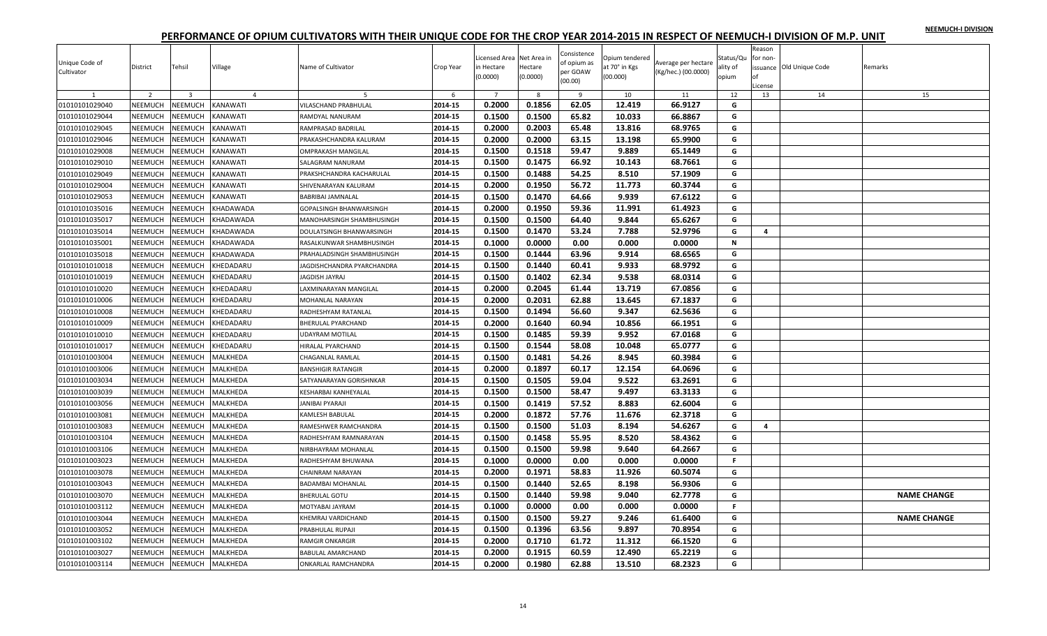|  |  | NEEMUCH-I DIVISION |
|--|--|--------------------|
|  |  |                    |

| $\overline{z}$<br>$\overline{\mathbf{3}}$<br>$\overline{7}$<br>8<br>12<br>13<br>14<br>$\overline{4}$<br>-6<br>$\overline{9}$<br>10<br>11                      | 15                 |
|---------------------------------------------------------------------------------------------------------------------------------------------------------------|--------------------|
|                                                                                                                                                               |                    |
| 0.2000<br>0.1856<br>62.05<br>12.419<br>66.9127<br>01010101029040<br>NEEMUCH<br><b>NEEMUCH</b><br>KANAWATI<br>2014-15<br>VILASCHAND PRABHULAL<br>G             |                    |
| 0.1500<br>0.1500<br>65.82<br>66.8867<br>01010101029044<br>NEEMUCH<br><b>NEEMUCH</b><br>2014-15<br>10.033<br>G<br>KANAWATI<br>RAMDYAL NANURAM                  |                    |
| 0.2000<br>0.2003<br>65.48<br>13.816<br>68.9765<br>2014-15<br>G<br>01010101029045<br>NEEMUCH<br><b>NEEMUCH</b><br>KANAWATI<br>RAMPRASAD BADRILAL               |                    |
| NEEMUCH<br>VEEMUCH<br>0.2000<br>63.15<br>01010101029046<br>KANAWATI<br>2014-15<br>0.2000<br>13.198<br>65.9900<br>G<br>PRAKASHCHANDRA KALURAM                  |                    |
| 0.1500<br>59.47<br>NEEMUCH<br>2014-15<br>0.1518<br>9.889<br>65.1449<br>G<br>01010101029008<br><b>NEEMUCH</b><br>KANAWATI<br>OMPRAKASH MANGILAI                |                    |
| 66.92<br>NEEMUCH<br><b>NEEMUCH</b><br>0.1500<br>0.1475<br>10.143<br>68.7661<br>G<br>01010101029010<br>KANAWATI<br>2014-15<br>SALAGRAM NANURAM                 |                    |
| 54.25<br>01010101029049<br>NEEMUCH<br>NEEMUCH<br>KANAWATI<br>2014-15<br>0.1500<br>0.1488<br>8.510<br>57.1909<br>G<br>PRAKSHCHANDRA KACHARULAL                 |                    |
| 0.2000<br>56.72<br>01010101029004<br>NEEMUCH<br><b>NEEMUCH</b><br>KANAWATI<br>2014-15<br>0.1950<br>11.773<br>60.3744<br>G<br>SHIVENARAYAN KALURAM             |                    |
| 01010101029053<br>NEEMUCH<br>VEEMUCH<br>2014-15<br>0.1500<br>0.1470<br>64.66<br>9.939<br>67.6122<br>G<br>KANAWATI<br>BABRIBAI JAMNALAL                        |                    |
| 01010101035016<br>NEEMUCH<br>2014-15<br>0.2000<br>0.1950<br>59.36<br>11.991<br>61.4923<br><b>NEEMUCH</b><br>KHADAWADA<br>G<br>GOPALSINGH BHANWARSINGH         |                    |
| 0.1500<br>64.40<br>9.844<br>65.6267<br>01010101035017<br>NEEMUCH<br><b>NEEMUCH</b><br>0.1500<br>G<br>KHADAWADA<br>2014-15<br>MANOHARSINGH SHAMBHUSINGH        |                    |
| 0.1500<br>53.24<br>2014-15<br>0.1470<br>7.788<br>52.9796<br>01010101035014<br>NEEMUCH<br><b>NEEMUCH</b><br>KHADAWADA<br>DOULATSINGH BHANWARSINGH<br>G<br>4    |                    |
| NEEMUCH<br>0.1000<br>0.0000<br>0.00<br>0.000<br>0.0000<br>$\mathbf N$<br>01010101035001<br><b>JEEMUCH</b><br>KHADAWADA<br>2014-15<br>RASALKUNWAR SHAMBHUSINGH |                    |
| 0.1500<br>63.96<br>9.914<br>68.6565<br>NEEMUCH<br>2014-15<br>0.1444<br>G<br>01010101035018<br><b>NEEMUCH</b><br>KHADAWADA<br>PRAHALADSINGH SHAMBHUSINGH       |                    |
| 0.1500<br>60.41<br>9.933<br>NEEMUCH<br><b>NEEMUCH</b><br>KHEDADARU<br>2014-15<br>0.1440<br>68.9792<br>G<br>01010101010018<br>AGDISHCHANDRA PYARCHANDRA        |                    |
| 0.1500<br>NEEMUCH<br>2014-15<br>0.1402<br>62.34<br>9.538<br>68.0314<br>G<br>01010101010019<br><b>NEEMUCH</b><br>KHEDADARU<br>JAGDISH JAYRAJ                   |                    |
| NEEMUCH<br>0.2000<br>0.2045<br>61.44<br>13.719<br>67.0856<br>G<br>01010101010020<br><b>NEEMUCH</b><br>KHEDADARU<br>2014-15<br>AXMINARAYAN MANGILAL            |                    |
| 0.2000<br>0.2031<br>62.88<br>13.645<br>67.1837<br>01010101010006<br>NEEMUCH<br><b>NEEMUCH</b><br>KHEDADARU<br>2014-15<br>G<br>MOHANLAL NARAYAN                |                    |
| 0.1500<br>0.1494<br>56.60<br>9.347<br>62.5636<br>01010101010008<br>NEEMUCH<br><b>NEEMUCH</b><br>KHEDADARU<br>2014-15<br>G<br>RADHESHYAM RATANLAL              |                    |
| <b>NEEMUCH</b><br>VEEMUCH<br>KHEDADARU<br>2014-15<br>0.2000<br>0.1640<br>60.94<br>10.856<br>66.1951<br>01010101010009<br>G<br>BHERULAL PYARCHAND              |                    |
| 0.1500<br>0.1485<br>59.39<br>9.952<br>67.0168<br>NEEMUCH<br>2014-15<br>G<br>01010101010010<br><b>NEEMUCH</b><br>KHEDADARU<br><b>JDAYRAM MOTILAL</b>           |                    |
| 0.1500<br>0.1544<br>58.08<br>65.0777<br><b>NEEMUCH</b><br><b>NEEMUCH</b><br>KHEDADARU<br>10.048<br>G<br>01010101010017<br>2014-15<br><b>HIRALAL PYARCHAND</b> |                    |
| 54.26<br>2014-15<br>0.1500<br>0.1481<br>8.945<br>60.3984<br>01010101003004<br><b>NEEMUCH</b><br><b>NEEMUCH</b><br>MALKHEDA<br>CHAGANLAL RAMLAL<br>G           |                    |
| NEEMUCH<br>2014-15<br>0.2000<br>0.1897<br>60.17<br>12.154<br>64.0696<br>01010101003006<br><b>NEEMUCH</b><br>MALKHEDA<br>G<br>BANSHIGIR RATANGIR               |                    |
| 0.1500<br>0.1505<br>59.04<br>9.522<br>63.2691<br>NEEMUCH<br>2014-15<br>G<br>01010101003034<br><b>NEEMUCH</b><br>MALKHEDA<br>SATYANARAYAN GORISHNKAR           |                    |
| 0.1500<br>0.1500<br>58.47<br>NEEMUCH<br><b>NEEMUCH</b><br>MALKHEDA<br>2014-15<br>9.497<br>63.3133<br>G<br>01010101003039<br>KESHARBAI KANHEYALAL              |                    |
| 0.1500<br>57.52<br>01010101003056<br>NEEMUCH<br><b>NEEMUCH</b><br>MALKHEDA<br>2014-15<br>0.1419<br>8.883<br>62.6004<br>G<br>JANIBAI PYARAJI                   |                    |
| 57.76<br>NEEMUCH<br>0.2000<br>0.1872<br>11.676<br>62.3718<br>G<br>01010101003081<br><b>NEEMUCH</b><br>MALKHEDA<br>2014-15<br><b>KAMLESH BABULAL</b>           |                    |
| 01010101003083<br>NEEMUCH<br>NEEMUCH<br>MALKHEDA<br>2014-15<br>0.1500<br>0.1500<br>51.03<br>8.194<br>54.6267<br>G<br>RAMESHWER RAMCHANDRA<br>4                |                    |
| 0.1500<br>55.95<br>2014-15<br>0.1458<br>8.520<br>58.4362<br>G<br>01010101003104<br>NEEMUCH<br><b>NEEMUCH</b><br>MALKHEDA<br>RADHESHYAM RAMNARAYAN             |                    |
| 01010101003106<br>NEEMUCH<br>VEEMUCH<br>MALKHEDA<br>2014-15<br>0.1500<br>0.1500<br>59.98<br>9.640<br>64.2667<br>G<br><b>NIRBHAYRAM MOHANLAL</b>               |                    |
| 2014-15<br>0.1000<br>0.0000<br>0.00<br>0.000<br>01010101003023<br>NEEMUCH<br>0.0000<br>F.<br><b>NEEMUCH</b><br>MALKHEDA<br>RADHESHYAM BHUWANA                 |                    |
| 58.83<br>11.926<br>60.5074<br>NEEMUCH<br><b>NEEMUCH</b><br>0.2000<br>0.1971<br>G<br>01010101003078<br>MALKHEDA<br>2014-15<br>CHAINRAM NARAYAN                 |                    |
| 0.1500<br>0.1440<br>52.65<br>2014-15<br>8.198<br>56.9306<br>01010101003043<br>NEEMUCH<br><b>NEEMUCH</b><br>MALKHEDA<br><b>BADAMBAI MOHANLAL</b><br>G          |                    |
| 0.1500<br>NEEMUCH<br>2014-15<br>0.1440<br>59.98<br>9.040<br>62.7778<br>G<br>01010101003070<br><b>NEEMUCH</b><br>MALKHEDA<br><b>BHERULAL GOTU</b>              | <b>NAME CHANGE</b> |
| 0.1000<br>0.0000<br>0.0000<br>01010101003112<br>NEEMUCH<br><b>NEEMUCH</b><br>MALKHEDA<br>2014-15<br>0.00<br>0.000<br>F.<br>MOTYABAI JAYRAM                    |                    |
| 0.1500<br>59.27<br>NEEMUCH<br><b>NEEMUCH</b><br>MALKHEDA<br>2014-15<br>0.1500<br>9.246<br>61.6400<br>G<br>01010101003044<br>KHEMRAJ VARDICHAND                | <b>NAME CHANGE</b> |
| 0.1500<br>01010101003052<br>NEEMUCH<br><b>NEEMUCH</b><br>MALKHEDA<br>2014-15<br>0.1396<br>63.56<br>9.897<br>70.8954<br>G<br>PRABHULAL RUPAJI                  |                    |
| 61.72<br>0.2000<br>0.1710<br>11.312<br>66.1520<br>2014-15<br>G<br>01010101003102<br><b>NEEMUCH</b><br><b>NEEMUCH</b><br>MALKHEDA<br>RAMGIR ONKARGIR           |                    |
| 0.1915<br>60.59<br>12.490<br>65.2219<br>01010101003027<br><b>NEEMUCH</b><br><b>NEEMUCH</b><br>2014-15<br>0.2000<br>G<br>MALKHEDA<br><b>BABULAL AMARCHAND</b>  |                    |
| 0.1980<br>62.88<br>68.2323<br>G<br>NEEMUCH<br>2014-15<br>0.2000<br>13.510<br>01010101003114<br><b>NEEMUCH</b><br>MALKHEDA<br>ONKARLAL RAMCHANDRA              |                    |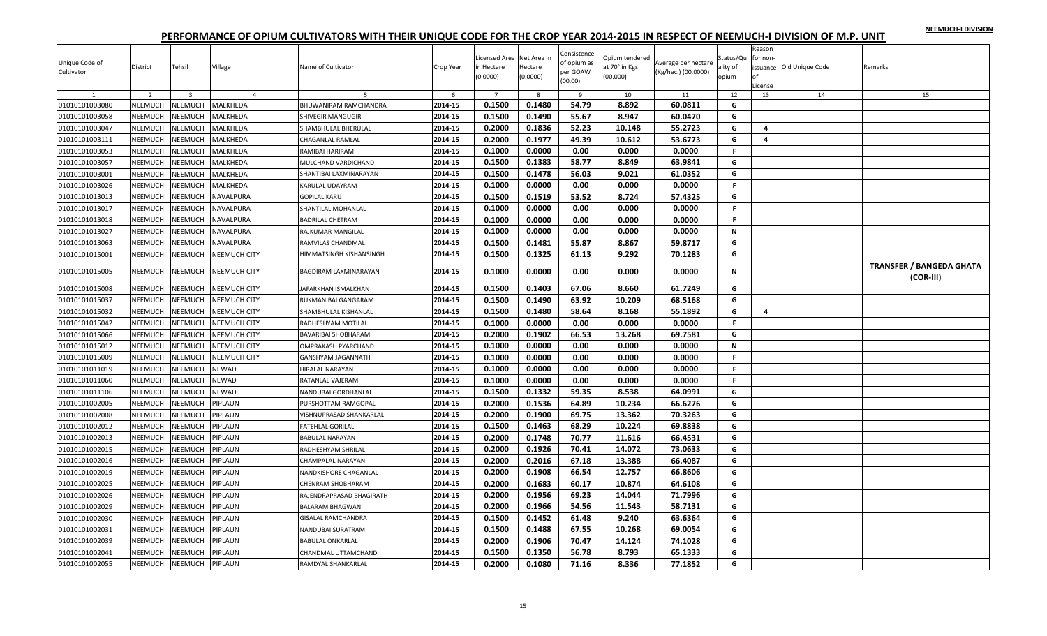|  |  | NEEMUCH-I DIVISION |
|--|--|--------------------|
|  |  |                    |

| Unique Code of<br>Cultivator | District                  | Tehsil                  | Village             | Name of Cultivator             | Crop Year          | Licensed Area Net Area in<br>in Hectare<br>(0.0000) | Hectare<br>(0.0000) | Consistence<br>of opium as<br>per GOAW<br>(00.00) | Opium tendered<br>at 70° in Kgs<br>(00.000) | Average per hectare<br>(Kg/hec.) (00.0000) | Status/Qu<br>ality of<br>opium | Reason<br>for non<br>∩f<br>License | issuance Old Unique Code | Remarks                                      |
|------------------------------|---------------------------|-------------------------|---------------------|--------------------------------|--------------------|-----------------------------------------------------|---------------------|---------------------------------------------------|---------------------------------------------|--------------------------------------------|--------------------------------|------------------------------------|--------------------------|----------------------------------------------|
| $\mathbf{1}$                 | $\overline{2}$            | $\overline{\mathbf{3}}$ | $\overline{4}$      | 5                              | 6                  | $\overline{7}$<br>0.1500                            | 8<br>0.1480         | 9<br>54.79                                        | 10<br>8.892                                 | 11<br>60.0811                              | 12                             | 13                                 | 14                       | 15                                           |
| 01010101003080               | NEEMUCH<br><b>NEEMUCH</b> | NEEMUCH                 | MALKHEDA            | BHUWANIRAM RAMCHANDRA          | 2014-15<br>2014-15 | 0.1500                                              | 0.1490              |                                                   | 8.947                                       | 60.0470                                    | G                              |                                    |                          |                                              |
| 01010101003058               |                           | NEEMUCH                 | MALKHEDA            | SHIVEGIR MANGUGIR              |                    |                                                     |                     | 55.67<br>52.23                                    | 10.148                                      |                                            | G                              |                                    |                          |                                              |
| 01010101003047               | NEEMUCH                   | NEEMUCH                 | MALKHEDA            | SHAMBHULAL BHERULAL            | 2014-15            | 0.2000                                              | 0.1836              |                                                   |                                             | 55.2723                                    | G                              | 4                                  |                          |                                              |
| 01010101003111               | NEEMUCH                   | <b>NEEMUCH</b>          | MALKHEDA            | CHAGANLAL RAMLAL               | 2014-15            | 0.2000                                              | 0.1977              | 49.39                                             | 10.612                                      | 53.6773                                    | G                              | 4                                  |                          |                                              |
| 01010101003053               | NEEMUCH                   | <b>NEEMUCH</b>          | MALKHEDA            | RAMIBAI HARIRAM                | 2014-15            | 0.1000                                              | 0.0000              | 0.00                                              | 0.000                                       | 0.0000                                     | F.                             |                                    |                          |                                              |
| 01010101003057               | <b>NEEMUCH</b>            | NEEMUCH                 | MALKHEDA            | MULCHAND VARDICHAND            | 2014-15            | 0.1500                                              | 0.1383              | 58.77                                             | 8.849                                       | 63.9841                                    | G                              |                                    |                          |                                              |
| 01010101003001               | NEEMUCH                   | <b>NEEMUCH</b>          | MALKHEDA            | SHANTIBAI LAXMINARAYAN         | 2014-15            | 0.1500                                              | 0.1478              | 56.03                                             | 9.021                                       | 61.0352                                    | G                              |                                    |                          |                                              |
| 01010101003026               | NEEMUCH                   | <b>NEEMUCH</b>          | MALKHEDA            | KARULAL UDAYRAM                | 2014-15            | 0.1000                                              | 0.0000              | 0.00                                              | 0.000                                       | 0.0000                                     | F.                             |                                    |                          |                                              |
| 01010101013013               | NEEMUCH                   | <b>NEEMUCH</b>          | NAVALPURA           | <b>GOPILAL KARU</b>            | 2014-15            | 0.1500                                              | 0.1519              | 53.52                                             | 8.724                                       | 57.4325                                    | G                              |                                    |                          |                                              |
| 01010101013017               | NEEMUCH                   | NEEMUCH                 | NAVALPURA           | SHANTILAL MOHANLAL             | 2014-15            | 0.1000                                              | 0.0000              | 0.00                                              | 0.000                                       | 0.0000                                     | F.                             |                                    |                          |                                              |
| 01010101013018               | NEEMUCH                   | <b>NEEMUCH</b>          | NAVALPURA           | <b>BADRILAL CHETRAM</b>        | 2014-15            | 0.1000                                              | 0.0000              | 0.00                                              | 0.000                                       | 0.0000                                     | F.                             |                                    |                          |                                              |
| 01010101013027               | NEEMUCH                   | NEEMUCH                 | NAVALPURA           | RAJKUMAR MANGILAL              | 2014-15            | 0.1000                                              | 0.0000              | 0.00                                              | 0.000                                       | 0.0000                                     | N                              |                                    |                          |                                              |
| 01010101013063               | NEEMUCH                   | NEEMUCH                 | NAVALPURA           | RAMVILAS CHANDMAL              | 2014-15            | 0.1500                                              | 0.1481              | 55.87                                             | 8.867                                       | 59.8717                                    | G                              |                                    |                          |                                              |
| 01010101015001               | NEEMUCH                   | <b>NEEMUCH</b>          | NEEMUCH CITY        | <b>IIMMATSINGH KISHANSINGH</b> | 2014-15            | 0.1500                                              | 0.1325              | 61.13                                             | 9.292                                       | 70.1283                                    | G                              |                                    |                          |                                              |
| 01010101015005               | NEEMUCH                   | NEEMUCH                 | <b>NEEMUCH CITY</b> | BAGDIRAM LAXMINARAYAN          | 2014-15            | 0.1000                                              | 0.0000              | 0.00                                              | 0.000                                       | 0.0000                                     | N                              |                                    |                          | <b>TRANSFER / BANGEDA GHATA</b><br>(COR-III) |
| 01010101015008               | NEEMUCH                   | <b>NEEMUCH</b>          | <b>NEEMUCH CITY</b> | JAFARKHAN ISMALKHAN            | 2014-15            | 0.1500                                              | 0.1403              | 67.06                                             | 8.660                                       | 61.7249                                    | G                              |                                    |                          |                                              |
| 01010101015037               | NEEMUCH                   | <b>NEEMUCH</b>          | <b>NEEMUCH CITY</b> | RUKMANIBAI GANGARAM            | 2014-15            | 0.1500                                              | 0.1490              | 63.92                                             | 10.209                                      | 68.5168                                    | G                              |                                    |                          |                                              |
| 01010101015032               | NEEMUCH                   | NEEMUCH                 | NEEMUCH CITY        | SHAMBHULAL KISHANLAL           | 2014-15            | 0.1500                                              | 0.1480              | 58.64                                             | 8.168                                       | 55.1892                                    | G                              | 4                                  |                          |                                              |
| 01010101015042               | NEEMUCH                   | <b>NEEMUCH</b>          | <b>NEEMUCH CITY</b> | RADHESHYAM MOTILAL             | 2014-15            | 0.1000                                              | 0.0000              | 0.00                                              | 0.000                                       | 0.0000                                     | $\mathsf F$                    |                                    |                          |                                              |
| 01010101015066               | NEEMUCH                   | NEEMUCH                 | NEEMUCH CITY        | BAVARIBAI SHOBHARAM            | 2014-15            | 0.2000                                              | 0.1902              | 66.53                                             | 13.268                                      | 69.7581                                    | G                              |                                    |                          |                                              |
| 01010101015012               | NEEMUCH                   | <b>NEEMUCH</b>          | <b>NEEMUCH CITY</b> | OMPRAKASH PYARCHAND            | 2014-15            | 0.1000                                              | 0.0000              | 0.00                                              | 0.000                                       | 0.0000                                     | $\mathbf N$                    |                                    |                          |                                              |
| 01010101015009               | NEEMUCH                   | NEEMUCH                 | <b>NEEMUCH CITY</b> | GANSHYAM JAGANNATH             | 2014-15            | 0.1000                                              | 0.0000              | 0.00                                              | 0.000                                       | 0.0000                                     | F.                             |                                    |                          |                                              |
| 01010101011019               | NEEMUCH                   | NEEMUCH                 | <b>NEWAD</b>        | HIRALAL NARAYAN                | 2014-15            | 0.1000                                              | 0.0000              | 0.00                                              | 0.000                                       | 0.0000                                     | F.                             |                                    |                          |                                              |
| 01010101011060               | NEEMUCH                   | NEEMUCH                 | NEWAD               | RATANLAL VAJERAM               | 2014-15            | 0.1000                                              | 0.0000              | 0.00                                              | 0.000                                       | 0.0000                                     | F.                             |                                    |                          |                                              |
| 01010101011106               | NEEMUCH                   | <b>NEEMUCH</b>          | NEWAD               | NANDUBAI GORDHANLAL            | 2014-15            | 0.1500                                              | 0.1332              | 59.35                                             | 8.538                                       | 64.0991                                    | G                              |                                    |                          |                                              |
| 01010101002005               | NEEMUCH                   | NEEMUCH                 | PIPLAUN             | PURSHOTTAM RAMGOPAL            | 2014-15            | 0.2000                                              | 0.1536              | 64.89                                             | 10.234                                      | 66.6276                                    | G                              |                                    |                          |                                              |
| 01010101002008               | NEEMUCH                   | NEEMUCH                 | PIPLAUN             | VISHNUPRASAD SHANKARLAL        | 2014-15            | 0.2000                                              | 0.1900              | 69.75                                             | 13.362                                      | 70.3263                                    | G                              |                                    |                          |                                              |
| 01010101002012               | NEEMUCH                   | NEEMUCH                 | PIPLAUN             | <b>FATEHLAL GORILAL</b>        | 2014-15            | 0.1500                                              | 0.1463              | 68.29                                             | 10.224                                      | 69.8838                                    | G                              |                                    |                          |                                              |
| 01010101002013               | NEEMUCH                   | NEEMUCH                 | PIPLAUN             | <b>BABULAL NARAYAN</b>         | 2014-15            | 0.2000                                              | 0.1748              | 70.77                                             | 11.616                                      | 66.4531                                    | G                              |                                    |                          |                                              |
| 01010101002015               | NEEMUCH                   | NEEMUCH                 | PIPLAUN             | RADHESHYAM SHRILAL             | 2014-15            | 0.2000                                              | 0.1926              | 70.41                                             | 14.072                                      | 73.0633                                    | G                              |                                    |                          |                                              |
| 01010101002016               | NEEMUCH                   | NEEMUCH                 | PIPLAUN             | CHAMPALAL NARAYAN              | 2014-15            | 0.2000                                              | 0.2016              | 67.18                                             | 13.388                                      | 66.4087                                    | G                              |                                    |                          |                                              |
| 01010101002019               | NEEMUCH                   | NEEMUCH                 | <b>IPLAUN</b>       | NANDKISHORE CHAGANLAL          | 2014-15            | 0.2000                                              | 0.1908              | 66.54                                             | 12.757                                      | 66.8606                                    | G                              |                                    |                          |                                              |
| 01010101002025               | NEEMUCH                   | NEEMUCH                 | PIPLAUN             | CHENRAM SHOBHARAM              | 2014-15            | 0.2000                                              | 0.1683              | 60.17                                             | 10.874                                      | 64.6108                                    | G                              |                                    |                          |                                              |
| 01010101002026               | <b>NEEMUCH</b>            | <b>NEEMUCH</b>          | PIPLAUN             | RAJENDRAPRASAD BHAGIRATH       | 2014-15            | 0.2000                                              | 0.1956              | 69.23                                             | 14.044                                      | 71.7996                                    | G                              |                                    |                          |                                              |
| 01010101002029               | NEEMUCH                   | NEEMUCH                 | PIPLAUN             | <b>BALARAM BHAGWAN</b>         | 2014-15            | 0.2000                                              | 0.1966              | 54.56                                             | 11.543                                      | 58.7131                                    | G                              |                                    |                          |                                              |
| 01010101002030               | NEEMUCH                   | NEEMUCH                 | PIPLAUN             | <b>GISALAL RAMCHANDRA</b>      | 2014-15            | 0.1500                                              | 0.1452              | 61.48                                             | 9.240                                       | 63.6364                                    | G                              |                                    |                          |                                              |
| 01010101002031               | NEEMUCH                   | NEEMUCH                 | PIPLAUN             | NANDUBAI SURATRAM              | 2014-15            | 0.1500                                              | 0.1488              | 67.55                                             | 10.268                                      | 69.0054                                    | G                              |                                    |                          |                                              |
| 01010101002039               | NEEMUCH                   | NEEMUCH                 | PIPLAUN             | <b>BABULAL ONKARLAL</b>        | 2014-15            | 0.2000                                              | 0.1906              | 70.47                                             | 14.124                                      | 74.1028                                    | G                              |                                    |                          |                                              |
| 01010101002041               | NEEMUCH                   | NEEMUCH                 | PIPLAUN             | CHANDMAL UTTAMCHAND            | 2014-15            | 0.1500                                              | 0.1350              | 56.78                                             | 8.793                                       | 65.1333                                    | G                              |                                    |                          |                                              |
| 01010101002055               | NEEMUCH                   | <b>NEEMUCH</b>          | PIPLAUN             | RAMDYAL SHANKARLAL             | 2014-15            | 0.2000                                              | 0.1080              | 71.16                                             | 8.336                                       | 77.1852                                    | G                              |                                    |                          |                                              |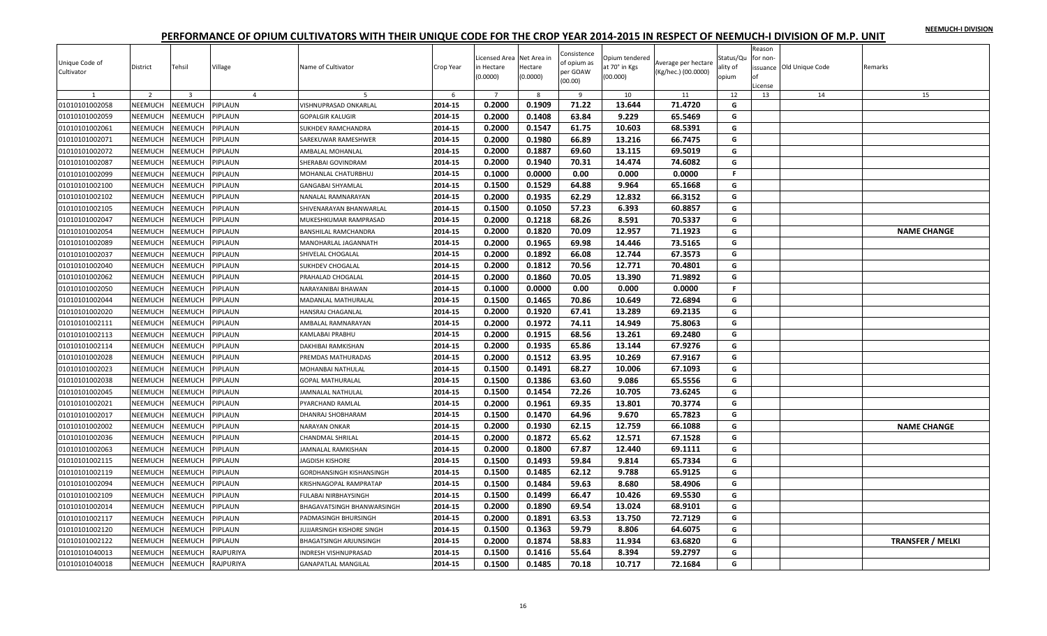|  |  | NEEMUCH-I DIVISION |
|--|--|--------------------|
|  |  |                    |

| Unique Code of<br>Cultivator | District       | Tehsil                  | Village        | Name of Cultivator                                       | Crop Year | Licensed Area Net Area in<br>in Hectare<br>(0.0000) | Hectare<br>(0.0000) | Consistence<br>of opium as<br>per GOAW<br>(00.00) | Opium tendered<br>at 70° in Kgs<br>(00.000) | Average per hectare<br>(Kg/hec.) (00.0000) | Status/Qu<br>ality of<br>opium | Reason<br>for non-<br>Ωf<br>License | issuance Old Unique Code | Remarks                 |
|------------------------------|----------------|-------------------------|----------------|----------------------------------------------------------|-----------|-----------------------------------------------------|---------------------|---------------------------------------------------|---------------------------------------------|--------------------------------------------|--------------------------------|-------------------------------------|--------------------------|-------------------------|
| $\mathbf{1}$                 | 2              | $\overline{\mathbf{3}}$ | $\overline{4}$ | -5                                                       | 6         | $\overline{7}$<br>0.2000                            | 8<br>0.1909         | -9<br>71.22                                       | 10<br>13.644                                | 11<br>71.4720                              | 12                             | 13                                  | 14                       | 15                      |
| 01010101002058               | NEEMUCH        | <b>NEEMUCH</b>          | PIPLAUN        | VISHNUPRASAD ONKARLAL                                    | 2014-15   |                                                     |                     |                                                   |                                             |                                            | G                              |                                     |                          |                         |
| 01010101002059               | NEEMUCH        | <b>NEEMUCH</b>          | PIPLAUN        | <b>GOPALGIR KALUGIR</b>                                  | 2014-15   | 0.2000                                              | 0.1408              | 63.84                                             | 9.229                                       | 65.5469                                    | G                              |                                     |                          |                         |
| 01010101002061               | NEEMUCH        | <b>NEEMUCH</b>          | PIPLAUN        | SUKHDEV RAMCHANDRA                                       | 2014-15   | 0.2000                                              | 0.1547              | 61.75                                             | 10.603                                      | 68.5391                                    | G                              |                                     |                          |                         |
| 01010101002071               | NEEMUCH        | <b>NEEMUCH</b>          | PIPLAUN        | SAREKUWAR RAMESHWER                                      | 2014-15   | 0.2000                                              | 0.1980              | 66.89                                             | 13.216                                      | 66.7475                                    | G                              |                                     |                          |                         |
| 01010101002072               | NEEMUCH        | <b>NEEMUCH</b>          | PIPLAUN        | AMBALAL MOHANLAL                                         | 2014-15   | 0.2000                                              | 0.1887              | 69.60                                             | 13.115                                      | 69.5019                                    | G                              |                                     |                          |                         |
| 01010101002087               | NEEMUCH        | <b>NEEMUCH</b>          | PIPLAUN        | SHERABAI GOVINDRAM                                       | 2014-15   | 0.2000                                              | 0.1940              | 70.31                                             | 14.474                                      | 74.6082                                    | G                              |                                     |                          |                         |
| 01010101002099               | NEEMUCH        | <b>NEEMUCH</b>          | PIPLAUN        | MOHANLAL CHATURBHUJ                                      | 2014-15   | 0.1000                                              | 0.0000              | 0.00                                              | 0.000                                       | 0.0000                                     | F.                             |                                     |                          |                         |
| 01010101002100               | NEEMUCH        | <b>NEEMUCH</b>          | PIPLAUN        | GANGABAI SHYAMLAL                                        | 2014-15   | 0.1500                                              | 0.1529              | 64.88                                             | 9.964                                       | 65.1668                                    | G                              |                                     |                          |                         |
| 01010101002102               | NEEMUCH        | <b>NEEMUCH</b>          | PIPLAUN        | <b>VANALAL RAMNARAYAN</b>                                | 2014-15   | 0.2000                                              | 0.1935              | 62.29                                             | 12.832                                      | 66.3152                                    | G                              |                                     |                          |                         |
| 01010101002105               | NEEMUCH        | <b>NEEMUCH</b>          | PIPLAUN        | SHIVENARAYAN BHANWARLAL                                  | 2014-15   | 0.1500                                              | 0.1050              | 57.23                                             | 6.393                                       | 60.8857                                    | G                              |                                     |                          |                         |
| 01010101002047               | NEEMUCH        | <b>NEEMUCH</b>          | PIPLAUN        | MUKESHKUMAR RAMPRASAD                                    | 2014-15   | 0.2000                                              | 0.1218              | 68.26                                             | 8.591                                       | 70.5337                                    | G                              |                                     |                          |                         |
| 01010101002054               | NEEMUCH        | <b>NEEMUCH</b>          | PIPLAUN        | <b>BANSHILAL RAMCHANDRA</b>                              | 2014-15   | 0.2000                                              | 0.1820              | 70.09                                             | 12.957                                      | 71.1923                                    | G                              |                                     |                          | <b>NAME CHANGE</b>      |
| 01010101002089               | NEEMUCH        | <b>NEEMUCH</b>          | PIPLAUN        | MANOHARLAL JAGANNATH                                     | 2014-15   | 0.2000                                              | 0.1965              | 69.98                                             | 14.446                                      | 73.5165                                    | G                              |                                     |                          |                         |
| 01010101002037               | NEEMUCH        | <b>NEEMUCH</b>          | PIPLAUN        | SHIVELAL CHOGALAL                                        | 2014-15   | 0.2000                                              | 0.1892              | 66.08                                             | 12.744                                      | 67.3573                                    | G                              |                                     |                          |                         |
| 01010101002040               | NEEMUCH        | <b>NEEMUCH</b>          | PIPLAUN        | <b>SUKHDEV CHOGALAL</b>                                  | 2014-15   | 0.2000                                              | 0.1812              | 70.56                                             | 12.771                                      | 70.4801                                    | G                              |                                     |                          |                         |
| 01010101002062               | NEEMUCH        | <b>NEEMUCH</b>          | PIPLAUN        | PRAHALAD CHOGALAL                                        | 2014-15   | 0.2000                                              | 0.1860              | 70.05                                             | 13.390                                      | 71.9892                                    | G                              |                                     |                          |                         |
| 01010101002050               | NEEMUCH        | <b>NEEMUCH</b>          | PIPLAUN        | VARAYANIBAI BHAWAN                                       | 2014-15   | 0.1000                                              | 0.0000              | 0.00                                              | 0.000                                       | 0.0000                                     | F.                             |                                     |                          |                         |
| 01010101002044               | <b>NEEMUCH</b> | <b>NEEMUCH</b>          | PIPLAUN        | MADANLAL MATHURALAL                                      | 2014-15   | 0.1500                                              | 0.1465              | 70.86                                             | 10.649                                      | 72.6894                                    | G                              |                                     |                          |                         |
| 01010101002020               | NEEMUCH        | <b>NEEMUCH</b>          | PIPLAUN        | <b>HANSRAJ CHAGANLAL</b>                                 | 2014-15   | 0.2000                                              | 0.1920              | 67.41                                             | 13.289                                      | 69.2135                                    | G                              |                                     |                          |                         |
| 01010101002111               | NEEMUCH        | <b>NEEMUCH</b>          | PIPLAUN        | <b><i>NMBALAL RAMNARAYAN</i></b>                         | 2014-15   | 0.2000                                              | 0.1972              | 74.11                                             | 14.949                                      | 75.8063                                    | G                              |                                     |                          |                         |
| 01010101002113               | NEEMUCH        | <b>NEEMUCH</b>          | PIPLAUN        | KAMLABAI PRABHU                                          | 2014-15   | 0.2000                                              | 0.1915              | 68.56                                             | 13.261                                      | 69.2480                                    | G                              |                                     |                          |                         |
| 01010101002114               | NEEMUCH        | <b>NEEMUCH</b>          | PIPLAUN        | DAKHIBAI RAMKISHAN                                       | 2014-15   | 0.2000                                              | 0.1935              | 65.86                                             | 13.144                                      | 67.9276                                    | G                              |                                     |                          |                         |
| 01010101002028               | NEEMUCH        | <b>NEEMUCH</b>          | PIPLAUN        | PREMDAS MATHURADAS                                       | 2014-15   | 0.2000                                              | 0.1512              | 63.95                                             | 10.269                                      | 67.9167                                    | G                              |                                     |                          |                         |
| 01010101002023               | NEEMUCH        | <b>NEEMUCH</b>          | PIPLAUN        | MOHANBAI NATHULAL                                        | 2014-15   | 0.1500                                              | 0.1491              | 68.27                                             | 10.006                                      | 67.1093                                    | G                              |                                     |                          |                         |
| 01010101002038               | NEEMUCH        | <b>NEEMUCH</b>          | PIPLAUN        | <b>GOPAL MATHURALAL</b>                                  | 2014-15   | 0.1500                                              | 0.1386              | 63.60                                             | 9.086                                       | 65.5556                                    | G                              |                                     |                          |                         |
| 01010101002045               | NEEMUCH        | <b>NEEMUCH</b>          | PIPLAUN        | AMNALAL NATHULAL                                         | 2014-15   | 0.1500                                              | 0.1454              | 72.26                                             | 10.705                                      | 73.6245                                    | G                              |                                     |                          |                         |
| 01010101002021               | NEEMUCH        | <b>NEEMUCH</b>          | PIPLAUN        | PYARCHAND RAMLAL                                         | 2014-15   | 0.2000                                              | 0.1961              | 69.35                                             | 13.801                                      | 70.3774                                    | G                              |                                     |                          |                         |
| 01010101002017               | NEEMUCH        | <b>NEEMUCH</b>          | PIPLAUN        | <b>DHANRAJ SHOBHARAM</b>                                 | 2014-15   | 0.1500                                              | 0.1470              | 64.96                                             | 9.670                                       | 65.7823                                    | G                              |                                     |                          |                         |
| 01010101002002               | <b>NEEMUCH</b> | <b>NEEMUCH</b>          | PIPLAUN        | <b>NARAYAN ONKAR</b>                                     | 2014-15   | 0.2000                                              | 0.1930              | 62.15                                             | 12.759                                      | 66.1088                                    | G                              |                                     |                          | <b>NAME CHANGE</b>      |
| 01010101002036               | NEEMUCH        | <b>NEEMUCH</b>          | PIPLAUN        | CHANDMAL SHRILAL                                         | 2014-15   | 0.2000                                              | 0.1872              | 65.62                                             | 12.571                                      | 67.1528                                    | G                              |                                     |                          |                         |
| 01010101002063               | NEEMUCH        | <b>NEEMUCH</b>          | PIPLAUN        | AMNALAL RAMKISHAN                                        | 2014-15   | 0.2000                                              | 0.1800              | 67.87                                             | 12.440                                      | 69.1111                                    | G                              |                                     |                          |                         |
| 01010101002115               | NEEMUCH        | <b>NEEMUCH</b>          | PIPLAUN        | <b>AGDISH KISHORE</b>                                    | 2014-15   | 0.1500                                              | 0.1493              | 59.84                                             | 9.814                                       | 65.7334                                    | G                              |                                     |                          |                         |
| 01010101002119               | NEEMUCH        | <b>NEEMUCH</b>          | PIPLAUN        | GORDHANSINGH KISHANSINGH                                 | 2014-15   | 0.1500                                              | 0.1485              | 62.12                                             | 9.788                                       | 65.9125                                    | G                              |                                     |                          |                         |
| 01010101002094               | NEEMUCH        | <b>NEEMUCH</b>          | PIPLAUN        | KRISHNAGOPAL RAMPRATAP                                   | 2014-15   | 0.1500                                              | 0.1484              | 59.63                                             | 8.680                                       | 58.4906                                    | G                              |                                     |                          |                         |
| 01010101002109               | NEEMUCH        | <b>NEEMUCH</b>          | PIPLAUN        | ULABAI NIRBHAYSINGH                                      | 2014-15   | 0.1500                                              | 0.1499              | 66.47                                             | 10.426                                      | 69.5530                                    | G                              |                                     |                          |                         |
| 01010101002014               | NEEMUCH        | <b>NEEMUCH</b>          | PIPLAUN        | BHAGAVATSINGH BHANWARSINGH                               | 2014-15   | 0.2000                                              | 0.1890              | 69.54                                             | 13.024                                      | 68.9101                                    | G                              |                                     |                          |                         |
| 01010101002117               | NEEMUCH        | <b>NEEMUCH</b>          | PIPLAUN        |                                                          | 2014-15   | 0.2000                                              | 0.1891              | 63.53                                             | 13.750                                      | 72.7129                                    | G                              |                                     |                          |                         |
| 01010101002120               | NEEMUCH        | <b>NEEMUCH</b>          | PIPLAUN        | PADMASINGH BHURSINGH<br><b>IUJJARSINGH KISHORE SINGH</b> | 2014-15   | 0.1500                                              | 0.1363              | 59.79                                             | 8.806                                       | 64.6075                                    | G                              |                                     |                          |                         |
|                              |                |                         |                |                                                          |           |                                                     |                     | 58.83                                             | 11.934                                      | 63.6820                                    |                                |                                     |                          |                         |
| 01010101002122               | <b>NEEMUCH</b> | <b>NEEMUCH</b>          | PIPLAUN        | <b>BHAGATSINGH ARJUNSINGH</b>                            | 2014-15   | 0.2000                                              | 0.1874              |                                                   |                                             |                                            | G                              |                                     |                          | <b>TRANSFER / MELKI</b> |
| 01010101040013               | NEEMUCH        | <b>NEEMUCH</b>          | RAJPURIYA      | <b>NDRESH VISHNUPRASAD</b>                               | 2014-15   | 0.1500                                              | 0.1416              | 55.64                                             | 8.394                                       | 59.2797                                    | G                              |                                     |                          |                         |
| 01010101040018               | <b>NEEMUCH</b> | NEEMUCH                 | RAJPURIYA      | <b>GANAPATLAL MANGILAL</b>                               | 2014-15   | 0.1500                                              | 0.1485              | 70.18                                             | 10.717                                      | 72.1684                                    | G                              |                                     |                          |                         |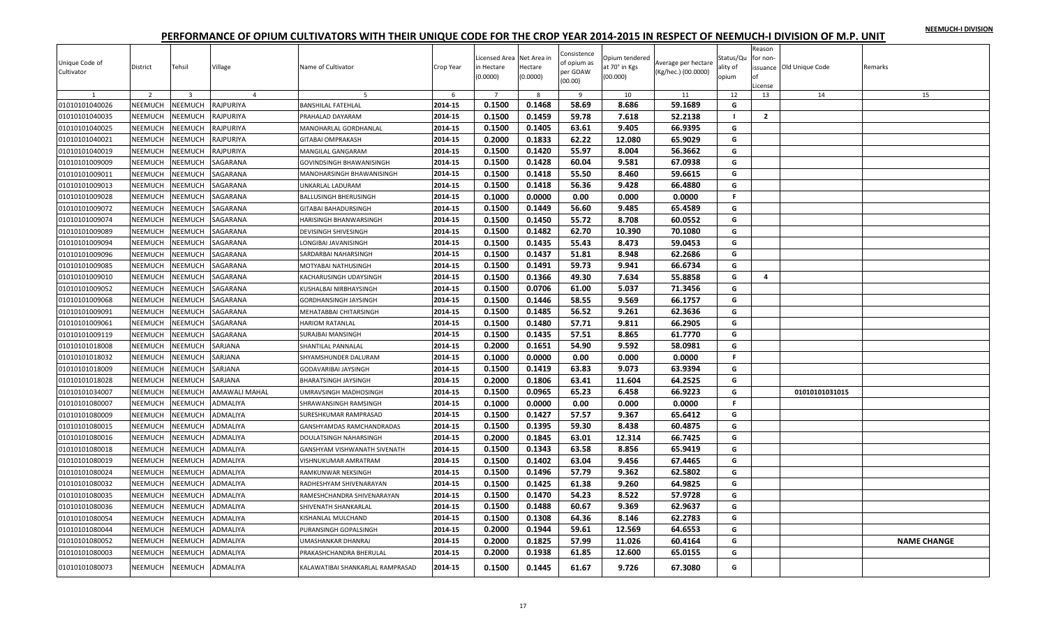|  |  | NEEMUCH-I DIVISION |
|--|--|--------------------|
|  |  |                    |

| Unique Code of<br>Cultivator | District       | Tehsil         | Village         | Name of Cultivator               | Crop Year | Licensed Area Net Area in<br>in Hectare<br>(0.0000) | Hectare<br>(0.0000) | Consistence<br>of opium as<br>per GOAW<br>(00.00) | Opium tendered<br>at 70° in Kgs<br>(00.000) | Average per hectare<br>(Kg/hec.) (00.0000) | Status/Qu<br>ality of<br>opium | Reason<br>for non-<br>оf<br>License | issuance Old Unique Code | Remarks            |
|------------------------------|----------------|----------------|-----------------|----------------------------------|-----------|-----------------------------------------------------|---------------------|---------------------------------------------------|---------------------------------------------|--------------------------------------------|--------------------------------|-------------------------------------|--------------------------|--------------------|
| 1                            | 2              | $\overline{3}$ | $\overline{4}$  | 5                                | 6         | $\overline{7}$                                      | 8                   | 9                                                 | 10                                          | 11                                         | 12                             | 13                                  | 14                       | 15                 |
| 01010101040026               | NEEMUCH        | NEEMUCH        | RAJPURIYA       | <b>BANSHILAL FATEHLAL</b>        | 2014-15   | 0.1500                                              | 0.1468              | 58.69                                             | 8.686                                       | 59.1689                                    | G                              |                                     |                          |                    |
| 01010101040035               | NEEMUCH        | <b>NEEMUCH</b> | RAJPURIYA       | PRAHALAD DAYARAM                 | 2014-15   | 0.1500                                              | 0.1459              | 59.78                                             | 7.618                                       | 52.2138                                    | $\blacksquare$                 | $\overline{2}$                      |                          |                    |
| 01010101040025               | NEEMUCH        | <b>NEEMUCH</b> | RAJPURIYA       | MANOHARLAL GORDHANLAL            | 2014-15   | 0.1500                                              | 0.1405              | 63.61                                             | 9.405                                       | 66.9395                                    | G                              |                                     |                          |                    |
| 01010101040021               | <b>NEEMUCH</b> | <b>NEEMUCH</b> | RAJPURIYA       | <b>GITABAI OMPRAKASH</b>         | 2014-15   | 0.2000                                              | 0.1833              | 62.22                                             | 12.080                                      | 65.9029                                    | G                              |                                     |                          |                    |
| 01010101040019               | <b>NEEMUCH</b> | <b>NEEMUCH</b> | RAJPURIYA       | <b>MANGILAL GANGARAM</b>         | 2014-15   | 0.1500                                              | 0.1420              | 55.97                                             | 8.004                                       | 56.3662                                    | G                              |                                     |                          |                    |
| 01010101009009               | NEEMUCH        | <b>NEEMUCH</b> | SAGARANA        | GOVINDSINGH BHAWANISINGH         | 2014-15   | 0.1500                                              | 0.1428              | 60.04                                             | 9.581                                       | 67.0938                                    | G                              |                                     |                          |                    |
| 01010101009011               | <b>NEEMUCH</b> | <b>NEEMUCH</b> | SAGARANA        | MANOHARSINGH BHAWANISINGH        | 2014-15   | 0.1500                                              | 0.1418              | 55.50                                             | 8.460                                       | 59.6615                                    | G                              |                                     |                          |                    |
| 01010101009013               | NEEMUCH        | <b>NEEMUCH</b> | SAGARANA        | JNKARLAL LADURAM                 | 2014-15   | 0.1500                                              | 0.1418              | 56.36                                             | 9.428                                       | 66.4880                                    | G                              |                                     |                          |                    |
| 01010101009028               | <b>NEEMUCH</b> | NEEMUCH        | SAGARANA        | <b>BALLUSINGH BHERUSINGH</b>     | 2014-15   | 0.1000                                              | 0.0000              | 0.00                                              | 0.000                                       | 0.0000                                     | F.                             |                                     |                          |                    |
| 01010101009072               | NEEMUCH        | <b>NEEMUCH</b> | SAGARANA        | <b>GITABAI BAHADURSINGH</b>      | 2014-15   | 0.1500                                              | 0.1449              | 56.60                                             | 9.485                                       | 65.4589                                    | G                              |                                     |                          |                    |
| 01010101009074               | NEEMUCH        | NEEMUCH        | SAGARANA        | HARISINGH BHANWARSINGH           | 2014-15   | 0.1500                                              | 0.1450              | 55.72                                             | 8.708                                       | 60.0552                                    | G                              |                                     |                          |                    |
| 01010101009089               | NEEMUCH        | <b>NEEMUCH</b> | SAGARANA        | DEVISINGH SHIVESINGH             | 2014-15   | 0.1500                                              | 0.1482              | 62.70                                             | 10.390                                      | 70.1080                                    | G                              |                                     |                          |                    |
| 01010101009094               | NEEMUCH        | <b>NEEMUCH</b> | SAGARANA        | ONGIBAI JAVANISINGH              | 2014-15   | 0.1500                                              | 0.1435              | 55.43                                             | 8.473                                       | 59.0453                                    | G                              |                                     |                          |                    |
| 01010101009096               | NEEMUCH        | <b>NEEMUCH</b> | SAGARANA        | SARDARBAI NAHARSINGH             | 2014-15   | 0.1500                                              | 0.1437              | 51.81                                             | 8.948                                       | 62.2686                                    | G                              |                                     |                          |                    |
| 01010101009085               | <b>NEEMUCH</b> | <b>NEEMUCH</b> | SAGARANA        | MOTYABAI NATHUSINGH              | 2014-15   | 0.1500                                              | 0.1491              | 59.73                                             | 9.941                                       | 66.6734                                    | G                              |                                     |                          |                    |
| 01010101009010               | <b>NEEMUCH</b> | <b>NEEMUCH</b> | SAGARANA        | KACHARUSINGH UDAYSINGH           | 2014-15   | 0.1500                                              | 0.1366              | 49.30                                             | 7.634                                       | 55.8858                                    | G                              | 4                                   |                          |                    |
| 01010101009052               | <b>NEEMUCH</b> | <b>NEEMUCH</b> | SAGARANA        | KUSHALBAI NIRBHAYSINGH           | 2014-15   | 0.1500                                              | 0.0706              | 61.00                                             | 5.037                                       | 71.3456                                    | G                              |                                     |                          |                    |
| 01010101009068               | <b>NEEMUCH</b> | <b>NEEMUCH</b> | SAGARANA        | GORDHANSINGH JAYSINGH            | 2014-15   | 0.1500                                              | 0.1446              | 58.55                                             | 9.569                                       | 66.1757                                    | G                              |                                     |                          |                    |
| 01010101009091               | NEEMUCH        | <b>NEEMUCH</b> | SAGARANA        | MEHATABBAI CHITARSINGH           | 2014-15   | 0.1500                                              | 0.1485              | 56.52                                             | 9.261                                       | 62.3636                                    | G                              |                                     |                          |                    |
| 01010101009061               | NEEMUCH        | <b>NEEMUCH</b> | SAGARANA        | <b>HARIOM RATANLAI</b>           | 2014-15   | 0.1500                                              | 0.1480              | 57.71                                             | 9.811                                       | 66.2905                                    | G                              |                                     |                          |                    |
| 01010101009119               | NEEMUCH        | <b>NEEMUCH</b> | SAGARANA        | SURAJBAI MANSINGH                | 2014-15   | 0.1500                                              | 0.1435              | 57.51                                             | 8.865                                       | 61.7770                                    | G                              |                                     |                          |                    |
| 01010101018008               | NEEMUCH        | NEEMUCH        | SARJANA         | SHANTILAL PANNALAL               | 2014-15   | 0.2000                                              | 0.1651              | 54.90                                             | 9.592                                       | 58.0981                                    | G                              |                                     |                          |                    |
| 01010101018032               | NEEMUCH        | <b>NEEMUCH</b> | SARJANA         | SHYAMSHUNDER DALURAM             | 2014-15   | 0.1000                                              | 0.0000              | 0.00                                              | 0.000                                       | 0.0000                                     | F.                             |                                     |                          |                    |
| 01010101018009               | <b>NEEMUCH</b> | <b>NEEMUCH</b> | SARJANA         | GODAVARIBAI JAYSINGH             | 2014-15   | 0.1500                                              | 0.1419              | 63.83                                             | 9.073                                       | 63.9394                                    | G                              |                                     |                          |                    |
| 01010101018028               | NEEMUCH        | <b>NEEMUCH</b> | SARJANA         | BHARATSINGH JAYSINGH             | 2014-15   | 0.2000                                              | 0.1806              | 63.41                                             | 11.604                                      | 64.2525                                    | G                              |                                     |                          |                    |
| 01010101034007               | NEEMUCH        | <b>NEEMUCH</b> | AMAWALI MAHAL   | JMRAVSINGH MADHOSINGH            | 2014-15   | 0.1500                                              | 0.0965              | 65.23                                             | 6.458                                       | 66.9223                                    | G                              |                                     | 01010101031015           |                    |
| 01010101080007               | <b>NEEMUCH</b> | <b>NEEMUCH</b> | ADMALIYA        | SHRAWANSINGH RAMSINGH            | 2014-15   | 0.1000                                              | 0.0000              | 0.00                                              | 0.000                                       | 0.0000                                     | $\mathbb F$                    |                                     |                          |                    |
| 01010101080009               | <b>NEEMUCH</b> | <b>NEEMUCH</b> | ADMALIYA        | SURESHKUMAR RAMPRASAD            | 2014-15   | 0.1500                                              | 0.1427              | 57.57                                             | 9.367                                       | 65.6412                                    | G                              |                                     |                          |                    |
| 01010101080015               | <b>NEEMUCH</b> | <b>NEEMUCH</b> | ADMALIYA        | GANSHYAMDAS RAMCHANDRADAS        | 2014-15   | 0.1500                                              | 0.1395              | 59.30                                             | 8.438                                       | 60.4875                                    | G                              |                                     |                          |                    |
| 01010101080016               | NEEMUCH        | <b>NEEMUCH</b> | ADMALIYA        | DOULATSINGH NAHARSINGH           | 2014-15   | 0.2000                                              | 0.1845              | 63.01                                             | 12.314                                      | 66.7425                                    | G                              |                                     |                          |                    |
| 01010101080018               | <b>NEEMUCH</b> | NEEMUCH        | ADMALIYA        | GANSHYAM VISHWANATH SIVENATH     | 2014-15   | 0.1500                                              | 0.1343              | 63.58                                             | 8.856                                       | 65.9419                                    | G                              |                                     |                          |                    |
| 01010101080019               | NEEMUCH        | <b>NEEMUCH</b> | ADMALIYA        | VISHNUKUMAR AMRATRAM             | 2014-15   | 0.1500                                              | 0.1402              | 63.04                                             | 9.456                                       | 67.4465                                    | G                              |                                     |                          |                    |
| 01010101080024               | NEEMUCH        | <b>NEEMUCH</b> | ADMALIYA        | RAMKUNWAR NEKSINGH               | 2014-15   | 0.1500                                              | 0.1496              | 57.79                                             | 9.362                                       | 62.5802                                    | G                              |                                     |                          |                    |
| 01010101080032               | NEEMUCH        | <b>NEEMUCH</b> | ADMALIYA        | RADHESHYAM SHIVENARAYAN          | 2014-15   | 0.1500                                              | 0.1425              | 61.38                                             | 9.260                                       | 64.9825                                    | G                              |                                     |                          |                    |
| 01010101080035               | <b>NEEMUCH</b> | <b>NEEMUCH</b> | ADMALIYA        | RAMESHCHANDRA SHIVENARAYAN       | 2014-15   | 0.1500                                              | 0.1470              | 54.23                                             | 8.522                                       | 57.9728                                    | G                              |                                     |                          |                    |
| 01010101080036               | <b>NEEMUCH</b> | <b>NEEMUCH</b> | <b>ADMALIYA</b> | <b>SHIVENATH SHANKARLAL</b>      | 2014-15   | 0.1500                                              | 0.1488              | 60.67                                             | 9.369                                       | 62.9637                                    | G                              |                                     |                          |                    |
|                              |                |                |                 |                                  |           |                                                     |                     |                                                   |                                             |                                            |                                |                                     |                          |                    |
| 01010101080054               | NEEMUCH        | <b>NEEMUCH</b> | ADMALIYA        | KISHANLAL MULCHAND               | 2014-15   | 0.1500                                              | 0.1308              | 64.36                                             | 8.146                                       | 62.2783                                    | G                              |                                     |                          |                    |
| 01010101080044               | <b>NEEMUCH</b> | <b>NEEMUCH</b> | ADMALIYA        | PURANSINGH GOPALSINGH            | 2014-15   | 0.2000                                              | 0.1944              | 59.61                                             | 12.569                                      | 64.6553                                    | G                              |                                     |                          |                    |
| 01010101080052               | NEEMUCH        | <b>NEEMUCH</b> | ADMALIYA        | JMASHANKAR DHANRAJ               | 2014-15   | 0.2000                                              | 0.1825              | 57.99                                             | 11.026                                      | 60.4164                                    | G                              |                                     |                          | <b>NAME CHANGE</b> |
| 01010101080003               | <b>NEEMUCH</b> | <b>NEEMUCH</b> | ADMALIYA        | PRAKASHCHANDRA BHERULAL          | 2014-15   | 0.2000                                              | 0.1938              | 61.85                                             | 12.600                                      | 65.0155                                    | G                              |                                     |                          |                    |
| 01010101080073               | NEEMUCH        | NEEMUCH        | ADMALIYA        | KALAWATIBAI SHANKARLAL RAMPRASAD | 2014-15   | 0.1500                                              | 0.1445              | 61.67                                             | 9.726                                       | 67.3080                                    | G                              |                                     |                          |                    |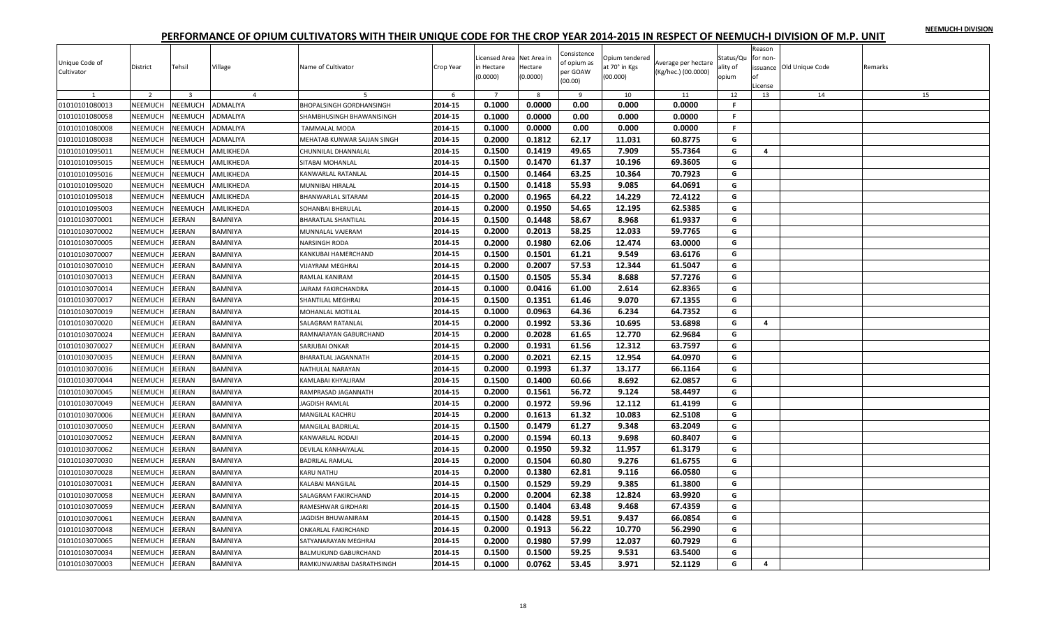| NEEMUCH-I DIVISION |  |
|--------------------|--|
|                    |  |

| Unique Code of<br>Cultivator | District       | Tehsil                  | Village        | Name of Cultivator              | Crop Year | Licensed Area Net Area in<br>in Hectare<br>(0.0000) | Hectare<br>(0.0000) | Consistence<br>of opium as<br>per GOAW<br>(00.00) | Opium tendered<br>at 70° in Kgs<br>(00.000) | Average per hectare<br>(Kg/hec.) (00.0000) | Status/Qu<br>ality of<br>opium | Reason<br>for non-<br>nf<br>License | issuance Old Unique Code | Remarks |
|------------------------------|----------------|-------------------------|----------------|---------------------------------|-----------|-----------------------------------------------------|---------------------|---------------------------------------------------|---------------------------------------------|--------------------------------------------|--------------------------------|-------------------------------------|--------------------------|---------|
|                              | $\overline{2}$ | $\overline{\mathbf{3}}$ | $\overline{4}$ |                                 | -6        | $\overline{7}$                                      | 8                   | - 9                                               | 10                                          | 11                                         | 12                             | 13                                  | 14                       | 15      |
| 01010101080013               | NEEMUCH        | <b>NEEMUCH</b>          | ADMALIYA       | <b>BHOPALSINGH GORDHANSINGH</b> | 2014-15   | 0.1000                                              | 0.0000              | 0.00                                              | 0.000                                       | 0.0000                                     | F.                             |                                     |                          |         |
| 01010101080058               | NEEMUCH        | <b>NEEMUCH</b>          | ADMALIYA       | SHAMBHUSINGH BHAWANISINGH       | 2014-15   | 0.1000                                              | 0.0000              | 0.00                                              | 0.000                                       | 0.0000                                     | F.                             |                                     |                          |         |
| 01010101080008               | NEEMUCH        | NEEMUCH                 | ADMALIYA       | TAMMALAL MODA                   | 2014-15   | 0.1000                                              | 0.0000              | 0.00                                              | 0.000                                       | 0.0000                                     | F.                             |                                     |                          |         |
| 01010101080038               | NEEMUCH        | <b>NEEMUCH</b>          | ADMALIYA       | MEHATAB KUNWAR SAJJAN SINGH     | 2014-15   | 0.2000                                              | 0.1812              | 62.17                                             | 11.031                                      | 60.8775                                    | G                              |                                     |                          |         |
| 01010101095011               | NEEMUCH        | <b>NEEMUCH</b>          | AMLIKHEDA      | CHUNNILAL DHANNALAL             | 2014-15   | 0.1500                                              | 0.1419              | 49.65                                             | 7.909                                       | 55.7364                                    | G                              | $\overline{4}$                      |                          |         |
| 01010101095015               | NEEMUCH        | NEEMUCH                 | AMLIKHEDA      | SITABAI MOHANLAL                | 2014-15   | 0.1500                                              | 0.1470              | 61.37                                             | 10.196                                      | 69.3605                                    | G                              |                                     |                          |         |
| 01010101095016               | NEEMUCH        | NEEMUCH                 | AMLIKHEDA      | KANWARLAL RATANLAL              | 2014-15   | 0.1500                                              | 0.1464              | 63.25                                             | 10.364                                      | 70.7923                                    | G                              |                                     |                          |         |
| 01010101095020               | NEEMUCH        | <b>NEEMUCH</b>          | AMLIKHEDA      | MUNNIBAI HIRALAL                | 2014-15   | 0.1500                                              | 0.1418              | 55.93                                             | 9.085                                       | 64.0691                                    | G                              |                                     |                          |         |
| 01010101095018               | NEEMUCH        | VEEMUCH                 | AMLIKHEDA      | BHANWARLAL SITARAM              | 2014-15   | 0.2000                                              | 0.1965              | 64.22                                             | 14.229                                      | 72.4122                                    | G                              |                                     |                          |         |
| 01010101095003               | NEEMUCH        | <b>NEEMUCH</b>          | AMLIKHEDA      | SOHANBAI BHERULAL               | 2014-15   | 0.2000                                              | 0.1950              | 54.65                                             | 12.195                                      | 62.5385                                    | G                              |                                     |                          |         |
| 01010103070001               | NEEMUCH        | EERAN                   | <b>BAMNIYA</b> | BHARATLAL SHANTILAL             | 2014-15   | 0.1500                                              | 0.1448              | 58.67                                             | 8.968                                       | 61.9337                                    | G                              |                                     |                          |         |
| 01010103070002               | NEEMUCH        | EERAN                   | <b>BAMNIYA</b> | MUNNALAL VAJERAM                | 2014-15   | 0.2000                                              | 0.2013              | 58.25                                             | 12.033                                      | 59.7765                                    | G                              |                                     |                          |         |
| 01010103070005               | NEEMUCH        | EERAN                   | BAMNIYA        | NARSINGH RODA                   | 2014-15   | 0.2000                                              | 0.1980              | 62.06                                             | 12.474                                      | 63.0000                                    | G                              |                                     |                          |         |
| 01010103070007               | NEEMUCH        | EERAN                   | BAMNIYA        | KANKUBAI HAMERCHAND             | 2014-15   | 0.1500                                              | 0.1501              | 61.21                                             | 9.549                                       | 63.6176                                    | G                              |                                     |                          |         |
| 01010103070010               | NEEMUCH        | EERAN                   | <b>BAMNIYA</b> | VIJAYRAM MEGHRAJ                | 2014-15   | 0.2000                                              | 0.2007              | 57.53                                             | 12.344                                      | 61.5047                                    | G                              |                                     |                          |         |
| 01010103070013               | NEEMUCH        | EERAN                   | <b>BAMNIYA</b> | RAMLAL KANIRAM                  | 2014-15   | 0.1500                                              | 0.1505              | 55.34                                             | 8.688                                       | 57.7276                                    | G                              |                                     |                          |         |
| 01010103070014               | NEEMUCH        | EERAN                   | BAMNIYA        | AIRAM FAKIRCHANDRA              | 2014-15   | 0.1000                                              | 0.0416              | 61.00                                             | 2.614                                       | 62.8365                                    | G                              |                                     |                          |         |
| 01010103070017               | NEEMUCH        | EERAN                   | BAMNIYA        | SHANTILAL MEGHRAJ               | 2014-15   | 0.1500                                              | 0.1351              | 61.46                                             | 9.070                                       | 67.1355                                    | G                              |                                     |                          |         |
| 01010103070019               | NEEMUCH        | EERAN                   | <b>BAMNIYA</b> | MOHANLAL MOTILAL                | 2014-15   | 0.1000                                              | 0.0963              | 64.36                                             | 6.234                                       | 64.7352                                    | G                              |                                     |                          |         |
| 01010103070020               | NEEMUCH        | EERAN                   | <b>BAMNIYA</b> | SALAGRAM RATANLAL               | 2014-15   | 0.2000                                              | 0.1992              | 53.36                                             | 10.695                                      | 53.6898                                    | G                              | 4                                   |                          |         |
| 01010103070024               | NEEMUCH        | EERAN                   | BAMNIYA        | RAMNARAYAN GABURCHAND           | 2014-15   | 0.2000                                              | 0.2028              | 61.65                                             | 12.770                                      | 62.9684                                    | G                              |                                     |                          |         |
| 01010103070027               | <b>NEEMUCH</b> | EERAN                   | <b>BAMNIYA</b> | SARJUBAI ONKAR                  | 2014-15   | 0.2000                                              | 0.1931              | 61.56                                             | 12.312                                      | 63.7597                                    | G                              |                                     |                          |         |
| 01010103070035               | <b>NEEMUCH</b> | EERAN                   | <b>BAMNIYA</b> | BHARATLAL JAGANNATH             | 2014-15   | 0.2000                                              | 0.2021              | 62.15                                             | 12.954                                      | 64.0970                                    | G                              |                                     |                          |         |
| 01010103070036               | NEEMUCH        | EERAN                   | BAMNIYA        | NATHULAL NARAYAN                | 2014-15   | 0.2000                                              | 0.1993              | 61.37                                             | 13.177                                      | 66.1164                                    | G                              |                                     |                          |         |
| 01010103070044               | NEEMUCH        | EERAN                   | <b>BAMNIYA</b> | KAMLABAI KHYALIRAM              | 2014-15   | 0.1500                                              | 0.1400              | 60.66                                             | 8.692                                       | 62.0857                                    | G                              |                                     |                          |         |
| 01010103070045               | NEEMUCH        | EERAN                   | <b>BAMNIYA</b> | RAMPRASAD JAGANNATH             | 2014-15   | 0.2000                                              | 0.1561              | 56.72                                             | 9.124                                       | 58.4497                                    | G                              |                                     |                          |         |
| 01010103070049               | <b>NEEMUCH</b> | EERAN                   | <b>BAMNIYA</b> | JAGDISH RAMLAL                  | 2014-15   | 0.2000                                              | 0.1972              | 59.96                                             | 12.112                                      | 61.4199                                    | G                              |                                     |                          |         |
| 01010103070006               | NEEMUCH        | EERAN                   | BAMNIYA        | MANGILAL KACHRU                 | 2014-15   | 0.2000                                              | 0.1613              | 61.32                                             | 10.083                                      | 62.5108                                    | G                              |                                     |                          |         |
| 01010103070050               | NEEMUCH        | EERAN                   | BAMNIYA        | MANGILAL BADRILAL               | 2014-15   | 0.1500                                              | 0.1479              | 61.27                                             | 9.348                                       | 63.2049                                    | G                              |                                     |                          |         |
| 01010103070052               | NEEMUCH        | EERAN                   | <b>BAMNIYA</b> | KANWARLAL RODAJI                | 2014-15   | 0.2000                                              | 0.1594              | 60.13                                             | 9.698                                       | 60.8407                                    | G                              |                                     |                          |         |
| 01010103070062               | NEEMUCH        | EERAN                   | <b>BAMNIYA</b> | DEVILAL KANHAIYALAL             | 2014-15   | 0.2000                                              | 0.1950              | 59.32                                             | 11.957                                      | 61.3179                                    | G                              |                                     |                          |         |
| 01010103070030               | NEEMUCH        | EERAN                   | BAMNIYA        | BADRILAL RAMLAL                 | 2014-15   | 0.2000                                              | 0.1504              | 60.80                                             | 9.276                                       | 61.6755                                    | G                              |                                     |                          |         |
| 01010103070028               | NEEMUCH        | EERAN                   | <b>BAMNIYA</b> | <b>KARU NATHU</b>               | 2014-15   | 0.2000                                              | 0.1380              | 62.81                                             | 9.116                                       | 66.0580                                    | G                              |                                     |                          |         |
| 01010103070031               | NEEMUCH        | EERAN                   | <b>BAMNIYA</b> | KALABAI MANGILAL                | 2014-15   | 0.1500                                              | 0.1529              | 59.29                                             | 9.385                                       | 61.3800                                    | G                              |                                     |                          |         |
|                              | NEEMUCH        | EERAN                   | BAMNIYA        |                                 | 2014-15   | 0.2000                                              | 0.2004              | 62.38                                             | 12.824                                      | 63.9920                                    | G                              |                                     |                          |         |
| 01010103070058               |                |                         |                | SALAGRAM FAKIRCHAND             |           |                                                     |                     |                                                   |                                             |                                            |                                |                                     |                          |         |
| 01010103070059               | NEEMUCH        | EERAN                   | BAMNIYA        | RAMESHWAR GIRDHARI              | 2014-15   | 0.1500                                              | 0.1404              | 63.48                                             | 9.468                                       | 67.4359                                    | G                              |                                     |                          |         |
| 01010103070061               | NEEMUCH        | EERAN                   | <b>BAMNIYA</b> | JAGDISH BHUWANIRAM              | 2014-15   | 0.1500                                              | 0.1428              | 59.51                                             | 9.437                                       | 66.0854                                    | G                              |                                     |                          |         |
| 01010103070048               | NEEMUCH        | EERAN                   | <b>BAMNIYA</b> | ONKARLAL FAKIRCHAND             | 2014-15   | 0.2000                                              | 0.1913              | 56.22                                             | 10.770                                      | 56.2990                                    | G                              |                                     |                          |         |
| 01010103070065               | <b>NEEMUCH</b> | EERAN                   | BAMNIYA        | SATYANARAYAN MEGHRAJ            | 2014-15   | 0.2000                                              | 0.1980              | 57.99                                             | 12.037                                      | 60.7929                                    | G                              |                                     |                          |         |
| 01010103070034               | NEEMUCH        | EERAN                   | <b>BAMNIYA</b> | BALMUKUND GABURCHAND            | 2014-15   | 0.1500                                              | 0.1500              | 59.25                                             | 9.531                                       | 63.5400                                    | G                              |                                     |                          |         |
| 01010103070003               | NEEMUCH        | <b>JEERAN</b>           | <b>BAMNIYA</b> | RAMKUNWARBAI DASRATHSINGH       | 2014-15   | 0.1000                                              | 0.0762              | 53.45                                             | 3.971                                       | 52.1129                                    | G                              | 4                                   |                          |         |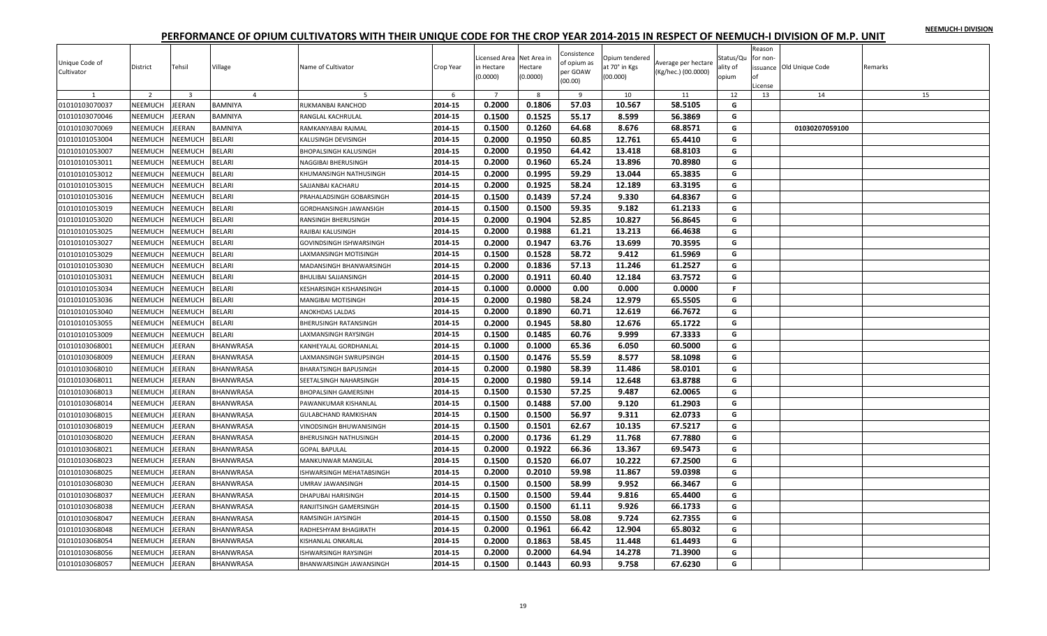|  |  | NEEMUCH-I DIVISION |
|--|--|--------------------|
|  |  |                    |

| 0.2000<br>0.1806<br>57.03<br>10.567<br>58.5105<br>01010103070037<br>NEEMUCH<br>EERAN<br><b>BAMNIYA</b><br>2014-15<br>RUKMANBAI RANCHOD<br>G<br>0.1500<br>0.1525<br>55.17<br>8.599<br>56.3869<br>01010103070046<br><b>NEEMUCH</b><br><b>JEERAN</b><br>2014-15<br>G<br><b>BAMNIYA</b><br>RANGLAL KACHRULAL<br>0.1500<br>0.1260<br>64.68<br>68.8571<br>2014-15<br>8.676<br>G<br>01010103070069<br><b>NEEMUCH</b><br>EERAN<br><b>BAMNIYA</b><br>RAMKANYABAI RAJMAL<br>01030207059100<br><b>NEEMUCH</b><br>2014-15<br>0.1950<br>01010101053004<br><b>NEEMUCH</b><br>BELARI<br>0.2000<br>60.85<br>12.761<br>65.4410<br>G<br>KALUSINGH DEVISINGH<br>0.2000<br>0.1950<br>NEEMUCH<br>2014-15<br>64.42<br>13.418<br>68.8103<br>G<br>01010101053007<br><b>NEEMUCH</b><br>BELARI<br>BHOPALSINGH KALUSINGH<br>NEEMUCH<br>NEEMUCH<br>0.2000<br>0.1960<br>65.24<br>13.896<br>70.8980<br>G<br>01010101053011<br>BELARI<br>2014-15<br>NAGGIBAI BHERUSINGH<br>01010101053012<br>NEEMUCH<br>NEEMUCH<br><b>BELARI</b><br>2014-15<br>0.2000<br>0.1995<br>59.29<br>13.044<br>65.3835<br>G<br>KHUMANSINGH NATHUSINGH<br>0.1925<br>01010101053015<br>NEEMUCH<br><b>NEEMUCH</b><br><b>BELARI</b><br>2014-15<br>0.2000<br>58.24<br>12.189<br>63.3195<br>G<br>SAJJANBAI KACHARU<br>01010101053016<br><b>NEEMUCH</b><br>VEEMUCH<br>BELARI<br>2014-15<br>0.1500<br>0.1439<br>57.24<br>9.330<br>64.8367<br>G<br>PRAHALADSINGH GOBARSINGH<br>59.35<br>01010101053019<br>NEEMUCH<br><b>NEEMUCH</b><br><b>BELARI</b><br>2014-15<br>0.1500<br>0.1500<br>9.182<br>61.2133<br>G<br>GORDHANSINGH JAWANSIGH<br>52.85<br>10.827<br>56.8645<br>NEEMUCH<br>NEEMUCH<br>BELARI<br>2014-15<br>0.2000<br>0.1904<br>G<br>01010101053020<br>RANSINGH BHERUSINGH<br>0.1988<br>2014-15<br>0.2000<br>61.21<br>13.213<br>66.4638<br>01010101053025<br>NEEMUCH<br><b>NEEMUCH</b><br><b>BELARI</b><br>RAJIBAI KALUSINGH<br>G<br>NEEMUCH<br>2014-15<br>0.2000<br>0.1947<br>63.76<br>13.699<br>70.3595<br>G<br>01010101053027<br><b>NEEMUCH</b><br><b>BELARI</b><br>GOVINDSINGH ISHWARSINGH<br>0.1500<br>0.1528<br>58.72<br>9.412<br>61.5969<br><b>BELARI</b><br>2014-15<br>G<br>01010101053029<br>NEEMUCH<br><b>NEEMUCH</b><br>AXMANSINGH MOTISINGH<br>0.1836<br>57.13<br>NEEMUCH<br><b>NEEMUCH</b><br>BELARI<br>2014-15<br>0.2000<br>11.246<br>61.2527<br>G<br>01010101053030<br>MADANSINGH BHANWARSINGH<br>0.2000<br><b>NEEMUCH</b><br>2014-15<br>0.1911<br>60.40<br>12.184<br>63.7572<br>G<br>01010101053031<br><b>NEEMUCH</b><br><b>BELARI</b><br><b>BHULIBAI SAJJANSINGH</b><br>NEEMUCH<br><b>NEEMUCH</b><br>BELARI<br>0.1000<br>0.0000<br>0.00<br>F.<br>01010101053034<br>2014-15<br>0.000<br>0.0000<br>KESHARSINGH KISHANSINGH<br>58.24<br>12.979<br>01010101053036<br>NEEMUCH<br>NEEMUCH<br><b>BELARI</b><br>2014-15<br>0.2000<br>0.1980<br>65.5505<br>G<br>MANGIBAI MOTISINGH<br>0.2000<br>0.1890<br>60.71<br>12.619<br>66.7672<br>01010101053040<br>NEEMUCH<br><b>NEEMUCH</b><br><b>BELARI</b><br>2014-15<br>G<br><b>ANOKHDAS LALDAS</b><br><b>NEEMUCH</b><br>NEEMUCH<br>BELARI<br>2014-15<br>0.2000<br>0.1945<br>58.80<br>12.676<br>65.1722<br>01010101053055<br>G<br>BHERUSINGH RATANSINGH<br>0.1500<br>0.1485<br>60.76<br>9.999<br>67.3333<br>NEEMUCH<br>2014-15<br>G<br>01010101053009<br><b>NEEMUCH</b><br>BELARI<br>LAXMANSINGH RAYSINGH<br>0.1000<br>65.36<br>60.5000<br>NEEMUCH<br><b>JEERAN</b><br>BHANWRASA<br>2014-15<br>0.1000<br>6.050<br>G<br>01010103068001<br>KANHEYALAL GORDHANLAL<br>55.59<br>2014-15<br>0.1500<br>0.1476<br>8.577<br>58.1098<br>01010103068009<br>NEEMUCH<br>EERAN<br><b>BHANWRASA</b><br>AXMANSINGH SWRUPSINGH<br>G<br>NEEMUCH<br>2014-15<br>0.2000<br>0.1980<br>58.39<br>11.486<br>58.0101<br>01010103068010<br><b>JEERAN</b><br>BHANWRASA<br>G<br><b>BHARATSINGH BAPUSINGH</b><br>0.2000<br>0.1980<br>59.14<br>12.648<br>63.8788<br>NEEMUCH<br>2014-15<br>G<br>01010103068011<br>EERAN<br>BHANWRASA<br>SEETALSINGH NAHARSINGH<br>NEEMUCH<br>0.1500<br>0.1530<br>57.25<br>01010103068013<br><b>JEERAN</b><br>2014-15<br>9.487<br>62.0065<br>G<br>BHANWRASA<br><b>BHOPALSINH GAMERSINH</b><br>01010103068014<br>NEEMUCH<br><b>JEERAN</b><br><b>BHANWRASA</b><br>2014-15<br>0.1500<br>0.1488<br>57.00<br>9.120<br>61.2903<br>G<br>PAWANKUMAR KISHANLAL<br>56.97<br>NEEMUCH<br>0.1500<br>0.1500<br>9.311<br>62.0733<br>G<br>01010103068015<br>EERAN<br>BHANWRASA<br>2014-15<br>GULABCHAND RAMKISHAN<br>01010103068019<br>NEEMUCH<br>EERAN<br>BHANWRASA<br>2014-15<br>0.1500<br>0.1501<br>62.67<br>10.135<br>67.5217<br>G<br>VINODSINGH BHUWANISINGH<br>0.1736<br>2014-15<br>0.2000<br>61.29<br>11.768<br>67.7880<br>G<br>01010103068020<br>NEEMUCH<br>EERAN<br>BHANWRASA<br><b>BHERUSINGH NATHUSINGH</b><br>0.1922<br>01010103068021<br>NEEMUCH<br><b>JEERAN</b><br>2014-15<br>0.2000<br>66.36<br>13.367<br>69.5473<br>G<br>BHANWRASA<br><b>GOPAL BAPULAL</b><br>0.1500<br>2014-15<br>0.1520<br>66.07<br>10.222<br>67.2500<br>01010103068023<br>NEEMUCH<br>EERAN<br>G<br>BHANWRASA<br>MANKUNWAR MANGILAL<br>0.2000<br>0.2010<br>59.98<br>11.867<br>59.0398<br>NEEMUCH<br>2014-15<br>G<br>01010103068025<br>EERAN<br>BHANWRASA<br>ISHWARSINGH MEHATABSINGH<br>0.1500<br>2014-15<br>0.1500<br>58.99<br>9.952<br>66.3467<br>01010103068030<br>NEEMUCH<br>EERAN<br><b>BHANWRASA</b><br><b>JMRAV JAWANSINGH</b><br>G<br>0.1500<br>NEEMUCH<br>2014-15<br>0.1500<br>59.44<br>9.816<br>65.4400<br>G<br>01010103068037<br><b>JEERAN</b><br>BHANWRASA<br>DHAPUBAI HARISINGH<br>0.1500<br>0.1500<br>61.11<br>9.926<br>66.1733<br>01010103068038<br>NEEMUCH<br>EERAN<br>BHANWRASA<br>2014-15<br>G<br>RANJITSINGH GAMERSINGH<br>0.1550<br>9.724<br>01010103068047<br>NEEMUCH<br><b>JEERAN</b><br>2014-15<br>0.1500<br>58.08<br>62.7355<br>G<br>BHANWRASA<br>RAMSINGH JAYSINGH<br>01010103068048<br>NEEMUCH<br>EERAN<br><b>BHANWRASA</b><br>2014-15<br>0.2000<br>0.1961<br>66.42<br>12.904<br>65.8032<br>G<br>RADHESHYAM BHAGIRATH<br>0.2000<br>0.1863<br>58.45<br>11.448<br>61.4493<br>G<br>2014-15<br>01010103068054<br>NEEMUCH<br>EERAN<br>BHANWRASA<br>KISHANLAL ONKARLAL<br>14.278<br>01010103068056<br>NEEMUCH<br>EERAN<br>2014-15<br>0.2000<br>0.2000<br>64.94<br>71.3900<br>G<br>BHANWRASA<br>ISHWARSINGH RAYSINGH<br>2014-15<br>0.1500<br>0.1443<br>60.93<br>G<br>9.758<br>67.6230<br>01010103068057<br>NEEMUCH<br><b>JEERAN</b><br>BHANWARSINGH JAWANSINGH<br><b>BHANWRASA</b> | Unique Code of<br>Cultivator | District       | Tehsil                  | Village        | Name of Cultivator | Crop Year | Licensed Area Net Area in<br>in Hectare<br>(0.0000) | Hectare<br>(0.0000) | Consistence<br>of opium as<br>per GOAW<br>(00.00) | Opium tendered<br>at 70° in Kgs<br>(00.000) | Average per hectare<br>(Kg/hec.) (00.0000) | Status/Qu<br>ality of<br>opium | Reason<br>for non-<br>оf<br>License | issuance Old Unique Code | Remarks |
|------------------------------------------------------------------------------------------------------------------------------------------------------------------------------------------------------------------------------------------------------------------------------------------------------------------------------------------------------------------------------------------------------------------------------------------------------------------------------------------------------------------------------------------------------------------------------------------------------------------------------------------------------------------------------------------------------------------------------------------------------------------------------------------------------------------------------------------------------------------------------------------------------------------------------------------------------------------------------------------------------------------------------------------------------------------------------------------------------------------------------------------------------------------------------------------------------------------------------------------------------------------------------------------------------------------------------------------------------------------------------------------------------------------------------------------------------------------------------------------------------------------------------------------------------------------------------------------------------------------------------------------------------------------------------------------------------------------------------------------------------------------------------------------------------------------------------------------------------------------------------------------------------------------------------------------------------------------------------------------------------------------------------------------------------------------------------------------------------------------------------------------------------------------------------------------------------------------------------------------------------------------------------------------------------------------------------------------------------------------------------------------------------------------------------------------------------------------------------------------------------------------------------------------------------------------------------------------------------------------------------------------------------------------------------------------------------------------------------------------------------------------------------------------------------------------------------------------------------------------------------------------------------------------------------------------------------------------------------------------------------------------------------------------------------------------------------------------------------------------------------------------------------------------------------------------------------------------------------------------------------------------------------------------------------------------------------------------------------------------------------------------------------------------------------------------------------------------------------------------------------------------------------------------------------------------------------------------------------------------------------------------------------------------------------------------------------------------------------------------------------------------------------------------------------------------------------------------------------------------------------------------------------------------------------------------------------------------------------------------------------------------------------------------------------------------------------------------------------------------------------------------------------------------------------------------------------------------------------------------------------------------------------------------------------------------------------------------------------------------------------------------------------------------------------------------------------------------------------------------------------------------------------------------------------------------------------------------------------------------------------------------------------------------------------------------------------------------------------------------------------------------------------------------------------------------------------------------------------------------------------------------------------------------------------------------------------------------------------------------------------------------------------------------------------------------------------------------------------------------------------------------------------------------------------------------------------------------------------------------------------------------------------------------------------------------------------------------------------------------------------------------------------------------------------------------------------------------------------------------------------------------------------------------------------------------------------------------------------------------------------------------------------------------------------------------------------------------------------------------------------------------------------------------------------------------------------------------------------------------------------------------------------------------------------------------------------------------------------------------------------------------------------------------------------------------------------------------------------------------------------------------------------------------------------------------------------------------------------------------------------------------------------------------------------------------------------------------------------------------|------------------------------|----------------|-------------------------|----------------|--------------------|-----------|-----------------------------------------------------|---------------------|---------------------------------------------------|---------------------------------------------|--------------------------------------------|--------------------------------|-------------------------------------|--------------------------|---------|
|                                                                                                                                                                                                                                                                                                                                                                                                                                                                                                                                                                                                                                                                                                                                                                                                                                                                                                                                                                                                                                                                                                                                                                                                                                                                                                                                                                                                                                                                                                                                                                                                                                                                                                                                                                                                                                                                                                                                                                                                                                                                                                                                                                                                                                                                                                                                                                                                                                                                                                                                                                                                                                                                                                                                                                                                                                                                                                                                                                                                                                                                                                                                                                                                                                                                                                                                                                                                                                                                                                                                                                                                                                                                                                                                                                                                                                                                                                                                                                                                                                                                                                                                                                                                                                                                                                                                                                                                                                                                                                                                                                                                                                                                                                                                                                                                                                                                                                                                                                                                                                                                                                                                                                                                                                                                                                                                                                                                                                                                                                                                                                                                                                                                                                                                                                                                                                                                                                                                                                                                                                                                                                                                                                                                                                                                                                                                                                  |                              | $\overline{z}$ | $\overline{\mathbf{3}}$ | $\overline{4}$ |                    | 6         | $\overline{7}$                                      | -8                  | - 9                                               | 10                                          | 11                                         | 12                             | 13                                  | 14                       | 15      |
|                                                                                                                                                                                                                                                                                                                                                                                                                                                                                                                                                                                                                                                                                                                                                                                                                                                                                                                                                                                                                                                                                                                                                                                                                                                                                                                                                                                                                                                                                                                                                                                                                                                                                                                                                                                                                                                                                                                                                                                                                                                                                                                                                                                                                                                                                                                                                                                                                                                                                                                                                                                                                                                                                                                                                                                                                                                                                                                                                                                                                                                                                                                                                                                                                                                                                                                                                                                                                                                                                                                                                                                                                                                                                                                                                                                                                                                                                                                                                                                                                                                                                                                                                                                                                                                                                                                                                                                                                                                                                                                                                                                                                                                                                                                                                                                                                                                                                                                                                                                                                                                                                                                                                                                                                                                                                                                                                                                                                                                                                                                                                                                                                                                                                                                                                                                                                                                                                                                                                                                                                                                                                                                                                                                                                                                                                                                                                                  |                              |                |                         |                |                    |           |                                                     |                     |                                                   |                                             |                                            |                                |                                     |                          |         |
|                                                                                                                                                                                                                                                                                                                                                                                                                                                                                                                                                                                                                                                                                                                                                                                                                                                                                                                                                                                                                                                                                                                                                                                                                                                                                                                                                                                                                                                                                                                                                                                                                                                                                                                                                                                                                                                                                                                                                                                                                                                                                                                                                                                                                                                                                                                                                                                                                                                                                                                                                                                                                                                                                                                                                                                                                                                                                                                                                                                                                                                                                                                                                                                                                                                                                                                                                                                                                                                                                                                                                                                                                                                                                                                                                                                                                                                                                                                                                                                                                                                                                                                                                                                                                                                                                                                                                                                                                                                                                                                                                                                                                                                                                                                                                                                                                                                                                                                                                                                                                                                                                                                                                                                                                                                                                                                                                                                                                                                                                                                                                                                                                                                                                                                                                                                                                                                                                                                                                                                                                                                                                                                                                                                                                                                                                                                                                                  |                              |                |                         |                |                    |           |                                                     |                     |                                                   |                                             |                                            |                                |                                     |                          |         |
|                                                                                                                                                                                                                                                                                                                                                                                                                                                                                                                                                                                                                                                                                                                                                                                                                                                                                                                                                                                                                                                                                                                                                                                                                                                                                                                                                                                                                                                                                                                                                                                                                                                                                                                                                                                                                                                                                                                                                                                                                                                                                                                                                                                                                                                                                                                                                                                                                                                                                                                                                                                                                                                                                                                                                                                                                                                                                                                                                                                                                                                                                                                                                                                                                                                                                                                                                                                                                                                                                                                                                                                                                                                                                                                                                                                                                                                                                                                                                                                                                                                                                                                                                                                                                                                                                                                                                                                                                                                                                                                                                                                                                                                                                                                                                                                                                                                                                                                                                                                                                                                                                                                                                                                                                                                                                                                                                                                                                                                                                                                                                                                                                                                                                                                                                                                                                                                                                                                                                                                                                                                                                                                                                                                                                                                                                                                                                                  |                              |                |                         |                |                    |           |                                                     |                     |                                                   |                                             |                                            |                                |                                     |                          |         |
|                                                                                                                                                                                                                                                                                                                                                                                                                                                                                                                                                                                                                                                                                                                                                                                                                                                                                                                                                                                                                                                                                                                                                                                                                                                                                                                                                                                                                                                                                                                                                                                                                                                                                                                                                                                                                                                                                                                                                                                                                                                                                                                                                                                                                                                                                                                                                                                                                                                                                                                                                                                                                                                                                                                                                                                                                                                                                                                                                                                                                                                                                                                                                                                                                                                                                                                                                                                                                                                                                                                                                                                                                                                                                                                                                                                                                                                                                                                                                                                                                                                                                                                                                                                                                                                                                                                                                                                                                                                                                                                                                                                                                                                                                                                                                                                                                                                                                                                                                                                                                                                                                                                                                                                                                                                                                                                                                                                                                                                                                                                                                                                                                                                                                                                                                                                                                                                                                                                                                                                                                                                                                                                                                                                                                                                                                                                                                                  |                              |                |                         |                |                    |           |                                                     |                     |                                                   |                                             |                                            |                                |                                     |                          |         |
|                                                                                                                                                                                                                                                                                                                                                                                                                                                                                                                                                                                                                                                                                                                                                                                                                                                                                                                                                                                                                                                                                                                                                                                                                                                                                                                                                                                                                                                                                                                                                                                                                                                                                                                                                                                                                                                                                                                                                                                                                                                                                                                                                                                                                                                                                                                                                                                                                                                                                                                                                                                                                                                                                                                                                                                                                                                                                                                                                                                                                                                                                                                                                                                                                                                                                                                                                                                                                                                                                                                                                                                                                                                                                                                                                                                                                                                                                                                                                                                                                                                                                                                                                                                                                                                                                                                                                                                                                                                                                                                                                                                                                                                                                                                                                                                                                                                                                                                                                                                                                                                                                                                                                                                                                                                                                                                                                                                                                                                                                                                                                                                                                                                                                                                                                                                                                                                                                                                                                                                                                                                                                                                                                                                                                                                                                                                                                                  |                              |                |                         |                |                    |           |                                                     |                     |                                                   |                                             |                                            |                                |                                     |                          |         |
|                                                                                                                                                                                                                                                                                                                                                                                                                                                                                                                                                                                                                                                                                                                                                                                                                                                                                                                                                                                                                                                                                                                                                                                                                                                                                                                                                                                                                                                                                                                                                                                                                                                                                                                                                                                                                                                                                                                                                                                                                                                                                                                                                                                                                                                                                                                                                                                                                                                                                                                                                                                                                                                                                                                                                                                                                                                                                                                                                                                                                                                                                                                                                                                                                                                                                                                                                                                                                                                                                                                                                                                                                                                                                                                                                                                                                                                                                                                                                                                                                                                                                                                                                                                                                                                                                                                                                                                                                                                                                                                                                                                                                                                                                                                                                                                                                                                                                                                                                                                                                                                                                                                                                                                                                                                                                                                                                                                                                                                                                                                                                                                                                                                                                                                                                                                                                                                                                                                                                                                                                                                                                                                                                                                                                                                                                                                                                                  |                              |                |                         |                |                    |           |                                                     |                     |                                                   |                                             |                                            |                                |                                     |                          |         |
|                                                                                                                                                                                                                                                                                                                                                                                                                                                                                                                                                                                                                                                                                                                                                                                                                                                                                                                                                                                                                                                                                                                                                                                                                                                                                                                                                                                                                                                                                                                                                                                                                                                                                                                                                                                                                                                                                                                                                                                                                                                                                                                                                                                                                                                                                                                                                                                                                                                                                                                                                                                                                                                                                                                                                                                                                                                                                                                                                                                                                                                                                                                                                                                                                                                                                                                                                                                                                                                                                                                                                                                                                                                                                                                                                                                                                                                                                                                                                                                                                                                                                                                                                                                                                                                                                                                                                                                                                                                                                                                                                                                                                                                                                                                                                                                                                                                                                                                                                                                                                                                                                                                                                                                                                                                                                                                                                                                                                                                                                                                                                                                                                                                                                                                                                                                                                                                                                                                                                                                                                                                                                                                                                                                                                                                                                                                                                                  |                              |                |                         |                |                    |           |                                                     |                     |                                                   |                                             |                                            |                                |                                     |                          |         |
|                                                                                                                                                                                                                                                                                                                                                                                                                                                                                                                                                                                                                                                                                                                                                                                                                                                                                                                                                                                                                                                                                                                                                                                                                                                                                                                                                                                                                                                                                                                                                                                                                                                                                                                                                                                                                                                                                                                                                                                                                                                                                                                                                                                                                                                                                                                                                                                                                                                                                                                                                                                                                                                                                                                                                                                                                                                                                                                                                                                                                                                                                                                                                                                                                                                                                                                                                                                                                                                                                                                                                                                                                                                                                                                                                                                                                                                                                                                                                                                                                                                                                                                                                                                                                                                                                                                                                                                                                                                                                                                                                                                                                                                                                                                                                                                                                                                                                                                                                                                                                                                                                                                                                                                                                                                                                                                                                                                                                                                                                                                                                                                                                                                                                                                                                                                                                                                                                                                                                                                                                                                                                                                                                                                                                                                                                                                                                                  |                              |                |                         |                |                    |           |                                                     |                     |                                                   |                                             |                                            |                                |                                     |                          |         |
|                                                                                                                                                                                                                                                                                                                                                                                                                                                                                                                                                                                                                                                                                                                                                                                                                                                                                                                                                                                                                                                                                                                                                                                                                                                                                                                                                                                                                                                                                                                                                                                                                                                                                                                                                                                                                                                                                                                                                                                                                                                                                                                                                                                                                                                                                                                                                                                                                                                                                                                                                                                                                                                                                                                                                                                                                                                                                                                                                                                                                                                                                                                                                                                                                                                                                                                                                                                                                                                                                                                                                                                                                                                                                                                                                                                                                                                                                                                                                                                                                                                                                                                                                                                                                                                                                                                                                                                                                                                                                                                                                                                                                                                                                                                                                                                                                                                                                                                                                                                                                                                                                                                                                                                                                                                                                                                                                                                                                                                                                                                                                                                                                                                                                                                                                                                                                                                                                                                                                                                                                                                                                                                                                                                                                                                                                                                                                                  |                              |                |                         |                |                    |           |                                                     |                     |                                                   |                                             |                                            |                                |                                     |                          |         |
|                                                                                                                                                                                                                                                                                                                                                                                                                                                                                                                                                                                                                                                                                                                                                                                                                                                                                                                                                                                                                                                                                                                                                                                                                                                                                                                                                                                                                                                                                                                                                                                                                                                                                                                                                                                                                                                                                                                                                                                                                                                                                                                                                                                                                                                                                                                                                                                                                                                                                                                                                                                                                                                                                                                                                                                                                                                                                                                                                                                                                                                                                                                                                                                                                                                                                                                                                                                                                                                                                                                                                                                                                                                                                                                                                                                                                                                                                                                                                                                                                                                                                                                                                                                                                                                                                                                                                                                                                                                                                                                                                                                                                                                                                                                                                                                                                                                                                                                                                                                                                                                                                                                                                                                                                                                                                                                                                                                                                                                                                                                                                                                                                                                                                                                                                                                                                                                                                                                                                                                                                                                                                                                                                                                                                                                                                                                                                                  |                              |                |                         |                |                    |           |                                                     |                     |                                                   |                                             |                                            |                                |                                     |                          |         |
|                                                                                                                                                                                                                                                                                                                                                                                                                                                                                                                                                                                                                                                                                                                                                                                                                                                                                                                                                                                                                                                                                                                                                                                                                                                                                                                                                                                                                                                                                                                                                                                                                                                                                                                                                                                                                                                                                                                                                                                                                                                                                                                                                                                                                                                                                                                                                                                                                                                                                                                                                                                                                                                                                                                                                                                                                                                                                                                                                                                                                                                                                                                                                                                                                                                                                                                                                                                                                                                                                                                                                                                                                                                                                                                                                                                                                                                                                                                                                                                                                                                                                                                                                                                                                                                                                                                                                                                                                                                                                                                                                                                                                                                                                                                                                                                                                                                                                                                                                                                                                                                                                                                                                                                                                                                                                                                                                                                                                                                                                                                                                                                                                                                                                                                                                                                                                                                                                                                                                                                                                                                                                                                                                                                                                                                                                                                                                                  |                              |                |                         |                |                    |           |                                                     |                     |                                                   |                                             |                                            |                                |                                     |                          |         |
|                                                                                                                                                                                                                                                                                                                                                                                                                                                                                                                                                                                                                                                                                                                                                                                                                                                                                                                                                                                                                                                                                                                                                                                                                                                                                                                                                                                                                                                                                                                                                                                                                                                                                                                                                                                                                                                                                                                                                                                                                                                                                                                                                                                                                                                                                                                                                                                                                                                                                                                                                                                                                                                                                                                                                                                                                                                                                                                                                                                                                                                                                                                                                                                                                                                                                                                                                                                                                                                                                                                                                                                                                                                                                                                                                                                                                                                                                                                                                                                                                                                                                                                                                                                                                                                                                                                                                                                                                                                                                                                                                                                                                                                                                                                                                                                                                                                                                                                                                                                                                                                                                                                                                                                                                                                                                                                                                                                                                                                                                                                                                                                                                                                                                                                                                                                                                                                                                                                                                                                                                                                                                                                                                                                                                                                                                                                                                                  |                              |                |                         |                |                    |           |                                                     |                     |                                                   |                                             |                                            |                                |                                     |                          |         |
|                                                                                                                                                                                                                                                                                                                                                                                                                                                                                                                                                                                                                                                                                                                                                                                                                                                                                                                                                                                                                                                                                                                                                                                                                                                                                                                                                                                                                                                                                                                                                                                                                                                                                                                                                                                                                                                                                                                                                                                                                                                                                                                                                                                                                                                                                                                                                                                                                                                                                                                                                                                                                                                                                                                                                                                                                                                                                                                                                                                                                                                                                                                                                                                                                                                                                                                                                                                                                                                                                                                                                                                                                                                                                                                                                                                                                                                                                                                                                                                                                                                                                                                                                                                                                                                                                                                                                                                                                                                                                                                                                                                                                                                                                                                                                                                                                                                                                                                                                                                                                                                                                                                                                                                                                                                                                                                                                                                                                                                                                                                                                                                                                                                                                                                                                                                                                                                                                                                                                                                                                                                                                                                                                                                                                                                                                                                                                                  |                              |                |                         |                |                    |           |                                                     |                     |                                                   |                                             |                                            |                                |                                     |                          |         |
|                                                                                                                                                                                                                                                                                                                                                                                                                                                                                                                                                                                                                                                                                                                                                                                                                                                                                                                                                                                                                                                                                                                                                                                                                                                                                                                                                                                                                                                                                                                                                                                                                                                                                                                                                                                                                                                                                                                                                                                                                                                                                                                                                                                                                                                                                                                                                                                                                                                                                                                                                                                                                                                                                                                                                                                                                                                                                                                                                                                                                                                                                                                                                                                                                                                                                                                                                                                                                                                                                                                                                                                                                                                                                                                                                                                                                                                                                                                                                                                                                                                                                                                                                                                                                                                                                                                                                                                                                                                                                                                                                                                                                                                                                                                                                                                                                                                                                                                                                                                                                                                                                                                                                                                                                                                                                                                                                                                                                                                                                                                                                                                                                                                                                                                                                                                                                                                                                                                                                                                                                                                                                                                                                                                                                                                                                                                                                                  |                              |                |                         |                |                    |           |                                                     |                     |                                                   |                                             |                                            |                                |                                     |                          |         |
|                                                                                                                                                                                                                                                                                                                                                                                                                                                                                                                                                                                                                                                                                                                                                                                                                                                                                                                                                                                                                                                                                                                                                                                                                                                                                                                                                                                                                                                                                                                                                                                                                                                                                                                                                                                                                                                                                                                                                                                                                                                                                                                                                                                                                                                                                                                                                                                                                                                                                                                                                                                                                                                                                                                                                                                                                                                                                                                                                                                                                                                                                                                                                                                                                                                                                                                                                                                                                                                                                                                                                                                                                                                                                                                                                                                                                                                                                                                                                                                                                                                                                                                                                                                                                                                                                                                                                                                                                                                                                                                                                                                                                                                                                                                                                                                                                                                                                                                                                                                                                                                                                                                                                                                                                                                                                                                                                                                                                                                                                                                                                                                                                                                                                                                                                                                                                                                                                                                                                                                                                                                                                                                                                                                                                                                                                                                                                                  |                              |                |                         |                |                    |           |                                                     |                     |                                                   |                                             |                                            |                                |                                     |                          |         |
|                                                                                                                                                                                                                                                                                                                                                                                                                                                                                                                                                                                                                                                                                                                                                                                                                                                                                                                                                                                                                                                                                                                                                                                                                                                                                                                                                                                                                                                                                                                                                                                                                                                                                                                                                                                                                                                                                                                                                                                                                                                                                                                                                                                                                                                                                                                                                                                                                                                                                                                                                                                                                                                                                                                                                                                                                                                                                                                                                                                                                                                                                                                                                                                                                                                                                                                                                                                                                                                                                                                                                                                                                                                                                                                                                                                                                                                                                                                                                                                                                                                                                                                                                                                                                                                                                                                                                                                                                                                                                                                                                                                                                                                                                                                                                                                                                                                                                                                                                                                                                                                                                                                                                                                                                                                                                                                                                                                                                                                                                                                                                                                                                                                                                                                                                                                                                                                                                                                                                                                                                                                                                                                                                                                                                                                                                                                                                                  |                              |                |                         |                |                    |           |                                                     |                     |                                                   |                                             |                                            |                                |                                     |                          |         |
|                                                                                                                                                                                                                                                                                                                                                                                                                                                                                                                                                                                                                                                                                                                                                                                                                                                                                                                                                                                                                                                                                                                                                                                                                                                                                                                                                                                                                                                                                                                                                                                                                                                                                                                                                                                                                                                                                                                                                                                                                                                                                                                                                                                                                                                                                                                                                                                                                                                                                                                                                                                                                                                                                                                                                                                                                                                                                                                                                                                                                                                                                                                                                                                                                                                                                                                                                                                                                                                                                                                                                                                                                                                                                                                                                                                                                                                                                                                                                                                                                                                                                                                                                                                                                                                                                                                                                                                                                                                                                                                                                                                                                                                                                                                                                                                                                                                                                                                                                                                                                                                                                                                                                                                                                                                                                                                                                                                                                                                                                                                                                                                                                                                                                                                                                                                                                                                                                                                                                                                                                                                                                                                                                                                                                                                                                                                                                                  |                              |                |                         |                |                    |           |                                                     |                     |                                                   |                                             |                                            |                                |                                     |                          |         |
|                                                                                                                                                                                                                                                                                                                                                                                                                                                                                                                                                                                                                                                                                                                                                                                                                                                                                                                                                                                                                                                                                                                                                                                                                                                                                                                                                                                                                                                                                                                                                                                                                                                                                                                                                                                                                                                                                                                                                                                                                                                                                                                                                                                                                                                                                                                                                                                                                                                                                                                                                                                                                                                                                                                                                                                                                                                                                                                                                                                                                                                                                                                                                                                                                                                                                                                                                                                                                                                                                                                                                                                                                                                                                                                                                                                                                                                                                                                                                                                                                                                                                                                                                                                                                                                                                                                                                                                                                                                                                                                                                                                                                                                                                                                                                                                                                                                                                                                                                                                                                                                                                                                                                                                                                                                                                                                                                                                                                                                                                                                                                                                                                                                                                                                                                                                                                                                                                                                                                                                                                                                                                                                                                                                                                                                                                                                                                                  |                              |                |                         |                |                    |           |                                                     |                     |                                                   |                                             |                                            |                                |                                     |                          |         |
|                                                                                                                                                                                                                                                                                                                                                                                                                                                                                                                                                                                                                                                                                                                                                                                                                                                                                                                                                                                                                                                                                                                                                                                                                                                                                                                                                                                                                                                                                                                                                                                                                                                                                                                                                                                                                                                                                                                                                                                                                                                                                                                                                                                                                                                                                                                                                                                                                                                                                                                                                                                                                                                                                                                                                                                                                                                                                                                                                                                                                                                                                                                                                                                                                                                                                                                                                                                                                                                                                                                                                                                                                                                                                                                                                                                                                                                                                                                                                                                                                                                                                                                                                                                                                                                                                                                                                                                                                                                                                                                                                                                                                                                                                                                                                                                                                                                                                                                                                                                                                                                                                                                                                                                                                                                                                                                                                                                                                                                                                                                                                                                                                                                                                                                                                                                                                                                                                                                                                                                                                                                                                                                                                                                                                                                                                                                                                                  |                              |                |                         |                |                    |           |                                                     |                     |                                                   |                                             |                                            |                                |                                     |                          |         |
|                                                                                                                                                                                                                                                                                                                                                                                                                                                                                                                                                                                                                                                                                                                                                                                                                                                                                                                                                                                                                                                                                                                                                                                                                                                                                                                                                                                                                                                                                                                                                                                                                                                                                                                                                                                                                                                                                                                                                                                                                                                                                                                                                                                                                                                                                                                                                                                                                                                                                                                                                                                                                                                                                                                                                                                                                                                                                                                                                                                                                                                                                                                                                                                                                                                                                                                                                                                                                                                                                                                                                                                                                                                                                                                                                                                                                                                                                                                                                                                                                                                                                                                                                                                                                                                                                                                                                                                                                                                                                                                                                                                                                                                                                                                                                                                                                                                                                                                                                                                                                                                                                                                                                                                                                                                                                                                                                                                                                                                                                                                                                                                                                                                                                                                                                                                                                                                                                                                                                                                                                                                                                                                                                                                                                                                                                                                                                                  |                              |                |                         |                |                    |           |                                                     |                     |                                                   |                                             |                                            |                                |                                     |                          |         |
|                                                                                                                                                                                                                                                                                                                                                                                                                                                                                                                                                                                                                                                                                                                                                                                                                                                                                                                                                                                                                                                                                                                                                                                                                                                                                                                                                                                                                                                                                                                                                                                                                                                                                                                                                                                                                                                                                                                                                                                                                                                                                                                                                                                                                                                                                                                                                                                                                                                                                                                                                                                                                                                                                                                                                                                                                                                                                                                                                                                                                                                                                                                                                                                                                                                                                                                                                                                                                                                                                                                                                                                                                                                                                                                                                                                                                                                                                                                                                                                                                                                                                                                                                                                                                                                                                                                                                                                                                                                                                                                                                                                                                                                                                                                                                                                                                                                                                                                                                                                                                                                                                                                                                                                                                                                                                                                                                                                                                                                                                                                                                                                                                                                                                                                                                                                                                                                                                                                                                                                                                                                                                                                                                                                                                                                                                                                                                                  |                              |                |                         |                |                    |           |                                                     |                     |                                                   |                                             |                                            |                                |                                     |                          |         |
|                                                                                                                                                                                                                                                                                                                                                                                                                                                                                                                                                                                                                                                                                                                                                                                                                                                                                                                                                                                                                                                                                                                                                                                                                                                                                                                                                                                                                                                                                                                                                                                                                                                                                                                                                                                                                                                                                                                                                                                                                                                                                                                                                                                                                                                                                                                                                                                                                                                                                                                                                                                                                                                                                                                                                                                                                                                                                                                                                                                                                                                                                                                                                                                                                                                                                                                                                                                                                                                                                                                                                                                                                                                                                                                                                                                                                                                                                                                                                                                                                                                                                                                                                                                                                                                                                                                                                                                                                                                                                                                                                                                                                                                                                                                                                                                                                                                                                                                                                                                                                                                                                                                                                                                                                                                                                                                                                                                                                                                                                                                                                                                                                                                                                                                                                                                                                                                                                                                                                                                                                                                                                                                                                                                                                                                                                                                                                                  |                              |                |                         |                |                    |           |                                                     |                     |                                                   |                                             |                                            |                                |                                     |                          |         |
|                                                                                                                                                                                                                                                                                                                                                                                                                                                                                                                                                                                                                                                                                                                                                                                                                                                                                                                                                                                                                                                                                                                                                                                                                                                                                                                                                                                                                                                                                                                                                                                                                                                                                                                                                                                                                                                                                                                                                                                                                                                                                                                                                                                                                                                                                                                                                                                                                                                                                                                                                                                                                                                                                                                                                                                                                                                                                                                                                                                                                                                                                                                                                                                                                                                                                                                                                                                                                                                                                                                                                                                                                                                                                                                                                                                                                                                                                                                                                                                                                                                                                                                                                                                                                                                                                                                                                                                                                                                                                                                                                                                                                                                                                                                                                                                                                                                                                                                                                                                                                                                                                                                                                                                                                                                                                                                                                                                                                                                                                                                                                                                                                                                                                                                                                                                                                                                                                                                                                                                                                                                                                                                                                                                                                                                                                                                                                                  |                              |                |                         |                |                    |           |                                                     |                     |                                                   |                                             |                                            |                                |                                     |                          |         |
|                                                                                                                                                                                                                                                                                                                                                                                                                                                                                                                                                                                                                                                                                                                                                                                                                                                                                                                                                                                                                                                                                                                                                                                                                                                                                                                                                                                                                                                                                                                                                                                                                                                                                                                                                                                                                                                                                                                                                                                                                                                                                                                                                                                                                                                                                                                                                                                                                                                                                                                                                                                                                                                                                                                                                                                                                                                                                                                                                                                                                                                                                                                                                                                                                                                                                                                                                                                                                                                                                                                                                                                                                                                                                                                                                                                                                                                                                                                                                                                                                                                                                                                                                                                                                                                                                                                                                                                                                                                                                                                                                                                                                                                                                                                                                                                                                                                                                                                                                                                                                                                                                                                                                                                                                                                                                                                                                                                                                                                                                                                                                                                                                                                                                                                                                                                                                                                                                                                                                                                                                                                                                                                                                                                                                                                                                                                                                                  |                              |                |                         |                |                    |           |                                                     |                     |                                                   |                                             |                                            |                                |                                     |                          |         |
|                                                                                                                                                                                                                                                                                                                                                                                                                                                                                                                                                                                                                                                                                                                                                                                                                                                                                                                                                                                                                                                                                                                                                                                                                                                                                                                                                                                                                                                                                                                                                                                                                                                                                                                                                                                                                                                                                                                                                                                                                                                                                                                                                                                                                                                                                                                                                                                                                                                                                                                                                                                                                                                                                                                                                                                                                                                                                                                                                                                                                                                                                                                                                                                                                                                                                                                                                                                                                                                                                                                                                                                                                                                                                                                                                                                                                                                                                                                                                                                                                                                                                                                                                                                                                                                                                                                                                                                                                                                                                                                                                                                                                                                                                                                                                                                                                                                                                                                                                                                                                                                                                                                                                                                                                                                                                                                                                                                                                                                                                                                                                                                                                                                                                                                                                                                                                                                                                                                                                                                                                                                                                                                                                                                                                                                                                                                                                                  |                              |                |                         |                |                    |           |                                                     |                     |                                                   |                                             |                                            |                                |                                     |                          |         |
|                                                                                                                                                                                                                                                                                                                                                                                                                                                                                                                                                                                                                                                                                                                                                                                                                                                                                                                                                                                                                                                                                                                                                                                                                                                                                                                                                                                                                                                                                                                                                                                                                                                                                                                                                                                                                                                                                                                                                                                                                                                                                                                                                                                                                                                                                                                                                                                                                                                                                                                                                                                                                                                                                                                                                                                                                                                                                                                                                                                                                                                                                                                                                                                                                                                                                                                                                                                                                                                                                                                                                                                                                                                                                                                                                                                                                                                                                                                                                                                                                                                                                                                                                                                                                                                                                                                                                                                                                                                                                                                                                                                                                                                                                                                                                                                                                                                                                                                                                                                                                                                                                                                                                                                                                                                                                                                                                                                                                                                                                                                                                                                                                                                                                                                                                                                                                                                                                                                                                                                                                                                                                                                                                                                                                                                                                                                                                                  |                              |                |                         |                |                    |           |                                                     |                     |                                                   |                                             |                                            |                                |                                     |                          |         |
|                                                                                                                                                                                                                                                                                                                                                                                                                                                                                                                                                                                                                                                                                                                                                                                                                                                                                                                                                                                                                                                                                                                                                                                                                                                                                                                                                                                                                                                                                                                                                                                                                                                                                                                                                                                                                                                                                                                                                                                                                                                                                                                                                                                                                                                                                                                                                                                                                                                                                                                                                                                                                                                                                                                                                                                                                                                                                                                                                                                                                                                                                                                                                                                                                                                                                                                                                                                                                                                                                                                                                                                                                                                                                                                                                                                                                                                                                                                                                                                                                                                                                                                                                                                                                                                                                                                                                                                                                                                                                                                                                                                                                                                                                                                                                                                                                                                                                                                                                                                                                                                                                                                                                                                                                                                                                                                                                                                                                                                                                                                                                                                                                                                                                                                                                                                                                                                                                                                                                                                                                                                                                                                                                                                                                                                                                                                                                                  |                              |                |                         |                |                    |           |                                                     |                     |                                                   |                                             |                                            |                                |                                     |                          |         |
|                                                                                                                                                                                                                                                                                                                                                                                                                                                                                                                                                                                                                                                                                                                                                                                                                                                                                                                                                                                                                                                                                                                                                                                                                                                                                                                                                                                                                                                                                                                                                                                                                                                                                                                                                                                                                                                                                                                                                                                                                                                                                                                                                                                                                                                                                                                                                                                                                                                                                                                                                                                                                                                                                                                                                                                                                                                                                                                                                                                                                                                                                                                                                                                                                                                                                                                                                                                                                                                                                                                                                                                                                                                                                                                                                                                                                                                                                                                                                                                                                                                                                                                                                                                                                                                                                                                                                                                                                                                                                                                                                                                                                                                                                                                                                                                                                                                                                                                                                                                                                                                                                                                                                                                                                                                                                                                                                                                                                                                                                                                                                                                                                                                                                                                                                                                                                                                                                                                                                                                                                                                                                                                                                                                                                                                                                                                                                                  |                              |                |                         |                |                    |           |                                                     |                     |                                                   |                                             |                                            |                                |                                     |                          |         |
|                                                                                                                                                                                                                                                                                                                                                                                                                                                                                                                                                                                                                                                                                                                                                                                                                                                                                                                                                                                                                                                                                                                                                                                                                                                                                                                                                                                                                                                                                                                                                                                                                                                                                                                                                                                                                                                                                                                                                                                                                                                                                                                                                                                                                                                                                                                                                                                                                                                                                                                                                                                                                                                                                                                                                                                                                                                                                                                                                                                                                                                                                                                                                                                                                                                                                                                                                                                                                                                                                                                                                                                                                                                                                                                                                                                                                                                                                                                                                                                                                                                                                                                                                                                                                                                                                                                                                                                                                                                                                                                                                                                                                                                                                                                                                                                                                                                                                                                                                                                                                                                                                                                                                                                                                                                                                                                                                                                                                                                                                                                                                                                                                                                                                                                                                                                                                                                                                                                                                                                                                                                                                                                                                                                                                                                                                                                                                                  |                              |                |                         |                |                    |           |                                                     |                     |                                                   |                                             |                                            |                                |                                     |                          |         |
|                                                                                                                                                                                                                                                                                                                                                                                                                                                                                                                                                                                                                                                                                                                                                                                                                                                                                                                                                                                                                                                                                                                                                                                                                                                                                                                                                                                                                                                                                                                                                                                                                                                                                                                                                                                                                                                                                                                                                                                                                                                                                                                                                                                                                                                                                                                                                                                                                                                                                                                                                                                                                                                                                                                                                                                                                                                                                                                                                                                                                                                                                                                                                                                                                                                                                                                                                                                                                                                                                                                                                                                                                                                                                                                                                                                                                                                                                                                                                                                                                                                                                                                                                                                                                                                                                                                                                                                                                                                                                                                                                                                                                                                                                                                                                                                                                                                                                                                                                                                                                                                                                                                                                                                                                                                                                                                                                                                                                                                                                                                                                                                                                                                                                                                                                                                                                                                                                                                                                                                                                                                                                                                                                                                                                                                                                                                                                                  |                              |                |                         |                |                    |           |                                                     |                     |                                                   |                                             |                                            |                                |                                     |                          |         |
|                                                                                                                                                                                                                                                                                                                                                                                                                                                                                                                                                                                                                                                                                                                                                                                                                                                                                                                                                                                                                                                                                                                                                                                                                                                                                                                                                                                                                                                                                                                                                                                                                                                                                                                                                                                                                                                                                                                                                                                                                                                                                                                                                                                                                                                                                                                                                                                                                                                                                                                                                                                                                                                                                                                                                                                                                                                                                                                                                                                                                                                                                                                                                                                                                                                                                                                                                                                                                                                                                                                                                                                                                                                                                                                                                                                                                                                                                                                                                                                                                                                                                                                                                                                                                                                                                                                                                                                                                                                                                                                                                                                                                                                                                                                                                                                                                                                                                                                                                                                                                                                                                                                                                                                                                                                                                                                                                                                                                                                                                                                                                                                                                                                                                                                                                                                                                                                                                                                                                                                                                                                                                                                                                                                                                                                                                                                                                                  |                              |                |                         |                |                    |           |                                                     |                     |                                                   |                                             |                                            |                                |                                     |                          |         |
|                                                                                                                                                                                                                                                                                                                                                                                                                                                                                                                                                                                                                                                                                                                                                                                                                                                                                                                                                                                                                                                                                                                                                                                                                                                                                                                                                                                                                                                                                                                                                                                                                                                                                                                                                                                                                                                                                                                                                                                                                                                                                                                                                                                                                                                                                                                                                                                                                                                                                                                                                                                                                                                                                                                                                                                                                                                                                                                                                                                                                                                                                                                                                                                                                                                                                                                                                                                                                                                                                                                                                                                                                                                                                                                                                                                                                                                                                                                                                                                                                                                                                                                                                                                                                                                                                                                                                                                                                                                                                                                                                                                                                                                                                                                                                                                                                                                                                                                                                                                                                                                                                                                                                                                                                                                                                                                                                                                                                                                                                                                                                                                                                                                                                                                                                                                                                                                                                                                                                                                                                                                                                                                                                                                                                                                                                                                                                                  |                              |                |                         |                |                    |           |                                                     |                     |                                                   |                                             |                                            |                                |                                     |                          |         |
|                                                                                                                                                                                                                                                                                                                                                                                                                                                                                                                                                                                                                                                                                                                                                                                                                                                                                                                                                                                                                                                                                                                                                                                                                                                                                                                                                                                                                                                                                                                                                                                                                                                                                                                                                                                                                                                                                                                                                                                                                                                                                                                                                                                                                                                                                                                                                                                                                                                                                                                                                                                                                                                                                                                                                                                                                                                                                                                                                                                                                                                                                                                                                                                                                                                                                                                                                                                                                                                                                                                                                                                                                                                                                                                                                                                                                                                                                                                                                                                                                                                                                                                                                                                                                                                                                                                                                                                                                                                                                                                                                                                                                                                                                                                                                                                                                                                                                                                                                                                                                                                                                                                                                                                                                                                                                                                                                                                                                                                                                                                                                                                                                                                                                                                                                                                                                                                                                                                                                                                                                                                                                                                                                                                                                                                                                                                                                                  |                              |                |                         |                |                    |           |                                                     |                     |                                                   |                                             |                                            |                                |                                     |                          |         |
|                                                                                                                                                                                                                                                                                                                                                                                                                                                                                                                                                                                                                                                                                                                                                                                                                                                                                                                                                                                                                                                                                                                                                                                                                                                                                                                                                                                                                                                                                                                                                                                                                                                                                                                                                                                                                                                                                                                                                                                                                                                                                                                                                                                                                                                                                                                                                                                                                                                                                                                                                                                                                                                                                                                                                                                                                                                                                                                                                                                                                                                                                                                                                                                                                                                                                                                                                                                                                                                                                                                                                                                                                                                                                                                                                                                                                                                                                                                                                                                                                                                                                                                                                                                                                                                                                                                                                                                                                                                                                                                                                                                                                                                                                                                                                                                                                                                                                                                                                                                                                                                                                                                                                                                                                                                                                                                                                                                                                                                                                                                                                                                                                                                                                                                                                                                                                                                                                                                                                                                                                                                                                                                                                                                                                                                                                                                                                                  |                              |                |                         |                |                    |           |                                                     |                     |                                                   |                                             |                                            |                                |                                     |                          |         |
|                                                                                                                                                                                                                                                                                                                                                                                                                                                                                                                                                                                                                                                                                                                                                                                                                                                                                                                                                                                                                                                                                                                                                                                                                                                                                                                                                                                                                                                                                                                                                                                                                                                                                                                                                                                                                                                                                                                                                                                                                                                                                                                                                                                                                                                                                                                                                                                                                                                                                                                                                                                                                                                                                                                                                                                                                                                                                                                                                                                                                                                                                                                                                                                                                                                                                                                                                                                                                                                                                                                                                                                                                                                                                                                                                                                                                                                                                                                                                                                                                                                                                                                                                                                                                                                                                                                                                                                                                                                                                                                                                                                                                                                                                                                                                                                                                                                                                                                                                                                                                                                                                                                                                                                                                                                                                                                                                                                                                                                                                                                                                                                                                                                                                                                                                                                                                                                                                                                                                                                                                                                                                                                                                                                                                                                                                                                                                                  |                              |                |                         |                |                    |           |                                                     |                     |                                                   |                                             |                                            |                                |                                     |                          |         |
|                                                                                                                                                                                                                                                                                                                                                                                                                                                                                                                                                                                                                                                                                                                                                                                                                                                                                                                                                                                                                                                                                                                                                                                                                                                                                                                                                                                                                                                                                                                                                                                                                                                                                                                                                                                                                                                                                                                                                                                                                                                                                                                                                                                                                                                                                                                                                                                                                                                                                                                                                                                                                                                                                                                                                                                                                                                                                                                                                                                                                                                                                                                                                                                                                                                                                                                                                                                                                                                                                                                                                                                                                                                                                                                                                                                                                                                                                                                                                                                                                                                                                                                                                                                                                                                                                                                                                                                                                                                                                                                                                                                                                                                                                                                                                                                                                                                                                                                                                                                                                                                                                                                                                                                                                                                                                                                                                                                                                                                                                                                                                                                                                                                                                                                                                                                                                                                                                                                                                                                                                                                                                                                                                                                                                                                                                                                                                                  |                              |                |                         |                |                    |           |                                                     |                     |                                                   |                                             |                                            |                                |                                     |                          |         |
|                                                                                                                                                                                                                                                                                                                                                                                                                                                                                                                                                                                                                                                                                                                                                                                                                                                                                                                                                                                                                                                                                                                                                                                                                                                                                                                                                                                                                                                                                                                                                                                                                                                                                                                                                                                                                                                                                                                                                                                                                                                                                                                                                                                                                                                                                                                                                                                                                                                                                                                                                                                                                                                                                                                                                                                                                                                                                                                                                                                                                                                                                                                                                                                                                                                                                                                                                                                                                                                                                                                                                                                                                                                                                                                                                                                                                                                                                                                                                                                                                                                                                                                                                                                                                                                                                                                                                                                                                                                                                                                                                                                                                                                                                                                                                                                                                                                                                                                                                                                                                                                                                                                                                                                                                                                                                                                                                                                                                                                                                                                                                                                                                                                                                                                                                                                                                                                                                                                                                                                                                                                                                                                                                                                                                                                                                                                                                                  |                              |                |                         |                |                    |           |                                                     |                     |                                                   |                                             |                                            |                                |                                     |                          |         |
|                                                                                                                                                                                                                                                                                                                                                                                                                                                                                                                                                                                                                                                                                                                                                                                                                                                                                                                                                                                                                                                                                                                                                                                                                                                                                                                                                                                                                                                                                                                                                                                                                                                                                                                                                                                                                                                                                                                                                                                                                                                                                                                                                                                                                                                                                                                                                                                                                                                                                                                                                                                                                                                                                                                                                                                                                                                                                                                                                                                                                                                                                                                                                                                                                                                                                                                                                                                                                                                                                                                                                                                                                                                                                                                                                                                                                                                                                                                                                                                                                                                                                                                                                                                                                                                                                                                                                                                                                                                                                                                                                                                                                                                                                                                                                                                                                                                                                                                                                                                                                                                                                                                                                                                                                                                                                                                                                                                                                                                                                                                                                                                                                                                                                                                                                                                                                                                                                                                                                                                                                                                                                                                                                                                                                                                                                                                                                                  |                              |                |                         |                |                    |           |                                                     |                     |                                                   |                                             |                                            |                                |                                     |                          |         |
|                                                                                                                                                                                                                                                                                                                                                                                                                                                                                                                                                                                                                                                                                                                                                                                                                                                                                                                                                                                                                                                                                                                                                                                                                                                                                                                                                                                                                                                                                                                                                                                                                                                                                                                                                                                                                                                                                                                                                                                                                                                                                                                                                                                                                                                                                                                                                                                                                                                                                                                                                                                                                                                                                                                                                                                                                                                                                                                                                                                                                                                                                                                                                                                                                                                                                                                                                                                                                                                                                                                                                                                                                                                                                                                                                                                                                                                                                                                                                                                                                                                                                                                                                                                                                                                                                                                                                                                                                                                                                                                                                                                                                                                                                                                                                                                                                                                                                                                                                                                                                                                                                                                                                                                                                                                                                                                                                                                                                                                                                                                                                                                                                                                                                                                                                                                                                                                                                                                                                                                                                                                                                                                                                                                                                                                                                                                                                                  |                              |                |                         |                |                    |           |                                                     |                     |                                                   |                                             |                                            |                                |                                     |                          |         |
|                                                                                                                                                                                                                                                                                                                                                                                                                                                                                                                                                                                                                                                                                                                                                                                                                                                                                                                                                                                                                                                                                                                                                                                                                                                                                                                                                                                                                                                                                                                                                                                                                                                                                                                                                                                                                                                                                                                                                                                                                                                                                                                                                                                                                                                                                                                                                                                                                                                                                                                                                                                                                                                                                                                                                                                                                                                                                                                                                                                                                                                                                                                                                                                                                                                                                                                                                                                                                                                                                                                                                                                                                                                                                                                                                                                                                                                                                                                                                                                                                                                                                                                                                                                                                                                                                                                                                                                                                                                                                                                                                                                                                                                                                                                                                                                                                                                                                                                                                                                                                                                                                                                                                                                                                                                                                                                                                                                                                                                                                                                                                                                                                                                                                                                                                                                                                                                                                                                                                                                                                                                                                                                                                                                                                                                                                                                                                                  |                              |                |                         |                |                    |           |                                                     |                     |                                                   |                                             |                                            |                                |                                     |                          |         |
|                                                                                                                                                                                                                                                                                                                                                                                                                                                                                                                                                                                                                                                                                                                                                                                                                                                                                                                                                                                                                                                                                                                                                                                                                                                                                                                                                                                                                                                                                                                                                                                                                                                                                                                                                                                                                                                                                                                                                                                                                                                                                                                                                                                                                                                                                                                                                                                                                                                                                                                                                                                                                                                                                                                                                                                                                                                                                                                                                                                                                                                                                                                                                                                                                                                                                                                                                                                                                                                                                                                                                                                                                                                                                                                                                                                                                                                                                                                                                                                                                                                                                                                                                                                                                                                                                                                                                                                                                                                                                                                                                                                                                                                                                                                                                                                                                                                                                                                                                                                                                                                                                                                                                                                                                                                                                                                                                                                                                                                                                                                                                                                                                                                                                                                                                                                                                                                                                                                                                                                                                                                                                                                                                                                                                                                                                                                                                                  |                              |                |                         |                |                    |           |                                                     |                     |                                                   |                                             |                                            |                                |                                     |                          |         |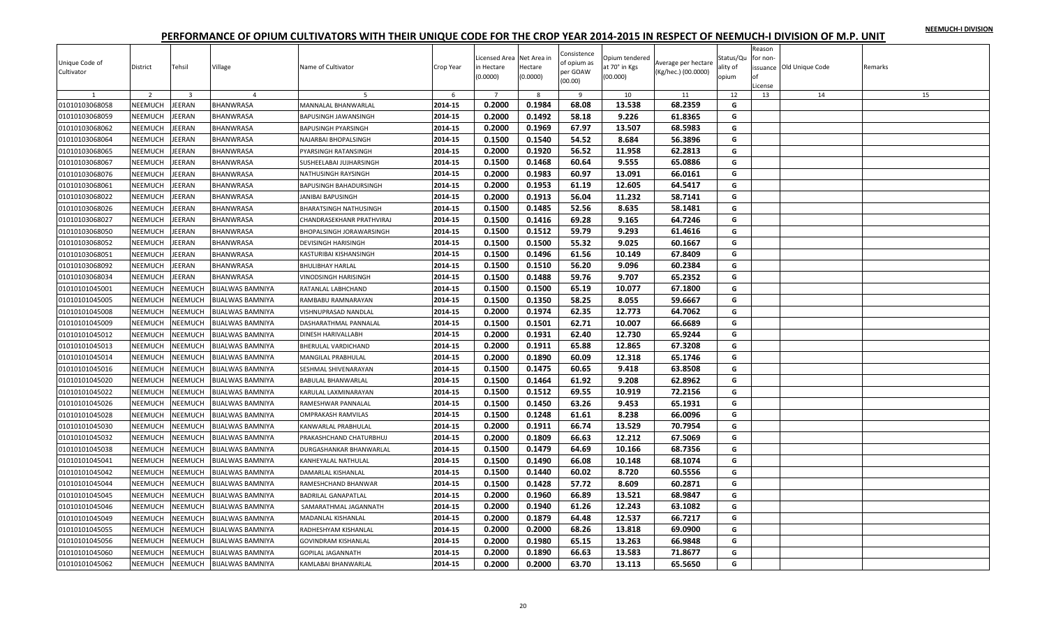|  |  | NEEMUCH-I DIVISION |
|--|--|--------------------|
|  |  |                    |

| Unique Code of<br>Cultivator | District<br>$\overline{\phantom{a}}$ | Tehsil         | Village<br>$\overline{4}$ | Name of Cultivator         | Crop Year<br>-6 | Licensed Area Net Area in<br>in Hectare<br>(0.0000) | Hectare<br>(0.0000) | Consistence<br>of opium as<br>per GOAW<br>(00.00)<br>9 | Opium tendered<br>at 70° in Kgs<br>(00.000)<br>10 | Average per hectare<br>(Kg/hec.) (00.0000)<br>11 | Status/Qu<br>ality of<br>opium<br>12 | Reason<br>for non-<br>of<br>License<br>13 | issuance Old Unique Code<br>14 | Remarks<br>15 |
|------------------------------|--------------------------------------|----------------|---------------------------|----------------------------|-----------------|-----------------------------------------------------|---------------------|--------------------------------------------------------|---------------------------------------------------|--------------------------------------------------|--------------------------------------|-------------------------------------------|--------------------------------|---------------|
| 01010103068058               | NEEMUCH                              | JEERAN         | <b>BHANWRASA</b>          | MANNALAL BHANWARLAL        | 2014-15         | 0.2000                                              | 0.1984              | 68.08                                                  | 13.538                                            | 68.2359                                          | G                                    |                                           |                                |               |
| 01010103068059               | NEEMUCH                              | JEERAN         | <b>BHANWRASA</b>          | BAPUSINGH JAWANSINGH       | 2014-15         | 0.2000                                              | 0.1492              | 58.18                                                  | 9.226                                             | 61.8365                                          | G                                    |                                           |                                |               |
| 01010103068062               | NEEMUCH                              | <b>EERAN</b>   | <b>BHANWRASA</b>          | BAPUSINGH PYARSINGH        | 2014-15         | 0.2000                                              | 0.1969              | 67.97                                                  | 13.507                                            | 68.5983                                          | G                                    |                                           |                                |               |
| 01010103068064               | NEEMUCH                              | <b>EERAN</b>   | BHANWRASA                 | NAJARBAI BHOPALSINGH       | 2014-15         | 0.1500                                              | 0.1540              | 54.52                                                  | 8.684                                             | 56.3896                                          | G                                    |                                           |                                |               |
| 01010103068065               | <b>NEEMUCH</b>                       | <b>EERAN</b>   | <b>BHANWRASA</b>          | PYARSINGH RATANSINGH       | 2014-15         | 0.2000                                              | 0.1920              | 56.52                                                  | 11.958                                            | 62.2813                                          | G                                    |                                           |                                |               |
| 01010103068067               | <b>NEEMUCH</b>                       | JEERAN         | <b>BHANWRASA</b>          | SUSHEELABAI JUJHARSINGH    | 2014-15         | 0.1500                                              | 0.1468              | 60.64                                                  | 9.555                                             | 65.0886                                          | G                                    |                                           |                                |               |
| 01010103068076               | NEEMUCH                              | EERAN          | BHANWRASA                 | NATHUSINGH RAYSINGH        | 2014-15         | 0.2000                                              | 0.1983              | 60.97                                                  | 13.091                                            | 66.0161                                          | G                                    |                                           |                                |               |
| 01010103068061               | NEEMUCH                              | <b>EERAN</b>   | <b>BHANWRASA</b>          | BAPUSINGH BAHADURSINGH     | 2014-15         | 0.2000                                              | 0.1953              | 61.19                                                  | 12.605                                            | 64.5417                                          | G                                    |                                           |                                |               |
| 01010103068022               | NEEMUCH                              | EERAN          | <b>BHANWRASA</b>          | <b>JANIBAI BAPUSINGH</b>   | 2014-15         | 0.2000                                              | 0.1913              | 56.04                                                  | 11.232                                            | 58.7141                                          | G                                    |                                           |                                |               |
| 01010103068026               | NEEMUCH                              | JEERAN         | <b>BHANWRASA</b>          | BHARATSINGH NATHUSINGH     | 2014-15         | 0.1500                                              | 0.1485              | 52.56                                                  | 8.635                                             | 58.1481                                          | G                                    |                                           |                                |               |
| 01010103068027               | NEEMUCH                              | JEERAN         | <b>BHANWRASA</b>          | CHANDRASEKHANR PRATHVIRAJ  | 2014-15         | 0.1500                                              | 0.1416              | 69.28                                                  | 9.165                                             | 64.7246                                          | G                                    |                                           |                                |               |
| 01010103068050               | NEEMUCH                              | <b>EERAN</b>   | <b>BHANWRASA</b>          | BHOPALSINGH JORAWARSINGH   | 2014-15         | 0.1500                                              | 0.1512              | 59.79                                                  | 9.293                                             | 61.4616                                          | G                                    |                                           |                                |               |
| 01010103068052               | <b>NEEMUCH</b>                       | JEERAN         | <b>BHANWRASA</b>          | <b>DEVISINGH HARISINGH</b> | 2014-15         | 0.1500                                              | 0.1500              | 55.32                                                  | 9.025                                             | 60.1667                                          | G                                    |                                           |                                |               |
| 01010103068051               | NEEMUCH                              | <b>IEERAN</b>  | <b>BHANWRASA</b>          | KASTURIBAI KISHANSINGH     | 2014-15         | 0.1500                                              | 0.1496              | 61.56                                                  | 10.149                                            | 67.8409                                          | G                                    |                                           |                                |               |
| 01010103068092               | NEEMUCH                              | JEERAN         | <b>BHANWRASA</b>          | BHULIBHAY HARLAL           | 2014-15         | 0.1500                                              | 0.1510              | 56.20                                                  | 9.096                                             | 60.2384                                          | G                                    |                                           |                                |               |
| 01010103068034               | <b>NEEMUCH</b>                       | JEERAN         | <b>BHANWRASA</b>          | VINODSINGH HARISINGH       | 2014-15         | 0.1500                                              | 0.1488              | 59.76                                                  | 9.707                                             | 65.2352                                          | G                                    |                                           |                                |               |
| 01010101045001               | NEEMUCH                              | NEEMUCH        | <b>BIJALWAS BAMNIYA</b>   | RATANLAL LABHCHAND         | 2014-15         | 0.1500                                              | 0.1500              | 65.19                                                  | 10.077                                            | 67.1800                                          | G                                    |                                           |                                |               |
| 01010101045005               | NEEMUCH                              | <b>NEEMUCH</b> | <b>BIJALWAS BAMNIYA</b>   | RAMBABU RAMNARAYAN         | 2014-15         | 0.1500                                              | 0.1350              | 58.25                                                  | 8.055                                             | 59.6667                                          | G                                    |                                           |                                |               |
| 01010101045008               | <b>NEEMUCH</b>                       | NEEMUCH        | <b>BIJALWAS BAMNIYA</b>   | VISHNUPRASAD NANDLAL       | 2014-15         | 0.2000                                              | 0.1974              | 62.35                                                  | 12.773                                            | 64.7062                                          | G                                    |                                           |                                |               |
| 01010101045009               | NEEMUCH                              | NEEMUCH        | <b>BIJALWAS BAMNIYA</b>   | DASHARATHMAL PANNALAL      | 2014-15         | 0.1500                                              | 0.1501              | 62.71                                                  | 10.007                                            | 66.6689                                          | G                                    |                                           |                                |               |
| 01010101045012               | NEEMUCH                              | NEEMUCH        | <b>BIJALWAS BAMNIYA</b>   | DINESH HARIVALLABH         | 2014-15         | 0.2000                                              | 0.1931              | 62.40                                                  | 12.730                                            | 65.9244                                          | G                                    |                                           |                                |               |
| 01010101045013               | NEEMUCH                              | <b>NEEMUCH</b> | <b>BIJALWAS BAMNIYA</b>   | BHERULAL VARDICHAND        | 2014-15         | 0.2000                                              | 0.1911              | 65.88                                                  | 12.865                                            | 67.3208                                          | G                                    |                                           |                                |               |
| 01010101045014               | <b>NEEMUCH</b>                       | NEEMUCH        | <b>BIJALWAS BAMNIYA</b>   | MANGILAL PRABHULAL         | 2014-15         | 0.2000                                              | 0.1890              | 60.09                                                  | 12.318                                            | 65.1746                                          | G                                    |                                           |                                |               |
| 01010101045016               | NEEMUCH                              | NEEMUCH        | <b>BIJALWAS BAMNIYA</b>   | SESHMAL SHIVENARAYAN       | 2014-15         | 0.1500                                              | 0.1475              | 60.65                                                  | 9.418                                             | 63.8508                                          | G                                    |                                           |                                |               |
| 01010101045020               | NEEMUCH                              | <b>NEEMUCH</b> | <b>BIJALWAS BAMNIYA</b>   | BABULAL BHANWARLAL         | 2014-15         | 0.1500                                              | 0.1464              | 61.92                                                  | 9.208                                             | 62.8962                                          | G                                    |                                           |                                |               |
| 01010101045022               | <b>NEEMUCH</b>                       | NEEMUCH        | <b>BIJALWAS BAMNIYA</b>   | KARULAL LAXMINARAYAN       | 2014-15         | 0.1500                                              | 0.1512              | 69.55                                                  | 10.919                                            | 72.2156                                          | G                                    |                                           |                                |               |
| 01010101045026               | <b>NEEMUCH</b>                       | NEEMUCH        | <b>BIJALWAS BAMNIYA</b>   | RAMESHWAR PANNALAL         | 2014-15         | 0.1500                                              | 0.1450              | 63.26                                                  | 9.453                                             | 65.1931                                          | G                                    |                                           |                                |               |
| 01010101045028               | NEEMUCH                              | NEEMUCH        | <b>BIJALWAS BAMNIYA</b>   | OMPRAKASH RAMVILAS         | 2014-15         | 0.1500                                              | 0.1248              | 61.61                                                  | 8.238                                             | 66.0096                                          | G                                    |                                           |                                |               |
| 01010101045030               | NEEMUCH                              | <b>NEEMUCH</b> | <b>BIJALWAS BAMNIYA</b>   | KANWARLAL PRABHULAL        | 2014-15         | 0.2000                                              | 0.1911              | 66.74                                                  | 13.529                                            | 70.7954                                          | G                                    |                                           |                                |               |
| 01010101045032               | NEEMUCH                              | <b>NEEMUCH</b> | <b>BIJALWAS BAMNIYA</b>   | PRAKASHCHAND CHATURBHUJ    | 2014-15         | 0.2000                                              | 0.1809              | 66.63                                                  | 12.212                                            | 67.5069                                          | G                                    |                                           |                                |               |
| 01010101045038               | NEEMUCH                              | NEEMUCH        | <b>BIJALWAS BAMNIYA</b>   | DURGASHANKAR BHANWARLAL    | 2014-15         | 0.1500                                              | 0.1479              | 64.69                                                  | 10.166                                            | 68.7356                                          | G                                    |                                           |                                |               |
| 01010101045041               | NEEMUCH                              | NEEMUCH        | <b>BIJALWAS BAMNIYA</b>   | KANHEYALAL NATHULAL        | 2014-15         | 0.1500                                              | 0.1490              | 66.08                                                  | 10.148                                            | 68.1074                                          | G                                    |                                           |                                |               |
| 01010101045042               | NEEMUCH                              | NEEMUCH        | <b>BIJALWAS BAMNIYA</b>   | DAMARLAL KISHANLAL         | 2014-15         | 0.1500                                              | 0.1440              | 60.02                                                  | 8.720                                             | 60.5556                                          | G                                    |                                           |                                |               |
| 01010101045044               | <b>NEEMUCH</b>                       | NEEMUCH        | <b>BIJALWAS BAMNIYA</b>   | RAMESHCHAND BHANWAR        | 2014-15         | 0.1500                                              | 0.1428              | 57.72                                                  | 8.609                                             | 60.2871                                          | G                                    |                                           |                                |               |
| 01010101045045               | <b>NEEMUCH</b>                       | NEEMUCH        | <b>BIJALWAS BAMNIYA</b>   | <b>BADRILAL GANAPATLAL</b> | 2014-15         | 0.2000                                              | 0.1960              | 66.89                                                  | 13.521                                            | 68.9847                                          | G                                    |                                           |                                |               |
| 01010101045046               | NEEMUCH                              | NEEMUCH        | <b>BIJALWAS BAMNIYA</b>   | SAMARATHMAL JAGANNATH      | 2014-15         | 0.2000                                              | 0.1940              | 61.26                                                  | 12.243                                            | 63.1082                                          | G                                    |                                           |                                |               |
| 01010101045049               | NEEMUCH                              | NEEMUCH        | <b>BIJALWAS BAMNIYA</b>   | MADANLAL KISHANLAL         | 2014-15         | 0.2000                                              | 0.1879              | 64.48                                                  | 12.537                                            | 66.7217                                          | G                                    |                                           |                                |               |
| 01010101045055               | NEEMUCH                              | NEEMUCH        | <b>BIJALWAS BAMNIYA</b>   | RADHESHYAM KISHANLAL       | 2014-15         | 0.2000                                              | 0.2000              | 68.26                                                  | 13.818                                            | 69.0900                                          | G                                    |                                           |                                |               |
| 01010101045056               | NEEMUCH                              | <b>NEEMUCH</b> | <b>BIJALWAS BAMNIYA</b>   | <b>GOVINDRAM KISHANLAL</b> | 2014-15         | 0.2000                                              | 0.1980              | 65.15                                                  | 13.263                                            | 66.9848                                          | G                                    |                                           |                                |               |
| 01010101045060               | NEEMUCH                              | NEEMUCH        | <b>BIJALWAS BAMNIYA</b>   | GOPILAL JAGANNATH          | 2014-15         | 0.2000                                              | 0.1890              | 66.63                                                  | 13.583                                            | 71.8677                                          | G                                    |                                           |                                |               |
| 01010101045062               | NEEMUCH                              | NEEMUCH        | <b>BIJALWAS BAMNIYA</b>   | KAMLABAI BHANWARLAL        | 2014-15         | 0.2000                                              | 0.2000              | 63.70                                                  | 13.113                                            | 65.5650                                          | G                                    |                                           |                                |               |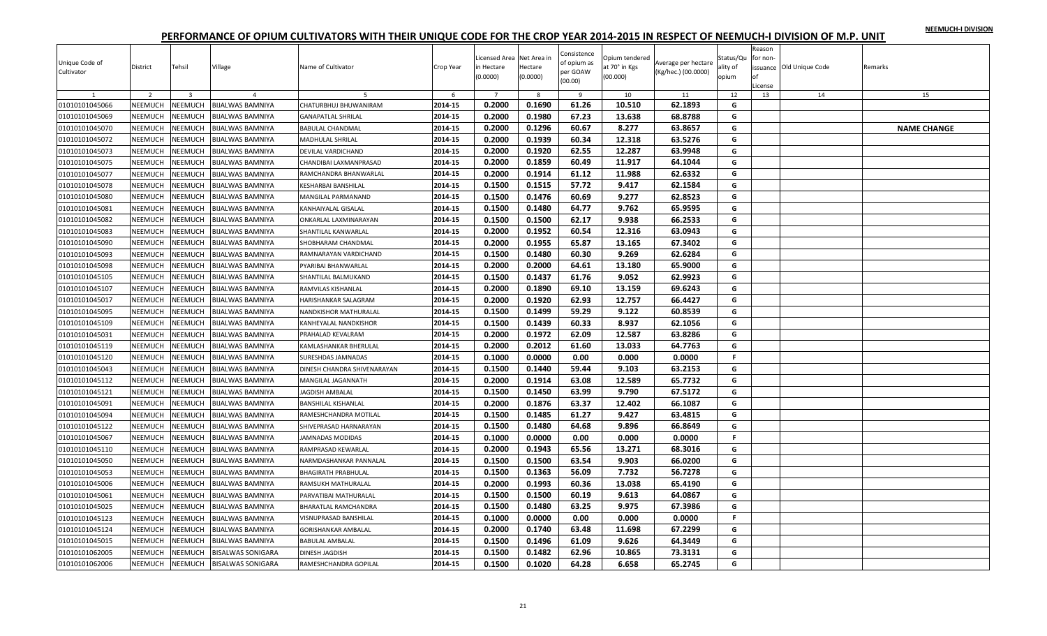|  |  | NEEMUCH-I DIVISION |
|--|--|--------------------|
|  |  |                    |

| Unique Code of<br>Cultivator | District       | Tehsil         | Village                  | Name of Cultivator          | Crop Year          | icensed Area Net Area in<br>in Hectare<br>(0.0000) | Hectare<br>(0.0000) | Consistence<br>of opium as<br>per GOAW<br>(00.00) | Opium tendered<br>at 70° in Kgs<br>(00.000) | Average per hectare<br>(Kg/hec.) (00.0000) | Status/Qu<br>ality of<br>opium | Reason<br>for non-<br>of<br>License | issuance Old Unique Code | Remarks            |
|------------------------------|----------------|----------------|--------------------------|-----------------------------|--------------------|----------------------------------------------------|---------------------|---------------------------------------------------|---------------------------------------------|--------------------------------------------|--------------------------------|-------------------------------------|--------------------------|--------------------|
| 1                            | $\overline{z}$ | 3              | $\overline{4}$           |                             | -6                 | 0.2000                                             | -8<br>0.1690        | 9                                                 | 10                                          | 11                                         | 12                             | 13                                  | 14                       | 15                 |
| 01010101045066               | NEEMUCH        | NEEMUCH        | BIJALWAS BAMNIYA         | CHATURBHUJ BHUWANIRAM       | 2014-15            |                                                    |                     | 61.26                                             | 10.510                                      | 62.1893                                    | G<br>G                         |                                     |                          |                    |
| 01010101045069               | NEEMUCH        | NEEMUCH        | BIJALWAS BAMNIYA         | <b>GANAPATLAL SHRILAL</b>   | 2014-15<br>2014-15 | 0.2000                                             | 0.1980<br>0.1296    | 67.23                                             | 13.638                                      | 68.8788                                    | G                              |                                     |                          |                    |
| 01010101045070               | NEEMUCH        | NEEMUCH        | BIJALWAS BAMNIYA         | <b>BABULAL CHANDMAL</b>     |                    | 0.2000                                             |                     | 60.67                                             | 8.277                                       | 63.8657                                    |                                |                                     |                          | <b>NAME CHANGE</b> |
| 01010101045072               | NEEMUCH        | NEEMUCH        | BIJALWAS BAMNIYA         | MADHULAL SHRILAL            | 2014-15            | 0.2000                                             | 0.1939              | 60.34                                             | 12.318                                      | 63.5276                                    | G<br>G                         |                                     |                          |                    |
| 01010101045073               | NEEMUCH        | <b>NEEMUCH</b> | BIJALWAS BAMNIYA         | DEVILAL VARDICHAND          | 2014-15            | 0.2000                                             | 0.1920              | 62.55                                             | 12.287                                      | 63.9948                                    |                                |                                     |                          |                    |
| 01010101045075               | NEEMUCH        | <b>NEEMUCH</b> | BIJALWAS BAMNIYA         | CHANDIBAI LAXMANPRASAD      | 2014-15            | 0.2000                                             | 0.1859              | 60.49                                             | 11.917                                      | 64.1044                                    | G                              |                                     |                          |                    |
| 01010101045077               | NEEMUCH        | NEEMUCH        | BIJALWAS BAMNIYA         | RAMCHANDRA BHANWARLAL       | 2014-15            | 0.2000                                             | 0.1914              | 61.12                                             | 11.988                                      | 62.6332                                    | G                              |                                     |                          |                    |
| 01010101045078               | NEEMUCH        | NEEMUCH        | BIJALWAS BAMNIYA         | KESHARBAI BANSHILAL         | 2014-15            | 0.1500                                             | 0.1515              | 57.72                                             | 9.417                                       | 62.1584                                    | G                              |                                     |                          |                    |
| 01010101045080               | <b>NEEMUCH</b> | <b>NEEMUCH</b> | BIJALWAS BAMNIYA         | MANGILAL PARMANAND          | 2014-15            | 0.1500                                             | 0.1476              | 60.69                                             | 9.277                                       | 62.8523                                    | G                              |                                     |                          |                    |
| 01010101045081               | NEEMUCH        | NEEMUCH        | BIJALWAS BAMNIYA         | <b>KANHAIYALAL GISALAL</b>  | 2014-15            | 0.1500                                             | 0.1480              | 64.77                                             | 9.762                                       | 65.9595                                    | G                              |                                     |                          |                    |
| 01010101045082               | NEEMUCH        | NEEMUCH        | BIJALWAS BAMNIYA         | ONKARLAL LAXMINARAYAN       | 2014-15            | 0.1500                                             | 0.1500              | 62.17                                             | 9.938                                       | 66.2533                                    | G                              |                                     |                          |                    |
| 01010101045083               | NEEMUCH        | NEEMUCH        | BIJALWAS BAMNIYA         | SHANTILAL KANWARLAL         | 2014-15            | 0.2000                                             | 0.1952              | 60.54                                             | 12.316                                      | 63.0943                                    | G                              |                                     |                          |                    |
| 01010101045090               | NEEMUCH        | NEEMUCH        | BIJALWAS BAMNIYA         | SHOBHARAM CHANDMAL          | 2014-15            | 0.2000                                             | 0.1955              | 65.87                                             | 13.165                                      | 67.3402                                    | G                              |                                     |                          |                    |
| 01010101045093               | NEEMUCH        | NEEMUCH        | BIJALWAS BAMNIYA         | RAMNARAYAN VARDICHAND       | 2014-15            | 0.1500                                             | 0.1480              | 60.30                                             | 9.269                                       | 62.6284                                    | G                              |                                     |                          |                    |
| 01010101045098               | NEEMUCH        | NEEMUCH        | <b>BIJALWAS BAMNIYA</b>  | PYARIBAI BHANWARLAL         | 2014-15            | 0.2000                                             | 0.2000              | 64.61                                             | 13.180                                      | 65.9000                                    | G                              |                                     |                          |                    |
| 01010101045105               | NEEMUCH        | NEEMUCH        | BIJALWAS BAMNIYA         | SHANTILAL BALMUKAND         | 2014-15            | 0.1500                                             | 0.1437              | 61.76                                             | 9.052                                       | 62.9923                                    | G                              |                                     |                          |                    |
| 01010101045107               | NEEMUCH        | NEEMUCH        | <b>BIJALWAS BAMNIYA</b>  | RAMVILAS KISHANLAL          | 2014-15            | 0.2000                                             | 0.1890              | 69.10                                             | 13.159                                      | 69.6243                                    | G                              |                                     |                          |                    |
| 01010101045017               | NEEMUCH        | <b>NEEMUCH</b> | BIJALWAS BAMNIYA         | HARISHANKAR SALAGRAM        | 2014-15            | 0.2000                                             | 0.1920              | 62.93                                             | 12.757                                      | 66.4427                                    | G                              |                                     |                          |                    |
| 01010101045095               | NEEMUCH        | NEEMUCH        | BIJALWAS BAMNIYA         | NANDKISHOR MATHURALAL       | 2014-15            | 0.1500                                             | 0.1499              | 59.29                                             | 9.122                                       | 60.8539                                    | G                              |                                     |                          |                    |
| 01010101045109               | NEEMUCH        | NEEMUCH        | BIJALWAS BAMNIYA         | KANHEYALAL NANDKISHOR       | 2014-15            | 0.1500                                             | 0.1439              | 60.33                                             | 8.937                                       | 62.1056                                    | G                              |                                     |                          |                    |
| 01010101045031               | NEEMUCH        | NEEMUCH        | BIJALWAS BAMNIYA         | PRAHALAD KEVALRAM           | 2014-15            | 0.2000                                             | 0.1972              | 62.09                                             | 12.587                                      | 63.8286                                    | G                              |                                     |                          |                    |
| 01010101045119               | NEEMUCH        | NEEMUCH        | BIJALWAS BAMNIYA         | KAMLASHANKAR BHERULAL       | 2014-15            | 0.2000                                             | 0.2012              | 61.60                                             | 13.033                                      | 64.7763                                    | G                              |                                     |                          |                    |
| 01010101045120               | NEEMUCH        | NEEMUCH        | BIJALWAS BAMNIYA         | SURESHDAS JAMNADAS          | 2014-15            | 0.1000                                             | 0.0000              | 0.00                                              | 0.000                                       | 0.0000                                     | F.                             |                                     |                          |                    |
| 01010101045043               | NEEMUCH        | NEEMUCH        | BIJALWAS BAMNIYA         | DINESH CHANDRA SHIVENARAYAN | 2014-15            | 0.1500                                             | 0.1440              | 59.44                                             | 9.103                                       | 63.2153                                    | G                              |                                     |                          |                    |
| 01010101045112               | NEEMUCH        | NEEMUCH        | BIJALWAS BAMNIYA         | MANGILAL JAGANNATH          | 2014-15            | 0.2000                                             | 0.1914              | 63.08                                             | 12.589                                      | 65.7732                                    | G                              |                                     |                          |                    |
| 01010101045121               | NEEMUCH        | NEEMUCH        | <b>BIJALWAS BAMNIYA</b>  | JAGDISH AMBALAL             | 2014-15            | 0.1500                                             | 0.1450              | 63.99                                             | 9.790                                       | 67.5172                                    | G                              |                                     |                          |                    |
| 01010101045091               | <b>NEEMUCH</b> | NEEMUCH        | BIJALWAS BAMNIYA         | <b>BANSHILAL KISHANLAL</b>  | 2014-15            | 0.2000                                             | 0.1876              | 63.37                                             | 12.402                                      | 66.1087                                    | G                              |                                     |                          |                    |
| 01010101045094               | NEEMUCH        | <b>NEEMUCH</b> | BIJALWAS BAMNIYA         | RAMESHCHANDRA MOTILAL       | 2014-15            | 0.1500                                             | 0.1485              | 61.27                                             | 9.427                                       | 63.4815                                    | G                              |                                     |                          |                    |
| 01010101045122               | NEEMUCH        | NEEMUCH        | BIJALWAS BAMNIYA         | SHIVEPRASAD HARNARAYAN      | 2014-15            | 0.1500                                             | 0.1480              | 64.68                                             | 9.896                                       | 66.8649                                    | G                              |                                     |                          |                    |
| 01010101045067               | NEEMUCH        | NEEMUCH        | BIJALWAS BAMNIYA         | <b>JAMNADAS MODIDAS</b>     | 2014-15            | 0.1000                                             | 0.0000              | 0.00                                              | 0.000                                       | 0.0000                                     | F.                             |                                     |                          |                    |
| 01010101045110               | NEEMUCH        | <b>NEEMUCH</b> | BIJALWAS BAMNIYA         | RAMPRASAD KEWARLAL          | 2014-15            | 0.2000                                             | 0.1943              | 65.56                                             | 13.271                                      | 68.3016                                    | G                              |                                     |                          |                    |
| 01010101045050               | NEEMUCH        | NEEMUCH        | BIJALWAS BAMNIYA         | NARMDASHANKAR PANNALAL      | 2014-15            | 0.1500                                             | 0.1500              | 63.54                                             | 9.903                                       | 66.0200                                    | G                              |                                     |                          |                    |
| 01010101045053               | NEEMUCH        | NEEMUCH        | BIJALWAS BAMNIYA         | <b>BHAGIRATH PRABHULAL</b>  | 2014-15            | 0.1500                                             | 0.1363              | 56.09                                             | 7.732                                       | 56.7278                                    | G                              |                                     |                          |                    |
| 01010101045006               | NEEMUCH        | NEEMUCH        | BIJALWAS BAMNIYA         | RAMSUKH MATHURALAL          | 2014-15            | 0.2000                                             | 0.1993              | 60.36                                             | 13.038                                      | 65.4190                                    | G                              |                                     |                          |                    |
| 01010101045061               | NEEMUCH        | <b>NEEMUCH</b> | <b>BIJALWAS BAMNIYA</b>  | PARVATIBAI MATHURALAL       | 2014-15            | 0.1500                                             | 0.1500              | 60.19                                             | 9.613                                       | 64.0867                                    | G                              |                                     |                          |                    |
| 01010101045025               | NEEMUCH        | NEEMUCH        | BIJALWAS BAMNIYA         | <b>BHARATLAL RAMCHANDRA</b> | 2014-15            | 0.1500                                             | 0.1480              | 63.25                                             | 9.975                                       | 67.3986                                    | G                              |                                     |                          |                    |
| 01010101045123               | NEEMUCH        | NEEMUCH        | BIJALWAS BAMNIYA         | VISNUPRASAD BANSHILAL       | 2014-15            | 0.1000                                             | 0.0000              | 0.00                                              | 0.000                                       | 0.0000                                     | $\mathbb F$                    |                                     |                          |                    |
| 01010101045124               | NEEMUCH        | NEEMUCH        | BIJALWAS BAMNIYA         | <b>GORISHANKAR AMBALAL</b>  | 2014-15            | 0.2000                                             | 0.1740              | 63.48                                             | 11.698                                      | 67.2299                                    | G                              |                                     |                          |                    |
| 01010101045015               | NEEMUCH        | <b>NEEMUCH</b> | <b>BIJALWAS BAMNIYA</b>  | <b>BABULAL AMBALAL</b>      | 2014-15            | 0.1500                                             | 0.1496              | 61.09                                             | 9.626                                       | 64.3449                                    | G                              |                                     |                          |                    |
| 01010101062005               | <b>NEEMUCH</b> | <b>NEEMUCH</b> | <b>BISALWAS SONIGARA</b> | <b>DINESH JAGDISH</b>       | 2014-15            | 0.1500                                             | 0.1482              | 62.96                                             | 10.865                                      | 73.3131                                    | G                              |                                     |                          |                    |
| 01010101062006               | NEEMUCH        | <b>NEEMUCH</b> | <b>BISALWAS SONIGARA</b> | RAMESHCHANDRA GOPILAL       | 2014-15            | 0.1500                                             | 0.1020              | 64.28                                             | 6.658                                       | 65.2745                                    | G                              |                                     |                          |                    |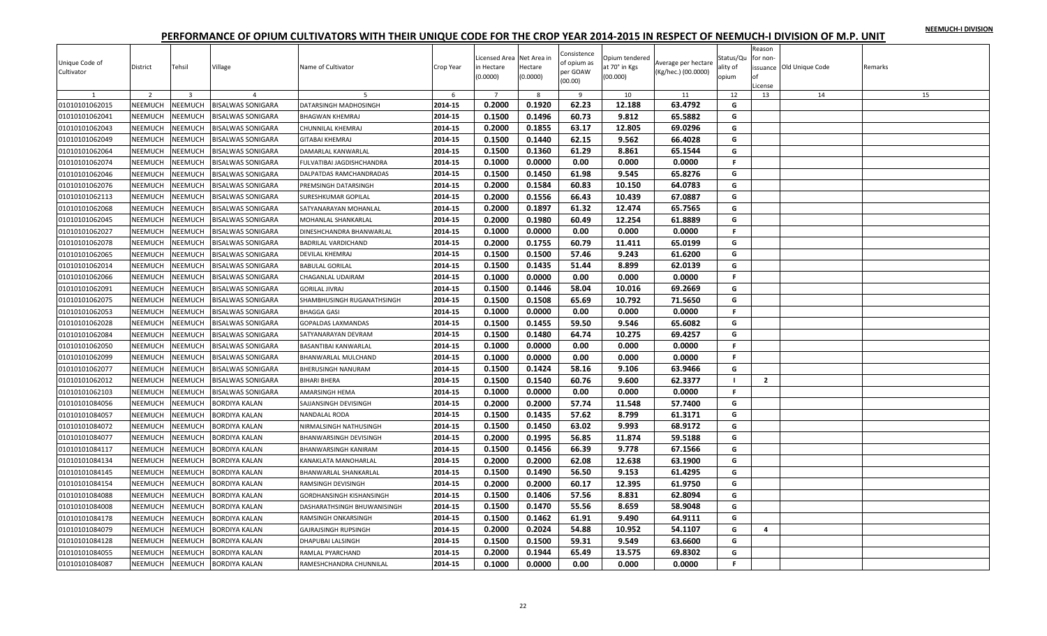|  |  | NEEMUCH-I DIVISION |
|--|--|--------------------|
|  |  |                    |

| Unique Code of<br>Cultivator     | District       | Tehsil         | Village                  | Name of Cultivator            | Crop Year | Licensed Area Net Area in<br>in Hectare<br>(0.0000) | Hectare<br>(0.0000) | Consistence<br>of opium as<br>per GOAW<br>(00.00) | Opium tendered<br>at 70° in Kgs<br>(00.000) | Average per hectare<br>(Kg/hec.) (00.0000) | Status/Qu<br>ality of<br>opium | Reason<br>for non-<br>Ωf<br>License | issuance Old Unique Code | Remarks |
|----------------------------------|----------------|----------------|--------------------------|-------------------------------|-----------|-----------------------------------------------------|---------------------|---------------------------------------------------|---------------------------------------------|--------------------------------------------|--------------------------------|-------------------------------------|--------------------------|---------|
|                                  | $\overline{2}$ | $\overline{3}$ | $\overline{4}$           |                               | 6         | $\overline{7}$                                      | -8                  | - 9                                               | 10                                          | 11                                         | 12                             | 13                                  | 14                       | 15      |
| 01010101062015                   | NEEMUCH        | NEEMUCH        | <b>BISALWAS SONIGARA</b> | DATARSINGH MADHOSINGH         | 2014-15   | 0.2000                                              | 0.1920              | 62.23                                             | 12.188                                      | 63.4792                                    | G                              |                                     |                          |         |
| 01010101062041                   | NEEMUCH        | <b>NEEMUCH</b> | BISALWAS SONIGARA        | <b>BHAGWAN KHEMRAJ</b>        | 2014-15   | 0.1500                                              | 0.1496              | 60.73                                             | 9.812                                       | 65.5882                                    | G                              |                                     |                          |         |
| 01010101062043                   | <b>NEEMUCH</b> | NEEMUCH        | <b>BISALWAS SONIGARA</b> | CHUNNILAL KHEMRAJ             | 2014-15   | 0.2000                                              | 0.1855              | 63.17                                             | 12.805                                      | 69.0296                                    | G                              |                                     |                          |         |
| 01010101062049                   | <b>NEEMUCH</b> | <b>NEEMUCH</b> | BISALWAS SONIGARA        | <b>GITABAI KHEMRAJ</b>        | 2014-15   | 0.1500                                              | 0.1440              | 62.15                                             | 9.562                                       | 66.4028                                    | G                              |                                     |                          |         |
| 01010101062064                   | <b>NEEMUCH</b> | <b>NEEMUCH</b> | <b>BISALWAS SONIGARA</b> | DAMARLAL KANWARLAL            | 2014-15   | 0.1500                                              | 0.1360              | 61.29                                             | 8.861                                       | 65.1544                                    | G                              |                                     |                          |         |
| 01010101062074                   | NEEMUCH        | NEEMUCH        | <b>BISALWAS SONIGARA</b> | FULVATIBAI JAGDISHCHANDRA     | 2014-15   | 0.1000                                              | 0.0000              | 0.00                                              | 0.000                                       | 0.0000                                     | F.                             |                                     |                          |         |
| 01010101062046                   | NEEMUCH        | NEEMUCH        | <b>BISALWAS SONIGARA</b> | DALPATDAS RAMCHANDRADAS       | 2014-15   | 0.1500                                              | 0.1450              | 61.98                                             | 9.545                                       | 65.8276                                    | G                              |                                     |                          |         |
| 01010101062076                   | NEEMUCH        | <b>NEEMUCH</b> | <b>BISALWAS SONIGARA</b> | PREMSINGH DATARSINGH          | 2014-15   | 0.2000                                              | 0.1584              | 60.83                                             | 10.150                                      | 64.0783                                    | G                              |                                     |                          |         |
| 01010101062113                   | <b>NEEMUCH</b> | NEEMUCH        | <b>BISALWAS SONIGARA</b> | SURESHKUMAR GOPILAL           | 2014-15   | 0.2000                                              | 0.1556              | 66.43                                             | 10.439                                      | 67.0887                                    | G                              |                                     |                          |         |
| 01010101062068                   | NEEMUCH        | <b>NEEMUCH</b> | <b>BISALWAS SONIGARA</b> | SATYANARAYAN MOHANLAL         | 2014-15   | 0.2000                                              | 0.1897              | 61.32                                             | 12.474                                      | 65.7565                                    | G                              |                                     |                          |         |
| 01010101062045                   | NEEMUCH        | NEEMUCH        | <b>BISALWAS SONIGARA</b> | MOHANLAL SHANKARLAL           | 2014-15   | 0.2000                                              | 0.1980              | 60.49                                             | 12.254                                      | 61.8889                                    | G                              |                                     |                          |         |
| 01010101062027                   | NEEMUCH        | <b>NEEMUCH</b> | <b>BISALWAS SONIGARA</b> | DINESHCHANDRA BHANWARLAL      | 2014-15   | 0.1000                                              | 0.0000              | 0.00                                              | 0.000                                       | 0.0000                                     | F.                             |                                     |                          |         |
| 01010101062078                   | <b>NEEMUCH</b> | <b>NEEMUCH</b> | BISALWAS SONIGARA        | <b>BADRILAL VARDICHAND</b>    | 2014-15   | 0.2000                                              | 0.1755              | 60.79                                             | 11.411                                      | 65.0199                                    | G                              |                                     |                          |         |
| 01010101062065                   | NEEMUCH        | <b>NEEMUCH</b> | <b>BISALWAS SONIGARA</b> | DEVILAL KHEMRAJ               | 2014-15   | 0.1500                                              | 0.1500              | 57.46                                             | 9.243                                       | 61.6200                                    | G                              |                                     |                          |         |
| 01010101062014                   | NEEMUCH        | NEEMUCH        | BISALWAS SONIGARA        | <b>BABULAL GORILAL</b>        | 2014-15   | 0.1500                                              | 0.1435              | 51.44                                             | 8.899                                       | 62.0139                                    | G                              |                                     |                          |         |
| 01010101062066                   | <b>NEEMUCH</b> | <b>NEEMUCH</b> | <b>BISALWAS SONIGARA</b> | CHAGANLAL UDAIRAM             | 2014-15   | 0.1000                                              | 0.0000              | 0.00                                              | 0.000                                       | 0.0000                                     | F.                             |                                     |                          |         |
| 01010101062091                   | NEEMUCH        | <b>NEEMUCH</b> | BISALWAS SONIGARA        | GORILAL JIVRAJ                | 2014-15   | 0.1500                                              | 0.1446              | 58.04                                             | 10.016                                      | 69.2669                                    | G                              |                                     |                          |         |
| 01010101062075                   | NEEMUCH        | NEEMUCH        | <b>BISALWAS SONIGARA</b> | SHAMBHUSINGH RUGANATHSINGH    | 2014-15   | 0.1500                                              | 0.1508              | 65.69                                             | 10.792                                      | 71.5650                                    | G                              |                                     |                          |         |
| 01010101062053                   | NEEMUCH        | <b>NEEMUCH</b> | <b>BISALWAS SONIGARA</b> | <b>BHAGGA GASI</b>            | 2014-15   | 0.1000                                              | 0.0000              | 0.00                                              | 0.000                                       | 0.0000                                     | F.                             |                                     |                          |         |
| 01010101062028                   | <b>NEEMUCH</b> | NEEMUCH        | <b>BISALWAS SONIGARA</b> | <b>GOPALDAS LAXMANDAS</b>     | 2014-15   | 0.1500                                              | 0.1455              | 59.50                                             | 9.546                                       | 65.6082                                    | G                              |                                     |                          |         |
| 01010101062084                   | NEEMUCH        | <b>NEEMUCH</b> | <b>BISALWAS SONIGARA</b> | SATYANARAYAN DEVRAM           | 2014-15   | 0.1500                                              | 0.1480              | 64.74                                             | 10.275                                      | 69.4257                                    | G                              |                                     |                          |         |
| 01010101062050                   | NEEMUCH        | <b>NEEMUCH</b> | <b>BISALWAS SONIGARA</b> | BASANTIBAI KANWARLAL          | 2014-15   | 0.1000                                              | 0.0000              | 0.00                                              | 0.000                                       | 0.0000                                     | F.                             |                                     |                          |         |
| 01010101062099                   | NEEMUCH        | NEEMUCH        | <b>BISALWAS SONIGARA</b> | BHANWARLAL MULCHAND           | 2014-15   | 0.1000                                              | 0.0000              | 0.00                                              | 0.000                                       | 0.0000                                     | F.                             |                                     |                          |         |
| 01010101062077                   | NEEMUCH        | <b>NEEMUCH</b> | BISALWAS SONIGARA        | <b>BHERUSINGH NANURAM</b>     | 2014-15   | 0.1500                                              | 0.1424              | 58.16                                             | 9.106                                       | 63.9466                                    | G                              |                                     |                          |         |
| 01010101062012                   | NEEMUCH        | NEEMUCH        | <b>BISALWAS SONIGARA</b> | <b>BIHARI BHERA</b>           | 2014-15   | 0.1500                                              | 0.1540              | 60.76                                             | 9.600                                       | 62.3377                                    | - 1                            | $\overline{2}$                      |                          |         |
| 01010101062103                   | NEEMUCH        | <b>NEEMUCH</b> | BISALWAS SONIGARA        | AMARSINGH HEMA                | 2014-15   | 0.1000                                              | 0.0000              | 0.00                                              | 0.000                                       | 0.0000                                     | F.                             |                                     |                          |         |
| 01010101084056                   | NEEMUCH        | NEEMUCH        | <b>BORDIYA KALAN</b>     | SAJJANSINGH DEVISINGH         | 2014-15   | 0.2000                                              | 0.2000              | 57.74                                             | 11.548                                      | 57.7400                                    | G                              |                                     |                          |         |
| 01010101084057                   | NEEMUCH        | NEEMUCH        | <b>BORDIYA KALAN</b>     | NANDALAL RODA                 | 2014-15   | 0.1500                                              | 0.1435              | 57.62                                             | 8.799                                       | 61.3171                                    | G                              |                                     |                          |         |
| 01010101084072                   | NEEMUCH        | NEEMUCH        | BORDIYA KALAN            | NIRMALSINGH NATHUSINGH        | 2014-15   | 0.1500                                              | 0.1450              | 63.02                                             | 9.993                                       | 68.9172                                    | G                              |                                     |                          |         |
| 01010101084077                   | NEEMUCH        | <b>NEEMUCH</b> | <b>BORDIYA KALAN</b>     | <b>BHANWARSINGH DEVISINGH</b> | 2014-15   | 0.2000                                              | 0.1995              | 56.85                                             | 11.874                                      | 59.5188                                    | G                              |                                     |                          |         |
| 01010101084117                   | <b>NEEMUCH</b> | NEEMUCH        | <b>BORDIYA KALAN</b>     | BHANWARSINGH KANIRAM          | 2014-15   | 0.1500                                              | 0.1456              | 66.39                                             | 9.778                                       | 67.1566                                    | G                              |                                     |                          |         |
| 01010101084134                   | NEEMUCH        | <b>NEEMUCH</b> | <b>BORDIYA KALAN</b>     | KANAKLATA MANOHARLAL          | 2014-15   | 0.2000                                              | 0.2000              | 62.08                                             | 12.638                                      | 63.1900                                    | G                              |                                     |                          |         |
| 01010101084145                   | NEEMUCH        | <b>NEEMUCH</b> | <b>BORDIYA KALAN</b>     | BHANWARLAL SHANKARLAL         | 2014-15   | 0.1500                                              | 0.1490              | 56.50                                             | 9.153                                       | 61.4295                                    | G                              |                                     |                          |         |
| 01010101084154                   | NEEMUCH        | <b>NEEMUCH</b> | <b>BORDIYA KALAN</b>     | RAMSINGH DEVISINGH            | 2014-15   | 0.2000                                              | 0.2000              | 60.17                                             | 12.395                                      | 61.9750                                    | G                              |                                     |                          |         |
| 01010101084088                   | NEEMUCH        | <b>NEEMUCH</b> | BORDIYA KALAN            | GORDHANSINGH KISHANSINGH      | 2014-15   | 0.1500                                              | 0.1406              | 57.56                                             | 8.831                                       | 62.8094                                    | G                              |                                     |                          |         |
| 01010101084008                   | <b>NEEMUCH</b> | <b>NEEMUCH</b> | <b>BORDIYA KALAN</b>     | DASHARATHSINGH BHUWANISINGH   | 2014-15   | 0.1500                                              | 0.1470              | 55.56                                             | 8.659                                       | 58.9048                                    | G                              |                                     |                          |         |
|                                  | NEEMUCH        | <b>NEEMUCH</b> | BORDIYA KALAN            | RAMSINGH ONKARSINGH           | 2014-15   | 0.1500                                              | 0.1462              | 61.91                                             | 9.490                                       | 64.9111                                    | G                              |                                     |                          |         |
| 01010101084178<br>01010101084079 | NEEMUCH        | <b>NEEMUCH</b> | <b>BORDIYA KALAN</b>     |                               | 2014-15   | 0.2000                                              | 0.2024              | 54.88                                             | 10.952                                      | 54.1107                                    | G                              | 4                                   |                          |         |
|                                  |                |                |                          | GAJRAJSINGH RUPSINGH          |           |                                                     |                     |                                                   | 9.549                                       |                                            | G                              |                                     |                          |         |
| 01010101084128                   | NEEMUCH        | <b>NEEMUCH</b> | BORDIYA KALAN            | <b>DHAPUBAI LALSINGH</b>      | 2014-15   | 0.1500                                              | 0.1500              | 59.31                                             |                                             | 63.6600                                    |                                |                                     |                          |         |
| 01010101084055                   | <b>NEEMUCH</b> | NEEMUCH        | <b>BORDIYA KALAN</b>     | RAMLAL PYARCHAND              | 2014-15   | 0.2000                                              | 0.1944              | 65.49                                             | 13.575                                      | 69.8302                                    | G                              |                                     |                          |         |
| 01010101084087                   | NEEMUCH        | NEEMUCH        | <b>BORDIYA KALAN</b>     | RAMESHCHANDRA CHUNNILAL       | 2014-15   | 0.1000                                              | 0.0000              | 0.00                                              | 0.000                                       | 0.0000                                     | F.                             |                                     |                          |         |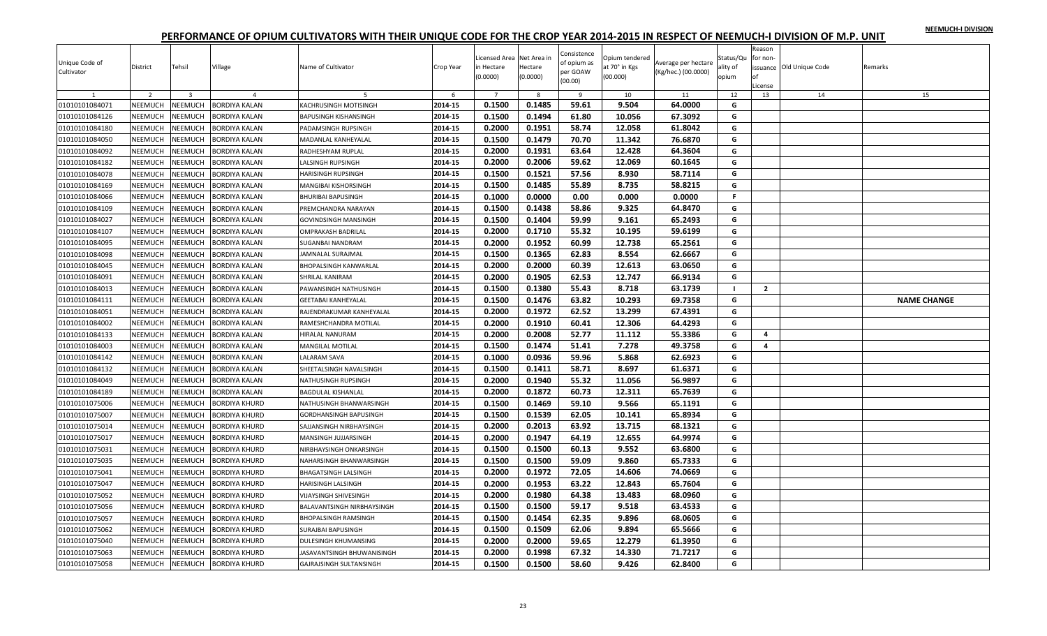|  |  | NEEMUCH-I DIVISION |
|--|--|--------------------|
|  |  |                    |

| Unique Code of<br>Cultivator | District       | Tehsil                  | Village              | Name of Cultivator             | Crop Year | Licensed Area Net Area in<br>in Hectare<br>(0.0000) | Hectare<br>(0.0000) | Consistence<br>of opium as<br>per GOAW<br>(00.00) | Opium tendered<br>at 70° in Kgs<br>(00.000) | Average per hectare<br>(Kg/hec.) (00.0000) | Status/Qu<br>ality of<br>opium | Reason<br>for non-<br>nf<br>License | issuance Old Unique Code | Remarks            |
|------------------------------|----------------|-------------------------|----------------------|--------------------------------|-----------|-----------------------------------------------------|---------------------|---------------------------------------------------|---------------------------------------------|--------------------------------------------|--------------------------------|-------------------------------------|--------------------------|--------------------|
|                              | $\overline{2}$ | $\overline{\mathbf{3}}$ | $\overline{a}$       |                                | -6        | $\overline{7}$                                      | 8                   | $\overline{9}$                                    | 10                                          | 11                                         | 12                             | 13                                  | 14                       | 15                 |
| 01010101084071               | NEEMUCH        | NEEMUCH                 | <b>BORDIYA KALAN</b> | <b>KACHRUSINGH MOTISINGH</b>   | 2014-15   | 0.1500                                              | 0.1485              | 59.61                                             | 9.504                                       | 64.0000                                    | G                              |                                     |                          |                    |
| 01010101084126               | NEEMUCH        | <b>NEEMUCH</b>          | BORDIYA KALAN        | BAPUSINGH KISHANSINGH          | 2014-15   | 0.1500                                              | 0.1494              | 61.80                                             | 10.056                                      | 67.3092                                    | G                              |                                     |                          |                    |
| 01010101084180               | NEEMUCH        | NEEMUCH                 | BORDIYA KALAN        | PADAMSINGH RUPSINGH            | 2014-15   | 0.2000                                              | 0.1951              | 58.74                                             | 12.058                                      | 61.8042                                    | G                              |                                     |                          |                    |
| 01010101084050               | NEEMUCH        | <b>NEEMUCH</b>          | <b>BORDIYA KALAN</b> | MADANLAL KANHEYALAL            | 2014-15   | 0.1500                                              | 0.1479              | 70.70                                             | 11.342                                      | 76.6870                                    | G                              |                                     |                          |                    |
| 01010101084092               | NEEMUCH        | <b>NEEMUCH</b>          | BORDIYA KALAN        | RADHESHYAM RUPLAL              | 2014-15   | 0.2000                                              | 0.1931              | 63.64                                             | 12.428                                      | 64.3604                                    | G                              |                                     |                          |                    |
| 01010101084182               | NEEMUCH        | NEEMUCH                 | BORDIYA KALAN        | ALSINGH RUPSINGH               | 2014-15   | 0.2000                                              | 0.2006              | 59.62                                             | 12.069                                      | 60.1645                                    | G                              |                                     |                          |                    |
| 01010101084078               | NEEMUCH        | NEEMUCH                 | BORDIYA KALAN        | HARISINGH RUPSINGH             | 2014-15   | 0.1500                                              | 0.1521              | 57.56                                             | 8.930                                       | 58.7114                                    | G                              |                                     |                          |                    |
| 01010101084169               | NEEMUCH        | <b>NEEMUCH</b>          | <b>BORDIYA KALAN</b> | MANGIBAI KISHORSINGH           | 2014-15   | 0.1500                                              | 0.1485              | 55.89                                             | 8.735                                       | 58.8215                                    | G                              |                                     |                          |                    |
| 01010101084066               | <b>NEEMUCH</b> | NEEMUCH                 | <b>BORDIYA KALAN</b> | BHURIBAI BAPUSINGH             | 2014-15   | 0.1000                                              | 0.0000              | 0.00                                              | 0.000                                       | 0.0000                                     | $\mathsf{F}$                   |                                     |                          |                    |
| 01010101084109               | NEEMUCH        | <b>NEEMUCH</b>          | <b>BORDIYA KALAN</b> | PREMCHANDRA NARAYAN            | 2014-15   | 0.1500                                              | 0.1438              | 58.86                                             | 9.325                                       | 64.8470                                    | G                              |                                     |                          |                    |
| 01010101084027               | NEEMUCH        | NEEMUCH                 | <b>BORDIYA KALAN</b> | GOVINDSINGH MANSINGH           | 2014-15   | 0.1500                                              | 0.1404              | 59.99                                             | 9.161                                       | 65.2493                                    | G                              |                                     |                          |                    |
| 01010101084107               | NEEMUCH        | <b>NEEMUCH</b>          | <b>BORDIYA KALAN</b> | OMPRAKASH BADRILAL             | 2014-15   | 0.2000                                              | 0.1710              | 55.32                                             | 10.195                                      | 59.6199                                    | G                              |                                     |                          |                    |
| 01010101084095               | NEEMUCH        | <b>NEEMUCH</b>          | BORDIYA KALAN        | SUGANBAI NANDRAM               | 2014-15   | 0.2000                                              | 0.1952              | 60.99                                             | 12.738                                      | 65.2561                                    | G                              |                                     |                          |                    |
| 01010101084098               | NEEMUCH        | <b>NEEMUCH</b>          | BORDIYA KALAN        | AMNALAL SURAJMAL               | 2014-15   | 0.1500                                              | 0.1365              | 62.83                                             | 8.554                                       | 62.6667                                    | G                              |                                     |                          |                    |
| 01010101084045               | NEEMUCH        | <b>NEEMUCH</b>          | BORDIYA KALAN        | BHOPALSINGH KANWARLAL          | 2014-15   | 0.2000                                              | 0.2000              | 60.39                                             | 12.613                                      | 63.0650                                    | G                              |                                     |                          |                    |
| 01010101084091               | NEEMUCH        | <b>NEEMUCH</b>          | BORDIYA KALAN        | SHRILAL KANIRAM                | 2014-15   | 0.2000                                              | 0.1905              | 62.53                                             | 12.747                                      | 66.9134                                    | G                              |                                     |                          |                    |
| 01010101084013               | NEEMUCH        | <b>NEEMUCH</b>          | BORDIYA KALAN        | PAWANSINGH NATHUSINGH          | 2014-15   | 0.1500                                              | 0.1380              | 55.43                                             | 8.718                                       | 63.1739                                    | $\blacksquare$                 | $\overline{2}$                      |                          |                    |
| 01010101084111               | NEEMUCH        | NEEMUCH                 | BORDIYA KALAN        | <b>GEETABAI KANHEYALAL</b>     | 2014-15   | 0.1500                                              | 0.1476              | 63.82                                             | 10.293                                      | 69.7358                                    | G                              |                                     |                          | <b>NAME CHANGE</b> |
| 01010101084051               | NEEMUCH        | <b>NEEMUCH</b>          | <b>BORDIYA KALAN</b> | RAJENDRAKUMAR KANHEYALAL       | 2014-15   | 0.2000                                              | 0.1972              | 62.52                                             | 13.299                                      | 67.4391                                    | G                              |                                     |                          |                    |
| 01010101084002               | <b>NEEMUCH</b> | NEEMUCH                 | <b>BORDIYA KALAN</b> | RAMESHCHANDRA MOTILAL          | 2014-15   | 0.2000                                              | 0.1910              | 60.41                                             | 12.306                                      | 64.4293                                    | G                              |                                     |                          |                    |
| 01010101084133               | NEEMUCH        | <b>NEEMUCH</b>          | BORDIYA KALAN        | <b>HIRALAL NANURAM</b>         | 2014-15   | 0.2000                                              | 0.2008              | 52.77                                             | 11.112                                      | 55.3386                                    | G                              | 4                                   |                          |                    |
| 01010101084003               | NEEMUCH        | <b>NEEMUCH</b>          | BORDIYA KALAN        | <b>MANGILAL MOTILAL</b>        | 2014-15   | 0.1500                                              | 0.1474              | 51.41                                             | 7.278                                       | 49.3758                                    | G                              | $\overline{4}$                      |                          |                    |
| 01010101084142               | NEEMUCH        | <b>NEEMUCH</b>          | <b>BORDIYA KALAN</b> | <b>ALARAM SAVA</b>             | 2014-15   | 0.1000                                              | 0.0936              | 59.96                                             | 5.868                                       | 62.6923                                    | G                              |                                     |                          |                    |
| 01010101084132               | NEEMUCH        | <b>NEEMUCH</b>          | BORDIYA KALAN        | SHEETALSINGH NAVALSINGH        | 2014-15   | 0.1500                                              | 0.1411              | 58.71                                             | 8.697                                       | 61.6371                                    | G                              |                                     |                          |                    |
| 01010101084049               | NEEMUCH        | NEEMUCH                 | BORDIYA KALAN        | NATHUSINGH RUPSINGH            | 2014-15   | 0.2000                                              | 0.1940              | 55.32                                             | 11.056                                      | 56.9897                                    | G                              |                                     |                          |                    |
| 01010101084189               | NEEMUCH        | <b>NEEMUCH</b>          | BORDIYA KALAN        | BAGDULAL KISHANLAL             | 2014-15   | 0.2000                                              | 0.1872              | 60.73                                             | 12.311                                      | 65.7639                                    | G                              |                                     |                          |                    |
| 01010101075006               | NEEMUCH        | <b>NEEMUCH</b>          | <b>BORDIYA KHURD</b> | NATHUSINGH BHANWARSINGH        | 2014-15   | 0.1500                                              | 0.1469              | 59.10                                             | 9.566                                       | 65.1191                                    | G                              |                                     |                          |                    |
| 01010101075007               | NEEMUCH        | NEEMUCH                 | BORDIYA KHURD        | GORDHANSINGH BAPUSINGH         | 2014-15   | 0.1500                                              | 0.1539              | 62.05                                             | 10.141                                      | 65.8934                                    | G                              |                                     |                          |                    |
| 01010101075014               | NEEMUCH        | NEEMUCH                 | <b>BORDIYA KHURD</b> | SAJJANSINGH NIRBHAYSINGH       | 2014-15   | 0.2000                                              | 0.2013              | 63.92                                             | 13.715                                      | 68.1321                                    | G                              |                                     |                          |                    |
| 01010101075017               | NEEMUCH        | <b>NEEMUCH</b>          | <b>BORDIYA KHURD</b> | MANSINGH JUJJARSINGH           | 2014-15   | 0.2000                                              | 0.1947              | 64.19                                             | 12.655                                      | 64.9974                                    | G                              |                                     |                          |                    |
| 01010101075031               | <b>NEEMUCH</b> | NEEMUCH                 | <b>BORDIYA KHURD</b> | <b>VIRBHAYSINGH ONKARSINGH</b> | 2014-15   | 0.1500                                              | 0.1500              | 60.13                                             | 9.552                                       | 63.6800                                    | G                              |                                     |                          |                    |
| 01010101075035               | NEEMUCH        | <b>NEEMUCH</b>          | <b>BORDIYA KHURD</b> | <b>VAHARSINGH BHANWARSINGH</b> | 2014-15   | 0.1500                                              | 0.1500              | 59.09                                             | 9.860                                       | 65.7333                                    | G                              |                                     |                          |                    |
| 01010101075041               | NEEMUCH        | <b>NEEMUCH</b>          | <b>BORDIYA KHURD</b> | BHAGATSINGH LALSINGH           | 2014-15   | 0.2000                                              | 0.1972              | 72.05                                             | 14.606                                      | 74.0669                                    | G                              |                                     |                          |                    |
| 01010101075047               | <b>NEEMUCH</b> | <b>NEEMUCH</b>          | <b>BORDIYA KHURD</b> | <b>HARISINGH LALSINGH</b>      | 2014-15   | 0.2000                                              | 0.1953              | 63.22                                             | 12.843                                      | 65.7604                                    | G                              |                                     |                          |                    |
| 01010101075052               | NEEMUCH        | <b>NEEMUCH</b>          | <b>BORDIYA KHURD</b> | VIJAYSINGH SHIVESINGH          | 2014-15   | 0.2000                                              | 0.1980              | 64.38                                             | 13.483                                      | 68.0960                                    | G                              |                                     |                          |                    |
| 01010101075056               | NEEMUCH        | <b>NEEMUCH</b>          | <b>BORDIYA KHURD</b> | BALAVANTSINGH NIRBHAYSINGH     | 2014-15   | 0.1500                                              | 0.1500              | 59.17                                             | 9.518                                       | 63.4533                                    | G                              |                                     |                          |                    |
| 01010101075057               | NEEMUCH        | <b>NEEMUCH</b>          | <b>BORDIYA KHURD</b> | <b>BHOPALSINGH RAMSINGH</b>    | 2014-15   | 0.1500                                              | 0.1454              | 62.35                                             | 9.896                                       | 68.0605                                    | G                              |                                     |                          |                    |
| 01010101075062               | NEEMUCH        | <b>NEEMUCH</b>          | <b>BORDIYA KHURD</b> | <b>SURAJBAI BAPUSINGH</b>      | 2014-15   | 0.1500                                              | 0.1509              | 62.06                                             | 9.894                                       | 65.5666                                    | G                              |                                     |                          |                    |
| 01010101075040               | NEEMUCH        | <b>NEEMUCH</b>          | BORDIYA KHURD        | <b>DULESINGH KHUMANSING</b>    | 2014-15   | 0.2000                                              | 0.2000              | 59.65                                             | 12.279                                      | 61.3950                                    | G                              |                                     |                          |                    |
| 01010101075063               | <b>NEEMUCH</b> | NEEMUCH                 | BORDIYA KHURD        | ASAVANTSINGH BHUWANISINGH      | 2014-15   | 0.2000                                              | 0.1998              | 67.32                                             | 14.330                                      | 71.7217                                    | G                              |                                     |                          |                    |
| 01010101075058               | <b>NEEMUCH</b> | NEEMUCH                 | <b>BORDIYA KHURD</b> | GAJRAJSINGH SULTANSINGH        | 2014-15   | 0.1500                                              | 0.1500              | 58.60                                             | 9.426                                       | 62.8400                                    | G                              |                                     |                          |                    |
|                              |                |                         |                      |                                |           |                                                     |                     |                                                   |                                             |                                            |                                |                                     |                          |                    |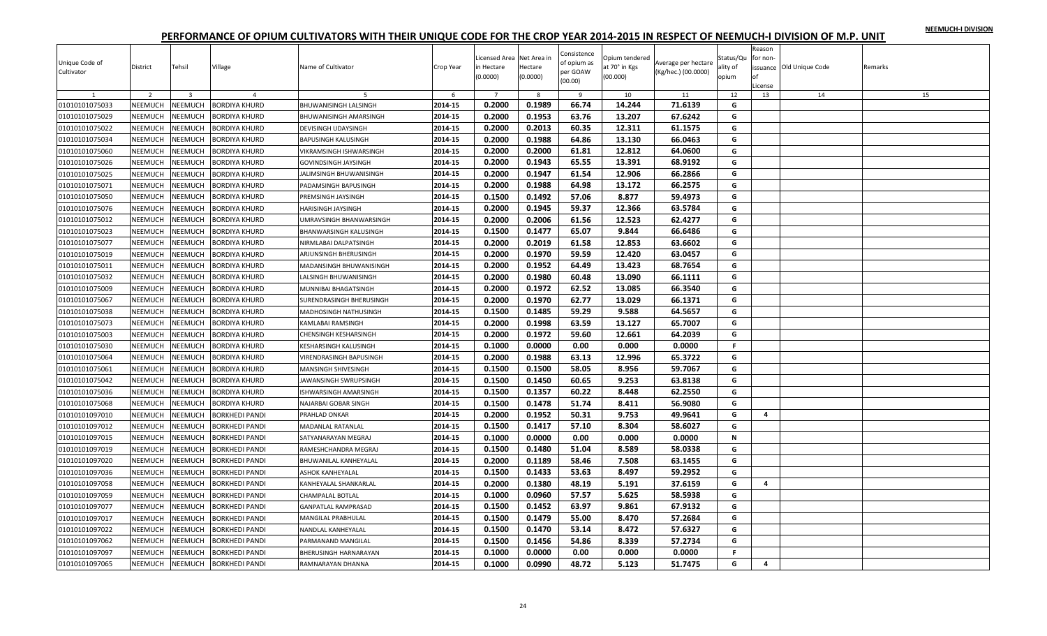|  |  | NEEMUCH-I DIVISION |
|--|--|--------------------|
|  |  |                    |

| Unique Code of<br>Cultivator | District       | Tehsil                  | Village               | Name of Cultivator           | Crop Year | Licensed Area Net Area in<br>in Hectare<br>(0.0000) | Hectare<br>(0.0000) | Consistence<br>of opium as<br>per GOAW<br>(00.00) | Opium tendered<br>at 70° in Kgs<br>(00.000) | Average per hectare<br>(Kg/hec.) (00.0000) | Status/Qu<br>ality of<br>opium | Reason<br>for non-<br>Ωf<br>.icense | issuance Old Unique Code | Remarks |
|------------------------------|----------------|-------------------------|-----------------------|------------------------------|-----------|-----------------------------------------------------|---------------------|---------------------------------------------------|---------------------------------------------|--------------------------------------------|--------------------------------|-------------------------------------|--------------------------|---------|
| 1                            | $\overline{2}$ | $\overline{\mathbf{3}}$ | $\overline{4}$        | 5                            | 6         | $\overline{7}$                                      | 8                   | 9                                                 | 10                                          | 11                                         | 12                             | 13                                  | 14                       | 15      |
| 01010101075033               | NEEMUCH        | NEEMUCH                 | <b>BORDIYA KHURD</b>  | <b>BHUWANISINGH LALSINGH</b> | 2014-15   | 0.2000                                              | 0.1989              | 66.74                                             | 14.244                                      | 71.6139                                    | G                              |                                     |                          |         |
| 01010101075029               | NEEMUCH        | <b>NEEMUCH</b>          | <b>BORDIYA KHURD</b>  | BHUWANISINGH AMARSINGH       | 2014-15   | 0.2000                                              | 0.1953              | 63.76                                             | 13.207                                      | 67.6242                                    | G                              |                                     |                          |         |
| 01010101075022               | <b>NEEMUCH</b> | <b>NEEMUCH</b>          | <b>BORDIYA KHURD</b>  | DEVISINGH UDAYSINGH          | 2014-15   | 0.2000                                              | 0.2013              | 60.35                                             | 12.311                                      | 61.1575                                    | G                              |                                     |                          |         |
| 01010101075034               | NEEMUCH        | NEEMUCH                 | <b>BORDIYA KHURD</b>  | BAPUSINGH KALUSINGH          | 2014-15   | 0.2000                                              | 0.1988              | 64.86                                             | 13.130                                      | 66.0463                                    | G                              |                                     |                          |         |
| 01010101075060               | NEEMUCH        | <b>NEEMUCH</b>          | <b>BORDIYA KHURD</b>  | VIKRAMSINGH ISHWARSINGH      | 2014-15   | 0.2000                                              | 0.2000              | 61.81                                             | 12.812                                      | 64.0600                                    | G                              |                                     |                          |         |
| 01010101075026               | NEEMUCH        | <b>NEEMUCH</b>          | BORDIYA KHURD         | <b>GOVINDSINGH JAYSINGH</b>  | 2014-15   | 0.2000                                              | 0.1943              | 65.55                                             | 13.391                                      | 68.9192                                    | G                              |                                     |                          |         |
| 01010101075025               | <b>NEEMUCH</b> | <b>NEEMUCH</b>          | <b>BORDIYA KHURD</b>  | JALIMSINGH BHUWANISINGH      | 2014-15   | 0.2000                                              | 0.1947              | 61.54                                             | 12.906                                      | 66.2866                                    | G                              |                                     |                          |         |
| 01010101075071               | NEEMUCH        | <b>NEEMUCH</b>          | <b>BORDIYA KHURD</b>  | PADAMSINGH BAPUSINGH         | 2014-15   | 0.2000                                              | 0.1988              | 64.98                                             | 13.172                                      | 66.2575                                    | G                              |                                     |                          |         |
| 01010101075050               | NEEMUCH        | NEEMUCH                 | <b>BORDIYA KHURD</b>  | PREMSINGH JAYSINGH           | 2014-15   | 0.1500                                              | 0.1492              | 57.06                                             | 8.877                                       | 59.4973                                    | G                              |                                     |                          |         |
| 01010101075076               | NEEMUCH        | <b>NEEMUCH</b>          | <b>BORDIYA KHURD</b>  | HARISINGH JAYSINGH           | 2014-15   | 0.2000                                              | 0.1945              | 59.37                                             | 12.366                                      | 63.5784                                    | G                              |                                     |                          |         |
| 01010101075012               | <b>NEEMUCH</b> | NEEMUCH                 | <b>BORDIYA KHURD</b>  | JMRAVSINGH BHANWARSINGH      | 2014-15   | 0.2000                                              | 0.2006              | 61.56                                             | 12.523                                      | 62.4277                                    | G                              |                                     |                          |         |
| 01010101075023               | NEEMUCH        | <b>NEEMUCH</b>          | <b>BORDIYA KHURD</b>  | BHANWARSINGH KALUSINGH       | 2014-15   | 0.1500                                              | 0.1477              | 65.07                                             | 9.844                                       | 66.6486                                    | G                              |                                     |                          |         |
| 01010101075077               | <b>NEEMUCH</b> | <b>NEEMUCH</b>          | <b>BORDIYA KHURD</b>  | NIRMLABAI DALPATSINGH        | 2014-15   | 0.2000                                              | 0.2019              | 61.58                                             | 12.853                                      | 63.6602                                    | G                              |                                     |                          |         |
| 01010101075019               | NEEMUCH        | <b>NEEMUCH</b>          | <b>BORDIYA KHURD</b>  | ARJUNSINGH BHERUSINGH        | 2014-15   | 0.2000                                              | 0.1970              | 59.59                                             | 12.420                                      | 63.0457                                    | G                              |                                     |                          |         |
| 01010101075011               | <b>NEEMUCH</b> | <b>NEEMUCH</b>          | <b>BORDIYA KHURD</b>  | MADANSINGH BHUWANISINGH      | 2014-15   | 0.2000                                              | 0.1952              | 64.49                                             | 13.423                                      | 68.7654                                    | G                              |                                     |                          |         |
| 01010101075032               | NEEMUCH        | <b>NEEMUCH</b>          | <b>BORDIYA KHURD</b>  | <b>ALSINGH BHUWANISINGH</b>  | 2014-15   | 0.2000                                              | 0.1980              | 60.48                                             | 13.090                                      | 66.1111                                    | G                              |                                     |                          |         |
| 01010101075009               | NEEMUCH        | NEEMUCH                 | <b>BORDIYA KHURD</b>  | MUNNIBAI BHAGATSINGH         | 2014-15   | 0.2000                                              | 0.1972              | 62.52                                             | 13.085                                      | 66.3540                                    | G                              |                                     |                          |         |
| 01010101075067               | <b>NEEMUCH</b> | <b>NEEMUCH</b>          | <b>BORDIYA KHURD</b>  | SURENDRASINGH BHERUSINGH     | 2014-15   | 0.2000                                              | 0.1970              | 62.77                                             | 13.029                                      | 66.1371                                    | G                              |                                     |                          |         |
| 01010101075038               | NEEMUCH        | <b>NEEMUCH</b>          | <b>BORDIYA KHURD</b>  | MADHOSINGH NATHUSINGH        | 2014-15   | 0.1500                                              | 0.1485              | 59.29                                             | 9.588                                       | 64.5657                                    | G                              |                                     |                          |         |
| 01010101075073               | NEEMUCH        | NEEMUCH                 | <b>BORDIYA KHURD</b>  | KAMLABAI RAMSINGH            | 2014-15   | 0.2000                                              | 0.1998              | 63.59                                             | 13.127                                      | 65.7007                                    | G                              |                                     |                          |         |
| 01010101075003               | NEEMUCH        | <b>NEEMUCH</b>          | <b>BORDIYA KHURD</b>  | CHENSINGH KESHARSINGH        | 2014-15   | 0.2000                                              | 0.1972              | 59.60                                             | 12.661                                      | 64.2039                                    | G                              |                                     |                          |         |
| 01010101075030               | NEEMUCH        | NEEMUCH                 | <b>BORDIYA KHURD</b>  | KESHARSINGH KALUSINGH        | 2014-15   | 0.1000                                              | 0.0000              | 0.00                                              | 0.000                                       | 0.0000                                     | $\mathbf{F}$                   |                                     |                          |         |
| 01010101075064               | NEEMUCH        | <b>NEEMUCH</b>          | <b>BORDIYA KHURD</b>  | VIRENDRASINGH BAPUSINGH      | 2014-15   | 0.2000                                              | 0.1988              | 63.13                                             | 12.996                                      | 65.3722                                    | G                              |                                     |                          |         |
| 01010101075061               | <b>NEEMUCH</b> | <b>NEEMUCH</b>          | <b>BORDIYA KHURD</b>  | MANSINGH SHIVESINGH          | 2014-15   | 0.1500                                              | 0.1500              | 58.05                                             | 8.956                                       | 59.7067                                    | G                              |                                     |                          |         |
| 01010101075042               | <b>NEEMUCH</b> | NEEMUCH                 | <b>BORDIYA KHURD</b>  | JAWANSINGH SWRUPSINGH        | 2014-15   | 0.1500                                              | 0.1450              | 60.65                                             | 9.253                                       | 63.8138                                    | G                              |                                     |                          |         |
| 01010101075036               | NEEMUCH        | <b>NEEMUCH</b>          | BORDIYA KHURD         | ISHWARSINGH AMARSINGH        | 2014-15   | 0.1500                                              | 0.1357              | 60.22                                             | 8.448                                       | 62.2550                                    | G                              |                                     |                          |         |
| 01010101075068               | <b>NEEMUCH</b> | <b>NEEMUCH</b>          | <b>BORDIYA KHURD</b>  | NAJARBAI GOBAR SINGH         | 2014-15   | 0.1500                                              | 0.1478              | 51.74                                             | 8.411                                       | 56.9080                                    | G                              |                                     |                          |         |
| 01010101097010               | NEEMUCH        | NEEMUCH                 | <b>BORKHEDI PANDI</b> | PRAHLAD ONKAR                | 2014-15   | 0.2000                                              | 0.1952              | 50.31                                             | 9.753                                       | 49.9641                                    | G                              | 4                                   |                          |         |
| 01010101097012               | NEEMUCH        | NEEMUCH                 | <b>BORKHEDI PANDI</b> | MADANLAL RATANLAL            | 2014-15   | 0.1500                                              | 0.1417              | 57.10                                             | 8.304                                       | 58.6027                                    | G                              |                                     |                          |         |
| 01010101097015               | NEEMUCH        | <b>NEEMUCH</b>          | BORKHEDI PANDI        | SATYANARAYAN MEGRAJ          | 2014-15   | 0.1000                                              | 0.0000              | 0.00                                              | 0.000                                       | 0.0000                                     | N                              |                                     |                          |         |
| 01010101097019               | <b>NEEMUCH</b> | NEEMUCH                 | <b>BORKHEDI PANDI</b> | RAMESHCHANDRA MEGRAJ         | 2014-15   | 0.1500                                              | 0.1480              | 51.04                                             | 8.589                                       | 58.0338                                    | G                              |                                     |                          |         |
| 01010101097020               | NEEMUCH        | <b>NEEMUCH</b>          | <b>BORKHEDI PANDI</b> | BHUWANILAL KANHEYALAL        | 2014-15   | 0.2000                                              | 0.1189              | 58.46                                             | 7.508                                       | 63.1455                                    | G                              |                                     |                          |         |
| 01010101097036               | <b>NEEMUCH</b> | <b>NEEMUCH</b>          | <b>BORKHEDI PANDI</b> | <b>ASHOK KANHEYALAL</b>      | 2014-15   | 0.1500                                              | 0.1433              | 53.63                                             | 8.497                                       | 59.2952                                    | G                              |                                     |                          |         |
| 01010101097058               | <b>NEEMUCH</b> | <b>NEEMUCH</b>          | <b>BORKHEDI PANDI</b> | KANHEYALAL SHANKARLAL        | 2014-15   | 0.2000                                              | 0.1380              | 48.19                                             | 5.191                                       | 37.6159                                    | G                              | 4                                   |                          |         |
| 01010101097059               | <b>NEEMUCH</b> | <b>NEEMUCH</b>          | <b>BORKHEDI PANDI</b> | CHAMPALAL BOTLAL             | 2014-15   | 0.1000                                              | 0.0960              | 57.57                                             | 5.625                                       | 58.5938                                    | G                              |                                     |                          |         |
| 01010101097077               | NEEMUCH        | <b>NEEMUCH</b>          | <b>BORKHEDI PANDI</b> | GANPATLAL RAMPRASAD          | 2014-15   | 0.1500                                              | 0.1452              | 63.97                                             | 9.861                                       | 67.9132                                    | G                              |                                     |                          |         |
| 01010101097017               | <b>NEEMUCH</b> | <b>NEEMUCH</b>          | <b>BORKHEDI PANDI</b> | MANGILAL PRABHULAL           | 2014-15   | 0.1500                                              | 0.1479              | 55.00                                             | 8.470                                       | 57.2684                                    | G                              |                                     |                          |         |
| 01010101097022               | <b>NEEMUCH</b> | <b>NEEMUCH</b>          | <b>BORKHEDI PANDI</b> | NANDLAL KANHEYALAL           | 2014-15   | 0.1500                                              | 0.1470              | 53.14                                             | 8.472                                       | 57.6327                                    | G                              |                                     |                          |         |
| 01010101097062               | NEEMUCH        | <b>NEEMUCH</b>          | BORKHEDI PANDI        | PARMANAND MANGILAL           | 2014-15   | 0.1500                                              | 0.1456              | 54.86                                             | 8.339                                       | 57.2734                                    | G                              |                                     |                          |         |
| 01010101097097               | <b>NEEMUCH</b> | NEEMUCH                 | <b>BORKHEDI PANDI</b> | BHERUSINGH HARNARAYAN        | 2014-15   | 0.1000                                              | 0.0000              | 0.00                                              | 0.000                                       | 0.0000                                     | $\mathsf F$                    |                                     |                          |         |
| 01010101097065               | NEEMUCH        | NEEMUCH                 | <b>BORKHEDI PANDI</b> | RAMNARAYAN DHANNA            | 2014-15   | 0.1000                                              | 0.0990              | 48.72                                             | 5.123                                       | 51.7475                                    | G                              | 4                                   |                          |         |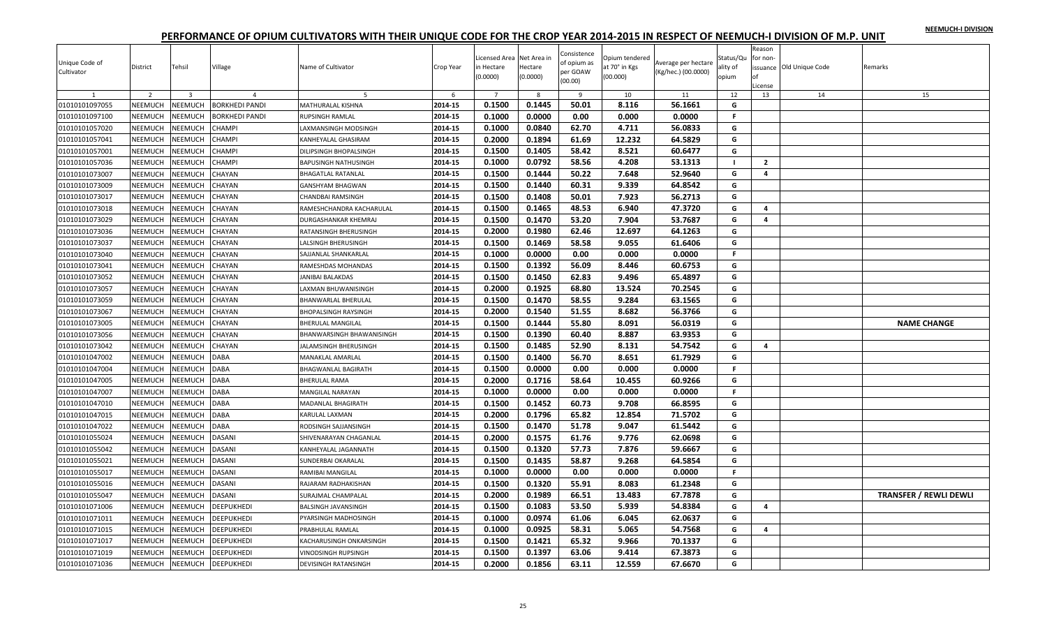|  |  | NEEMUCH-I DIVISION |
|--|--|--------------------|
|  |  |                    |

| Unique Code of<br>Cultivator   | District                  | Tehsil                             | Village                                 | Name of Cultivator          | Crop Year    | icensed Area Net Area in<br>in Hectare<br>(0.0000) | Hectare<br>(0.0000) | Consistence<br>of opium as<br>per GOAW<br>(00.00) | Opium tendered<br>at 70° in Kgs<br>(00.000) | Average per hectare<br>(Kg/hec.) (00.0000) | Status/Qu<br>ality of<br>opium | Reason<br>for non-<br>of<br>License | issuance Old Unique Code | Remarks                       |
|--------------------------------|---------------------------|------------------------------------|-----------------------------------------|-----------------------------|--------------|----------------------------------------------------|---------------------|---------------------------------------------------|---------------------------------------------|--------------------------------------------|--------------------------------|-------------------------------------|--------------------------|-------------------------------|
| $\mathbf{1}$<br>01010101097055 | $\overline{2}$<br>NEEMUCH | $\overline{\mathbf{3}}$<br>NEEMUCH | $\overline{4}$<br><b>BORKHEDI PANDI</b> | -5<br>MATHURALAL KISHNA     | 6<br>2014-15 | $\overline{7}$<br>0.1500                           | 8<br>0.1445         | 9<br>50.01                                        | 10<br>8.116                                 | 11<br>56.1661                              | 12<br>G                        | 13                                  | 14                       | 15                            |
| 01010101097100                 | NEEMUCH                   | NEEMUCH                            | <b>BORKHEDI PANDI</b>                   | RUPSINGH RAMLAL             | 2014-15      | 0.1000                                             | 0.0000              | 0.00                                              | 0.000                                       | 0.0000                                     | F                              |                                     |                          |                               |
| 01010101057020                 | <b>NEEMUCH</b>            | <b>NEEMUCH</b>                     | <b>CHAMPI</b>                           | LAXMANSINGH MODSINGH        | 2014-15      | 0.1000                                             | 0.0840              | 62.70                                             | 4.711                                       | 56.0833                                    | G                              |                                     |                          |                               |
| 01010101057041                 | <b>NEEMUCH</b>            | NEEMUCH                            | <b>CHAMPI</b>                           | KANHEYALAL GHASIRAM         | 2014-15      | 0.2000                                             | 0.1894              | 61.69                                             | 12.232                                      | 64.5829                                    | G                              |                                     |                          |                               |
| 01010101057001                 | NEEMUCH                   | NEEMUCH                            | <b>CHAMPI</b>                           | DILIPSINGH BHOPALSINGH      | 2014-15      | 0.1500                                             | 0.1405              | 58.42                                             | 8.521                                       | 60.6477                                    | G                              |                                     |                          |                               |
| 01010101057036                 | <b>NEEMUCH</b>            | <b>NEEMUCH</b>                     | <b>CHAMPI</b>                           | <b>BAPUSINGH NATHUSINGH</b> | 2014-15      | 0.1000                                             | 0.0792              | 58.56                                             | 4.208                                       | 53.1313                                    | $\mathbf{I}$                   | $\overline{2}$                      |                          |                               |
| 01010101073007                 | <b>NEEMUCH</b>            | <b>NEEMUCH</b>                     | CHAYAN                                  | <b>BHAGATLAL RATANLAL</b>   | 2014-15      | 0.1500                                             | 0.1444              | 50.22                                             | 7.648                                       | 52.9640                                    | G                              | 4                                   |                          |                               |
| 01010101073009                 | NEEMUCH                   | <b>NEEMUCH</b>                     | CHAYAN                                  | GANSHYAM BHAGWAN            | 2014-15      | 0.1500                                             | 0.1440              | 60.31                                             | 9.339                                       | 64.8542                                    | G                              |                                     |                          |                               |
| 01010101073017                 | NEEMUCH                   | NEEMUCH                            | CHAYAN                                  | CHANDBAI RAMSINGH           | 2014-15      | 0.1500                                             | 0.1408              | 50.01                                             | 7.923                                       | 56.2713                                    | G                              |                                     |                          |                               |
| 01010101073018                 | NEEMUCH                   | <b>NEEMUCH</b>                     | CHAYAN                                  | RAMESHCHANDRA KACHARULAL    | 2014-15      | 0.1500                                             | 0.1465              | 48.53                                             | 6.940                                       | 47.3720                                    | G                              | 4                                   |                          |                               |
| 01010101073029                 | NEEMUCH                   | <b>NEEMUCH</b>                     | CHAYAN                                  | DURGASHANKAR KHEMRAJ        | 2014-15      | 0.1500                                             | 0.1470              | 53.20                                             | 7.904                                       | 53.7687                                    | G                              | 4                                   |                          |                               |
| 01010101073036                 | <b>NEEMUCH</b>            | <b>NEEMUCH</b>                     | CHAYAN                                  | RATANSINGH BHERUSINGH       | 2014-15      | 0.2000                                             | 0.1980              | 62.46                                             | 12.697                                      | 64.1263                                    | G                              |                                     |                          |                               |
| 01010101073037                 | NEEMUCH                   | NEEMUCH                            | CHAYAN                                  | LALSINGH BHERUSINGH         | 2014-15      | 0.1500                                             | 0.1469              | 58.58                                             | 9.055                                       | 61.6406                                    | G                              |                                     |                          |                               |
| 01010101073040                 | NEEMUCH                   | <b>NEEMUCH</b>                     | CHAYAN                                  | SAJJANLAL SHANKARLAL        | 2014-15      | 0.1000                                             | 0.0000              | 0.00                                              | 0.000                                       | 0.0000                                     | F                              |                                     |                          |                               |
| 01010101073041                 | NEEMUCH                   | <b>NEEMUCH</b>                     | CHAYAN                                  | RAMESHDAS MOHANDAS          | 2014-15      | 0.1500                                             | 0.1392              | 56.09                                             | 8.446                                       | 60.6753                                    | G                              |                                     |                          |                               |
| 01010101073052                 | NEEMUCH                   | <b>NEEMUCH</b>                     | CHAYAN                                  | JANIBAI BALAKDAS            | 2014-15      | 0.1500                                             | 0.1450              | 62.83                                             | 9.496                                       | 65.4897                                    | G                              |                                     |                          |                               |
| 01010101073057                 | <b>NEEMUCH</b>            | NEEMUCH                            | <b>CHAYAN</b>                           | LAXMAN BHUWANISINGH         | 2014-15      | 0.2000                                             | 0.1925              | 68.80                                             | 13.524                                      | 70.2545                                    | G                              |                                     |                          |                               |
| 01010101073059                 | <b>NEEMUCH</b>            | <b>NEEMUCH</b>                     | CHAYAN                                  | BHANWARLAL BHERULAL         | 2014-15      | 0.1500                                             | 0.1470              | 58.55                                             | 9.284                                       | 63.1565                                    | G                              |                                     |                          |                               |
| 01010101073067                 | NEEMUCH                   | <b>NEEMUCH</b>                     | CHAYAN                                  | BHOPALSINGH RAYSINGH        | 2014-15      | 0.2000                                             | 0.1540              | 51.55                                             | 8.682                                       | 56.3766                                    | G                              |                                     |                          |                               |
| 01010101073005                 | <b>NEEMUCH</b>            | NEEMUCH                            | CHAYAN                                  | <b>BHERULAL MANGILAL</b>    | 2014-15      | 0.1500                                             | 0.1444              | 55.80                                             | 8.091                                       | 56.0319                                    | G                              |                                     |                          | <b>NAME CHANGE</b>            |
| 01010101073056                 | NEEMUCH                   | NEEMUCH                            | CHAYAN                                  | BHANWARSINGH BHAWANISINGH   | 2014-15      | 0.1500                                             | 0.1390              | 60.40                                             | 8.887                                       | 63.9353                                    | G                              |                                     |                          |                               |
| 01010101073042                 | NEEMUCH                   | NEEMUCH                            | CHAYAN                                  | ALAMSINGH BHERUSINGH        | 2014-15      | 0.1500                                             | 0.1485              | 52.90                                             | 8.131                                       | 54.7542                                    | G                              | 4                                   |                          |                               |
| 01010101047002                 | <b>NEEMUCH</b>            | <b>NEEMUCH</b>                     | DABA                                    | MANAKLAL AMARLAL            | 2014-15      | 0.1500                                             | 0.1400              | 56.70                                             | 8.651                                       | 61.7929                                    | G                              |                                     |                          |                               |
| 01010101047004                 | NEEMUCH                   | NEEMUCH                            | <b>DABA</b>                             | BHAGWANLAL BAGIRATH         | 2014-15      | 0.1500                                             | 0.0000              | 0.00                                              | 0.000                                       | 0.0000                                     | F.                             |                                     |                          |                               |
| 01010101047005                 | <b>NEEMUCH</b>            | <b>NEEMUCH</b>                     | <b>DABA</b>                             | <b>BHERULAL RAMA</b>        | 2014-15      | 0.2000                                             | 0.1716              | 58.64                                             | 10.455                                      | 60.9266                                    | G                              |                                     |                          |                               |
| 01010101047007                 | NEEMUCH                   | NEEMUCH                            | <b>DABA</b>                             | MANGILAL NARAYAN            | 2014-15      | 0.1000                                             | 0.0000              | 0.00                                              | 0.000                                       | 0.0000                                     | F                              |                                     |                          |                               |
| 01010101047010                 | <b>NEEMUCH</b>            | NEEMUCH                            | <b>DABA</b>                             | MADANLAL BHAGIRATH          | 2014-15      | 0.1500                                             | 0.1452              | 60.73                                             | 9.708                                       | 66.8595                                    | G                              |                                     |                          |                               |
| 01010101047015                 | <b>NEEMUCH</b>            | NEEMUCH                            | <b>DABA</b>                             | KARULAL LAXMAN              | 2014-15      | 0.2000                                             | 0.1796              | 65.82                                             | 12.854                                      | 71.5702                                    | G                              |                                     |                          |                               |
| 01010101047022                 | <b>NEEMUCH</b>            | <b>NEEMUCH</b>                     | <b>DABA</b>                             | RODSINGH SAJJANSINGH        | 2014-15      | 0.1500                                             | 0.1470              | 51.78                                             | 9.047                                       | 61.5442                                    | G                              |                                     |                          |                               |
| 01010101055024                 | NEEMUCH                   | <b>NEEMUCH</b>                     | <b>DASANI</b>                           | SHIVENARAYAN CHAGANLAL      | 2014-15      | 0.2000                                             | 0.1575              | 61.76                                             | 9.776                                       | 62.0698                                    | G                              |                                     |                          |                               |
| 01010101055042                 | <b>NEEMUCH</b>            | NEEMUCH                            | DASANI                                  | KANHEYALAL JAGANNATH        | 2014-15      | 0.1500                                             | 0.1320              | 57.73                                             | 7.876                                       | 59.6667                                    | G                              |                                     |                          |                               |
| 01010101055021                 | NEEMUCH                   | NEEMUCH                            | <b>DASANI</b>                           | SUNDERBAI OKARALAL          | 2014-15      | 0.1500                                             | 0.1435              | 58.87                                             | 9.268                                       | 64.5854                                    | G                              |                                     |                          |                               |
| 01010101055017                 | <b>NEEMUCH</b>            | <b>NEEMUCH</b>                     | <b>DASANI</b>                           | RAMIBAI MANGILAL            | 2014-15      | 0.1000                                             | 0.0000              | 0.00                                              | 0.000                                       | 0.0000                                     | F                              |                                     |                          |                               |
| 01010101055016                 | <b>NEEMUCH</b>            | NEEMUCH                            | DASANI                                  | RAJARAM RADHAKISHAN         | 2014-15      | 0.1500                                             | 0.1320              | 55.91                                             | 8.083                                       | 61.2348                                    | G                              |                                     |                          |                               |
| 01010101055047                 | NEEMUCH                   | NEEMUCH                            | <b>DASANI</b>                           | SURAJMAL CHAMPALAL          | 2014-15      | 0.2000                                             | 0.1989              | 66.51                                             | 13.483                                      | 67.7878                                    | G                              |                                     |                          | <b>TRANSFER / REWLI DEWLI</b> |
| 01010101071006                 | NEEMUCH                   | <b>NEEMUCH</b>                     | <b>DEEPUKHEDI</b>                       | <b>BALSINGH JAVANSINGH</b>  | 2014-15      | 0.1500                                             | 0.1083              | 53.50                                             | 5.939                                       | 54.8384                                    | G                              | 4                                   |                          |                               |
| 01010101071011                 | NEEMUCH                   | NEEMUCH                            | <b>DEEPUKHEDI</b>                       | PYARSINGH MADHOSINGH        | 2014-15      | 0.1000                                             | 0.0974              | 61.06                                             | 6.045                                       | 62.0637                                    | G                              |                                     |                          |                               |
| 01010101071015                 | NEEMUCH                   | <b>NEEMUCH</b>                     | <b>DEEPUKHEDI</b>                       | PRABHULAL RAMLAL            | 2014-15      | 0.1000                                             | 0.0925              | 58.31                                             | 5.065                                       | 54.7568                                    | G                              | 4                                   |                          |                               |
| 01010101071017                 | <b>NEEMUCH</b>            | NEEMUCH                            | <b>DEEPUKHEDI</b>                       | KACHARUSINGH ONKARSINGH     | 2014-15      | 0.1500                                             | 0.1421              | 65.32                                             | 9.966                                       | 70.1337                                    | G                              |                                     |                          |                               |
| 01010101071019                 | <b>NEEMUCH</b>            | <b>NEEMUCH</b>                     | <b>DEEPUKHEDI</b>                       | VINODSINGH RUPSINGH         | 2014-15      | 0.1500                                             | 0.1397              | 63.06                                             | 9.414                                       | 67.3873                                    | G                              |                                     |                          |                               |
| 01010101071036                 | NEEMUCH                   | NEEMUCH                            | <b>DEEPUKHEDI</b>                       | DEVISINGH RATANSINGH        | 2014-15      | 0.2000                                             | 0.1856              | 63.11                                             | 12.559                                      | 67.6670                                    | G                              |                                     |                          |                               |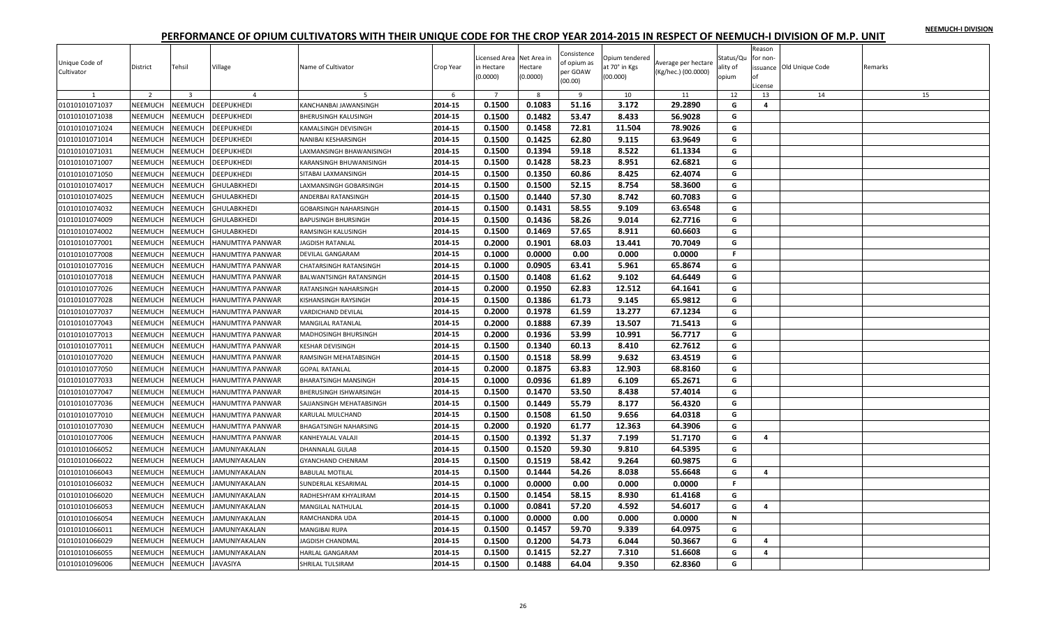| NEEMUCH-I DIVISION |  |
|--------------------|--|
|                    |  |

| per GOAW<br>(Kg/hec.) (00.0000)<br>Cultivator<br>(0.0000)<br>(0.0000)<br>(00.000)<br>opium<br>Ωf<br>(00.00)<br>License                                                    |    |
|---------------------------------------------------------------------------------------------------------------------------------------------------------------------------|----|
| $\overline{2}$<br>$\overline{\mathbf{3}}$<br>$\overline{7}$<br>$\overline{9}$<br>12<br>13<br>14<br>$\overline{4}$<br>6<br>-8<br>10<br>11                                  | 15 |
| 0.1500<br>0.1083<br>51.16<br>3.172<br>29.2890<br>01010101071037<br><b>NEEMUCH</b><br>NEEMUCH<br><b>DEEPUKHEDI</b><br>2014-15<br>KANCHANBAI JAWANSINGH<br>G<br>4           |    |
| 0.1500<br>0.1482<br>53.47<br>8.433<br>56.9028<br>01010101071038<br><b>NEEMUCH</b><br>NEEMUCH<br><b>DEEPUKHEDI</b><br>2014-15<br>G<br>BHERUSINGH KALUSINGH                 |    |
| 0.1500<br>0.1458<br>72.81<br>11.504<br>78.9026<br>2014-15<br>G<br>01010101071024<br><b>NEEMUCH</b><br>NEEMUCH<br>DEEPUKHEDI<br>KAMALSINGH DEVISINGH                       |    |
| <b>NEEMUCH</b><br>0.1500<br>0.1425<br>62.80<br>01010101071014<br><b>NEEMUCH</b><br>DEEPUKHEDI<br>2014-15<br>9.115<br>63.9649<br>G<br>NANIBAI KESHARSINGH                  |    |
| 0.1500<br>0.1394<br><b>NEEMUCH</b><br>2014-15<br>59.18<br>8.522<br>61.1334<br>G<br>01010101071031<br><b>NEEMUCH</b><br><b>DEEPUKHEDI</b><br>LAXMANSINGH BHAWANISINGH      |    |
| 58.23<br>NEEMUCH<br>0.1500<br>0.1428<br>8.951<br>62.6821<br>G<br>01010101071007<br>NEEMUCH<br><b>DEEPUKHEDI</b><br>2014-15<br>KARANSINGH BHUWANISINGH                     |    |
| 01010101071050<br>NEEMUCH<br>NEEMUCH<br>DEEPUKHEDI<br>2014-15<br>0.1500<br>0.1350<br>60.86<br>8.425<br>62.4074<br>G<br>SITABAI LAXMANSINGH                                |    |
| 0.1500<br>0.1500<br>52.15<br>01010101074017<br>NEEMUCH<br><b>NEEMUCH</b><br>GHULABKHEDI<br>2014-15<br>8.754<br>58.3600<br>G<br>LAXMANSINGH GOBARSINGH                     |    |
| <b>NEEMUCH</b><br>NEEMUCH<br>2014-15<br>0.1500<br>0.1440<br>57.30<br>8.742<br>60.7083<br>G<br>01010101074025<br>GHULABKHEDI<br>ANDERBAI RATANSINGH                        |    |
| 58.55<br>01010101074032<br>NEEMUCH<br>2014-15<br>0.1500<br>0.1431<br>9.109<br>63.6548<br><b>NEEMUCH</b><br>GHULABKHEDI<br>G<br>GOBARSINGH NAHARSINGH                      |    |
| 58.26<br>NEEMUCH<br>NEEMUCH<br>2014-15<br>0.1500<br>0.1436<br>9.014<br>62.7716<br>G<br>01010101074009<br><b>GHULABKHEDI</b><br><b>BAPUSINGH BHURSINGH</b>                 |    |
| 57.65<br>2014-15<br>0.1500<br>0.1469<br>8.911<br>60.6603<br>01010101074002<br><b>NEEMUCH</b><br>NEEMUCH<br>GHULABKHEDI<br>RAMSINGH KALUSINGH<br>G                         |    |
| <b>NEEMUCH</b><br>2014-15<br>0.2000<br>0.1901<br>68.03<br>13.441<br>G<br>01010101077001<br><b>NEEMUCH</b><br>70.7049<br>HANUMTIYA PANWAR<br><b>JAGDISH RATANLAL</b>       |    |
| 0.1000<br>0.0000<br>0.000<br>NEEMUCH<br>2014-15<br>0.00<br>0.0000<br>F.<br>01010101077008<br><b>NEEMUCH</b><br>DEVILAL GANGARAM<br>HANUMTIYA PANWAR                       |    |
| 63.41<br><b>NEEMUCH</b><br>NEEMUCH<br>2014-15<br>0.1000<br>0.0905<br>5.961<br>65.8674<br>G<br>01010101077016<br>HANUMTIYA PANWAR<br>CHATARSINGH RATANSINGH                |    |
| 0.1500<br><b>NEEMUCH</b><br>2014-15<br>0.1408<br>61.62<br>9.102<br>64.6449<br>G<br>01010101077018<br><b>NEEMUCH</b><br><b>HANUMTIYA PANWAR</b><br>BALWANTSINGH RATANSINGH |    |
| 62.83<br>NEEMUCH<br>0.2000<br>0.1950<br>12.512<br>G<br>01010101077026<br><b>NEEMUCH</b><br>HANUMTIYA PANWAR<br>2014-15<br>64.1641<br>RATANSINGH NAHARSINGH                |    |
| 0.1386<br>01010101077028<br>NEEMUCH<br>NEEMUCH<br>2014-15<br>0.1500<br>61.73<br>9.145<br>65.9812<br>G<br>HANUMTIYA PANWAR<br>KISHANSINGH RAYSINGH                         |    |
| 0.2000<br>0.1978<br>61.59<br>13.277<br>67.1234<br>01010101077037<br>NEEMUCH<br><b>NEEMUCH</b><br>2014-15<br>G<br>HANUMTIYA PANWAR<br>VARDICHAND DEVILAL                   |    |
| <b>NEEMUCH</b><br>NEEMUCH<br>2014-15<br>0.2000<br>0.1888<br>67.39<br>13.507<br>71.5413<br>01010101077043<br>HANUMTIYA PANWAR<br>G<br><b>MANGILAL RATANLAL</b>             |    |
| 0.2000<br>0.1936<br>53.99<br>10.991<br>56.7717<br>NEEMUCH<br>2014-15<br>G<br>01010101077013<br><b>NEEMUCH</b><br>HANUMTIYA PANWAR<br>MADHOSINGH BHURSINGH                 |    |
| 0.1500<br>0.1340<br>60.13<br>NEEMUCH<br>NEEMUCH<br>2014-15<br>8.410<br>62.7612<br>G<br>01010101077011<br>HANUMTIYA PANWAR<br><b>KESHAR DEVISINGH</b>                      |    |
| 2014-15<br>0.1500<br>0.1518<br>58.99<br>9.632<br>63.4519<br>01010101077020<br><b>NEEMUCH</b><br>NEEMUCH<br>HANUMTIYA PANWAR<br>RAMSINGH MEHATABSINGH<br>G                 |    |
| <b>NEEMUCH</b><br>2014-15<br>0.2000<br>0.1875<br>63.83<br>12.903<br>68.8160<br>01010101077050<br><b>NEEMUCH</b><br>G<br>HANUMTIYA PANWAR<br><b>GOPAL RATANLAL</b>         |    |
| 0.1000<br>0.0936<br>61.89<br>65.2671<br>NEEMUCH<br>2014-15<br>6.109<br>G<br>01010101077033<br>NEEMUCH<br>HANUMTIYA PANWAR<br><b>BHARATSINGH MANSINGH</b>                  |    |
| 0.1470<br>53.50<br>01010101077047<br>NEEMUCH<br><b>NEEMUCH</b><br>2014-15<br>0.1500<br>8.438<br>57.4014<br>G<br>HANUMTIYA PANWAR<br>BHERUSINGH ISHWARSINGH                |    |
| 01010101077036<br>NEEMUCH<br>NEEMUCH<br>2014-15<br>0.1500<br>0.1449<br>55.79<br>8.177<br>56.4320<br>G<br>HANUMTIYA PANWAR<br>SAJJANSINGH MEHATABSINGH                     |    |
| NEEMUCH<br>0.1500<br>0.1508<br>61.50<br>9.656<br>64.0318<br>G<br>01010101077010<br>NEEMUCH<br>HANUMTIYA PANWAR<br>2014-15<br>KARULAL MULCHAND                             |    |
| 01010101077030<br>NEEMUCH<br>NEEMUCH<br>2014-15<br>0.2000<br>0.1920<br>61.77<br>12.363<br>64.3906<br>G<br>HANUMTIYA PANWAR<br>BHAGATSINGH NAHARSING                       |    |
| 0.1500<br>2014-15<br>0.1392<br>51.37<br>7.199<br>51.7170<br>G<br>01010101077006<br>NEEMUCH<br><b>NEEMUCH</b><br>HANUMTIYA PANWAR<br>KANHEYALAL VALAJI<br>4                |    |
| 0.1520<br>01010101066052<br><b>NEEMUCH</b><br>NEEMUCH<br>2014-15<br>0.1500<br>59.30<br>9.810<br>64.5395<br>G<br>JAMUNIYAKALAN<br>DHANNALAL GULAB                          |    |
| 0.1500<br>2014-15<br>0.1519<br>58.42<br>9.264<br>60.9875<br>01010101066022<br>NEEMUCH<br>G<br><b>NEEMUCH</b><br>JAMUNIYAKALAN<br>GYANCHAND CHENRAM                        |    |
| 54.26<br>NEEMUCH<br>2014-15<br>0.1500<br>0.1444<br>8.038<br>55.6648<br>G<br>01010101066043<br><b>NEEMUCH</b><br>JAMUNIYAKALAN<br>$\overline{a}$<br><b>BABULAL MOTILAL</b> |    |
| 2014-15<br>0.1000<br>0.0000<br>0.00<br>0.000<br>0.0000<br>01010101066032<br>NEEMUCH<br><b>NEEMUCH</b><br>JAMUNIYAKALAN<br>SUNDERLAL KESARIMAL<br>F.                       |    |
| 0.1500<br><b>NEEMUCH</b><br>2014-15<br>0.1454<br>58.15<br>8.930<br>61.4168<br>01010101066020<br><b>NEEMUCH</b><br><b>JAMUNIYAKALAN</b><br>G<br>RADHESHYAM KHYALIRAM       |    |
| 0.1000<br>57.20<br>4.592<br>01010101066053<br><b>NEEMUCH</b><br><b>NEEMUCH</b><br>JAMUNIYAKALAN<br>2014-15<br>0.0841<br>54.6017<br>G<br>4<br>MANGILAL NATHULAL            |    |
| NEEMUCH<br><b>NEEMUCH</b><br>2014-15<br>0.1000<br>0.0000<br>0.00<br>0.000<br>N<br>01010101066054<br>JAMUNIYAKALAN<br>RAMCHANDRA UDA<br>0.0000                             |    |
| 01010101066011<br><b>NEEMUCH</b><br><b>NEEMUCH</b><br>JAMUNIYAKALAN<br>2014-15<br>0.1500<br>0.1457<br>59.70<br>9.339<br>64.0975<br>G<br>MANGIBAI RUPA                     |    |
| 0.1500<br>0.1200<br>54.73<br>6.044<br>50.3667<br>2014-15<br>G<br>01010101066029<br>NEEMUCH<br><b>NEEMUCH</b><br>JAMUNIYAKALAN<br><b>AGDISH CHANDMAL</b><br>4              |    |
| 01010101066055<br>2014-15<br>0.1500<br>0.1415<br>52.27<br>7.310<br>51.6608<br>G<br>4<br><b>NEEMUCH</b><br>NEEMUCH<br>JAMUNIYAKALAN<br>HARLAL GANGARAM                     |    |
| 2014-15<br>0.1500<br>0.1488<br>64.04<br>G<br>9.350<br>62.8360<br>01010101096006<br>NEEMUCH<br>NEEMUCH<br><b>JAVASIYA</b><br>SHRILAL TULSIRAM                              |    |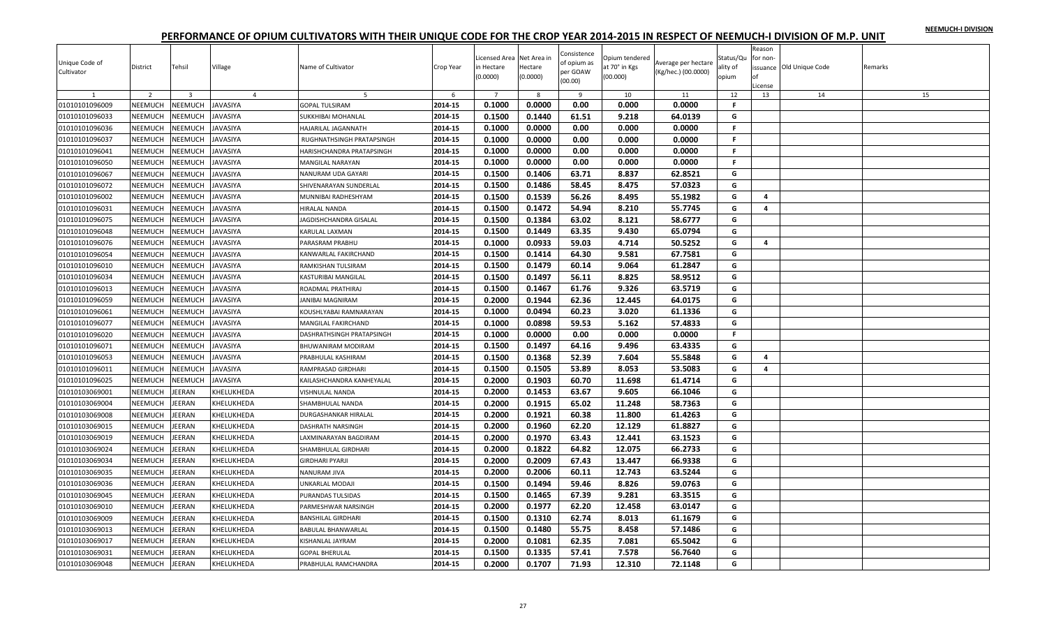| NEEMUCH-I DIVISION |  |
|--------------------|--|
|                    |  |

| Unique Code of<br>Cultivator | District       | Tehsil                  | Village         | Name of Cultivator        | Crop Year | Licensed Area Net Area in<br>in Hectare<br>(0.0000) | Hectare<br>(0.0000) | Consistence<br>of opium as<br>per GOAW<br>(00.00) | Opium tendered<br>at 70° in Kgs<br>(00.000) | Average per hectare<br>(Kg/hec.) (00.0000) | Status/Qu<br>ality of<br>opium | Reason<br>for non-<br>оf<br>License | issuance Old Unique Code | Remarks |
|------------------------------|----------------|-------------------------|-----------------|---------------------------|-----------|-----------------------------------------------------|---------------------|---------------------------------------------------|---------------------------------------------|--------------------------------------------|--------------------------------|-------------------------------------|--------------------------|---------|
|                              | $\overline{2}$ | $\overline{\mathbf{3}}$ | $\overline{4}$  | -5                        | 6         | $\overline{7}$                                      | 8                   | $\mathbf{q}$                                      | 10                                          | 11                                         | 12                             | 13                                  | 14                       | 15      |
| 01010101096009               | NEEMUCH        | NEEMUCH                 | <b>JAVASIYA</b> | <b>GOPAL TULSIRAM</b>     | 2014-15   | 0.1000                                              | 0.0000              | 0.00                                              | 0.000                                       | 0.0000                                     | F.                             |                                     |                          |         |
| 01010101096033               | NEEMUCH        | <b>NEEMUCH</b>          | <b>JAVASIYA</b> | SUKKHIBAI MOHANLAL        | 2014-15   | 0.1500                                              | 0.1440              | 61.51                                             | 9.218                                       | 64.0139                                    | G                              |                                     |                          |         |
| 01010101096036               | <b>NEEMUCH</b> | NEEMUCH                 | JAVASIYA        | HAJARILAL JAGANNATH       | 2014-15   | 0.1000                                              | 0.0000              | 0.00                                              | 0.000                                       | 0.0000                                     | F.                             |                                     |                          |         |
| 01010101096037               | <b>NEEMUCH</b> | <b>NEEMUCH</b>          | <b>JAVASIYA</b> | RUGHNATHSINGH PRATAPSINGH | 2014-15   | 0.1000                                              | 0.0000              | 0.00                                              | 0.000                                       | 0.0000                                     | F.                             |                                     |                          |         |
| 01010101096041               | <b>NEEMUCH</b> | <b>NEEMUCH</b>          | JAVASIYA        | HARISHCHANDRA PRATAPSINGH | 2014-15   | 0.1000                                              | 0.0000              | 0.00                                              | 0.000                                       | 0.0000                                     | $\mathbb F$                    |                                     |                          |         |
| 01010101096050               | NEEMUCH        | NEEMUCH                 | <b>JAVASIYA</b> | MANGILAL NARAYAN          | 2014-15   | 0.1000                                              | 0.0000              | 0.00                                              | 0.000                                       | 0.0000                                     | F.                             |                                     |                          |         |
| 01010101096067               | NEEMUCH        | NEEMUCH                 | <b>JAVASIYA</b> | NANURAM UDA GAYARI        | 2014-15   | 0.1500                                              | 0.1406              | 63.71                                             | 8.837                                       | 62.8521                                    | G                              |                                     |                          |         |
| 01010101096072               | NEEMUCH        | <b>NEEMUCH</b>          | <b>JAVASIYA</b> | SHIVENARAYAN SUNDERLAL    | 2014-15   | 0.1500                                              | 0.1486              | 58.45                                             | 8.475                                       | 57.0323                                    | G                              |                                     |                          |         |
| 01010101096002               | <b>NEEMUCH</b> | VEEMUCH                 | <b>JAVASIYA</b> | MUNNIBAI RADHESHYAM       | 2014-15   | 0.1500                                              | 0.1539              | 56.26                                             | 8.495                                       | 55.1982                                    | G                              | 4                                   |                          |         |
| 01010101096031               | NEEMUCH        | <b>NEEMUCH</b>          | JAVASIYA        | HIRALAL NANDA             | 2014-15   | 0.1500                                              | 0.1472              | 54.94                                             | 8.210                                       | 55.7745                                    | G                              | 4                                   |                          |         |
| 01010101096075               | NEEMUCH        | NEEMUCH                 | JAVASIYA        | JAGDISHCHANDRA GISALAL    | 2014-15   | 0.1500                                              | 0.1384              | 63.02                                             | 8.121                                       | 58.6777                                    | G                              |                                     |                          |         |
| 01010101096048               | NEEMUCH        | <b>NEEMUCH</b>          | <b>JAVASIYA</b> | KARULAL LAXMAN            | 2014-15   | 0.1500                                              | 0.1449              | 63.35                                             | 9.430                                       | 65.0794                                    | G                              |                                     |                          |         |
| 01010101096076               | NEEMUCH        | <b>NEEMUCH</b>          | <b>JAVASIYA</b> | PARASRAM PRABHU           | 2014-15   | 0.1000                                              | 0.0933              | 59.03                                             | 4.714                                       | 50.5252                                    | G                              | 4                                   |                          |         |
| 01010101096054               | NEEMUCH        | <b>NEEMUCH</b>          | JAVASIYA        | KANWARLAL FAKIRCHAND      | 2014-15   | 0.1500                                              | 0.1414              | 64.30                                             | 9.581                                       | 67.7581                                    | G                              |                                     |                          |         |
| 01010101096010               | NEEMUCH        | <b>NEEMUCH</b>          | JAVASIYA        | RAMKISHAN TULSIRAM        | 2014-15   | 0.1500                                              | 0.1479              | 60.14                                             | 9.064                                       | 61.2847                                    | G                              |                                     |                          |         |
| 01010101096034               | <b>NEEMUCH</b> | <b>NEEMUCH</b>          | JAVASIYA        | KASTURIBAI MANGILAL       | 2014-15   | 0.1500                                              | 0.1497              | 56.11                                             | 8.825                                       | 58.9512                                    | G                              |                                     |                          |         |
| 01010101096013               | NEEMUCH        | <b>NEEMUCH</b>          | JAVASIYA        | ROADMAL PRATHIRAJ         | 2014-15   | 0.1500                                              | 0.1467              | 61.76                                             | 9.326                                       | 63.5719                                    | G                              |                                     |                          |         |
| 01010101096059               | NEEMUCH        | <b>NEEMUCH</b>          | JAVASIYA        | JANIBAI MAGNIRAM          | 2014-15   | 0.2000                                              | 0.1944              | 62.36                                             | 12.445                                      | 64.0175                                    | G                              |                                     |                          |         |
| 01010101096061               | NEEMUCH        | <b>NEEMUCH</b>          | <b>JAVASIYA</b> | KOUSHLYABAI RAMNARAYAN    | 2014-15   | 0.1000                                              | 0.0494              | 60.23                                             | 3.020                                       | 61.1336                                    | G                              |                                     |                          |         |
| 01010101096077               | <b>NEEMUCH</b> | VEEMUCH                 | <b>JAVASIYA</b> | MANGILAL FAKIRCHAND       | 2014-15   | 0.1000                                              | 0.0898              | 59.53                                             | 5.162                                       | 57.4833                                    | G                              |                                     |                          |         |
| 01010101096020               | NEEMUCH        | <b>NEEMUCH</b>          | JAVASIYA        | DASHRATHSINGH PRATAPSINGH | 2014-15   | 0.1000                                              | 0.0000              | 0.00                                              | 0.000                                       | 0.0000                                     | F.                             |                                     |                          |         |
| 01010101096071               | NEEMUCH        | <b>NEEMUCH</b>          | JAVASIYA        | BHUWANIRAM MODIRAM        | 2014-15   | 0.1500                                              | 0.1497              | 64.16                                             | 9.496                                       | 63.4335                                    | G                              |                                     |                          |         |
| 01010101096053               | NEEMUCH        | <b>NEEMUCH</b>          | <b>JAVASIYA</b> | PRABHULAL KASHIRAM        | 2014-15   | 0.1500                                              | 0.1368              | 52.39                                             | 7.604                                       | 55.5848                                    | G                              | 4                                   |                          |         |
| 01010101096011               | NEEMUCH        | <b>NEEMUCH</b>          | <b>JAVASIYA</b> | RAMPRASAD GIRDHARI        | 2014-15   | 0.1500                                              | 0.1505              | 53.89                                             | 8.053                                       | 53.5083                                    | G                              | 4                                   |                          |         |
| 01010101096025               | NEEMUCH        | NEEMUCH                 | JAVASIYA        | KAILASHCHANDRA KANHEYALAL | 2014-15   | 0.2000                                              | 0.1903              | 60.70                                             | 11.698                                      | 61.4714                                    | G                              |                                     |                          |         |
| 01010103069001               | NEEMUCH        | <b>JEERAN</b>           | KHELUKHEDA      | VISHNULAL NANDA           | 2014-15   | 0.2000                                              | 0.1453              | 63.67                                             | 9.605                                       | 66.1046                                    | G                              |                                     |                          |         |
| 01010103069004               | NEEMUCH        | <b>JEERAN</b>           | KHELUKHEDA      | SHAMBHULAL NANDA          | 2014-15   | 0.2000                                              | 0.1915              | 65.02                                             | 11.248                                      | 58.7363                                    | G                              |                                     |                          |         |
| 01010103069008               | NEEMUCH        | EERAN                   | KHELUKHEDA      | DURGASHANKAR HIRALAL      | 2014-15   | 0.2000                                              | 0.1921              | 60.38                                             | 11.800                                      | 61.4263                                    | G                              |                                     |                          |         |
| 01010103069015               | NEEMUCH        | EERAN                   | KHELUKHEDA      | DASHRATH NARSINGH         | 2014-15   | 0.2000                                              | 0.1960              | 62.20                                             | 12.129                                      | 61.8827                                    | G                              |                                     |                          |         |
| 01010103069019               | NEEMUCH        | EERAN                   | KHELUKHEDA      | LAXMINARAYAN BAGDIRAM     | 2014-15   | 0.2000                                              | 0.1970              | 63.43                                             | 12.441                                      | 63.1523                                    | G                              |                                     |                          |         |
| 01010103069024               | <b>NEEMUCH</b> | <b>JEERAN</b>           | KHELUKHEDA      | SHAMBHULAL GIRDHARI       | 2014-15   | 0.2000                                              | 0.1822              | 64.82                                             | 12.075                                      | 66.2733                                    | G                              |                                     |                          |         |
| 01010103069034               | NEEMUCH        | EERAN                   | KHELUKHEDA      | GIRDHARI PYARJI           | 2014-15   | 0.2000                                              | 0.2009              | 67.43                                             | 13.447                                      | 66.9338                                    | G                              |                                     |                          |         |
| 01010103069035               | NEEMUCH        | EERAN                   | KHELUKHEDA      | NANURAM JIVA              | 2014-15   | 0.2000                                              | 0.2006              | 60.11                                             | 12.743                                      | 63.5244                                    | G                              |                                     |                          |         |
| 01010103069036               | NEEMUCH        | EERAN                   | KHELUKHEDA      | JNKARLAL MODAJI           | 2014-15   | 0.1500                                              | 0.1494              | 59.46                                             | 8.826                                       | 59.0763                                    | G                              |                                     |                          |         |
| 01010103069045               | NEEMUCH        | <b>JEERAN</b>           | KHELUKHEDA      | PURANDAS TULSIDAS         | 2014-15   | 0.1500                                              | 0.1465              | 67.39                                             | 9.281                                       | 63.3515                                    | G                              |                                     |                          |         |
| 01010103069010               | NEEMUCH        | EERAN                   | KHELUKHEDA      | PARMESHWAR NARSINGH       | 2014-15   | 0.2000                                              | 0.1977              | 62.20                                             | 12.458                                      | 63.0147                                    | G                              |                                     |                          |         |
| 01010103069009               | NEEMUCH        | <b>JEERAN</b>           | KHELUKHEDA      | <b>BANSHILAL GIRDHARI</b> | 2014-15   | 0.1500                                              | 0.1310              | 62.74                                             | 8.013                                       | 61.1679                                    | G                              |                                     |                          |         |
| 01010103069013               | NEEMUCH        | EERAN                   | KHELUKHEDA      | <b>BABULAL BHANWARLAL</b> | 2014-15   | 0.1500                                              | 0.1480              | 55.75                                             | 8.458                                       | 57.1486                                    | G                              |                                     |                          |         |
| 01010103069017               | NEEMUCH        | EERAN                   | KHELUKHEDA      | KISHANLAL JAYRAM          | 2014-15   | 0.2000                                              | 0.1081              | 62.35                                             | 7.081                                       | 65.5042                                    | G                              |                                     |                          |         |
| 01010103069031               | NEEMUCH        | EERAN                   | KHELUKHEDA      | <b>GOPAL BHERULAL</b>     | 2014-15   | 0.1500                                              | 0.1335              | 57.41                                             | 7.578                                       | 56.7640                                    | G                              |                                     |                          |         |
| 01010103069048               | NEEMUCH        | <b>JEERAN</b>           | KHELUKHEDA      | PRABHULAL RAMCHANDRA      | 2014-15   | 0.2000                                              | 0.1707              | 71.93                                             | 12.310                                      | 72.1148                                    | G                              |                                     |                          |         |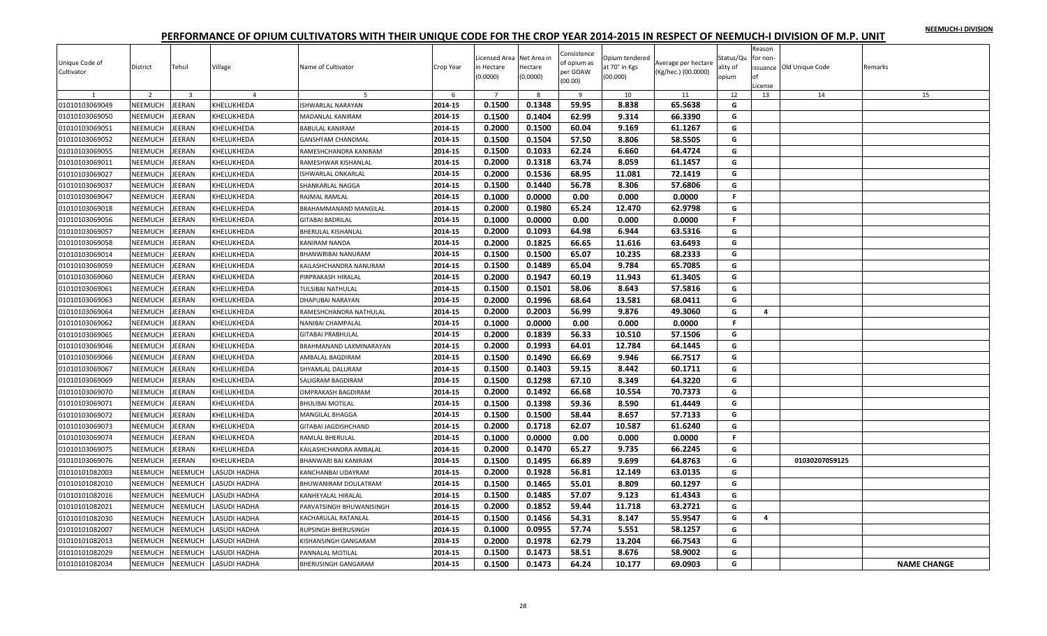|  |  | NEEMUCH-I DIVISION |
|--|--|--------------------|
|  |  |                    |

| Unique Code of<br>Cultivator | District       | Tehsil         | Village        | Name of Cultivator         | Crop Year | Licensed Area Net Area in<br>in Hectare<br>(0.0000) | Hectare<br>(0.0000) | Consistence<br>of opium as<br>per GOAW<br>(00.00) | Opium tendered<br>at 70° in Kgs<br>(00.000) | Average per hectare<br>(Kg/hec.) (00.0000) | Status/Qu<br>ality of<br>opium | Reason<br>for non-<br>оf<br>License | issuance Old Unique Code | Remarks            |
|------------------------------|----------------|----------------|----------------|----------------------------|-----------|-----------------------------------------------------|---------------------|---------------------------------------------------|---------------------------------------------|--------------------------------------------|--------------------------------|-------------------------------------|--------------------------|--------------------|
|                              | $\overline{z}$ | $\overline{3}$ | $\overline{a}$ | 5                          | 6         | $\overline{7}$                                      | -8                  | - 9                                               | 10                                          | 11                                         | 12                             | 13                                  | 14                       | 15                 |
| 01010103069049               | <b>NEEMUCH</b> | EERAN          | KHELUKHEDA     | ISHWARLAL NARAYAN          | 2014-15   | 0.1500                                              | 0.1348              | 59.95                                             | 8.838                                       | 65.5638                                    | G                              |                                     |                          |                    |
| 01010103069050               | NEEMUCH        | <b>JEERAN</b>  | KHELUKHEDA     | MADANLAL KANIRAM           | 2014-15   | 0.1500                                              | 0.1404              | 62.99                                             | 9.314                                       | 66.3390                                    | G                              |                                     |                          |                    |
| 01010103069051               | NEEMUCH        | EERAN          | KHELUKHEDA     | <b>BABULAL KANIRAM</b>     | 2014-15   | 0.2000                                              | 0.1500              | 60.04                                             | 9.169                                       | 61.1267                                    | G                              |                                     |                          |                    |
| 01010103069052               | <b>NEEMUCH</b> | EERAN          | KHELUKHEDA     | GANSHYAM CHANDMAL          | 2014-15   | 0.1500                                              | 0.1504              | 57.50                                             | 8.806                                       | 58.5505                                    | G                              |                                     |                          |                    |
| 01010103069055               | NEEMUCH        | EERAN          | KHELUKHEDA     | RAMESHCHANDRA KANIRAM      | 2014-15   | 0.1500                                              | 0.1033              | 62.24                                             | 6.660                                       | 64.4724                                    | G                              |                                     |                          |                    |
| 01010103069011               | NEEMUCH        | <b>JEERAN</b>  | KHELUKHEDA     | RAMESHWAR KISHANLAL        | 2014-15   | 0.2000                                              | 0.1318              | 63.74                                             | 8.059                                       | 61.1457                                    | G                              |                                     |                          |                    |
| 01010103069027               | NEEMUCH        | EERAN          | KHELUKHEDA     | ISHWARLAL ONKARLAL         | 2014-15   | 0.2000                                              | 0.1536              | 68.95                                             | 11.081                                      | 72.1419                                    | G                              |                                     |                          |                    |
| 01010103069037               | NEEMUCH        | EERAN          | KHELUKHEDA     | SHANKARLAL NAGGA           | 2014-15   | 0.1500                                              | 0.1440              | 56.78                                             | 8.306                                       | 57.6806                                    | G                              |                                     |                          |                    |
| 01010103069047               | NEEMUCH        | EERAN          | KHELUKHEDA     | RAJMAL RAMLAL              | 2014-15   | 0.1000                                              | 0.0000              | 0.00                                              | 0.000                                       | 0.0000                                     | F.                             |                                     |                          |                    |
| 01010103069018               | NEEMUCH        | EERAN          | KHELUKHEDA     | BRAHAMMANAND MANGILAL      | 2014-15   | 0.2000                                              | 0.1980              | 65.24                                             | 12.470                                      | 62.9798                                    | G                              |                                     |                          |                    |
| 01010103069056               | NEEMUCH        | EERAN          | KHELUKHEDA     | <b>GITABAI BADRILAL</b>    | 2014-15   | 0.1000                                              | 0.0000              | 0.00                                              | 0.000                                       | 0.0000                                     | F.                             |                                     |                          |                    |
| 01010103069057               | NEEMUCH        | EERAN          | KHELUKHEDA     | BHERULAL KISHANLAL         | 2014-15   | 0.2000                                              | 0.1093              | 64.98                                             | 6.944                                       | 63.5316                                    | G                              |                                     |                          |                    |
| 01010103069058               | NEEMUCH        | EERAN          | KHELUKHEDA     | KANIRAM NANDA              | 2014-15   | 0.2000                                              | 0.1825              | 66.65                                             | 11.616                                      | 63.6493                                    | G                              |                                     |                          |                    |
| 01010103069014               | NEEMUCH        | EERAN          | KHELUKHEDA     | BHANWRIBAI NANURAM         | 2014-15   | 0.1500                                              | 0.1500              | 65.07                                             | 10.235                                      | 68.2333                                    | G                              |                                     |                          |                    |
| 01010103069059               | NEEMUCH        | EERAN          | KHELUKHEDA     | KAILASHCHANDRA NANURAM     | 2014-15   | 0.1500                                              | 0.1489              | 65.04                                             | 9.784                                       | 65.7085                                    | G                              |                                     |                          |                    |
| 01010103069060               | NEEMUCH        | EERAN          | KHELUKHEDA     | PIRPRAKASH HIRALAL         | 2014-15   | 0.2000                                              | 0.1947              | 60.19                                             | 11.943                                      | 61.3405                                    | G                              |                                     |                          |                    |
| 01010103069061               | NEEMUCH        | EERAN          | KHELUKHEDA     | TULSIBAI NATHULAL          | 2014-15   | 0.1500                                              | 0.1501              | 58.06                                             | 8.643                                       | 57.5816                                    | G                              |                                     |                          |                    |
| 01010103069063               | NEEMUCH        | EERAN          | KHELUKHEDA     | DHAPUBAI NARAYAN           | 2014-15   | 0.2000                                              | 0.1996              | 68.64                                             | 13.581                                      | 68.0411                                    | G                              |                                     |                          |                    |
| 01010103069064               | NEEMUCH        | EERAN          | KHELUKHEDA     | RAMESHCHANDRA NATHULAL     | 2014-15   | 0.2000                                              | 0.2003              | 56.99                                             | 9.876                                       | 49.3060                                    | G                              | 4                                   |                          |                    |
| 01010103069062               | NEEMUCH        | <b>JEERAN</b>  | KHELUKHEDA     | NANIBAI CHAMPALAI          | 2014-15   | 0.1000                                              | 0.0000              | 0.00                                              | 0.000                                       | 0.0000                                     | $\mathbb F$                    |                                     |                          |                    |
| 01010103069065               | NEEMUCH        | EERAN          | KHELUKHEDA     | GITABAI PRABHULAL          | 2014-15   | 0.2000                                              | 0.1839              | 56.33                                             | 10.510                                      | 57.1506                                    | G                              |                                     |                          |                    |
| 01010103069046               | <b>NEEMUCH</b> | EERAN          | KHELUKHEDA     | BRAHMANAND LAXMINARAYAN    | 2014-15   | 0.2000                                              | 0.1993              | 64.01                                             | 12.784                                      | 64.1445                                    | G                              |                                     |                          |                    |
| 01010103069066               | NEEMUCH        | EERAN          | KHELUKHEDA     | AMBALAL BAGDIRAM           | 2014-15   | 0.1500                                              | 0.1490              | 66.69                                             | 9.946                                       | 66.7517                                    | G                              |                                     |                          |                    |
| 01010103069067               | <b>NEEMUCH</b> | EERAN          | KHELUKHEDA     | SHYAMLAL DALURAM           | 2014-15   | 0.1500                                              | 0.1403              | 59.15                                             | 8.442                                       | 60.1711                                    | G                              |                                     |                          |                    |
| 01010103069069               | NEEMUCH        | EERAN          | KHELUKHEDA     | SALIGRAM BAGDIRAM          | 2014-15   | 0.1500                                              | 0.1298              | 67.10                                             | 8.349                                       | 64.3220                                    | G                              |                                     |                          |                    |
| 01010103069070               | <b>NEEMUCH</b> | <b>JEERAN</b>  | KHELUKHEDA     | <b>OMPRAKASH BAGDIRAM</b>  | 2014-15   | 0.2000                                              | 0.1492              | 66.68                                             | 10.554                                      | 70.7373                                    | G                              |                                     |                          |                    |
| 01010103069071               | NEEMUCH        | EERAN          | KHELUKHEDA     | <b>BHULIBAI MOTILAL</b>    | 2014-15   | 0.1500                                              | 0.1398              | 59.36                                             | 8.590                                       | 61.4449                                    | G                              |                                     |                          |                    |
| 01010103069072               | NEEMUCH        | EERAN          | KHELUKHEDA     | MANGILAL BHAGGA            | 2014-15   | 0.1500                                              | 0.1500              | 58.44                                             | 8.657                                       | 57.7133                                    | G                              |                                     |                          |                    |
| 01010103069073               | NEEMUCH        | EERAN          | KHELUKHEDA     | GITABAI JAGDISHCHAND       | 2014-15   | 0.2000                                              | 0.1718              | 62.07                                             | 10.587                                      | 61.6240                                    | G                              |                                     |                          |                    |
| 01010103069074               | NEEMUCH        | <b>JEERAN</b>  | KHELUKHEDA     | RAMLAL BHERULAL            | 2014-15   | 0.1000                                              | 0.0000              | 0.00                                              | 0.000                                       | 0.0000                                     | F.                             |                                     |                          |                    |
| 01010103069075               | NEEMUCH        | <b>JEERAN</b>  | KHELUKHEDA     | KAILASHCHANDRA AMBALAL     | 2014-15   | 0.2000                                              | 0.1470              | 65.27                                             | 9.735                                       | 66.2245                                    | G                              |                                     |                          |                    |
| 01010103069076               | NEEMUCH        | EERAN          | KHELUKHEDA     | BHANWARI BAI KANIRAM       | 2014-15   | 0.1500                                              | 0.1495              | 66.89                                             | 9.699                                       | 64.8763                                    | G                              |                                     | 01030207059125           |                    |
| 01010101082003               | NEEMUCH        | <b>NEEMUCH</b> | LASUDI HADHA   | KANCHANBAI UDAYRAM         | 2014-15   | 0.2000                                              | 0.1928              | 56.81                                             | 12.149                                      | 63.0135                                    | G                              |                                     |                          |                    |
| 01010101082010               | NEEMUCH        | <b>NEEMUCH</b> | LASUDI HADHA   | BHUWANIRAM DOULATRAM       | 2014-15   | 0.1500                                              | 0.1465              | 55.01                                             | 8.809                                       | 60.1297                                    | G                              |                                     |                          |                    |
| 01010101082016               | <b>NEEMUCH</b> | <b>NEEMUCH</b> | LASUDI HADHA   | KANHEYALAL HIRALAI         | 2014-15   | 0.1500                                              | 0.1485              | 57.07                                             | 9.123                                       | 61.4343                                    | G                              |                                     |                          |                    |
| 01010101082021               | NEEMUCH        | VEEMUCH        | LASUDI HADHA   | PARVATSINGH BHUWANISINGH   | 2014-15   | 0.2000                                              | 0.1852              | 59.44                                             | 11.718                                      | 63.2721                                    | G                              |                                     |                          |                    |
| 01010101082030               | NEEMUCH        | <b>NEEMUCH</b> | LASUDI HADHA   | KACHARULAL RATANLAL        | 2014-15   | 0.1500                                              | 0.1456              | 54.31                                             | 8.147                                       | 55.9547                                    | G                              | 4                                   |                          |                    |
| 01010101082007               | NEEMUCH        | <b>NEEMUCH</b> | LASUDI HADHA   | RUPSINGH BHERUSINGH        | 2014-15   | 0.1000                                              | 0.0955              | 57.74                                             | 5.551                                       | 58.1257                                    | G                              |                                     |                          |                    |
|                              |                |                |                |                            | 2014-15   | 0.2000                                              | 0.1978              | 62.79                                             | 13.204                                      | 66.7543                                    | G                              |                                     |                          |                    |
| 01010101082013               | NEEMUCH        | <b>NEEMUCH</b> | LASUDI HADHA   | KISHANSINGH GANGARAM       |           |                                                     |                     |                                                   |                                             |                                            |                                |                                     |                          |                    |
| 01010101082029               | NEEMUCH        | <b>NEEMUCH</b> | LASUDI HADHA   | PANNALAL MOTILAL           | 2014-15   | 0.1500                                              | 0.1473              | 58.51                                             | 8.676                                       | 58.9002                                    | G                              |                                     |                          |                    |
| 01010101082034               | <b>NEEMUCH</b> | NEEMUCH        | LASUDI HADHA   | <b>BHERUSINGH GANGARAM</b> | 2014-15   | 0.1500                                              | 0.1473              | 64.24                                             | 10.177                                      | 69.0903                                    | G                              |                                     |                          | <b>NAME CHANGE</b> |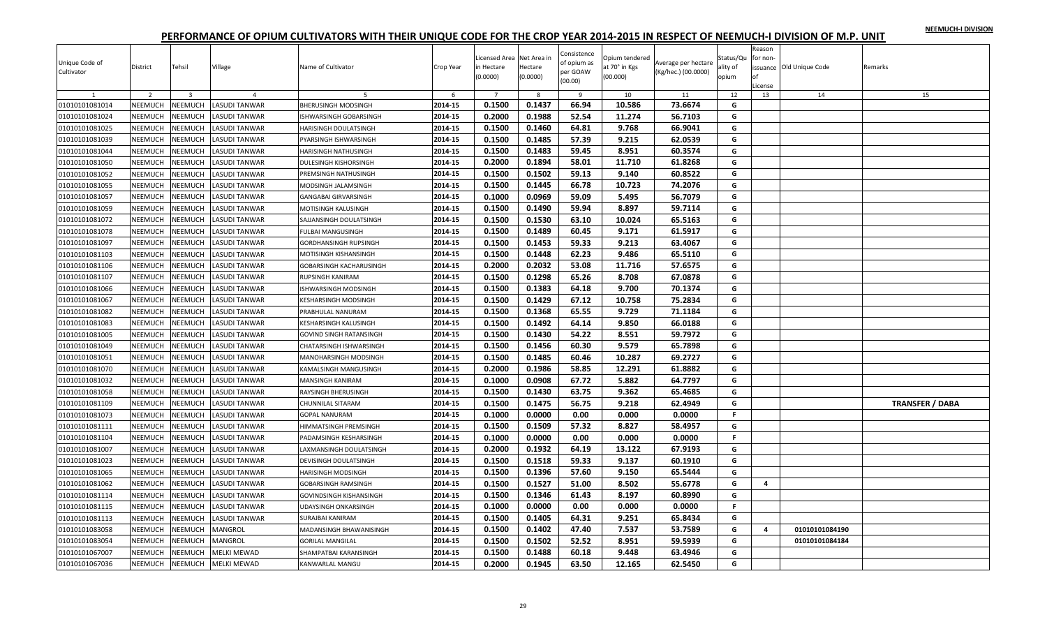|  |  | NEEMUCH-I DIVISION |
|--|--|--------------------|
|  |  |                    |

| Unique Code of<br>Cultivator | District       | Tehsil                  | Village              | Name of Cultivator                              | Crop Year | Licensed Area Net Area in<br>in Hectare<br>(0.0000) | Hectare<br>(0.0000) | Consistence<br>of opium as<br>per GOAW<br>(00.00) | Opium tendered<br>at 70° in Kgs<br>(00.000) | Average per hectare<br>(Kg/hec.) (00.0000) | Status/Qu<br>ality of<br>opium | Reason<br>for non-<br>оf<br>License | issuance Old Unique Code | Remarks                |
|------------------------------|----------------|-------------------------|----------------------|-------------------------------------------------|-----------|-----------------------------------------------------|---------------------|---------------------------------------------------|---------------------------------------------|--------------------------------------------|--------------------------------|-------------------------------------|--------------------------|------------------------|
|                              | $\overline{2}$ | $\overline{\mathbf{3}}$ | $\overline{a}$       | 5                                               | 6         | $\overline{7}$                                      | -8                  | - 9                                               | 10                                          | 11                                         | 12                             | 13                                  | 14                       | 15                     |
| 01010101081014               | NEEMUCH        | NEEMUCH                 | <b>LASUDI TANWAR</b> | <b>BHERUSINGH MODSINGH</b>                      | 2014-15   | 0.1500                                              | 0.1437              | 66.94                                             | 10.586                                      | 73.6674                                    | G                              |                                     |                          |                        |
| 01010101081024               | <b>NEEMUCH</b> | <b>NEEMUCH</b>          | LASUDI TANWAR        | ISHWARSINGH GOBARSINGH                          | 2014-15   | 0.2000                                              | 0.1988              | 52.54                                             | 11.274                                      | 56.7103                                    | G                              |                                     |                          |                        |
| 01010101081025               | NEEMUCH        | NEEMUCH                 | LASUDI TANWAR        | HARISINGH DOULATSINGH                           | 2014-15   | 0.1500                                              | 0.1460              | 64.81                                             | 9.768                                       | 66.9041                                    | G                              |                                     |                          |                        |
| 01010101081039               | <b>NEEMUCH</b> | <b>NEEMUCH</b>          | LASUDI TANWAR        | PYARSINGH ISHWARSINGH                           | 2014-15   | 0.1500                                              | 0.1485              | 57.39                                             | 9.215                                       | 62.0539                                    | G                              |                                     |                          |                        |
| 01010101081044               | <b>NEEMUCH</b> | <b>NEEMUCH</b>          | LASUDI TANWAR        | HARISINGH NATHUSINGH                            | 2014-15   | 0.1500                                              | 0.1483              | 59.45                                             | 8.951                                       | 60.3574                                    | G                              |                                     |                          |                        |
| 01010101081050               | NEEMUCH        | NEEMUCH                 | LASUDI TANWAR        | DULESINGH KISHORSINGH                           | 2014-15   | 0.2000                                              | 0.1894              | 58.01                                             | 11.710                                      | 61.8268                                    | G                              |                                     |                          |                        |
| 01010101081052               | NEEMUCH        | NEEMUCH                 | LASUDI TANWAR        | PREMSINGH NATHUSINGH                            | 2014-15   | 0.1500                                              | 0.1502              | 59.13                                             | 9.140                                       | 60.8522                                    | G                              |                                     |                          |                        |
| 01010101081055               | NEEMUCH        | <b>NEEMUCH</b>          | LASUDI TANWAR        | MODSINGH JALAMSINGH                             | 2014-15   | 0.1500                                              | 0.1445              | 66.78                                             | 10.723                                      | 74.2076                                    | G                              |                                     |                          |                        |
| 01010101081057               | <b>NEEMUCH</b> | NEEMUCH                 | LASUDI TANWAR        | GANGABAI GIRVARSINGH                            | 2014-15   | 0.1000                                              | 0.0969              | 59.09                                             | 5.495                                       | 56.7079                                    | G                              |                                     |                          |                        |
| 01010101081059               | NEEMUCH        | <b>NEEMUCH</b>          | LASUDI TANWAR        | MOTISINGH KALUSINGH                             | 2014-15   | 0.1500                                              | 0.1490              | 59.94                                             | 8.897                                       | 59.7114                                    | G                              |                                     |                          |                        |
| 01010101081072               | NEEMUCH        | NEEMUCH                 | <b>LASUDI TANWAR</b> | SAJJANSINGH DOULATSINGH                         | 2014-15   | 0.1500                                              | 0.1530              | 63.10                                             | 10.024                                      | 65.5163                                    | G                              |                                     |                          |                        |
| 01010101081078               | NEEMUCH        | <b>NEEMUCH</b>          | LASUDI TANWAR        | <b>FULBAI MANGUSINGH</b>                        | 2014-15   | 0.1500                                              | 0.1489              | 60.45                                             | 9.171                                       | 61.5917                                    | G                              |                                     |                          |                        |
| 01010101081097               | <b>NEEMUCH</b> | <b>NEEMUCH</b>          | LASUDI TANWAR        | GORDHANSINGH RUPSINGH                           | 2014-15   | 0.1500                                              | 0.1453              | 59.33                                             | 9.213                                       | 63.4067                                    | G                              |                                     |                          |                        |
| 01010101081103               | NEEMUCH        | <b>NEEMUCH</b>          | LASUDI TANWAR        | MOTISINGH KISHANSINGH                           | 2014-15   | 0.1500                                              | 0.1448              | 62.23                                             | 9.486                                       | 65.5110                                    | G                              |                                     |                          |                        |
| 01010101081106               | NEEMUCH        | <b>NEEMUCH</b>          | LASUDI TANWAR        | GOBARSINGH KACHARUSINGH                         | 2014-15   | 0.2000                                              | 0.2032              | 53.08                                             | 11.716                                      | 57.6575                                    | G                              |                                     |                          |                        |
| 01010101081107               | <b>NEEMUCH</b> | <b>NEEMUCH</b>          | LASUDI TANWAR        | RUPSINGH KANIRAM                                | 2014-15   | 0.1500                                              | 0.1298              | 65.26                                             | 8.708                                       | 67.0878                                    | G                              |                                     |                          |                        |
| 01010101081066               | NEEMUCH        | <b>NEEMUCH</b>          | LASUDI TANWAR        | ISHWARSINGH MODSINGH                            | 2014-15   | 0.1500                                              | 0.1383              | 64.18                                             | 9.700                                       | 70.1374                                    | G                              |                                     |                          |                        |
| 01010101081067               | NEEMUCH        | NEEMUCH                 | LASUDI TANWAR        | KESHARSINGH MODSINGH                            | 2014-15   | 0.1500                                              | 0.1429              | 67.12                                             | 10.758                                      | 75.2834                                    | G                              |                                     |                          |                        |
| 01010101081082               | NEEMUCH        | <b>NEEMUCH</b>          | LASUDI TANWAR        | PRABHULAL NANURAM                               | 2014-15   | 0.1500                                              | 0.1368              | 65.55                                             | 9.729                                       | 71.1184                                    | G                              |                                     |                          |                        |
| 01010101081083               | <b>NEEMUCH</b> | NEEMUCH                 | <b>LASUDI TANWAR</b> | KESHARSINGH KALUSINGH                           | 2014-15   | 0.1500                                              | 0.1492              | 64.14                                             | 9.850                                       | 66.0188                                    | G                              |                                     |                          |                        |
| 01010101081005               | NEEMUCH        | <b>NEEMUCH</b>          | LASUDI TANWAR        | GOVIND SINGH RATANSINGH                         | 2014-15   | 0.1500                                              | 0.1430              | 54.22                                             | 8.551                                       | 59.7972                                    | G                              |                                     |                          |                        |
| 01010101081049               | NEEMUCH        | <b>NEEMUCH</b>          | <b>LASUDI TANWAR</b> | CHATARSINGH ISHWARSINGH                         | 2014-15   | 0.1500                                              | 0.1456              | 60.30                                             | 9.579                                       | 65.7898                                    | G                              |                                     |                          |                        |
| 01010101081051               | NEEMUCH        | NEEMUCH                 | <b>LASUDI TANWAR</b> | MANOHARSINGH MODSINGH                           | 2014-15   | 0.1500                                              | 0.1485              | 60.46                                             | 10.287                                      | 69.2727                                    | G                              |                                     |                          |                        |
| 01010101081070               | <b>NEEMUCH</b> | <b>NEEMUCH</b>          | LASUDI TANWAR        | KAMALSINGH MANGUSINGH                           | 2014-15   | 0.2000                                              | 0.1986              | 58.85                                             | 12.291                                      | 61.8882                                    | G                              |                                     |                          |                        |
| 01010101081032               | NEEMUCH        | NEEMUCH                 | LASUDI TANWAR        | MANSINGH KANIRAM                                | 2014-15   | 0.1000                                              | 0.0908              | 67.72                                             | 5.882                                       | 64.7797                                    | G                              |                                     |                          |                        |
| 01010101081058               | NEEMUCH        | <b>NEEMUCH</b>          | LASUDI TANWAR        | RAYSINGH BHERUSINGH                             | 2014-15   | 0.1500                                              | 0.1430              | 63.75                                             | 9.362                                       | 65.4685                                    | G                              |                                     |                          |                        |
| 01010101081109               | NEEMUCH        | NEEMUCH                 | <b>LASUDI TANWAR</b> | CHUNNILAL SITARAM                               | 2014-15   | 0.1500                                              | 0.1475              | 56.75                                             | 9.218                                       | 62.4949                                    | G                              |                                     |                          | <b>TRANSFER / DABA</b> |
|                              | NEEMUCH        | NEEMUCH                 | LASUDI TANWAR        |                                                 | 2014-15   | 0.1000                                              | 0.0000              | 0.00                                              |                                             |                                            | F.                             |                                     |                          |                        |
| 01010101081073               | NEEMUCH        | NEEMUCH                 |                      | <b>GOPAL NANURAM</b>                            | 2014-15   | 0.1500                                              | 0.1509              | 57.32                                             | 0.000<br>8.827                              | 0.0000<br>58.4957                          | G                              |                                     |                          |                        |
| 01010101081111               |                |                         | LASUDI TANWAR        | HIMMATSINGH PREMSINGH<br>PADAMSINGH KESHARSINGH | 2014-15   | 0.1000                                              | 0.0000              | 0.00                                              | 0.000                                       | 0.0000                                     | F.                             |                                     |                          |                        |
| 01010101081104               | NEEMUCH        | <b>NEEMUCH</b>          | LASUDI TANWAR        |                                                 |           |                                                     |                     |                                                   |                                             |                                            |                                |                                     |                          |                        |
| 01010101081007               | <b>NEEMUCH</b> | NEEMUCH                 | LASUDI TANWAR        | AXMANSINGH DOULATSINGH                          | 2014-15   | 0.2000                                              | 0.1932              | 64.19                                             | 13.122                                      | 67.9193                                    | G                              |                                     |                          |                        |
| 01010101081023               | NEEMUCH        | <b>NEEMUCH</b>          | LASUDI TANWAR        | DEVISINGH DOULATSINGH                           | 2014-15   | 0.1500                                              | 0.1518              | 59.33                                             | 9.137                                       | 60.1910                                    | G                              |                                     |                          |                        |
| 01010101081065               | NEEMUCH        | <b>NEEMUCH</b>          | LASUDI TANWAR        | <b>HARISINGH MODSINGH</b>                       | 2014-15   | 0.1500                                              | 0.1396              | 57.60                                             | 9.150                                       | 65.5444                                    | G                              |                                     |                          |                        |
| 01010101081062               | NEEMUCH        | <b>NEEMUCH</b>          | <b>LASUDI TANWAR</b> | <b>GOBARSINGH RAMSINGH</b>                      | 2014-15   | 0.1500                                              | 0.1527              | 51.00                                             | 8.502                                       | 55.6778                                    | G                              | 4                                   |                          |                        |
| 01010101081114               | <b>NEEMUCH</b> | <b>NEEMUCH</b>          | <b>LASUDI TANWAR</b> | GOVINDSINGH KISHANSINGH                         | 2014-15   | 0.1500                                              | 0.1346              | 61.43                                             | 8.197                                       | 60.8990                                    | G                              |                                     |                          |                        |
| 01010101081115               | <b>NEEMUCH</b> | <b>NEEMUCH</b>          | LASUDI TANWAR        | JDAYSINGH ONKARSINGH                            | 2014-15   | 0.1000                                              | 0.0000              | 0.00                                              | 0.000                                       | 0.0000                                     | F.                             |                                     |                          |                        |
| 01010101081113               | NEEMUCH        | <b>NEEMUCH</b>          | LASUDI TANWAR        | SURAJBAI KANIRAM                                | 2014-15   | 0.1500                                              | 0.1405              | 64.31                                             | 9.251                                       | 65.8434                                    | G                              |                                     |                          |                        |
| 01010101083058               | NEEMUCH        | <b>NEEMUCH</b>          | <b>MANGROL</b>       | MADANSINGH BHAWANISINGH                         | 2014-15   | 0.1500                                              | 0.1402              | 47.40                                             | 7.537                                       | 53.7589                                    | G                              | 4                                   | 01010101084190           |                        |
| 01010101083054               | NEEMUCH        | <b>NEEMUCH</b>          | MANGROL              | <b>GORILAL MANGILAL</b>                         | 2014-15   | 0.1500                                              | 0.1502              | 52.52                                             | 8.951                                       | 59.5939                                    | G                              |                                     | 01010101084184           |                        |
| 01010101067007               | NEEMUCH        | NEEMUCH                 | <b>MELKI MEWAD</b>   | SHAMPATBAI KARANSINGH                           | 2014-15   | 0.1500                                              | 0.1488              | 60.18                                             | 9.448                                       | 63.4946                                    | G                              |                                     |                          |                        |
| 01010101067036               | NEEMUCH        | NEEMUCH                 | <b>MELKI MEWAD</b>   | KANWARLAL MANGU                                 | 2014-15   | 0.2000                                              | 0.1945              | 63.50                                             | 12.165                                      | 62.5450                                    | G                              |                                     |                          |                        |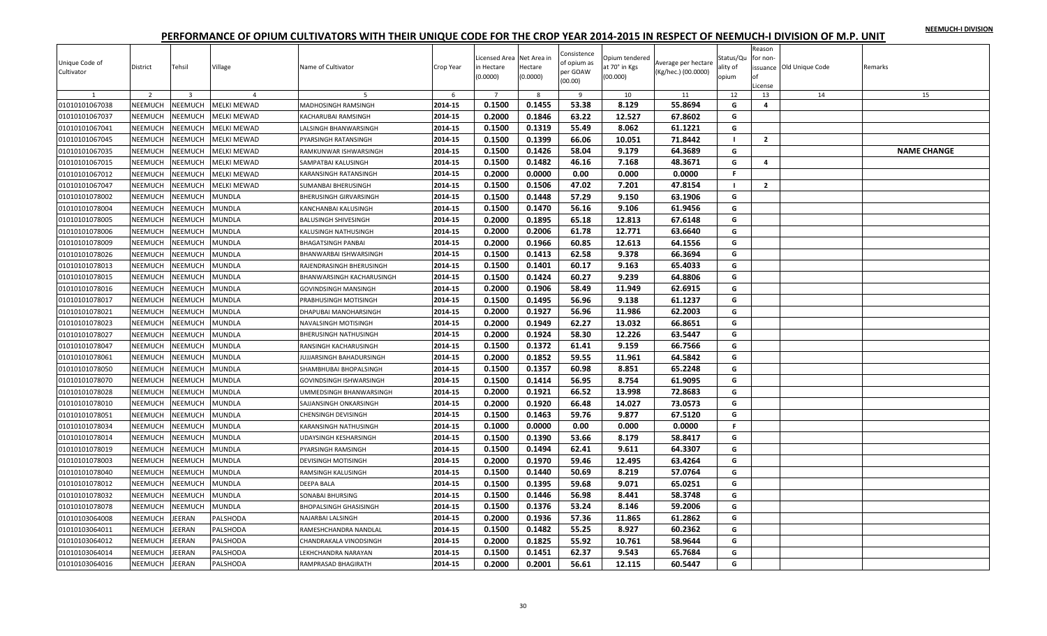|  |  | NEEMUCH-I DIVISION |
|--|--|--------------------|
|  |  |                    |

| Average per hectare<br>Village<br>at 70° in Kgs<br>issuance Old Unique Code<br>District<br>Tehsil<br>Name of Cultivator<br>Crop Year<br>in Hectare<br>Hectare<br>ality of<br>Remarks<br>per GOAW<br>(Kg/hec.) (00.0000)<br>Cultivator<br>(0.0000)<br>(0.0000)<br>(00.000)<br>opium<br>nf<br>(00.00)<br>License |                    |
|----------------------------------------------------------------------------------------------------------------------------------------------------------------------------------------------------------------------------------------------------------------------------------------------------------------|--------------------|
| $\overline{2}$<br>$\overline{\mathbf{3}}$<br>$\overline{7}$<br>8<br>12<br>13<br>14<br>$\overline{a}$<br>-6<br>$\overline{9}$<br>10<br>11                                                                                                                                                                       | 15                 |
| 0.1500<br>0.1455<br>53.38<br>8.129<br>55.8694<br>01010101067038<br>NEEMUCH<br><b>NEEMUCH</b><br><b>MELKI MEWAD</b><br>2014-15<br>MADHOSINGH RAMSINGH<br>G<br>4                                                                                                                                                 |                    |
| 0.2000<br>0.1846<br>63.22<br>12.527<br>67.8602<br>01010101067037<br>NEEMUCH<br><b>NEEMUCH</b><br>MELKI MEWAD<br>2014-15<br>G<br>KACHARUBAI RAMSINGH                                                                                                                                                            |                    |
| 0.1500<br>0.1319<br>55.49<br>8.062<br>61.1221<br>NEEMUCH<br>2014-15<br>G<br>01010101067041<br>NEEMUCH<br><b>MELKI MEWAD</b><br>ALSINGH BHANWARSINGH                                                                                                                                                            |                    |
| NEEMUCH<br>0.1500<br>0.1399<br>66.06<br>01010101067045<br><b>NEEMUCH</b><br><b>MELKI MEWAD</b><br>2014-15<br>10.051<br>71.8442<br>$\overline{2}$<br><b>PYARSINGH RATANSINGH</b><br>$\blacksquare$                                                                                                              |                    |
| 0.1500<br><b>NEEMUCH</b><br>2014-15<br>0.1426<br>58.04<br>9.179<br>64.3689<br>G<br>01010101067035<br><b>NEEMUCH</b><br><b>MELKI MEWAD</b><br>RAMKUNWAR ISHWARSINGH                                                                                                                                             | <b>NAME CHANGE</b> |
| NEEMUCH<br>NEEMUCH<br>0.1500<br>0.1482<br>46.16<br>7.168<br>48.3671<br>01010101067015<br>MELKI MEWAD<br>2014-15<br>G<br>$\overline{a}$<br>SAMPATBAI KALUSINGH                                                                                                                                                  |                    |
| 01010101067012<br>NEEMUCH<br>NEEMUCH<br>MELKI MEWAD<br>2014-15<br>0.2000<br>0.0000<br>0.00<br>0.000<br>0.0000<br>F.<br>KARANSINGH RATANSINGH                                                                                                                                                                   |                    |
| 0.1500<br>01010101067047<br>NEEMUCH<br><b>NEEMUCH</b><br><b>MELKI MEWAD</b><br>2014-15<br>0.1506<br>47.02<br>7.201<br>47.8154<br>$\overline{2}$<br>SUMANBAI BHERUSINGH<br>$\blacksquare$                                                                                                                       |                    |
| 57.29<br>01010101078002<br>NEEMUCH<br>VEEMUCH<br>MUNDLA<br>2014-15<br>0.1500<br>0.1448<br>9.150<br>63.1906<br>G<br>BHERUSINGH GIRVARSINGH                                                                                                                                                                      |                    |
| 01010101078004<br>NEEMUCH<br>2014-15<br>0.1500<br>0.1470<br>56.16<br>9.106<br>61.9456<br><b>NEEMUCH</b><br>MUNDLA<br>KANCHANBAI KALUSINGH<br>G                                                                                                                                                                 |                    |
| 65.18<br>NEEMUCH<br><b>NEEMUCH</b><br>0.2000<br>0.1895<br>12.813<br>67.6148<br>G<br>01010101078005<br>MUNDLA<br>2014-15<br>BALUSINGH SHIVESINGH                                                                                                                                                                |                    |
| 61.78<br>2014-15<br>0.2000<br>0.2006<br>12.771<br>63.6640<br>01010101078006<br>NEEMUCH<br><b>NEEMUCH</b><br><b>MUNDLA</b><br>KALUSINGH NATHUSINGH<br>G                                                                                                                                                         |                    |
| NEEMUCH<br>2014-15<br>0.2000<br>0.1966<br>60.85<br>12.613<br>G<br>01010101078009<br><b>JEEMUCH</b><br>MUNDLA<br>64.1556<br>BHAGATSINGH PANBAI                                                                                                                                                                  |                    |
| 0.1500<br>62.58<br>9.378<br>66.3694<br>NEEMUCH<br>2014-15<br>0.1413<br>G<br>01010101078026<br><b>NEEMUCH</b><br>MUNDLA<br>BHANWARBAI ISHWARSINGH                                                                                                                                                               |                    |
| 0.1500<br>60.17<br>9.163<br>NEEMUCH<br><b>NEEMUCH</b><br>MUNDLA<br>2014-15<br>0.1401<br>65.4033<br>G<br>01010101078013<br>RAJENDRASINGH BHERUSINGH                                                                                                                                                             |                    |
| 0.1500<br>9.239<br>NEEMUCH<br>2014-15<br>0.1424<br>60.27<br>64.8806<br>G<br>01010101078015<br><b>NEEMUCH</b><br>MUNDLA<br>BHANWARSINGH KACHARUSINGH                                                                                                                                                            |                    |
| NEEMUCH<br>0.2000<br>0.1906<br>58.49<br>11.949<br>62.6915<br>G<br>01010101078016<br><b>NEEMUCH</b><br>MUNDLA<br>2014-15<br><b>GOVINDSINGH MANSINGH</b>                                                                                                                                                         |                    |
| 0.1500<br>56.96<br>9.138<br>01010101078017<br>NEEMUCH<br><b>NEEMUCH</b><br><b>MUNDLA</b><br>2014-15<br>0.1495<br>61.1237<br>G<br>PRABHUSINGH MOTISINGH                                                                                                                                                         |                    |
| 0.2000<br>0.1927<br>56.96<br>11.986<br>62.2003<br>01010101078021<br>NEEMUCH<br><b>NEEMUCH</b><br>MUNDLA<br>2014-15<br>G<br>DHAPUBAI MANOHARSINGH                                                                                                                                                               |                    |
| <b>NEEMUCH</b><br>VEEMUCH<br><b>MUNDLA</b><br>2014-15<br>0.2000<br>0.1949<br>62.27<br>13.032<br>66.8651<br>01010101078023<br>G<br>NAVALSINGH MOTISINGH                                                                                                                                                         |                    |
| 0.2000<br>0.1924<br>58.30<br>12.226<br>63.5447<br>NEEMUCH<br>2014-15<br>G<br>01010101078027<br><b>NEEMUCH</b><br>MUNDLA<br>BHERUSINGH NATHUSINGH                                                                                                                                                               |                    |
| 0.1500<br>0.1372<br>61.41<br>9.159<br>01010101078047<br>NEEMUCH<br><b>NEEMUCH</b><br>66.7566<br>G<br>MUNDLA<br>2014-15<br>RANSINGH KACHARUSINGH                                                                                                                                                                |                    |
| 0.1852<br>59.55<br>2014-15<br>0.2000<br>11.961<br>64.5842<br>01010101078061<br>NEEMUCH<br><b>NEEMUCH</b><br><b>MUNDLA</b><br>JUJJARSINGH BAHADURSINGH<br>G                                                                                                                                                     |                    |
| 0.1500<br>NEEMUCH<br>0.1357<br>60.98<br>8.851<br>65.2248<br>01010101078050<br><b>NEEMUCH</b><br>MUNDLA<br>2014-15<br>G<br>SHAMBHUBAI BHOPALSINGH                                                                                                                                                               |                    |
| 0.1500<br>0.1414<br>56.95<br>8.754<br>61.9095<br>NEEMUCH<br>2014-15<br>G<br>01010101078070<br><b>NEEMUCH</b><br><b>MUNDLA</b><br>GOVINDSINGH ISHWARSINGH                                                                                                                                                       |                    |
| 0.1921<br>66.52<br>NEEMUCH<br><b>NEEMUCH</b><br>MUNDLA<br>2014-15<br>0.2000<br>13.998<br>72.8683<br>G<br>01010101078028<br>JMMEDSINGH BHANWARSINGH                                                                                                                                                             |                    |
| 0.2000<br>0.1920<br>01010101078010<br>NEEMUCH<br><b>NEEMUCH</b><br><b>MUNDLA</b><br>2014-15<br>66.48<br>14.027<br>73.0573<br>G<br>SAJJANSINGH ONKARSINGH                                                                                                                                                       |                    |
| 59.76<br>NEEMUCH<br>0.1500<br>0.1463<br>9.877<br>67.5120<br>G<br>01010101078051<br><b>NEEMUCH</b><br>MUNDLA<br>2014-15<br><b>HENSINGH DEVISINGH</b>                                                                                                                                                            |                    |
| 01010101078034<br>NEEMUCH<br>NEEMUCH<br>MUNDLA<br>2014-15<br>0.1000<br>0.0000<br>0.00<br>0.000<br>0.0000<br>F.<br>KARANSINGH NATHUSINGH                                                                                                                                                                        |                    |
| 0.1500<br>53.66<br>8.179<br>2014-15<br>0.1390<br>58.8417<br>G<br>01010101078014<br>NEEMUCH<br><b>NEEMUCH</b><br>MUNDLA<br>JDAYSINGH KESHARSINGH                                                                                                                                                                |                    |
| 01010101078019<br>NEEMUCH<br>VEEMUCH<br>MUNDLA<br>2014-15<br>0.1500<br>0.1494<br>62.41<br>9.611<br>64.3307<br>G<br>PYARSINGH RAMSINGH                                                                                                                                                                          |                    |
| 2014-15<br>0.2000<br>0.1970<br>59.46<br>12.495<br>63.4264<br>NEEMUCH<br>G<br>01010101078003<br><b>NEEMUCH</b><br>MUNDLA<br>DEVISINGH MOTISINGH                                                                                                                                                                 |                    |
| 0.1500<br>50.69<br>8.219<br>57.0764<br>NEEMUCH<br><b>NEEMUCH</b><br>0.1440<br>G<br>01010101078040<br>MUNDLA<br>2014-15<br>RAMSINGH KALUSINGH                                                                                                                                                                   |                    |
| 0.1500<br>0.1395<br>59.68<br>2014-15<br>9.071<br>65.0251<br>01010101078012<br>NEEMUCH<br><b>NEEMUCH</b><br><b>MUNDLA</b><br>DEEPA BALA<br>G                                                                                                                                                                    |                    |
| 0.1500<br>NEEMUCH<br><b>NEEMUCH</b><br>2014-15<br>0.1446<br>56.98<br>8.441<br>58.3748<br>G<br>01010101078032<br>MUNDLA<br>SONABAI BHURSING                                                                                                                                                                     |                    |
| NEEMUCH<br>0.1500<br>0.1376<br>53.24<br>8.146<br>59.2006<br>01010101078078<br><b>NEEMUCH</b><br><b>MUNDLA</b><br>2014-15<br>G<br>BHOPALSINGH GHASISINGH                                                                                                                                                        |                    |
| 0.1936<br>57.36<br>NEEMUCH<br>EERAN<br>2014-15<br>0.2000<br>11.865<br>61.2862<br>G<br>01010103064008<br>PALSHODA<br>NAJARBAI LALSINGH                                                                                                                                                                          |                    |
| 0.1500<br>8.927<br>01010103064011<br>NEEMUCH<br>EERAN<br>PALSHODA<br>2014-15<br>0.1482<br>55.25<br>60.2362<br>G<br>RAMESHCHANDRA NANDLAL                                                                                                                                                                       |                    |
| 55.92<br>0.2000<br>0.1825<br>10.761<br>58.9644<br>2014-15<br>G<br>01010103064012<br><b>NEEMUCH</b><br>EERAN<br>PALSHODA<br>CHANDRAKALA VINODSINGH                                                                                                                                                              |                    |
| 0.1451<br>62.37<br>9.543<br>01010103064014<br>NEEMUCH<br>EERAN<br>PALSHODA<br>2014-15<br>0.1500<br>65.7684<br>G<br>EKHCHANDRA NARAYAN                                                                                                                                                                          |                    |
| 0.2001<br>56.61<br>12.115<br>G<br><b>JEERAN</b><br>2014-15<br>0.2000<br>60.5447<br>01010103064016<br>NEEMUCH<br>PALSHODA<br>RAMPRASAD BHAGIRATH                                                                                                                                                                |                    |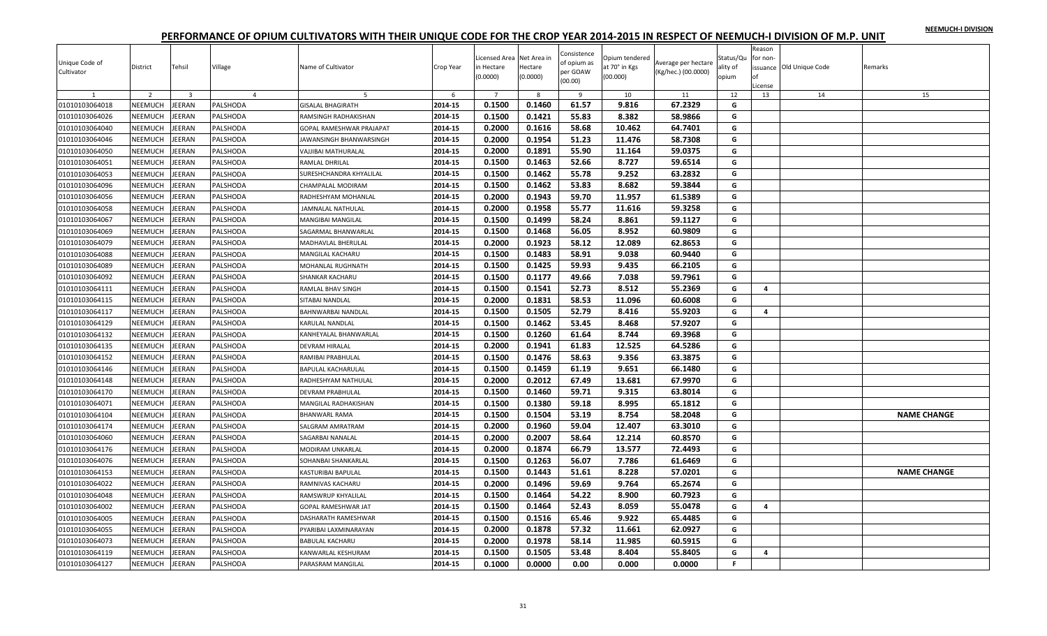|  |  | NEEMUCH-I DIVISION |
|--|--|--------------------|
|  |  |                    |

| Unique Code of<br>Cultivator     | District       | Tehsil                  | Village              | Name of Cultivator                   | Crop Year          | Licensed Area Net Area in<br>in Hectare<br>(0.0000) | Hectare<br>(0.0000) | Consistence<br>of opium as<br>per GOAW<br>(00.00) | Opium tendered<br>at 70° in Kgs<br>(00.000) | Average per hectare<br>(Kg/hec.) (00.0000) | Status/Qu<br>ality of<br>opium | Reason<br>for non-<br>оf<br>License | issuance Old Unique Code | Remarks            |
|----------------------------------|----------------|-------------------------|----------------------|--------------------------------------|--------------------|-----------------------------------------------------|---------------------|---------------------------------------------------|---------------------------------------------|--------------------------------------------|--------------------------------|-------------------------------------|--------------------------|--------------------|
|                                  | $\overline{z}$ | $\overline{\mathbf{3}}$ | $\overline{4}$       | 5                                    | 6                  | $\overline{7}$                                      | -8                  | - 9                                               | 10                                          | 11                                         | 12                             | 13                                  | 14                       | 15                 |
| 01010103064018                   | NEEMUCH        | EERAN                   | PALSHODA             | <b>GISALAL BHAGIRATH</b>             | 2014-15            | 0.1500                                              | 0.1460              | 61.57                                             | 9.816                                       | 67.2329                                    | G                              |                                     |                          |                    |
| 01010103064026                   | NEEMUCH        | <b>JEERAN</b>           | PALSHODA             | RAMSINGH RADHAKISHAN                 | 2014-15            | 0.1500                                              | 0.1421              | 55.83                                             | 8.382                                       | 58.9866                                    | G                              |                                     |                          |                    |
| 01010103064040                   | NEEMUCH        | EERAN                   | PALSHODA             | GOPAL RAMESHWAR PRAJAPAT             | 2014-15            | 0.2000                                              | 0.1616              | 58.68                                             | 10.462                                      | 64.7401                                    | G                              |                                     |                          |                    |
| 01010103064046                   | NEEMUCH        | EERAN                   | PALSHODA             | JAWANSINGH BHANWARSINGH              | 2014-15            | 0.2000                                              | 0.1954              | 51.23                                             | 11.476                                      | 58.7308                                    | G                              |                                     |                          |                    |
| 01010103064050                   | NEEMUCH        | EERAN                   | PALSHODA             | VAJJIBAI MATHURALAL                  | 2014-15            | 0.2000                                              | 0.1891              | 55.90                                             | 11.164                                      | 59.0375                                    | G                              |                                     |                          |                    |
| 01010103064051                   | NEEMUCH        | EERAN                   | PALSHODA             | RAMLAL DHRILAL                       | 2014-15            | 0.1500                                              | 0.1463              | 52.66                                             | 8.727                                       | 59.6514                                    | G                              |                                     |                          |                    |
| 01010103064053                   | NEEMUCH        | EERAN                   | PALSHODA             | SURESHCHANDRA KHYALILAL              | 2014-15            | 0.1500                                              | 0.1462              | 55.78                                             | 9.252                                       | 63.2832                                    | G                              |                                     |                          |                    |
| 01010103064096                   | NEEMUCH        | EERAN                   | PALSHODA             | CHAMPALAL MODIRAM                    | 2014-15            | 0.1500                                              | 0.1462              | 53.83                                             | 8.682                                       | 59.3844                                    | G                              |                                     |                          |                    |
| 01010103064056                   | NEEMUCH        | EERAN                   | PALSHODA             | RADHESHYAM MOHANLAL                  | 2014-15            | 0.2000                                              | 0.1943              | 59.70                                             | 11.957                                      | 61.5389                                    | G                              |                                     |                          |                    |
| 01010103064058                   | NEEMUCH        | EERAN                   | PALSHODA             | JAMNALAL NATHULAL                    | 2014-15            | 0.2000                                              | 0.1958              | 55.77                                             | 11.616                                      | 59.3258                                    | G                              |                                     |                          |                    |
| 01010103064067                   | NEEMUCH        | EERAN                   | PALSHODA             | MANGIBAI MANGILAL                    | 2014-15            | 0.1500                                              | 0.1499              | 58.24                                             | 8.861                                       | 59.1127                                    | G                              |                                     |                          |                    |
| 01010103064069                   | NEEMUCH        | EERAN                   | PALSHODA             | SAGARMAL BHANWARLAL                  | 2014-15            | 0.1500                                              | 0.1468              | 56.05                                             | 8.952                                       | 60.9809                                    | G                              |                                     |                          |                    |
| 01010103064079                   | NEEMUCH        | EERAN                   | PALSHODA             | MADHAVLAL BHERULAL                   | 2014-15            | 0.2000                                              | 0.1923              | 58.12                                             | 12.089                                      | 62.8653                                    | G                              |                                     |                          |                    |
| 01010103064088                   | NEEMUCH        | EERAN                   | PALSHODA             | MANGILAL KACHARU                     | 2014-15            | 0.1500                                              | 0.1483              | 58.91                                             | 9.038                                       | 60.9440                                    | G                              |                                     |                          |                    |
| 01010103064089                   | NEEMUCH        | <b>JEERAN</b>           | PALSHODA             | MOHANLAL RUGHNATH                    | 2014-15            | 0.1500                                              | 0.1425              | 59.93                                             | 9.435                                       | 66.2105                                    | G                              |                                     |                          |                    |
| 01010103064092                   | NEEMUCH        | EERAN                   | PALSHODA             | SHANKAR KACHARU                      | 2014-15            | 0.1500                                              | 0.1177              | 49.66                                             | 7.038                                       | 59.7961                                    | G                              |                                     |                          |                    |
| 01010103064111                   | NEEMUCH        | EERAN                   | PALSHODA             | RAMLAL BHAV SINGH                    | 2014-15            | 0.1500                                              | 0.1541              | 52.73                                             | 8.512                                       | 55.2369                                    | G                              | $\overline{\mathbf{a}}$             |                          |                    |
| 01010103064115                   | NEEMUCH        | EERAN                   | PALSHODA             | SITABAI NANDLAL                      | 2014-15            | 0.2000                                              | 0.1831              | 58.53                                             | 11.096                                      | 60.6008                                    | G                              |                                     |                          |                    |
| 01010103064117                   | NEEMUCH        | EERAN                   | PALSHODA             | BAHNWARBAI NANDLAL                   | 2014-15            | 0.1500                                              | 0.1505              | 52.79                                             | 8.416                                       | 55.9203                                    | G                              | 4                                   |                          |                    |
| 01010103064129                   | <b>NEEMUCH</b> | EERAN                   | <b>PALSHODA</b>      | KARULAL NANDLAL                      | 2014-15            | 0.1500                                              | 0.1462              | 53.45                                             | 8.468                                       | 57.9207                                    | G                              |                                     |                          |                    |
| 01010103064132                   | NEEMUCH        | EERAN                   | PALSHODA             | KANHEYALAL BHANWARLAL                | 2014-15            | 0.1500                                              | 0.1260              | 61.64                                             | 8.744                                       | 69.3968                                    | G                              |                                     |                          |                    |
| 01010103064135                   | NEEMUCH        | EERAN                   | PALSHODA             | DEVRAM HIRALAL                       | 2014-15            | 0.2000                                              | 0.1941              | 61.83                                             | 12.525                                      | 64.5286                                    | G                              |                                     |                          |                    |
| 01010103064152                   | NEEMUCH        | EERAN                   | PALSHODA             | RAMIBAI PRABHULAL                    | 2014-15            | 0.1500                                              | 0.1476              | 58.63                                             | 9.356                                       | 63.3875                                    | G                              |                                     |                          |                    |
| 01010103064146                   | NEEMUCH        | <b>JEERAN</b>           | PALSHODA             | <b>BAPULAL KACHARULAL</b>            | 2014-15            | 0.1500                                              | 0.1459              | 61.19                                             | 9.651                                       | 66.1480                                    | G                              |                                     |                          |                    |
| 01010103064148                   | NEEMUCH        | EERAN                   | PALSHODA             | RADHESHYAM NATHULAL                  | 2014-15            | 0.2000                                              | 0.2012              | 67.49                                             | 13.681                                      | 67.9970                                    | G                              |                                     |                          |                    |
| 01010103064170                   | NEEMUCH        | EERAN                   | PALSHODA             | DEVRAM PRABHULAL                     | 2014-15            | 0.1500                                              | 0.1460              | 59.71                                             | 9.315                                       | 63.8014                                    | G                              |                                     |                          |                    |
| 01010103064071                   | NEEMUCH        | EERAN                   | PALSHODA             | MANGILAL RADHAKISHAN                 | 2014-15            | 0.1500                                              | 0.1380              | 59.18                                             | 8.995                                       | 65.1812                                    | G                              |                                     |                          |                    |
|                                  | NEEMUCH        |                         |                      |                                      |                    |                                                     |                     | 53.19                                             | 8.754                                       |                                            | G                              |                                     |                          |                    |
| 01010103064104<br>01010103064174 | NEEMUCH        | EERAN<br>EERAN          | PALSHODA<br>PALSHODA | BHANWARL RAMA                        | 2014-15<br>2014-15 | 0.1500<br>0.2000                                    | 0.1504<br>0.1960    | 59.04                                             | 12.407                                      | 58.2048<br>63.3010                         | G                              |                                     |                          | <b>NAME CHANGE</b> |
|                                  |                |                         |                      | SALGRAM AMRATRAM<br>SAGARBAI NANALAL | 2014-15            | 0.2000                                              | 0.2007              | 58.64                                             | 12.214                                      | 60.8570                                    | G                              |                                     |                          |                    |
| 01010103064060                   | NEEMUCH        | EERAN                   | PALSHODA             |                                      |                    |                                                     |                     |                                                   |                                             |                                            | G                              |                                     |                          |                    |
| 01010103064176                   | NEEMUCH        | EERAN                   | PALSHODA             | MODIRAM UNKARLAL                     | 2014-15            | 0.2000                                              | 0.1874              | 66.79                                             | 13.577                                      | 72.4493                                    |                                |                                     |                          |                    |
| 01010103064076                   | NEEMUCH        | EERAN                   | PALSHODA             | SOHANBAI SHANKARLAL                  | 2014-15            | 0.1500                                              | 0.1263              | 56.07                                             | 7.786                                       | 61.6469                                    | G                              |                                     |                          |                    |
| 01010103064153                   | NEEMUCH        | EERAN                   | PALSHODA             | KASTURIBAI BAPULAL                   | 2014-15            | 0.1500                                              | 0.1443              | 51.61                                             | 8.228                                       | 57.0201                                    | G                              |                                     |                          | <b>NAME CHANGE</b> |
| 01010103064022                   | NEEMUCH        | EERAN                   | PALSHODA             | RAMNIVAS KACHARU                     | 2014-15            | 0.2000                                              | 0.1496              | 59.69                                             | 9.764                                       | 65.2674                                    | G                              |                                     |                          |                    |
| 01010103064048                   | NEEMUCH        | <b>JEERAN</b>           | PALSHODA             | RAMSWRUP KHYALILAL                   | 2014-15            | 0.1500                                              | 0.1464              | 54.22                                             | 8.900                                       | 60.7923                                    | G                              |                                     |                          |                    |
| 01010103064002                   | NEEMUCH        | EERAN                   | PALSHODA             | GOPAL RAMESHWAR JAT                  | 2014-15            | 0.1500                                              | 0.1464              | 52.43                                             | 8.059                                       | 55.0478                                    | G                              | 4                                   |                          |                    |
| 01010103064005                   | NEEMUCH        | <b>JEERAN</b>           | PALSHODA             | DASHARATH RAMESHWAR                  | 2014-15            | 0.1500                                              | 0.1516              | 65.46                                             | 9.922                                       | 65.4485                                    | G                              |                                     |                          |                    |
| 01010103064055                   | NEEMUCH        | EERAN                   | PALSHODA             | PYARIBAI LAXMINARAYAN                | 2014-15            | 0.2000                                              | 0.1878              | 57.32                                             | 11.661                                      | 62.0927                                    | G                              |                                     |                          |                    |
| 01010103064073                   | NEEMUCH        | EERAN                   | PALSHODA             | <b>BABULAL KACHARU</b>               | 2014-15            | 0.2000                                              | 0.1978              | 58.14                                             | 11.985                                      | 60.5915                                    | G                              |                                     |                          |                    |
| 01010103064119                   | NEEMUCH        | EERAN                   | PALSHODA             | KANWARLAL KESHURAM                   | 2014-15            | 0.1500                                              | 0.1505              | 53.48                                             | 8.404                                       | 55.8405                                    | G                              | $\overline{4}$                      |                          |                    |
| 01010103064127                   | <b>NEEMUCH</b> | <b>JEERAN</b>           | PALSHODA             | PARASRAM MANGILAL                    | 2014-15            | 0.1000                                              | 0.0000              | 0.00                                              | 0.000                                       | 0.0000                                     | F.                             |                                     |                          |                    |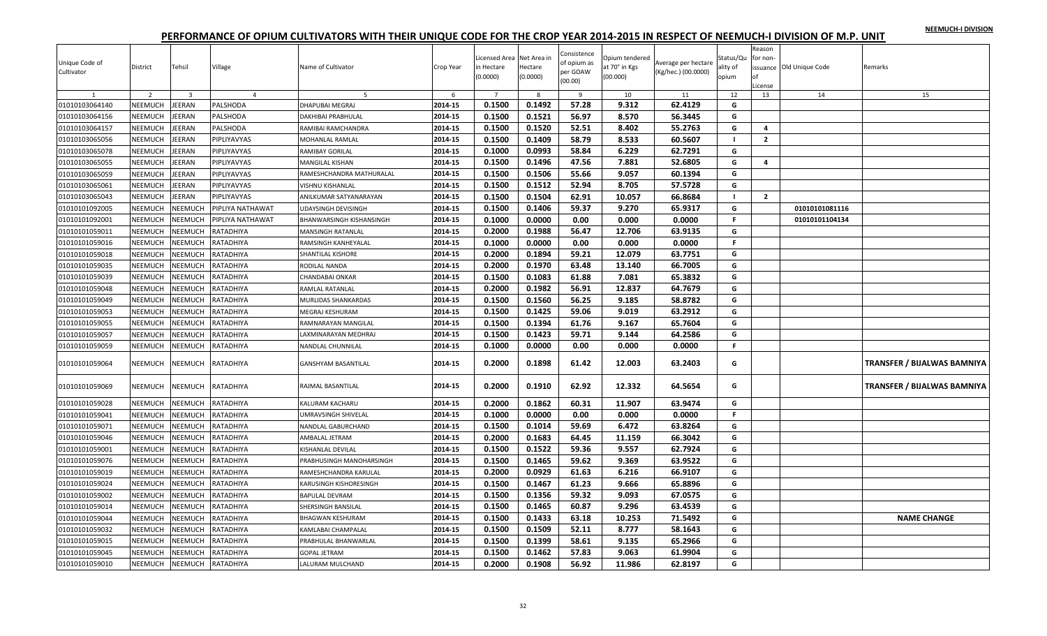|  |  | NEEMUCH-I DIVISION |
|--|--|--------------------|
|  |  |                    |

| Unique Code of<br>Cultivator | District       | Tehsil                  | Village          | Name of Cultivator         | Crop Year | Licensed Area Net Area in<br>in Hectare<br>(0.0000) | Hectare<br>(0.0000) | Consistence<br>of opium as<br>per GOAW<br>(00.00) | Opium tendered<br>at 70° in Kgs<br>(00.000) | Average per hectare<br>(Kg/hec.) (00.0000) | Status/Qu<br>ality of<br>opium | Reason<br>for non-<br>of<br>License | issuance Old Unique Code | Remarks                     |
|------------------------------|----------------|-------------------------|------------------|----------------------------|-----------|-----------------------------------------------------|---------------------|---------------------------------------------------|---------------------------------------------|--------------------------------------------|--------------------------------|-------------------------------------|--------------------------|-----------------------------|
| $\mathbf{1}$                 | $\overline{z}$ | $\overline{\mathbf{3}}$ | $\overline{4}$   | 5                          | 6         | $\overline{7}$                                      | -8                  | 9                                                 | 10                                          | 11                                         | 12                             | 13                                  | 14                       | 15                          |
| 01010103064140               | NEEMUCH        | EERAN                   | PALSHODA         | DHAPUBAI MEGRAJ            | 2014-15   | 0.1500                                              | 0.1492              | 57.28                                             | 9.312                                       | 62.4129                                    | G<br>G                         |                                     |                          |                             |
| 01010103064156               | NEEMUCH        | EERAN                   | PALSHODA         | <b>DAKHIBAI PRABHULAL</b>  | 2014-15   | 0.1500                                              | 0.1521              | 56.97<br>52.51                                    | 8.570                                       | 56.3445                                    |                                | 4                                   |                          |                             |
| 01010103064157               | NEEMUCH        | EERAN                   | PALSHODA         | RAMIBAI RAMCHANDRA         | 2014-15   | 0.1500                                              | 0.1520              |                                                   | 8.402                                       | 55.2763                                    | G                              |                                     |                          |                             |
| 01010103065056               | NEEMUCH        | EERAN                   | PIPLIYAVYAS      | MOHANLAL RAMLAL            | 2014-15   | 0.1500                                              | 0.1409              | 58.79                                             | 8.533                                       | 60.5607                                    | $\blacksquare$                 | $\overline{2}$                      |                          |                             |
| 01010103065078               | NEEMUCH        | EERAN                   | PIPLIYAVYAS      | RAMIBAY GORILAL            | 2014-15   | 0.1000                                              | 0.0993              | 58.84                                             | 6.229                                       | 62.7291                                    | G                              |                                     |                          |                             |
| 01010103065055               | NEEMUCH        | EERAN                   | PIPLIYAVYAS      | MANGILAL KISHAN            | 2014-15   | 0.1500                                              | 0.1496              | 47.56                                             | 7.881                                       | 52.6805                                    | G                              | 4                                   |                          |                             |
| 01010103065059               | NEEMUCH        | EERAN                   | PIPLIYAVYAS      | RAMESHCHANDRA MATHURALAL   | 2014-15   | 0.1500                                              | 0.1506              | 55.66                                             | 9.057                                       | 60.1394                                    | G                              |                                     |                          |                             |
| 01010103065061               | NEEMUCH        | EERAN                   | PIPLIYAVYAS      | VISHNU KISHANLAL           | 2014-15   | 0.1500                                              | 0.1512              | 52.94                                             | 8.705                                       | 57.5728                                    | G                              |                                     |                          |                             |
| 01010103065043               | NEEMUCH        | EERAN                   | PIPLIYAVYAS      | ANILKUMAR SATYANARAYAN     | 2014-15   | 0.1500                                              | 0.1504              | 62.91                                             | 10.057                                      | 66.8684                                    | $\mathbf{I}$                   | $\overline{2}$                      |                          |                             |
| 01010101092005               | NEEMUCH        | <b>NEEMUCH</b>          | PIPLIYA NATHAWAT | JDAYSINGH DEVISINGH        | 2014-15   | 0.1500                                              | 0.1406              | 59.37                                             | 9.270                                       | 65.9317                                    | G                              |                                     | 01010101081116           |                             |
| 01010101092001               | NEEMUCH        | <b>NEEMUCH</b>          | PIPLIYA NATHAWAT | BHANWARSINGH KISHANSINGH   | 2014-15   | 0.1000                                              | 0.0000              | 0.00                                              | 0.000                                       | 0.0000                                     | F.                             |                                     | 01010101104134           |                             |
| 01010101059011               | NEEMUCH        | <b>NEEMUCH</b>          | RATADHIYA        | MANSINGH RATANLAL          | 2014-15   | 0.2000                                              | 0.1988              | 56.47                                             | 12.706                                      | 63.9135                                    | G                              |                                     |                          |                             |
| 01010101059016               | NEEMUCH        | <b>NEEMUCH</b>          | RATADHIYA        | RAMSINGH KANHEYALAL        | 2014-15   | 0.1000                                              | 0.0000              | 0.00                                              | 0.000                                       | 0.0000                                     | F.                             |                                     |                          |                             |
| 01010101059018               | NEEMUCH        | VEEMUCH                 | RATADHIYA        | SHANTILAL KISHORE          | 2014-15   | 0.2000                                              | 0.1894              | 59.21                                             | 12.079                                      | 63.7751                                    | G                              |                                     |                          |                             |
| 01010101059035               | NEEMUCH        | <b>NEEMUCH</b>          | RATADHIYA        | RODILAL NANDA              | 2014-15   | 0.2000                                              | 0.1970              | 63.48                                             | 13.140                                      | 66.7005                                    | G                              |                                     |                          |                             |
| 01010101059039               | NEEMUCH        | <b>NEEMUCH</b>          | RATADHIYA        | CHANDABAI ONKAR            | 2014-15   | 0.1500                                              | 0.1083              | 61.88                                             | 7.081                                       | 65.3832                                    | G                              |                                     |                          |                             |
| 01010101059048               | NEEMUCH        | <b>NEEMUCH</b>          | RATADHIYA        | RAMLAL RATANLAL            | 2014-15   | 0.2000                                              | 0.1982              | 56.91                                             | 12.837                                      | 64.7679                                    | G                              |                                     |                          |                             |
| 01010101059049               | NEEMUCH        | <b>NEEMUCH</b>          | RATADHIYA        | MURLIDAS SHANKARDAS        | 2014-15   | 0.1500                                              | 0.1560              | 56.25                                             | 9.185                                       | 58.8782                                    | G                              |                                     |                          |                             |
| 01010101059053               | NEEMUCH        | <b>NEEMUCH</b>          | RATADHIYA        | MEGRAJ KESHURAM            | 2014-15   | 0.1500                                              | 0.1425              | 59.06                                             | 9.019                                       | 63.2912                                    | G                              |                                     |                          |                             |
| 01010101059055               | NEEMUCH        | <b>NEEMUCH</b>          | RATADHIYA        | RAMNARAYAN MANGILAL        | 2014-15   | 0.1500                                              | 0.1394              | 61.76                                             | 9.167                                       | 65.7604                                    | G                              |                                     |                          |                             |
| 01010101059057               | NEEMUCH        | <b>NEEMUCH</b>          | RATADHIYA        | AXMINARAYAN MEDHRAJ        | 2014-15   | 0.1500                                              | 0.1423              | 59.71                                             | 9.144                                       | 64.2586                                    | G                              |                                     |                          |                             |
| 01010101059059               | NEEMUCH        | <b>NEEMUCH</b>          | RATADHIYA        | <b>NANDLAL CHUNNILAL</b>   | 2014-15   | 0.1000                                              | 0.0000              | 0.00                                              | 0.000                                       | 0.0000                                     | $\mathsf{F}$                   |                                     |                          |                             |
| 01010101059064               | <b>NEEMUCH</b> | NEEMUCH                 | RATADHIYA        | GANSHYAM BASANTILAL        | 2014-15   | 0.2000                                              | 0.1898              | 61.42                                             | 12.003                                      | 63.2403                                    | G                              |                                     |                          | TRANSFER / BIJALWAS BAMNIYA |
| 01010101059069               | NEEMUCH        | NEEMUCH                 | RATADHIYA        | RAJMAL BASANTILAL          | 2014-15   | 0.2000                                              | 0.1910              | 62.92                                             | 12.332                                      | 64.5654                                    | G                              |                                     |                          | TRANSFER / BIJALWAS BAMNIYA |
| 01010101059028               | NEEMUCH        | NEEMUCH                 | RATADHIYA        | KALURAM KACHARU            | 2014-15   | 0.2000                                              | 0.1862              | 60.31                                             | 11.907                                      | 63.9474                                    | G                              |                                     |                          |                             |
| 01010101059041               | NEEMUCH        | <b>NEEMUCH</b>          | RATADHIYA        | <b>JMRAVSINGH SHIVELAL</b> | 2014-15   | 0.1000                                              | 0.0000              | 0.00                                              | 0.000                                       | 0.0000                                     | F.                             |                                     |                          |                             |
| 01010101059071               | NEEMUCH        | <b>NEEMUCH</b>          | RATADHIYA        | NANDLAL GABURCHAND         | 2014-15   | 0.1500                                              | 0.1014              | 59.69                                             | 6.472                                       | 63.8264                                    | G                              |                                     |                          |                             |
| 01010101059046               | NEEMUCH        | <b>NEEMUCH</b>          | RATADHIYA        | AMBALAL JETRAM             | 2014-15   | 0.2000                                              | 0.1683              | 64.45                                             | 11.159                                      | 66.3042                                    | G                              |                                     |                          |                             |
| 01010101059001               | NEEMUCH        | <b>NEEMUCH</b>          | RATADHIYA        | KISHANLAL DEVILAL          | 2014-15   | 0.1500                                              | 0.1522              | 59.36                                             | 9.557                                       | 62.7924                                    | G                              |                                     |                          |                             |
| 01010101059076               | NEEMUCH        | <b>NEEMUCH</b>          | RATADHIYA        | PRABHUSINGH MANOHARSINGH   | 2014-15   | 0.1500                                              | 0.1465              | 59.62                                             | 9.369                                       | 63.9522                                    | G                              |                                     |                          |                             |
| 01010101059019               | NEEMUCH        | <b>NEEMUCH</b>          | RATADHIYA        | RAMESHCHANDRA KARULAL      | 2014-15   | 0.2000                                              | 0.0929              | 61.63                                             | 6.216                                       | 66.9107                                    | G                              |                                     |                          |                             |
| 01010101059024               | NEEMUCH        | <b>NEEMUCH</b>          | RATADHIYA        | KARUSINGH KISHORESINGH     | 2014-15   | 0.1500                                              | 0.1467              | 61.23                                             | 9.666                                       | 65.8896                                    | G                              |                                     |                          |                             |
| 01010101059002               | NEEMUCH        | <b>NEEMUCH</b>          | RATADHIYA        | <b>BAPULAL DEVRAM</b>      | 2014-15   | 0.1500                                              | 0.1356              | 59.32                                             | 9.093                                       | 67.0575                                    | G                              |                                     |                          |                             |
| 01010101059014               | NEEMUCH        | <b>NEEMUCH</b>          | RATADHIYA        | SHERSINGH BANSILAL         | 2014-15   | 0.1500                                              | 0.1465              | 60.87                                             | 9.296                                       | 63.4539                                    | G                              |                                     |                          |                             |
| 01010101059044               | NEEMUCH        | <b>NEEMUCH</b>          | RATADHIYA        | BHAGWAN KESHURAM           | 2014-15   | 0.1500                                              | 0.1433              | 63.18                                             | 10.253                                      | 71.5492                                    | G                              |                                     |                          | <b>NAME CHANGE</b>          |
| 01010101059032               | NEEMUCH        | <b>NEEMUCH</b>          | RATADHIYA        | KAMLABAI CHAMPALAL         | 2014-15   | 0.1500                                              | 0.1509              | 52.11                                             | 8.777                                       | 58.1643                                    | G                              |                                     |                          |                             |
| 01010101059015               | NEEMUCH        | <b>NEEMUCH</b>          | RATADHIYA        | PRABHULAL BHANWARLAL       | 2014-15   | 0.1500                                              | 0.1399              | 58.61                                             | 9.135                                       | 65.2966                                    | G                              |                                     |                          |                             |
| 01010101059045               | NEEMUCH        | <b>NEEMUCH</b>          | RATADHIYA        | <b>GOPAL JETRAM</b>        | 2014-15   | 0.1500                                              | 0.1462              | 57.83                                             | 9.063                                       | 61.9904                                    | G                              |                                     |                          |                             |
| 01010101059010               | NEEMUCH        | NEEMUCH                 | RATADHIYA        | LALURAM MULCHAND           | 2014-15   | 0.2000                                              | 0.1908              | 56.92                                             | 11.986                                      | 62.8197                                    | G                              |                                     |                          |                             |
|                              |                |                         |                  |                            |           |                                                     |                     |                                                   |                                             |                                            |                                |                                     |                          |                             |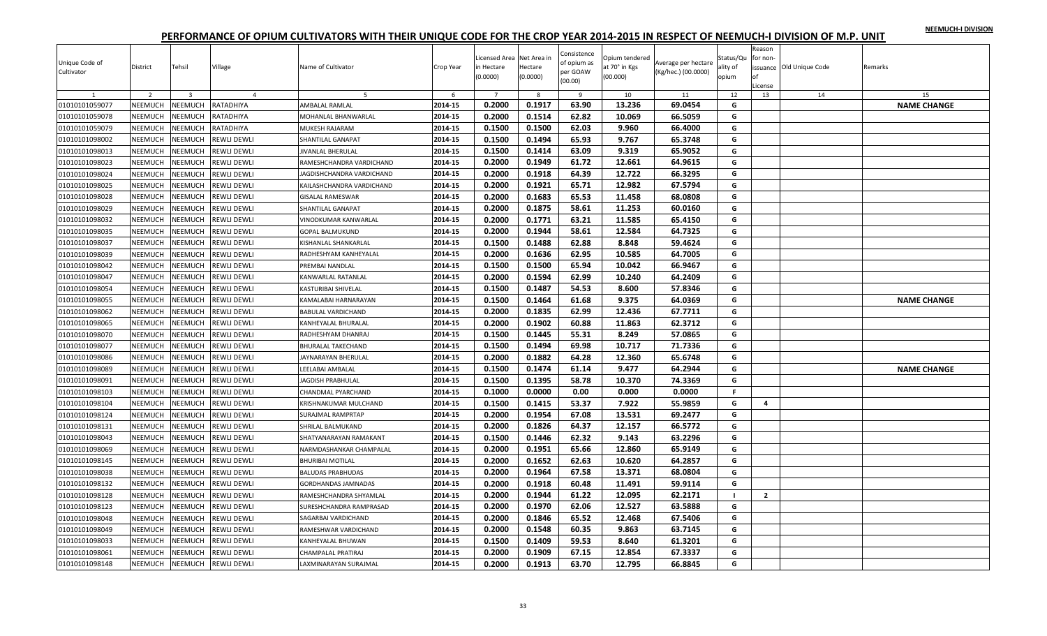|  |  | NEEMUCH-I DIVISION |
|--|--|--------------------|
|  |  |                    |

| 0.2000<br>0.1917<br>63.90<br>13.236<br>69.0454<br><b>NAME CHANGE</b><br>01010101059077<br>NEEMUCH<br>NEEMUCH<br>RATADHIYA<br>AMBALAL RAMLAL<br>2014-15<br>G<br>0.2000<br>62.82<br>01010101059078<br>NEEMUCH<br>NEEMUCH<br>2014-15<br>0.1514<br>10.069<br>66.5059<br>G<br>RATADHIYA<br>MOHANLAL BHANWARLAL<br>0.1500<br>0.1500<br>62.03<br>2014-15<br>9.960<br>66.4000<br>G<br>NEEMUCH<br>NEEMUCH<br>MUKESH RAJARAM<br>01010101059079<br>RATADHIYA<br>NEEMUCH<br><b>NEEMUCH</b><br><b>REWLI DEWLI</b><br>2014-15<br>0.1500<br>0.1494<br>65.93<br>9.767<br>65.3748<br>G<br>01010101098002<br>SHANTILAL GANAPAT<br>2014-15<br>0.1500<br>63.09<br>9.319<br>65.9052<br>01010101098013<br>NEEMUCH<br>NEEMUCH<br><b>REWLI DEWLI</b><br>0.1414<br>G<br><b>JIVANLAL BHERULAL</b><br><b>NEEMUCH</b><br>0.2000<br>0.1949<br>61.72<br>12.661<br>64.9615<br>G<br>01010101098023<br>NEEMUCH<br><b>REWLI DEWLI</b><br>2014-15<br>RAMESHCHANDRA VARDICHAND<br>0.2000<br>0.1918<br>64.39<br>12.722<br>66.3295<br>01010101098024<br>NEEMUCH<br>NEEMUCH<br><b>REWLI DEWLI</b><br>2014-15<br>G<br>AGDISHCHANDRA VARDICHAND<br>12.982<br>67.5794<br><b>NEEMUCH</b><br>0.2000<br>0.1921<br>65.71<br>G<br>01010101098025<br><b>NEEMUCH</b><br>REWLI DEWLI<br>2014-15<br>KAILASHCHANDRA VARDICHAND<br>NEEMUCH<br>NEEMUCH<br><b>REWLI DEWLI</b><br>2014-15<br>0.2000<br>0.1683<br>65.53<br>11.458<br>68.0808<br>01010101098028<br><b>GISALAL RAMESWAR</b><br>G<br>0.2000<br>0.1875<br>58.61<br>11.253<br>01010101098029<br>NEEMUCH<br>NEEMUCH<br><b>REWLI DEWLI</b><br>2014-15<br>60.0160<br>G<br>SHANTILAL GANAPAT<br>0.2000<br>0.1771<br>63.21<br>11.585<br>01010101098032<br>NEEMUCH<br><b>NEEMUCH</b><br><b>REWLI DEWLI</b><br>2014-15<br>65.4150<br>G<br>VINODKUMAR KANWARLAL<br>0.1944<br>58.61<br>12.584<br>64.7325<br>2014-15<br>0.2000<br>G<br>NEEMUCH<br>NEEMUCH<br><b>GOPAL BALMUKUND</b><br>01010101098035<br>REWLI DEWLI<br>0.1500<br>0.1488<br>62.88<br>59.4624<br>01010101098037<br>NEEMUCH<br>NEEMUCH<br><b>REWLI DEWLI</b><br>2014-15<br>8.848<br>G<br>KISHANLAL SHANKARLAL<br>62.95<br>2014-15<br>0.2000<br>0.1636<br>10.585<br>64.7005<br><b>NEEMUCH</b><br>NEEMUCH<br>G<br>01010101098039<br><b>REWLI DEWLI</b><br>RADHESHYAM KANHEYALAL<br>01010101098042<br>NEEMUCH<br>NEEMUCH<br><b>REWLI DEWLI</b><br>2014-15<br>0.1500<br>0.1500<br>65.94<br>10.042<br>66.9467<br>G<br>PREMBAI NANDLAL<br>2014-15<br>0.2000<br>0.1594<br>62.99<br>10.240<br>64.2409<br>G<br>01010101098047<br>NEEMUCH<br>NEEMUCH<br><b>REWLI DEWLI</b><br>KANWARLAL RATANLAL<br>NEEMUCH<br>NEEMUCH<br>2014-15<br>0.1500<br>0.1487<br>54.53<br>8.600<br>57.8346<br>01010101098054<br>REWLI DEWLI<br>G<br>KASTURIBAI SHIVELAI<br>0.1500<br>NEEMUCH<br>2014-15<br>0.1464<br>61.68<br>9.375<br>64.0369<br>G<br>01010101098055<br><b>NEEMUCH</b><br><b>REWLI DEWLI</b><br><b>NAME CHANGE</b><br>KAMALABAI HARNARAYAN<br>0.2000<br>0.1835<br>62.99<br>12.436<br>67.7711<br>NEEMUCH<br>NEEMUCH<br>REWLI DEWLI<br>2014-15<br>G<br>01010101098062<br><b>BABULAL VARDICHAND</b><br>2014-15<br>0.2000<br>0.1902<br>60.88<br>01010101098065<br>NEEMUCH<br>NEEMUCH<br><b>REWLI DEWLI</b><br>11.863<br>62.3712<br>KANHEYALAL BHURALAL<br>G<br>2014-15<br>0.1500<br>0.1445<br>55.31<br>8.249<br>57.0865<br>G<br>NEEMUCH<br>01010101098070<br><b>NEEMUCH</b><br>REWLI DEWLI<br>RADHESHYAM DHANRAJ<br>NEEMUCH<br>NEEMUCH<br>0.1500<br>0.1494<br>69.98<br>10.717<br>71.7336<br>01010101098077<br>REWLI DEWLI<br>2014-15<br>G<br><b>BHURALAL TAKECHAND</b><br>0.2000<br>0.1882<br>64.28<br>12.360<br>65.6748<br>2014-15<br>G<br>NEEMUCH<br>NEEMUCH<br>REWLI DEWLI<br>JAYNARAYAN BHERULAL<br>01010101098086<br>0.1500<br>0.1474<br>9.477<br>64.2944<br>01010101098089<br>NEEMUCH<br><b>NEEMUCH</b><br><b>REWLI DEWLI</b><br>2014-15<br>61.14<br>G<br><b>NAME CHANGE</b><br>LEELABAI AMBALAI<br>0.1500<br>58.78<br>2014-15<br>0.1395<br>10.370<br>74.3369<br>G<br>NEEMUCH<br>NEEMUCH<br>01010101098091<br>REWLI DEWLI<br>JAGDISH PRABHULAL<br>0.0000<br>01010101098103<br>NEEMUCH<br>NEEMUCH<br><b>REWLI DEWLI</b><br>2014-15<br>0.1000<br>0.00<br>0.000<br>0.0000<br>$\mathsf F$<br>CHANDMAL PYARCHAND<br><b>NEEMUCH</b><br><b>NEEMUCH</b><br>0.1500<br>53.37<br>7.922<br>55.9859<br>G<br>01010101098104<br>REWLI DEWLI<br>2014-15<br>0.1415<br>$\overline{4}$<br>KRISHNAKUMAR MULCHAND<br>01010101098124<br>NEEMUCH<br><b>NEEMUCH</b><br>REWLI DEWLI<br>2014-15<br>0.2000<br>0.1954<br>67.08<br>13.531<br>69.2477<br><b>SURAJMAL RAMPRTAP</b><br>G<br>0.2000<br>0.1826<br>64.37<br>12.157<br>66.5772<br>NEEMUCH<br>NEEMUCH<br>REWLI DEWLI<br>2014-15<br>G<br>01010101098131<br>SHRILAL BALMUKAND<br>0.1500<br>62.32<br>9.143<br>63.2296<br>2014-15<br>0.1446<br>G<br>01010101098043<br>NEEMUCH<br>NEEMUCH<br>REWLI DEWLI<br>SHATYANARAYAN RAMAKANT<br>01010101098069<br>NEEMUCH<br>NEEMUCH<br>REWLI DEWLI<br>2014-15<br>0.2000<br>0.1951<br>65.66<br>12.860<br>65.9149<br>NARMDASHANKAR CHAMPALAL<br>G<br>0.2000<br>0.1652<br>NEEMUCH<br>2014-15<br>62.63<br>10.620<br>64.2857<br>G<br>01010101098145<br>NEEMUCH<br>REWLI DEWLI<br><b>BHURIBAI MOTILAL</b><br>67.58<br>0.2000<br>0.1964<br>13.371<br>01010101098038<br>NEEMUCH<br>NEEMUCH<br>REWLI DEWLI<br>2014-15<br>68.0804<br>G<br><b>BALUDAS PRABHUDAS</b><br>2014-15<br>0.2000<br>0.1918<br>60.48<br>11.491<br>59.9114<br>G<br>01010101098132<br><b>NEEMUCH</b><br><b>NEEMUCH</b><br>REWLI DEWLI<br>GORDHANDAS JAMNADAS<br>0.2000<br>01010101098128<br>NEEMUCH<br>NEEMUCH<br>REWLI DEWLI<br>2014-15<br>0.1944<br>61.22<br>12.095<br>62.2171<br>RAMESHCHANDRA SHYAMLAL<br>$\blacksquare$<br>$\overline{2}$<br>NEEMUCH<br>NEEMUCH<br>0.2000<br>0.1970<br>62.06<br>12.527<br>63.5888<br>01010101098123<br>REWLI DEWLI<br>2014-15<br>G<br>SURESHCHANDRA RAMPRASAD<br>2014-15<br>0.2000<br>0.1846<br>65.52<br>12.468<br>67.5406<br>01010101098048<br>NEEMUCH<br><b>NEEMUCH</b><br><b>REWLI DEWLI</b><br>SAGARBAI VARDICHAND<br>G<br>NEEMUCH<br>NEEMUCH<br>REWLI DEWLI<br>0.2000<br>0.1548<br>60.35<br>9.863<br>63.7145<br>G<br>01010101098049<br>2014-15<br>RAMESHWAR VARDICHAND<br>2014-15<br>0.1500<br>0.1409<br>59.53<br>8.640<br>61.3201<br>01010101098033<br>NEEMUCH<br>NEEMUCH<br><b>REWLI DEWLI</b><br>KANHEYALAL BHUWAN<br>G | Unique Code of<br>Cultivator | District       | Tehsil                  | Village        | Name of Cultivator | Crop Year | Licensed Area Net Area in<br>in Hectare<br>(0.0000) | Hectare<br>(0.0000) | Consistence<br>of opium as<br>per GOAW<br>(00.00) | Opium tendered<br>at 70° in Kgs<br>(00.000) | Average per hectare<br>(Kg/hec.) (00.0000) | Status/Qu<br>ality of<br>opium | Reason<br>for non-<br>оf<br>License | issuance Old Unique Code | Remarks |
|------------------------------------------------------------------------------------------------------------------------------------------------------------------------------------------------------------------------------------------------------------------------------------------------------------------------------------------------------------------------------------------------------------------------------------------------------------------------------------------------------------------------------------------------------------------------------------------------------------------------------------------------------------------------------------------------------------------------------------------------------------------------------------------------------------------------------------------------------------------------------------------------------------------------------------------------------------------------------------------------------------------------------------------------------------------------------------------------------------------------------------------------------------------------------------------------------------------------------------------------------------------------------------------------------------------------------------------------------------------------------------------------------------------------------------------------------------------------------------------------------------------------------------------------------------------------------------------------------------------------------------------------------------------------------------------------------------------------------------------------------------------------------------------------------------------------------------------------------------------------------------------------------------------------------------------------------------------------------------------------------------------------------------------------------------------------------------------------------------------------------------------------------------------------------------------------------------------------------------------------------------------------------------------------------------------------------------------------------------------------------------------------------------------------------------------------------------------------------------------------------------------------------------------------------------------------------------------------------------------------------------------------------------------------------------------------------------------------------------------------------------------------------------------------------------------------------------------------------------------------------------------------------------------------------------------------------------------------------------------------------------------------------------------------------------------------------------------------------------------------------------------------------------------------------------------------------------------------------------------------------------------------------------------------------------------------------------------------------------------------------------------------------------------------------------------------------------------------------------------------------------------------------------------------------------------------------------------------------------------------------------------------------------------------------------------------------------------------------------------------------------------------------------------------------------------------------------------------------------------------------------------------------------------------------------------------------------------------------------------------------------------------------------------------------------------------------------------------------------------------------------------------------------------------------------------------------------------------------------------------------------------------------------------------------------------------------------------------------------------------------------------------------------------------------------------------------------------------------------------------------------------------------------------------------------------------------------------------------------------------------------------------------------------------------------------------------------------------------------------------------------------------------------------------------------------------------------------------------------------------------------------------------------------------------------------------------------------------------------------------------------------------------------------------------------------------------------------------------------------------------------------------------------------------------------------------------------------------------------------------------------------------------------------------------------------------------------------------------------------------------------------------------------------------------------------------------------------------------------------------------------------------------------------------------------------------------------------------------------------------------------------------------------------------------------------------------------------------------------------------------------------------------------------------------------------------------------------------------------------------------------------------------------------------------------------------------------------------------------------------------------------------------------------------------------------------------------------------------------------------------------------------------------------------------------------------------------------------------------|------------------------------|----------------|-------------------------|----------------|--------------------|-----------|-----------------------------------------------------|---------------------|---------------------------------------------------|---------------------------------------------|--------------------------------------------|--------------------------------|-------------------------------------|--------------------------|---------|
|                                                                                                                                                                                                                                                                                                                                                                                                                                                                                                                                                                                                                                                                                                                                                                                                                                                                                                                                                                                                                                                                                                                                                                                                                                                                                                                                                                                                                                                                                                                                                                                                                                                                                                                                                                                                                                                                                                                                                                                                                                                                                                                                                                                                                                                                                                                                                                                                                                                                                                                                                                                                                                                                                                                                                                                                                                                                                                                                                                                                                                                                                                                                                                                                                                                                                                                                                                                                                                                                                                                                                                                                                                                                                                                                                                                                                                                                                                                                                                                                                                                                                                                                                                                                                                                                                                                                                                                                                                                                                                                                                                                                                                                                                                                                                                                                                                                                                                                                                                                                                                                                                                                                                                                                                                                                                                                                                                                                                                                                                                                                                                                                                                                                                                                                                                                                                                                                                                                                                                                                                                                                                                                                                                                                                                    | $\mathbf{1}$                 | $\overline{2}$ | $\overline{\mathbf{3}}$ | $\overline{4}$ | 5                  | 6         | $\overline{7}$                                      | 8                   | 9                                                 | 10                                          | 11                                         | 12                             | 13                                  | 14                       | 15      |
|                                                                                                                                                                                                                                                                                                                                                                                                                                                                                                                                                                                                                                                                                                                                                                                                                                                                                                                                                                                                                                                                                                                                                                                                                                                                                                                                                                                                                                                                                                                                                                                                                                                                                                                                                                                                                                                                                                                                                                                                                                                                                                                                                                                                                                                                                                                                                                                                                                                                                                                                                                                                                                                                                                                                                                                                                                                                                                                                                                                                                                                                                                                                                                                                                                                                                                                                                                                                                                                                                                                                                                                                                                                                                                                                                                                                                                                                                                                                                                                                                                                                                                                                                                                                                                                                                                                                                                                                                                                                                                                                                                                                                                                                                                                                                                                                                                                                                                                                                                                                                                                                                                                                                                                                                                                                                                                                                                                                                                                                                                                                                                                                                                                                                                                                                                                                                                                                                                                                                                                                                                                                                                                                                                                                                                    |                              |                |                         |                |                    |           |                                                     |                     |                                                   |                                             |                                            |                                |                                     |                          |         |
|                                                                                                                                                                                                                                                                                                                                                                                                                                                                                                                                                                                                                                                                                                                                                                                                                                                                                                                                                                                                                                                                                                                                                                                                                                                                                                                                                                                                                                                                                                                                                                                                                                                                                                                                                                                                                                                                                                                                                                                                                                                                                                                                                                                                                                                                                                                                                                                                                                                                                                                                                                                                                                                                                                                                                                                                                                                                                                                                                                                                                                                                                                                                                                                                                                                                                                                                                                                                                                                                                                                                                                                                                                                                                                                                                                                                                                                                                                                                                                                                                                                                                                                                                                                                                                                                                                                                                                                                                                                                                                                                                                                                                                                                                                                                                                                                                                                                                                                                                                                                                                                                                                                                                                                                                                                                                                                                                                                                                                                                                                                                                                                                                                                                                                                                                                                                                                                                                                                                                                                                                                                                                                                                                                                                                                    |                              |                |                         |                |                    |           |                                                     |                     |                                                   |                                             |                                            |                                |                                     |                          |         |
|                                                                                                                                                                                                                                                                                                                                                                                                                                                                                                                                                                                                                                                                                                                                                                                                                                                                                                                                                                                                                                                                                                                                                                                                                                                                                                                                                                                                                                                                                                                                                                                                                                                                                                                                                                                                                                                                                                                                                                                                                                                                                                                                                                                                                                                                                                                                                                                                                                                                                                                                                                                                                                                                                                                                                                                                                                                                                                                                                                                                                                                                                                                                                                                                                                                                                                                                                                                                                                                                                                                                                                                                                                                                                                                                                                                                                                                                                                                                                                                                                                                                                                                                                                                                                                                                                                                                                                                                                                                                                                                                                                                                                                                                                                                                                                                                                                                                                                                                                                                                                                                                                                                                                                                                                                                                                                                                                                                                                                                                                                                                                                                                                                                                                                                                                                                                                                                                                                                                                                                                                                                                                                                                                                                                                                    |                              |                |                         |                |                    |           |                                                     |                     |                                                   |                                             |                                            |                                |                                     |                          |         |
|                                                                                                                                                                                                                                                                                                                                                                                                                                                                                                                                                                                                                                                                                                                                                                                                                                                                                                                                                                                                                                                                                                                                                                                                                                                                                                                                                                                                                                                                                                                                                                                                                                                                                                                                                                                                                                                                                                                                                                                                                                                                                                                                                                                                                                                                                                                                                                                                                                                                                                                                                                                                                                                                                                                                                                                                                                                                                                                                                                                                                                                                                                                                                                                                                                                                                                                                                                                                                                                                                                                                                                                                                                                                                                                                                                                                                                                                                                                                                                                                                                                                                                                                                                                                                                                                                                                                                                                                                                                                                                                                                                                                                                                                                                                                                                                                                                                                                                                                                                                                                                                                                                                                                                                                                                                                                                                                                                                                                                                                                                                                                                                                                                                                                                                                                                                                                                                                                                                                                                                                                                                                                                                                                                                                                                    |                              |                |                         |                |                    |           |                                                     |                     |                                                   |                                             |                                            |                                |                                     |                          |         |
|                                                                                                                                                                                                                                                                                                                                                                                                                                                                                                                                                                                                                                                                                                                                                                                                                                                                                                                                                                                                                                                                                                                                                                                                                                                                                                                                                                                                                                                                                                                                                                                                                                                                                                                                                                                                                                                                                                                                                                                                                                                                                                                                                                                                                                                                                                                                                                                                                                                                                                                                                                                                                                                                                                                                                                                                                                                                                                                                                                                                                                                                                                                                                                                                                                                                                                                                                                                                                                                                                                                                                                                                                                                                                                                                                                                                                                                                                                                                                                                                                                                                                                                                                                                                                                                                                                                                                                                                                                                                                                                                                                                                                                                                                                                                                                                                                                                                                                                                                                                                                                                                                                                                                                                                                                                                                                                                                                                                                                                                                                                                                                                                                                                                                                                                                                                                                                                                                                                                                                                                                                                                                                                                                                                                                                    |                              |                |                         |                |                    |           |                                                     |                     |                                                   |                                             |                                            |                                |                                     |                          |         |
|                                                                                                                                                                                                                                                                                                                                                                                                                                                                                                                                                                                                                                                                                                                                                                                                                                                                                                                                                                                                                                                                                                                                                                                                                                                                                                                                                                                                                                                                                                                                                                                                                                                                                                                                                                                                                                                                                                                                                                                                                                                                                                                                                                                                                                                                                                                                                                                                                                                                                                                                                                                                                                                                                                                                                                                                                                                                                                                                                                                                                                                                                                                                                                                                                                                                                                                                                                                                                                                                                                                                                                                                                                                                                                                                                                                                                                                                                                                                                                                                                                                                                                                                                                                                                                                                                                                                                                                                                                                                                                                                                                                                                                                                                                                                                                                                                                                                                                                                                                                                                                                                                                                                                                                                                                                                                                                                                                                                                                                                                                                                                                                                                                                                                                                                                                                                                                                                                                                                                                                                                                                                                                                                                                                                                                    |                              |                |                         |                |                    |           |                                                     |                     |                                                   |                                             |                                            |                                |                                     |                          |         |
|                                                                                                                                                                                                                                                                                                                                                                                                                                                                                                                                                                                                                                                                                                                                                                                                                                                                                                                                                                                                                                                                                                                                                                                                                                                                                                                                                                                                                                                                                                                                                                                                                                                                                                                                                                                                                                                                                                                                                                                                                                                                                                                                                                                                                                                                                                                                                                                                                                                                                                                                                                                                                                                                                                                                                                                                                                                                                                                                                                                                                                                                                                                                                                                                                                                                                                                                                                                                                                                                                                                                                                                                                                                                                                                                                                                                                                                                                                                                                                                                                                                                                                                                                                                                                                                                                                                                                                                                                                                                                                                                                                                                                                                                                                                                                                                                                                                                                                                                                                                                                                                                                                                                                                                                                                                                                                                                                                                                                                                                                                                                                                                                                                                                                                                                                                                                                                                                                                                                                                                                                                                                                                                                                                                                                                    |                              |                |                         |                |                    |           |                                                     |                     |                                                   |                                             |                                            |                                |                                     |                          |         |
|                                                                                                                                                                                                                                                                                                                                                                                                                                                                                                                                                                                                                                                                                                                                                                                                                                                                                                                                                                                                                                                                                                                                                                                                                                                                                                                                                                                                                                                                                                                                                                                                                                                                                                                                                                                                                                                                                                                                                                                                                                                                                                                                                                                                                                                                                                                                                                                                                                                                                                                                                                                                                                                                                                                                                                                                                                                                                                                                                                                                                                                                                                                                                                                                                                                                                                                                                                                                                                                                                                                                                                                                                                                                                                                                                                                                                                                                                                                                                                                                                                                                                                                                                                                                                                                                                                                                                                                                                                                                                                                                                                                                                                                                                                                                                                                                                                                                                                                                                                                                                                                                                                                                                                                                                                                                                                                                                                                                                                                                                                                                                                                                                                                                                                                                                                                                                                                                                                                                                                                                                                                                                                                                                                                                                                    |                              |                |                         |                |                    |           |                                                     |                     |                                                   |                                             |                                            |                                |                                     |                          |         |
|                                                                                                                                                                                                                                                                                                                                                                                                                                                                                                                                                                                                                                                                                                                                                                                                                                                                                                                                                                                                                                                                                                                                                                                                                                                                                                                                                                                                                                                                                                                                                                                                                                                                                                                                                                                                                                                                                                                                                                                                                                                                                                                                                                                                                                                                                                                                                                                                                                                                                                                                                                                                                                                                                                                                                                                                                                                                                                                                                                                                                                                                                                                                                                                                                                                                                                                                                                                                                                                                                                                                                                                                                                                                                                                                                                                                                                                                                                                                                                                                                                                                                                                                                                                                                                                                                                                                                                                                                                                                                                                                                                                                                                                                                                                                                                                                                                                                                                                                                                                                                                                                                                                                                                                                                                                                                                                                                                                                                                                                                                                                                                                                                                                                                                                                                                                                                                                                                                                                                                                                                                                                                                                                                                                                                                    |                              |                |                         |                |                    |           |                                                     |                     |                                                   |                                             |                                            |                                |                                     |                          |         |
|                                                                                                                                                                                                                                                                                                                                                                                                                                                                                                                                                                                                                                                                                                                                                                                                                                                                                                                                                                                                                                                                                                                                                                                                                                                                                                                                                                                                                                                                                                                                                                                                                                                                                                                                                                                                                                                                                                                                                                                                                                                                                                                                                                                                                                                                                                                                                                                                                                                                                                                                                                                                                                                                                                                                                                                                                                                                                                                                                                                                                                                                                                                                                                                                                                                                                                                                                                                                                                                                                                                                                                                                                                                                                                                                                                                                                                                                                                                                                                                                                                                                                                                                                                                                                                                                                                                                                                                                                                                                                                                                                                                                                                                                                                                                                                                                                                                                                                                                                                                                                                                                                                                                                                                                                                                                                                                                                                                                                                                                                                                                                                                                                                                                                                                                                                                                                                                                                                                                                                                                                                                                                                                                                                                                                                    |                              |                |                         |                |                    |           |                                                     |                     |                                                   |                                             |                                            |                                |                                     |                          |         |
|                                                                                                                                                                                                                                                                                                                                                                                                                                                                                                                                                                                                                                                                                                                                                                                                                                                                                                                                                                                                                                                                                                                                                                                                                                                                                                                                                                                                                                                                                                                                                                                                                                                                                                                                                                                                                                                                                                                                                                                                                                                                                                                                                                                                                                                                                                                                                                                                                                                                                                                                                                                                                                                                                                                                                                                                                                                                                                                                                                                                                                                                                                                                                                                                                                                                                                                                                                                                                                                                                                                                                                                                                                                                                                                                                                                                                                                                                                                                                                                                                                                                                                                                                                                                                                                                                                                                                                                                                                                                                                                                                                                                                                                                                                                                                                                                                                                                                                                                                                                                                                                                                                                                                                                                                                                                                                                                                                                                                                                                                                                                                                                                                                                                                                                                                                                                                                                                                                                                                                                                                                                                                                                                                                                                                                    |                              |                |                         |                |                    |           |                                                     |                     |                                                   |                                             |                                            |                                |                                     |                          |         |
|                                                                                                                                                                                                                                                                                                                                                                                                                                                                                                                                                                                                                                                                                                                                                                                                                                                                                                                                                                                                                                                                                                                                                                                                                                                                                                                                                                                                                                                                                                                                                                                                                                                                                                                                                                                                                                                                                                                                                                                                                                                                                                                                                                                                                                                                                                                                                                                                                                                                                                                                                                                                                                                                                                                                                                                                                                                                                                                                                                                                                                                                                                                                                                                                                                                                                                                                                                                                                                                                                                                                                                                                                                                                                                                                                                                                                                                                                                                                                                                                                                                                                                                                                                                                                                                                                                                                                                                                                                                                                                                                                                                                                                                                                                                                                                                                                                                                                                                                                                                                                                                                                                                                                                                                                                                                                                                                                                                                                                                                                                                                                                                                                                                                                                                                                                                                                                                                                                                                                                                                                                                                                                                                                                                                                                    |                              |                |                         |                |                    |           |                                                     |                     |                                                   |                                             |                                            |                                |                                     |                          |         |
|                                                                                                                                                                                                                                                                                                                                                                                                                                                                                                                                                                                                                                                                                                                                                                                                                                                                                                                                                                                                                                                                                                                                                                                                                                                                                                                                                                                                                                                                                                                                                                                                                                                                                                                                                                                                                                                                                                                                                                                                                                                                                                                                                                                                                                                                                                                                                                                                                                                                                                                                                                                                                                                                                                                                                                                                                                                                                                                                                                                                                                                                                                                                                                                                                                                                                                                                                                                                                                                                                                                                                                                                                                                                                                                                                                                                                                                                                                                                                                                                                                                                                                                                                                                                                                                                                                                                                                                                                                                                                                                                                                                                                                                                                                                                                                                                                                                                                                                                                                                                                                                                                                                                                                                                                                                                                                                                                                                                                                                                                                                                                                                                                                                                                                                                                                                                                                                                                                                                                                                                                                                                                                                                                                                                                                    |                              |                |                         |                |                    |           |                                                     |                     |                                                   |                                             |                                            |                                |                                     |                          |         |
|                                                                                                                                                                                                                                                                                                                                                                                                                                                                                                                                                                                                                                                                                                                                                                                                                                                                                                                                                                                                                                                                                                                                                                                                                                                                                                                                                                                                                                                                                                                                                                                                                                                                                                                                                                                                                                                                                                                                                                                                                                                                                                                                                                                                                                                                                                                                                                                                                                                                                                                                                                                                                                                                                                                                                                                                                                                                                                                                                                                                                                                                                                                                                                                                                                                                                                                                                                                                                                                                                                                                                                                                                                                                                                                                                                                                                                                                                                                                                                                                                                                                                                                                                                                                                                                                                                                                                                                                                                                                                                                                                                                                                                                                                                                                                                                                                                                                                                                                                                                                                                                                                                                                                                                                                                                                                                                                                                                                                                                                                                                                                                                                                                                                                                                                                                                                                                                                                                                                                                                                                                                                                                                                                                                                                                    |                              |                |                         |                |                    |           |                                                     |                     |                                                   |                                             |                                            |                                |                                     |                          |         |
|                                                                                                                                                                                                                                                                                                                                                                                                                                                                                                                                                                                                                                                                                                                                                                                                                                                                                                                                                                                                                                                                                                                                                                                                                                                                                                                                                                                                                                                                                                                                                                                                                                                                                                                                                                                                                                                                                                                                                                                                                                                                                                                                                                                                                                                                                                                                                                                                                                                                                                                                                                                                                                                                                                                                                                                                                                                                                                                                                                                                                                                                                                                                                                                                                                                                                                                                                                                                                                                                                                                                                                                                                                                                                                                                                                                                                                                                                                                                                                                                                                                                                                                                                                                                                                                                                                                                                                                                                                                                                                                                                                                                                                                                                                                                                                                                                                                                                                                                                                                                                                                                                                                                                                                                                                                                                                                                                                                                                                                                                                                                                                                                                                                                                                                                                                                                                                                                                                                                                                                                                                                                                                                                                                                                                                    |                              |                |                         |                |                    |           |                                                     |                     |                                                   |                                             |                                            |                                |                                     |                          |         |
|                                                                                                                                                                                                                                                                                                                                                                                                                                                                                                                                                                                                                                                                                                                                                                                                                                                                                                                                                                                                                                                                                                                                                                                                                                                                                                                                                                                                                                                                                                                                                                                                                                                                                                                                                                                                                                                                                                                                                                                                                                                                                                                                                                                                                                                                                                                                                                                                                                                                                                                                                                                                                                                                                                                                                                                                                                                                                                                                                                                                                                                                                                                                                                                                                                                                                                                                                                                                                                                                                                                                                                                                                                                                                                                                                                                                                                                                                                                                                                                                                                                                                                                                                                                                                                                                                                                                                                                                                                                                                                                                                                                                                                                                                                                                                                                                                                                                                                                                                                                                                                                                                                                                                                                                                                                                                                                                                                                                                                                                                                                                                                                                                                                                                                                                                                                                                                                                                                                                                                                                                                                                                                                                                                                                                                    |                              |                |                         |                |                    |           |                                                     |                     |                                                   |                                             |                                            |                                |                                     |                          |         |
|                                                                                                                                                                                                                                                                                                                                                                                                                                                                                                                                                                                                                                                                                                                                                                                                                                                                                                                                                                                                                                                                                                                                                                                                                                                                                                                                                                                                                                                                                                                                                                                                                                                                                                                                                                                                                                                                                                                                                                                                                                                                                                                                                                                                                                                                                                                                                                                                                                                                                                                                                                                                                                                                                                                                                                                                                                                                                                                                                                                                                                                                                                                                                                                                                                                                                                                                                                                                                                                                                                                                                                                                                                                                                                                                                                                                                                                                                                                                                                                                                                                                                                                                                                                                                                                                                                                                                                                                                                                                                                                                                                                                                                                                                                                                                                                                                                                                                                                                                                                                                                                                                                                                                                                                                                                                                                                                                                                                                                                                                                                                                                                                                                                                                                                                                                                                                                                                                                                                                                                                                                                                                                                                                                                                                                    |                              |                |                         |                |                    |           |                                                     |                     |                                                   |                                             |                                            |                                |                                     |                          |         |
|                                                                                                                                                                                                                                                                                                                                                                                                                                                                                                                                                                                                                                                                                                                                                                                                                                                                                                                                                                                                                                                                                                                                                                                                                                                                                                                                                                                                                                                                                                                                                                                                                                                                                                                                                                                                                                                                                                                                                                                                                                                                                                                                                                                                                                                                                                                                                                                                                                                                                                                                                                                                                                                                                                                                                                                                                                                                                                                                                                                                                                                                                                                                                                                                                                                                                                                                                                                                                                                                                                                                                                                                                                                                                                                                                                                                                                                                                                                                                                                                                                                                                                                                                                                                                                                                                                                                                                                                                                                                                                                                                                                                                                                                                                                                                                                                                                                                                                                                                                                                                                                                                                                                                                                                                                                                                                                                                                                                                                                                                                                                                                                                                                                                                                                                                                                                                                                                                                                                                                                                                                                                                                                                                                                                                                    |                              |                |                         |                |                    |           |                                                     |                     |                                                   |                                             |                                            |                                |                                     |                          |         |
|                                                                                                                                                                                                                                                                                                                                                                                                                                                                                                                                                                                                                                                                                                                                                                                                                                                                                                                                                                                                                                                                                                                                                                                                                                                                                                                                                                                                                                                                                                                                                                                                                                                                                                                                                                                                                                                                                                                                                                                                                                                                                                                                                                                                                                                                                                                                                                                                                                                                                                                                                                                                                                                                                                                                                                                                                                                                                                                                                                                                                                                                                                                                                                                                                                                                                                                                                                                                                                                                                                                                                                                                                                                                                                                                                                                                                                                                                                                                                                                                                                                                                                                                                                                                                                                                                                                                                                                                                                                                                                                                                                                                                                                                                                                                                                                                                                                                                                                                                                                                                                                                                                                                                                                                                                                                                                                                                                                                                                                                                                                                                                                                                                                                                                                                                                                                                                                                                                                                                                                                                                                                                                                                                                                                                                    |                              |                |                         |                |                    |           |                                                     |                     |                                                   |                                             |                                            |                                |                                     |                          |         |
|                                                                                                                                                                                                                                                                                                                                                                                                                                                                                                                                                                                                                                                                                                                                                                                                                                                                                                                                                                                                                                                                                                                                                                                                                                                                                                                                                                                                                                                                                                                                                                                                                                                                                                                                                                                                                                                                                                                                                                                                                                                                                                                                                                                                                                                                                                                                                                                                                                                                                                                                                                                                                                                                                                                                                                                                                                                                                                                                                                                                                                                                                                                                                                                                                                                                                                                                                                                                                                                                                                                                                                                                                                                                                                                                                                                                                                                                                                                                                                                                                                                                                                                                                                                                                                                                                                                                                                                                                                                                                                                                                                                                                                                                                                                                                                                                                                                                                                                                                                                                                                                                                                                                                                                                                                                                                                                                                                                                                                                                                                                                                                                                                                                                                                                                                                                                                                                                                                                                                                                                                                                                                                                                                                                                                                    |                              |                |                         |                |                    |           |                                                     |                     |                                                   |                                             |                                            |                                |                                     |                          |         |
|                                                                                                                                                                                                                                                                                                                                                                                                                                                                                                                                                                                                                                                                                                                                                                                                                                                                                                                                                                                                                                                                                                                                                                                                                                                                                                                                                                                                                                                                                                                                                                                                                                                                                                                                                                                                                                                                                                                                                                                                                                                                                                                                                                                                                                                                                                                                                                                                                                                                                                                                                                                                                                                                                                                                                                                                                                                                                                                                                                                                                                                                                                                                                                                                                                                                                                                                                                                                                                                                                                                                                                                                                                                                                                                                                                                                                                                                                                                                                                                                                                                                                                                                                                                                                                                                                                                                                                                                                                                                                                                                                                                                                                                                                                                                                                                                                                                                                                                                                                                                                                                                                                                                                                                                                                                                                                                                                                                                                                                                                                                                                                                                                                                                                                                                                                                                                                                                                                                                                                                                                                                                                                                                                                                                                                    |                              |                |                         |                |                    |           |                                                     |                     |                                                   |                                             |                                            |                                |                                     |                          |         |
|                                                                                                                                                                                                                                                                                                                                                                                                                                                                                                                                                                                                                                                                                                                                                                                                                                                                                                                                                                                                                                                                                                                                                                                                                                                                                                                                                                                                                                                                                                                                                                                                                                                                                                                                                                                                                                                                                                                                                                                                                                                                                                                                                                                                                                                                                                                                                                                                                                                                                                                                                                                                                                                                                                                                                                                                                                                                                                                                                                                                                                                                                                                                                                                                                                                                                                                                                                                                                                                                                                                                                                                                                                                                                                                                                                                                                                                                                                                                                                                                                                                                                                                                                                                                                                                                                                                                                                                                                                                                                                                                                                                                                                                                                                                                                                                                                                                                                                                                                                                                                                                                                                                                                                                                                                                                                                                                                                                                                                                                                                                                                                                                                                                                                                                                                                                                                                                                                                                                                                                                                                                                                                                                                                                                                                    |                              |                |                         |                |                    |           |                                                     |                     |                                                   |                                             |                                            |                                |                                     |                          |         |
|                                                                                                                                                                                                                                                                                                                                                                                                                                                                                                                                                                                                                                                                                                                                                                                                                                                                                                                                                                                                                                                                                                                                                                                                                                                                                                                                                                                                                                                                                                                                                                                                                                                                                                                                                                                                                                                                                                                                                                                                                                                                                                                                                                                                                                                                                                                                                                                                                                                                                                                                                                                                                                                                                                                                                                                                                                                                                                                                                                                                                                                                                                                                                                                                                                                                                                                                                                                                                                                                                                                                                                                                                                                                                                                                                                                                                                                                                                                                                                                                                                                                                                                                                                                                                                                                                                                                                                                                                                                                                                                                                                                                                                                                                                                                                                                                                                                                                                                                                                                                                                                                                                                                                                                                                                                                                                                                                                                                                                                                                                                                                                                                                                                                                                                                                                                                                                                                                                                                                                                                                                                                                                                                                                                                                                    |                              |                |                         |                |                    |           |                                                     |                     |                                                   |                                             |                                            |                                |                                     |                          |         |
|                                                                                                                                                                                                                                                                                                                                                                                                                                                                                                                                                                                                                                                                                                                                                                                                                                                                                                                                                                                                                                                                                                                                                                                                                                                                                                                                                                                                                                                                                                                                                                                                                                                                                                                                                                                                                                                                                                                                                                                                                                                                                                                                                                                                                                                                                                                                                                                                                                                                                                                                                                                                                                                                                                                                                                                                                                                                                                                                                                                                                                                                                                                                                                                                                                                                                                                                                                                                                                                                                                                                                                                                                                                                                                                                                                                                                                                                                                                                                                                                                                                                                                                                                                                                                                                                                                                                                                                                                                                                                                                                                                                                                                                                                                                                                                                                                                                                                                                                                                                                                                                                                                                                                                                                                                                                                                                                                                                                                                                                                                                                                                                                                                                                                                                                                                                                                                                                                                                                                                                                                                                                                                                                                                                                                                    |                              |                |                         |                |                    |           |                                                     |                     |                                                   |                                             |                                            |                                |                                     |                          |         |
|                                                                                                                                                                                                                                                                                                                                                                                                                                                                                                                                                                                                                                                                                                                                                                                                                                                                                                                                                                                                                                                                                                                                                                                                                                                                                                                                                                                                                                                                                                                                                                                                                                                                                                                                                                                                                                                                                                                                                                                                                                                                                                                                                                                                                                                                                                                                                                                                                                                                                                                                                                                                                                                                                                                                                                                                                                                                                                                                                                                                                                                                                                                                                                                                                                                                                                                                                                                                                                                                                                                                                                                                                                                                                                                                                                                                                                                                                                                                                                                                                                                                                                                                                                                                                                                                                                                                                                                                                                                                                                                                                                                                                                                                                                                                                                                                                                                                                                                                                                                                                                                                                                                                                                                                                                                                                                                                                                                                                                                                                                                                                                                                                                                                                                                                                                                                                                                                                                                                                                                                                                                                                                                                                                                                                                    |                              |                |                         |                |                    |           |                                                     |                     |                                                   |                                             |                                            |                                |                                     |                          |         |
|                                                                                                                                                                                                                                                                                                                                                                                                                                                                                                                                                                                                                                                                                                                                                                                                                                                                                                                                                                                                                                                                                                                                                                                                                                                                                                                                                                                                                                                                                                                                                                                                                                                                                                                                                                                                                                                                                                                                                                                                                                                                                                                                                                                                                                                                                                                                                                                                                                                                                                                                                                                                                                                                                                                                                                                                                                                                                                                                                                                                                                                                                                                                                                                                                                                                                                                                                                                                                                                                                                                                                                                                                                                                                                                                                                                                                                                                                                                                                                                                                                                                                                                                                                                                                                                                                                                                                                                                                                                                                                                                                                                                                                                                                                                                                                                                                                                                                                                                                                                                                                                                                                                                                                                                                                                                                                                                                                                                                                                                                                                                                                                                                                                                                                                                                                                                                                                                                                                                                                                                                                                                                                                                                                                                                                    |                              |                |                         |                |                    |           |                                                     |                     |                                                   |                                             |                                            |                                |                                     |                          |         |
|                                                                                                                                                                                                                                                                                                                                                                                                                                                                                                                                                                                                                                                                                                                                                                                                                                                                                                                                                                                                                                                                                                                                                                                                                                                                                                                                                                                                                                                                                                                                                                                                                                                                                                                                                                                                                                                                                                                                                                                                                                                                                                                                                                                                                                                                                                                                                                                                                                                                                                                                                                                                                                                                                                                                                                                                                                                                                                                                                                                                                                                                                                                                                                                                                                                                                                                                                                                                                                                                                                                                                                                                                                                                                                                                                                                                                                                                                                                                                                                                                                                                                                                                                                                                                                                                                                                                                                                                                                                                                                                                                                                                                                                                                                                                                                                                                                                                                                                                                                                                                                                                                                                                                                                                                                                                                                                                                                                                                                                                                                                                                                                                                                                                                                                                                                                                                                                                                                                                                                                                                                                                                                                                                                                                                                    |                              |                |                         |                |                    |           |                                                     |                     |                                                   |                                             |                                            |                                |                                     |                          |         |
|                                                                                                                                                                                                                                                                                                                                                                                                                                                                                                                                                                                                                                                                                                                                                                                                                                                                                                                                                                                                                                                                                                                                                                                                                                                                                                                                                                                                                                                                                                                                                                                                                                                                                                                                                                                                                                                                                                                                                                                                                                                                                                                                                                                                                                                                                                                                                                                                                                                                                                                                                                                                                                                                                                                                                                                                                                                                                                                                                                                                                                                                                                                                                                                                                                                                                                                                                                                                                                                                                                                                                                                                                                                                                                                                                                                                                                                                                                                                                                                                                                                                                                                                                                                                                                                                                                                                                                                                                                                                                                                                                                                                                                                                                                                                                                                                                                                                                                                                                                                                                                                                                                                                                                                                                                                                                                                                                                                                                                                                                                                                                                                                                                                                                                                                                                                                                                                                                                                                                                                                                                                                                                                                                                                                                                    |                              |                |                         |                |                    |           |                                                     |                     |                                                   |                                             |                                            |                                |                                     |                          |         |
|                                                                                                                                                                                                                                                                                                                                                                                                                                                                                                                                                                                                                                                                                                                                                                                                                                                                                                                                                                                                                                                                                                                                                                                                                                                                                                                                                                                                                                                                                                                                                                                                                                                                                                                                                                                                                                                                                                                                                                                                                                                                                                                                                                                                                                                                                                                                                                                                                                                                                                                                                                                                                                                                                                                                                                                                                                                                                                                                                                                                                                                                                                                                                                                                                                                                                                                                                                                                                                                                                                                                                                                                                                                                                                                                                                                                                                                                                                                                                                                                                                                                                                                                                                                                                                                                                                                                                                                                                                                                                                                                                                                                                                                                                                                                                                                                                                                                                                                                                                                                                                                                                                                                                                                                                                                                                                                                                                                                                                                                                                                                                                                                                                                                                                                                                                                                                                                                                                                                                                                                                                                                                                                                                                                                                                    |                              |                |                         |                |                    |           |                                                     |                     |                                                   |                                             |                                            |                                |                                     |                          |         |
|                                                                                                                                                                                                                                                                                                                                                                                                                                                                                                                                                                                                                                                                                                                                                                                                                                                                                                                                                                                                                                                                                                                                                                                                                                                                                                                                                                                                                                                                                                                                                                                                                                                                                                                                                                                                                                                                                                                                                                                                                                                                                                                                                                                                                                                                                                                                                                                                                                                                                                                                                                                                                                                                                                                                                                                                                                                                                                                                                                                                                                                                                                                                                                                                                                                                                                                                                                                                                                                                                                                                                                                                                                                                                                                                                                                                                                                                                                                                                                                                                                                                                                                                                                                                                                                                                                                                                                                                                                                                                                                                                                                                                                                                                                                                                                                                                                                                                                                                                                                                                                                                                                                                                                                                                                                                                                                                                                                                                                                                                                                                                                                                                                                                                                                                                                                                                                                                                                                                                                                                                                                                                                                                                                                                                                    |                              |                |                         |                |                    |           |                                                     |                     |                                                   |                                             |                                            |                                |                                     |                          |         |
|                                                                                                                                                                                                                                                                                                                                                                                                                                                                                                                                                                                                                                                                                                                                                                                                                                                                                                                                                                                                                                                                                                                                                                                                                                                                                                                                                                                                                                                                                                                                                                                                                                                                                                                                                                                                                                                                                                                                                                                                                                                                                                                                                                                                                                                                                                                                                                                                                                                                                                                                                                                                                                                                                                                                                                                                                                                                                                                                                                                                                                                                                                                                                                                                                                                                                                                                                                                                                                                                                                                                                                                                                                                                                                                                                                                                                                                                                                                                                                                                                                                                                                                                                                                                                                                                                                                                                                                                                                                                                                                                                                                                                                                                                                                                                                                                                                                                                                                                                                                                                                                                                                                                                                                                                                                                                                                                                                                                                                                                                                                                                                                                                                                                                                                                                                                                                                                                                                                                                                                                                                                                                                                                                                                                                                    |                              |                |                         |                |                    |           |                                                     |                     |                                                   |                                             |                                            |                                |                                     |                          |         |
|                                                                                                                                                                                                                                                                                                                                                                                                                                                                                                                                                                                                                                                                                                                                                                                                                                                                                                                                                                                                                                                                                                                                                                                                                                                                                                                                                                                                                                                                                                                                                                                                                                                                                                                                                                                                                                                                                                                                                                                                                                                                                                                                                                                                                                                                                                                                                                                                                                                                                                                                                                                                                                                                                                                                                                                                                                                                                                                                                                                                                                                                                                                                                                                                                                                                                                                                                                                                                                                                                                                                                                                                                                                                                                                                                                                                                                                                                                                                                                                                                                                                                                                                                                                                                                                                                                                                                                                                                                                                                                                                                                                                                                                                                                                                                                                                                                                                                                                                                                                                                                                                                                                                                                                                                                                                                                                                                                                                                                                                                                                                                                                                                                                                                                                                                                                                                                                                                                                                                                                                                                                                                                                                                                                                                                    |                              |                |                         |                |                    |           |                                                     |                     |                                                   |                                             |                                            |                                |                                     |                          |         |
|                                                                                                                                                                                                                                                                                                                                                                                                                                                                                                                                                                                                                                                                                                                                                                                                                                                                                                                                                                                                                                                                                                                                                                                                                                                                                                                                                                                                                                                                                                                                                                                                                                                                                                                                                                                                                                                                                                                                                                                                                                                                                                                                                                                                                                                                                                                                                                                                                                                                                                                                                                                                                                                                                                                                                                                                                                                                                                                                                                                                                                                                                                                                                                                                                                                                                                                                                                                                                                                                                                                                                                                                                                                                                                                                                                                                                                                                                                                                                                                                                                                                                                                                                                                                                                                                                                                                                                                                                                                                                                                                                                                                                                                                                                                                                                                                                                                                                                                                                                                                                                                                                                                                                                                                                                                                                                                                                                                                                                                                                                                                                                                                                                                                                                                                                                                                                                                                                                                                                                                                                                                                                                                                                                                                                                    |                              |                |                         |                |                    |           |                                                     |                     |                                                   |                                             |                                            |                                |                                     |                          |         |
|                                                                                                                                                                                                                                                                                                                                                                                                                                                                                                                                                                                                                                                                                                                                                                                                                                                                                                                                                                                                                                                                                                                                                                                                                                                                                                                                                                                                                                                                                                                                                                                                                                                                                                                                                                                                                                                                                                                                                                                                                                                                                                                                                                                                                                                                                                                                                                                                                                                                                                                                                                                                                                                                                                                                                                                                                                                                                                                                                                                                                                                                                                                                                                                                                                                                                                                                                                                                                                                                                                                                                                                                                                                                                                                                                                                                                                                                                                                                                                                                                                                                                                                                                                                                                                                                                                                                                                                                                                                                                                                                                                                                                                                                                                                                                                                                                                                                                                                                                                                                                                                                                                                                                                                                                                                                                                                                                                                                                                                                                                                                                                                                                                                                                                                                                                                                                                                                                                                                                                                                                                                                                                                                                                                                                                    |                              |                |                         |                |                    |           |                                                     |                     |                                                   |                                             |                                            |                                |                                     |                          |         |
|                                                                                                                                                                                                                                                                                                                                                                                                                                                                                                                                                                                                                                                                                                                                                                                                                                                                                                                                                                                                                                                                                                                                                                                                                                                                                                                                                                                                                                                                                                                                                                                                                                                                                                                                                                                                                                                                                                                                                                                                                                                                                                                                                                                                                                                                                                                                                                                                                                                                                                                                                                                                                                                                                                                                                                                                                                                                                                                                                                                                                                                                                                                                                                                                                                                                                                                                                                                                                                                                                                                                                                                                                                                                                                                                                                                                                                                                                                                                                                                                                                                                                                                                                                                                                                                                                                                                                                                                                                                                                                                                                                                                                                                                                                                                                                                                                                                                                                                                                                                                                                                                                                                                                                                                                                                                                                                                                                                                                                                                                                                                                                                                                                                                                                                                                                                                                                                                                                                                                                                                                                                                                                                                                                                                                                    |                              |                |                         |                |                    |           |                                                     |                     |                                                   |                                             |                                            |                                |                                     |                          |         |
|                                                                                                                                                                                                                                                                                                                                                                                                                                                                                                                                                                                                                                                                                                                                                                                                                                                                                                                                                                                                                                                                                                                                                                                                                                                                                                                                                                                                                                                                                                                                                                                                                                                                                                                                                                                                                                                                                                                                                                                                                                                                                                                                                                                                                                                                                                                                                                                                                                                                                                                                                                                                                                                                                                                                                                                                                                                                                                                                                                                                                                                                                                                                                                                                                                                                                                                                                                                                                                                                                                                                                                                                                                                                                                                                                                                                                                                                                                                                                                                                                                                                                                                                                                                                                                                                                                                                                                                                                                                                                                                                                                                                                                                                                                                                                                                                                                                                                                                                                                                                                                                                                                                                                                                                                                                                                                                                                                                                                                                                                                                                                                                                                                                                                                                                                                                                                                                                                                                                                                                                                                                                                                                                                                                                                                    |                              |                |                         |                |                    |           |                                                     |                     |                                                   |                                             |                                            |                                |                                     |                          |         |
|                                                                                                                                                                                                                                                                                                                                                                                                                                                                                                                                                                                                                                                                                                                                                                                                                                                                                                                                                                                                                                                                                                                                                                                                                                                                                                                                                                                                                                                                                                                                                                                                                                                                                                                                                                                                                                                                                                                                                                                                                                                                                                                                                                                                                                                                                                                                                                                                                                                                                                                                                                                                                                                                                                                                                                                                                                                                                                                                                                                                                                                                                                                                                                                                                                                                                                                                                                                                                                                                                                                                                                                                                                                                                                                                                                                                                                                                                                                                                                                                                                                                                                                                                                                                                                                                                                                                                                                                                                                                                                                                                                                                                                                                                                                                                                                                                                                                                                                                                                                                                                                                                                                                                                                                                                                                                                                                                                                                                                                                                                                                                                                                                                                                                                                                                                                                                                                                                                                                                                                                                                                                                                                                                                                                                                    |                              |                |                         |                |                    |           |                                                     |                     |                                                   |                                             |                                            |                                |                                     |                          |         |
|                                                                                                                                                                                                                                                                                                                                                                                                                                                                                                                                                                                                                                                                                                                                                                                                                                                                                                                                                                                                                                                                                                                                                                                                                                                                                                                                                                                                                                                                                                                                                                                                                                                                                                                                                                                                                                                                                                                                                                                                                                                                                                                                                                                                                                                                                                                                                                                                                                                                                                                                                                                                                                                                                                                                                                                                                                                                                                                                                                                                                                                                                                                                                                                                                                                                                                                                                                                                                                                                                                                                                                                                                                                                                                                                                                                                                                                                                                                                                                                                                                                                                                                                                                                                                                                                                                                                                                                                                                                                                                                                                                                                                                                                                                                                                                                                                                                                                                                                                                                                                                                                                                                                                                                                                                                                                                                                                                                                                                                                                                                                                                                                                                                                                                                                                                                                                                                                                                                                                                                                                                                                                                                                                                                                                                    |                              |                |                         |                |                    |           |                                                     |                     |                                                   |                                             |                                            |                                |                                     |                          |         |
|                                                                                                                                                                                                                                                                                                                                                                                                                                                                                                                                                                                                                                                                                                                                                                                                                                                                                                                                                                                                                                                                                                                                                                                                                                                                                                                                                                                                                                                                                                                                                                                                                                                                                                                                                                                                                                                                                                                                                                                                                                                                                                                                                                                                                                                                                                                                                                                                                                                                                                                                                                                                                                                                                                                                                                                                                                                                                                                                                                                                                                                                                                                                                                                                                                                                                                                                                                                                                                                                                                                                                                                                                                                                                                                                                                                                                                                                                                                                                                                                                                                                                                                                                                                                                                                                                                                                                                                                                                                                                                                                                                                                                                                                                                                                                                                                                                                                                                                                                                                                                                                                                                                                                                                                                                                                                                                                                                                                                                                                                                                                                                                                                                                                                                                                                                                                                                                                                                                                                                                                                                                                                                                                                                                                                                    |                              |                |                         |                |                    |           |                                                     |                     |                                                   |                                             |                                            |                                |                                     |                          |         |
|                                                                                                                                                                                                                                                                                                                                                                                                                                                                                                                                                                                                                                                                                                                                                                                                                                                                                                                                                                                                                                                                                                                                                                                                                                                                                                                                                                                                                                                                                                                                                                                                                                                                                                                                                                                                                                                                                                                                                                                                                                                                                                                                                                                                                                                                                                                                                                                                                                                                                                                                                                                                                                                                                                                                                                                                                                                                                                                                                                                                                                                                                                                                                                                                                                                                                                                                                                                                                                                                                                                                                                                                                                                                                                                                                                                                                                                                                                                                                                                                                                                                                                                                                                                                                                                                                                                                                                                                                                                                                                                                                                                                                                                                                                                                                                                                                                                                                                                                                                                                                                                                                                                                                                                                                                                                                                                                                                                                                                                                                                                                                                                                                                                                                                                                                                                                                                                                                                                                                                                                                                                                                                                                                                                                                                    | 01010101098061               | NEEMUCH        | NEEMUCH                 | REWLI DEWLI    | CHAMPALAL PRATIRAJ | 2014-15   | 0.2000                                              | 0.1909              | 67.15                                             | 12.854                                      | 67.3337                                    | G                              |                                     |                          |         |
| 63.70<br>0.2000<br>0.1913<br>12.795<br>66.8845<br>G<br>01010101098148<br>NEEMUCH<br><b>NEEMUCH</b><br>LAXMINARAYAN SURAJMAL<br>2014-15<br><b>REWLI DEWLI</b>                                                                                                                                                                                                                                                                                                                                                                                                                                                                                                                                                                                                                                                                                                                                                                                                                                                                                                                                                                                                                                                                                                                                                                                                                                                                                                                                                                                                                                                                                                                                                                                                                                                                                                                                                                                                                                                                                                                                                                                                                                                                                                                                                                                                                                                                                                                                                                                                                                                                                                                                                                                                                                                                                                                                                                                                                                                                                                                                                                                                                                                                                                                                                                                                                                                                                                                                                                                                                                                                                                                                                                                                                                                                                                                                                                                                                                                                                                                                                                                                                                                                                                                                                                                                                                                                                                                                                                                                                                                                                                                                                                                                                                                                                                                                                                                                                                                                                                                                                                                                                                                                                                                                                                                                                                                                                                                                                                                                                                                                                                                                                                                                                                                                                                                                                                                                                                                                                                                                                                                                                                                                       |                              |                |                         |                |                    |           |                                                     |                     |                                                   |                                             |                                            |                                |                                     |                          |         |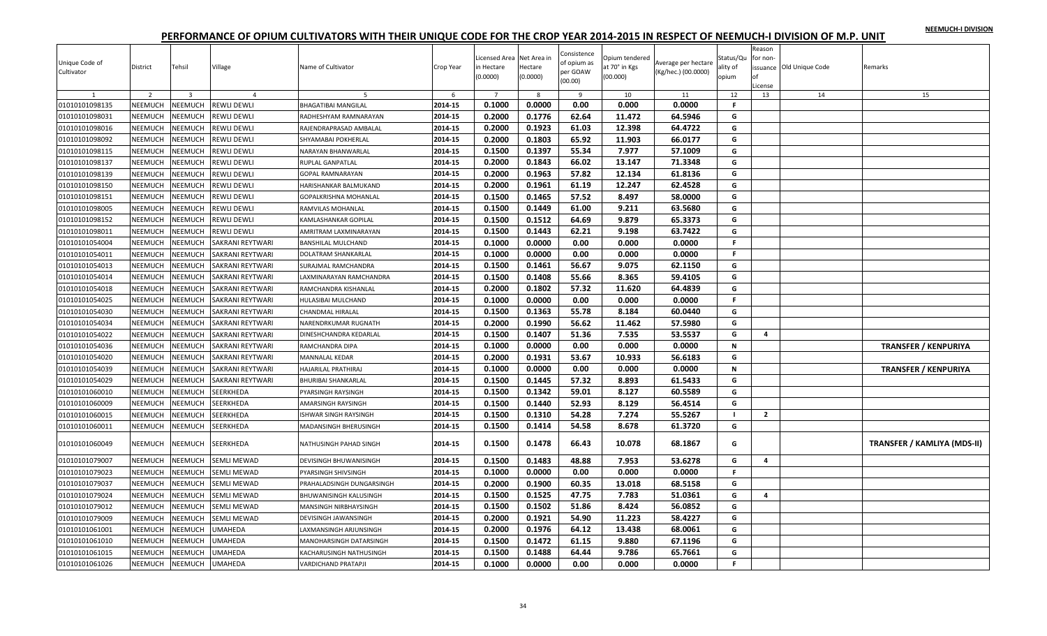| NEEMUCH-I DIVISION |  |
|--------------------|--|
|                    |  |

| Unique Code of<br>Cultivator | District       | Tehsil                  | Village            | Name of Cultivator         | Crop Year | icensed Area Net Area in<br>in Hectare<br>(0.0000) | Hectare<br>(0.0000) | Consistence<br>of opium as<br>per GOAW<br>(00.00) | Opium tendered<br>at 70° in Kgs<br>(00.000) | Average per hectare<br>(Kg/hec.) (00.0000) | Status/Qu<br>ality of<br>opium | Reason<br>for non-<br>License | issuance Old Unique Code | Remarks                     |
|------------------------------|----------------|-------------------------|--------------------|----------------------------|-----------|----------------------------------------------------|---------------------|---------------------------------------------------|---------------------------------------------|--------------------------------------------|--------------------------------|-------------------------------|--------------------------|-----------------------------|
|                              | $\overline{2}$ | $\overline{\mathbf{3}}$ | $\overline{a}$     | -5                         | -6        | $\overline{7}$                                     | 8                   | -9                                                | 10                                          | 11                                         | 12                             | 13                            | 14                       | 15                          |
| 01010101098135               | NEEMUCH        | NEEMUCH                 | <b>REWLI DEWLI</b> | <b>BHAGATIBAI MANGILAL</b> | 2014-15   | 0.1000                                             | 0.0000              | 0.00                                              | 0.000                                       | 0.0000                                     | F.                             |                               |                          |                             |
| 01010101098031               | NEEMUCH        | <b>NEEMUCH</b>          | REWLI DEWLI        | RADHESHYAM RAMNARAYAN      | 2014-15   | 0.2000                                             | 0.1776              | 62.64                                             | 11.472                                      | 64.5946                                    | G                              |                               |                          |                             |
| 01010101098016               | NEEMUCH        | NEEMUCH                 | REWLI DEWLI        | RAJENDRAPRASAD AMBALAL     | 2014-15   | 0.2000                                             | 0.1923              | 61.03                                             | 12.398                                      | 64.4722                                    | G                              |                               |                          |                             |
| 01010101098092               | NEEMUCH        | NEEMUCH                 | REWLI DEWLI        | SHYAMABAI POKHERLAL        | 2014-15   | 0.2000                                             | 0.1803              | 65.92                                             | 11.903                                      | 66.0177                                    | G                              |                               |                          |                             |
| 01010101098115               | NEEMUCH        | NEEMUCH                 | REWLI DEWLI        | NARAYAN BHANWARLAL         | 2014-15   | 0.1500                                             | 0.1397              | 55.34                                             | 7.977                                       | 57.1009                                    | G                              |                               |                          |                             |
| 01010101098137               | NEEMUCH        | NEEMUCH                 | REWLI DEWLI        | RUPLAL GANPATLAL           | 2014-15   | 0.2000                                             | 0.1843              | 66.02                                             | 13.147                                      | 71.3348                                    | G                              |                               |                          |                             |
| 01010101098139               | NEEMUCH        | NEEMUCH                 | REWLI DEWLI        | <b>GOPAL RAMNARAYAN</b>    | 2014-15   | 0.2000                                             | 0.1963              | 57.82                                             | 12.134                                      | 61.8136                                    | G                              |                               |                          |                             |
| 01010101098150               | NEEMUCH        | <b>NEEMUCH</b>          | REWLI DEWLI        | HARISHANKAR BALMUKAND      | 2014-15   | 0.2000                                             | 0.1961              | 61.19                                             | 12.247                                      | 62.4528                                    | G                              |                               |                          |                             |
| 01010101098151               | NEEMUCH        | NEEMUCH                 | REWLI DEWLI        | GOPALKRISHNA MOHANLAL      | 2014-15   | 0.1500                                             | 0.1465              | 57.52                                             | 8.497                                       | 58.0000                                    | G                              |                               |                          |                             |
| 01010101098005               | NEEMUCH        | NEEMUCH                 | <b>REWLI DEWLI</b> | RAMVILAS MOHANLAL          | 2014-15   | 0.1500                                             | 0.1449              | 61.00                                             | 9.211                                       | 63.5680                                    | G                              |                               |                          |                             |
| 01010101098152               | NEEMUCH        | NEEMUCH                 | REWLI DEWLI        | KAMLASHANKAR GOPILAL       | 2014-15   | 0.1500                                             | 0.1512              | 64.69                                             | 9.879                                       | 65.3373                                    | G                              |                               |                          |                             |
| 01010101098011               | NEEMUCH        | <b>NEEMUCH</b>          | REWLI DEWLI        | AMRITRAM LAXMINARAYAN      | 2014-15   | 0.1500                                             | 0.1443              | 62.21                                             | 9.198                                       | 63.7422                                    | G                              |                               |                          |                             |
| 01010101054004               | NEEMUCH        | NEEMUCH                 | SAKRANI REYTWARI   | <b>BANSHILAL MULCHAND</b>  | 2014-15   | 0.1000                                             | 0.0000              | 0.00                                              | 0.000                                       | 0.0000                                     | F.                             |                               |                          |                             |
| 01010101054011               | NEEMUCH        | NEEMUCH                 | SAKRANI REYTWARI   | DOLATRAM SHANKARLAL        | 2014-15   | 0.1000                                             | 0.0000              | 0.00                                              | 0.000                                       | 0.0000                                     | F.                             |                               |                          |                             |
| 01010101054013               | NEEMUCH        | NEEMUCH                 | SAKRANI REYTWARI   | SURAJMAL RAMCHANDRA        | 2014-15   | 0.1500                                             | 0.1461              | 56.67                                             | 9.075                                       | 62.1150                                    | G                              |                               |                          |                             |
| 01010101054014               | NEEMUCH        | NEEMUCH                 | SAKRANI REYTWARI   | LAXMINARAYAN RAMCHANDRA    | 2014-15   | 0.1500                                             | 0.1408              | 55.66                                             | 8.365                                       | 59.4105                                    | G                              |                               |                          |                             |
| 01010101054018               | NEEMUCH        | NEEMUCH                 | SAKRANI REYTWARI   | RAMCHANDRA KISHANLAL       | 2014-15   | 0.2000                                             | 0.1802              | 57.32                                             | 11.620                                      | 64.4839                                    | G                              |                               |                          |                             |
| 01010101054025               | NEEMUCH        | <b>NEEMUCH</b>          | SAKRANI REYTWARI   | HULASIBAI MULCHAND         | 2014-15   | 0.1000                                             | 0.0000              | 0.00                                              | 0.000                                       | 0.0000                                     | F.                             |                               |                          |                             |
| 01010101054030               | NEEMUCH        | NEEMUCH                 | SAKRANI REYTWARI   | CHANDMAL HIRALAL           | 2014-15   | 0.1500                                             | 0.1363              | 55.78                                             | 8.184                                       | 60.0440                                    | G                              |                               |                          |                             |
| 01010101054034               | NEEMUCH        | NEEMUCH                 | SAKRANI REYTWARI   | NARENDRKUMAR RUGNATH       | 2014-15   | 0.2000                                             | 0.1990              | 56.62                                             | 11.462                                      | 57.5980                                    | G                              |                               |                          |                             |
| 01010101054022               | NEEMUCH        | NEEMUCH                 | SAKRANI REYTWARI   | DINESHCHANDRA KEDARLAL     | 2014-15   | 0.1500                                             | 0.1407              | 51.36                                             | 7.535                                       | 53.5537                                    | G                              | 4                             |                          |                             |
| 01010101054036               | NEEMUCH        | NEEMUCH                 | SAKRANI REYTWARI   | RAMCHANDRA DIPA            | 2014-15   | 0.1000                                             | 0.0000              | 0.00                                              | 0.000                                       | 0.0000                                     | N                              |                               |                          | <b>TRANSFER / KENPURIYA</b> |
| 01010101054020               | NEEMUCH        | NEEMUCH                 | SAKRANI REYTWARI   | MANNALAL KEDAR             | 2014-15   | 0.2000                                             | 0.1931              | 53.67                                             | 10.933                                      | 56.6183                                    | G                              |                               |                          |                             |
| 01010101054039               | NEEMUCH        | NEEMUCH                 | SAKRANI REYTWARI   | HAJARILAL PRATHIRAJ        | 2014-15   | 0.1000                                             | 0.0000              | 0.00                                              | 0.000                                       | 0.0000                                     | N                              |                               |                          | <b>TRANSFER / KENPURIYA</b> |
| 01010101054029               | NEEMUCH        | NEEMUCH                 | SAKRANI REYTWARI   | <b>BHURIBAI SHANKARLAL</b> | 2014-15   | 0.1500                                             | 0.1445              | 57.32                                             | 8.893                                       | 61.5433                                    | G                              |                               |                          |                             |
| 01010101060010               | NEEMUCH        | NEEMUCH                 | SEERKHEDA          | PYARSINGH RAYSINGH         | 2014-15   | 0.1500                                             | 0.1342              | 59.01                                             | 8.127                                       | 60.5589                                    | G                              |                               |                          |                             |
| 01010101060009               | NEEMUCH        | NEEMUCH                 | SEERKHEDA          | AMARSINGH RAYSINGH         | 2014-15   | 0.1500                                             | 0.1440              | 52.93                                             | 8.129                                       | 56.4514                                    | G                              |                               |                          |                             |
| 01010101060015               | NEEMUCH        | <b>NEEMUCH</b>          | SEERKHEDA          | ISHWAR SINGH RAYSINGH      | 2014-15   | 0.1500                                             | 0.1310              | 54.28                                             | 7.274                                       | 55.5267                                    | - 1                            | $\overline{2}$                |                          |                             |
| 01010101060011               | NEEMUCH        | <b>NEEMUCH</b>          | SEERKHEDA          | MADANSINGH BHERUSINGH      | 2014-15   | 0.1500                                             | 0.1414              | 54.58                                             | 8.678                                       | 61.3720                                    | G                              |                               |                          |                             |
| 01010101060049               | NEEMUCH        | <b>NEEMUCH</b>          | SEERKHEDA          | NATHUSINGH PAHAD SINGH     | 2014-15   | 0.1500                                             | 0.1478              | 66.43                                             | 10.078                                      | 68.1867                                    | G                              |                               |                          | TRANSFER / KAMLIYA (MDS-II) |
| 01010101079007               | NEEMUCH        | NEEMUCH                 | <b>SEMLI MEWAD</b> | DEVISINGH BHUWANISINGH     | 2014-15   | 0.1500                                             | 0.1483              | 48.88                                             | 7.953                                       | 53.6278                                    | G                              | 4                             |                          |                             |
| 01010101079023               | NEEMUCH        | NEEMUCH                 | <b>SEMLI MEWAD</b> | PYARSINGH SHIVSINGH        | 2014-15   | 0.1000                                             | 0.0000              | 0.00                                              | 0.000                                       | 0.0000                                     | F.                             |                               |                          |                             |
| 01010101079037               | NEEMUCH        | <b>NEEMUCH</b>          | SEMLI MEWAD        | PRAHALADSINGH DUNGARSINGH  | 2014-15   | 0.2000                                             | 0.1900              | 60.35                                             | 13.018                                      | 68.5158                                    | G                              |                               |                          |                             |
| 01010101079024               | NEEMUCH        | <b>NEEMUCH</b>          | <b>SEMLI MEWAD</b> | BHUWANISINGH KALUSINGH     | 2014-15   | 0.1500                                             | 0.1525              | 47.75                                             | 7.783                                       | 51.0361                                    | G                              | 4                             |                          |                             |
| 01010101079012               | NEEMUCH        | NEEMUCH                 | SEMLI MEWAD        | MANSINGH NIRBHAYSINGH      | 2014-15   | 0.1500                                             | 0.1502              | 51.86                                             | 8.424                                       | 56.0852                                    | G                              |                               |                          |                             |
| 01010101079009               | NEEMUCH        | NEEMUCH                 | SEMLI MEWAD        | DEVISINGH JAWANSINGH       | 2014-15   | 0.2000                                             | 0.1921              | 54.90                                             | 11.223                                      | 58.4227                                    | G                              |                               |                          |                             |
| 01010101061001               | NEEMUCH        | NEEMUCH                 | UMAHEDA            | LAXMANSINGH ARJUNSINGH     | 2014-15   | 0.2000                                             | 0.1976              | 64.12                                             | 13.438                                      | 68.0061                                    | G                              |                               |                          |                             |
| 01010101061010               | NEEMUCH        | NEEMUCH                 | JMAHEDA            | MANOHARSINGH DATARSINGH    | 2014-15   | 0.1500                                             | 0.1472              | 61.15                                             | 9.880                                       | 67.1196                                    | G                              |                               |                          |                             |
| 01010101061015               | NEEMUCH        | NEEMUCH                 | <b>UMAHEDA</b>     | KACHARUSINGH NATHUSINGH    | 2014-15   | 0.1500                                             | 0.1488              | 64.44                                             | 9.786                                       | 65.7661                                    | G                              |                               |                          |                             |
| 01010101061026               | NEEMUCH        | <b>NEEMUCH</b>          | <b>UMAHEDA</b>     | <b>VARDICHAND PRATAPJI</b> | 2014-15   | 0.1000                                             | 0.0000              | 0.00                                              | 0.000                                       | 0.0000                                     | F.                             |                               |                          |                             |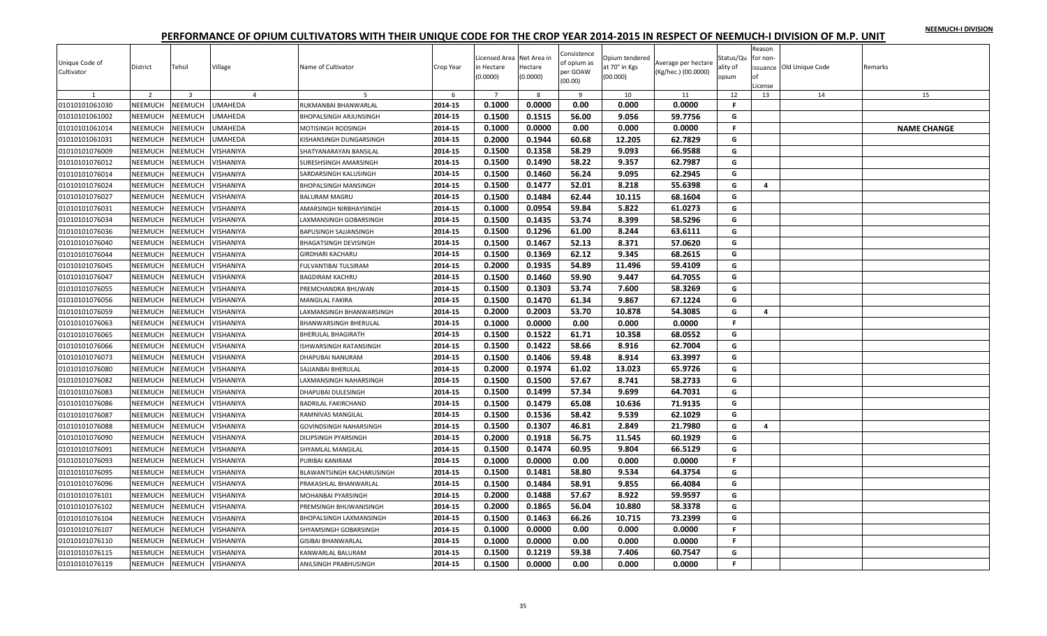|  |  | NEEMUCH-I DIVISION |
|--|--|--------------------|
|  |  |                    |

| Unique Code of<br>Cultivator | District       | Tehsil                  | Village          | Name of Cultivator            | Crop Year | icensed Area Net Area in<br>in Hectare<br>(0.0000) | Hectare<br>(0.0000) | Consistence<br>of opium as<br>per GOAW<br>(00.00) | Opium tendered<br>at 70° in Kgs<br>(00.000) | Average per hectare<br>(Kg/hec.) (00.0000) | Status/Qu<br>ality of<br>opium | Reason<br>for non-<br>of<br>.icense | issuance Old Unique Code | Remarks            |
|------------------------------|----------------|-------------------------|------------------|-------------------------------|-----------|----------------------------------------------------|---------------------|---------------------------------------------------|---------------------------------------------|--------------------------------------------|--------------------------------|-------------------------------------|--------------------------|--------------------|
| 1                            | $\overline{2}$ | $\overline{\mathbf{3}}$ | $\overline{4}$   | 5                             | 6         | $\overline{7}$                                     | 8                   | 9                                                 | 10                                          | 11                                         | 12                             | 13                                  | 14                       | 15                 |
| 01010101061030               | NEEMUCH        | NEEMUCH                 | UMAHEDA          | RUKMANBAI BHANWARLAL          | 2014-15   | 0.1000                                             | 0.0000              | 0.00                                              | 0.000                                       | 0.0000                                     | F.                             |                                     |                          |                    |
| 01010101061002               | NEEMUCH        | <b>NEEMUCH</b>          | <b>UMAHEDA</b>   | <b>BHOPALSINGH ARJUNSINGH</b> | 2014-15   | 0.1500                                             | 0.1515              | 56.00                                             | 9.056                                       | 59.7756                                    | G                              |                                     |                          |                    |
| 01010101061014               | <b>NEEMUCH</b> | VEEMUCH                 | <b>UMAHEDA</b>   | MOTISINGH RODSINGH            | 2014-15   | 0.1000                                             | 0.0000              | 0.00                                              | 0.000                                       | 0.0000                                     | F.                             |                                     |                          | <b>NAME CHANGE</b> |
| 01010101061031               | <b>NEEMUCH</b> | <b>NEEMUCH</b>          | <b>UMAHEDA</b>   | KISHANSINGH DUNGARSINGH       | 2014-15   | 0.2000                                             | 0.1944              | 60.68                                             | 12.205                                      | 62.7829                                    | G                              |                                     |                          |                    |
| 01010101076009               | NEEMUCH        | <b>NEEMUCH</b>          | VISHANIYA        | SHATYANARAYAN BANSILAL        | 2014-15   | 0.1500                                             | 0.1358              | 58.29                                             | 9.093                                       | 66.9588                                    | G                              |                                     |                          |                    |
| 01010101076012               | NEEMUCH        | NEEMUCH                 | VISHANIYA        | SURESHSINGH AMARSINGH         | 2014-15   | 0.1500                                             | 0.1490              | 58.22                                             | 9.357                                       | 62.7987                                    | G                              |                                     |                          |                    |
| 01010101076014               | <b>NEEMUCH</b> | <b>NEEMUCH</b>          | VISHANIYA        | SARDARSINGH KALUSINGH         | 2014-15   | 0.1500                                             | 0.1460              | 56.24                                             | 9.095                                       | 62.2945                                    | G                              |                                     |                          |                    |
| 01010101076024               | <b>NEEMUCH</b> | NEEMUCH                 | VISHANIYA        | <b>BHOPALSINGH MANSINGH</b>   | 2014-15   | 0.1500                                             | 0.1477              | 52.01                                             | 8.218                                       | 55.6398                                    | G                              | $\overline{a}$                      |                          |                    |
| 01010101076027               | NEEMUCH        | <b>NEEMUCH</b>          | VISHANIYA        | <b>BALURAM MAGRU</b>          | 2014-15   | 0.1500                                             | 0.1484              | 62.44                                             | 10.115                                      | 68.1604                                    | G                              |                                     |                          |                    |
| 01010101076031               | NEEMUCH        | <b>NEEMUCH</b>          | VISHANIYA        | AMARSINGH NIRBHAYSINGH        | 2014-15   | 0.1000                                             | 0.0954              | 59.84                                             | 5.822                                       | 61.0273                                    | G                              |                                     |                          |                    |
| 01010101076034               | NEEMUCH        | <b>NEEMUCH</b>          | VISHANIYA        | AXMANSINGH GOBARSINGH         | 2014-15   | 0.1500                                             | 0.1435              | 53.74                                             | 8.399                                       | 58.5296                                    | G                              |                                     |                          |                    |
| 01010101076036               | <b>NEEMUCH</b> | <b>NEEMUCH</b>          | VISHANIYA        | <b>BAPUSINGH SAJJANSINGH</b>  | 2014-15   | 0.1500                                             | 0.1296              | 61.00                                             | 8.244                                       | 63.6111                                    | G                              |                                     |                          |                    |
| 01010101076040               | NEEMUCH        | <b>NEEMUCH</b>          | VISHANIYA        | BHAGATSINGH DEVISINGH         | 2014-15   | 0.1500                                             | 0.1467              | 52.13                                             | 8.371                                       | 57.0620                                    | G                              |                                     |                          |                    |
| 01010101076044               | NEEMUCH        | <b>NEEMUCH</b>          | VISHANIYA        | <b>GIRDHARI KACHARU</b>       | 2014-15   | 0.1500                                             | 0.1369              | 62.12                                             | 9.345                                       | 68.2615                                    | G                              |                                     |                          |                    |
| 01010101076045               | NEEMUCH        | <b>NEEMUCH</b>          | VISHANIYA        | FULVANTIBAI TULSIRAM          | 2014-15   | 0.2000                                             | 0.1935              | 54.89                                             | 11.496                                      | 59.4109                                    | G                              |                                     |                          |                    |
| 01010101076047               | NEEMUCH        | <b>NEEMUCH</b>          | VISHANIYA        | <b>BAGDIRAM KACHRU</b>        | 2014-15   | 0.1500                                             | 0.1460              | 59.90                                             | 9.447                                       | 64.7055                                    | G                              |                                     |                          |                    |
| 01010101076055               | NEEMUCH        | NEEMUCH                 | VISHANIYA        | PREMCHANDRA BHUWAN            | 2014-15   | 0.1500                                             | 0.1303              | 53.74                                             | 7.600                                       | 58.3269                                    | G                              |                                     |                          |                    |
| 01010101076056               | NEEMUCH        | <b>NEEMUCH</b>          | VISHANIYA        | <b>MANGILAL FAKIRA</b>        | 2014-15   | 0.1500                                             | 0.1470              | 61.34                                             | 9.867                                       | 67.1224                                    | G                              |                                     |                          |                    |
| 01010101076059               | NEEMUCH        | <b>NEEMUCH</b>          | VISHANIYA        | AXMANSINGH BHANWARSINGH       | 2014-15   | 0.2000                                             | 0.2003              | 53.70                                             | 10.878                                      | 54.3085                                    | G                              | 4                                   |                          |                    |
| 01010101076063               | NEEMUCH        | <b>NEEMUCH</b>          | VISHANIYA        | <b>BHANWARSINGH BHERULAL</b>  | 2014-15   | 0.1000                                             | 0.0000              | 0.00                                              | 0.000                                       | 0.0000                                     | F.                             |                                     |                          |                    |
| 01010101076065               | <b>NEEMUCH</b> | <b>NEEMUCH</b>          | VISHANIYA        | <b>BHERULAL BHAGIRATH</b>     | 2014-15   | 0.1500                                             | 0.1522              | 61.71                                             | 10.358                                      | 68.0552                                    | G                              |                                     |                          |                    |
| 01010101076066               | NEEMUCH        | <b>NEEMUCH</b>          | VISHANIYA        | ISHWARSINGH RATANSINGH        | 2014-15   | 0.1500                                             | 0.1422              | 58.66                                             | 8.916                                       | 62.7004                                    | G                              |                                     |                          |                    |
| 01010101076073               | <b>NEEMUCH</b> | <b>NEEMUCH</b>          | VISHANIYA        | DHAPUBAI NANURAM              | 2014-15   | 0.1500                                             | 0.1406              | 59.48                                             | 8.914                                       | 63.3997                                    | G                              |                                     |                          |                    |
| 01010101076080               | <b>NEEMUCH</b> | <b>NEEMUCH</b>          | VISHANIYA        | SAJJANBAI BHERULAL            | 2014-15   | 0.2000                                             | 0.1974              | 61.02                                             | 13.023                                      | 65.9726                                    | G                              |                                     |                          |                    |
| 01010101076082               | NEEMUCH        | <b>NEEMUCH</b>          | VISHANIYA        | AXMANSINGH NAHARSINGH         | 2014-15   | 0.1500                                             | 0.1500              | 57.67                                             | 8.741                                       | 58.2733                                    | G                              |                                     |                          |                    |
| 01010101076083               | NEEMUCH        | <b>NEEMUCH</b>          | VISHANIYA        | DHAPUBAI DULESINGH            | 2014-15   | 0.1500                                             | 0.1499              | 57.34                                             | 9.699                                       | 64.7031                                    | G                              |                                     |                          |                    |
| 01010101076086               | NEEMUCH        | <b>NEEMUCH</b>          | VISHANIYA        | <b>BADRILAL FAKIRCHAND</b>    | 2014-15   | 0.1500                                             | 0.1479              | 65.08                                             | 10.636                                      | 71.9135                                    | G                              |                                     |                          |                    |
| 01010101076087               | NEEMUCH        | NEEMUCH                 | VISHANIYA        | RAMNIVAS MANGILAL             | 2014-15   | 0.1500                                             | 0.1536              | 58.42                                             | 9.539                                       | 62.1029                                    | G                              |                                     |                          |                    |
| 01010101076088               | NEEMUCH        | <b>NEEMUCH</b>          | VISHANIYA        | GOVINDSINGH NAHARSINGH        | 2014-15   | 0.1500                                             | 0.1307              | 46.81                                             | 2.849                                       | 21.7980                                    | G                              | 4                                   |                          |                    |
| 01010101076090               | NEEMUCH        | <b>NEEMUCH</b>          | VISHANIYA        | DILIPSINGH PYARSINGH          | 2014-15   | 0.2000                                             | 0.1918              | 56.75                                             | 11.545                                      | 60.1929                                    | G                              |                                     |                          |                    |
| 01010101076091               | <b>NEEMUCH</b> | <b>NEEMUCH</b>          | VISHANIYA        | SHYAMLAL MANGILAL             | 2014-15   | 0.1500                                             | 0.1474              | 60.95                                             | 9.804                                       | 66.5129                                    | G                              |                                     |                          |                    |
| 01010101076093               | NEEMUCH        | <b>NEEMUCH</b>          | VISHANIYA        | PURIBAI KANIRAM               | 2014-15   | 0.1000                                             | 0.0000              | 0.00                                              | 0.000                                       | 0.0000                                     | F.                             |                                     |                          |                    |
| 01010101076095               | NEEMUCH        | <b>NEEMUCH</b>          | VISHANIYA        | BLAWANTSINGH KACHARUSINGH     | 2014-15   | 0.1500                                             | 0.1481              | 58.80                                             | 9.534                                       | 64.3754                                    | G                              |                                     |                          |                    |
| 01010101076096               | NEEMUCH        | <b>NEEMUCH</b>          | VISHANIYA        | PRAKASHLAL BHANWARLAL         | 2014-15   | 0.1500                                             | 0.1484              | 58.91                                             | 9.855                                       | 66.4084                                    | G                              |                                     |                          |                    |
| 01010101076101               | <b>NEEMUCH</b> | <b>NEEMUCH</b>          | VISHANIYA        | MOHANBAI PYARSINGH            | 2014-15   | 0.2000                                             | 0.1488              | 57.67                                             | 8.922                                       | 59.9597                                    | G                              |                                     |                          |                    |
| 01010101076102               | NEEMUCH        | <b>NEEMUCH</b>          | <b>VISHANIYA</b> | PREMSINGH BHUWANISINGH        | 2014-15   | 0.2000                                             | 0.1865              | 56.04                                             | 10.880                                      | 58.3378                                    | G                              |                                     |                          |                    |
| 01010101076104               | <b>NEEMUCH</b> | NEEMUCH                 | VISHANIYA        | BHOPALSINGH LAXMANSINGH       | 2014-15   | 0.1500                                             | 0.1463              | 66.26                                             | 10.715                                      | 73.2399                                    | G                              |                                     |                          |                    |
| 01010101076107               | NEEMUCH        | <b>NEEMUCH</b>          | VISHANIYA        | SHYAMSINGH GOBARSINGH         | 2014-15   | 0.1000                                             | 0.0000              | 0.00                                              | 0.000                                       | 0.0000                                     | F.                             |                                     |                          |                    |
| 01010101076110               | <b>NEEMUCH</b> | <b>NEEMUCH</b>          | VISHANIYA        | <b>GISIBAI BHANWARLAL</b>     | 2014-15   | 0.1000                                             | 0.0000              | 0.00                                              | 0.000                                       | 0.0000                                     | F.                             |                                     |                          |                    |
| 01010101076115               | NEEMUCH        | <b>NEEMUCH</b>          | VISHANIYA        | KANWARLAL BALURAM             | 2014-15   | 0.1500                                             | 0.1219              | 59.38                                             | 7.406                                       | 60.7547                                    | G                              |                                     |                          |                    |
| 01010101076119               | NEEMUCH        | NEEMUCH                 | <b>VISHANIYA</b> | ANILSINGH PRABHUSINGH         | 2014-15   | 0.1500                                             | 0.0000              | 0.00                                              | 0.000                                       | 0.0000                                     | F.                             |                                     |                          |                    |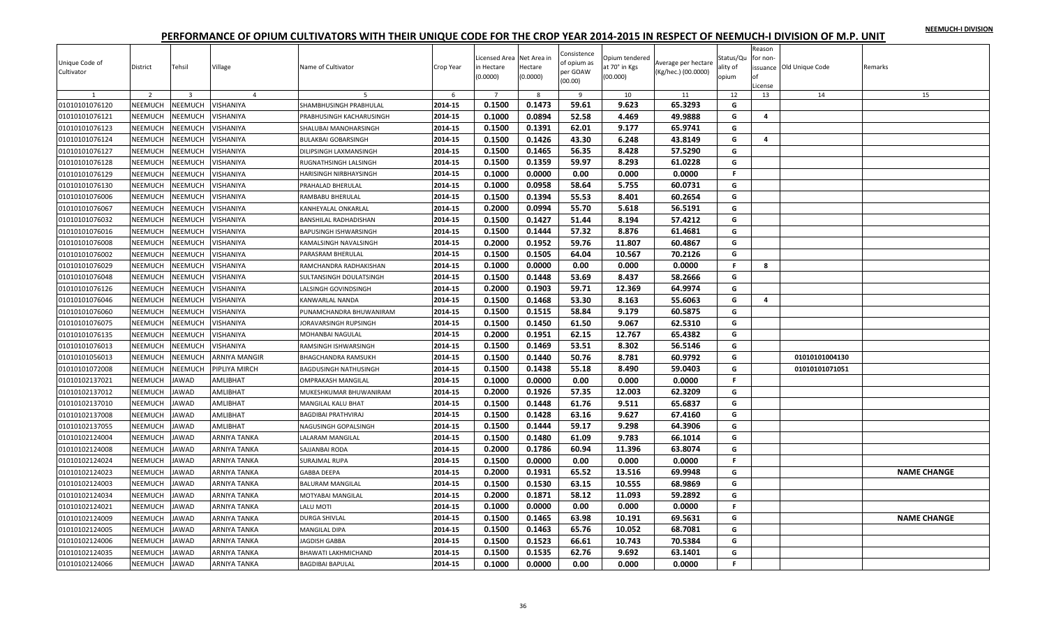|  |  | NEEMUCH-I DIVISION |
|--|--|--------------------|
|  |  |                    |

| Unique Code of<br>Cultivator | District       | Tehsil                  | Village          | Name of Cultivator           | Crop Year | icensed Area Net Area in<br>in Hectare<br>(0.0000) | Hectare<br>(0.0000) | Consistence<br>of opium as<br>per GOAW<br>(00.00) | Opium tendered<br>at 70° in Kgs<br>(00.000) | Average per hectare<br>(Kg/hec.) (00.0000) | Status/Qu<br>ality of<br>opium | Reason<br>for non-<br>Ωf<br>License | issuance Old Unique Code | Remarks            |
|------------------------------|----------------|-------------------------|------------------|------------------------------|-----------|----------------------------------------------------|---------------------|---------------------------------------------------|---------------------------------------------|--------------------------------------------|--------------------------------|-------------------------------------|--------------------------|--------------------|
| $\mathbf{1}$                 | $\overline{2}$ | $\overline{\mathbf{3}}$ | $\overline{4}$   | 5                            | 6         | $7^{\circ}$                                        | 8                   | 9                                                 | 10                                          | 11                                         | 12                             | 13                                  | 14                       | 15                 |
| 01010101076120               | NEEMUCH        | NEEMUCH                 | VISHANIYA        | SHAMBHUSINGH PRABHULAL       | 2014-15   | 0.1500                                             | 0.1473              | 59.61                                             | 9.623                                       | 65.3293                                    | G                              |                                     |                          |                    |
| 01010101076121               | NEEMUCH        | NEEMUCH                 | <b>VISHANIYA</b> | PRABHUSINGH KACHARUSINGH     | 2014-15   | 0.1000                                             | 0.0894              | 52.58                                             | 4.469                                       | 49.9888                                    | G                              | 4                                   |                          |                    |
| 01010101076123               | NEEMUCH        | NEEMUCH                 | VISHANIYA        | SHALUBAI MANOHARSINGH        | 2014-15   | 0.1500                                             | 0.1391              | 62.01                                             | 9.177                                       | 65.9741                                    | G                              |                                     |                          |                    |
| 01010101076124               | NEEMUCH        | <b>NEEMUCH</b>          | VISHANIYA        | <b>BULAKBAI GOBARSINGH</b>   | 2014-15   | 0.1500                                             | 0.1426              | 43.30                                             | 6.248                                       | 43.8149                                    | G                              | 4                                   |                          |                    |
| 01010101076127               | NEEMUCH        | NEEMUCH                 | <b>VISHANIYA</b> | DILIPSINGH LAXMANSINGH       | 2014-15   | 0.1500                                             | 0.1465              | 56.35                                             | 8.428                                       | 57.5290                                    | G                              |                                     |                          |                    |
| 01010101076128               | NEEMUCH        | NEEMUCH                 | <b>VISHANIYA</b> | RUGNATHSINGH LALSINGH        | 2014-15   | 0.1500                                             | 0.1359              | 59.97                                             | 8.293                                       | 61.0228                                    | G                              |                                     |                          |                    |
| 01010101076129               | NEEMUCH        | NEEMUCH                 | VISHANIYA        | HARISINGH NIRBHAYSINGH       | 2014-15   | 0.1000                                             | 0.0000              | 0.00                                              | 0.000                                       | 0.0000                                     | F.                             |                                     |                          |                    |
| 01010101076130               | NEEMUCH        | NEEMUCH                 | VISHANIYA        | PRAHALAD BHERULAL            | 2014-15   | 0.1000                                             | 0.0958              | 58.64                                             | 5.755                                       | 60.0731                                    | G                              |                                     |                          |                    |
| 01010101076006               | NEEMUCH        | NEEMUCH                 | <b>VISHANIYA</b> | RAMBABU BHERULAL             | 2014-15   | 0.1500                                             | 0.1394              | 55.53                                             | 8.401                                       | 60.2654                                    | G                              |                                     |                          |                    |
| 01010101076067               | NEEMUCH        | NEEMUCH                 | <b>VISHANIYA</b> | KANHEYALAL ONKARLAL          | 2014-15   | 0.2000                                             | 0.0994              | 55.70                                             | 5.618                                       | 56.5191                                    | G                              |                                     |                          |                    |
| 01010101076032               | NEEMUCH        | NEEMUCH                 | /ISHANIYA        | BANSHILAL RADHADISHAN        | 2014-15   | 0.1500                                             | 0.1427              | 51.44                                             | 8.194                                       | 57.4212                                    | G                              |                                     |                          |                    |
| 01010101076016               | NEEMUCH        | <b>NEEMUCH</b>          | VISHANIYA        | BAPUSINGH ISHWARSINGH        | 2014-15   | 0.1500                                             | 0.1444              | 57.32                                             | 8.876                                       | 61.4681                                    | G                              |                                     |                          |                    |
| 01010101076008               | NEEMUCH        | NEEMUCH                 | <b>VISHANIYA</b> | KAMALSINGH NAVALSINGH        | 2014-15   | 0.2000                                             | 0.1952              | 59.76                                             | 11.807                                      | 60.4867                                    | G                              |                                     |                          |                    |
| 01010101076002               | NEEMUCH        | NEEMUCH                 | <b>VISHANIYA</b> | PARASRAM BHERULAL            | 2014-15   | 0.1500                                             | 0.1505              | 64.04                                             | 10.567                                      | 70.2126                                    | G                              |                                     |                          |                    |
| 01010101076029               | <b>NEEMUCH</b> | <b>NEEMUCH</b>          | <b>VISHANIYA</b> | RAMCHANDRA RADHAKISHAN       | 2014-15   | 0.1000                                             | 0.0000              | 0.00                                              | 0.000                                       | 0.0000                                     | F.                             | 8                                   |                          |                    |
| 01010101076048               | NEEMUCH        | NEEMUCH                 | <b>VISHANIYA</b> | SULTANSINGH DOULATSINGH      | 2014-15   | 0.1500                                             | 0.1448              | 53.69                                             | 8.437                                       | 58.2666                                    | G                              |                                     |                          |                    |
| 01010101076126               | NEEMUCH        | NEEMUCH                 | <b>VISHANIYA</b> | LALSINGH GOVINDSINGH         | 2014-15   | 0.2000                                             | 0.1903              | 59.71                                             | 12.369                                      | 64.9974                                    | G                              |                                     |                          |                    |
| 01010101076046               | NEEMUCH        | NEEMUCH                 | <b>VISHANIYA</b> | KANWARLAL NANDA              | 2014-15   | 0.1500                                             | 0.1468              | 53.30                                             | 8.163                                       | 55.6063                                    | G                              | 4                                   |                          |                    |
| 01010101076060               | NEEMUCH        | NEEMUCH                 | <b>VISHANIYA</b> | PUNAMCHANDRA BHUWANIRAM      | 2014-15   | 0.1500                                             | 0.1515              | 58.84                                             | 9.179                                       | 60.5875                                    | G                              |                                     |                          |                    |
| 01010101076075               | NEEMUCH        | <b>NEEMUCH</b>          | <b>VISHANIYA</b> | JORAVARSINGH RUPSINGH        | 2014-15   | 0.1500                                             | 0.1450              | 61.50                                             | 9.067                                       | 62.5310                                    | G                              |                                     |                          |                    |
| 01010101076135               | NEEMUCH        | NEEMUCH                 | VISHANIYA        | MOHANBAI NAGULAL             | 2014-15   | 0.2000                                             | 0.1951              | 62.15                                             | 12.767                                      | 65.4382                                    | G                              |                                     |                          |                    |
| 01010101076013               | NEEMUCH        | NEEMUCH                 | <b>VISHANIYA</b> | RAMSINGH ISHWARSINGH         | 2014-15   | 0.1500                                             | 0.1469              | 53.51                                             | 8.302                                       | 56.5146                                    | G                              |                                     |                          |                    |
| 01010101056013               | NEEMUCH        | NEEMUCH                 | ARNIYA MANGIR    | BHAGCHANDRA RAMSUKH          | 2014-15   | 0.1500                                             | 0.1440              | 50.76                                             | 8.781                                       | 60.9792                                    | G                              |                                     | 01010101004130           |                    |
| 01010101072008               | NEEMUCH        | NEEMUCH                 | PIPLIYA MIRCH    | <b>BAGDUSINGH NATHUSINGH</b> | 2014-15   | 0.1500                                             | 0.1438              | 55.18                                             | 8.490                                       | 59.0403                                    | G                              |                                     | 01010101071051           |                    |
| 01010102137021               | NEEMUCH        | <b>JAWAD</b>            | AMLIBHAT         | OMPRAKASH MANGILAL           | 2014-15   | 0.1000                                             | 0.0000              | 0.00                                              | 0.000                                       | 0.0000                                     | F.                             |                                     |                          |                    |
| 01010102137012               | NEEMUCH        | <b>JAWAD</b>            | AMLIBHAT         | MUKESHKUMAR BHUWANIRAM       | 2014-15   | 0.2000                                             | 0.1926              | 57.35                                             | 12.003                                      | 62.3209                                    | G                              |                                     |                          |                    |
| 01010102137010               | NEEMUCH        | <b>JAWAD</b>            | AMLIBHAT         | MANGILAL KALU BHAT           | 2014-15   | 0.1500                                             | 0.1448              | 61.76                                             | 9.511                                       | 65.6837                                    | G                              |                                     |                          |                    |
| 01010102137008               | NEEMUCH        | <b>JAWAD</b>            | AMLIBHAT         | <b>BAGDIBAI PRATHVIRAJ</b>   | 2014-15   | 0.1500                                             | 0.1428              | 63.16                                             | 9.627                                       | 67.4160                                    | G                              |                                     |                          |                    |
| 01010102137055               | NEEMUCH        | <b>JAWAD</b>            | AMLIBHAT         | NAGUSINGH GOPALSINGH         | 2014-15   | 0.1500                                             | 0.1444              | 59.17                                             | 9.298                                       | 64.3906                                    | G                              |                                     |                          |                    |
| 01010102124004               | NEEMUCH        | <b>JAWAD</b>            | ARNIYA TANKA     | LALARAM MANGILAL             | 2014-15   | 0.1500                                             | 0.1480              | 61.09                                             | 9.783                                       | 66.1014                                    | G                              |                                     |                          |                    |
| 01010102124008               | NEEMUCH        | <b>JAWAD</b>            | ARNIYA TANKA     | SAJJANBAI RODA               | 2014-15   | 0.2000                                             | 0.1786              | 60.94                                             | 11.396                                      | 63.8074                                    | G                              |                                     |                          |                    |
| 01010102124024               | NEEMUCH        | <b>JAWAD</b>            | ARNIYA TANKA     | SURAJMAL RUPA                | 2014-15   | 0.1500                                             | 0.0000              | 0.00                                              | 0.000                                       | 0.0000                                     | F.                             |                                     |                          |                    |
| 01010102124023               | NEEMUCH        | <b>JAWAD</b>            | ARNIYA TANKA     | GABBA DEEPA                  | 2014-15   | 0.2000                                             | 0.1931              | 65.52                                             | 13.516                                      | 69.9948                                    | G                              |                                     |                          | <b>NAME CHANGE</b> |
| 01010102124003               | NEEMUCH        | <b>JAWAD</b>            | ARNIYA TANKA     | <b>BALURAM MANGILAL</b>      | 2014-15   | 0.1500                                             | 0.1530              | 63.15                                             | 10.555                                      | 68.9869                                    | G                              |                                     |                          |                    |
| 01010102124034               | <b>NEEMUCH</b> | <b>JAWAD</b>            | ARNIYA TANKA     | <b>MOTYABAI MANGILAL</b>     | 2014-15   | 0.2000                                             | 0.1871              | 58.12                                             | 11.093                                      | 59.2892                                    | G                              |                                     |                          |                    |
| 01010102124021               | NEEMUCH        | <b>JAWAD</b>            | ARNIYA TANKA     | <b>LALU MOTI</b>             | 2014-15   | 0.1000                                             | 0.0000              | 0.00                                              | 0.000                                       | 0.0000                                     | F.                             |                                     |                          |                    |
| 01010102124009               | NEEMUCH        | <b>JAWAD</b>            | ARNIYA TANKA     | DURGA SHIVLAL                | 2014-15   | 0.1500                                             | 0.1465              | 63.98                                             | 10.191                                      | 69.5631                                    | G                              |                                     |                          | <b>NAME CHANGE</b> |
| 01010102124005               | NEEMUCH        | <b>JAWAD</b>            | ARNIYA TANKA     | <b>MANGILAL DIPA</b>         | 2014-15   | 0.1500                                             | 0.1463              | 65.76                                             | 10.052                                      | 68.7081                                    | G                              |                                     |                          |                    |
| 01010102124006               | NEEMUCH        | <b>JAWAD</b>            | ARNIYA TANKA     | <b>JAGDISH GABBA</b>         | 2014-15   | 0.1500                                             | 0.1523              | 66.61                                             | 10.743                                      | 70.5384                                    | G                              |                                     |                          |                    |
| 01010102124035               | NEEMUCH        | <b>JAWAD</b>            | ARNIYA TANKA     | BHAWATI LAKHMICHAND          | 2014-15   | 0.1500                                             | 0.1535              | 62.76                                             | 9.692                                       | 63.1401                                    | G                              |                                     |                          |                    |
| 01010102124066               | NEEMUCH        | <b>JAWAD</b>            | ARNIYA TANKA     | <b>BAGDIBAI BAPULAL</b>      | 2014-15   | 0.1000                                             | 0.0000              | 0.00                                              | 0.000                                       | 0.0000                                     | F.                             |                                     |                          |                    |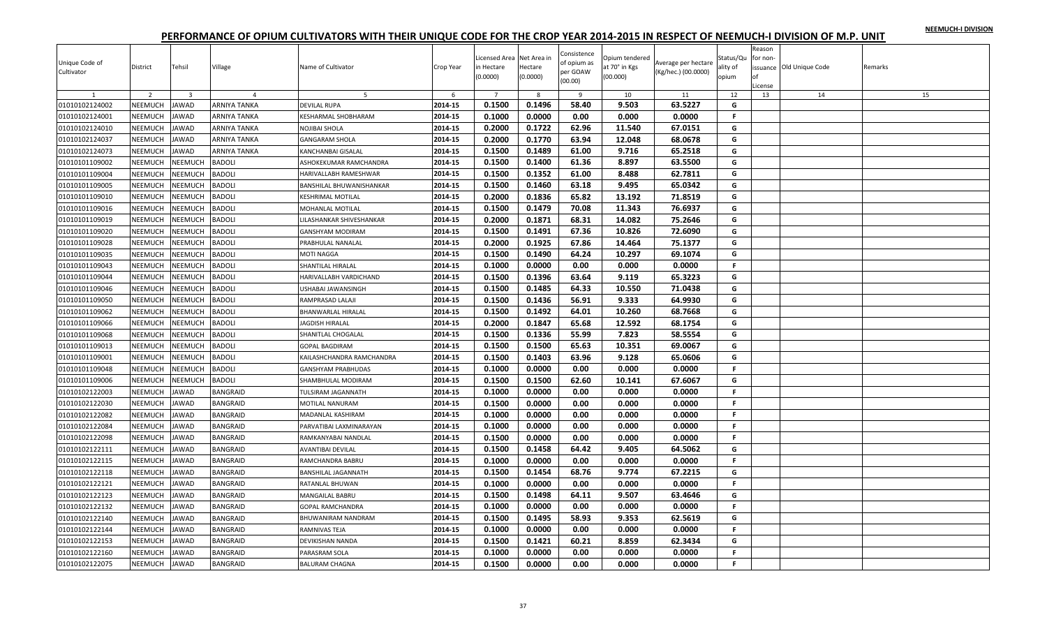|  |  | NEEMUCH-I DIVISION |
|--|--|--------------------|
|  |  |                    |

| Unique Code of<br>Cultivator | District       | Tehsil                  | Village         | Name of Cultivator        | Crop Year | icensed Area Net Area in<br>in Hectare<br>(0.0000) | Hectare<br>(0.0000) | Consistence<br>of opium as<br>per GOAW<br>(00.00) | Opium tendered<br>at 70° in Kgs<br>(00.000) | Average per hectare<br>(Kg/hec.) (00.0000) | Status/Qu<br>ality of<br>opium | Reason<br>for non-<br>of<br>License | issuance Old Unique Code | Remarks |
|------------------------------|----------------|-------------------------|-----------------|---------------------------|-----------|----------------------------------------------------|---------------------|---------------------------------------------------|---------------------------------------------|--------------------------------------------|--------------------------------|-------------------------------------|--------------------------|---------|
| 1                            | $\overline{2}$ | $\overline{\mathbf{3}}$ | $\overline{4}$  | 5                         | 6         | $7\overline{ }$                                    | 8                   | 9                                                 | 10                                          | 11                                         | 12                             | 13                                  | 14                       | 15      |
| 01010102124002               | NEEMUCH        | <b>JAWAD</b>            | ARNIYA TANKA    | <b>DEVILAL RUPA</b>       | 2014-15   | 0.1500                                             | 0.1496              | 58.40                                             | 9.503                                       | 63.5227                                    | G                              |                                     |                          |         |
| 01010102124001               | NEEMUCH        | <b>JAWAD</b>            | ARNIYA TANKA    | KESHARMAL SHOBHARAM       | 2014-15   | 0.1000                                             | 0.0000              | 0.00                                              | 0.000                                       | 0.0000                                     | F.                             |                                     |                          |         |
| 01010102124010               | <b>NEEMUCH</b> | <b>JAWAD</b>            | ARNIYA TANKA    | NOJIBAI SHOLA             | 2014-15   | 0.2000                                             | 0.1722              | 62.96                                             | 11.540                                      | 67.0151                                    | G                              |                                     |                          |         |
| 01010102124037               | <b>NEEMUCH</b> | <b>JAWAD</b>            | ARNIYA TANKA    | <b>GANGARAM SHOLA</b>     | 2014-15   | 0.2000                                             | 0.1770              | 63.94                                             | 12.048                                      | 68.0678                                    | G                              |                                     |                          |         |
| 01010102124073               | NEEMUCH        | <b>JAWAD</b>            | ARNIYA TANKA    | KANCHANBAI GISALAL        | 2014-15   | 0.1500                                             | 0.1489              | 61.00                                             | 9.716                                       | 65.2518                                    | G                              |                                     |                          |         |
| 01010101109002               | NEEMUCH        | <b>NEEMUCH</b>          | <b>BADOLI</b>   | ASHOKEKUMAR RAMCHANDRA    | 2014-15   | 0.1500                                             | 0.1400              | 61.36                                             | 8.897                                       | 63.5500                                    | G                              |                                     |                          |         |
| 01010101109004               | NEEMUCH        | NEEMUCH                 | BADOLI          | HARIVALLABH RAMESHWAR     | 2014-15   | 0.1500                                             | 0.1352              | 61.00                                             | 8.488                                       | 62.7811                                    | G                              |                                     |                          |         |
| 01010101109005               | NEEMUCH        | NEEMUCH                 | BADOLI          | BANSHILAL BHUWANISHANKAR  | 2014-15   | 0.1500                                             | 0.1460              | 63.18                                             | 9.495                                       | 65.0342                                    | G                              |                                     |                          |         |
| 01010101109010               | NEEMUCH        | NEEMUCH                 | <b>BADOLI</b>   | KESHRIMAL MOTILAL         | 2014-15   | 0.2000                                             | 0.1836              | 65.82                                             | 13.192                                      | 71.8519                                    | G                              |                                     |                          |         |
| 01010101109016               | NEEMUCH        | NEEMUCH                 | <b>BADOLI</b>   | MOHANLAL MOTILAL          | 2014-15   | 0.1500                                             | 0.1479              | 70.08                                             | 11.343                                      | 76.6937                                    | G                              |                                     |                          |         |
| 01010101109019               | NEEMUCH        | NEEMUCH                 | BADOLI          | LILASHANKAR SHIVESHANKAR  | 2014-15   | 0.2000                                             | 0.1871              | 68.31                                             | 14.082                                      | 75.2646                                    | G                              |                                     |                          |         |
| 01010101109020               | <b>NEEMUCH</b> | <b>NEEMUCH</b>          | BADOLI          | GANSHYAM MODIRAM          | 2014-15   | 0.1500                                             | 0.1491              | 67.36                                             | 10.826                                      | 72.6090                                    | G                              |                                     |                          |         |
| 01010101109028               | NEEMUCH        | NEEMUCH                 | BADOLI          | PRABHULAL NANALAL         | 2014-15   | 0.2000                                             | 0.1925              | 67.86                                             | 14.464                                      | 75.1377                                    | G                              |                                     |                          |         |
| 01010101109035               | NEEMUCH        | NEEMUCH                 | <b>BADOLI</b>   | MOTI NAGGA                | 2014-15   | 0.1500                                             | 0.1490              | 64.24                                             | 10.297                                      | 69.1074                                    | G                              |                                     |                          |         |
| 01010101109043               | NEEMUCH        | <b>NEEMUCH</b>          | <b>BADOLI</b>   | SHANTILAL HIRALAL         | 2014-15   | 0.1000                                             | 0.0000              | 0.00                                              | 0.000                                       | 0.0000                                     | $\mathbb F$                    |                                     |                          |         |
| 01010101109044               | NEEMUCH        | NEEMUCH                 | BADOLI          | HARIVALLABH VARDICHAND    | 2014-15   | 0.1500                                             | 0.1396              | 63.64                                             | 9.119                                       | 65.3223                                    | G                              |                                     |                          |         |
| 01010101109046               | NEEMUCH        | <b>NEEMUCH</b>          | BADOLI          | USHABAI JAWANSINGH        | 2014-15   | 0.1500                                             | 0.1485              | 64.33                                             | 10.550                                      | 71.0438                                    | G                              |                                     |                          |         |
| 01010101109050               | NEEMUCH        | NEEMUCH                 | BADOLI          | RAMPRASAD LALAJI          | 2014-15   | 0.1500                                             | 0.1436              | 56.91                                             | 9.333                                       | 64.9930                                    | G                              |                                     |                          |         |
| 01010101109062               | NEEMUCH        | NEEMUCH                 | BADOLI          | BHANWARLAL HIRALAL        | 2014-15   | 0.1500                                             | 0.1492              | 64.01                                             | 10.260                                      | 68.7668                                    | G                              |                                     |                          |         |
| 01010101109066               | NEEMUCH        | <b>NEEMUCH</b>          | BADOLI          | <b>JAGDISH HIRALAL</b>    | 2014-15   | 0.2000                                             | 0.1847              | 65.68                                             | 12.592                                      | 68.1754                                    | G                              |                                     |                          |         |
| 01010101109068               | NEEMUCH        | NEEMUCH                 | BADOLI          | SHANITLAL CHOGALAL        | 2014-15   | 0.1500                                             | 0.1336              | 55.99                                             | 7.823                                       | 58.5554                                    | G                              |                                     |                          |         |
| 01010101109013               | NEEMUCH        | NEEMUCH                 | <b>BADOLI</b>   | <b>GOPAL BAGDIRAM</b>     | 2014-15   | 0.1500                                             | 0.1500              | 65.63                                             | 10.351                                      | 69.0067                                    | G                              |                                     |                          |         |
| 01010101109001               | NEEMUCH        | <b>NEEMUCH</b>          | <b>BADOLI</b>   | KAILASHCHANDRA RAMCHANDRA | 2014-15   | 0.1500                                             | 0.1403              | 63.96                                             | 9.128                                       | 65.0606                                    | G                              |                                     |                          |         |
| 01010101109048               | NEEMUCH        | <b>NEEMUCH</b>          | BADOLI          | GANSHYAM PRABHUDAS        | 2014-15   | 0.1000                                             | 0.0000              | 0.00                                              | 0.000                                       | 0.0000                                     | F.                             |                                     |                          |         |
| 01010101109006               | NEEMUCH        | NEEMUCH                 | BADOLI          | SHAMBHULAL MODIRAM        | 2014-15   | 0.1500                                             | 0.1500              | 62.60                                             | 10.141                                      | 67.6067                                    | G                              |                                     |                          |         |
| 01010102122003               | NEEMUCH        | <b>JAWAD</b>            | <b>BANGRAID</b> | TULSIRAM JAGANNATH        | 2014-15   | 0.1000                                             | 0.0000              | 0.00                                              | 0.000                                       | 0.0000                                     | $\mathbb F$                    |                                     |                          |         |
| 01010102122030               | NEEMUCH        | <b>JAWAD</b>            | BANGRAID        | MOTILAL NANURAM           | 2014-15   | 0.1500                                             | 0.0000              | 0.00                                              | 0.000                                       | 0.0000                                     | F.                             |                                     |                          |         |
| 01010102122082               | NEEMUCH        | <b>JAWAD</b>            | BANGRAID        | MADANLAL KASHIRAM         | 2014-15   | 0.1000                                             | 0.0000              | 0.00                                              | 0.000                                       | 0.0000                                     | F.                             |                                     |                          |         |
| 01010102122084               | NEEMUCH        | <b>JAWAD</b>            | BANGRAID        | PARVATIBAI LAXMINARAYAN   | 2014-15   | 0.1000                                             | 0.0000              | 0.00                                              | 0.000                                       | 0.0000                                     | F.                             |                                     |                          |         |
| 01010102122098               | NEEMUCH        | <b>JAWAD</b>            | BANGRAID        | RAMKANYABAI NANDLAL       | 2014-15   | 0.1500                                             | 0.0000              | 0.00                                              | 0.000                                       | 0.0000                                     | F.                             |                                     |                          |         |
| 01010102122111               | NEEMUCH        | <b>JAWAD</b>            | BANGRAID        | AVANTIBAI DEVILAL         | 2014-15   | 0.1500                                             | 0.1458              | 64.42                                             | 9.405                                       | 64.5062                                    | G                              |                                     |                          |         |
| 01010102122115               | <b>NEEMUCH</b> | <b>JAWAD</b>            | <b>BANGRAID</b> | RAMCHANDRA BABRU          | 2014-15   | 0.1000                                             | 0.0000              | 0.00                                              | 0.000                                       | 0.0000                                     | F.                             |                                     |                          |         |
| 01010102122118               | NEEMUCH        | <b>JAWAD</b>            | BANGRAID        | BANSHILAL JAGANNATH       | 2014-15   | 0.1500                                             | 0.1454              | 68.76                                             | 9.774                                       | 67.2215                                    | G                              |                                     |                          |         |
| 01010102122121               | NEEMUCH        | <b>JAWAD</b>            | <b>BANGRAID</b> | RATANLAL BHUWAN           | 2014-15   | 0.1000                                             | 0.0000              | 0.00                                              | 0.000                                       | 0.0000                                     | F.                             |                                     |                          |         |
| 01010102122123               | NEEMUCH        | <b>JAWAD</b>            | <b>BANGRAID</b> | MANGAILAL BABRU           | 2014-15   | 0.1500                                             | 0.1498              | 64.11                                             | 9.507                                       | 63.4646                                    | G                              |                                     |                          |         |
| 01010102122132               | <b>NEEMUCH</b> | <b>JAWAD</b>            | BANGRAID        | <b>GOPAL RAMCHANDRA</b>   | 2014-15   | 0.1000                                             | 0.0000              | 0.00                                              | 0.000                                       | 0.0000                                     | F.                             |                                     |                          |         |
| 01010102122140               | NEEMUCH        | <b>JAWAD</b>            | <b>BANGRAID</b> | BHUWANIRAM NANDRAM        | 2014-15   | 0.1500                                             | 0.1495              | 58.93                                             | 9.353                                       | 62.5619                                    | G                              |                                     |                          |         |
| 01010102122144               | NEEMUCH        | <b>JAWAD</b>            | BANGRAID        | RAMNIVAS TEJA             | 2014-15   | 0.1000                                             | 0.0000              | 0.00                                              | 0.000                                       | 0.0000                                     | F.                             |                                     |                          |         |
| 01010102122153               | <b>NEEMUCH</b> | <b>JAWAD</b>            | BANGRAID        | DEVIKISHAN NANDA          | 2014-15   | 0.1500                                             | 0.1421              | 60.21                                             | 8.859                                       | 62.3434                                    | G                              |                                     |                          |         |
| 01010102122160               | NEEMUCH        | <b>JAWAD</b>            | BANGRAID        | PARASRAM SOLA             | 2014-15   | 0.1000                                             | 0.0000              | 0.00                                              | 0.000                                       | 0.0000                                     | F.                             |                                     |                          |         |
| 01010102122075               | NEEMUCH        | <b>JAWAD</b>            | BANGRAID        | <b>BALURAM CHAGNA</b>     | 2014-15   | 0.1500                                             | 0.0000              | 0.00                                              | 0.000                                       | 0.0000                                     | F.                             |                                     |                          |         |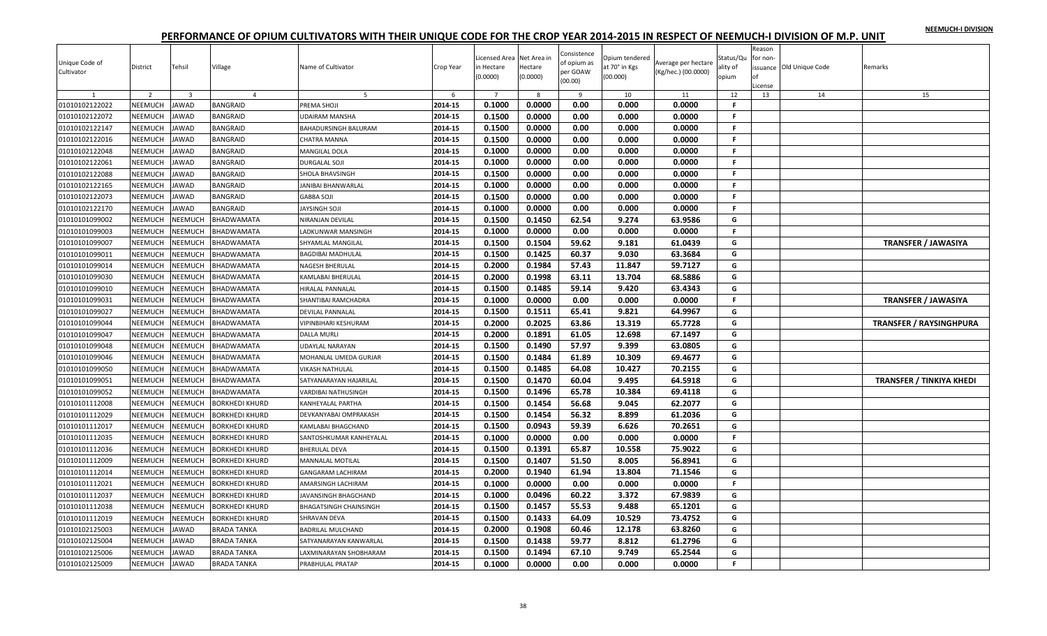|  |  | NEEMUCH-I DIVISION |
|--|--|--------------------|
|  |  |                    |

| Unique Code of<br>Cultivator | District<br>$\overline{2}$ | Tehsil<br>-3   | Village<br>$\overline{4}$ | Name of Cultivator<br>-5  | Crop Year<br>-6 | icensed Area Net Area in<br>in Hectare<br>(0.0000) | Hectare<br>(0.0000)<br>-8 | Consistence<br>of opium as<br>per GOAW<br>(00.00)<br>-9 | Opium tendered<br>at 70° in Kgs<br>(00.000)<br>10 | Average per hectare<br>(Kg/hec.) (00.0000)<br>11 | Status/Qu<br>ality of<br>opium<br>12 | Reason<br>for non-<br>оf<br>License<br>13 | issuance Old Unique Code<br>14 | Remarks<br>15                   |
|------------------------------|----------------------------|----------------|---------------------------|---------------------------|-----------------|----------------------------------------------------|---------------------------|---------------------------------------------------------|---------------------------------------------------|--------------------------------------------------|--------------------------------------|-------------------------------------------|--------------------------------|---------------------------------|
| 01010102122022               | NEEMUCH                    | <b>JAWAD</b>   | BANGRAID                  | PREMA SHOJI               | 2014-15         | 0.1000                                             | 0.0000                    | 0.00                                                    | 0.000                                             | 0.0000                                           | F.                                   |                                           |                                |                                 |
| 01010102122072               | NEEMUCH                    | <b>JAWAD</b>   | BANGRAID                  | UDAIRAM MANSHA            | 2014-15         | 0.1500                                             | 0.0000                    | 0.00                                                    | 0.000                                             | 0.0000                                           | F.                                   |                                           |                                |                                 |
| 01010102122147               | NEEMUCH                    | <b>JAWAD</b>   | <b>BANGRAID</b>           | BAHADURSINGH BALURAM      | 2014-15         | 0.1500                                             | 0.0000                    | 0.00                                                    | 0.000                                             | 0.0000                                           | F.                                   |                                           |                                |                                 |
| 01010102122016               | NEEMUCH                    | JAWAD          | <b>BANGRAID</b>           | CHATRA MANNA              | 2014-15         | 0.1500                                             | 0.0000                    | 0.00                                                    | 0.000                                             | 0.0000                                           | F.                                   |                                           |                                |                                 |
| 01010102122048               | NEEMUCH                    | JAWAD          | <b>BANGRAID</b>           | <b>MANGILAL DOLA</b>      | 2014-15         | 0.1000                                             | 0.0000                    | 0.00                                                    | 0.000                                             | 0.0000                                           | F.                                   |                                           |                                |                                 |
| 01010102122061               | NEEMUCH                    | <b>JAWAD</b>   | <b>BANGRAID</b>           | <b>DURGALAL SOJI</b>      | 2014-15         | 0.1000                                             | 0.0000                    | 0.00                                                    | 0.000                                             | 0.0000                                           | F.                                   |                                           |                                |                                 |
| 01010102122088               | NEEMUCH                    | <b>JAWAD</b>   | <b>BANGRAID</b>           | SHOLA BHAVSINGH           | 2014-15         | 0.1500                                             | 0.0000                    | 0.00                                                    | 0.000                                             | 0.0000                                           | F.                                   |                                           |                                |                                 |
| 01010102122165               | NEEMUCH                    | <b>AWAD</b>    | BANGRAID                  | <b>JANIBAI BHANWARLAL</b> | 2014-15         | 0.1000                                             | 0.0000                    | 0.00                                                    | 0.000                                             | 0.0000                                           | F.                                   |                                           |                                |                                 |
| 01010102122073               | NEEMUCH                    | JAWAD          | <b>BANGRAID</b>           | <b>GABBA SOJI</b>         | 2014-15         | 0.1500                                             | 0.0000                    | 0.00                                                    | 0.000                                             | 0.0000                                           | F.                                   |                                           |                                |                                 |
| 01010102122170               | NEEMUCH                    | <b>JAWAD</b>   | BANGRAID                  | JAYSINGH SOJI             | 2014-15         | 0.1000                                             | 0.0000                    | 0.00                                                    | 0.000                                             | 0.0000                                           | $\mathbb F$                          |                                           |                                |                                 |
| 01010101099002               | NEEMUCH                    | <b>NEEMUCH</b> | BHADWAMATA                | NIRANJAN DEVILAL          | 2014-15         | 0.1500                                             | 0.1450                    | 62.54                                                   | 9.274                                             | 63.9586                                          | G                                    |                                           |                                |                                 |
| 01010101099003               | NEEMUCH                    | NEEMUCH        | BHADWAMATA                | LADKUNWAR MANSINGH        | 2014-15         | 0.1000                                             | 0.0000                    | 0.00                                                    | 0.000                                             | 0.0000                                           | F.                                   |                                           |                                |                                 |
| 01010101099007               | NEEMUCH                    | NEEMUCH        | BHADWAMATA                | SHYAMLAL MANGILAL         | 2014-15         | 0.1500                                             | 0.1504                    | 59.62                                                   | 9.181                                             | 61.0439                                          | G                                    |                                           |                                | <b>TRANSFER / JAWASIYA</b>      |
| 01010101099011               | NEEMUCH                    | <b>NEEMUCH</b> | BHADWAMATA                | BAGDIBAI MADHULAI         | 2014-15         | 0.1500                                             | 0.1425                    | 60.37                                                   | 9.030                                             | 63.3684                                          | G                                    |                                           |                                |                                 |
| 01010101099014               | NEEMUCH                    | NEEMUCH        | BHADWAMATA                | NAGESH BHERULAL           | 2014-15         | 0.2000                                             | 0.1984                    | 57.43                                                   | 11.847                                            | 59.7127                                          | G                                    |                                           |                                |                                 |
| 01010101099030               | <b>NEEMUCH</b>             | NEEMUCH        | BHADWAMATA                | KAMLABAI BHERULAL         | 2014-15         | 0.2000                                             | 0.1998                    | 63.11                                                   | 13.704                                            | 68.5886                                          | G                                    |                                           |                                |                                 |
| 01010101099010               | NEEMUCH                    | NEEMUCH        | BHADWAMATA                | HIRALAL PANNALAL          | 2014-15         | 0.1500                                             | 0.1485                    | 59.14                                                   | 9.420                                             | 63.4343                                          | G                                    |                                           |                                |                                 |
| 01010101099031               | NEEMUCH                    | <b>NEEMUCH</b> | BHADWAMATA                | SHANTIBAI RAMCHADRA       | 2014-15         | 0.1000                                             | 0.0000                    | 0.00                                                    | 0.000                                             | 0.0000                                           | F.                                   |                                           |                                | <b>TRANSFER / JAWASIYA</b>      |
| 01010101099027               | NEEMUCH                    | <b>NEEMUCH</b> | BHADWAMATA                | <b>DEVILAL PANNALAL</b>   | 2014-15         | 0.1500                                             | 0.1511                    | 65.41                                                   | 9.821                                             | 64.9967                                          | G                                    |                                           |                                |                                 |
| 01010101099044               | <b>NEEMUCH</b>             | NEEMUCH        | BHADWAMATA                | VIPINBIHARI KESHURAM      | 2014-15         | 0.2000                                             | 0.2025                    | 63.86                                                   | 13.319                                            | 65.7728                                          | G                                    |                                           |                                | <b>TRANSFER / RAYSINGHPURA</b>  |
| 01010101099047               | NEEMUCH                    | NEEMUCH        | BHADWAMATA                | DALLA MURLI               | 2014-15         | 0.2000                                             | 0.1891                    | 61.05                                                   | 12.698                                            | 67.1497                                          | G                                    |                                           |                                |                                 |
| 01010101099048               | NEEMUCH                    | <b>NEEMUCH</b> | BHADWAMATA                | UDAYLAL NARAYAN           | 2014-15         | 0.1500                                             | 0.1490                    | 57.97                                                   | 9.399                                             | 63.0805                                          | G                                    |                                           |                                |                                 |
| 01010101099046               | NEEMUCH                    | <b>NEEMUCH</b> | BHADWAMATA                | MOHANLAL UMEDA GURJAR     | 2014-15         | 0.1500                                             | 0.1484                    | 61.89                                                   | 10.309                                            | 69.4677                                          | G                                    |                                           |                                |                                 |
| 01010101099050               | NEEMUCH                    | NEEMUCH        | BHADWAMATA                | VIKASH NATHULAL           | 2014-15         | 0.1500                                             | 0.1485                    | 64.08                                                   | 10.427                                            | 70.2155                                          | G                                    |                                           |                                |                                 |
| 01010101099051               | NEEMUCH                    | <b>NEEMUCH</b> | BHADWAMATA                | SATYANARAYAN HAJARILAL    | 2014-15         | 0.1500                                             | 0.1470                    | 60.04                                                   | 9.495                                             | 64.5918                                          | G                                    |                                           |                                | <b>TRANSFER / TINKIYA KHEDI</b> |
| 01010101099052               | NEEMUCH                    | NEEMUCH        | BHADWAMATA                | VARDIBAI NATHUSINGH       | 2014-15         | 0.1500                                             | 0.1496                    | 65.78                                                   | 10.384                                            | 69.4118                                          | G                                    |                                           |                                |                                 |
| 01010101112008               | NEEMUCH                    | <b>NEEMUCH</b> | <b>BORKHEDI KHURD</b>     | KANHEYALAL PARTHA         | 2014-15         | 0.1500                                             | 0.1454                    | 56.68                                                   | 9.045                                             | 62.2077                                          | G                                    |                                           |                                |                                 |
| 01010101112029               | <b>NEEMUCH</b>             | NEEMUCH        | <b>BORKHEDI KHURD</b>     | DEVKANYABAI OMPRAKASH     | 2014-15         | 0.1500                                             | 0.1454                    | 56.32                                                   | 8.899                                             | 61.2036                                          | G                                    |                                           |                                |                                 |
| 01010101112017               | NEEMUCH                    | NEEMUCH        | <b>BORKHEDI KHURD</b>     | KAMLABAI BHAGCHAND        | 2014-15         | 0.1500                                             | 0.0943                    | 59.39                                                   | 6.626                                             | 70.2651                                          | G                                    |                                           |                                |                                 |
| 01010101112035               | NEEMUCH                    | <b>NEEMUCH</b> | <b>BORKHEDI KHURD</b>     | SANTOSHKUMAR KANHEYALAL   | 2014-15         | 0.1000                                             | 0.0000                    | 0.00                                                    | 0.000                                             | 0.0000                                           | F.                                   |                                           |                                |                                 |
| 01010101112036               | <b>NEEMUCH</b>             | NEEMUCH        | <b>BORKHEDI KHURD</b>     | <b>BHERULAL DEVA</b>      | 2014-15         | 0.1500                                             | 0.1391                    | 65.87                                                   | 10.558                                            | 75.9022                                          | G                                    |                                           |                                |                                 |
| 01010101112009               | NEEMUCH                    | NEEMUCH        | <b>BORKHEDI KHURD</b>     | <b>MANNALAL MOTILAL</b>   | 2014-15         | 0.1500                                             | 0.1407                    | 51.50                                                   | 8.005                                             | 56.8941                                          | G                                    |                                           |                                |                                 |
| 01010101112014               | NEEMUCH                    | <b>NEEMUCH</b> | BORKHEDI KHURD            | <b>GANGARAM LACHIRAM</b>  | 2014-15         | 0.2000                                             | 0.1940                    | 61.94                                                   | 13.804                                            | 71.1546                                          | G                                    |                                           |                                |                                 |
| 01010101112021               | NEEMUCH                    | NEEMUCH        | <b>BORKHEDI KHURD</b>     | AMARSINGH LACHIRAM        | 2014-15         | 0.1000                                             | 0.0000                    | 0.00                                                    | 0.000                                             | 0.0000                                           | $\mathbb F$                          |                                           |                                |                                 |
| 01010101112037               | NEEMUCH                    | NEEMUCH        | <b>BORKHEDI KHURD</b>     | JAVANSINGH BHAGCHAND      | 2014-15         | 0.1000                                             | 0.0496                    | 60.22                                                   | 3.372                                             | 67.9839                                          | G                                    |                                           |                                |                                 |
| 01010101112038               | NEEMUCH                    | NEEMUCH        | <b>BORKHEDI KHURD</b>     | BHAGATSINGH CHAINSINGH    | 2014-15         | 0.1500                                             | 0.1457                    | 55.53                                                   | 9.488                                             | 65.1201                                          | G                                    |                                           |                                |                                 |
| 01010101112019               | NEEMUCH                    | <b>NEEMUCH</b> | <b>BORKHEDI KHURD</b>     | SHRAVAN DEVA              | 2014-15         | 0.1500                                             | 0.1433                    | 64.09                                                   | 10.529                                            | 73.4752                                          | G                                    |                                           |                                |                                 |
| 01010102125003               | NEEMUCH                    | JAWAD          | <b>BRADA TANKA</b>        | <b>BADRILAL MULCHAND</b>  | 2014-15         | 0.2000                                             | 0.1908                    | 60.46                                                   | 12.178                                            | 63.8260                                          | G                                    |                                           |                                |                                 |
| 01010102125004               | NEEMUCH                    | <b>JAWAD</b>   | <b>BRADA TANKA</b>        | SATYANARAYAN KANWARLAL    | 2014-15         | 0.1500                                             | 0.1438                    | 59.77                                                   | 8.812                                             | 61.2796                                          | G                                    |                                           |                                |                                 |
| 01010102125006               | NEEMUCH                    | <b>JAWAD</b>   | <b>BRADA TANKA</b>        | LAXMINARAYAN SHOBHARAM    | 2014-15         | 0.1500                                             | 0.1494                    | 67.10                                                   | 9.749                                             | 65.2544                                          | G                                    |                                           |                                |                                 |
| 01010102125009               | NEEMUCH                    | JAWAD          | <b>BRADA TANKA</b>        | PRABHULAL PRATAP          | 2014-15         | 0.1000                                             | 0.0000                    | 0.00                                                    | 0.000                                             | 0.0000                                           | $\mathbb F$                          |                                           |                                |                                 |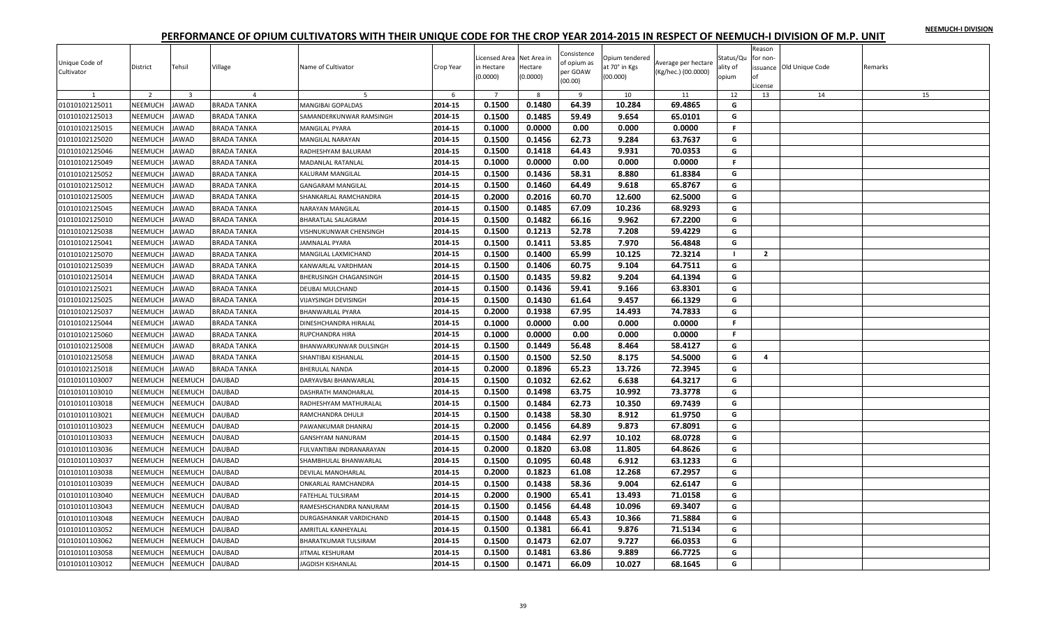| NEEMUCH-I DIVISION |  |
|--------------------|--|
|                    |  |

| Unique Code of<br>Cultivator | District       | Tehsil                  | Village            | Name of Cultivator          | Crop Year | icensed Area Net Area in<br>in Hectare<br>(0.0000) | Hectare<br>(0.0000) | Consistence<br>of opium as<br>per GOAW<br>(00.00) | Opium tendered<br>at 70° in Kgs<br>(00.000) | Average per hectare<br>(Kg/hec.) (00.0000) | Status/Qu<br>ality of<br>opium | Reason<br>for non-<br>Ωf<br>License | issuance Old Unique Code | Remarks |
|------------------------------|----------------|-------------------------|--------------------|-----------------------------|-----------|----------------------------------------------------|---------------------|---------------------------------------------------|---------------------------------------------|--------------------------------------------|--------------------------------|-------------------------------------|--------------------------|---------|
| 1                            | $\overline{2}$ | $\overline{\mathbf{3}}$ | $\overline{4}$     | 5                           | 6         | $\overline{7}$                                     | 8                   | 9                                                 | 10                                          | 11                                         | 12                             | 13                                  | 14                       | 15      |
| 01010102125011               | NEEMUCH        | <b>JAWAD</b>            | <b>BRADA TANKA</b> | MANGIBAI GOPALDAS           | 2014-15   | 0.1500                                             | 0.1480              | 64.39                                             | 10.284                                      | 69.4865                                    | G                              |                                     |                          |         |
| 01010102125013               | NEEMUCH        | <b>JAWAD</b>            | BRADA TANKA        | SAMANDERKUNWAR RAMSINGH     | 2014-15   | 0.1500                                             | 0.1485              | 59.49                                             | 9.654                                       | 65.0101                                    | G                              |                                     |                          |         |
| 01010102125015               | NEEMUCH        | <b>JAWAD</b>            | BRADA TANKA        | MANGILAL PYARA              | 2014-15   | 0.1000                                             | 0.0000              | 0.00                                              | 0.000                                       | 0.0000                                     | F.                             |                                     |                          |         |
| 01010102125020               | NEEMUCH        | <b>JAWAD</b>            | <b>BRADA TANKA</b> | MANGILAL NARAYAN            | 2014-15   | 0.1500                                             | 0.1456              | 62.73                                             | 9.284                                       | 63.7637                                    | G                              |                                     |                          |         |
| 01010102125046               | NEEMUCH        | <b>JAWAD</b>            | <b>BRADA TANKA</b> | RADHESHYAM BALURAM          | 2014-15   | 0.1500                                             | 0.1418              | 64.43                                             | 9.931                                       | 70.0353                                    | G                              |                                     |                          |         |
| 01010102125049               | NEEMUCH        | <b>JAWAD</b>            | BRADA TANKA        | MADANLAL RATANLAL           | 2014-15   | 0.1000                                             | 0.0000              | 0.00                                              | 0.000                                       | 0.0000                                     | F.                             |                                     |                          |         |
| 01010102125052               | NEEMUCH        | <b>JAWAD</b>            | <b>BRADA TANKA</b> | KALURAM MANGILAL            | 2014-15   | 0.1500                                             | 0.1436              | 58.31                                             | 8.880                                       | 61.8384                                    | G                              |                                     |                          |         |
| 01010102125012               | NEEMUCH        | <b>JAWAD</b>            | BRADA TANKA        | <b>GANGARAM MANGILAL</b>    | 2014-15   | 0.1500                                             | 0.1460              | 64.49                                             | 9.618                                       | 65.8767                                    | G                              |                                     |                          |         |
| 01010102125005               | NEEMUCH        | <b>JAWAD</b>            | <b>BRADA TANKA</b> | SHANKARLAL RAMCHANDRA       | 2014-15   | 0.2000                                             | 0.2016              | 60.70                                             | 12.600                                      | 62.5000                                    | G                              |                                     |                          |         |
| 01010102125045               | NEEMUCH        | <b>JAWAD</b>            | <b>BRADA TANKA</b> | NARAYAN MANGILAL            | 2014-15   | 0.1500                                             | 0.1485              | 67.09                                             | 10.236                                      | 68.9293                                    | G                              |                                     |                          |         |
| 01010102125010               | NEEMUCH        | <b>JAWAD</b>            | <b>BRADA TANKA</b> | <b>BHARATLAL SALAGRAM</b>   | 2014-15   | 0.1500                                             | 0.1482              | 66.16                                             | 9.962                                       | 67.2200                                    | G                              |                                     |                          |         |
| 01010102125038               | NEEMUCH        | <b>JAWAD</b>            | <b>BRADA TANKA</b> | VISHNUKUNWAR CHENSINGH      | 2014-15   | 0.1500                                             | 0.1213              | 52.78                                             | 7.208                                       | 59.4229                                    | G                              |                                     |                          |         |
| 01010102125041               | NEEMUCH        | <b>JAWAD</b>            | <b>BRADA TANKA</b> | JAMNALAL PYARA              | 2014-15   | 0.1500                                             | 0.1411              | 53.85                                             | 7.970                                       | 56.4848                                    | G                              |                                     |                          |         |
| 01010102125070               | NEEMUCH        | <b>JAWAD</b>            | BRADA TANKA        | MANGILAL LAXMICHAND         | 2014-15   | 0.1500                                             | 0.1400              | 65.99                                             | 10.125                                      | 72.3214                                    |                                | $\overline{2}$                      |                          |         |
| 01010102125039               | <b>NEEMUCH</b> | <b>JAWAD</b>            | <b>BRADA TANKA</b> | KANWARLAL VARDHMAN          | 2014-15   | 0.1500                                             | 0.1406              | 60.75                                             | 9.104                                       | 64.7511                                    | G                              |                                     |                          |         |
| 01010102125014               | NEEMUCH        | <b>JAWAD</b>            | <b>BRADA TANKA</b> | BHERUSINGH CHAGANSINGH      | 2014-15   | 0.1500                                             | 0.1435              | 59.82                                             | 9.204                                       | 64.1394                                    | G                              |                                     |                          |         |
| 01010102125021               | NEEMUCH        | <b>JAWAD</b>            | BRADA TANKA        | DEUBAI MULCHAND             | 2014-15   | 0.1500                                             | 0.1436              | 59.41                                             | 9.166                                       | 63.8301                                    | G                              |                                     |                          |         |
| 01010102125025               | NEEMUCH        | <b>JAWAD</b>            | <b>BRADA TANKA</b> | VIJAYSINGH DEVISINGH        | 2014-15   | 0.1500                                             | 0.1430              | 61.64                                             | 9.457                                       | 66.1329                                    | G                              |                                     |                          |         |
| 01010102125037               | NEEMUCH        | <b>JAWAD</b>            | BRADA TANKA        | <b>BHANWARLAL PYARA</b>     | 2014-15   | 0.2000                                             | 0.1938              | 67.95                                             | 14.493                                      | 74.7833                                    | G                              |                                     |                          |         |
| 01010102125044               | NEEMUCH        | <b>JAWAD</b>            | <b>BRADA TANKA</b> | DINESHCHANDRA HIRALAL       | 2014-15   | 0.1000                                             | 0.0000              | 0.00                                              | 0.000                                       | 0.0000                                     | F.                             |                                     |                          |         |
| 01010102125060               | NEEMUCH        | <b>JAWAD</b>            | <b>BRADA TANKA</b> | RUPCHANDRA HIRA             | 2014-15   | 0.1000                                             | 0.0000              | 0.00                                              | 0.000                                       | 0.0000                                     | F.                             |                                     |                          |         |
| 01010102125008               | NEEMUCH        | <b>JAWAD</b>            | <b>BRADA TANKA</b> | BHANWARKUNWAR DULSINGH      | 2014-15   | 0.1500                                             | 0.1449              | 56.48                                             | 8.464                                       | 58.4127                                    | G                              |                                     |                          |         |
| 01010102125058               | NEEMUCH        | <b>JAWAD</b>            | <b>BRADA TANKA</b> | <b>SHANTIBAI KISHANLAL</b>  | 2014-15   | 0.1500                                             | 0.1500              | 52.50                                             | 8.175                                       | 54.5000                                    | G                              | 4                                   |                          |         |
| 01010102125018               | NEEMUCH        | <b>JAWAD</b>            | <b>BRADA TANKA</b> | <b>BHERULAL NANDA</b>       | 2014-15   | 0.2000                                             | 0.1896              | 65.23                                             | 13.726                                      | 72.3945                                    | G                              |                                     |                          |         |
| 01010101103007               | NEEMUCH        | <b>NEEMUCH</b>          | DAUBAD             | DARYAVBAI BHANWARLAL        | 2014-15   | 0.1500                                             | 0.1032              | 62.62                                             | 6.638                                       | 64.3217                                    | G                              |                                     |                          |         |
| 01010101103010               | NEEMUCH        | NEEMUCH                 | DAUBAD             | DASHRATH MANOHARLAL         | 2014-15   | 0.1500                                             | 0.1498              | 63.75                                             | 10.992                                      | 73.3778                                    | G                              |                                     |                          |         |
| 01010101103018               | <b>NEEMUCH</b> | <b>NEEMUCH</b>          | DAUBAD             | RADHESHYAM MATHURALAL       | 2014-15   | 0.1500                                             | 0.1484              | 62.73                                             | 10.350                                      | 69.7439                                    | G                              |                                     |                          |         |
| 01010101103021               | NEEMUCH        | <b>NEEMUCH</b>          | DAUBAD             | RAMCHANDRA DHULJI           | 2014-15   | 0.1500                                             | 0.1438              | 58.30                                             | 8.912                                       | 61.9750                                    | G                              |                                     |                          |         |
| 01010101103023               | NEEMUCH        | <b>NEEMUCH</b>          | DAUBAD             | PAWANKUMAR DHANRAJ          | 2014-15   | 0.2000                                             | 0.1456              | 64.89                                             | 9.873                                       | 67.8091                                    | G                              |                                     |                          |         |
| 01010101103033               | NEEMUCH        | <b>NEEMUCH</b>          | DAUBAD             | <b>GANSHYAM NANURAM</b>     | 2014-15   | 0.1500                                             | 0.1484              | 62.97                                             | 10.102                                      | 68.0728                                    | G                              |                                     |                          |         |
| 01010101103036               | NEEMUCH        | NEEMUCH                 | <b>DAUBAD</b>      | FULVANTIBAI INDRANARAYAN    | 2014-15   | 0.2000                                             | 0.1820              | 63.08                                             | 11.805                                      | 64.8626                                    | G                              |                                     |                          |         |
| 01010101103037               | NEEMUCH        | NEEMUCH                 | DAUBAD             | SHAMBHULAL BHANWARLAL       | 2014-15   | 0.1500                                             | 0.1095              | 60.48                                             | 6.912                                       | 63.1233                                    | G                              |                                     |                          |         |
| 01010101103038               | NEEMUCH        | NEEMUCH                 | DAUBAD             | DEVILAL MANOHARLAL          | 2014-15   | 0.2000                                             | 0.1823              | 61.08                                             | 12.268                                      | 67.2957                                    | G                              |                                     |                          |         |
| 01010101103039               | NEEMUCH        | <b>NEEMUCH</b>          | DAUBAD             | ONKARLAL RAMCHANDRA         | 2014-15   | 0.1500                                             | 0.1438              | 58.36                                             | 9.004                                       | 62.6147                                    | G                              |                                     |                          |         |
| 01010101103040               | <b>NEEMUCH</b> | <b>NEEMUCH</b>          | DAUBAD             | <b>FATEHLAL TULSIRAM</b>    | 2014-15   | 0.2000                                             | 0.1900              | 65.41                                             | 13.493                                      | 71.0158                                    | G                              |                                     |                          |         |
| 01010101103043               | NEEMUCH        | NEEMUCH                 | DAUBAD             | RAMESHSCHANDRA NANURAM      | 2014-15   | 0.1500                                             | 0.1456              | 64.48                                             | 10.096                                      | 69.3407                                    | G                              |                                     |                          |         |
| 01010101103048               | NEEMUCH        | NEEMUCH                 | DAUBAD             | DURGASHANKAR VARDICHAND     | 2014-15   | 0.1500                                             | 0.1448              | 65.43                                             | 10.366                                      | 71.5884                                    | G                              |                                     |                          |         |
| 01010101103052               | NEEMUCH        | NEEMUCH                 | DAUBAD             | AMRITLAL KANHEYALAL         | 2014-15   | 0.1500                                             | 0.1381              | 66.41                                             | 9.876                                       | 71.5134                                    | G                              |                                     |                          |         |
| 01010101103062               | NEEMUCH        | NEEMUCH                 | DAUBAD             | <b>BHARATKUMAR TULSIRAM</b> | 2014-15   | 0.1500                                             | 0.1473              | 62.07                                             | 9.727                                       | 66.0353                                    | G                              |                                     |                          |         |
| 01010101103058               | NEEMUCH        | NEEMUCH                 | DAUBAD             | JITMAL KESHURAM             | 2014-15   | 0.1500                                             | 0.1481              | 63.86                                             | 9.889                                       | 66.7725                                    | G                              |                                     |                          |         |
| 01010101103012               | NEEMUCH        | <b>NEEMUCH</b>          | <b>DAUBAD</b>      | <b>JAGDISH KISHANLAL</b>    | 2014-15   | 0.1500                                             | 0.1471              | 66.09                                             | 10.027                                      | 68.1645                                    | G                              |                                     |                          |         |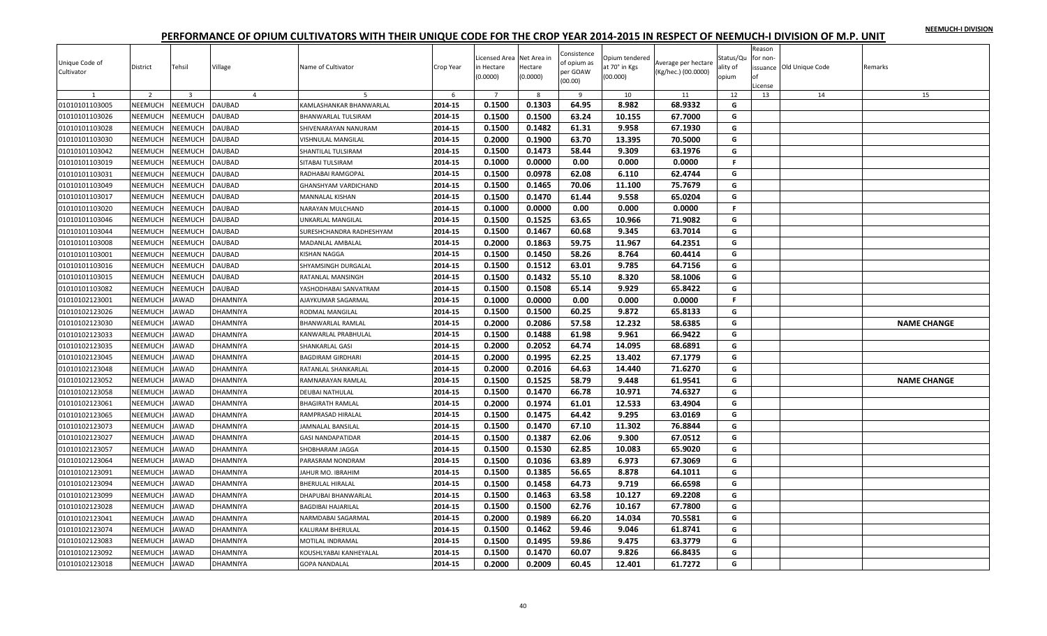|  |  | NEEMUCH-I DIVISION |
|--|--|--------------------|
|  |  |                    |

| Unique Code of<br>Cultivator | District       | Tehsil         | Village        | Name of Cultivator        | Crop Year | Licensed Area Net Area in<br>in Hectare<br>(0.0000) | Hectare<br>(0.0000) | Consistence<br>of opium as<br>per GOAW<br>(00.00) | Opium tendered<br>at 70° in Kgs<br>(00.000) | Average per hectare<br>(Kg/hec.) (00.0000) | Status/Qu<br>ality of<br>opium | Reason<br>for non<br>License | issuance Old Unique Code | Remarks            |
|------------------------------|----------------|----------------|----------------|---------------------------|-----------|-----------------------------------------------------|---------------------|---------------------------------------------------|---------------------------------------------|--------------------------------------------|--------------------------------|------------------------------|--------------------------|--------------------|
|                              | $\overline{2}$ | $\overline{3}$ | $\overline{4}$ | -5                        | 6         | $\overline{7}$                                      | 8                   | -9                                                | 10                                          | 11                                         | 12                             | 13                           | 14                       | 15                 |
| 01010101103005               | <b>NEEMUCH</b> | <b>NEEMUCH</b> | <b>DAUBAD</b>  | KAMLASHANKAR BHANWARLAL   | 2014-15   | 0.1500                                              | 0.1303              | 64.95                                             | 8.982                                       | 68.9332                                    | G                              |                              |                          |                    |
| 01010101103026               | NEEMUCH        | NEEMUCH        | DAUBAD         | BHANWARLAL TULSIRAM       | 2014-15   | 0.1500                                              | 0.1500              | 63.24                                             | 10.155                                      | 67.7000                                    | G                              |                              |                          |                    |
| 01010101103028               | NEEMUCH        | <b>NEEMUCH</b> | DAUBAD         | SHIVENARAYAN NANURAM      | 2014-15   | 0.1500                                              | 0.1482              | 61.31                                             | 9.958                                       | 67.1930                                    | G                              |                              |                          |                    |
| 01010101103030               | NEEMUCH        | NEEMUCH        | <b>DAUBAD</b>  | VISHNULAL MANGILAL        | 2014-15   | 0.2000                                              | 0.1900              | 63.70                                             | 13.395                                      | 70.5000                                    | G                              |                              |                          |                    |
| 01010101103042               | NEEMUCH        | <b>NEEMUCH</b> | DAUBAD         | SHANTILAL TULSIRAM        | 2014-15   | 0.1500                                              | 0.1473              | 58.44                                             | 9.309                                       | 63.1976                                    | G                              |                              |                          |                    |
| 01010101103019               | NEEMUCH        | NEEMUCH        | DAUBAD         | SITABAI TULSIRAM          | 2014-15   | 0.1000                                              | 0.0000              | 0.00                                              | 0.000                                       | 0.0000                                     | $\mathsf F$                    |                              |                          |                    |
| 01010101103031               | NEEMUCH        | <b>NEEMUCH</b> | <b>DAUBAD</b>  | RADHABAI RAMGOPAL         | 2014-15   | 0.1500                                              | 0.0978              | 62.08                                             | 6.110                                       | 62.4744                                    | G                              |                              |                          |                    |
| 01010101103049               | NEEMUCH        | <b>NEEMUCH</b> | DAUBAD         | GHANSHYAM VARDICHAND      | 2014-15   | 0.1500                                              | 0.1465              | 70.06                                             | 11.100                                      | 75.7679                                    | G                              |                              |                          |                    |
| 01010101103017               | NEEMUCH        | NEEMUCH        | <b>DAUBAD</b>  | MANNALAL KISHAN           | 2014-15   | 0.1500                                              | 0.1470              | 61.44                                             | 9.558                                       | 65.0204                                    | G                              |                              |                          |                    |
| 01010101103020               | NEEMUCH        | NEEMUCH        | DAUBAD         | NARAYAN MULCHAND          | 2014-15   | 0.1000                                              | 0.0000              | 0.00                                              | 0.000                                       | 0.0000                                     | $\mathsf F$                    |                              |                          |                    |
| 01010101103046               | NEEMUCH        | NEEMUCH        | DAUBAD         | UNKARLAL MANGILAL         | 2014-15   | 0.1500                                              | 0.1525              | 63.65                                             | 10.966                                      | 71.9082                                    | G                              |                              |                          |                    |
| 01010101103044               | NEEMUCH        | NEEMUCH        | DAUBAD         | SURESHCHANDRA RADHESHYAM  | 2014-15   | 0.1500                                              | 0.1467              | 60.68                                             | 9.345                                       | 63.7014                                    | G                              |                              |                          |                    |
| 01010101103008               | NEEMUCH        | NEEMUCH        | DAUBAD         | MADANLAL AMBALAL          | 2014-15   | 0.2000                                              | 0.1863              | 59.75                                             | 11.967                                      | 64.2351                                    | G                              |                              |                          |                    |
| 01010101103001               | NEEMUCH        | NEEMUCH        | DAUBAD         | KISHAN NAGGA              | 2014-15   | 0.1500                                              | 0.1450              | 58.26                                             | 8.764                                       | 60.4414                                    | G                              |                              |                          |                    |
| 01010101103016               | NEEMUCH        | NEEMUCH        | DAUBAD         | SHYAMSINGH DURGALAL       | 2014-15   | 0.1500                                              | 0.1512              | 63.01                                             | 9.785                                       | 64.7156                                    | G                              |                              |                          |                    |
| 01010101103015               | NEEMUCH        | NEEMUCH        | DAUBAD         | RATANLAL MANSINGH         | 2014-15   | 0.1500                                              | 0.1432              | 55.10                                             | 8.320                                       | 58.1006                                    | G                              |                              |                          |                    |
| 01010101103082               | NEEMUCH        | NEEMUCH        | <b>DAUBAD</b>  | YASHODHABAI SANVATRAM     | 2014-15   | 0.1500                                              | 0.1508              | 65.14                                             | 9.929                                       | 65.8422                                    | G                              |                              |                          |                    |
| 01010102123001               | NEEMUCH        | <b>JAWAD</b>   | DHAMNIYA       | AJAYKUMAR SAGARMAL        | 2014-15   | 0.1000                                              | 0.0000              | 0.00                                              | 0.000                                       | 0.0000                                     | F.                             |                              |                          |                    |
| 01010102123026               | NEEMUCH        | <b>JAWAD</b>   | DHAMNIYA       | RODMAL MANGILAL           | 2014-15   | 0.1500                                              | 0.1500              | 60.25                                             | 9.872                                       | 65.8133                                    | G                              |                              |                          |                    |
| 01010102123030               | <b>NEEMUCH</b> | <b>JAWAD</b>   | DHAMNIYA       | BHANWARLAL RAMLAL         | 2014-15   | 0.2000                                              | 0.2086              | 57.58                                             | 12.232                                      | 58.6385                                    | G                              |                              |                          | <b>NAME CHANGE</b> |
| 01010102123033               | NEEMUCH        | <b>JAWAD</b>   | DHAMNIYA       | KANWARLAL PRABHULAL       | 2014-15   | 0.1500                                              | 0.1488              | 61.98                                             | 9.961                                       | 66.9422                                    | G                              |                              |                          |                    |
| 01010102123035               | <b>NEEMUCH</b> | <b>JAWAD</b>   | DHAMNIYA       | SHANKARLAL GASI           | 2014-15   | 0.2000                                              | 0.2052              | 64.74                                             | 14.095                                      | 68.6891                                    | G                              |                              |                          |                    |
| 01010102123045               | NEEMUCH        | <b>JAWAD</b>   | DHAMNIYA       | <b>BAGDIRAM GIRDHARI</b>  | 2014-15   | 0.2000                                              | 0.1995              | 62.25                                             | 13.402                                      | 67.1779                                    | G                              |                              |                          |                    |
| 01010102123048               | NEEMUCH        | <b>JAWAD</b>   | DHAMNIYA       | RATANLAL SHANKARLAL       | 2014-15   | 0.2000                                              | 0.2016              | 64.63                                             | 14.440                                      | 71.6270                                    | G                              |                              |                          |                    |
| 01010102123052               | NEEMUCH        | JAWAD          | DHAMNIYA       | RAMNARAYAN RAMLAL         | 2014-15   | 0.1500                                              | 0.1525              | 58.79                                             | 9.448                                       | 61.9541                                    | G                              |                              |                          | <b>NAME CHANGE</b> |
| 01010102123058               | NEEMUCH        | <b>JAWAD</b>   | DHAMNIYA       | DEUBAI NATHULAL           | 2014-15   | 0.1500                                              | 0.1470              | 66.78                                             | 10.971                                      | 74.6327                                    | G                              |                              |                          |                    |
| 01010102123061               | NEEMUCH        | <b>JAWAD</b>   | DHAMNIYA       | <b>BHAGIRATH RAMLAL</b>   | 2014-15   | 0.2000                                              | 0.1974              | 61.01                                             | 12.533                                      | 63.4904                                    | G                              |                              |                          |                    |
| 01010102123065               | NEEMUCH        | <b>JAWAD</b>   | DHAMNIYA       | RAMPRASAD HIRALAL         | 2014-15   | 0.1500                                              | 0.1475              | 64.42                                             | 9.295                                       | 63.0169                                    | G                              |                              |                          |                    |
| 01010102123073               | NEEMUCH        | <b>JAWAD</b>   | DHAMNIYA       | JAMNALAL BANSILAL         | 2014-15   | 0.1500                                              | 0.1470              | 67.10                                             | 11.302                                      | 76.8844                                    | G                              |                              |                          |                    |
| 01010102123027               | NEEMUCH        | <b>JAWAD</b>   | DHAMNIYA       | <b>GASI NANDAPATIDAR</b>  | 2014-15   | 0.1500                                              | 0.1387              | 62.06                                             | 9.300                                       | 67.0512                                    | G                              |                              |                          |                    |
| 01010102123057               | NEEMUCH        | <b>JAWAD</b>   | DHAMNIYA       | SHOBHARAM JAGGA           | 2014-15   | 0.1500                                              | 0.1530              | 62.85                                             | 10.083                                      | 65.9020                                    | G                              |                              |                          |                    |
| 01010102123064               | NEEMUCH        | JAWAD          | DHAMNIYA       | PARASRAM NONDRAM          | 2014-15   | 0.1500                                              | 0.1036              | 63.89                                             | 6.973                                       | 67.3069                                    | G                              |                              |                          |                    |
| 01010102123091               | NEEMUCH        | JAWAD          | DHAMNIYA       | JAHUR MO. IBRAHIM         | 2014-15   | 0.1500                                              | 0.1385              | 56.65                                             | 8.878                                       | 64.1011                                    | G                              |                              |                          |                    |
| 01010102123094               | NEEMUCH        | <b>JAWAD</b>   | DHAMNIYA       | <b>BHERULAL HIRALAL</b>   | 2014-15   | 0.1500                                              | 0.1458              | 64.73                                             | 9.719                                       | 66.6598                                    | G                              |                              |                          |                    |
| 01010102123099               | <b>NEEMUCH</b> | <b>JAWAD</b>   | DHAMNIYA       | DHAPUBAI BHANWARLAL       | 2014-15   | 0.1500                                              | 0.1463              | 63.58                                             | 10.127                                      | 69.2208                                    | G                              |                              |                          |                    |
| 01010102123028               | NEEMUCH        | <b>JAWAD</b>   | DHAMNIYA       | <b>BAGDIBAI HAJARILAL</b> | 2014-15   | 0.1500                                              | 0.1500              | 62.76                                             | 10.167                                      | 67.7800                                    | G                              |                              |                          |                    |
| 01010102123041               | NEEMUCH        | <b>JAWAD</b>   | DHAMNIYA       | NARMDABAI SAGARMAL        | 2014-15   | 0.2000                                              | 0.1989              | 66.20                                             | 14.034                                      | 70.5581                                    | G                              |                              |                          |                    |
| 01010102123074               | NEEMUCH        | <b>JAWAD</b>   | DHAMNIYA       | KALURAM BHERULAL          | 2014-15   | 0.1500                                              | 0.1462              | 59.46                                             | 9.046                                       | 61.8741                                    | G                              |                              |                          |                    |
| 01010102123083               | NEEMUCH        | <b>JAWAD</b>   | DHAMNIYA       | <b>MOTILAL INDRAMAL</b>   | 2014-15   | 0.1500                                              | 0.1495              | 59.86                                             | 9.475                                       | 63.3779                                    | G                              |                              |                          |                    |
| 01010102123092               | NEEMUCH        | JAWAD          | DHAMNIYA       | KOUSHLYABAI KANHEYALAL    | 2014-15   | 0.1500                                              | 0.1470              | 60.07                                             | 9.826                                       | 66.8435                                    | G                              |                              |                          |                    |
| 01010102123018               | NEEMUCH        | <b>JAWAD</b>   | DHAMNIYA       | <b>GOPA NANDALAL</b>      | 2014-15   | 0.2000                                              | 0.2009              | 60.45                                             | 12.401                                      | 61.7272                                    | G                              |                              |                          |                    |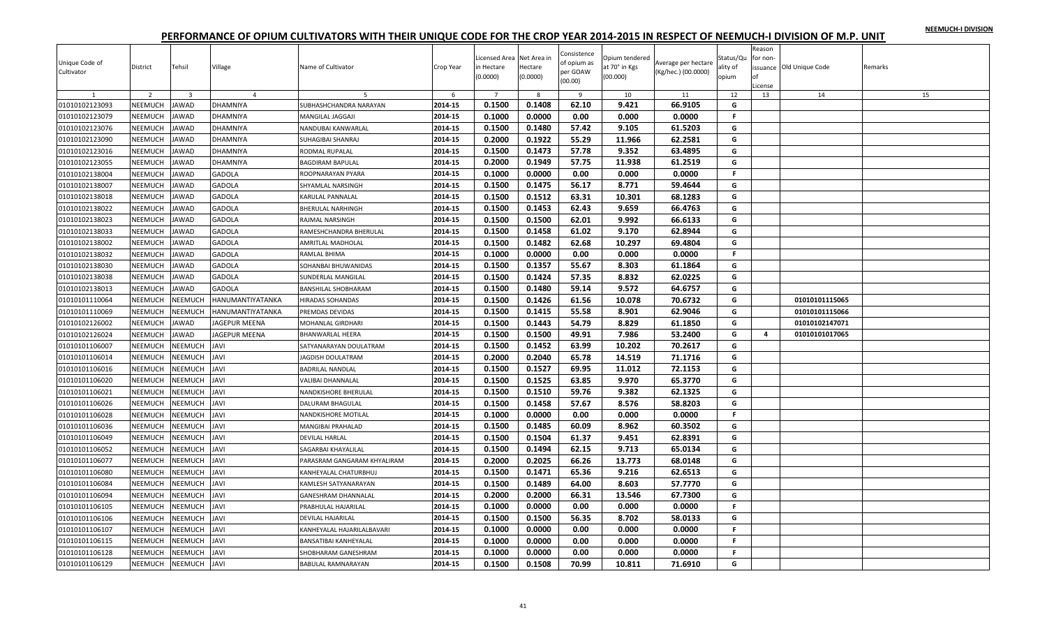|  |  | NEEMUCH-I DIVISION |
|--|--|--------------------|
|  |  |                    |

| Unique Code of<br>Cultivator | District       | Tehsil                  | Village          | Name of Cultivator          | Crop Year | Licensed Area Net Area in<br>in Hectare<br>(0.0000) | Hectare<br>(0.0000) | Consistence<br>of opium as<br>per GOAW<br>(00.00) | Opium tendered<br>at 70° in Kgs<br>(00.000) | Average per hectare<br>(Kg/hec.) (00.0000) | Status/Qu<br>ality of<br>opium | Reason<br>for non-<br>оf<br>License | issuance Old Unique Code | Remarks |
|------------------------------|----------------|-------------------------|------------------|-----------------------------|-----------|-----------------------------------------------------|---------------------|---------------------------------------------------|---------------------------------------------|--------------------------------------------|--------------------------------|-------------------------------------|--------------------------|---------|
|                              | $\overline{z}$ | $\overline{\mathbf{3}}$ | $\overline{4}$   |                             | 6         | $\overline{7}$                                      | -8                  | - 9                                               | 10                                          | 11                                         | 12                             | 13                                  | 14                       | 15      |
| 01010102123093               | <b>NEEMUCH</b> | AWAD                    | <b>DHAMNIYA</b>  | SUBHASHCHANDRA NARAYAN      | 2014-15   | 0.1500                                              | 0.1408              | 62.10                                             | 9.421                                       | 66.9105                                    | G                              |                                     |                          |         |
| 01010102123079               | NEEMUCH        | <b>AWAD</b>             | <b>DHAMNIYA</b>  | MANGILAL JAGGAJI            | 2014-15   | 0.1000                                              | 0.0000              | 0.00                                              | 0.000                                       | 0.0000                                     | F.                             |                                     |                          |         |
| 01010102123076               | NEEMUCH        | AWAD                    | DHAMNIYA         | NANDUBAI KANWARLAL          | 2014-15   | 0.1500                                              | 0.1480              | 57.42                                             | 9.105                                       | 61.5203                                    | G                              |                                     |                          |         |
| 01010102123090               | <b>NEEMUCH</b> | AWAD                    | DHAMNIYA         | SUHAGIBAI SHANRAJ           | 2014-15   | 0.2000                                              | 0.1922              | 55.29                                             | 11.966                                      | 62.2581                                    | G                              |                                     |                          |         |
| 01010102123016               | <b>NEEMUCH</b> | <b>AWAD</b>             | DHAMNIYA         | RODMAL RUPALAL              | 2014-15   | 0.1500                                              | 0.1473              | 57.78                                             | 9.352                                       | 63.4895                                    | G                              |                                     |                          |         |
| 01010102123055               | NEEMUCH        | <b>JAWAD</b>            | DHAMNIYA         | BAGDIRAM BAPULAL            | 2014-15   | 0.2000                                              | 0.1949              | 57.75                                             | 11.938                                      | 61.2519                                    | G                              |                                     |                          |         |
| 01010102138004               | NEEMUCH        | <b>JAWAD</b>            | <b>GADOLA</b>    | ROOPNARAYAN PYARA           | 2014-15   | 0.1000                                              | 0.0000              | 0.00                                              | 0.000                                       | 0.0000                                     | $\mathbb F$                    |                                     |                          |         |
| 01010102138007               | NEEMUCH        | <b>AWAD</b>             | <b>GADOLA</b>    | SHYAMLAL NARSINGH           | 2014-15   | 0.1500                                              | 0.1475              | 56.17                                             | 8.771                                       | 59.4644                                    | G                              |                                     |                          |         |
| 01010102138018               | <b>NEEMUCH</b> | <b>AWAD</b>             | <b>GADOLA</b>    | KARULAL PANNALAL            | 2014-15   | 0.1500                                              | 0.1512              | 63.31                                             | 10.301                                      | 68.1283                                    | G                              |                                     |                          |         |
| 01010102138022               | NEEMUCH        | <b>JAWAD</b>            | <b>GADOLA</b>    | <b>BHERULAL NARHINGH</b>    | 2014-15   | 0.1500                                              | 0.1453              | 62.43                                             | 9.659                                       | 66.4763                                    | G                              |                                     |                          |         |
| 01010102138023               | NEEMUCH        | AWAD                    | <b>GADOLA</b>    | RAJMAL NARSINGH             | 2014-15   | 0.1500                                              | 0.1500              | 62.01                                             | 9.992                                       | 66.6133                                    | G                              |                                     |                          |         |
| 01010102138033               | <b>NEEMUCH</b> | AWAD                    | <b>GADOLA</b>    | RAMESHCHANDRA BHERULAL      | 2014-15   | 0.1500                                              | 0.1458              | 61.02                                             | 9.170                                       | 62.8944                                    | G                              |                                     |                          |         |
| 01010102138002               | NEEMUCH        | <b>AWAD</b>             | GADOLA           | AMRITLAL MADHOLAL           | 2014-15   | 0.1500                                              | 0.1482              | 62.68                                             | 10.297                                      | 69.4804                                    | G                              |                                     |                          |         |
| 01010102138032               | NEEMUCH        | AWAD                    | GADOLA           | RAMLAL BHIMA                | 2014-15   | 0.1000                                              | 0.0000              | 0.00                                              | 0.000                                       | 0.0000                                     | F.                             |                                     |                          |         |
| 01010102138030               | NEEMUCH        | <b>JAWAD</b>            | <b>GADOLA</b>    | SOHANBAI BHUWANIDAS         | 2014-15   | 0.1500                                              | 0.1357              | 55.67                                             | 8.303                                       | 61.1864                                    | G                              |                                     |                          |         |
| 01010102138038               | <b>NEEMUCH</b> | <b>AWAD</b>             | <b>GADOLA</b>    | <b>SUNDERLAL MANGILAL</b>   | 2014-15   | 0.1500                                              | 0.1424              | 57.35                                             | 8.832                                       | 62.0225                                    | G                              |                                     |                          |         |
| 01010102138013               | NEEMUCH        | AWAD                    | GADOLA           | BANSHILAL SHOBHARAM         | 2014-15   | 0.1500                                              | 0.1480              | 59.14                                             | 9.572                                       | 64.6757                                    | G                              |                                     |                          |         |
| 01010101110064               | NEEMUCH        | NEEMUCH                 | HANUMANTIYATANKA | <b>HIRADAS SOHANDAS</b>     | 2014-15   | 0.1500                                              | 0.1426              | 61.56                                             | 10.078                                      | 70.6732                                    | G                              |                                     | 01010101115065           |         |
| 01010101110069               | NEEMUCH        | <b>NEEMUCH</b>          | HANUMANTIYATANKA | PREMDAS DEVIDAS             | 2014-15   | 0.1500                                              | 0.1415              | 55.58                                             | 8.901                                       | 62.9046                                    | G                              |                                     | 01010101115066           |         |
| 01010102126002               | <b>NEEMUCH</b> | <b>AWAD</b>             | JAGEPUR MEENA    | MOHANLAL GIRDHARI           | 2014-15   | 0.1500                                              | 0.1443              | 54.79                                             | 8.829                                       | 61.1850                                    | G                              |                                     | 01010102147071           |         |
| 01010102126024               | NEEMUCH        | <b>JAWAD</b>            | JAGEPUR MEENA    | <b>BHANWARLAL HEERA</b>     | 2014-15   | 0.1500                                              | 0.1500              | 49.91                                             | 7.986                                       | 53.2400                                    | G                              | 4                                   | 01010101017065           |         |
| 01010101106007               | <b>NEEMUCH</b> | NEEMUCH                 | JAVI             | SATYANARAYAN DOULATRAM      | 2014-15   | 0.1500                                              | 0.1452              | 63.99                                             | 10.202                                      | 70.2617                                    | G                              |                                     |                          |         |
| 01010101106014               | <b>NEEMUCH</b> | NEEMUCH                 | <b>JAVI</b>      | <b>JAGDISH DOULATRAM</b>    | 2014-15   | 0.2000                                              | 0.2040              | 65.78                                             | 14.519                                      | 71.1716                                    | G                              |                                     |                          |         |
| 01010101106016               | NEEMUCH        | <b>NEEMUCH</b>          | <b>IVAL</b>      | <b>BADRILAL NANDLAL</b>     | 2014-15   | 0.1500                                              | 0.1527              | 69.95                                             | 11.012                                      | 72.1153                                    | G                              |                                     |                          |         |
| 01010101106020               | NEEMUCH        | NEEMUCH                 | <b>IVAL</b>      | VALIBAI DHANNALAL           | 2014-15   | 0.1500                                              | 0.1525              | 63.85                                             | 9.970                                       | 65.3770                                    | G                              |                                     |                          |         |
| 01010101106021               | NEEMUCH        | <b>NEEMUCH</b>          | <b>IVAL</b>      | NANDKISHORE BHERULAL        | 2014-15   | 0.1500                                              | 0.1510              | 59.76                                             | 9.382                                       | 62.1325                                    | G                              |                                     |                          |         |
| 01010101106026               | NEEMUCH        | NEEMUCH                 | <b>IVAL</b>      | DALURAM BHAGULAI            | 2014-15   | 0.1500                                              | 0.1458              | 57.67                                             | 8.576                                       | 58.8203                                    | G                              |                                     |                          |         |
| 01010101106028               | NEEMUCH        | NEEMUCH                 | JAVI             | <b>NANDKISHORE MOTILAL</b>  | 2014-15   | 0.1000                                              | 0.0000              | 0.00                                              | 0.000                                       | 0.0000                                     | F.                             |                                     |                          |         |
| 01010101106036               | NEEMUCH        | NEEMUCH                 | <b>IVAL</b>      | MANGIBAI PRAHALAD           | 2014-15   | 0.1500                                              | 0.1485              | 60.09                                             | 8.962                                       | 60.3502                                    | G                              |                                     |                          |         |
| 01010101106049               | NEEMUCH        | <b>NEEMUCH</b>          | <b>IVAL</b>      | <b>DEVILAL HARLAL</b>       | 2014-15   | 0.1500                                              | 0.1504              | 61.37                                             | 9.451                                       | 62.8391                                    | G                              |                                     |                          |         |
| 01010101106052               | <b>NEEMUCH</b> | VEEMUCH                 | <b>JAVI</b>      | SAGARBAI KHAYALILAL         | 2014-15   | 0.1500                                              | 0.1494              | 62.15                                             | 9.713                                       | 65.0134                                    | G                              |                                     |                          |         |
| 01010101106077               | NEEMUCH        | <b>NEEMUCH</b>          | IVAL             | PARASRAM GANGARAM KHYALIRAM | 2014-15   | 0.2000                                              | 0.2025              | 66.26                                             | 13.773                                      | 68.0148                                    | G                              |                                     |                          |         |
| 01010101106080               | NEEMUCH        | <b>NEEMUCH</b>          | <b>IVAL</b>      | KANHEYALAL CHATURBHUJ       | 2014-15   | 0.1500                                              | 0.1471              | 65.36                                             | 9.216                                       | 62.6513                                    | G                              |                                     |                          |         |
| 01010101106084               | NEEMUCH        | NEEMUCH                 | <b>JAVI</b>      | KAMLESH SATYANARAYAN        | 2014-15   | 0.1500                                              | 0.1489              | 64.00                                             | 8.603                                       | 57.7770                                    | G                              |                                     |                          |         |
| 01010101106094               | NEEMUCH        | <b>NEEMUCH</b>          | <b>IVAL</b>      | <b>GANESHRAM DHANNALAL</b>  | 2014-15   | 0.2000                                              | 0.2000              | 66.31                                             | 13.546                                      | 67.7300                                    | G                              |                                     |                          |         |
| 01010101106105               | <b>NEEMUCH</b> | <b>NEEMUCH</b>          | JAVI             | PRABHULAL HAJARILAL         | 2014-15   | 0.1000                                              | 0.0000              | 0.00                                              | 0.000                                       | 0.0000                                     | F.                             |                                     |                          |         |
| 01010101106106               | NEEMUCH        | <b>NEEMUCH</b>          | <b>IVAL</b>      | DEVILAL HAJARILAL           | 2014-15   | 0.1500                                              | 0.1500              | 56.35                                             | 8.702                                       | 58.0133                                    | G                              |                                     |                          |         |
| 01010101106107               | NEEMUCH        | <b>NEEMUCH</b>          | <b>IVAL</b>      | KANHEYALAL HAJARILALBAVARI  | 2014-15   | 0.1000                                              | 0.0000              | 0.00                                              | 0.000                                       | 0.0000                                     | F.                             |                                     |                          |         |
| 01010101106115               | NEEMUCH        | <b>NEEMUCH</b>          | IVAL             | BANSATIBAI KANHEYALAL       | 2014-15   | 0.1000                                              | 0.0000              | 0.00                                              | 0.000                                       | 0.0000                                     | F.                             |                                     |                          |         |
| 01010101106128               | NEEMUCH        | NEEMUCH                 | IVAI             | SHOBHARAM GANESHRAM         | 2014-15   | 0.1000                                              | 0.0000              | 0.00                                              | 0.000                                       | 0.0000                                     | $\mathbb F$                    |                                     |                          |         |
| 01010101106129               | <b>NEEMUCH</b> | NEEMUCH                 | <b>JAVI</b>      | <b>BABULAL RAMNARAYAN</b>   | 2014-15   | 0.1500                                              | 0.1508              | 70.99                                             | 10.811                                      | 71.6910                                    | G                              |                                     |                          |         |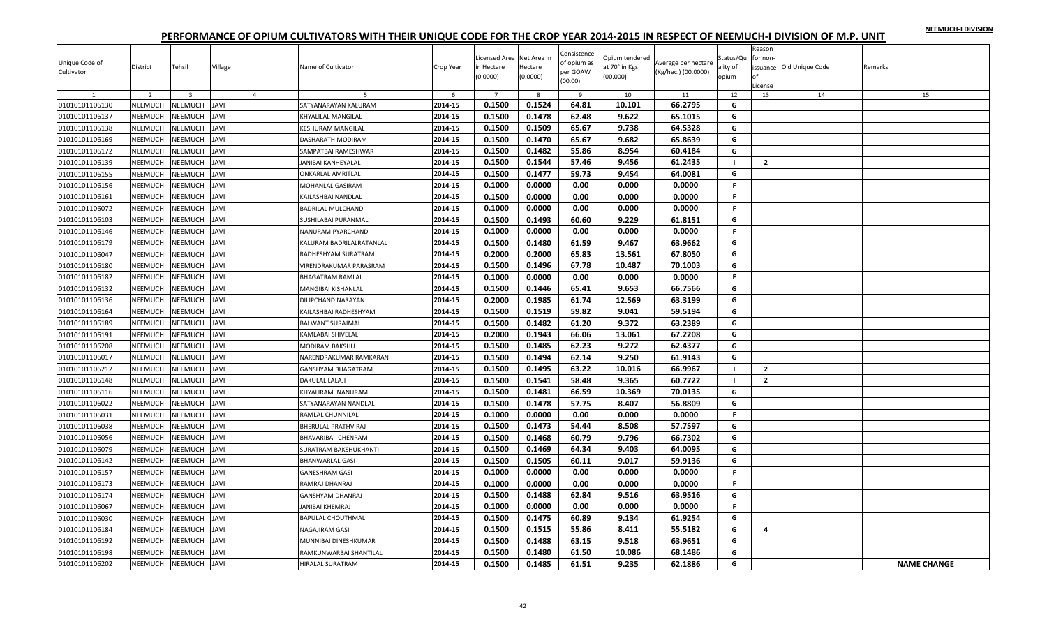|  |  | NEEMUCH-I DIVISION |
|--|--|--------------------|
|  |  |                    |

| Unique Code of<br>Cultivator | District       | Tehsil         | Village        | Name of Cultivator       | Crop Year | Licensed Area Net Area in<br>in Hectare<br>(0.0000) | Hectare<br>(0.0000) | Consistence<br>of opium as<br>per GOAW<br>(00.00) | Opium tendered<br>at 70° in Kgs<br>(00.000) | Average per hectare<br>(Kg/hec.) (00.0000) | Status/Qu<br>ality of<br>opium | Reason<br>for non-<br>оf<br>License | issuance Old Unique Code | Remarks            |
|------------------------------|----------------|----------------|----------------|--------------------------|-----------|-----------------------------------------------------|---------------------|---------------------------------------------------|---------------------------------------------|--------------------------------------------|--------------------------------|-------------------------------------|--------------------------|--------------------|
|                              | $\overline{z}$ | $\overline{3}$ | $\overline{4}$ | 5                        | 6         | $\overline{7}$                                      | -8                  | $\alpha$                                          | 10                                          | 11                                         | 12                             | 13                                  | 14                       | 15                 |
| 01010101106130               | <b>NEEMUCH</b> | NEEMUCH        | <b>JAVI</b>    | SATYANARAYAN KALURAM     | 2014-15   | 0.1500                                              | 0.1524              | 64.81                                             | 10.101                                      | 66.2795                                    | G                              |                                     |                          |                    |
| 01010101106137               | NEEMUCH        | <b>NEEMUCH</b> | <b>IVAL</b>    | KHYALILAL MANGILAL       | 2014-15   | 0.1500                                              | 0.1478              | 62.48                                             | 9.622                                       | 65.1015                                    | G                              |                                     |                          |                    |
| 01010101106138               | NEEMUCH        | <b>NEEMUCH</b> | <b>IVAL</b>    | KESHURAM MANGILAL        | 2014-15   | 0.1500                                              | 0.1509              | 65.67                                             | 9.738                                       | 64.5328                                    | G                              |                                     |                          |                    |
| 01010101106169               | <b>NEEMUCH</b> | VEEMUCH        | <b>IVAL</b>    | DASHARATH MODIRAM        | 2014-15   | 0.1500                                              | 0.1470              | 65.67                                             | 9.682                                       | 65.8639                                    | G                              |                                     |                          |                    |
| 01010101106172               | <b>NEEMUCH</b> | <b>NEEMUCH</b> | <b>IVAL</b>    | SAMPATBAI RAMESHWAR      | 2014-15   | 0.1500                                              | 0.1482              | 55.86                                             | 8.954                                       | 60.4184                                    | G                              |                                     |                          |                    |
| 01010101106139               | NEEMUCH        | NEEMUCH        | <b>IVAL</b>    | ANIBAI KANHEYALAL        | 2014-15   | 0.1500                                              | 0.1544              | 57.46                                             | 9.456                                       | 61.2435                                    | - 1                            | $\overline{2}$                      |                          |                    |
| 01010101106155               | NEEMUCH        | <b>NEEMUCH</b> | <b>IVAL</b>    | <b>ONKARLAL AMRITLAL</b> | 2014-15   | 0.1500                                              | 0.1477              | 59.73                                             | 9.454                                       | 64.0081                                    | G                              |                                     |                          |                    |
| 01010101106156               | NEEMUCH        | <b>NEEMUCH</b> | <b>IVAL</b>    | MOHANLAL GASIRAM         | 2014-15   | 0.1000                                              | 0.0000              | 0.00                                              | 0.000                                       | 0.0000                                     | F.                             |                                     |                          |                    |
| 01010101106161               | NEEMUCH        | NEEMUCH        | <b>IVAL</b>    | KAILASHBAI NANDLAL       | 2014-15   | 0.1500                                              | 0.0000              | 0.00                                              | 0.000                                       | 0.0000                                     | F.                             |                                     |                          |                    |
| 01010101106072               | NEEMUCH        | <b>NEEMUCH</b> | <b>IVAL</b>    | <b>BADRILAL MULCHAND</b> | 2014-15   | 0.1000                                              | 0.0000              | 0.00                                              | 0.000                                       | 0.0000                                     | $\mathbb F$                    |                                     |                          |                    |
| 01010101106103               | NEEMUCH        | NEEMUCH        | <b>IVAL</b>    | SUSHILABAI PURANMAL      | 2014-15   | 0.1500                                              | 0.1493              | 60.60                                             | 9.229                                       | 61.8151                                    | G                              |                                     |                          |                    |
| 01010101106146               | NEEMUCH        | <b>NEEMUCH</b> | <b>IVAL</b>    | NANURAM PYARCHAND        | 2014-15   | 0.1000                                              | 0.0000              | 0.00                                              | 0.000                                       | 0.0000                                     | F.                             |                                     |                          |                    |
| 01010101106179               | NEEMUCH        | <b>NEEMUCH</b> | <b>IVAL</b>    | KALURAM BADRILALRATANLAL | 2014-15   | 0.1500                                              | 0.1480              | 61.59                                             | 9.467                                       | 63.9662                                    | G                              |                                     |                          |                    |
| 01010101106047               | NEEMUCH        | <b>NEEMUCH</b> | <b>IVAL</b>    | RADHESHYAM SURATRAM      | 2014-15   | 0.2000                                              | 0.2000              | 65.83                                             | 13.561                                      | 67.8050                                    | G                              |                                     |                          |                    |
| 01010101106180               | NEEMUCH        | VEEMUCH        | <b>IVAL</b>    | VIRENDRAKUMAR PARASRAM   | 2014-15   | 0.1500                                              | 0.1496              | 67.78                                             | 10.487                                      | 70.1003                                    | G                              |                                     |                          |                    |
| 01010101106182               | NEEMUCH        | <b>NEEMUCH</b> | <b>IVAL</b>    | <b>BHAGATRAM RAMLAI</b>  | 2014-15   | 0.1000                                              | 0.0000              | 0.00                                              | 0.000                                       | 0.0000                                     | F.                             |                                     |                          |                    |
| 01010101106132               | NEEMUCH        | <b>NEEMUCH</b> | <b>JAVI</b>    | MANGIBAI KISHANLAL       | 2014-15   | 0.1500                                              | 0.1446              | 65.41                                             | 9.653                                       | 66.7566                                    | G                              |                                     |                          |                    |
| 01010101106136               | NEEMUCH        | <b>NEEMUCH</b> | <b>IVAL</b>    | DILIPCHAND NARAYAN       | 2014-15   | 0.2000                                              | 0.1985              | 61.74                                             | 12.569                                      | 63.3199                                    | G                              |                                     |                          |                    |
| 01010101106164               | NEEMUCH        | <b>NEEMUCH</b> | <b>IVAL</b>    | KAILASHBAI RADHESHYAM    | 2014-15   | 0.1500                                              | 0.1519              | 59.82                                             | 9.041                                       | 59.5194                                    | G                              |                                     |                          |                    |
| 01010101106189               | NEEMUCH        | VEEMUCH        | <b>JAVI</b>    | <b>BALWANT SURAJMAL</b>  | 2014-15   | 0.1500                                              | 0.1482              | 61.20                                             | 9.372                                       | 63.2389                                    | G                              |                                     |                          |                    |
| 01010101106191               | NEEMUCH        | <b>NEEMUCH</b> | <b>IVAL</b>    | KAMLABAI SHIVELAL        | 2014-15   | 0.2000                                              | 0.1943              | 66.06                                             | 13.061                                      | 67.2208                                    | G                              |                                     |                          |                    |
| 01010101106208               | <b>NEEMUCH</b> | <b>NEEMUCH</b> | <b>IVAL</b>    | MODIRAM BAKSHU           | 2014-15   | 0.1500                                              | 0.1485              | 62.23                                             | 9.272                                       | 62.4377                                    | G                              |                                     |                          |                    |
| 01010101106017               | NEEMUCH        | <b>NEEMUCH</b> | <b>JAVI</b>    | NARENDRAKUMAR RAMKARAN   | 2014-15   | 0.1500                                              | 0.1494              | 62.14                                             | 9.250                                       | 61.9143                                    | G                              |                                     |                          |                    |
| 01010101106212               | <b>NEEMUCH</b> | <b>NEEMUCH</b> | <b>IVAL</b>    | GANSHYAM BHAGATRAM       | 2014-15   | 0.1500                                              | 0.1495              | 63.22                                             | 10.016                                      | 66.9967                                    | - 1                            | $\overline{2}$                      |                          |                    |
| 01010101106148               | NEEMUCH        | <b>NEEMUCH</b> | <b>IVAL</b>    | DAKULAL LALAJI           | 2014-15   | 0.1500                                              | 0.1541              | 58.48                                             | 9.365                                       | 60.7722                                    |                                | $\overline{2}$                      |                          |                    |
| 01010101106116               | <b>NEEMUCH</b> | <b>NEEMUCH</b> | <b>IVAL</b>    | KHYALIRAM NANURAM        | 2014-15   | 0.1500                                              | 0.1481              | 66.59                                             | 10.369                                      | 70.0135                                    | G                              |                                     |                          |                    |
| 01010101106022               | NEEMUCH        | <b>NEEMUCH</b> | <b>JAVI</b>    | SATYANARAYAN NANDLAL     | 2014-15   | 0.1500                                              | 0.1478              | 57.75                                             | 8.407                                       | 56.8809                                    | G                              |                                     |                          |                    |
| 01010101106031               | NEEMUCH        | VEEMUCH        | <b>IVAL</b>    | RAMLAL CHUNNILAI         | 2014-15   | 0.1000                                              | 0.0000              | 0.00                                              | 0.000                                       | 0.0000                                     | F.                             |                                     |                          |                    |
| 01010101106038               | <b>NEEMUCH</b> | <b>NEEMUCH</b> | <b>JAVI</b>    | BHERULAL PRATHVIRAJ      | 2014-15   | 0.1500                                              | 0.1473              | 54.44                                             | 8.508                                       | 57.7597                                    | G                              |                                     |                          |                    |
| 01010101106056               | NEEMUCH        | <b>NEEMUCH</b> | <b>IVAL</b>    | BHAVARIBAI CHENRAM       | 2014-15   | 0.1500                                              | 0.1468              | 60.79                                             | 9.796                                       | 66.7302                                    | G                              |                                     |                          |                    |
| 01010101106079               | NEEMUCH        | NEEMUCH        | <b>JAVI</b>    | SURATRAM BAKSHUKHANTI    | 2014-15   | 0.1500                                              | 0.1469              | 64.34                                             | 9.403                                       | 64.0095                                    | G                              |                                     |                          |                    |
| 01010101106142               | NEEMUCH        | <b>JEEMUCH</b> | <b>IVAL</b>    | <b>BHANWARLAL GASI</b>   | 2014-15   | 0.1500                                              | 0.1505              | 60.11                                             | 9.017                                       | 59.9136                                    | G                              |                                     |                          |                    |
| 01010101106157               | NEEMUCH        | <b>NEEMUCH</b> | IVAL           | <b>GANESHRAM GASI</b>    | 2014-15   | 0.1000                                              | 0.0000              | 0.00                                              | 0.000                                       | 0.0000                                     | F.                             |                                     |                          |                    |
| 01010101106173               | NEEMUCH        | <b>NEEMUCH</b> | <b>JAVI</b>    | RAMRAJ DHANRAJ           | 2014-15   | 0.1000                                              | 0.0000              | 0.00                                              | 0.000                                       | 0.0000                                     | F.                             |                                     |                          |                    |
| 01010101106174               | <b>NEEMUCH</b> | <b>NEEMUCH</b> | <b>IVAL</b>    | GANSHYAM DHANRAJ         | 2014-15   | 0.1500                                              | 0.1488              | 62.84                                             | 9.516                                       | 63.9516                                    | G                              |                                     |                          |                    |
| 01010101106067               | NEEMUCH        | VEEMUCH        | <b>IVAL</b>    | ANIBAI KHEMRAJ           | 2014-15   | 0.1000                                              | 0.0000              | 0.00                                              | 0.000                                       | 0.0000                                     | F.                             |                                     |                          |                    |
| 01010101106030               | NEEMUCH        | <b>NEEMUCH</b> | <b>IVAL</b>    | BAPULAL CHOUTHMAL        | 2014-15   | 0.1500                                              | 0.1475              | 60.89                                             | 9.134                                       | 61.9254                                    | G                              |                                     |                          |                    |
| 01010101106184               | NEEMUCH        | <b>NEEMUCH</b> | <b>IVAL</b>    | NAGAJIRAM GASI           | 2014-15   | 0.1500                                              | 0.1515              | 55.86                                             | 8.411                                       | 55.5182                                    | G                              | 4                                   |                          |                    |
| 01010101106192               | NEEMUCH        | <b>VEEMUCH</b> | <b>IVAL</b>    | MUNNIBAI DINESHKUMAR     | 2014-15   | 0.1500                                              | 0.1488              | 63.15                                             | 9.518                                       | 63.9651                                    | G                              |                                     |                          |                    |
| 01010101106198               | NEEMUCH        | <b>NEEMUCH</b> | <b>IVAL</b>    | RAMKUNWARBAI SHANTILAL   | 2014-15   | 0.1500                                              | 0.1480              | 61.50                                             | 10.086                                      | 68.1486                                    | G                              |                                     |                          |                    |
| 01010101106202               | <b>NEEMUCH</b> | NEEMUCH        | <b>IVAI</b>    | HIRALAL SURATRAM         | 2014-15   | 0.1500                                              | 0.1485              | 61.51                                             | 9.235                                       | 62.1886                                    | G                              |                                     |                          | <b>NAME CHANGE</b> |
|                              |                |                |                |                          |           |                                                     |                     |                                                   |                                             |                                            |                                |                                     |                          |                    |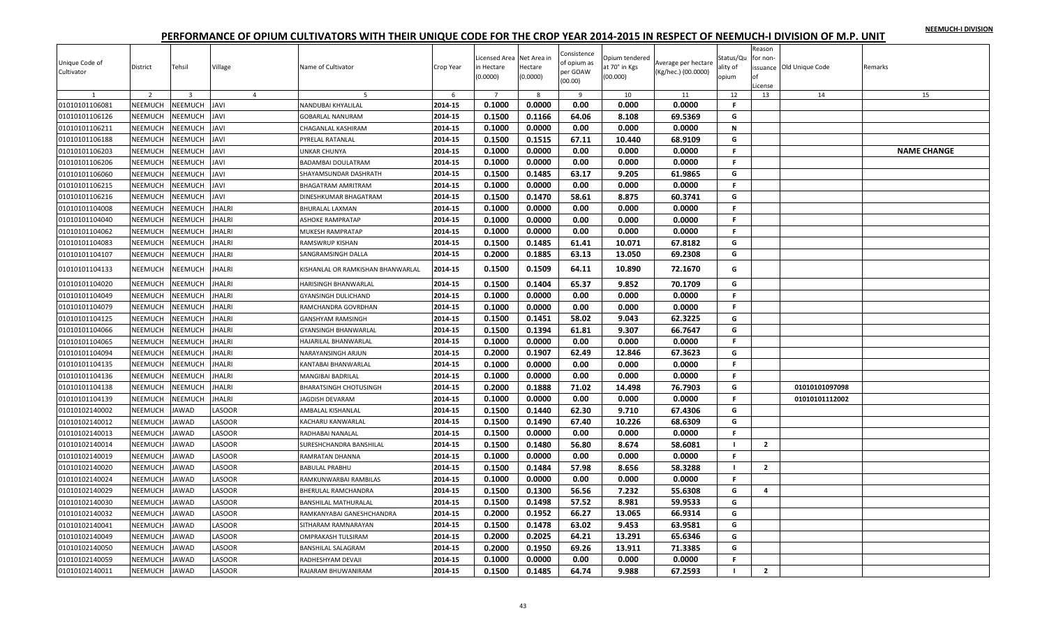|  |  | NEEMUCH-I DIVISION |
|--|--|--------------------|
|  |  |                    |

| Unique Code of<br>Cultivator     | <b>District</b>           | Tehsil                  | Village        | Name of Cultivator                | Crop Year | icensed Area Net Area in<br>in Hectare<br>0.0000 | Hectare<br>(0.0000) | Consistence<br>of opium as<br>oer GOAW<br>(00.00) | Opium tendered<br>at 70° in Kgs<br>(00.000) | Average per hectare<br>(Kg/hec.) (00.0000) | Status/Qu<br>ality of<br>opium | Reason<br>for non-<br>License | issuance Old Unique Code | Remarks            |
|----------------------------------|---------------------------|-------------------------|----------------|-----------------------------------|-----------|--------------------------------------------------|---------------------|---------------------------------------------------|---------------------------------------------|--------------------------------------------|--------------------------------|-------------------------------|--------------------------|--------------------|
| 1                                | $\overline{2}$            | $\overline{\mathbf{3}}$ | $\overline{4}$ | -5                                | 6         | $\overline{7}$                                   | 8                   | 9                                                 | 10                                          | 11                                         | 12                             | 13                            | 14                       | 15                 |
| 01010101106081                   | NEEMUCH                   | <b>NEEMUCH</b>          | <b>JAVI</b>    | VANDUBAI KHYALILAL                | 2014-15   | 0.1000                                           | 0.0000              | 0.00                                              | 0.000                                       | 0.0000                                     | F.                             |                               |                          |                    |
| 01010101106126                   | NEEMUCH                   | <b>NEEMUCH</b>          | <b>IVAL</b>    | <b>GOBARLAL NANURAM</b>           | 2014-15   | 0.1500                                           | 0.1166              | 64.06                                             | 8.108                                       | 69.5369                                    | G                              |                               |                          |                    |
| 01010101106211                   | NEEMUCH                   | <b>NEEMUCH</b>          | IVAL           | <b>HAGANLAL KASHIRAM</b>          | 2014-15   | 0.1000                                           | 0.0000              | 0.00                                              | 0.000                                       | 0.0000                                     | $\mathbf N$                    |                               |                          |                    |
| 01010101106188                   | <b>NEEMUCH</b>            | <b>NEEMUCH</b>          | <b>IVAL</b>    | PYRELAL RATANLAL                  | 2014-15   | 0.1500                                           | 0.1515              | 67.11                                             | 10.440                                      | 68.9109                                    | G                              |                               |                          |                    |
| 01010101106203                   | NEEMUCH                   | <b>NEEMUCH</b>          | <b>IVAL</b>    | JNKAR CHUNYA                      | 2014-15   | 0.1000                                           | 0.0000              | 0.00                                              | 0.000                                       | 0.0000                                     | F.                             |                               |                          | <b>NAME CHANGE</b> |
| 01010101106206                   | NEEMUCH                   | <b>NEEMUCH</b>          | IVAL           | BADAMBAI DOULATRAM                | 2014-15   | 0.1000                                           | 0.0000              | 0.00                                              | 0.000                                       | 0.0000                                     | F.                             |                               |                          |                    |
| 01010101106060                   | NEEMUCH                   | <b>NEEMUCH</b>          | <b>IVAL</b>    | SHAYAMSUNDAR DASHRATH             | 2014-15   | 0.1500                                           | 0.1485              | 63.17                                             | 9.205                                       | 61.9865                                    | G                              |                               |                          |                    |
| 01010101106215                   | NEEMUCH                   | <b>NEEMUCH</b>          | <b>IVAL</b>    | BHAGATRAM AMRITRAM                | 2014-15   | 0.1000                                           | 0.0000              | 0.00                                              | 0.000                                       | 0.0000                                     | F.                             |                               |                          |                    |
| 01010101106216                   | <b>NEEMUCH</b>            | <b>NEEMUCH</b>          | <b>IVAL</b>    | DINESHKUMAR BHAGATRAM             | 2014-15   | 0.1500                                           | 0.1470              | 58.61                                             | 8.875                                       | 60.3741                                    | G                              |                               |                          |                    |
| 01010101104008                   | NEEMUCH                   | <b>NEEMUCH</b>          | <b>JHALRI</b>  | BHURALAL LAXMAN                   | 2014-15   | 0.1000                                           | 0.0000              | 0.00                                              | 0.000                                       | 0.0000                                     | F.                             |                               |                          |                    |
| 01010101104040                   | NEEMUCH                   | <b>NEEMUCH</b>          | <b>JHALRI</b>  | ASHOKE RAMPRATAP                  | 2014-15   | 0.1000                                           | 0.0000              | 0.00                                              | 0.000                                       | 0.0000                                     | F.                             |                               |                          |                    |
| 01010101104062                   | NEEMUCH                   | <b>JEEMUCH</b>          | <b>IHALRI</b>  | MUKESH RAMPRATAP                  | 2014-15   | 0.1000                                           | 0.0000              | 0.00                                              | 0.000                                       | 0.0000                                     | $\mathsf{F}$                   |                               |                          |                    |
| 01010101104083                   | NEEMUCH                   | <b>NEEMUCH</b>          | <b>JHALRI</b>  | RAMSWRUP KISHAN                   | 2014-15   | 0.1500                                           | 0.1485              | 61.41                                             | 10.071                                      | 67.8182                                    | G                              |                               |                          |                    |
| 01010101104107                   | NEEMUCH                   | <b>NEEMUCH</b>          | <b>JHALRI</b>  | SANGRAMSINGH DALLA                | 2014-15   | 0.2000                                           | 0.1885              | 63.13                                             | 13.050                                      | 69.2308                                    | G                              |                               |                          |                    |
| 01010101104133                   | <b>NEEMUCH</b>            | NEEMUCH                 | <b>JHALRI</b>  | KISHANLAL OR RAMKISHAN BHANWARLAL | 2014-15   | 0.1500                                           | 0.1509              | 64.11                                             | 10.890                                      | 72.1670                                    | G                              |                               |                          |                    |
| 01010101104020                   | <b>NEEMUCH</b>            | <b>NEEMUCH</b>          | <b>JHALRI</b>  | HARISINGH BHANWARLAL              | 2014-15   | 0.1500                                           | 0.1404              | 65.37                                             | 9.852                                       | 70.1709                                    | G                              |                               |                          |                    |
| 01010101104049                   | NEEMUCH                   | <b>NEEMUCH</b>          | <b>JHALRI</b>  | GYANSINGH DULICHAND               | 2014-15   | 0.1000                                           | 0.0000              | 0.00                                              | 0.000                                       | 0.0000                                     | F.                             |                               |                          |                    |
| 01010101104079                   | <b>NEEMUCH</b>            | <b>NEEMUCH</b>          | <b>JHALRI</b>  | RAMCHANDRA GOVRDHAN               | 2014-15   | 0.1000                                           | 0.0000              | 0.00                                              | 0.000                                       | 0.0000                                     | F.                             |                               |                          |                    |
| 01010101104125                   | NEEMUCH                   | <b>NEEMUCH</b>          | <b>JHALRI</b>  | <b>GANSHYAM RAMSINGH</b>          | 2014-15   | 0.1500                                           | 0.1451              | 58.02                                             | 9.043                                       | 62.3225                                    | G                              |                               |                          |                    |
| 01010101104066                   | NEEMUCH                   | <b>VEEMUCH</b>          | <b>JHALRI</b>  | GYANSINGH BHANWARLAL              | 2014-15   | 0.1500                                           | 0.1394              | 61.81                                             | 9.307                                       | 66.7647                                    | G                              |                               |                          |                    |
| 01010101104065                   | NEEMUCH                   | <b>NEEMUCH</b>          | <b>IHALRI</b>  | <b>HAJARILAL BHANWARLAL</b>       | 2014-15   | 0.1000                                           | 0.0000              | 0.00                                              | 0.000                                       | 0.0000                                     | F.                             |                               |                          |                    |
| 01010101104094                   | NEEMUCH                   | <b>NEEMUCH</b>          | <b>JHALRI</b>  | NARAYANSINGH ARJUN                | 2014-15   | 0.2000                                           | 0.1907              | 62.49                                             | 12.846                                      | 67.3623                                    | G                              |                               |                          |                    |
| 01010101104135                   | NEEMUCH                   | <b>NEEMUCH</b>          | <b>IHALRI</b>  | KANTABAI BHANWARLAL               | 2014-15   | 0.1000                                           | 0.0000              | 0.00                                              | 0.000                                       | 0.0000                                     | F.                             |                               |                          |                    |
| 01010101104136                   | NEEMUCH                   | <b>NEEMUCH</b>          | <b>JHALRI</b>  | MANGIBAI BADRILAL                 | 2014-15   | 0.1000                                           | 0.0000              | 0.00                                              | 0.000                                       | 0.0000                                     | F.                             |                               |                          |                    |
| 01010101104138                   | NEEMUCH                   | <b>JEEMUCH</b>          | <b>IHALRI</b>  | BHARATSINGH CHOTUSINGH            | 2014-15   | 0.2000                                           | 0.1888              | 71.02                                             | 14.498                                      | 76.7903                                    | G                              |                               | 01010101097098           |                    |
| 01010101104139                   | NEEMUCH                   | <b>NEEMUCH</b>          | <b>JHALRI</b>  | AGDISH DEVARAM                    | 2014-15   | 0.1000                                           | 0.0000              | 0.00                                              | 0.000                                       | 0.0000                                     | F.                             |                               | 01010101112002           |                    |
| 01010102140002                   | <b>NEEMUCH</b>            | AWAD                    | LASOOR         | AMBALAL KISHANLAL                 | 2014-15   | 0.1500                                           | 0.1440              | 62.30                                             | 9.710                                       | 67.4306                                    | G                              |                               |                          |                    |
| 01010102140012                   | NEEMUCH                   | AWAD                    | LASOOR         | KACHARU KANWARLAL                 | 2014-15   | 0.1500                                           | 0.1490              | 67.40                                             | 10.226                                      | 68.6309                                    | G                              |                               |                          |                    |
| 01010102140013                   | NEEMUCH                   | AWAD                    | LASOOR         | RADHABAI NANALAL                  | 2014-15   | 0.1500                                           | 0.0000              | 0.00                                              | 0.000                                       | 0.0000                                     | $\mathsf{F}$                   |                               |                          |                    |
| 01010102140014                   | NEEMUCH                   | AWAD                    | LASOOR         | SURESHCHANDRA BANSHILAL           | 2014-15   | 0.1500                                           | 0.1480              | 56.80                                             | 8.674                                       | 58.6081                                    | $\mathbf{I}$                   | $\overline{2}$                |                          |                    |
| 01010102140019                   | NEEMUCH                   | AWAD                    | LASOOR         | RAMRATAN DHANNA                   | 2014-15   | 0.1000                                           | 0.0000              | 0.00                                              | 0.000                                       | 0.0000                                     | F.                             |                               |                          |                    |
| 01010102140020                   | NEEMUCH                   | AWAD                    | LASOOR         | BABULAL PRABHU                    | 2014-15   | 0.1500                                           | 0.1484              | 57.98                                             | 8.656                                       | 58.3288                                    | $\mathbf{I}$                   | $\overline{2}$                |                          |                    |
| 01010102140024                   | NEEMUCH                   | AWAD                    | LASOOR         | RAMKUNWARBAI RAMBILAS             | 2014-15   | 0.1000                                           | 0.0000              | 0.00                                              | 0.000                                       | 0.0000                                     | F.                             |                               |                          |                    |
| 01010102140029                   | <b>NEEMUCH</b>            | AWAD                    | LASOOR         | BHERULAL RAMCHANDRA               | 2014-15   | 0.1500                                           | 0.1300              | 56.56                                             | 7.232                                       | 55.6308                                    | G                              | $\overline{a}$                |                          |                    |
| 01010102140030                   | NEEMUCH                   | AWAD                    | LASOOR         | BANSHILAL MATHURALAL              | 2014-15   | 0.1500                                           | 0.1498              | 57.52                                             | 8.981                                       | 59.9533                                    | G                              |                               |                          |                    |
| 01010102140032                   | NEEMUCH                   | AWAD                    | LASOOR         | RAMKANYABAI GANESHCHANDRA         | 2014-15   | 0.2000                                           | 0.1952              | 66.27                                             | 13.065                                      | 66.9314                                    | G                              |                               |                          |                    |
| 01010102140041                   | NEEMUCH                   | AWAD                    | LASOOR         | SITHARAM RAMNARAYAN               | 2014-15   | 0.1500                                           | 0.1478              | 63.02                                             | 9.453                                       | 63.9581                                    | G                              |                               |                          |                    |
| 01010102140049                   | NEEMUCH                   | AWAD                    | LASOOR         | OMPRAKASH TULSIRAM                | 2014-15   | 0.2000                                           | 0.2025              | 64.21                                             | 13.291                                      | 65.6346                                    | G                              |                               |                          |                    |
|                                  |                           |                         | LASOOR         | <b>BANSHILAL SALAGRAM</b>         | 2014-15   | 0.2000                                           | 0.1950              | 69.26                                             | 13.911                                      | 71.3385                                    | G                              |                               |                          |                    |
| 01010102140050<br>01010102140059 | <b>NEEMUCH</b><br>NEEMUCH | AWAD<br>AWAD            | LASOOR         |                                   | 2014-15   | 0.1000                                           | 0.0000              | 0.00                                              | 0.000                                       | 0.0000                                     | $\mathsf{F}$                   |                               |                          |                    |
|                                  |                           |                         |                | RADHESHYAM DEVAJI                 |           | 0.1500                                           |                     |                                                   |                                             |                                            | $\blacksquare$                 | $\overline{2}$                |                          |                    |
| 01010102140011                   | <b>NEEMUCH</b>            | <b>JAWAD</b>            | LASOOR         | RAJARAM BHUWANIRAM                | 2014-15   |                                                  | 0.1485              | 64.74                                             | 9.988                                       | 67.2593                                    |                                |                               |                          |                    |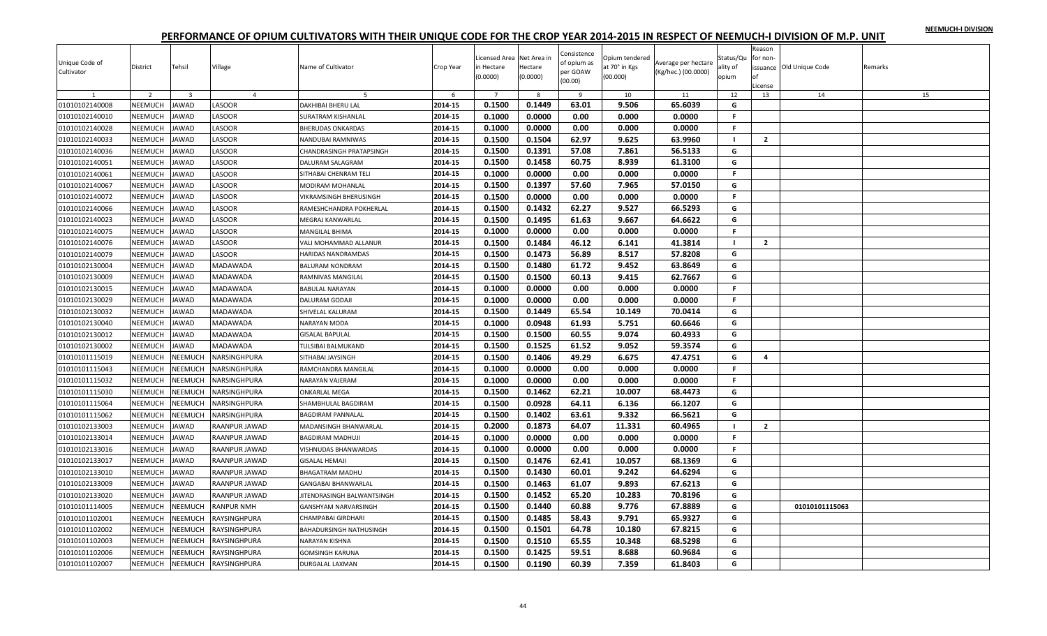|  |  | NEEMUCH-I DIVISION |
|--|--|--------------------|
|  |  |                    |

| Unique Code of<br>Cultivator | District       | Tehsil         | Village        | Name of Cultivator         | Crop Year | Licensed Area Net Area in<br>in Hectare<br>(0.0000) | Hectare<br>(0.0000) | Consistence<br>of opium as<br>per GOAW<br>(00.00) | Opium tendered<br>at 70° in Kgs<br>(00.000) | Average per hectare<br>(Kg/hec.) (00.0000) | Status/Qu<br>ality of<br>opium | Reason<br>for non-<br>nf<br>License | issuance Old Unique Code | Remarks |
|------------------------------|----------------|----------------|----------------|----------------------------|-----------|-----------------------------------------------------|---------------------|---------------------------------------------------|---------------------------------------------|--------------------------------------------|--------------------------------|-------------------------------------|--------------------------|---------|
|                              | $\overline{2}$ | $\overline{3}$ | $\overline{4}$ |                            | -6        | $\overline{7}$                                      | -8                  | q                                                 | 10                                          | 11                                         | 12                             | 13                                  | 14                       | 15      |
| 01010102140008               | NEEMUCH        | <b>JAWAD</b>   | LASOOR         | <b>DAKHIBAI BHERU LAL</b>  | 2014-15   | 0.1500                                              | 0.1449              | 63.01                                             | 9.506                                       | 65.6039                                    | G                              |                                     |                          |         |
| 01010102140010               | NEEMUCH        | <b>JAWAD</b>   | LASOOR         | SURATRAM KISHANLAL         | 2014-15   | 0.1000                                              | 0.0000              | 0.00                                              | 0.000                                       | 0.0000                                     | F.                             |                                     |                          |         |
| 01010102140028               | NEEMUCH        | <b>JAWAD</b>   | LASOOR         | <b>BHERUDAS ONKARDAS</b>   | 2014-15   | 0.1000                                              | 0.0000              | 0.00                                              | 0.000                                       | 0.0000                                     | F.                             |                                     |                          |         |
| 01010102140033               | NEEMUCH        | <b>JAWAD</b>   | LASOOR         | NANDUBAI RAMNIWAS          | 2014-15   | 0.1500                                              | 0.1504              | 62.97                                             | 9.625                                       | 63.9960                                    | $\blacksquare$                 | $\overline{2}$                      |                          |         |
| 01010102140036               | NEEMUCH        | <b>JAWAD</b>   | LASOOR         | CHANDRASINGH PRATAPSINGH   | 2014-15   | 0.1500                                              | 0.1391              | 57.08                                             | 7.861                                       | 56.5133                                    | G                              |                                     |                          |         |
| 01010102140051               | NEEMUCH        | <b>JAWAD</b>   | LASOOR         | DALURAM SALAGRAM           | 2014-15   | 0.1500                                              | 0.1458              | 60.75                                             | 8.939                                       | 61.3100                                    | G                              |                                     |                          |         |
| 01010102140061               | NEEMUCH        | <b>JAWAD</b>   | LASOOR         | SITHABAI CHENRAM TELI      | 2014-15   | 0.1000                                              | 0.0000              | 0.00                                              | 0.000                                       | 0.0000                                     | F.                             |                                     |                          |         |
| 01010102140067               | NEEMUCH        | <b>JAWAD</b>   | LASOOR         | MODIRAM MOHANLAL           | 2014-15   | 0.1500                                              | 0.1397              | 57.60                                             | 7.965                                       | 57.0150                                    | G                              |                                     |                          |         |
| 01010102140072               | NEEMUCH        | <b>JAWAD</b>   | <b>ASOOR</b>   | VIKRAMSINGH BHERUSINGH     | 2014-15   | 0.1500                                              | 0.0000              | 0.00                                              | 0.000                                       | 0.0000                                     | F.                             |                                     |                          |         |
| 01010102140066               | NEEMUCH        | <b>JAWAD</b>   | LASOOR         | RAMESHCHANDRA POKHERLAL    | 2014-15   | 0.1500                                              | 0.1432              | 62.27                                             | 9.527                                       | 66.5293                                    | G                              |                                     |                          |         |
| 01010102140023               | NEEMUCH        | <b>JAWAD</b>   | LASOOR         | MEGRAJ KANWARLAL           | 2014-15   | 0.1500                                              | 0.1495              | 61.63                                             | 9.667                                       | 64.6622                                    | G                              |                                     |                          |         |
| 01010102140075               | NEEMUCH        | <b>JAWAD</b>   | LASOOR         | MANGILAL BHIMA             | 2014-15   | 0.1000                                              | 0.0000              | 0.00                                              | 0.000                                       | 0.0000                                     | F.                             |                                     |                          |         |
| 01010102140076               | NEEMUCH        | <b>JAWAD</b>   | LASOOR         | VALI MOHAMMAD ALLANUR      | 2014-15   | 0.1500                                              | 0.1484              | 46.12                                             | 6.141                                       | 41.3814                                    | - 1                            | $\overline{2}$                      |                          |         |
| 01010102140079               | NEEMUCH        | <b>JAWAD</b>   | LASOOR         | HARIDAS NANDRAMDAS         | 2014-15   | 0.1500                                              | 0.1473              | 56.89                                             | 8.517                                       | 57.8208                                    | G                              |                                     |                          |         |
| 01010102130004               | NEEMUCH        | <b>JAWAD</b>   | MADAWADA       | BALURAM NONDRAM            | 2014-15   | 0.1500                                              | 0.1480              | 61.72                                             | 9.452                                       | 63.8649                                    | G                              |                                     |                          |         |
| 01010102130009               | NEEMUCH        | <b>JAWAD</b>   | MADAWADA       | RAMNIVAS MANGILAL          | 2014-15   | 0.1500                                              | 0.1500              | 60.13                                             | 9.415                                       | 62.7667                                    | G                              |                                     |                          |         |
| 01010102130015               | NEEMUCH        | <b>JAWAD</b>   | MADAWADA       | <b>BABULAL NARAYAN</b>     | 2014-15   | 0.1000                                              | 0.0000              | 0.00                                              | 0.000                                       | 0.0000                                     | F.                             |                                     |                          |         |
| 01010102130029               | NEEMUCH        | <b>JAWAD</b>   | MADAWADA       | DALURAM GODAJI             | 2014-15   | 0.1000                                              | 0.0000              | 0.00                                              | 0.000                                       | 0.0000                                     | $\mathbb F$                    |                                     |                          |         |
| 01010102130032               | NEEMUCH        | <b>JAWAD</b>   | MADAWADA       | SHIVELAL KALURAM           | 2014-15   | 0.1500                                              | 0.1449              | 65.54                                             | 10.149                                      | 70.0414                                    | G                              |                                     |                          |         |
| 01010102130040               | NEEMUCH        | <b>JAWAD</b>   | MADAWADA       | NARAYAN MODA               | 2014-15   | 0.1000                                              | 0.0948              | 61.93                                             | 5.751                                       | 60.6646                                    | G                              |                                     |                          |         |
| 01010102130012               | NEEMUCH        | <b>JAWAD</b>   | MADAWADA       | <b>GISALAL BAPULAL</b>     | 2014-15   | 0.1500                                              | 0.1500              | 60.55                                             | 9.074                                       | 60.4933                                    | G                              |                                     |                          |         |
| 01010102130002               | NEEMUCH        | <b>JAWAD</b>   | MADAWADA       | TULSIBAI BALMUKAND         | 2014-15   | 0.1500                                              | 0.1525              | 61.52                                             | 9.052                                       | 59.3574                                    | G                              |                                     |                          |         |
| 01010101115019               | NEEMUCH        | <b>NEEMUCH</b> | NARSINGHPURA   | SITHABAI JAYSINGH          | 2014-15   | 0.1500                                              | 0.1406              | 49.29                                             | 6.675                                       | 47.4751                                    | G                              | 4                                   |                          |         |
| 01010101115043               | NEEMUCH        | <b>NEEMUCH</b> | NARSINGHPURA   | RAMCHANDRA MANGILAL        | 2014-15   | 0.1000                                              | 0.0000              | 0.00                                              | 0.000                                       | 0.0000                                     | F.                             |                                     |                          |         |
| 01010101115032               | NEEMUCH        | <b>NEEMUCH</b> | NARSINGHPURA   | NARAYAN VAJERAM            | 2014-15   | 0.1000                                              | 0.0000              | 0.00                                              | 0.000                                       | 0.0000                                     | F.                             |                                     |                          |         |
| 01010101115030               | NEEMUCH        | NEEMUCH        | NARSINGHPURA   | <b>ONKARLAL MEGA</b>       | 2014-15   | 0.1500                                              | 0.1462              | 62.21                                             | 10.007                                      | 68.4473                                    | G                              |                                     |                          |         |
| 01010101115064               | NEEMUCH        | NEEMUCH        | NARSINGHPURA   | SHAMBHULAL BAGDIRAM        | 2014-15   | 0.1500                                              | 0.0928              | 64.11                                             | 6.136                                       | 66.1207                                    | G                              |                                     |                          |         |
| 01010101115062               | NEEMUCH        | <b>NEEMUCH</b> | NARSINGHPURA   | <b>BAGDIRAM PANNALAL</b>   | 2014-15   | 0.1500                                              | 0.1402              | 63.61                                             | 9.332                                       | 66.5621                                    | G                              |                                     |                          |         |
| 01010102133003               | NEEMUCH        | <b>JAWAD</b>   | RAANPUR JAWAD  | MADANSINGH BHANWARLAL      | 2014-15   | 0.2000                                              | 0.1873              | 64.07                                             | 11.331                                      | 60.4965                                    | $\blacksquare$                 | $\overline{2}$                      |                          |         |
| 01010102133014               | NEEMUCH        | <b>JAWAD</b>   | RAANPUR JAWAD  | <b>BAGDIRAM MADHUJI</b>    | 2014-15   | 0.1000                                              | 0.0000              | 0.00                                              | 0.000                                       | 0.0000                                     | F.                             |                                     |                          |         |
| 01010102133016               | NEEMUCH        | <b>JAWAD</b>   | RAANPUR JAWAD  | VISHNUDAS BHANWARDAS       | 2014-15   | 0.1000                                              | 0.0000              | 0.00                                              | 0.000                                       | 0.0000                                     | F.                             |                                     |                          |         |
| 01010102133017               | NEEMUCH        | <b>JAWAD</b>   | RAANPUR JAWAD  | <b>GISALAL HEMAJI</b>      | 2014-15   | 0.1500                                              | 0.1476              | 62.41                                             | 10.057                                      | 68.1369                                    | G                              |                                     |                          |         |
| 01010102133010               | NEEMUCH        | <b>JAWAD</b>   | RAANPUR JAWAD  | <b>BHAGATRAM MADHU</b>     | 2014-15   | 0.1500                                              | 0.1430              | 60.01                                             | 9.242                                       | 64.6294                                    | G                              |                                     |                          |         |
| 01010102133009               | NEEMUCH        | <b>JAWAD</b>   | RAANPUR JAWAD  | <b>GANGABAI BHANWARLAL</b> | 2014-15   | 0.1500                                              | 0.1463              | 61.07                                             | 9.893                                       | 67.6213                                    | G                              |                                     |                          |         |
| 01010102133020               | <b>NEEMUCH</b> | <b>JAWAD</b>   | RAANPUR JAWAD  | JITENDRASINGH BALWANTSINGH | 2014-15   | 0.1500                                              | 0.1452              | 65.20                                             | 10.283                                      | 70.8196                                    | G                              |                                     |                          |         |
| 01010101114005               | NEEMUCH        | <b>NEEMUCH</b> | RANPUR NMH     | GANSHYAM NARVARSINGH       | 2014-15   | 0.1500                                              | 0.1440              | 60.88                                             | 9.776                                       | 67.8889                                    | G                              |                                     | 01010101115063           |         |
| 01010101102001               | NEEMUCH        | NEEMUCH        | RAYSINGHPURA   | CHAMPABAI GIRDHARI         | 2014-15   | 0.1500                                              | 0.1485              | 58.43                                             | 9.791                                       | 65.9327                                    | G                              |                                     |                          |         |
| 01010101102002               | NEEMUCH        | NEEMUCH        | RAYSINGHPURA   | BAHADURSINGH NATHUSINGH    | 2014-15   | 0.1500                                              | 0.1501              | 64.78                                             | 10.180                                      | 67.8215                                    | G                              |                                     |                          |         |
| 01010101102003               | NEEMUCH        | NEEMUCH        | RAYSINGHPURA   | NARAYAN KISHNA             | 2014-15   | 0.1500                                              | 0.1510              | 65.55                                             | 10.348                                      | 68.5298                                    | G                              |                                     |                          |         |
| 01010101102006               | NEEMUCH        | NEEMUCH        | RAYSINGHPURA   | <b>GOMSINGH KARUNA</b>     | 2014-15   | 0.1500                                              | 0.1425              | 59.51                                             | 8.688                                       | 60.9684                                    | G                              |                                     |                          |         |
| 01010101102007               | NEEMUCH        | <b>NEEMUCH</b> | RAYSINGHPURA   | <b>DURGALAL LAXMAN</b>     | 2014-15   | 0.1500                                              | 0.1190              | 60.39                                             | 7.359                                       | 61.8403                                    | G                              |                                     |                          |         |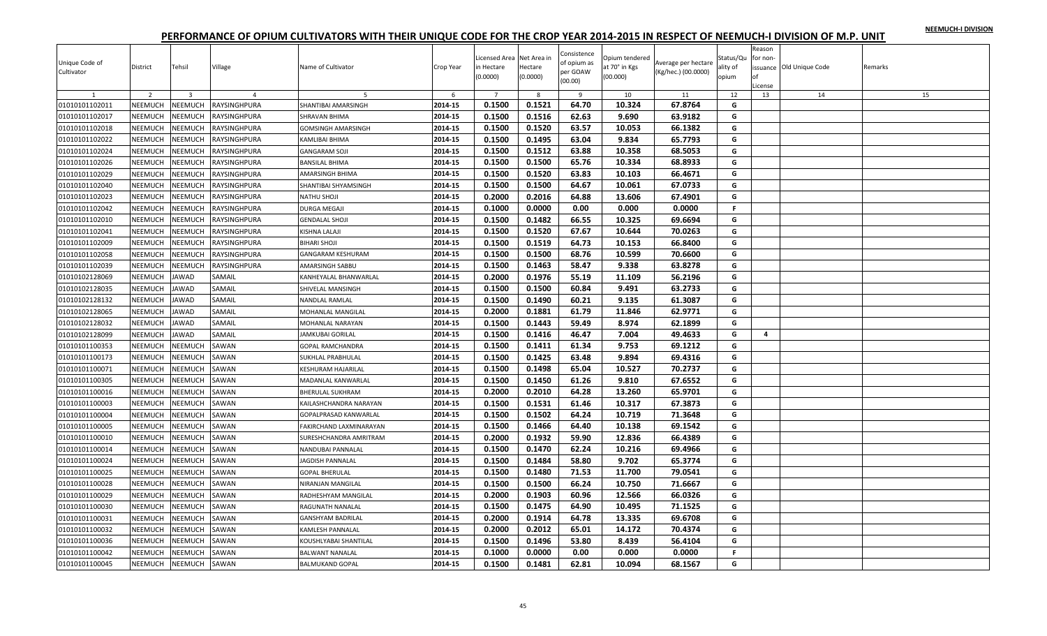| NEEMUCH-I DIVISION |  |
|--------------------|--|
|                    |  |

| Unique Code of<br>Cultivator | District       | Tehsil                  | Village        | Name of Cultivator                               | Crop Year | Licensed Area Net Area in<br>in Hectare<br>(0.0000) | Hectare<br>(0.0000) | Consistence<br>of opium as<br>per GOAW<br>(00.00) | Opium tendered<br>at 70° in Kgs<br>(00.000) | Average per hectare<br>(Kg/hec.) (00.0000) | Status/Qu<br>ality of<br>opium | Reason<br>for non-<br>.icense | issuance Old Unique Code | Remarks |
|------------------------------|----------------|-------------------------|----------------|--------------------------------------------------|-----------|-----------------------------------------------------|---------------------|---------------------------------------------------|---------------------------------------------|--------------------------------------------|--------------------------------|-------------------------------|--------------------------|---------|
| $\mathbf{1}$                 | 2              | $\overline{\mathbf{3}}$ | $\overline{4}$ | -5                                               | 6         | $\overline{7}$                                      | 8                   | - 9                                               | 10                                          | 11                                         | 12                             | 13                            | 14                       | 15      |
| 01010101102011               | NEEMUCH        | NEEMUCH                 | RAYSINGHPURA   | SHANTIBAI AMARSINGH                              | 2014-15   | 0.1500                                              | 0.1521              | 64.70                                             | 10.324                                      | 67.8764                                    | G                              |                               |                          |         |
| 01010101102017               | NEEMUCH        | <b>NEEMUCH</b>          | RAYSINGHPURA   | SHRAVAN BHIMA                                    | 2014-15   | 0.1500                                              | 0.1516              | 62.63                                             | 9.690                                       | 63.9182                                    | G                              |                               |                          |         |
| 01010101102018               | NEEMUCH        | <b>NEEMUCH</b>          | RAYSINGHPURA   | GOMSINGH AMARSINGH                               | 2014-15   | 0.1500                                              | 0.1520              | 63.57                                             | 10.053                                      | 66.1382                                    | G                              |                               |                          |         |
| 01010101102022               | NEEMUCH        | <b>NEEMUCH</b>          | RAYSINGHPURA   | KAMLIBAI BHIMA                                   | 2014-15   | 0.1500                                              | 0.1495              | 63.04                                             | 9.834                                       | 65.7793                                    | G                              |                               |                          |         |
| 01010101102024               | NEEMUCH        | <b>NEEMUCH</b>          | RAYSINGHPURA   | <b>GANGARAM SOJI</b>                             | 2014-15   | 0.1500                                              | 0.1512              | 63.88                                             | 10.358                                      | 68.5053                                    | G                              |                               |                          |         |
| 01010101102026               | NEEMUCH        | <b>NEEMUCH</b>          | RAYSINGHPURA   | <b>BANSILAL BHIMA</b>                            | 2014-15   | 0.1500                                              | 0.1500              | 65.76                                             | 10.334                                      | 68.8933                                    | G                              |                               |                          |         |
| 01010101102029               | <b>NEEMUCH</b> | <b>NEEMUCH</b>          | RAYSINGHPURA   | AMARSINGH BHIMA                                  | 2014-15   | 0.1500                                              | 0.1520              | 63.83                                             | 10.103                                      | 66.4671                                    | G                              |                               |                          |         |
| 01010101102040               | NEEMUCH        | <b>NEEMUCH</b>          | RAYSINGHPURA   | SHANTIBAI SHYAMSINGH                             | 2014-15   | 0.1500                                              | 0.1500              | 64.67                                             | 10.061                                      | 67.0733                                    | G                              |                               |                          |         |
| 01010101102023               | NEEMUCH        | <b>NEEMUCH</b>          | RAYSINGHPURA   | NATHU SHOJI                                      | 2014-15   | 0.2000                                              | 0.2016              | 64.88                                             | 13.606                                      | 67.4901                                    | G                              |                               |                          |         |
| 01010101102042               | NEEMUCH        | <b>NEEMUCH</b>          | RAYSINGHPURA   | DURGA MEGAJI                                     | 2014-15   | 0.1000                                              | 0.0000              | 0.00                                              | 0.000                                       | 0.0000                                     | F.                             |                               |                          |         |
| 01010101102010               | NEEMUCH        | <b>NEEMUCH</b>          | RAYSINGHPURA   | <b>GENDALAL SHOJI</b>                            | 2014-15   | 0.1500                                              | 0.1482              | 66.55                                             | 10.325                                      | 69.6694                                    | G                              |                               |                          |         |
| 01010101102041               | NEEMUCH        | NEEMUCH                 | RAYSINGHPURA   | KISHNA LALAJI                                    | 2014-15   | 0.1500                                              | 0.1520              | 67.67                                             | 10.644                                      | 70.0263                                    | G                              |                               |                          |         |
| 01010101102009               | NEEMUCH        | <b>NEEMUCH</b>          | RAYSINGHPURA   | BIHARI SHOJI                                     | 2014-15   | 0.1500                                              | 0.1519              | 64.73                                             | 10.153                                      | 66.8400                                    | G                              |                               |                          |         |
| 01010101102058               | NEEMUCH        | <b>NEEMUCH</b>          | RAYSINGHPURA   | GANGARAM KESHURAM                                | 2014-15   | 0.1500                                              | 0.1500              | 68.76                                             | 10.599                                      | 70.6600                                    | G                              |                               |                          |         |
| 01010101102039               | NEEMUCH        | NEEMUCH                 | RAYSINGHPURA   | AMARSINGH SABBU                                  | 2014-15   | 0.1500                                              | 0.1463              | 58.47                                             | 9.338                                       | 63.8278                                    | G                              |                               |                          |         |
| 01010102128069               | NEEMUCH        | AWAD                    | SAMAIL         | KANHEYALAL BHANWARLAL                            | 2014-15   | 0.2000                                              | 0.1976              | 55.19                                             | 11.109                                      | 56.2196                                    | G                              |                               |                          |         |
| 01010102128035               | NEEMUCH        | <b>JAWAD</b>            | SAMAIL         | SHIVELAL MANSINGH                                | 2014-15   | 0.1500                                              | 0.1500              | 60.84                                             | 9.491                                       | 63.2733                                    | G                              |                               |                          |         |
| 01010102128132               | <b>NEEMUCH</b> | <b>JAWAD</b>            | SAMAIL         | <b>NANDLAL RAMLAL</b>                            | 2014-15   | 0.1500                                              | 0.1490              | 60.21                                             | 9.135                                       | 61.3087                                    | G                              |                               |                          |         |
| 01010102128065               | NEEMUCH        | <b>JAWAD</b>            | SAMAIL         | MOHANLAL MANGILAL                                | 2014-15   | 0.2000                                              | 0.1881              | 61.79                                             | 11.846                                      | 62.9771                                    | G                              |                               |                          |         |
| 01010102128032               | NEEMUCH        | AWAD                    | SAMAIL         | MOHANLAL NARAYAN                                 | 2014-15   | 0.1500                                              | 0.1443              | 59.49                                             | 8.974                                       | 62.1899                                    | G                              |                               |                          |         |
| 01010102128099               | <b>NEEMUCH</b> | AWAD                    | SAMAIL         | JAMKUBAI GORILAL                                 | 2014-15   | 0.1500                                              | 0.1416              | 46.47                                             | 7.004                                       | 49.4633                                    | G                              | 4                             |                          |         |
| 01010101100353               | NEEMUCH        | <b>NEEMUCH</b>          | SAWAN          | <b>GOPAL RAMCHANDRA</b>                          | 2014-15   | 0.1500                                              | 0.1411              | 61.34                                             | 9.753                                       | 69.1212                                    | G                              |                               |                          |         |
| 01010101100173               | NEEMUCH        | <b>NEEMUCH</b>          | SAWAN          | SUKHLAL PRABHULAL                                | 2014-15   | 0.1500                                              | 0.1425              | 63.48                                             | 9.894                                       | 69.4316                                    | G                              |                               |                          |         |
| 01010101100071               | NEEMUCH        | <b>NEEMUCH</b>          | SAWAN          | <b>KESHURAM HAJARILAL</b>                        | 2014-15   | 0.1500                                              | 0.1498              | 65.04                                             | 10.527                                      | 70.2737                                    | G                              |                               |                          |         |
| 01010101100305               | NEEMUCH        | <b>NEEMUCH</b>          | SAWAN          | MADANLAL KANWARLAL                               | 2014-15   | 0.1500                                              | 0.1450              | 61.26                                             | 9.810                                       | 67.6552                                    | G                              |                               |                          |         |
| 01010101100016               | NEEMUCH        | <b>NEEMUCH</b>          | SAWAN          | BHERULAL SUKHRAM                                 | 2014-15   | 0.2000                                              | 0.2010              | 64.28                                             | 13.260                                      | 65.9701                                    | G                              |                               |                          |         |
| 01010101100003               | NEEMUCH        | <b>NEEMUCH</b>          | SAWAN          | KAILASHCHANDRA NARAYAN                           | 2014-15   | 0.1500                                              | 0.1531              | 61.46                                             | 10.317                                      | 67.3873                                    | G                              |                               |                          |         |
| 01010101100004               | NEEMUCH        | <b>NEEMUCH</b>          | SAWAN          | GOPALPRASAD KANWARLAL                            | 2014-15   | 0.1500                                              | 0.1502              | 64.24                                             | 10.719                                      | 71.3648                                    | G                              |                               |                          |         |
| 01010101100005               | <b>NEEMUCH</b> | NEEMUCH                 | SAWAN          | FAKIRCHAND LAXMINARAYAN                          | 2014-15   | 0.1500                                              | 0.1466              | 64.40                                             | 10.138                                      | 69.1542                                    | G                              |                               |                          |         |
| 01010101100010               | NEEMUCH        | <b>NEEMUCH</b>          | SAWAN          | SURESHCHANDRA AMRITRAM                           | 2014-15   | 0.2000                                              | 0.1932              | 59.90                                             | 12.836                                      | 66.4389                                    | G                              |                               |                          |         |
| 01010101100014               | NEEMUCH        | VEEMUCH                 | SAWAN          | NANDUBAI PANNALAL                                | 2014-15   | 0.1500                                              | 0.1470              | 62.24                                             | 10.216                                      | 69.4966                                    | G                              |                               |                          |         |
| 01010101100024               | <b>NEEMUCH</b> | <b>NEEMUCH</b>          | SAWAN          | JAGDISH PANNALAL                                 | 2014-15   | 0.1500                                              | 0.1484              | 58.80                                             | 9.702                                       | 65.3774                                    | G                              |                               |                          |         |
| 01010101100025               | NEEMUCH        | <b>NEEMUCH</b>          | SAWAN          | <b>GOPAL BHERULAL</b>                            | 2014-15   | 0.1500                                              | 0.1480              | 71.53                                             | 11.700                                      | 79.0541                                    | G                              |                               |                          |         |
| 01010101100028               | NEEMUCH        | <b>NEEMUCH</b>          | SAWAN          | <b>VIRANJAN MANGILAL</b>                         | 2014-15   | 0.1500                                              | 0.1500              | 66.24                                             | 10.750                                      | 71.6667                                    | G                              |                               |                          |         |
| 01010101100029               | NEEMUCH        | <b>NEEMUCH</b>          | SAWAN          | RADHESHYAM MANGILAL                              | 2014-15   | 0.2000                                              | 0.1903              | 60.96                                             | 12.566                                      | 66.0326                                    | G                              |                               |                          |         |
| 01010101100030               | <b>NEEMUCH</b> | <b>NEEMUCH</b>          | SAWAN          | RAGUNATH NANALAL                                 | 2014-15   | 0.1500                                              | 0.1475              | 64.90                                             | 10.495                                      | 71.1525                                    | G                              |                               |                          |         |
| 01010101100031               | NEEMUCH        | <b>NEEMUCH</b>          | SAWAN          | GANSHYAM BADRILAL                                | 2014-15   | 0.2000                                              | 0.1914              | 64.78                                             | 13.335                                      | 69.6708                                    | G                              |                               |                          |         |
| 01010101100032               | NEEMUCH        | <b>NEEMUCH</b>          | SAWAN          | KAMLESH PANNALAI                                 | 2014-15   | 0.2000                                              | 0.2012              | 65.01                                             | 14.172                                      | 70.4374                                    | G                              |                               |                          |         |
| 01010101100036               | <b>NEEMUCH</b> | <b>NEEMUCH</b>          |                | KOUSHLYABAI SHANTILAL                            | 2014-15   | 0.1500                                              | 0.1496              | 53.80                                             | 8.439                                       | 56.4104                                    | G                              |                               |                          |         |
| 01010101100042               | NEEMUCH        | NEEMUCH                 | SAWAN<br>SAWAN |                                                  | 2014-15   | 0.1000                                              | 0.0000              | 0.00                                              | 0.000                                       | 0.0000                                     | $\mathsf F$                    |                               |                          |         |
|                              | <b>NEEMUCH</b> |                         |                | <b>BALWANT NANALAL</b><br><b>BALMUKAND GOPAL</b> | 2014-15   | 0.1500                                              | 0.1481              | 62.81                                             | 10.094                                      | 68.1567                                    | G                              |                               |                          |         |
| 01010101100045               |                | NEEMUCH                 | SAWAN          |                                                  |           |                                                     |                     |                                                   |                                             |                                            |                                |                               |                          |         |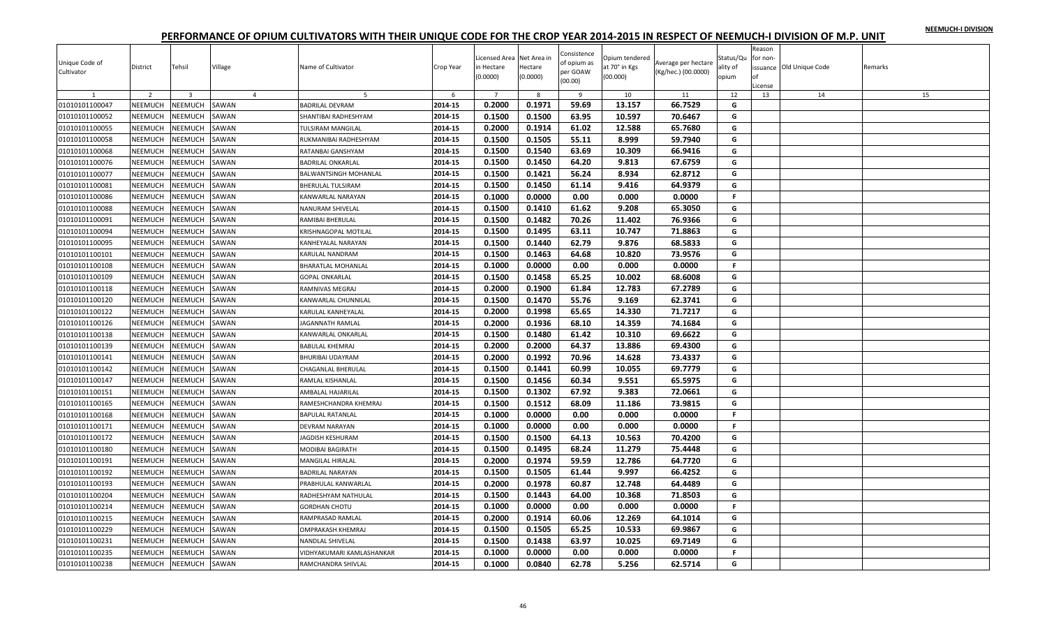|  |  | NEEMUCH-I DIVISION |
|--|--|--------------------|
|  |  |                    |

| Unique Code of<br>Cultivator | District       | Tehsil                  | Village        | Name of Cultivator        | Crop Year          | Licensed Area Net Area in<br>in Hectare<br>(0.0000) | Hectare<br>(0.0000) | Consistence<br>of opium as<br>per GOAW<br>(00.00) | Opium tendered<br>at 70° in Kgs<br>(00.000) | Average per hectare<br>(Kg/hec.) (00.0000) | Status/Qu<br>ality of<br>opium | Reason<br>for non-<br>nf<br>.icense | issuance Old Unique Code | Remarks |
|------------------------------|----------------|-------------------------|----------------|---------------------------|--------------------|-----------------------------------------------------|---------------------|---------------------------------------------------|---------------------------------------------|--------------------------------------------|--------------------------------|-------------------------------------|--------------------------|---------|
| 1                            | $\overline{2}$ | $\overline{\mathbf{3}}$ | $\overline{4}$ | 5                         | 6                  | $\overline{7}$                                      | 8                   | 9                                                 | 10                                          | 11                                         | 12                             | 13                                  | 14                       | 15      |
| 01010101100047               | NEEMUCH        | <b>NEEMUCH</b>          | SAWAN          | <b>BADRILAL DEVRAM</b>    | 2014-15            | 0.2000                                              | 0.1971              | 59.69                                             | 13.157                                      | 66.7529                                    | G                              |                                     |                          |         |
| 01010101100052               | NEEMUCH        | <b>NEEMUCH</b>          | SAWAN          | SHANTIBAI RADHESHYAM      | 2014-15            | 0.1500                                              | 0.1500              | 63.95                                             | 10.597                                      | 70.6467                                    | G                              |                                     |                          |         |
| 01010101100055               | NEEMUCH        | <b>NEEMUCH</b>          | SAWAN          | TULSIRAM MANGILAL         | 2014-15            | 0.2000                                              | 0.1914              | 61.02                                             | 12.588                                      | 65.7680                                    | G                              |                                     |                          |         |
| 01010101100058               | NEEMUCH        | <b>NEEMUCH</b>          | SAWAN          | RUKMANIBAI RADHESHYAM     | 2014-15            | 0.1500                                              | 0.1505              | 55.11                                             | 8.999                                       | 59.7940                                    | G                              |                                     |                          |         |
| 01010101100068               | NEEMUCH        | <b>NEEMUCH</b>          | SAWAN          | RATANBAI GANSHYAM         | 2014-15            | 0.1500                                              | 0.1540              | 63.69                                             | 10.309                                      | 66.9416                                    | G                              |                                     |                          |         |
| 01010101100076               | NEEMUCH        | VEEMUCH                 | SAWAN          | <b>BADRILAL ONKARLAL</b>  | 2014-15            | 0.1500                                              | 0.1450              | 64.20                                             | 9.813                                       | 67.6759                                    | G                              |                                     |                          |         |
| 01010101100077               | <b>NEEMUCH</b> | <b>NEEMUCH</b>          | SAWAN          | BALWANTSINGH MOHANLAL     | 2014-15            | 0.1500                                              | 0.1421              | 56.24                                             | 8.934                                       | 62.8712                                    | G                              |                                     |                          |         |
| 01010101100081               | NEEMUCH        | <b>NEEMUCH</b>          | SAWAN          | BHERULAL TULSIRAM         | 2014-15            | 0.1500                                              | 0.1450              | 61.14                                             | 9.416                                       | 64.9379                                    | G                              |                                     |                          |         |
| 01010101100086               | NEEMUCH        | <b>NEEMUCH</b>          | SAWAN          | KANWARLAL NARAYAN         | 2014-15            | 0.1000                                              | 0.0000              | 0.00                                              | 0.000                                       | 0.0000                                     | F.                             |                                     |                          |         |
| 01010101100088               | NEEMUCH        | <b>NEEMUCH</b>          | SAWAN          | NANURAM SHIVELAL          | 2014-15            | 0.1500                                              | 0.1410              | 61.62                                             | 9.208                                       | 65.3050                                    | G                              |                                     |                          |         |
| 01010101100091               | NEEMUCH        | <b>NEEMUCH</b>          | SAWAN          | RAMIBAI BHERULAL          | 2014-15            | 0.1500                                              | 0.1482              | 70.26                                             | 11.402                                      | 76.9366                                    | G                              |                                     |                          |         |
| 01010101100094               | NEEMUCH        | <b>NEEMUCH</b>          | SAWAN          | KRISHNAGOPAL MOTILAL      | 2014-15            | 0.1500                                              | 0.1495              | 63.11                                             | 10.747                                      | 71.8863                                    | G                              |                                     |                          |         |
| 01010101100095               | NEEMUCH        | <b>NEEMUCH</b>          | SAWAN          | KANHEYALAL NARAYAN        | 2014-15            | 0.1500                                              | 0.1440              | 62.79                                             | 9.876                                       | 68.5833                                    | G                              |                                     |                          |         |
| 01010101100101               | NEEMUCH        | <b>NEEMUCH</b>          | SAWAN          | KARULAL NANDRAM           | 2014-15            | 0.1500                                              | 0.1463              | 64.68                                             | 10.820                                      | 73.9576                                    | G                              |                                     |                          |         |
| 01010101100108               | <b>NEEMUCH</b> | <b>NEEMUCH</b>          | SAWAN          | <b>BHARATLAL MOHANLAL</b> | 2014-15            | 0.1000                                              | 0.0000              | 0.00                                              | 0.000                                       | 0.0000                                     | F.                             |                                     |                          |         |
| 01010101100109               | NEEMUCH        | <b>NEEMUCH</b>          | SAWAN          | <b>GOPAL ONKARLAL</b>     | 2014-15            | 0.1500                                              | 0.1458              | 65.25                                             | 10.002                                      | 68.6008                                    | G                              |                                     |                          |         |
| 01010101100118               | NEEMUCH        | <b>NEEMUCH</b>          | SAWAN          | RAMNIVAS MEGRAJ           | 2014-15            | 0.2000                                              | 0.1900              | 61.84                                             | 12.783                                      | 67.2789                                    | G                              |                                     |                          |         |
| 01010101100120               | NEEMUCH        | <b>NEEMUCH</b>          | SAWAN          | KANWARLAL CHUNNILAL       | 2014-15            | 0.1500                                              | 0.1470              | 55.76                                             | 9.169                                       | 62.3741                                    | G                              |                                     |                          |         |
| 01010101100122               | NEEMUCH        | <b>NEEMUCH</b>          | SAWAN          | KARULAL KANHEYALAL        | 2014-15            | 0.2000                                              | 0.1998              | 65.65                                             | 14.330                                      | 71.7217                                    | G                              |                                     |                          |         |
| 01010101100126               | NEEMUCH        | NEEMUCH                 | SAWAN          | <b>JAGANNATH RAMLAL</b>   | 2014-15            | 0.2000                                              | 0.1936              | 68.10                                             | 14.359                                      | 74.1684                                    | G                              |                                     |                          |         |
| 01010101100138               | NEEMUCH        | <b>NEEMUCH</b>          | SAWAN          | KANWARLAL ONKARLAL        | 2014-15            | 0.1500                                              | 0.1480              | 61.42                                             | 10.310                                      | 69.6622                                    | G                              |                                     |                          |         |
| 01010101100139               | <b>NEEMUCH</b> | NEEMUCH                 | SAWAN          | <b>BABULAL KHEMRAJ</b>    | 2014-15            | 0.2000                                              | 0.2000              | 64.37                                             | 13.886                                      | 69.4300                                    | G                              |                                     |                          |         |
| 01010101100141               | NEEMUCH        | <b>NEEMUCH</b>          | SAWAN          | <b>BHURIBAI UDAYRAM</b>   | 2014-15            | 0.2000                                              | 0.1992              | 70.96                                             | 14.628                                      | 73.4337                                    | G                              |                                     |                          |         |
| 01010101100142               | NEEMUCH        | <b>NEEMUCH</b>          | SAWAN          | CHAGANLAL BHERULAL        | 2014-15            | 0.1500                                              | 0.1441              | 60.99                                             | 10.055                                      | 69.7779                                    | G                              |                                     |                          |         |
| 01010101100147               | NEEMUCH        | <b>NEEMUCH</b>          | SAWAN          | RAMLAL KISHANLAL          | 2014-15            | 0.1500                                              | 0.1456              | 60.34                                             | 9.551                                       | 65.5975                                    | G                              |                                     |                          |         |
| 01010101100151               | NEEMUCH        | <b>NEEMUCH</b>          | SAWAN          | AMBALAL HAJARILAL         | 2014-15            | 0.1500                                              | 0.1302              | 67.92                                             | 9.383                                       | 72.0661                                    | G                              |                                     |                          |         |
| 01010101100165               | NEEMUCH        | <b>NEEMUCH</b>          | SAWAN          | RAMESHCHANDRA KHEMRAJ     | 2014-15            | 0.1500                                              | 0.1512              | 68.09                                             | 11.186                                      | 73.9815                                    | G                              |                                     |                          |         |
| 01010101100168               | NEEMUCH        | <b>NEEMUCH</b>          | SAWAN          | <b>BAPULAL RATANLAL</b>   | 2014-15            | 0.1000                                              | 0.0000              | 0.00                                              | 0.000                                       | 0.0000                                     | F.                             |                                     |                          |         |
| 01010101100171               | NEEMUCH        | NEEMUCH                 | SAWAN          | DEVRAM NARAYAN            | 2014-15            | 0.1000                                              | 0.0000              | 0.00                                              | 0.000                                       | 0.0000                                     | F.                             |                                     |                          |         |
| 01010101100172               | NEEMUCH        | <b>NEEMUCH</b>          | SAWAN          | AGDISH KESHURAM           | 2014-15            | 0.1500                                              | 0.1500              | 64.13                                             | 10.563                                      | 70.4200                                    | G                              |                                     |                          |         |
| 01010101100180               | <b>NEEMUCH</b> | <b>NEEMUCH</b>          | SAWAN          | MODIBAI BAGIRATH          | 2014-15            | 0.1500                                              | 0.1495              | 68.24                                             | 11.279                                      | 75.4448                                    | G                              |                                     |                          |         |
| 01010101100191               | NEEMUCH        | <b>NEEMUCH</b>          | SAWAN          | MANGILAL HIRALAL          | 2014-15            | 0.2000                                              | 0.1974              | 59.59                                             | 12.786                                      | 64.7720                                    | G                              |                                     |                          |         |
| 01010101100192               | NEEMUCH        | <b>NEEMUCH</b>          | SAWAN          | BADRILAL NARAYAN          | 2014-15            | 0.1500                                              | 0.1505              | 61.44                                             | 9.997                                       | 66.4252                                    | G                              |                                     |                          |         |
| 01010101100193               | <b>NEEMUCH</b> | <b>NEEMUCH</b>          | SAWAN          | PRABHULAL KANWARLAL       | 2014-15            | 0.2000                                              | 0.1978              | 60.87                                             | 12.748                                      | 64.4489                                    | G                              |                                     |                          |         |
| 01010101100204               | NEEMUCH        | <b>NEEMUCH</b>          | SAWAN          | RADHESHYAM NATHULAL       | 2014-15            | 0.1500                                              | 0.1443              | 64.00                                             | 10.368                                      | 71.8503                                    | G                              |                                     |                          |         |
| 01010101100214               | NEEMUCH        | <b>NEEMUCH</b>          | SAWAN          | <b>GORDHAN CHOTU</b>      | 2014-15            | 0.1000                                              | 0.0000              | 0.00                                              | 0.000                                       | 0.0000                                     | F.                             |                                     |                          |         |
| 01010101100215               | NEEMUCH        | <b>NEEMUCH</b>          | SAWAN          | RAMPRASAD RAMLAL          | 2014-15            | 0.2000                                              | 0.1914              | 60.06                                             | 12.269                                      | 64.1014                                    | G                              |                                     |                          |         |
| 01010101100229               | NEEMUCH        | <b>NEEMUCH</b>          | SAWAN          | OMPRAKASH KHEMRAJ         | 2014-15            | 0.1500                                              | 0.1505              | 65.25                                             | 10.533                                      | 69.9867                                    | G                              |                                     |                          |         |
|                              |                |                         |                | <b>VANDLAL SHIVELAL</b>   | 2014-15            | 0.1500                                              | 0.1438              | 63.97                                             | 10.025                                      | 69.7149                                    | G                              |                                     |                          |         |
| 01010101100231               | <b>NEEMUCH</b> | <b>NEEMUCH</b>          | SAWAN          |                           |                    |                                                     |                     |                                                   |                                             |                                            |                                |                                     |                          |         |
| 01010101100235               | <b>NEEMUCH</b> | <b>NEEMUCH</b>          | SAWAN          | VIDHYAKUMARI KAMLASHANKAR | 2014-15<br>2014-15 | 0.1000                                              | 0.0000              | 0.00                                              | 0.000                                       | 0.0000                                     | $\mathsf F$<br>G               |                                     |                          |         |
| 01010101100238               | <b>NEEMUCH</b> | NEEMUCH                 | SAWAN          | RAMCHANDRA SHIVLAL        |                    | 0.1000                                              | 0.0840              | 62.78                                             | 5.256                                       | 62.5714                                    |                                |                                     |                          |         |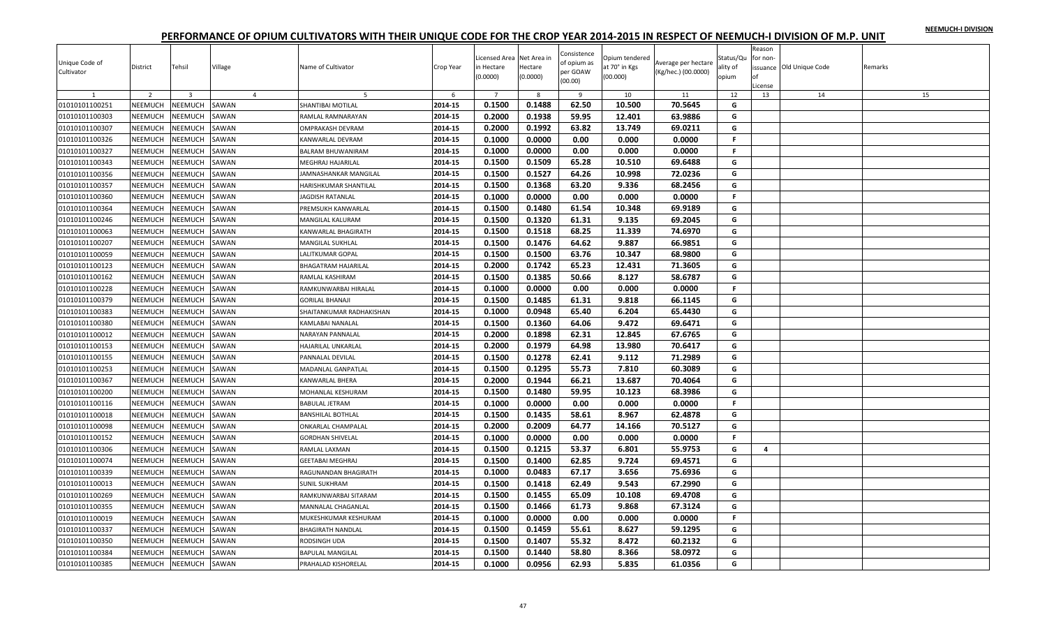|  |  | NEEMUCH-I DIVISION |
|--|--|--------------------|
|  |  |                    |

| Unique Code of<br>Cultivator | District       | Tehsil                  | Village        | Name of Cultivator         | Crop Year | Licensed Area Net Area in<br>in Hectare<br>(0.0000) | Hectare<br>(0.0000) | Consistence<br>of opium as<br>per GOAW<br>(00.00) | Opium tendered<br>at 70° in Kgs<br>(00.000) | Average per hectare<br>(Kg/hec.) (00.0000) | Status/Qu<br>ality of<br>opium | Reason<br>for non-<br>nf<br>.icense | issuance Old Unique Code | Remarks |
|------------------------------|----------------|-------------------------|----------------|----------------------------|-----------|-----------------------------------------------------|---------------------|---------------------------------------------------|---------------------------------------------|--------------------------------------------|--------------------------------|-------------------------------------|--------------------------|---------|
| 1                            | $\overline{2}$ | $\overline{\mathbf{3}}$ | $\overline{4}$ | 5                          | 6         | $\overline{7}$                                      | 8                   | 9                                                 | 10                                          | 11                                         | 12                             | 13                                  | 14                       | 15      |
| 01010101100251               | NEEMUCH        | <b>NEEMUCH</b>          | SAWAN          | SHANTIBAI MOTILAL          | 2014-15   | 0.1500                                              | 0.1488              | 62.50                                             | 10.500                                      | 70.5645                                    | G                              |                                     |                          |         |
| 01010101100303               | NEEMUCH        | <b>NEEMUCH</b>          | SAWAN          | RAMLAL RAMNARAYAN          | 2014-15   | 0.2000                                              | 0.1938              | 59.95                                             | 12.401                                      | 63.9886                                    | G                              |                                     |                          |         |
| 01010101100307               | NEEMUCH        | <b>NEEMUCH</b>          | SAWAN          | OMPRAKASH DEVRAM           | 2014-15   | 0.2000                                              | 0.1992              | 63.82                                             | 13.749                                      | 69.0211                                    | G                              |                                     |                          |         |
| 01010101100326               | <b>NEEMUCH</b> | <b>NEEMUCH</b>          | SAWAN          | KANWARLAL DEVRAM           | 2014-15   | 0.1000                                              | 0.0000              | 0.00                                              | 0.000                                       | 0.0000                                     | $\mathbf{F}$                   |                                     |                          |         |
| 01010101100327               | NEEMUCH        | <b>NEEMUCH</b>          | SAWAN          | BALRAM BHUWANIRAM          | 2014-15   | 0.1000                                              | 0.0000              | 0.00                                              | 0.000                                       | 0.0000                                     | F.                             |                                     |                          |         |
| 01010101100343               | NEEMUCH        | VEEMUCH                 | SAWAN          | MEGHRAJ HAJARILAL          | 2014-15   | 0.1500                                              | 0.1509              | 65.28                                             | 10.510                                      | 69.6488                                    | G                              |                                     |                          |         |
| 01010101100356               | NEEMUCH        | <b>NEEMUCH</b>          | SAWAN          | JAMNASHANKAR MANGILAL      | 2014-15   | 0.1500                                              | 0.1527              | 64.26                                             | 10.998                                      | 72.0236                                    | G                              |                                     |                          |         |
| 01010101100357               | NEEMUCH        | <b>NEEMUCH</b>          | SAWAN          | HARISHKUMAR SHANTILAL      | 2014-15   | 0.1500                                              | 0.1368              | 63.20                                             | 9.336                                       | 68.2456                                    | G                              |                                     |                          |         |
| 01010101100360               | NEEMUCH        | NEEMUCH                 | SAWAN          | <b>JAGDISH RATANLAL</b>    | 2014-15   | 0.1000                                              | 0.0000              | 0.00                                              | 0.000                                       | 0.0000                                     | F.                             |                                     |                          |         |
| 01010101100364               | NEEMUCH        | <b>NEEMUCH</b>          | SAWAN          | PREMSUKH KANWARLAL         | 2014-15   | 0.1500                                              | 0.1480              | 61.54                                             | 10.348                                      | 69.9189                                    | G                              |                                     |                          |         |
| 01010101100246               | <b>NEEMUCH</b> | <b>NEEMUCH</b>          | SAWAN          | <b>MANGILAL KALURAM</b>    | 2014-15   | 0.1500                                              | 0.1320              | 61.31                                             | 9.135                                       | 69.2045                                    | G                              |                                     |                          |         |
| 01010101100063               | NEEMUCH        | <b>NEEMUCH</b>          | SAWAN          | KANWARLAL BHAGIRATH        | 2014-15   | 0.1500                                              | 0.1518              | 68.25                                             | 11.339                                      | 74.6970                                    | G                              |                                     |                          |         |
| 01010101100207               | NEEMUCH        | <b>NEEMUCH</b>          | SAWAN          | MANGILAL SUKHLAL           | 2014-15   | 0.1500                                              | 0.1476              | 64.62                                             | 9.887                                       | 66.9851                                    | G                              |                                     |                          |         |
| 01010101100059               | NEEMUCH        | <b>NEEMUCH</b>          | SAWAN          | ALITKUMAR GOPAL            | 2014-15   | 0.1500                                              | 0.1500              | 63.76                                             | 10.347                                      | 68.9800                                    | G                              |                                     |                          |         |
| 01010101100123               | <b>NEEMUCH</b> | <b>NEEMUCH</b>          | SAWAN          | <b>BHAGATRAM HAJARILAL</b> | 2014-15   | 0.2000                                              | 0.1742              | 65.23                                             | 12.431                                      | 71.3605                                    | G                              |                                     |                          |         |
| 01010101100162               | NEEMUCH        | <b>NEEMUCH</b>          | SAWAN          | RAMLAL KASHIRAM            | 2014-15   | 0.1500                                              | 0.1385              | 50.66                                             | 8.127                                       | 58.6787                                    | G                              |                                     |                          |         |
| 01010101100228               | NEEMUCH        | <b>NEEMUCH</b>          | SAWAN          | RAMKUNWARBAI HIRALAL       | 2014-15   | 0.1000                                              | 0.0000              | 0.00                                              | 0.000                                       | 0.0000                                     | $\mathsf{F}$                   |                                     |                          |         |
| 01010101100379               | <b>NEEMUCH</b> | <b>NEEMUCH</b>          | SAWAN          | GORILAL BHANAJI            | 2014-15   | 0.1500                                              | 0.1485              | 61.31                                             | 9.818                                       | 66.1145                                    | G                              |                                     |                          |         |
| 01010101100383               | NEEMUCH        | <b>NEEMUCH</b>          | SAWAN          | SHAITANKUMAR RADHAKISHAN   | 2014-15   | 0.1000                                              | 0.0948              | 65.40                                             | 6.204                                       | 65.4430                                    | G                              |                                     |                          |         |
| 01010101100380               | NEEMUCH        | NEEMUCH                 | SAWAN          | KAMLABAI NANALAL           | 2014-15   | 0.1500                                              | 0.1360              | 64.06                                             | 9.472                                       | 69.6471                                    | G                              |                                     |                          |         |
| 01010101100012               | NEEMUCH        | <b>NEEMUCH</b>          | SAWAN          | NARAYAN PANNALAL           | 2014-15   | 0.2000                                              | 0.1898              | 62.31                                             | 12.845                                      | 67.6765                                    | G                              |                                     |                          |         |
| 01010101100153               | <b>NEEMUCH</b> | NEEMUCH                 | SAWAN          | HAJARILAL UNKARLAL         | 2014-15   | 0.2000                                              | 0.1979              | 64.98                                             | 13.980                                      | 70.6417                                    | G                              |                                     |                          |         |
| 01010101100155               | NEEMUCH        | <b>NEEMUCH</b>          | SAWAN          | PANNALAL DEVILAL           | 2014-15   | 0.1500                                              | 0.1278              | 62.41                                             | 9.112                                       | 71.2989                                    | G                              |                                     |                          |         |
| 01010101100253               | NEEMUCH        | <b>NEEMUCH</b>          | SAWAN          | MADANLAL GANPATLAL         | 2014-15   | 0.1500                                              | 0.1295              | 55.73                                             | 7.810                                       | 60.3089                                    | G                              |                                     |                          |         |
| 01010101100367               | NEEMUCH        | <b>NEEMUCH</b>          | SAWAN          | KANWARLAL BHERA            | 2014-15   | 0.2000                                              | 0.1944              | 66.21                                             | 13.687                                      | 70.4064                                    | G                              |                                     |                          |         |
| 01010101100200               | NEEMUCH        | <b>NEEMUCH</b>          | SAWAN          | MOHANLAL KESHURAM          | 2014-15   | 0.1500                                              | 0.1480              | 59.95                                             | 10.123                                      | 68.3986                                    | G                              |                                     |                          |         |
| 01010101100116               | <b>NEEMUCH</b> | <b>NEEMUCH</b>          | SAWAN          | <b>BABULAL JETRAM</b>      | 2014-15   | 0.1000                                              | 0.0000              | 0.00                                              | 0.000                                       | 0.0000                                     | F.                             |                                     |                          |         |
| 01010101100018               | NEEMUCH        | NEEMUCH                 | SAWAN          | BANSHILAL BOTHLAL          | 2014-15   | 0.1500                                              | 0.1435              | 58.61                                             | 8.967                                       | 62.4878                                    | G                              |                                     |                          |         |
| 01010101100098               | NEEMUCH        | NEEMUCH                 | SAWAN          | ONKARLAL CHAMPALAL         | 2014-15   | 0.2000                                              | 0.2009              | 64.77                                             | 14.166                                      | 70.5127                                    | G                              |                                     |                          |         |
| 01010101100152               | NEEMUCH        | <b>NEEMUCH</b>          | SAWAN          | <b>GORDHAN SHIVELAL</b>    | 2014-15   | 0.1000                                              | 0.0000              | 0.00                                              | 0.000                                       | 0.0000                                     | $\mathbf{F}$                   |                                     |                          |         |
| 01010101100306               | <b>NEEMUCH</b> | <b>NEEMUCH</b>          | SAWAN          | RAMLAL LAXMAN              | 2014-15   | 0.1500                                              | 0.1215              | 53.37                                             | 6.801                                       | 55.9753                                    | G                              | $\overline{a}$                      |                          |         |
|                              |                |                         |                | <b>SEETABAI MEGHRAJ</b>    | 2014-15   | 0.1500                                              | 0.1400              | 62.85                                             | 9.724                                       |                                            | G                              |                                     |                          |         |
| 01010101100074               | NEEMUCH        | <b>NEEMUCH</b>          | SAWAN          |                            |           |                                                     |                     |                                                   |                                             | 69.4571                                    |                                |                                     |                          |         |
| 01010101100339               | <b>NEEMUCH</b> | <b>NEEMUCH</b>          | SAWAN          | RAGUNANDAN BHAGIRATH       | 2014-15   | 0.1000                                              | 0.0483              | 67.17                                             | 3.656                                       | 75.6936                                    | G                              |                                     |                          |         |
| 01010101100013               | <b>NEEMUCH</b> | <b>NEEMUCH</b>          | SAWAN          | <b>SUNIL SUKHRAM</b>       | 2014-15   | 0.1500                                              | 0.1418              | 62.49                                             | 9.543                                       | 67.2990                                    | G                              |                                     |                          |         |
| 01010101100269               | NEEMUCH        | <b>NEEMUCH</b>          | SAWAN          | RAMKUNWARBAI SITARAM       | 2014-15   | 0.1500                                              | 0.1455              | 65.09                                             | 10.108                                      | 69.4708                                    | G                              |                                     |                          |         |
| 01010101100355               | NEEMUCH        | <b>NEEMUCH</b>          | SAWAN          | MANNALAL CHAGANLAL         | 2014-15   | 0.1500                                              | 0.1466              | 61.73                                             | 9.868                                       | 67.3124                                    | G                              |                                     |                          |         |
| 01010101100019               | NEEMUCH        | <b>NEEMUCH</b>          | SAWAN          | MUKESHKUMAR KESHURAM       | 2014-15   | 0.1000                                              | 0.0000              | 0.00                                              | 0.000                                       | 0.0000                                     | F                              |                                     |                          |         |
| 01010101100337               | NEEMUCH        | <b>NEEMUCH</b>          | SAWAN          | <b>BHAGIRATH NANDLAL</b>   | 2014-15   | 0.1500                                              | 0.1459              | 55.61                                             | 8.627                                       | 59.1295                                    | G                              |                                     |                          |         |
| 01010101100350               | <b>NEEMUCH</b> | <b>NEEMUCH</b>          | SAWAN          | RODSINGH UDA               | 2014-15   | 0.1500                                              | 0.1407              | 55.32                                             | 8.472                                       | 60.2132                                    | G                              |                                     |                          |         |
| 01010101100384               | <b>NEEMUCH</b> | NEEMUCH                 | SAWAN          | <b>BAPULAL MANGILAL</b>    | 2014-15   | 0.1500                                              | 0.1440              | 58.80                                             | 8.366                                       | 58.0972                                    | G                              |                                     |                          |         |
| 01010101100385               | <b>NEEMUCH</b> | NEEMUCH                 | SAWAN          | PRAHALAD KISHORELAL        | 2014-15   | 0.1000                                              | 0.0956              | 62.93                                             | 5.835                                       | 61.0356                                    | G                              |                                     |                          |         |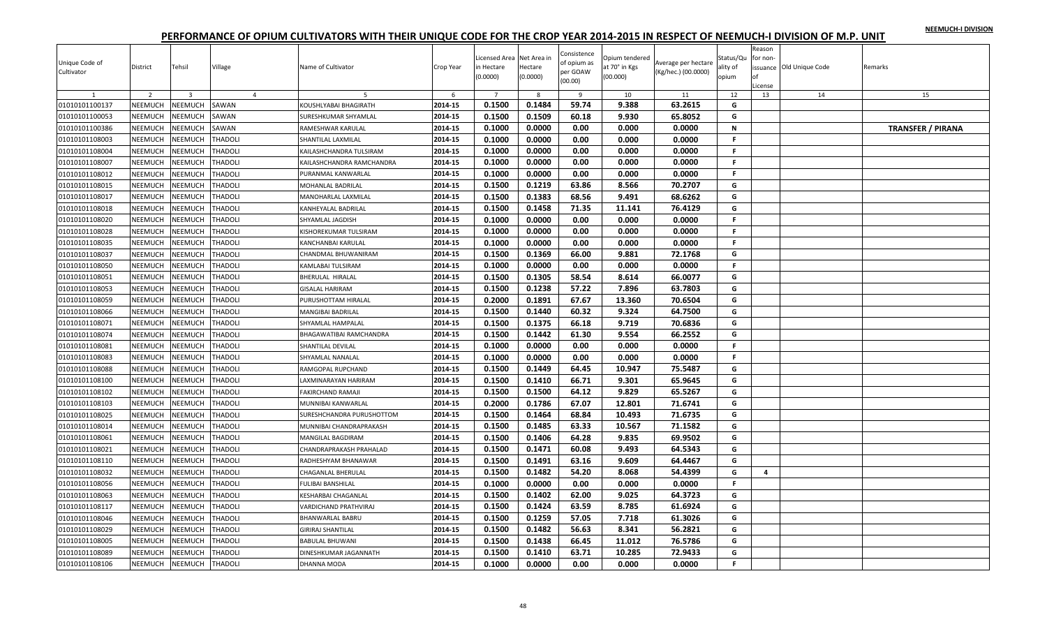|  |  | NEEMUCH-I DIVISION |
|--|--|--------------------|
|  |  |                    |

| Unique Code of<br>Cultivator | District       | Tehsil                  | Village        | Name of Cultivator         | Crop Year | icensed Area Net Area in<br>in Hectare<br>(0.0000) | Hectare<br>(0.0000) | Consistence<br>of opium as<br>per GOAW<br>(00.00) | Opium tendered<br>at 70° in Kgs<br>(00.000) | Average per hectare<br>(Kg/hec.) (00.0000) | Status/Qu<br>ality of<br>opium | Reason<br>for non-<br>оf<br>.icense | issuance Old Unique Code | Remarks                  |
|------------------------------|----------------|-------------------------|----------------|----------------------------|-----------|----------------------------------------------------|---------------------|---------------------------------------------------|---------------------------------------------|--------------------------------------------|--------------------------------|-------------------------------------|--------------------------|--------------------------|
| 1                            | $\overline{2}$ | $\overline{\mathbf{3}}$ | $\overline{4}$ | 5                          | 6         | $\overline{7}$                                     | 8                   | 9                                                 | 10                                          | 11                                         | 12                             | 13                                  | 14                       | 15                       |
| 01010101100137               | NEEMUCH        | NEEMUCH                 | SAWAN          | KOUSHLYABAI BHAGIRATH      | 2014-15   | 0.1500                                             | 0.1484              | 59.74                                             | 9.388                                       | 63.2615                                    | G                              |                                     |                          |                          |
| 01010101100053               | NEEMUCH        | <b>NEEMUCH</b>          | SAWAN          | SURESHKUMAR SHYAMLAL       | 2014-15   | 0.1500                                             | 0.1509              | 60.18                                             | 9.930                                       | 65.8052                                    | G                              |                                     |                          |                          |
| 01010101100386               | <b>NEEMUCH</b> | VEEMUCH                 | SAWAN          | RAMESHWAR KARULAL          | 2014-15   | 0.1000                                             | 0.0000              | 0.00                                              | 0.000                                       | 0.0000                                     | $\mathbf N$                    |                                     |                          | <b>TRANSFER / PIRANA</b> |
| 01010101108003               | <b>NEEMUCH</b> | <b>NEEMUCH</b>          | <b>THADOLI</b> | SHANTILAL LAXMILAL         | 2014-15   | 0.1000                                             | 0.0000              | 0.00                                              | 0.000                                       | 0.0000                                     | F.                             |                                     |                          |                          |
| 01010101108004               | NEEMUCH        | <b>NEEMUCH</b>          | THADOLI        | KAILASHCHANDRA TULSIRAM    | 2014-15   | 0.1000                                             | 0.0000              | 0.00                                              | 0.000                                       | 0.0000                                     | F.                             |                                     |                          |                          |
| 01010101108007               | NEEMUCH        | <b>NEEMUCH</b>          | <b>THADOLI</b> | KAILASHCHANDRA RAMCHANDRA  | 2014-15   | 0.1000                                             | 0.0000              | 0.00                                              | 0.000                                       | 0.0000                                     | F.                             |                                     |                          |                          |
| 01010101108012               | NEEMUCH        | <b>NEEMUCH</b>          | THADOLI        | PURANMAL KANWARLAL         | 2014-15   | 0.1000                                             | 0.0000              | 0.00                                              | 0.000                                       | 0.0000                                     | F.                             |                                     |                          |                          |
| 01010101108015               | <b>NEEMUCH</b> | <b>NEEMUCH</b>          | <b>THADOLI</b> | MOHANLAL BADRILAL          | 2014-15   | 0.1500                                             | 0.1219              | 63.86                                             | 8.566                                       | 70.2707                                    | G                              |                                     |                          |                          |
| 01010101108017               | NEEMUCH        | <b>NEEMUCH</b>          | THADOLI        | MANOHARLAL LAXMILAL        | 2014-15   | 0.1500                                             | 0.1383              | 68.56                                             | 9.491                                       | 68.6262                                    | G                              |                                     |                          |                          |
| 01010101108018               | NEEMUCH        | <b>NEEMUCH</b>          | THADOLI        | KANHEYALAL BADRILAL        | 2014-15   | 0.1500                                             | 0.1458              | 71.35                                             | 11.141                                      | 76.4129                                    | G                              |                                     |                          |                          |
| 01010101108020               | NEEMUCH        | <b>NEEMUCH</b>          | THADOLI        | SHYAMLAL JAGDISH           | 2014-15   | 0.1000                                             | 0.0000              | 0.00                                              | 0.000                                       | 0.0000                                     | F.                             |                                     |                          |                          |
| 01010101108028               | <b>NEEMUCH</b> | <b>NEEMUCH</b>          | THADOLI        | KISHOREKUMAR TULSIRAM      | 2014-15   | 0.1000                                             | 0.0000              | 0.00                                              | 0.000                                       | 0.0000                                     | F.                             |                                     |                          |                          |
| 01010101108035               | NEEMUCH        | <b>NEEMUCH</b>          | THADOLI        | KANCHANBAI KARULAL         | 2014-15   | 0.1000                                             | 0.0000              | 0.00                                              | 0.000                                       | 0.0000                                     | F.                             |                                     |                          |                          |
| 01010101108037               | NEEMUCH        | <b>JEEMUCH</b>          | THADOLI        | CHANDMAL BHUWANIRAM        | 2014-15   | 0.1500                                             | 0.1369              | 66.00                                             | 9.881                                       | 72.1768                                    | G                              |                                     |                          |                          |
| 01010101108050               | <b>NEEMUCH</b> | <b>NEEMUCH</b>          | <b>THADOLI</b> | KAMLABAI TULSIRAM          | 2014-15   | 0.1000                                             | 0.0000              | 0.00                                              | 0.000                                       | 0.0000                                     | $\mathbb F$                    |                                     |                          |                          |
| 01010101108051               | NEEMUCH        | <b>NEEMUCH</b>          | THADOLI        | BHERULAL HIRALAL           | 2014-15   | 0.1500                                             | 0.1305              | 58.54                                             | 8.614                                       | 66.0077                                    | G                              |                                     |                          |                          |
| 01010101108053               | NEEMUCH        | <b>NEEMUCH</b>          | THADOLI        | <b>GISALAL HARIRAM</b>     | 2014-15   | 0.1500                                             | 0.1238              | 57.22                                             | 7.896                                       | 63.7803                                    | G                              |                                     |                          |                          |
| 01010101108059               | NEEMUCH        | <b>NEEMUCH</b>          | THADOLI        | PURUSHOTTAM HIRALAL        | 2014-15   | 0.2000                                             | 0.1891              | 67.67                                             | 13.360                                      | 70.6504                                    | G                              |                                     |                          |                          |
| 01010101108066               | <b>NEEMUCH</b> | <b>NEEMUCH</b>          | THADOLI        | MANGIBAI BADRILAL          | 2014-15   | 0.1500                                             | 0.1440              | 60.32                                             | 9.324                                       | 64.7500                                    | G                              |                                     |                          |                          |
| 01010101108071               | <b>NEEMUCH</b> | <b>NEEMUCH</b>          | <b>THADOLI</b> | SHYAMLAL HAMPALAL          | 2014-15   | 0.1500                                             | 0.1375              | 66.18                                             | 9.719                                       | 70.6836                                    | G                              |                                     |                          |                          |
| 01010101108074               | NEEMUCH        | <b>NEEMUCH</b>          | <b>THADOLI</b> | BHAGAWATIBAI RAMCHANDRA    | 2014-15   | 0.1500                                             | 0.1442              | 61.30                                             | 9.554                                       | 66.2552                                    | G                              |                                     |                          |                          |
| 01010101108081               | NEEMUCH        | <b>NEEMUCH</b>          | THADOLI        | SHANTILAL DEVILAL          | 2014-15   | 0.1000                                             | 0.0000              | 0.00                                              | 0.000                                       | 0.0000                                     | F.                             |                                     |                          |                          |
| 01010101108083               | NEEMUCH        | <b>NEEMUCH</b>          | THADOLI        | SHYAMLAL NANALAL           | 2014-15   | 0.1000                                             | 0.0000              | 0.00                                              | 0.000                                       | 0.0000                                     | F.                             |                                     |                          |                          |
| 01010101108088               | <b>NEEMUCH</b> | <b>NEEMUCH</b>          | THADOLI        | RAMGOPAL RUPCHAND          | 2014-15   | 0.1500                                             | 0.1449              | 64.45                                             | 10.947                                      | 75.5487                                    | G                              |                                     |                          |                          |
| 01010101108100               | NEEMUCH        | <b>NEEMUCH</b>          | THADOLI        | AXMINARAYAN HARIRAM        | 2014-15   | 0.1500                                             | 0.1410              | 66.71                                             | 9.301                                       | 65.9645                                    | G                              |                                     |                          |                          |
| 01010101108102               | NEEMUCH        | <b>NEEMUCH</b>          | THADOLI        | <b>FAKIRCHAND RAMAJI</b>   | 2014-15   | 0.1500                                             | 0.1500              | 64.12                                             | 9.829                                       | 65.5267                                    | G                              |                                     |                          |                          |
| 01010101108103               | <b>NEEMUCH</b> | <b>NEEMUCH</b>          | THADOLI        | MUNNIBAI KANWARLAL         | 2014-15   | 0.2000                                             | 0.1786              | 67.07                                             | 12.801                                      | 71.6741                                    | G                              |                                     |                          |                          |
| 01010101108025               | NEEMUCH        | NEEMUCH                 | THADOLI        | SURESHCHANDRA PURUSHOTTOM  | 2014-15   | 0.1500                                             | 0.1464              | 68.84                                             | 10.493                                      | 71.6735                                    | G                              |                                     |                          |                          |
| 01010101108014               | NEEMUCH        | <b>NEEMUCH</b>          | THADOLI        | MUNNIBAI CHANDRAPRAKASH    | 2014-15   | 0.1500                                             | 0.1485              | 63.33                                             | 10.567                                      | 71.1582                                    | G                              |                                     |                          |                          |
| 01010101108061               | <b>NEEMUCH</b> | <b>NEEMUCH</b>          | THADOLI        | <b>MANGILAL BAGDIRAM</b>   | 2014-15   | 0.1500                                             | 0.1406              | 64.28                                             | 9.835                                       | 69.9502                                    | G                              |                                     |                          |                          |
| 01010101108021               | NEEMUCH        | <b>NEEMUCH</b>          | <b>THADOLI</b> | CHANDRAPRAKASH PRAHALAD    | 2014-15   | 0.1500                                             | 0.1471              | 60.08                                             | 9.493                                       | 64.5343                                    | G                              |                                     |                          |                          |
| 01010101108110               | NEEMUCH        | <b>NEEMUCH</b>          | THADOLI        | RADHESHYAM BHANAWAR        | 2014-15   | 0.1500                                             | 0.1491              | 63.16                                             | 9.609                                       | 64.4467                                    | G                              |                                     |                          |                          |
| 01010101108032               | NEEMUCH        | <b>NEEMUCH</b>          | THADOLI        | CHAGANLAL BHERULAL         | 2014-15   | 0.1500                                             | 0.1482              | 54.20                                             | 8.068                                       | 54.4399                                    | G                              | 4                                   |                          |                          |
| 01010101108056               | <b>NEEMUCH</b> | <b>NEEMUCH</b>          | <b>THADOLI</b> | FULIBAI BANSHILAL          | 2014-15   | 0.1000                                             | 0.0000              | 0.00                                              | 0.000                                       | 0.0000                                     | F.                             |                                     |                          |                          |
| 01010101108063               | <b>NEEMUCH</b> | <b>NEEMUCH</b>          | THADOLI        | <b>KESHARBAI CHAGANLAL</b> | 2014-15   | 0.1500                                             | 0.1402              | 62.00                                             | 9.025                                       | 64.3723                                    | G                              |                                     |                          |                          |
| 01010101108117               | NEEMUCH        | <b>NEEMUCH</b>          | <b>THADOLI</b> | VARDICHAND PRATHVIRAJ      | 2014-15   | 0.1500                                             | 0.1424              | 63.59                                             | 8.785                                       | 61.6924                                    | G                              |                                     |                          |                          |
| 01010101108046               | NEEMUCH        | <b>NEEMUCH</b>          | THADOLI        | <b>BHANWARLAL BABRU</b>    | 2014-15   | 0.1500                                             | 0.1259              | 57.05                                             | 7.718                                       | 61.3026                                    | G                              |                                     |                          |                          |
| 01010101108029               | NEEMUCH        | <b>NEEMUCH</b>          | THADOLI        | <b>GIRIRAJ SHANTILAL</b>   | 2014-15   | 0.1500                                             | 0.1482              | 56.63                                             | 8.341                                       | 56.2821                                    | G                              |                                     |                          |                          |
| 01010101108005               | NEEMUCH        | <b>NEEMUCH</b>          | THADOLI        | <b>BABULAL BHUWANI</b>     | 2014-15   | 0.1500                                             | 0.1438              | 66.45                                             | 11.012                                      | 76.5786                                    | G                              |                                     |                          |                          |
| 01010101108089               | NEEMUCH        | <b>NEEMUCH</b>          | THADOLI        | DINESHKUMAR JAGANNATH      | 2014-15   | 0.1500                                             | 0.1410              | 63.71                                             | 10.285                                      | 72.9433                                    | G                              |                                     |                          |                          |
| 01010101108106               | NEEMUCH        | NEEMUCH                 | <b>THADOLI</b> | DHANNA MODA                | 2014-15   | 0.1000                                             | 0.0000              | 0.00                                              | 0.000                                       | 0.0000                                     | F.                             |                                     |                          |                          |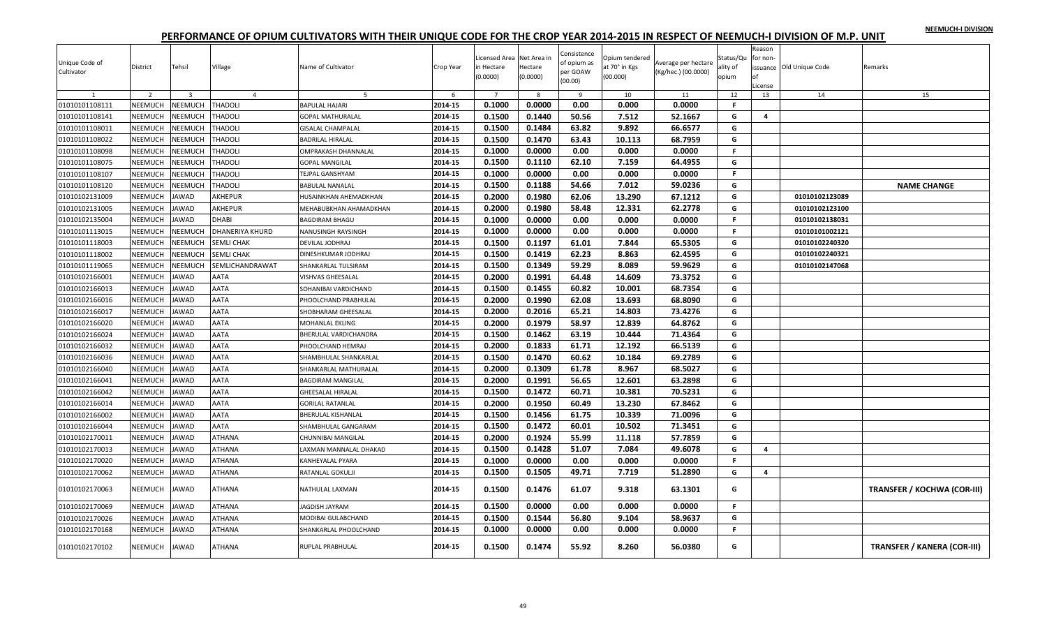| NEEMUCH-I DIVISION |  |
|--------------------|--|
|                    |  |

| Unique Code of<br>Cultivator<br>$\mathbf{1}$ | District<br>$\overline{2}$ | Tehsil<br>$\overline{\mathbf{3}}$ | Village<br>$\overline{4}$ | Name of Cultivator<br>.5 | Crop Year<br>6 | Licensed Area Net Area in<br>in Hectare<br>(0.0000)<br>$\overline{7}$ | Hectare<br>(0.0000)<br>8 | Consistence<br>of opium as<br>per GOAW<br>(00.00)<br>9 | Opium tendered<br>at 70° in Kgs<br>(00.000)<br>10 | Average per hectare<br>(Kg/hec.) (00.0000)<br>11 | Status/Qu<br>ality of<br>opium<br>12 | Reason<br>for non-<br>License<br>13 | issuance Old Unique Code<br>14 | Remarks<br>15                      |
|----------------------------------------------|----------------------------|-----------------------------------|---------------------------|--------------------------|----------------|-----------------------------------------------------------------------|--------------------------|--------------------------------------------------------|---------------------------------------------------|--------------------------------------------------|--------------------------------------|-------------------------------------|--------------------------------|------------------------------------|
| 01010101108111                               | NEEMUCH                    | <b>NEEMUCH</b>                    | <b>THADOLI</b>            | BAPULAL HAJARI           | 2014-15        | 0.1000                                                                | 0.0000                   | 0.00                                                   | 0.000                                             | 0.0000                                           | F                                    |                                     |                                |                                    |
| 01010101108141                               | NEEMUCH                    | NEEMUCH                           | <b>THADOLI</b>            | <b>GOPAL MATHURALAL</b>  | 2014-15        | 0.1500                                                                | 0.1440                   | 50.56                                                  | 7.512                                             | 52.1667                                          | G                                    | 4                                   |                                |                                    |
| 01010101108011                               | NEEMUCH                    | <b>NEEMUCH</b>                    | <b>THADOLI</b>            | <b>GISALAL CHAMPALAL</b> | 2014-15        | 0.1500                                                                | 0.1484                   | 63.82                                                  | 9.892                                             | 66.6577                                          | G                                    |                                     |                                |                                    |
| 01010101108022                               | NEEMUCH                    | <b>NEEMUCH</b>                    | <b>THADOLI</b>            | BADRILAL HIRALAL         | 2014-15        | 0.1500                                                                | 0.1470                   | 63.43                                                  | 10.113                                            | 68.7959                                          | G                                    |                                     |                                |                                    |
| 01010101108098                               | NEEMUCH                    | <b>NEEMUCH</b>                    | <b>THADOLI</b>            | OMPRAKASH DHANNALAL      | 2014-15        | 0.1000                                                                | 0.0000                   | 0.00                                                   | 0.000                                             | 0.0000                                           | F.                                   |                                     |                                |                                    |
| 01010101108075                               | NEEMUCH                    | <b>NEEMUCH</b>                    | <b>THADOLI</b>            | <b>GOPAL MANGILAL</b>    | 2014-15        | 0.1500                                                                | 0.1110                   | 62.10                                                  | 7.159                                             | 64.4955                                          | G                                    |                                     |                                |                                    |
| 01010101108107                               | NEEMUCH                    | <b>NEEMUCH</b>                    | <b>THADOLI</b>            | <b>TEJPAL GANSHYAM</b>   | 2014-15        | 0.1000                                                                | 0.0000                   | 0.00                                                   | 0.000                                             | 0.0000                                           | F                                    |                                     |                                |                                    |
| 01010101108120                               | NEEMUCH                    | <b>NEEMUCH</b>                    | <b>THADOLI</b>            | <b>BABULAL NANALAL</b>   | 2014-15        | 0.1500                                                                | 0.1188                   | 54.66                                                  | 7.012                                             | 59.0236                                          | G                                    |                                     |                                | <b>NAME CHANGE</b>                 |
| 01010102131009                               | NEEMUCH                    | <b>JAWAD</b>                      | AKHEPUR                   | HUSAINKHAN AHEMADKHAN    | 2014-15        | 0.2000                                                                | 0.1980                   | 62.06                                                  | 13.290                                            | 67.1212                                          | G                                    |                                     | 01010102123089                 |                                    |
| 01010102131005                               | <b>NEEMUCH</b>             | <b>AWAD</b>                       | AKHEPUR                   | MEHABUBKHAN AHAMADKHAN   | 2014-15        | 0.2000                                                                | 0.1980                   | 58.48                                                  | 12.331                                            | 62.2778                                          | G                                    |                                     | 01010102123100                 |                                    |
| 01010102135004                               | <b>NEEMUCH</b>             | <b>JAWAD</b>                      | <b>DHABI</b>              | <b>BAGDIRAM BHAGU</b>    | 2014-15        | 0.1000                                                                | 0.0000                   | 0.00                                                   | 0.000                                             | 0.0000                                           | F.                                   |                                     | 01010102138031                 |                                    |
| 01010101113015                               | NEEMUCH                    | <b>NEEMUCH</b>                    | <b>DHANERIYA KHURD</b>    | NANUSINGH RAYSINGH       | 2014-15        | 0.1000                                                                | 0.0000                   | 0.00                                                   | 0.000                                             | 0.0000                                           | F.                                   |                                     | 01010101002121                 |                                    |
| 01010101118003                               | NEEMUCH                    | <b>NEEMUCH</b>                    | <b>SEMLI CHAK</b>         | DEVILAL JODHRAJ          | 2014-15        | 0.1500                                                                | 0.1197                   | 61.01                                                  | 7.844                                             | 65.5305                                          | G                                    |                                     | 01010102240320                 |                                    |
| 01010101118002                               | <b>NEEMUCH</b>             | <b>NEEMUCH</b>                    | <b>SEMLI CHAK</b>         | DINESHKUMAR JODHRAJ      | 2014-15        | 0.1500                                                                | 0.1419                   | 62.23                                                  | 8.863                                             | 62.4595                                          | G                                    |                                     | 01010102240321                 |                                    |
| 01010101119065                               | NEEMUCH                    | <b>NEEMUCH</b>                    | SEMLICHANDRAWAT           | SHANKARLAL TULSIRAM      | 2014-15        | 0.1500                                                                | 0.1349                   | 59.29                                                  | 8.089                                             | 59.9629                                          | G                                    |                                     | 01010102147068                 |                                    |
| 01010102166001                               | NEEMUCH                    | AWAD                              | AATA                      | VISHVAS GHEESALAL        | 2014-15        | 0.2000                                                                | 0.1991                   | 64.48                                                  | 14.609                                            | 73.3752                                          | G                                    |                                     |                                |                                    |
| 01010102166013                               | <b>NEEMUCH</b>             | <b>JAWAD</b>                      | <b>AATA</b>               | SOHANIBAI VARDICHAND     | 2014-15        | 0.1500                                                                | 0.1455                   | 60.82                                                  | 10.001                                            | 68.7354                                          | G                                    |                                     |                                |                                    |
| 01010102166016                               | NEEMUCH                    | <b>JAWAD</b>                      | AATA                      | PHOOLCHAND PRABHULAL     | 2014-15        | 0.2000                                                                | 0.1990                   | 62.08                                                  | 13.693                                            | 68.8090                                          | G                                    |                                     |                                |                                    |
| 01010102166017                               | <b>NEEMUCH</b>             | <b>AWAD</b>                       | AATA                      | SHOBHARAM GHEESALAL      | 2014-15        | 0.2000                                                                | 0.2016                   | 65.21                                                  | 14.803                                            | 73.4276                                          | G                                    |                                     |                                |                                    |
| 01010102166020                               | NEEMUCH                    | <b>JAWAD</b>                      | <b>AATA</b>               | MOHANLAL EKLING          | 2014-15        | 0.2000                                                                | 0.1979                   | 58.97                                                  | 12.839                                            | 64.8762                                          | G                                    |                                     |                                |                                    |
| 01010102166024                               | NEEMUCH                    | <b>AWAD</b>                       | AATA                      | BHERULAL VARDICHANDRA    | 2014-15        | 0.1500                                                                | 0.1462                   | 63.19                                                  | 10.444                                            | 71.4364                                          | G                                    |                                     |                                |                                    |
| 01010102166032                               | NEEMUCH                    | <b>AWAD</b>                       | AATA                      | PHOOLCHAND HEMRAJ        | 2014-15        | 0.2000                                                                | 0.1833                   | 61.71                                                  | 12.192                                            | 66.5139                                          | G                                    |                                     |                                |                                    |
| 01010102166036                               | <b>NEEMUCH</b>             | <b>JAWAD</b>                      | <b>AATA</b>               | SHAMBHULAL SHANKARLAL    | 2014-15        | 0.1500                                                                | 0.1470                   | 60.62                                                  | 10.184                                            | 69.2789                                          | G                                    |                                     |                                |                                    |
| 01010102166040                               | NEEMUCH                    | <b>JAWAD</b>                      | AATA                      | SHANKARLAL MATHURALAL    | 2014-15        | 0.2000                                                                | 0.1309                   | 61.78                                                  | 8.967                                             | 68.5027                                          | G                                    |                                     |                                |                                    |
| 01010102166041                               | NEEMUCH                    | <b>JAWAD</b>                      | AATA                      | BAGDIRAM MANGILAL        | 2014-15        | 0.2000                                                                | 0.1991                   | 56.65                                                  | 12.601                                            | 63.2898                                          | G                                    |                                     |                                |                                    |
| 01010102166042                               | <b>NEEMUCH</b>             | <b>JAWAD</b>                      | <b>AATA</b>               | <b>GHEESALAL HIRALAL</b> | 2014-15        | 0.1500                                                                | 0.1472                   | 60.71                                                  | 10.381                                            | 70.5231                                          | G                                    |                                     |                                |                                    |
| 01010102166014                               | NEEMUCH                    | <b>JAWAD</b>                      | AATA                      | <b>GORILAL RATANLAL</b>  | 2014-15        | 0.2000                                                                | 0.1950                   | 60.49                                                  | 13.230                                            | 67.8462                                          | G                                    |                                     |                                |                                    |
| 01010102166002                               | <b>NEEMUCH</b>             | <b>AWAD</b>                       | AATA                      | BHERULAL KISHANLAL       | 2014-15        | 0.1500                                                                | 0.1456                   | 61.75                                                  | 10.339                                            | 71.0096                                          | G                                    |                                     |                                |                                    |
| 01010102166044                               | NEEMUCH                    | <b>AWAD</b>                       | AATA                      | SHAMBHULAL GANGARAM      | 2014-15        | 0.1500                                                                | 0.1472                   | 60.01                                                  | 10.502                                            | 71.3451                                          | G                                    |                                     |                                |                                    |
| 01010102170011                               | NEEMUCH                    | <b>AWAD</b>                       | <b>ATHANA</b>             | CHUNNIBAI MANGILAL       | 2014-15        | 0.2000                                                                | 0.1924                   | 55.99                                                  | 11.118                                            | 57.7859                                          | G                                    |                                     |                                |                                    |
| 01010102170013                               | <b>NEEMUCH</b>             | <b>JAWAD</b>                      | <b>ATHANA</b>             | LAXMAN MANNALAL DHAKAD   | 2014-15        | 0.1500                                                                | 0.1428                   | 51.07                                                  | 7.084                                             | 49.6078                                          | G                                    | 4                                   |                                |                                    |
| 01010102170020                               | NEEMUCH                    | <b>JAWAD</b>                      | <b>ATHANA</b>             | KANHEYALAL PYARA         | 2014-15        | 0.1000                                                                | 0.0000                   | 0.00                                                   | 0.000                                             | 0.0000                                           | F.                                   |                                     |                                |                                    |
| 01010102170062                               | NEEMUCH                    | <b>AWAD</b>                       | <b>ATHANA</b>             | RATANLAL GOKULJI         | 2014-15        | 0.1500                                                                | 0.1505                   | 49.71                                                  | 7.719                                             | 51.2890                                          | G                                    | 4                                   |                                |                                    |
| 01010102170063                               | NEEMUCH                    | JAWAD                             | <b>ATHANA</b>             | NATHULAL LAXMAN          | 2014-15        | 0.1500                                                                | 0.1476                   | 61.07                                                  | 9.318                                             | 63.1301                                          | G                                    |                                     |                                | <b>TRANSFER / KOCHWA (COR-III)</b> |
| 01010102170069                               | NEEMUCH                    | <b>AWAD</b>                       | ATHANA                    | <b>JAGDISH JAYRAM</b>    | 2014-15        | 0.1500                                                                | 0.0000                   | 0.00                                                   | 0.000                                             | 0.0000                                           | F.                                   |                                     |                                |                                    |
| 01010102170026                               | NEEMUCH                    | <b>JAWAD</b>                      | ATHANA                    | MODIBAI GULABCHAND       | 2014-15        | 0.1500                                                                | 0.1544                   | 56.80                                                  | 9.104                                             | 58.9637                                          | G                                    |                                     |                                |                                    |
| 01010102170168                               | <b>NEEMUCH</b>             | <b>JAWAD</b>                      | <b>ATHANA</b>             | SHANKARLAL PHOOLCHAND    | 2014-15        | 0.1000                                                                | 0.0000                   | 0.00                                                   | 0.000                                             | 0.0000                                           | F                                    |                                     |                                |                                    |
| 01010102170102                               | NEEMUCH                    | <b>JAWAD</b>                      | <b>ATHANA</b>             | RUPLAL PRABHULAL         | 2014-15        | 0.1500                                                                | 0.1474                   | 55.92                                                  | 8.260                                             | 56.0380                                          | G                                    |                                     |                                | <b>TRANSFER / KANERA (COR-III)</b> |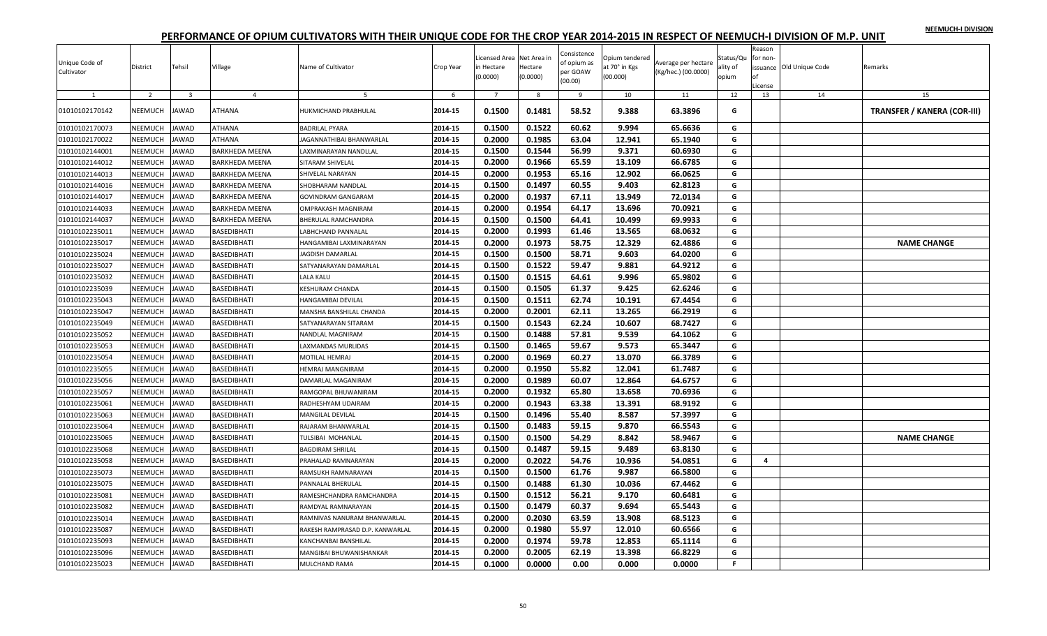|  |  | NEEMUCH-I DIVISION |
|--|--|--------------------|
|  |  |                    |

| Unique Code of<br>Cultivator | District       | Tehsil         | Village               | Name of Cultivator              | Crop Year | Licensed Area Net Area in<br>in Hectare<br>(0.0000) | Hectare<br>(0.0000) | Consistence<br>of opium as<br>per GOAW<br>(00.00) | Opium tendered<br>at 70° in Kgs<br>(00.000) | Average per hectare<br>(Kg/hec.) (00.0000) | Status/Qu<br>ality of<br>opium | Reason<br>for non<br>nf<br>License | issuance Old Unique Code | Remarks                            |
|------------------------------|----------------|----------------|-----------------------|---------------------------------|-----------|-----------------------------------------------------|---------------------|---------------------------------------------------|---------------------------------------------|--------------------------------------------|--------------------------------|------------------------------------|--------------------------|------------------------------------|
|                              | $\overline{2}$ | $\overline{3}$ | $\overline{4}$        | $\overline{a}$                  | -6        | $\overline{7}$                                      | 8                   | 9                                                 | 10                                          | 11                                         | 12                             | 13                                 | 14                       | 15                                 |
| 01010102170142               | NEEMUCH        | <b>JAWAD</b>   | <b>ATHANA</b>         | HUKMICHAND PRABHULAL            | 2014-15   | 0.1500                                              | 0.1481              | 58.52                                             | 9.388                                       | 63.3896                                    | G                              |                                    |                          | <b>TRANSFER / KANERA (COR-III)</b> |
| 01010102170073               | NEEMUCH        | <b>JAWAD</b>   | <b>ATHANA</b>         | <b>BADRILAL PYARA</b>           | 2014-15   | 0.1500                                              | 0.1522              | 60.62                                             | 9.994                                       | 65.6636                                    | G                              |                                    |                          |                                    |
| 01010102170022               | NEEMUCH        | <b>JAWAD</b>   | <b>ATHANA</b>         | JAGANNATHIBAI BHANWARLAL        | 2014-15   | 0.2000                                              | 0.1985              | 63.04                                             | 12.941                                      | 65.1940                                    | G                              |                                    |                          |                                    |
| 01010102144001               | NEEMUCH        | <b>JAWAD</b>   | <b>BARKHEDA MEENA</b> | LAXMINARAYAN NANDLLAL           | 2014-15   | 0.1500                                              | 0.1544              | 56.99                                             | 9.371                                       | 60.6930                                    | G                              |                                    |                          |                                    |
| 01010102144012               | NEEMUCH        | <b>JAWAD</b>   | <b>BARKHEDA MEENA</b> | SITARAM SHIVELAL                | 2014-15   | 0.2000                                              | 0.1966              | 65.59                                             | 13.109                                      | 66.6785                                    | G                              |                                    |                          |                                    |
| 01010102144013               | NEEMUCH        | <b>JAWAD</b>   | <b>BARKHEDA MEENA</b> | SHIVELAL NARAYAN                | 2014-15   | 0.2000                                              | 0.1953              | 65.16                                             | 12.902                                      | 66.0625                                    | G                              |                                    |                          |                                    |
| 01010102144016               | NEEMUCH        | <b>JAWAD</b>   | <b>BARKHEDA MEENA</b> | SHOBHARAM NANDLAL               | 2014-15   | 0.1500                                              | 0.1497              | 60.55                                             | 9.403                                       | 62.8123                                    | G                              |                                    |                          |                                    |
| 01010102144017               | NEEMUCH        | <b>JAWAD</b>   | <b>BARKHEDA MEENA</b> | <b>GOVINDRAM GANGARAM</b>       | 2014-15   | 0.2000                                              | 0.1937              | 67.11                                             | 13.949                                      | 72.0134                                    | G                              |                                    |                          |                                    |
| 01010102144033               | NEEMUCH        | <b>JAWAD</b>   | BARKHEDA MEENA        | OMPRAKASH MAGNIRAM              | 2014-15   | 0.2000                                              | 0.1954              | 64.17                                             | 13.696                                      | 70.0921                                    | G                              |                                    |                          |                                    |
| 01010102144037               | NEEMUCH        | <b>JAWAD</b>   | <b>BARKHEDA MEENA</b> | BHERULAL RAMCHANDRA             | 2014-15   | 0.1500                                              | 0.1500              | 64.41                                             | 10.499                                      | 69.9933                                    | G                              |                                    |                          |                                    |
| 01010102235011               | NEEMUCH        | <b>JAWAD</b>   | <b>BASEDIBHATI</b>    | LABHCHAND PANNALAL              | 2014-15   | 0.2000                                              | 0.1993              | 61.46                                             | 13.565                                      | 68.0632                                    | G                              |                                    |                          |                                    |
| 01010102235017               | NEEMUCH        | <b>JAWAD</b>   | <b>BASEDIBHATI</b>    | HANGAMIBAI LAXMINARAYAN         | 2014-15   | 0.2000                                              | 0.1973              | 58.75                                             | 12.329                                      | 62.4886                                    | G                              |                                    |                          | <b>NAME CHANGE</b>                 |
| 01010102235024               | NEEMUCH        | <b>JAWAD</b>   | <b>BASEDIBHATI</b>    | JAGDISH DAMARLAL                | 2014-15   | 0.1500                                              | 0.1500              | 58.71                                             | 9.603                                       | 64.0200                                    | G                              |                                    |                          |                                    |
| 01010102235027               | NEEMUCH        | <b>JAWAD</b>   | <b>BASEDIBHATI</b>    | SATYANARAYAN DAMARLAL           | 2014-15   | 0.1500                                              | 0.1522              | 59.47                                             | 9.881                                       | 64.9212                                    | G                              |                                    |                          |                                    |
| 01010102235032               | NEEMUCH        | <b>JAWAD</b>   | <b>BASEDIBHATI</b>    | <b>LALA KALU</b>                | 2014-15   | 0.1500                                              | 0.1515              | 64.61                                             | 9.996                                       | 65.9802                                    | G                              |                                    |                          |                                    |
| 01010102235039               | NEEMUCH        | <b>JAWAD</b>   | <b>BASEDIBHATI</b>    | KESHURAM CHANDA                 | 2014-15   | 0.1500                                              | 0.1505              | 61.37                                             | 9.425                                       | 62.6246                                    | G                              |                                    |                          |                                    |
| 01010102235043               | NEEMUCH        | <b>JAWAD</b>   | BASEDIBHATI           | HANGAMIBAI DEVILAL              | 2014-15   | 0.1500                                              | 0.1511              | 62.74                                             | 10.191                                      | 67.4454                                    | G                              |                                    |                          |                                    |
| 01010102235047               | NEEMUCH        | <b>JAWAD</b>   | BASEDIBHATI           | MANSHA BANSHILAL CHANDA         | 2014-15   | 0.2000                                              | 0.2001              | 62.11                                             | 13.265                                      | 66.2919                                    | G                              |                                    |                          |                                    |
| 01010102235049               | NEEMUCH        | <b>JAWAD</b>   | <b>BASEDIBHATI</b>    | SATYANARAYAN SITARAM            | 2014-15   | 0.1500                                              | 0.1543              | 62.24                                             | 10.607                                      | 68.7427                                    | G                              |                                    |                          |                                    |
| 01010102235052               | NEEMUCH        | JAWAD          | BASEDIBHATI           | NANDLAL MAGNIRAM                | 2014-15   | 0.1500                                              | 0.1488              | 57.81                                             | 9.539                                       | 64.1062                                    | G                              |                                    |                          |                                    |
| 01010102235053               | NEEMUCH        | <b>JAWAD</b>   | <b>BASEDIBHATI</b>    | LAXMANDAS MURLIDAS              | 2014-15   | 0.1500                                              | 0.1465              | 59.67                                             | 9.573                                       | 65.3447                                    | G                              |                                    |                          |                                    |
| 01010102235054               | NEEMUCH        | <b>JAWAD</b>   | <b>BASEDIBHATI</b>    | MOTILAL HEMRAJ                  | 2014-15   | 0.2000                                              | 0.1969              | 60.27                                             | 13.070                                      | 66.3789                                    | G                              |                                    |                          |                                    |
| 01010102235055               | NEEMUCH        | <b>JAWAD</b>   | BASEDIBHATI           | HEMRAJ MANGNIRAM                | 2014-15   | 0.2000                                              | 0.1950              | 55.82                                             | 12.041                                      | 61.7487                                    | G                              |                                    |                          |                                    |
| 01010102235056               | NEEMUCH        | <b>JAWAD</b>   | BASEDIBHATI           | DAMARLAL MAGANIRAM              | 2014-15   | 0.2000                                              | 0.1989              | 60.07                                             | 12.864                                      | 64.6757                                    | G                              |                                    |                          |                                    |
| 01010102235057               | NEEMUCH        | <b>JAWAD</b>   | <b>BASEDIBHATI</b>    | RAMGOPAL BHUWANIRAM             | 2014-15   | 0.2000                                              | 0.1932              | 65.80                                             | 13.658                                      | 70.6936                                    | G                              |                                    |                          |                                    |
| 01010102235061               | NEEMUCH        | <b>JAWAD</b>   | <b>BASEDIBHATI</b>    | RADHESHYAM UDAIRAM              | 2014-15   | 0.2000                                              | 0.1943              | 63.38                                             | 13.391                                      | 68.9192                                    | G                              |                                    |                          |                                    |
| 01010102235063               | NEEMUCH        | <b>JAWAD</b>   | <b>BASEDIBHATI</b>    | MANGILAL DEVILAL                | 2014-15   | 0.1500                                              | 0.1496              | 55.40                                             | 8.587                                       | 57.3997                                    | G                              |                                    |                          |                                    |
| 01010102235064               | NEEMUCH        | <b>JAWAD</b>   | <b>BASEDIBHATI</b>    | RAJARAM BHANWARLAL              | 2014-15   | 0.1500                                              | 0.1483              | 59.15                                             | 9.870                                       | 66.5543                                    | G                              |                                    |                          |                                    |
| 01010102235065               | NEEMUCH        | <b>JAWAD</b>   | <b>BASEDIBHATI</b>    | TULSIBAI MOHANLAL               | 2014-15   | 0.1500                                              | 0.1500              | 54.29                                             | 8.842                                       | 58.9467                                    | G                              |                                    |                          | <b>NAME CHANGE</b>                 |
| 01010102235068               | NEEMUCH        | <b>JAWAD</b>   | <b>BASEDIBHATI</b>    | <b>BAGDIRAM SHRILAL</b>         | 2014-15   | 0.1500                                              | 0.1487              | 59.15                                             | 9.489                                       | 63.8130                                    | G                              |                                    |                          |                                    |
| 01010102235058               | NEEMUCH        | <b>JAWAD</b>   | <b>BASEDIBHATI</b>    | PRAHALAD RAMNARAYAN             | 2014-15   | 0.2000                                              | 0.2022              | 54.76                                             | 10.936                                      | 54.0851                                    | G                              | 4                                  |                          |                                    |
| 01010102235073               | NEEMUCH        | <b>JAWAD</b>   | <b>BASEDIBHATI</b>    | RAMSUKH RAMNARAYAN              | 2014-15   | 0.1500                                              | 0.1500              | 61.76                                             | 9.987                                       | 66.5800                                    | G                              |                                    |                          |                                    |
| 01010102235075               | NEEMUCH        | <b>JAWAD</b>   | BASEDIBHATI           | PANNALAL BHERULAL               | 2014-15   | 0.1500                                              | 0.1488              | 61.30                                             | 10.036                                      | 67.4462                                    | G                              |                                    |                          |                                    |
| 01010102235081               | <b>NEEMUCH</b> | <b>JAWAD</b>   | <b>BASEDIBHATI</b>    | RAMESHCHANDRA RAMCHANDRA        | 2014-15   | 0.1500                                              | 0.1512              | 56.21                                             | 9.170                                       | 60.6481                                    | G                              |                                    |                          |                                    |
| 01010102235082               | NEEMUCH        | <b>JAWAD</b>   | <b>BASEDIBHATI</b>    | RAMDYAL RAMNARAYAN              | 2014-15   | 0.1500                                              | 0.1479              | 60.37                                             | 9.694                                       | 65.5443                                    | G                              |                                    |                          |                                    |
| 01010102235014               | NEEMUCH        | <b>JAWAD</b>   | BASEDIBHATI           | RAMNIVAS NANURAM BHANWARLAL     | 2014-15   | 0.2000                                              | 0.2030              | 63.59                                             | 13.908                                      | 68.5123                                    | G                              |                                    |                          |                                    |
| 01010102235087               | NEEMUCH        | <b>JAWAD</b>   | BASEDIBHATI           | RAKESH RAMPRASAD D.P. KANWARLAL | 2014-15   | 0.2000                                              | 0.1980              | 55.97                                             | 12.010                                      | 60.6566                                    | G                              |                                    |                          |                                    |
| 01010102235093               | NEEMUCH        | <b>JAWAD</b>   | <b>BASEDIBHATI</b>    | KANCHANBAI BANSHILAL            | 2014-15   | 0.2000                                              | 0.1974              | 59.78                                             | 12.853                                      | 65.1114                                    | G                              |                                    |                          |                                    |
| 01010102235096               | NEEMUCH        | <b>JAWAD</b>   | <b>BASEDIBHATI</b>    | MANGIBAI BHUWANISHANKAR         | 2014-15   | 0.2000                                              | 0.2005              | 62.19                                             | 13.398                                      | 66.8229                                    | G                              |                                    |                          |                                    |
| 01010102235023               | NEEMUCH        | <b>JAWAD</b>   | <b>BASEDIBHATI</b>    | MULCHAND RAMA                   | 2014-15   | 0.1000                                              | 0.0000              | 0.00                                              | 0.000                                       | 0.0000                                     | $\mathsf F$                    |                                    |                          |                                    |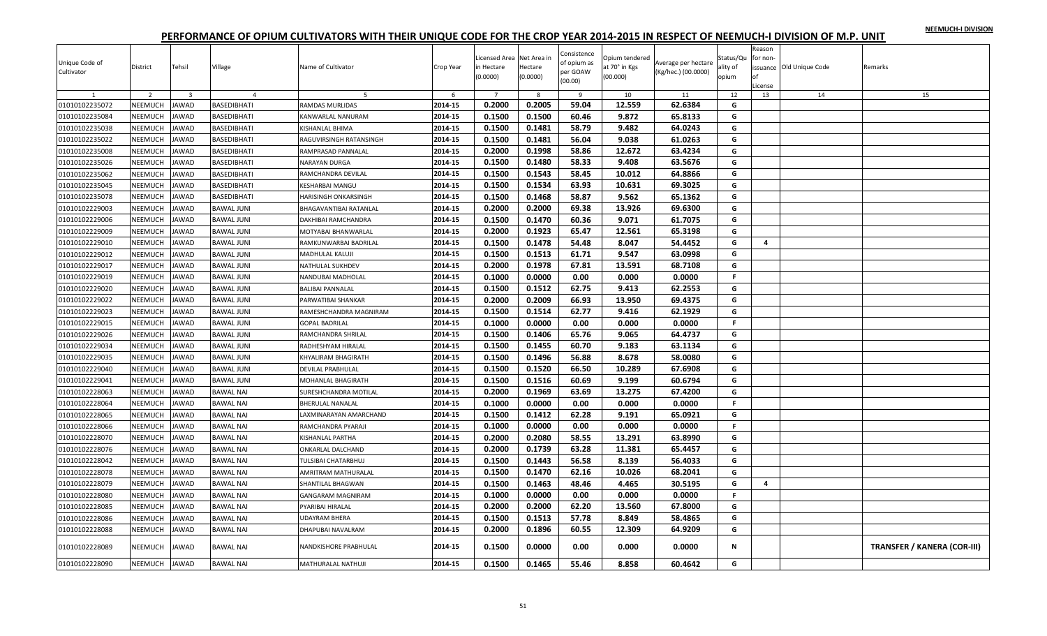|  |  | NEEMUCH-I DIVISION |
|--|--|--------------------|
|  |  |                    |

| Unique Code of<br>Cultivator | District       | Tehsil                  | Village           | Name of Cultivator         | Crop Year | Licensed Area Net Area in<br>n Hectare<br>(0.0000) | Hectare<br>(0.0000) | Consistence<br>of opium as<br>per GOAW<br>(00.00) | Opium tendered<br>at 70° in Kgs<br>(00.000) | Average per hectare<br>(Kg/hec.) (00.0000) | Status/Qu<br>ality of<br>opium | Reason<br>for non-<br>nf<br>License | issuance Old Unique Code | Remarks                            |
|------------------------------|----------------|-------------------------|-------------------|----------------------------|-----------|----------------------------------------------------|---------------------|---------------------------------------------------|---------------------------------------------|--------------------------------------------|--------------------------------|-------------------------------------|--------------------------|------------------------------------|
|                              | $\overline{2}$ | $\overline{\mathbf{3}}$ | $\overline{a}$    | 5                          | -6        | $\overline{7}$                                     | 8                   | $\mathbf{q}$                                      | 10                                          | 11                                         | 12                             | 13                                  | 14                       | 15                                 |
| 01010102235072               | NEEMUCH        | <b>JAWAD</b>            | BASEDIBHATI       | RAMDAS MURLIDAS            | 2014-15   | 0.2000                                             | 0.2005              | 59.04                                             | 12.559                                      | 62.6384                                    | G                              |                                     |                          |                                    |
| 01010102235084               | NEEMUCH        | <b>JAWAD</b>            | BASEDIBHATI       | KANWARLAL NANURAM          | 2014-15   | 0.1500                                             | 0.1500              | 60.46                                             | 9.872                                       | 65.8133                                    | G                              |                                     |                          |                                    |
| 01010102235038               | NEEMUCH        | <b>JAWAD</b>            | BASEDIBHATI       | KISHANLAL BHIMA            | 2014-15   | 0.1500                                             | 0.1481              | 58.79                                             | 9.482                                       | 64.0243                                    | G                              |                                     |                          |                                    |
| 01010102235022               | NEEMUCH        | <b>JAWAD</b>            | BASEDIBHATI       | RAGUVIRSINGH RATANSINGH    | 2014-15   | 0.1500                                             | 0.1481              | 56.04                                             | 9.038                                       | 61.0263                                    | G                              |                                     |                          |                                    |
| 01010102235008               | NEEMUCH        | <b>JAWAD</b>            | BASEDIBHATI       | RAMPRASAD PANNALAI         | 2014-15   | 0.2000                                             | 0.1998              | 58.86                                             | 12.672                                      | 63.4234                                    | G                              |                                     |                          |                                    |
| 01010102235026               | NEEMUCH        | <b>JAWAD</b>            | BASEDIBHATI       | NARAYAN DURGA              | 2014-15   | 0.1500                                             | 0.1480              | 58.33                                             | 9.408                                       | 63.5676                                    | G                              |                                     |                          |                                    |
| 01010102235062               | NEEMUCH        | <b>JAWAD</b>            | BASEDIBHATI       | RAMCHANDRA DEVILAL         | 2014-15   | 0.1500                                             | 0.1543              | 58.45                                             | 10.012                                      | 64.8866                                    | G                              |                                     |                          |                                    |
| 01010102235045               | NEEMUCH        | <b>JAWAD</b>            | BASEDIBHATI       | <b>KESHARBAI MANGU</b>     | 2014-15   | 0.1500                                             | 0.1534              | 63.93                                             | 10.631                                      | 69.3025                                    | G                              |                                     |                          |                                    |
| 01010102235078               | NEEMUCH        | <b>JAWAD</b>            | BASEDIBHATI       | HARISINGH ONKARSINGH       | 2014-15   | 0.1500                                             | 0.1468              | 58.87                                             | 9.562                                       | 65.1362                                    | G                              |                                     |                          |                                    |
| 01010102229003               | NEEMUCH        | <b>JAWAD</b>            | <b>BAWAL JUNI</b> | BHAGAVANTIBAI RATANLAL     | 2014-15   | 0.2000                                             | 0.2000              | 69.38                                             | 13.926                                      | 69.6300                                    | G                              |                                     |                          |                                    |
| 01010102229006               | NEEMUCH        | <b>JAWAD</b>            | <b>BAWAL JUNI</b> | DAKHIBAI RAMCHANDRA        | 2014-15   | 0.1500                                             | 0.1470              | 60.36                                             | 9.071                                       | 61.7075                                    | G                              |                                     |                          |                                    |
| 01010102229009               | NEEMUCH        | <b>JAWAD</b>            | <b>BAWAL JUNI</b> | MOTYABAI BHANWARLAL        | 2014-15   | 0.2000                                             | 0.1923              | 65.47                                             | 12.561                                      | 65.3198                                    | G                              |                                     |                          |                                    |
| 01010102229010               | NEEMUCH        | <b>JAWAD</b>            | <b>BAWAL JUNI</b> | RAMKUNWARBAI BADRILAL      | 2014-15   | 0.1500                                             | 0.1478              | 54.48                                             | 8.047                                       | 54.4452                                    | G                              | 4                                   |                          |                                    |
| 01010102229012               | NEEMUCH        | <b>JAWAD</b>            | BAWAL JUNI        | MADHULAL KALUJI            | 2014-15   | 0.1500                                             | 0.1513              | 61.71                                             | 9.547                                       | 63.0998                                    | G                              |                                     |                          |                                    |
| 01010102229017               | NEEMUCH        | <b>JAWAD</b>            | BAWAL JUNI        | NATHULAL SUKHDEV           | 2014-15   | 0.2000                                             | 0.1978              | 67.81                                             | 13.591                                      | 68.7108                                    | G                              |                                     |                          |                                    |
| 01010102229019               | NEEMUCH        | <b>JAWAD</b>            | <b>BAWAL JUNI</b> | NANDUBAI MADHOLAL          | 2014-15   | 0.1000                                             | 0.0000              | 0.00                                              | 0.000                                       | 0.0000                                     | F.                             |                                     |                          |                                    |
| 01010102229020               | NEEMUCH        | <b>JAWAD</b>            | BAWAL JUNI        | <b>BALIBAI PANNALAL</b>    | 2014-15   | 0.1500                                             | 0.1512              | 62.75                                             | 9.413                                       | 62.2553                                    | G                              |                                     |                          |                                    |
| 01010102229022               | NEEMUCH        | <b>JAWAD</b>            | <b>BAWAL JUNI</b> | PARWATIBAI SHANKAR         | 2014-15   | 0.2000                                             | 0.2009              | 66.93                                             | 13.950                                      | 69.4375                                    | G                              |                                     |                          |                                    |
| 01010102229023               | NEEMUCH        | <b>JAWAD</b>            | <b>BAWAL JUNI</b> | RAMESHCHANDRA MAGNIRAM     | 2014-15   | 0.1500                                             | 0.1514              | 62.77                                             | 9.416                                       | 62.1929                                    | G                              |                                     |                          |                                    |
| 01010102229015               | NEEMUCH        | <b>JAWAD</b>            | <b>BAWAL JUNI</b> | <b>GOPAL BADRILAL</b>      | 2014-15   | 0.1000                                             | 0.0000              | 0.00                                              | 0.000                                       | 0.0000                                     | F.                             |                                     |                          |                                    |
| 01010102229026               | NEEMUCH        | <b>JAWAD</b>            | BAWAL JUNI        | RAMCHANDRA SHRILAL         | 2014-15   | 0.1500                                             | 0.1406              | 65.76                                             | 9.065                                       | 64.4737                                    | G                              |                                     |                          |                                    |
| 01010102229034               | NEEMUCH        | <b>JAWAD</b>            | BAWAL JUNI        | RADHESHYAM HIRALAL         | 2014-15   | 0.1500                                             | 0.1455              | 60.70                                             | 9.183                                       | 63.1134                                    | G                              |                                     |                          |                                    |
| 01010102229035               | NEEMUCH        | <b>JAWAD</b>            | <b>BAWAL JUNI</b> | <b>KHYALIRAM BHAGIRATH</b> | 2014-15   | 0.1500                                             | 0.1496              | 56.88                                             | 8.678                                       | 58.0080                                    | G                              |                                     |                          |                                    |
| 01010102229040               | NEEMUCH        | <b>JAWAD</b>            | <b>BAWAL JUNI</b> | <b>DEVILAL PRABHULAL</b>   | 2014-15   | 0.1500                                             | 0.1520              | 66.50                                             | 10.289                                      | 67.6908                                    | G                              |                                     |                          |                                    |
| 01010102229041               | NEEMUCH        | <b>JAWAD</b>            | BAWAL JUNI        | MOHANLAL BHAGIRATH         | 2014-15   | 0.1500                                             | 0.1516              | 60.69                                             | 9.199                                       | 60.6794                                    | G                              |                                     |                          |                                    |
| 01010102228063               | NEEMUCH        | <b>JAWAD</b>            | BAWAL NAI         | SURESHCHANDRA MOTILAL      | 2014-15   | 0.2000                                             | 0.1969              | 63.69                                             | 13.275                                      | 67.4200                                    | G                              |                                     |                          |                                    |
| 01010102228064               | NEEMUCH        | <b>JAWAD</b>            | <b>BAWAL NAI</b>  | <b>BHERULAL NANALAL</b>    | 2014-15   | 0.1000                                             | 0.0000              | 0.00                                              | 0.000                                       | 0.0000                                     | F.                             |                                     |                          |                                    |
| 01010102228065               | NEEMUCH        | <b>JAWAD</b>            | BAWAL NAI         | LAXMINARAYAN AMARCHAND     | 2014-15   | 0.1500                                             | 0.1412              | 62.28                                             | 9.191                                       | 65.0921                                    | G                              |                                     |                          |                                    |
| 01010102228066               | NEEMUCH        | <b>JAWAD</b>            | <b>BAWAL NAI</b>  | RAMCHANDRA PYARAJI         | 2014-15   | 0.1000                                             | 0.0000              | 0.00                                              | 0.000                                       | 0.0000                                     | $\mathbb F$                    |                                     |                          |                                    |
| 01010102228070               | NEEMUCH        | <b>JAWAD</b>            | <b>BAWAL NAI</b>  | KISHANLAL PARTHA           | 2014-15   | 0.2000                                             | 0.2080              | 58.55                                             | 13.291                                      | 63.8990                                    | G                              |                                     |                          |                                    |
| 01010102228076               | NEEMUCH        | <b>JAWAD</b>            | <b>BAWAL NAI</b>  | ONKARLAL DALCHAND          | 2014-15   | 0.2000                                             | 0.1739              | 63.28                                             | 11.381                                      | 65.4457                                    | G                              |                                     |                          |                                    |
| 01010102228042               | NEEMUCH        | <b>JAWAD</b>            | <b>BAWAL NAI</b>  | TULSIBAI CHATARBHUJ        | 2014-15   | 0.1500                                             | 0.1443              | 56.58                                             | 8.139                                       | 56.4033                                    | G                              |                                     |                          |                                    |
| 01010102228078               | NEEMUCH        | <b>JAWAD</b>            | BAWAL NAI         | AMRITRAM MATHURALAL        | 2014-15   | 0.1500                                             | 0.1470              | 62.16                                             | 10.026                                      | 68.2041                                    | G                              |                                     |                          |                                    |
| 01010102228079               | NEEMUCH        | <b>JAWAD</b>            | <b>BAWAL NAI</b>  | SHANTILAL BHAGWAN          | 2014-15   | 0.1500                                             | 0.1463              | 48.46                                             | 4.465                                       | 30.5195                                    | G                              | 4                                   |                          |                                    |
| 01010102228080               | NEEMUCH        | <b>JAWAD</b>            | <b>BAWAL NAI</b>  | <b>GANGARAM MAGNIRAM</b>   | 2014-15   | 0.1000                                             | 0.0000              | 0.00                                              | 0.000                                       | 0.0000                                     | F.                             |                                     |                          |                                    |
| 01010102228085               | NEEMUCH        | <b>JAWAD</b>            | BAWAL NAI         | PYARIBAI HIRALAL           | 2014-15   | 0.2000                                             | 0.2000              | 62.20                                             | 13.560                                      | 67.8000                                    | G                              |                                     |                          |                                    |
| 01010102228086               | NEEMUCH        | <b>JAWAD</b>            | BAWAL NAI         | <b>UDAYRAM BHERA</b>       | 2014-15   | 0.1500                                             | 0.1513              | 57.78                                             | 8.849                                       | 58.4865                                    | G                              |                                     |                          |                                    |
| 01010102228088               | NEEMUCH        | <b>JAWAD</b>            | <b>BAWAL NAI</b>  | DHAPUBAI NAVALRAM          | 2014-15   | 0.2000                                             | 0.1896              | 60.55                                             | 12.309                                      | 64.9209                                    | G                              |                                     |                          |                                    |
| 01010102228089               | NEEMUCH        | <b>JAWAD</b>            | <b>BAWAL NAI</b>  | NANDKISHORE PRABHULAL      | 2014-15   | 0.1500                                             | 0.0000              | 0.00                                              | 0.000                                       | 0.0000                                     | N                              |                                     |                          | <b>TRANSFER / KANERA (COR-III)</b> |
| 01010102228090               | NEEMUCH        | <b>JAWAD</b>            | <b>BAWAL NAI</b>  | MATHURALAL NATHUJI         | 2014-15   | 0.1500                                             | 0.1465              | 55.46                                             | 8.858                                       | 60.4642                                    | G                              |                                     |                          |                                    |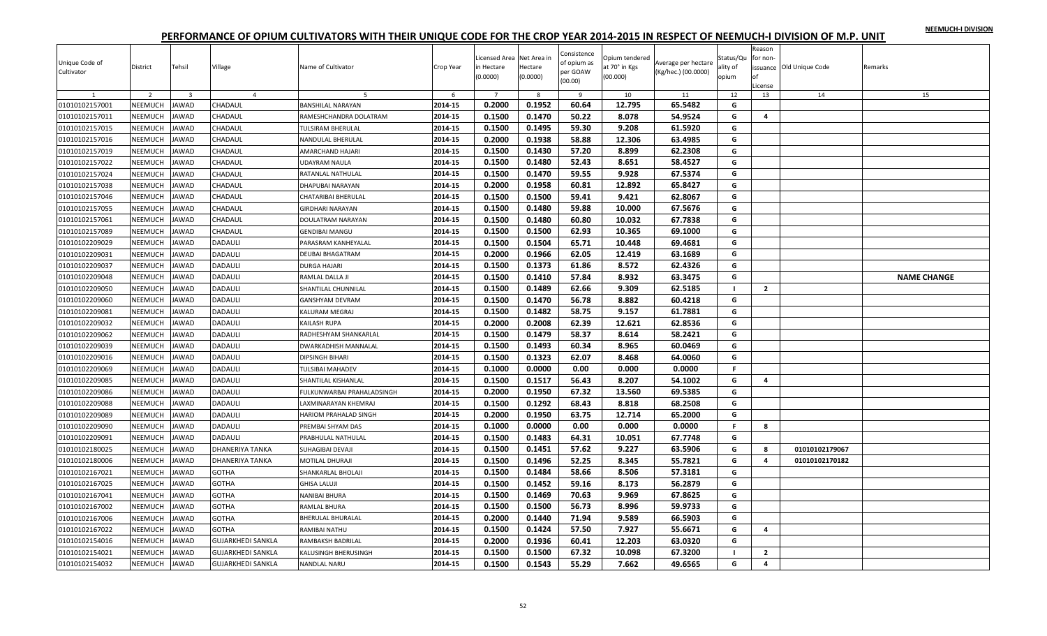|  |  | NEEMUCH-I DIVISION |
|--|--|--------------------|
|  |  |                    |

| Unique Code of<br>Cultivator | District       | Tehsil                  | Village                  | Name of Cultivator           | Crop Year | Licensed Area Net Area in<br>in Hectare<br>(0.0000) | Hectare<br>(0.0000) | Consistence<br>of opium as<br>per GOAW<br>(00.00) | Opium tendered<br>at 70° in Kgs<br>(00.000) | Average per hectare<br>(Kg/hec.) (00.0000) | Status/Qu<br>ality of<br>opium | Reason<br>for non-<br>nf<br>.icense | issuance Old Unique Code | Remarks            |
|------------------------------|----------------|-------------------------|--------------------------|------------------------------|-----------|-----------------------------------------------------|---------------------|---------------------------------------------------|---------------------------------------------|--------------------------------------------|--------------------------------|-------------------------------------|--------------------------|--------------------|
| 1                            | $\overline{2}$ | $\overline{\mathbf{3}}$ | $\overline{4}$           | 5                            | 6         | $\overline{7}$                                      | 8                   | 9                                                 | 10                                          | 11                                         | 12                             | 13                                  | 14                       | 15                 |
| 01010102157001               | NEEMUCH        | <b>JAWAD</b>            | CHADAUL                  | <b>BANSHILAL NARAYAN</b>     | 2014-15   | 0.2000                                              | 0.1952              | 60.64                                             | 12.795                                      | 65.5482                                    | G                              |                                     |                          |                    |
| 01010102157011               | NEEMUCH        | AWAD                    | CHADAUL                  | RAMESHCHANDRA DOLATRAM       | 2014-15   | 0.1500                                              | 0.1470              | 50.22                                             | 8.078                                       | 54.9524                                    | G                              | $\overline{4}$                      |                          |                    |
| 01010102157015               | NEEMUCH        | AWAD                    | CHADAUL                  | TULSIRAM BHERULAL            | 2014-15   | 0.1500                                              | 0.1495              | 59.30                                             | 9.208                                       | 61.5920                                    | G                              |                                     |                          |                    |
| 01010102157016               | NEEMUCH        | AWAD                    | CHADAUL                  | NANDULAL BHERULAL            | 2014-15   | 0.2000                                              | 0.1938              | 58.88                                             | 12.306                                      | 63.4985                                    | G                              |                                     |                          |                    |
| 01010102157019               | NEEMUCH        | AWAD                    | CHADAUL                  | AMARCHAND HAJARI             | 2014-15   | 0.1500                                              | 0.1430              | 57.20                                             | 8.899                                       | 62.2308                                    | G                              |                                     |                          |                    |
| 01010102157022               | NEEMUCH        | AWAD                    | CHADAUL                  | JDAYRAM NAULA                | 2014-15   | 0.1500                                              | 0.1480              | 52.43                                             | 8.651                                       | 58.4527                                    | G                              |                                     |                          |                    |
| 01010102157024               | NEEMUCH        | <b>IAWAD</b>            | CHADAUL                  | RATANLAL NATHULAL            | 2014-15   | 0.1500                                              | 0.1470              | 59.55                                             | 9.928                                       | 67.5374                                    | G                              |                                     |                          |                    |
| 01010102157038               | NEEMUCH        | AWAD                    | CHADAUL                  | DHAPUBAI NARAYAN             | 2014-15   | 0.2000                                              | 0.1958              | 60.81                                             | 12.892                                      | 65.8427                                    | G                              |                                     |                          |                    |
| 01010102157046               | NEEMUCH        | AWAD                    | CHADAUL                  | CHATARIBAI BHERULAL          | 2014-15   | 0.1500                                              | 0.1500              | 59.41                                             | 9.421                                       | 62.8067                                    | G                              |                                     |                          |                    |
| 01010102157055               | NEEMUCH        | <b>AWAD</b>             | CHADAUL                  | GIRDHARI NARAYAN             | 2014-15   | 0.1500                                              | 0.1480              | 59.88                                             | 10.000                                      | 67.5676                                    | G                              |                                     |                          |                    |
| 01010102157061               | NEEMUCH        | AWAD                    | CHADAUL                  | DOULATRAM NARAYAN            | 2014-15   | 0.1500                                              | 0.1480              | 60.80                                             | 10.032                                      | 67.7838                                    | G                              |                                     |                          |                    |
| 01010102157089               | NEEMUCH        | AWAD                    | CHADAUL                  | <b>GENDIBAI MANGU</b>        | 2014-15   | 0.1500                                              | 0.1500              | 62.93                                             | 10.365                                      | 69.1000                                    | G                              |                                     |                          |                    |
| 01010102209029               | NEEMUCH        | AWAD                    | DADAULI                  | PARASRAM KANHEYALAL          | 2014-15   | 0.1500                                              | 0.1504              | 65.71                                             | 10.448                                      | 69.4681                                    | G                              |                                     |                          |                    |
| 01010102209031               | NEEMUCH        | AWAD                    | DADAULI                  | <b>DEUBAI BHAGATRAM</b>      | 2014-15   | 0.2000                                              | 0.1966              | 62.05                                             | 12.419                                      | 63.1689                                    | G                              |                                     |                          |                    |
| 01010102209037               | NEEMUCH        | AWAD                    | <b>DADAULI</b>           | <b>DURGA HAJARI</b>          | 2014-15   | 0.1500                                              | 0.1373              | 61.86                                             | 8.572                                       | 62.4326                                    | G                              |                                     |                          |                    |
| 01010102209048               | NEEMUCH        | AWAD                    | DADAULI                  | RAMLAL DALLA JI              | 2014-15   | 0.1500                                              | 0.1410              | 57.84                                             | 8.932                                       | 63.3475                                    | G                              |                                     |                          | <b>NAME CHANGE</b> |
| 01010102209050               | NEEMUCH        | AWAD                    | DADAULI                  | SHANTILAL CHUNNILAL          | 2014-15   | 0.1500                                              | 0.1489              | 62.66                                             | 9.309                                       | 62.5185                                    | $\blacksquare$                 | $\overline{2}$                      |                          |                    |
| 01010102209060               | NEEMUCH        | <b>JAWAD</b>            | <b>DADAULI</b>           | GANSHYAM DEVRAM              | 2014-15   | 0.1500                                              | 0.1470              | 56.78                                             | 8.882                                       | 60.4218                                    | G                              |                                     |                          |                    |
| 01010102209081               | NEEMUCH        | <b>IAWAD</b>            | <b>DADAULI</b>           | KALURAM MEGRAJ               | 2014-15   | 0.1500                                              | 0.1482              | 58.75                                             | 9.157                                       | 61.7881                                    | G                              |                                     |                          |                    |
| 01010102209032               | NEEMUCH        | <b>JAWAD</b>            | <b>DADAULI</b>           | KAILASH RUPA                 | 2014-15   | 0.2000                                              | 0.2008              | 62.39                                             | 12.621                                      | 62.8536                                    | G                              |                                     |                          |                    |
| 01010102209062               | NEEMUCH        | <b>JAWAD</b>            | DADAULI                  | RADHESHYAM SHANKARLAL        | 2014-15   | 0.1500                                              | 0.1479              | 58.37                                             | 8.614                                       | 58.2421                                    | G                              |                                     |                          |                    |
| 01010102209039               | <b>NEEMUCH</b> | AWAD                    | DADAULI                  | DWARKADHISH MANNALAL         | 2014-15   | 0.1500                                              | 0.1493              | 60.34                                             | 8.965                                       | 60.0469                                    | G                              |                                     |                          |                    |
| 01010102209016               | NEEMUCH        | AWAD                    | DADAULI                  | DIPSINGH BIHARI              | 2014-15   | 0.1500                                              | 0.1323              | 62.07                                             | 8.468                                       | 64.0060                                    | G                              |                                     |                          |                    |
| 01010102209069               | NEEMUCH        | AWAD                    | DADAULI                  | <b>TULSIBAI MAHADEV</b>      | 2014-15   | 0.1000                                              | 0.0000              | 0.00                                              | 0.000                                       | 0.0000                                     | F.                             |                                     |                          |                    |
| 01010102209085               | NEEMUCH        | AWAD                    | DADAULI                  | SHANTILAL KISHANLAL          | 2014-15   | 0.1500                                              | 0.1517              | 56.43                                             | 8.207                                       | 54.1002                                    | G                              | 4                                   |                          |                    |
| 01010102209086               | NEEMUCH        | AWAD                    | DADAULI                  | FULKUNWARBAI PRAHALADSINGH   | 2014-15   | 0.2000                                              | 0.1950              | 67.32                                             | 13.560                                      | 69.5385                                    | G                              |                                     |                          |                    |
| 01010102209088               | NEEMUCH        | <b>IAWAD</b>            | <b>DADAULI</b>           | AXMINARAYAN KHEMRAJ          | 2014-15   | 0.1500                                              | 0.1292              | 68.43                                             | 8.818                                       | 68.2508                                    | G                              |                                     |                          |                    |
| 01010102209089               | NEEMUCH        | AWAD                    | <b>DADAULI</b>           | <b>HARIOM PRAHALAD SINGH</b> | 2014-15   | 0.2000                                              | 0.1950              | 63.75                                             | 12.714                                      | 65.2000                                    | G                              |                                     |                          |                    |
| 01010102209090               | NEEMUCH        | <b>JAWAD</b>            | DADAULI                  | PREMBAI SHYAM DAS            | 2014-15   | 0.1000                                              | 0.0000              | 0.00                                              | 0.000                                       | 0.0000                                     | F.                             | 8                                   |                          |                    |
| 01010102209091               | NEEMUCH        | AWAD                    | <b>DADAULI</b>           | PRABHULAL NATHULAL           | 2014-15   | 0.1500                                              | 0.1483              | 64.31                                             | 10.051                                      | 67.7748                                    | G                              |                                     |                          |                    |
| 01010102180025               | NEEMUCH        | AWAD                    | DHANERIYA TANKA          | SUHAGIBAI DEVAJI             | 2014-15   | 0.1500                                              | 0.1451              | 57.62                                             | 9.227                                       | 63.5906                                    | G                              | 8                                   | 01010102179067           |                    |
| 01010102180006               | NEEMUCH        | <b>JAWAD</b>            | DHANERIYA TANKA          | MOTILAL DHURAJI              | 2014-15   | 0.1500                                              | 0.1496              | 52.25                                             | 8.345                                       | 55.7821                                    | G                              | 4                                   | 01010102170182           |                    |
| 01010102167021               | NEEMUCH        | AWAD                    | <b>GOTHA</b>             | SHANKARLAL BHOLAJI           | 2014-15   | 0.1500                                              | 0.1484              | 58.66                                             | 8.506                                       | 57.3181                                    | G                              |                                     |                          |                    |
| 01010102167025               | NEEMUCH        | AWAD                    | <b>GOTHA</b>             | GHISA LALUJI                 | 2014-15   | 0.1500                                              | 0.1452              | 59.16                                             | 8.173                                       | 56.2879                                    | G                              |                                     |                          |                    |
| 01010102167041               | NEEMUCH        | <b>AWAD</b>             | <b>GOTHA</b>             | NANIBAI BHURA                | 2014-15   | 0.1500                                              | 0.1469              | 70.63                                             | 9.969                                       | 67.8625                                    | G                              |                                     |                          |                    |
| 01010102167002               | NEEMUCH        | AWAD                    | GOTHA                    | RAMLAL BHURA                 | 2014-15   | 0.1500                                              | 0.1500              | 56.73                                             | 8.996                                       | 59.9733                                    | G                              |                                     |                          |                    |
| 01010102167006               | NEEMUCH        | AWAD                    | <b>GOTHA</b>             | <b>BHERULAL BHURALAL</b>     | 2014-15   | 0.2000                                              | 0.1440              | 71.94                                             | 9.589                                       | 66.5903                                    | G                              |                                     |                          |                    |
| 01010102167022               | NEEMUCH        | AWAD                    | <b>GOTHA</b>             | RAMIBAI NATHU                | 2014-15   | 0.1500                                              | 0.1424              | 57.50                                             | 7.927                                       | 55.6671                                    | G                              | 4                                   |                          |                    |
| 01010102154016               | <b>NEEMUCH</b> | <b>AWAD</b>             | GUJARKHEDI SANKLA        | RAMBAKSH BADRILAL            | 2014-15   | 0.2000                                              | 0.1936              | 60.41                                             | 12.203                                      | 63.0320                                    | G                              |                                     |                          |                    |
| 01010102154021               | NEEMUCH        | <b>JAWAD</b>            | GUJARKHEDI SANKLA        | KALUSINGH BHERUSINGH         | 2014-15   | 0.1500                                              | 0.1500              | 67.32                                             | 10.098                                      | 67.3200                                    | $\blacksquare$                 | $\overline{2}$                      |                          |                    |
| 01010102154032               | <b>NEEMUCH</b> | <b>JAWAD</b>            | <b>GUJARKHEDI SANKLA</b> | NANDLAL NARU                 | 2014-15   | 0.1500                                              | 0.1543              | 55.29                                             | 7.662                                       | 49.6565                                    | G                              | 4                                   |                          |                    |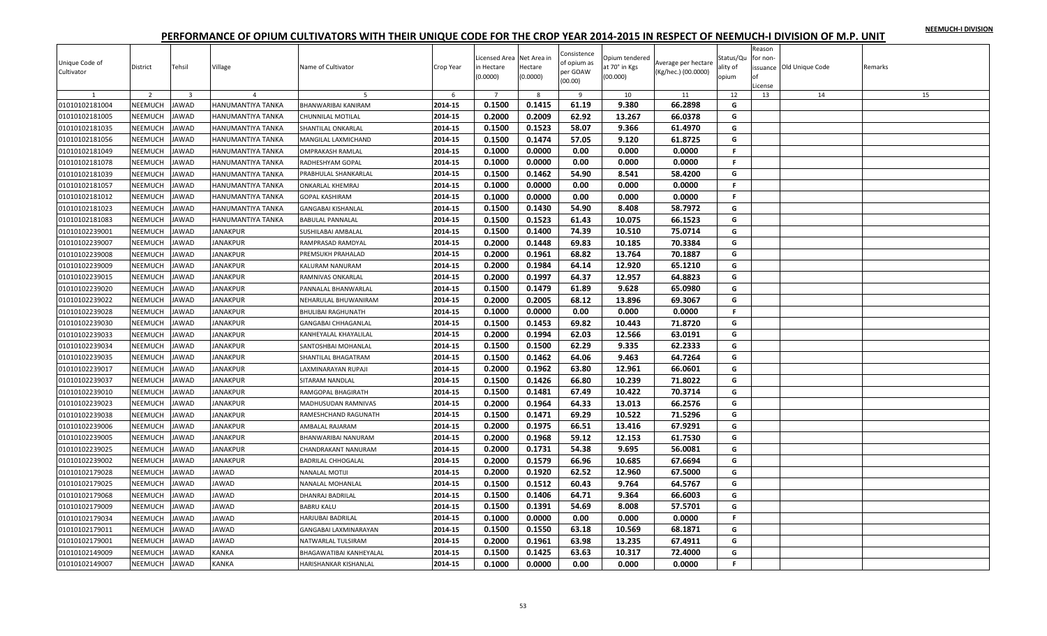| NEEMUCH-I DIVISION |  |
|--------------------|--|
|                    |  |

| Unique Code of<br>Cultivator | District       | Tehsil                  | Village           | Name of Cultivator        | Crop Year | Licensed Area Net Area in<br>in Hectare<br>(0.0000) | Hectare<br>(0.0000) | Consistence<br>of opium as<br>per GOAW<br>(00.00) | Opium tendered<br>at 70° in Kgs<br>(00.000) | Average per hectare<br>(Kg/hec.) (00.0000) | Status/Qu<br>ality of<br>opium | Reason<br>for non-<br>nf<br>License | issuance Old Unique Code | Remarks |
|------------------------------|----------------|-------------------------|-------------------|---------------------------|-----------|-----------------------------------------------------|---------------------|---------------------------------------------------|---------------------------------------------|--------------------------------------------|--------------------------------|-------------------------------------|--------------------------|---------|
|                              | $\overline{z}$ | $\overline{\mathbf{3}}$ | $\overline{a}$    |                           | -6        | $\overline{7}$                                      | 8                   | $\overline{9}$                                    | 10                                          | 11                                         | 12                             | 13                                  | 14                       | 15      |
| 01010102181004               | NEEMUCH        | AWAD                    | HANUMANTIYA TANKA | BHANWARIBAI KANIRAM       | 2014-15   | 0.1500                                              | 0.1415              | 61.19                                             | 9.380                                       | 66.2898                                    | G                              |                                     |                          |         |
| 01010102181005               | NEEMUCH        | AWAD                    | HANUMANTIYA TANKA | CHUNNILAL MOTILAL         | 2014-15   | 0.2000                                              | 0.2009              | 62.92                                             | 13.267                                      | 66.0378                                    | G                              |                                     |                          |         |
| 01010102181035               | NEEMUCH        | AWAD                    | HANUMANTIYA TANKA | SHANTILAL ONKARLAL        | 2014-15   | 0.1500                                              | 0.1523              | 58.07                                             | 9.366                                       | 61.4970                                    | G                              |                                     |                          |         |
| 01010102181056               | NEEMUCH        | AWAD                    | HANUMANTIYA TANKA | MANGILAL LAXMICHAND       | 2014-15   | 0.1500                                              | 0.1474              | 57.05                                             | 9.120                                       | 61.8725                                    | G                              |                                     |                          |         |
| 01010102181049               | <b>NEEMUCH</b> | AWAD                    | HANUMANTIYA TANKA | <b>OMPRAKASH RAMLAL</b>   | 2014-15   | 0.1000                                              | 0.0000              | 0.00                                              | 0.000                                       | 0.0000                                     | F.                             |                                     |                          |         |
| 01010102181078               | NEEMUCH        | <b>JAWAD</b>            | HANUMANTIYA TANKA | RADHESHYAM GOPAL          | 2014-15   | 0.1000                                              | 0.0000              | 0.00                                              | 0.000                                       | 0.0000                                     | F.                             |                                     |                          |         |
| 01010102181039               | NEEMUCH        | <b>JAWAD</b>            | HANUMANTIYA TANKA | PRABHULAL SHANKARLAL      | 2014-15   | 0.1500                                              | 0.1462              | 54.90                                             | 8.541                                       | 58.4200                                    | G                              |                                     |                          |         |
| 01010102181057               | NEEMUCH        | <b>JAWAD</b>            | HANUMANTIYA TANKA | <b>ONKARLAL KHEMRAJ</b>   | 2014-15   | 0.1000                                              | 0.0000              | 0.00                                              | 0.000                                       | 0.0000                                     | F.                             |                                     |                          |         |
| 01010102181012               | <b>NEEMUCH</b> | AWAD                    | HANUMANTIYA TANKA | GOPAL KASHIRAM            | 2014-15   | 0.1000                                              | 0.0000              | 0.00                                              | 0.000                                       | 0.0000                                     | F.                             |                                     |                          |         |
| 01010102181023               | NEEMUCH        | <b>JAWAD</b>            | HANUMANTIYA TANKA | GANGABAI KISHANLAL        | 2014-15   | 0.1500                                              | 0.1430              | 54.90                                             | 8.408                                       | 58.7972                                    | G                              |                                     |                          |         |
| 01010102181083               | NEEMUCH        | AWAD                    | HANUMANTIYA TANKA | <b>BABULAL PANNALAL</b>   | 2014-15   | 0.1500                                              | 0.1523              | 61.43                                             | 10.075                                      | 66.1523                                    | G                              |                                     |                          |         |
| 01010102239001               | NEEMUCH        | AWAD                    | <b>JANAKPUR</b>   | SUSHILABAI AMBALAL        | 2014-15   | 0.1500                                              | 0.1400              | 74.39                                             | 10.510                                      | 75.0714                                    | G                              |                                     |                          |         |
| 01010102239007               | NEEMUCH        | AWAD                    | <b>JANAKPUR</b>   | RAMPRASAD RAMDYAL         | 2014-15   | 0.2000                                              | 0.1448              | 69.83                                             | 10.185                                      | 70.3384                                    | G                              |                                     |                          |         |
| 01010102239008               | NEEMUCH        | AWAD                    | JANAKPUR          | PREMSUKH PRAHALAD         | 2014-15   | 0.2000                                              | 0.1961              | 68.82                                             | 13.764                                      | 70.1887                                    | G                              |                                     |                          |         |
| 01010102239009               | NEEMUCH        | <b>IAWAD</b>            | <b>JANAKPUR</b>   | KALURAM NANURAM           | 2014-15   | 0.2000                                              | 0.1984              | 64.14                                             | 12.920                                      | 65.1210                                    | G                              |                                     |                          |         |
| 01010102239015               | NEEMUCH        | AWAD                    | JANAKPUR          | RAMNIVAS ONKARLAL         | 2014-15   | 0.2000                                              | 0.1997              | 64.37                                             | 12.957                                      | 64.8823                                    | G                              |                                     |                          |         |
| 01010102239020               | NEEMUCH        | AWAD                    | JANAKPUR          | PANNALAL BHANWARLAL       | 2014-15   | 0.1500                                              | 0.1479              | 61.89                                             | 9.628                                       | 65.0980                                    | G                              |                                     |                          |         |
| 01010102239022               | NEEMUCH        | <b>JAWAD</b>            | <b>JANAKPUR</b>   | NEHARULAL BHUWANIRAM      | 2014-15   | 0.2000                                              | 0.2005              | 68.12                                             | 13.896                                      | 69.3067                                    | G                              |                                     |                          |         |
| 01010102239028               | NEEMUCH        | <b>JAWAD</b>            | <b>JANAKPUR</b>   | <b>BHULIBAI RAGHUNATH</b> | 2014-15   | 0.1000                                              | 0.0000              | 0.00                                              | 0.000                                       | 0.0000                                     | F.                             |                                     |                          |         |
| 01010102239030               | <b>NEEMUCH</b> | AWAD                    | <b>JANAKPUR</b>   | GANGABAI CHHAGANLAL       | 2014-15   | 0.1500                                              | 0.1453              | 69.82                                             | 10.443                                      | 71.8720                                    | G                              |                                     |                          |         |
| 01010102239033               | NEEMUCH        | <b>JAWAD</b>            | <b>JANAKPUR</b>   | KANHEYALAL KHAYALILAL     | 2014-15   | 0.2000                                              | 0.1994              | 62.03                                             | 12.566                                      | 63.0191                                    | G                              |                                     |                          |         |
| 01010102239034               | NEEMUCH        | AWAD                    | <b>JANAKPUR</b>   | SANTOSHBAI MOHANLAL       | 2014-15   | 0.1500                                              | 0.1500              | 62.29                                             | 9.335                                       | 62.2333                                    | G                              |                                     |                          |         |
| 01010102239035               | <b>NEEMUCH</b> | AWAD                    | <b>JANAKPUR</b>   | SHANTILAL BHAGATRAM       | 2014-15   | 0.1500                                              | 0.1462              | 64.06                                             | 9.463                                       | 64.7264                                    | G                              |                                     |                          |         |
| 01010102239017               | NEEMUCH        | AWAD                    | JANAKPUR          | AXMINARAYAN RUPAJI        | 2014-15   | 0.2000                                              | 0.1962              | 63.80                                             | 12.961                                      | 66.0601                                    | G                              |                                     |                          |         |
| 01010102239037               | NEEMUCH        | AWAD                    | JANAKPUR          | SITARAM NANDLAL           | 2014-15   | 0.1500                                              | 0.1426              | 66.80                                             | 10.239                                      | 71.8022                                    | G                              |                                     |                          |         |
| 01010102239010               | NEEMUCH        | AWAD                    | <b>JANAKPUR</b>   | RAMGOPAL BHAGIRATH        | 2014-15   | 0.1500                                              | 0.1481              | 67.49                                             | 10.422                                      | 70.3714                                    | G                              |                                     |                          |         |
| 01010102239023               | <b>NEEMUCH</b> | <b>JAWAD</b>            | <b>JANAKPUR</b>   | MADHUSUDAN RAMNIVAS       | 2014-15   | 0.2000                                              | 0.1964              | 64.33                                             | 13.013                                      | 66.2576                                    | G                              |                                     |                          |         |
| 01010102239038               | NEEMUCH        | <b>JAWAD</b>            | JANAKPUR          | RAMESHCHAND RAGUNATH      | 2014-15   | 0.1500                                              | 0.1471              | 69.29                                             | 10.522                                      | 71.5296                                    | G                              |                                     |                          |         |
| 01010102239006               | NEEMUCH        | <b>JAWAD</b>            | <b>JANAKPUR</b>   | AMBALAL RAJARAM           | 2014-15   | 0.2000                                              | 0.1975              | 66.51                                             | 13.416                                      | 67.9291                                    | G                              |                                     |                          |         |
| 01010102239005               | NEEMUCH        | AWAD                    | <b>JANAKPUR</b>   | BHANWARIBAI NANURAM       | 2014-15   | 0.2000                                              | 0.1968              | 59.12                                             | 12.153                                      | 61.7530                                    | G                              |                                     |                          |         |
| 01010102239025               | NEEMUCH        | AWAD                    | <b>JANAKPUR</b>   | CHANDRAKANT NANURAM       | 2014-15   | 0.2000                                              | 0.1731              | 54.38                                             | 9.695                                       | 56.0081                                    | G                              |                                     |                          |         |
| 01010102239002               | NEEMUCH        | <b>JAWAD</b>            | <b>JANAKPUR</b>   | <b>BADRILAL CHHOGALAL</b> | 2014-15   | 0.2000                                              | 0.1579              | 66.96                                             | 10.685                                      | 67.6694                                    | G                              |                                     |                          |         |
| 01010102179028               | NEEMUCH        | AWAD                    | JAWAD             | NANALAL MOTIJI            | 2014-15   | 0.2000                                              | 0.1920              | 62.52                                             | 12.960                                      | 67.5000                                    | G                              |                                     |                          |         |
| 01010102179025               | NEEMUCH        | AWAD                    | <b>JAWAD</b>      | NANALAL MOHANLAL          | 2014-15   | 0.1500                                              | 0.1512              | 60.43                                             | 9.764                                       | 64.5767                                    | G                              |                                     |                          |         |
| 01010102179068               | NEEMUCH        | AWAD                    | <b>JAWAD</b>      | <b>DHANRAJ BADRILAL</b>   | 2014-15   | 0.1500                                              | 0.1406              | 64.71                                             | 9.364                                       | 66.6003                                    | G                              |                                     |                          |         |
| 01010102179009               | NEEMUCH        | <b>JAWAD</b>            | JAWAD             | <b>BABRU KALU</b>         | 2014-15   | 0.1500                                              | 0.1391              | 54.69                                             | 8.008                                       | 57.5701                                    | G                              |                                     |                          |         |
| 01010102179034               | NEEMUCH        | <b>IAWAD</b>            | <b>JAWAD</b>      | HARJUBAI BADRILAL         | 2014-15   | 0.1000                                              | 0.0000              | 0.00                                              | 0.000                                       | 0.0000                                     | F                              |                                     |                          |         |
| 01010102179011               | <b>NEEMUCH</b> | AWAD                    | <b>JAWAD</b>      | GANGABAI LAXMINARAYAN     | 2014-15   | 0.1500                                              | 0.1550              | 63.18                                             | 10.569                                      | 68.1871                                    | G                              |                                     |                          |         |
| 01010102179001               | <b>NEEMUCH</b> | <b>AWAD</b>             | JAWAD             | NATWARLAL TULSIRAM        | 2014-15   | 0.2000                                              | 0.1961              | 63.98                                             | 13.235                                      | 67.4911                                    | G                              |                                     |                          |         |
| 01010102149009               | NEEMUCH        | <b>IAWAD</b>            | KANKA             | BHAGAWATIBAI KANHEYALAL   | 2014-15   | 0.1500                                              | 0.1425              | 63.63                                             | 10.317                                      | 72.4000                                    | G                              |                                     |                          |         |
| 01010102149007               | <b>NEEMUCH</b> | <b>JAWAD</b>            | KANKA             | HARISHANKAR KISHANLAL     | 2014-15   | 0.1000                                              | 0.0000              | 0.00                                              | 0.000                                       | 0.0000                                     | F.                             |                                     |                          |         |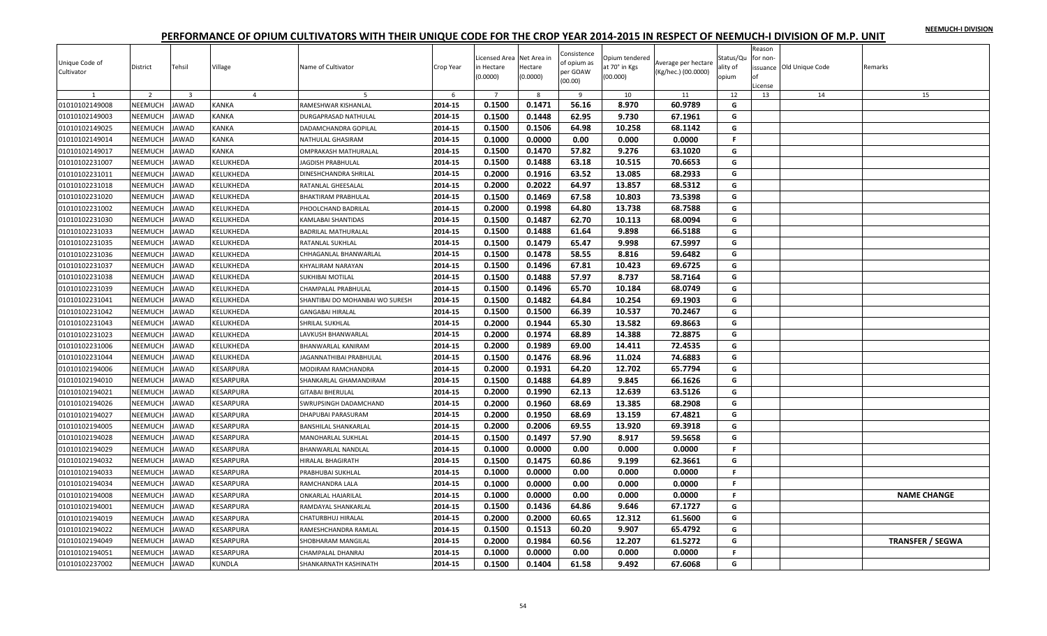| NEEMUCH-I DIVISION |  |
|--------------------|--|
|                    |  |

| Unique Code of<br>Cultivator | District       | Tehsil                  | Village          | Name of Cultivator              | Crop Year | icensed Area Net Area in<br>n Hectare<br>(0.0000) | Hectare<br>(0.0000) | Consistence<br>of opium as<br>per GOAW<br>(00.00) | Opium tendered<br>at 70° in Kgs<br>(00.000) | Average per hectare<br>(Kg/hec.) (00.0000) | Status/Qu<br>ality of<br>opium | Reason<br>for non-<br>оf<br>License | issuance Old Unique Code | Remarks                 |
|------------------------------|----------------|-------------------------|------------------|---------------------------------|-----------|---------------------------------------------------|---------------------|---------------------------------------------------|---------------------------------------------|--------------------------------------------|--------------------------------|-------------------------------------|--------------------------|-------------------------|
|                              | $\overline{2}$ | $\overline{\mathbf{3}}$ | $\overline{4}$   |                                 | -6        | $\overline{7}$                                    | 8                   | $\mathbf{q}$                                      | 10                                          | 11                                         | 12                             | 13                                  | 14                       | 15                      |
| 01010102149008               | NEEMUCH        | <b>JAWAD</b>            | KANKA            | RAMESHWAR KISHANLAL             | 2014-15   | 0.1500                                            | 0.1471              | 56.16                                             | 8.970                                       | 60.9789                                    | G                              |                                     |                          |                         |
| 01010102149003               | NEEMUCH        | <b>JAWAD</b>            | KANKA            | DURGAPRASAD NATHULAL            | 2014-15   | 0.1500                                            | 0.1448              | 62.95                                             | 9.730                                       | 67.1961                                    | G                              |                                     |                          |                         |
| 01010102149025               | NEEMUCH        | <b>JAWAD</b>            | KANKA            | DADAMCHANDRA GOPILAL            | 2014-15   | 0.1500                                            | 0.1506              | 64.98                                             | 10.258                                      | 68.1142                                    | G                              |                                     |                          |                         |
| 01010102149014               | NEEMUCH        | <b>JAWAD</b>            | KANKA            | NATHULAL GHASIRAM               | 2014-15   | 0.1000                                            | 0.0000              | 0.00                                              | 0.000                                       | 0.0000                                     | F.                             |                                     |                          |                         |
| 01010102149017               | NEEMUCH        | <b>JAWAD</b>            | <b>KANKA</b>     | OMPRAKASH MATHURALAL            | 2014-15   | 0.1500                                            | 0.1470              | 57.82                                             | 9.276                                       | 63.1020                                    | G                              |                                     |                          |                         |
| 01010102231007               | NEEMUCH        | <b>JAWAD</b>            | KELUKHEDA        | AGDISH PRABHULAL                | 2014-15   | 0.1500                                            | 0.1488              | 63.18                                             | 10.515                                      | 70.6653                                    | G                              |                                     |                          |                         |
| 01010102231011               | NEEMUCH        | <b>JAWAD</b>            | KELUKHEDA        | DINESHCHANDRA SHRILAL           | 2014-15   | 0.2000                                            | 0.1916              | 63.52                                             | 13.085                                      | 68.2933                                    | G                              |                                     |                          |                         |
| 01010102231018               | NEEMUCH        | <b>JAWAD</b>            | KELUKHEDA        | RATANLAL GHEESALAL              | 2014-15   | 0.2000                                            | 0.2022              | 64.97                                             | 13.857                                      | 68.5312                                    | G                              |                                     |                          |                         |
| 01010102231020               | NEEMUCH        | <b>JAWAD</b>            | KELUKHEDA        | <b>BHAKTIRAM PRABHULAL</b>      | 2014-15   | 0.1500                                            | 0.1469              | 67.58                                             | 10.803                                      | 73.5398                                    | G                              |                                     |                          |                         |
| 01010102231002               | NEEMUCH        | <b>JAWAD</b>            | KELUKHEDA        | PHOOLCHAND BADRILAL             | 2014-15   | 0.2000                                            | 0.1998              | 64.80                                             | 13.738                                      | 68.7588                                    | G                              |                                     |                          |                         |
| 01010102231030               | NEEMUCH        | <b>JAWAD</b>            | KELUKHEDA        | KAMLABAI SHANTIDAS              | 2014-15   | 0.1500                                            | 0.1487              | 62.70                                             | 10.113                                      | 68.0094                                    | G                              |                                     |                          |                         |
| 01010102231033               | NEEMUCH        | <b>JAWAD</b>            | KELUKHEDA        | <b>BADRILAL MATHURALAL</b>      | 2014-15   | 0.1500                                            | 0.1488              | 61.64                                             | 9.898                                       | 66.5188                                    | G                              |                                     |                          |                         |
| 01010102231035               | NEEMUCH        | <b>JAWAD</b>            | KELUKHEDA        | RATANLAL SUKHLAL                | 2014-15   | 0.1500                                            | 0.1479              | 65.47                                             | 9.998                                       | 67.5997                                    | G                              |                                     |                          |                         |
| 01010102231036               | NEEMUCH        | <b>JAWAD</b>            | KELUKHEDA        | CHHAGANLAL BHANWARLAL           | 2014-15   | 0.1500                                            | 0.1478              | 58.55                                             | 8.816                                       | 59.6482                                    | G                              |                                     |                          |                         |
| 01010102231037               | NEEMUCH        | <b>JAWAD</b>            | KELUKHEDA        | KHYALIRAM NARAYAN               | 2014-15   | 0.1500                                            | 0.1496              | 67.81                                             | 10.423                                      | 69.6725                                    | G                              |                                     |                          |                         |
| 01010102231038               | NEEMUCH        | <b>JAWAD</b>            | KELUKHEDA        | <b>SUKHIBAI MOTILAL</b>         | 2014-15   | 0.1500                                            | 0.1488              | 57.97                                             | 8.737                                       | 58.7164                                    | G                              |                                     |                          |                         |
| 01010102231039               | NEEMUCH        | <b>JAWAD</b>            | KELUKHEDA        | CHAMPALAL PRABHULAL             | 2014-15   | 0.1500                                            | 0.1496              | 65.70                                             | 10.184                                      | 68.0749                                    | G                              |                                     |                          |                         |
| 01010102231041               | NEEMUCH        | <b>JAWAD</b>            | KELUKHEDA        | SHANTIBAI DO MOHANBAI WO SURESH | 2014-15   | 0.1500                                            | 0.1482              | 64.84                                             | 10.254                                      | 69.1903                                    | G                              |                                     |                          |                         |
| 01010102231042               | NEEMUCH        | <b>JAWAD</b>            | KELUKHEDA        | <b>GANGABAI HIRALAL</b>         | 2014-15   | 0.1500                                            | 0.1500              | 66.39                                             | 10.537                                      | 70.2467                                    | G                              |                                     |                          |                         |
| 01010102231043               | NEEMUCH        | <b>JAWAD</b>            | KELUKHEDA        | SHRILAL SUKHLAL                 | 2014-15   | 0.2000                                            | 0.1944              | 65.30                                             | 13.582                                      | 69.8663                                    | G                              |                                     |                          |                         |
| 01010102231023               | NEEMUCH        | <b>JAWAD</b>            | KELUKHEDA        | LAVKUSH BHANWARLAL              | 2014-15   | 0.2000                                            | 0.1974              | 68.89                                             | 14.388                                      | 72.8875                                    | G                              |                                     |                          |                         |
| 01010102231006               | NEEMUCH        | <b>JAWAD</b>            | KELUKHEDA        | BHANWARLAL KANIRAM              | 2014-15   | 0.2000                                            | 0.1989              | 69.00                                             | 14.411                                      | 72.4535                                    | G                              |                                     |                          |                         |
| 01010102231044               | NEEMUCH        | <b>JAWAD</b>            | KELUKHEDA        | JAGANNATHIBAI PRABHULAL         | 2014-15   | 0.1500                                            | 0.1476              | 68.96                                             | 11.024                                      | 74.6883                                    | G                              |                                     |                          |                         |
| 01010102194006               | NEEMUCH        | <b>JAWAD</b>            | KESARPURA        | MODIRAM RAMCHANDRA              | 2014-15   | 0.2000                                            | 0.1931              | 64.20                                             | 12.702                                      | 65.7794                                    | G                              |                                     |                          |                         |
| 01010102194010               | NEEMUCH        | <b>JAWAD</b>            | <b>KESARPURA</b> | SHANKARLAL GHAMANDIRAM          | 2014-15   | 0.1500                                            | 0.1488              | 64.89                                             | 9.845                                       | 66.1626                                    | G                              |                                     |                          |                         |
| 01010102194021               | NEEMUCH        | <b>JAWAD</b>            | KESARPURA        | <b>GITABAI BHERULAL</b>         | 2014-15   | 0.2000                                            | 0.1990              | 62.13                                             | 12.639                                      | 63.5126                                    | G                              |                                     |                          |                         |
| 01010102194026               | NEEMUCH        | <b>JAWAD</b>            | KESARPURA        | SWRUPSINGH DADAMCHAND           | 2014-15   | 0.2000                                            | 0.1960              | 68.69                                             | 13.385                                      | 68.2908                                    | G                              |                                     |                          |                         |
| 01010102194027               | NEEMUCH        | <b>JAWAD</b>            | <b>KESARPURA</b> | DHAPUBAI PARASURAM              | 2014-15   | 0.2000                                            | 0.1950              | 68.69                                             | 13.159                                      | 67.4821                                    | G                              |                                     |                          |                         |
| 01010102194005               | NEEMUCH        | <b>JAWAD</b>            | KESARPURA        | <b>BANSHILAL SHANKARLAL</b>     | 2014-15   | 0.2000                                            | 0.2006              | 69.55                                             | 13.920                                      | 69.3918                                    | G                              |                                     |                          |                         |
| 01010102194028               | NEEMUCH        | <b>JAWAD</b>            | KESARPURA        | MANOHARLAL SUKHLAL              | 2014-15   | 0.1500                                            | 0.1497              | 57.90                                             | 8.917                                       | 59.5658                                    | G                              |                                     |                          |                         |
| 01010102194029               | NEEMUCH        | <b>JAWAD</b>            | <b>KESARPURA</b> | BHANWARLAL NANDLAL              | 2014-15   | 0.1000                                            | 0.0000              | 0.00                                              | 0.000                                       | 0.0000                                     | F.                             |                                     |                          |                         |
| 01010102194032               | NEEMUCH        | <b>JAWAD</b>            | KESARPURA        | HIRALAL BHAGIRATH               | 2014-15   | 0.1500                                            | 0.1475              | 60.86                                             | 9.199                                       | 62.3661                                    | G                              |                                     |                          |                         |
| 01010102194033               | NEEMUCH        | <b>JAWAD</b>            | KESARPURA        | PRABHUBAI SUKHLAL               | 2014-15   | 0.1000                                            | 0.0000              | 0.00                                              | 0.000                                       | 0.0000                                     | F.                             |                                     |                          |                         |
| 01010102194034               | NEEMUCH        | <b>JAWAD</b>            | KESARPURA        | RAMCHANDRA LALA                 | 2014-15   | 0.1000                                            | 0.0000              | 0.00                                              | 0.000                                       | 0.0000                                     | F.                             |                                     |                          |                         |
| 01010102194008               | NEEMUCH        | <b>JAWAD</b>            | KESARPURA        | <b>ONKARLAL HAJARILAL</b>       | 2014-15   | 0.1000                                            | 0.0000              | 0.00                                              | 0.000                                       | 0.0000                                     | F.                             |                                     |                          | <b>NAME CHANGE</b>      |
| 01010102194001               | NEEMUCH        | <b>JAWAD</b>            | <b>KESARPURA</b> | RAMDAYAL SHANKARLAL             | 2014-15   | 0.1500                                            | 0.1436              | 64.86                                             | 9.646                                       | 67.1727                                    | G                              |                                     |                          |                         |
| 01010102194019               | NEEMUCH        | <b>JAWAD</b>            | KESARPURA        | CHATURBHUJ HIRALAL              | 2014-15   | 0.2000                                            | 0.2000              | 60.65                                             | 12.312                                      | 61.5600                                    | G                              |                                     |                          |                         |
| 01010102194022               | NEEMUCH        | <b>JAWAD</b>            | KESARPURA        | RAMESHCHANDRA RAMLAL            | 2014-15   | 0.1500                                            | 0.1513              | 60.20                                             | 9.907                                       | 65.4792                                    | G                              |                                     |                          |                         |
| 01010102194049               | NEEMUCH        | <b>JAWAD</b>            | <b>KESARPURA</b> | SHOBHARAM MANGILAL              | 2014-15   | 0.2000                                            | 0.1984              | 60.56                                             | 12.207                                      | 61.5272                                    | G                              |                                     |                          | <b>TRANSFER / SEGWA</b> |
| 01010102194051               | NEEMUCH        | <b>JAWAD</b>            | KESARPURA        | CHAMPALAL DHANRAJ               | 2014-15   | 0.1000                                            | 0.0000              | 0.00                                              | 0.000                                       | 0.0000                                     | F.                             |                                     |                          |                         |
| 01010102237002               | NEEMUCH        | <b>JAWAD</b>            | <b>KUNDLA</b>    | SHANKARNATH KASHINATH           | 2014-15   | 0.1500                                            | 0.1404              | 61.58                                             | 9.492                                       | 67.6068                                    | G                              |                                     |                          |                         |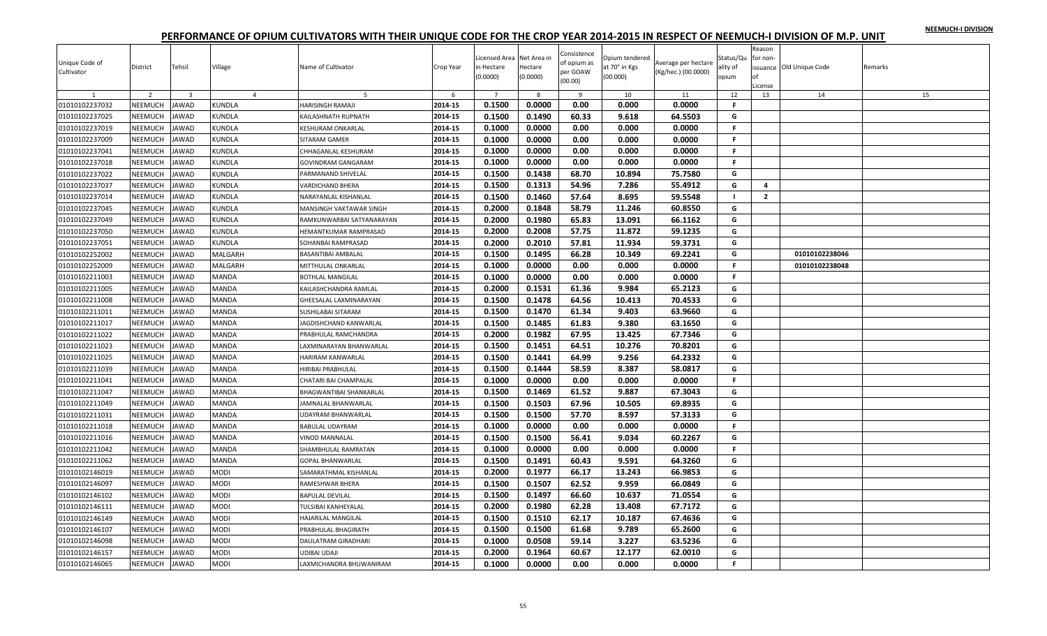|  |  | NEEMUCH-I DIVISION |
|--|--|--------------------|
|  |  |                    |

| Unique Code of<br>Cultivator     | District                  | Tehsil                  | Village        | Name of Cultivator                    | Crop Year | Licensed Area Net Area in<br>in Hectare<br>(0.0000) | Hectare<br>(0.0000) | Consistence<br>of opium as<br>per GOAW<br>(00.00) | Opium tendered<br>at 70° in Kgs<br>(00.000) | Average per hectare<br>(Kg/hec.) (00.0000) | Status/Qu<br>ality of<br>opium | Reason<br>for non-<br>nf<br>.icense | issuance Old Unique Code | Remarks |
|----------------------------------|---------------------------|-------------------------|----------------|---------------------------------------|-----------|-----------------------------------------------------|---------------------|---------------------------------------------------|---------------------------------------------|--------------------------------------------|--------------------------------|-------------------------------------|--------------------------|---------|
| 1                                | $\overline{2}$            | $\overline{\mathbf{3}}$ | $\overline{4}$ | 5                                     | 6         | $\overline{7}$                                      | 8                   | 9                                                 | 10                                          | 11                                         | 12                             | 13                                  | 14                       | 15      |
| 01010102237032                   | NEEMUCH                   | <b>JAWAD</b>            | <b>KUNDLA</b>  | HARISINGH RAMAJI                      | 2014-15   | 0.1500                                              | 0.0000              | 0.00                                              | 0.000                                       | 0.0000                                     | F.                             |                                     |                          |         |
| 01010102237025                   | NEEMUCH                   | AWAD                    | <b>KUNDLA</b>  | KAILASHNATH RUPNATH                   | 2014-15   | 0.1500                                              | 0.1490              | 60.33                                             | 9.618                                       | 64.5503                                    | G                              |                                     |                          |         |
| 01010102237019                   | NEEMUCH                   | <b>IAWAD</b>            | <b>KUNDLA</b>  | KESHURAM ONKARLAL                     | 2014-15   | 0.1000                                              | 0.0000              | 0.00                                              | 0.000                                       | 0.0000                                     | F.                             |                                     |                          |         |
| 01010102237009                   | NEEMUCH                   | <b>IAWAD</b>            | <b>KUNDLA</b>  | SITARAM GAMER                         | 2014-15   | 0.1000                                              | 0.0000              | 0.00                                              | 0.000                                       | 0.0000                                     | F.                             |                                     |                          |         |
| 01010102237041                   | <b>NEEMUCH</b>            | AWAD                    | <b>KUNDLA</b>  | CHHAGANLAL KESHURAM                   | 2014-15   | 0.1000                                              | 0.0000              | 0.00                                              | 0.000                                       | 0.0000                                     | F.                             |                                     |                          |         |
| 01010102237018                   | NEEMUCH                   | AWAD                    | KUNDLA         | <b>GOVINDRAM GANGARAM</b>             | 2014-15   | 0.1000                                              | 0.0000              | 0.00                                              | 0.000                                       | 0.0000                                     | $\mathsf{F}$                   |                                     |                          |         |
| 01010102237022                   | <b>NEEMUCH</b>            | <b>IAWAD</b>            | <b>KUNDLA</b>  | PARMANAND SHIVELAL                    | 2014-15   | 0.1500                                              | 0.1438              | 68.70                                             | 10.894                                      | 75.7580                                    | G                              |                                     |                          |         |
| 01010102237037                   | NEEMUCH                   | <b>JAWAD</b>            | KUNDLA         | VARDICHAND BHERA                      | 2014-15   | 0.1500                                              | 0.1313              | 54.96                                             | 7.286                                       | 55.4912                                    | G                              | 4                                   |                          |         |
| 01010102237014                   | <b>NEEMUCH</b>            | AWAD                    | <b>KUNDLA</b>  | NARAYANLAL KISHANLAL                  | 2014-15   | 0.1500                                              | 0.1460              | 57.64                                             | 8.695                                       | 59.5548                                    | $\blacksquare$                 | $\overline{2}$                      |                          |         |
| 01010102237045                   | NEEMUCH                   | AWAD                    | KUNDLA         | MANSINGH VAKTAWAR SINGH               | 2014-15   | 0.2000                                              | 0.1848              | 58.79                                             | 11.246                                      | 60.8550                                    | G                              |                                     |                          |         |
| 01010102237049                   | <b>NEEMUCH</b>            | AWAD                    | <b>KUNDLA</b>  | RAMKUNWARBAI SATYANARAYAN             | 2014-15   | 0.2000                                              | 0.1980              | 65.83                                             | 13.091                                      | 66.1162                                    | G                              |                                     |                          |         |
| 01010102237050                   | NEEMUCH                   | AWAD                    | <b>KUNDLA</b>  | <b>IEMANTKUMAR RAMPRASAD</b>          | 2014-15   | 0.2000                                              | 0.2008              | 57.75                                             | 11.872                                      | 59.1235                                    | G                              |                                     |                          |         |
| 01010102237051                   | <b>NEEMUCH</b>            | AWAD                    | KUNDLA         | SOHANBAI RAMPRASAD                    | 2014-15   | 0.2000                                              | 0.2010              | 57.81                                             | 11.934                                      | 59.3731                                    | G                              |                                     |                          |         |
| 01010102252002                   | NEEMUCH                   | AWAD                    | MALGARH        | BASANTIBAI AMBALAL                    | 2014-15   | 0.1500                                              | 0.1495              | 66.28                                             | 10.349                                      | 69.2241                                    | G                              |                                     | 01010102238046           |         |
| 01010102252009                   | NEEMUCH                   | <b>IAWAD</b>            | <b>MALGARH</b> | MITTHULAL ONKARLAL                    | 2014-15   | 0.1000                                              | 0.0000              | 0.00                                              | 0.000                                       | 0.0000                                     | F.                             |                                     | 01010102238048           |         |
| 01010102211003                   | NEEMUCH                   | AWAD                    | <b>MANDA</b>   | <b>BOTHLAL MANGILAL</b>               | 2014-15   | 0.1000                                              | 0.0000              | 0.00                                              | 0.000                                       | 0.0000                                     | F.                             |                                     |                          |         |
| 01010102211005                   | NEEMUCH                   | AWAD                    | MANDA          | KAILASHCHANDRA RAMLAL                 | 2014-15   | 0.2000                                              | 0.1531              | 61.36                                             | 9.984                                       | 65.2123                                    | G                              |                                     |                          |         |
| 01010102211008                   | NEEMUCH                   | <b>JAWAD</b>            | <b>MANDA</b>   | GHEESALAL LAXMINARAYAN                | 2014-15   | 0.1500                                              | 0.1478              | 64.56                                             | 10.413                                      | 70.4533                                    | G                              |                                     |                          |         |
| 01010102211011                   | NEEMUCH                   | <b>IAWAD</b>            | MANDA          | <b>SUSHILABAI SITARAM</b>             | 2014-15   | 0.1500                                              | 0.1470              | 61.34                                             | 9.403                                       | 63.9660                                    | G                              |                                     |                          |         |
| 01010102211017                   | NEEMUCH                   | <b>JAWAD</b>            | <b>MANDA</b>   | JAGDISHCHAND KANWARLAL                | 2014-15   | 0.1500                                              | 0.1485              | 61.83                                             | 9.380                                       | 63.1650                                    | G                              |                                     |                          |         |
| 01010102211022                   | NEEMUCH                   | <b>JAWAD</b>            | MANDA          | PRABHULAL RAMCHANDRA                  | 2014-15   | 0.2000                                              | 0.1982              | 67.95                                             | 13.425                                      | 67.7346                                    | G                              |                                     |                          |         |
| 01010102211023                   | <b>NEEMUCH</b>            | AWAD                    | <b>MANDA</b>   | AXMINARAYAN BHANWARLAL                | 2014-15   | 0.1500                                              | 0.1451              | 64.51                                             | 10.276                                      | 70.8201                                    | G                              |                                     |                          |         |
| 01010102211025                   | NEEMUCH                   | AWAD                    | <b>MANDA</b>   | HARIRAM KANWARLAL                     | 2014-15   | 0.1500                                              | 0.1441              | 64.99                                             | 9.256                                       | 64.2332                                    | G                              |                                     |                          |         |
| 01010102211039                   | NEEMUCH                   | AWAD                    | MANDA          | HIRIBAI PRABHULAL                     | 2014-15   | 0.1500                                              | 0.1444              | 58.59                                             | 8.387                                       | 58.0817                                    | G                              |                                     |                          |         |
| 01010102211041                   | NEEMUCH                   | AWAD                    | MANDA          | CHATARI BAI CHAMPALAL                 | 2014-15   | 0.1000                                              | 0.0000              | 0.00                                              | 0.000                                       | 0.0000                                     | F.                             |                                     |                          |         |
| 01010102211047                   | NEEMUCH                   | AWAD                    | MANDA          | BHAGWANTIBAI SHANKARLAL               | 2014-15   | 0.1500                                              | 0.1469              | 61.52                                             | 9.887                                       | 67.3043                                    | G                              |                                     |                          |         |
| 01010102211049                   | <b>NEEMUCH</b>            | <b>IAWAD</b>            | <b>MANDA</b>   | JAMNALAL BHANWARLAL                   | 2014-15   | 0.1500                                              | 0.1503              | 67.96                                             | 10.505                                      | 69.8935                                    | G                              |                                     |                          |         |
| 01010102211031                   | NEEMUCH                   | AWAD                    | MANDA          |                                       | 2014-15   | 0.1500                                              | 0.1500              | 57.70                                             | 8.597                                       | 57.3133                                    | G                              |                                     |                          |         |
| 01010102211018                   | <b>NEEMUCH</b>            | <b>JAWAD</b>            | <b>MANDA</b>   | JDAYRAM BHANWARLAL<br>BABULAL UDAYRAM | 2014-15   | 0.1000                                              | 0.0000              | 0.00                                              | 0.000                                       | 0.0000                                     | F.                             |                                     |                          |         |
|                                  |                           |                         |                | VINOD MANNALAL                        | 2014-15   | 0.1500                                              | 0.1500              | 56.41                                             | 9.034                                       | 60.2267                                    | G                              |                                     |                          |         |
| 01010102211016<br>01010102211042 | NEEMUCH<br><b>NEEMUCH</b> | AWAD<br>AWAD            | MANDA<br>MANDA |                                       | 2014-15   | 0.1000                                              | 0.0000              | 0.00                                              | 0.000                                       | 0.0000                                     | F.                             |                                     |                          |         |
|                                  |                           |                         |                | SHAMBHULAL RAMRATAN                   |           |                                                     |                     |                                                   |                                             |                                            |                                |                                     |                          |         |
| 01010102211062                   | NEEMUCH                   | <b>JAWAD</b>            | MANDA          | GOPAL BHANWARLAL                      | 2014-15   | 0.1500                                              | 0.1491              | 60.43                                             | 9.591                                       | 64.3260                                    | G                              |                                     |                          |         |
| 01010102146019                   | NEEMUCH                   | AWAD                    | <b>MODI</b>    | SAMARATHMAL KISHANLAL                 | 2014-15   | 0.2000                                              | 0.1977              | 66.17                                             | 13.243                                      | 66.9853                                    | G                              |                                     |                          |         |
| 01010102146097                   | NEEMUCH                   | AWAD                    | <b>MODI</b>    | RAMESHWAR BHERA                       | 2014-15   | 0.1500                                              | 0.1507              | 62.52                                             | 9.959                                       | 66.0849                                    | G                              |                                     |                          |         |
| 01010102146102                   | NEEMUCH                   | <b>AWAD</b>             | <b>MODI</b>    | <b>BAPULAL DEVILAL</b>                | 2014-15   | 0.1500                                              | 0.1497              | 66.60                                             | 10.637                                      | 71.0554                                    | G                              |                                     |                          |         |
| 01010102146111                   | NEEMUCH                   | AWAD                    | MODI           | <b>TULSIBAI KANHEYALAL</b>            | 2014-15   | 0.2000                                              | 0.1980              | 62.28                                             | 13.408                                      | 67.7172                                    | G                              |                                     |                          |         |
| 01010102146149                   | NEEMUCH                   | <b>IAWAD</b>            | <b>MODI</b>    | HAJARILAL MANGILAL                    | 2014-15   | 0.1500                                              | 0.1510              | 62.17                                             | 10.187                                      | 67.4636                                    | G                              |                                     |                          |         |
| 01010102146107                   | <b>NEEMUCH</b>            | AWAD                    | <b>MODI</b>    | PRABHULAL BHAGIRATH                   | 2014-15   | 0.1500                                              | 0.1500              | 61.68                                             | 9.789                                       | 65.2600                                    | G                              |                                     |                          |         |
| 01010102146098                   | <b>NEEMUCH</b>            | AWAD                    | MODI           | <b>DAULATRAM GIRADHARI</b>            | 2014-15   | 0.1000                                              | 0.0508              | 59.14                                             | 3.227                                       | 63.5236                                    | G                              |                                     |                          |         |
| 01010102146157                   | <b>NEEMUCH</b>            | <b>IAWAD</b>            | <b>MODI</b>    | JDIBAI UDAJI                          | 2014-15   | 0.2000                                              | 0.1964              | 60.67                                             | 12.177                                      | 62.0010                                    | G                              |                                     |                          |         |
| 01010102146065                   | <b>NEEMUCH</b>            | <b>JAWAD</b>            | <b>MODI</b>    | LAXMICHANDRA BHUWANIRAM               | 2014-15   | 0.1000                                              | 0.0000              | 0.00                                              | 0.000                                       | 0.0000                                     | F.                             |                                     |                          |         |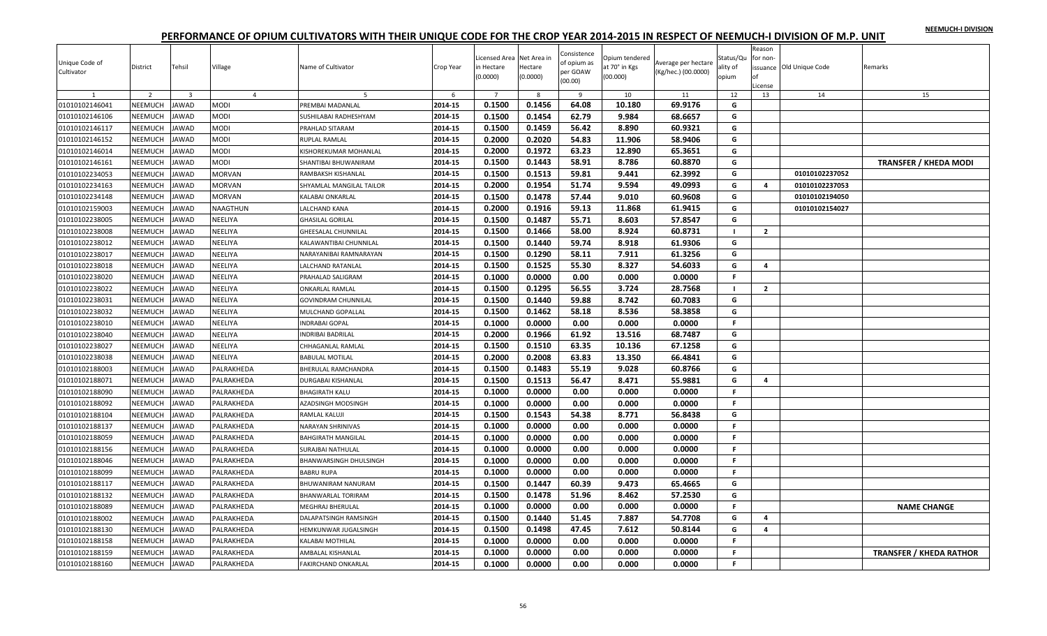|  |  | NEEMUCH-I DIVISION |
|--|--|--------------------|
|  |  |                    |

| Unique Code of<br>Cultivator | District<br>$\overline{2}$ | Tehsil<br>$\overline{3}$ | Village                       | Name of Cultivator         | Crop Year    | Licensed Area Net Area in<br>n Hectare<br>(0.0000)<br>$\overline{7}$ | Hectare<br>(0.0000) | Consistence<br>of opium as<br>per GOAW<br>(00.00) | Opium tendered<br>at 70° in Kgs<br>(00.000) | Average per hectare<br>(Kg/hec.) (00.0000) | Status/Qu<br>ility of<br>opium | Reason<br>for non<br>nf<br>License | issuance Old Unique Code | Remarks                        |
|------------------------------|----------------------------|--------------------------|-------------------------------|----------------------------|--------------|----------------------------------------------------------------------|---------------------|---------------------------------------------------|---------------------------------------------|--------------------------------------------|--------------------------------|------------------------------------|--------------------------|--------------------------------|
|                              | NEEMUCH                    | <b>JAWAD</b>             | $\overline{4}$<br><b>MODI</b> | 5                          | 6<br>2014-15 | 0.1500                                                               | 8<br>0.1456         | 9<br>64.08                                        | 10<br>10.180                                | 11<br>69.9176                              | 12                             | 13                                 | 14                       | 15                             |
| 01010102146041               | NEEMUCH                    | <b>JAWAD</b>             | MODI                          | PREMBAI MADANLAL           | 2014-15      |                                                                      |                     |                                                   | 9.984                                       |                                            | G<br>G                         |                                    |                          |                                |
| 01010102146106               |                            |                          |                               | SUSHILABAI RADHESHYAM      |              | 0.1500                                                               | 0.1454              | 62.79                                             |                                             | 68.6657                                    |                                |                                    |                          |                                |
| 01010102146117               | NEEMUCH                    | JAWAD                    | <b>MODI</b>                   | PRAHLAD SITARAM            | 2014-15      | 0.1500                                                               | 0.1459              | 56.42                                             | 8.890                                       | 60.9321                                    | G                              |                                    |                          |                                |
| 01010102146152               | NEEMUCH                    | <b>JAWAD</b>             | MODI                          | RUPLAL RAMLAL              | 2014-15      | 0.2000                                                               | 0.2020              | 54.83                                             | 11.906                                      | 58.9406                                    | G                              |                                    |                          |                                |
| 01010102146014               | <b>NEEMUCH</b>             | <b>JAWAD</b>             | <b>MODI</b>                   | KISHOREKUMAR MOHANLAL      | 2014-15      | 0.2000                                                               | 0.1972              | 63.23                                             | 12.890                                      | 65.3651                                    | G                              |                                    |                          |                                |
| 01010102146161               | NEEMUCH                    | JAWAD                    | MODI                          | SHANTIBAI BHUWANIRAM       | 2014-15      | 0.1500                                                               | 0.1443              | 58.91                                             | 8.786                                       | 60.8870                                    | G                              |                                    |                          | <b>TRANSFER / KHEDA MODI</b>   |
| 01010102234053               | NEEMUCH                    | <b>JAWAD</b>             | <b>MORVAN</b>                 | RAMBAKSH KISHANLAL         | 2014-15      | 0.1500                                                               | 0.1513              | 59.81                                             | 9.441                                       | 62.3992                                    | G                              |                                    | 01010102237052           |                                |
| 01010102234163               | NEEMUCH                    | <b>JAWAD</b>             | <b>MORVAN</b>                 | SHYAMLAL MANGILAL TAILOR   | 2014-15      | 0.2000                                                               | 0.1954              | 51.74                                             | 9.594                                       | 49.0993                                    | G                              | 4                                  | 01010102237053           |                                |
| 01010102234148               | NEEMUCH                    | <b>JAWAD</b>             | <b>MORVAN</b>                 | KALABAI ONKARLAL           | 2014-15      | 0.1500                                                               | 0.1478              | 57.44                                             | 9.010                                       | 60.9608                                    | G                              |                                    | 01010102194050           |                                |
| 01010102159003               | NEEMUCH                    | <b>JAWAD</b>             | NAAGTHUN                      | LALCHAND KANA              | 2014-15      | 0.2000                                                               | 0.1916              | 59.13                                             | 11.868                                      | 61.9415                                    | G                              |                                    | 01010102154027           |                                |
| 01010102238005               | NEEMUCH                    | <b>JAWAD</b>             | NEELIYA                       | <b>GHASILAL GORILAL</b>    | 2014-15      | 0.1500                                                               | 0.1487              | 55.71                                             | 8.603                                       | 57.8547                                    | G                              |                                    |                          |                                |
| 01010102238008               | NEEMUCH                    | <b>JAWAD</b>             | NEELIYA                       | <b>GHEESALAL CHUNNILAL</b> | 2014-15      | 0.1500                                                               | 0.1466              | 58.00                                             | 8.924                                       | 60.8731                                    | $\mathbf{I}$                   | $\overline{2}$                     |                          |                                |
| 01010102238012               | NEEMUCH                    | <b>JAWAD</b>             | NEELIYA                       | KALAWANTIBAI CHUNNILAL     | 2014-15      | 0.1500                                                               | 0.1440              | 59.74                                             | 8.918                                       | 61.9306                                    | G                              |                                    |                          |                                |
| 01010102238017               | NEEMUCH                    | <b>AWAD</b>              | NEELIYA                       | NARAYANIBAI RAMNARAYAN     | 2014-15      | 0.1500                                                               | 0.1290              | 58.11                                             | 7.911                                       | 61.3256                                    | G                              |                                    |                          |                                |
| 01010102238018               | NEEMUCH                    | <b>JAWAD</b>             | NEELIYA                       | LALCHAND RATANLAL          | 2014-15      | 0.1500                                                               | 0.1525              | 55.30                                             | 8.327                                       | 54.6033                                    | G                              | $\overline{a}$                     |                          |                                |
| 01010102238020               | <b>NEEMUCH</b>             | <b>JAWAD</b>             | NEELIYA                       | PRAHALAD SALIGRAM          | 2014-15      | 0.1000                                                               | 0.0000              | 0.00                                              | 0.000                                       | 0.0000                                     | F.                             |                                    |                          |                                |
| 01010102238022               | NEEMUCH                    | JAWAD                    | NEELIYA                       | <b>ONKARLAL RAMLAL</b>     | 2014-15      | 0.1500                                                               | 0.1295              | 56.55                                             | 3.724                                       | 28.7568                                    | $\blacksquare$                 | $\overline{2}$                     |                          |                                |
| 01010102238031               | NEEMUCH                    | <b>JAWAD</b>             | NEELIYA                       | GOVINDRAM CHUNNILAL        | 2014-15      | 0.1500                                                               | 0.1440              | 59.88                                             | 8.742                                       | 60.7083                                    | G                              |                                    |                          |                                |
| 01010102238032               | NEEMUCH                    | <b>JAWAD</b>             | NEELIYA                       | MULCHAND GOPALLAL          | 2014-15      | 0.1500                                                               | 0.1462              | 58.18                                             | 8.536                                       | 58.3858                                    | G                              |                                    |                          |                                |
| 01010102238010               | NEEMUCH                    | <b>JAWAD</b>             | NEELIYA                       | <b>INDRABAI GOPAL</b>      | 2014-15      | 0.1000                                                               | 0.0000              | 0.00                                              | 0.000                                       | 0.0000                                     | $\mathsf{F}$                   |                                    |                          |                                |
| 01010102238040               | NEEMUCH                    | <b>JAWAD</b>             | NEELIYA                       | <b>INDRIBAI BADRILAL</b>   | 2014-15      | 0.2000                                                               | 0.1966              | 61.92                                             | 13.516                                      | 68.7487                                    | G                              |                                    |                          |                                |
| 01010102238027               | NEEMUCH                    | <b>JAWAD</b>             | NEELIYA                       | CHHAGANLAL RAMLAL          | 2014-15      | 0.1500                                                               | 0.1510              | 63.35                                             | 10.136                                      | 67.1258                                    | G                              |                                    |                          |                                |
| 01010102238038               | <b>NEEMUCH</b>             | <b>JAWAD</b>             | NEELIYA                       | <b>BABULAL MOTILAL</b>     | 2014-15      | 0.2000                                                               | 0.2008              | 63.83                                             | 13.350                                      | 66.4841                                    | G                              |                                    |                          |                                |
| 01010102188003               | NEEMUCH                    | <b>JAWAD</b>             | PALRAKHEDA                    | BHERULAL RAMCHANDRA        | 2014-15      | 0.1500                                                               | 0.1483              | 55.19                                             | 9.028                                       | 60.8766                                    | G                              |                                    |                          |                                |
| 01010102188071               | NEEMUCH                    | <b>AWAD</b>              | PALRAKHEDA                    | DURGABAI KISHANLAL         | 2014-15      | 0.1500                                                               | 0.1513              | 56.47                                             | 8.471                                       | 55.9881                                    | G                              | 4                                  |                          |                                |
| 01010102188090               | NEEMUCH                    | <b>JAWAD</b>             | PALRAKHEDA                    | <b>BHAGIRATH KALU</b>      | 2014-15      | 0.1000                                                               | 0.0000              | 0.00                                              | 0.000                                       | 0.0000                                     | F.                             |                                    |                          |                                |
| 01010102188092               | NEEMUCH                    | <b>JAWAD</b>             | PALRAKHEDA                    | AZADSINGH MODSINGH         | 2014-15      | 0.1000                                                               | 0.0000              | 0.00                                              | 0.000                                       | 0.0000                                     | F.                             |                                    |                          |                                |
| 01010102188104               | NEEMUCH                    | JAWAD                    | PALRAKHEDA                    | RAMLAL KALUJI              | 2014-15      | 0.1500                                                               | 0.1543              | 54.38                                             | 8.771                                       | 56.8438                                    | G                              |                                    |                          |                                |
| 01010102188137               | NEEMUCH                    | <b>JAWAD</b>             | PALRAKHEDA                    | NARAYAN SHRINIVAS          | 2014-15      | 0.1000                                                               | 0.0000              | 0.00                                              | 0.000                                       | 0.0000                                     | $\mathsf F$                    |                                    |                          |                                |
| 01010102188059               | NEEMUCH                    | <b>JAWAD</b>             | PALRAKHEDA                    | <b>BAHGIRATH MANGILAL</b>  | 2014-15      | 0.1000                                                               | 0.0000              | 0.00                                              | 0.000                                       | 0.0000                                     | F.                             |                                    |                          |                                |
| 01010102188156               | <b>NEEMUCH</b>             | <b>JAWAD</b>             | PALRAKHEDA                    | SURAJBAI NATHULAL          | 2014-15      | 0.1000                                                               | 0.0000              | 0.00                                              | 0.000                                       | 0.0000                                     | F.                             |                                    |                          |                                |
| 01010102188046               | NEEMUCH                    | <b>JAWAD</b>             | PALRAKHEDA                    | BHANWARSINGH DHULSINGH     | 2014-15      | 0.1000                                                               | 0.0000              | 0.00                                              | 0.000                                       | 0.0000                                     | F.                             |                                    |                          |                                |
| 01010102188099               | NEEMUCH                    | <b>JAWAD</b>             | PALRAKHEDA                    | <b>BABRU RUPA</b>          | 2014-15      | 0.1000                                                               | 0.0000              | 0.00                                              | 0.000                                       | 0.0000                                     | F.                             |                                    |                          |                                |
| 01010102188117               | NEEMUCH                    | <b>JAWAD</b>             | PALRAKHEDA                    | BHUWANIRAM NANURAM         | 2014-15      | 0.1500                                                               | 0.1447              | 60.39                                             | 9.473                                       | 65.4665                                    | G                              |                                    |                          |                                |
| 01010102188132               | NEEMUCH                    | <b>JAWAD</b>             | PALRAKHEDA                    | <b>BHANWARLAL TORIRAM</b>  | 2014-15      | 0.1500                                                               | 0.1478              | 51.96                                             | 8.462                                       | 57.2530                                    | G                              |                                    |                          |                                |
| 01010102188089               | NEEMUCH                    | JAWAD                    | PALRAKHEDA                    | MEGHRAJ BHERULAL           | 2014-15      | 0.1000                                                               | 0.0000              | 0.00                                              | 0.000                                       | 0.0000                                     | F.                             |                                    |                          | <b>NAME CHANGE</b>             |
| 01010102188002               | NEEMUCH                    | <b>JAWAD</b>             | PALRAKHEDA                    | DALAPATSINGH RAMSINGH      | 2014-15      | 0.1500                                                               | 0.1440              | 51.45                                             | 7.887                                       | 54.7708                                    | G                              | 4                                  |                          |                                |
| 01010102188130               | NEEMUCH                    | <b>JAWAD</b>             | PALRAKHEDA                    | HEMKUNWAR JUGALSINGH       | 2014-15      | 0.1500                                                               | 0.1498              | 47.45                                             | 7.612                                       | 50.8144                                    | G                              | $\overline{\mathbf{4}}$            |                          |                                |
| 01010102188158               | NEEMUCH                    | <b>AWAD</b>              | PALRAKHEDA                    | KALABAI MOTHILAL           | 2014-15      | 0.1000                                                               | 0.0000              | 0.00                                              | 0.000                                       | 0.0000                                     | F.                             |                                    |                          |                                |
| 01010102188159               | NEEMUCH                    | <b>JAWAD</b>             | PALRAKHEDA                    | AMBALAL KISHANLAL          | 2014-15      | 0.1000                                                               | 0.0000              | 0.00                                              | 0.000                                       | 0.0000                                     | $\mathsf F$                    |                                    |                          | <b>TRANSFER / KHEDA RATHOR</b> |
| 01010102188160               | NEEMUCH                    | <b>JAWAD</b>             | PALRAKHEDA                    | <b>FAKIRCHAND ONKARLAL</b> | 2014-15      | 0.1000                                                               | 0.0000              | 0.00                                              | 0.000                                       | 0.0000                                     | F.                             |                                    |                          |                                |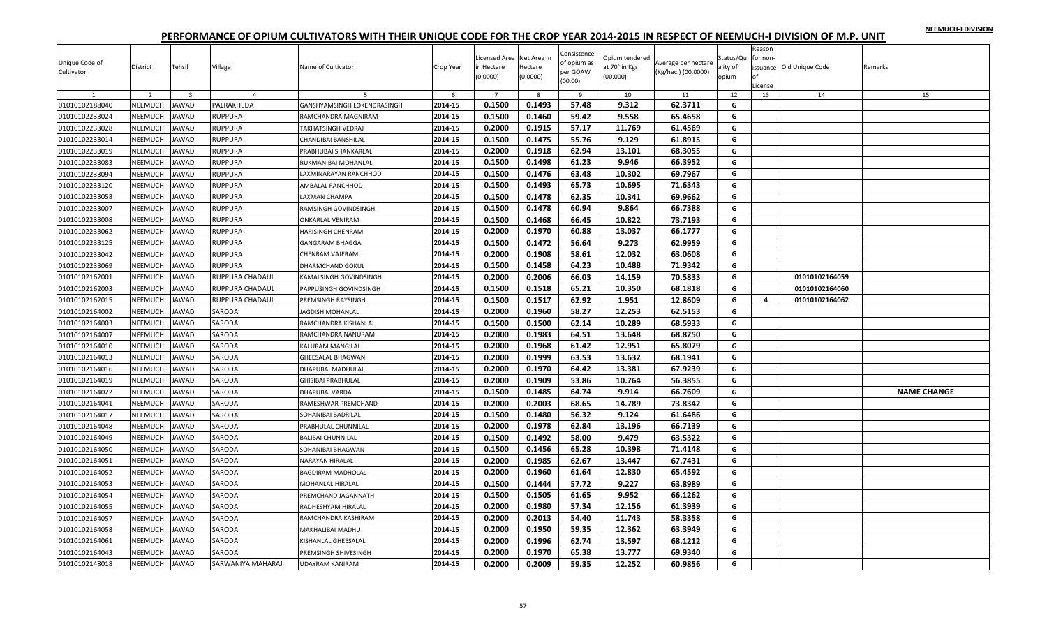|  |  | NEEMUCH-I DIVISION |
|--|--|--------------------|
|  |  |                    |

| Unique Code of<br>Cultivator | District       | Tehsil                  | Village           | Name of Cultivator          | Crop Year | icensed Area Net Area in<br>in Hectare<br>(0.0000) | Hectare<br>(0.0000) | Consistence<br>of opium as<br>per GOAW<br>(00.00) | Opium tendered<br>at 70° in Kgs<br>(00.000) | Average per hectare<br>(Kg/hec.) (00.0000) | Status/Qu<br>ality of<br>opium | Reason<br>for non-<br>Ωf<br>License | issuance Old Unique Code | Remarks            |
|------------------------------|----------------|-------------------------|-------------------|-----------------------------|-----------|----------------------------------------------------|---------------------|---------------------------------------------------|---------------------------------------------|--------------------------------------------|--------------------------------|-------------------------------------|--------------------------|--------------------|
| $\mathbf{1}$                 | $\overline{2}$ | $\overline{\mathbf{3}}$ | $\overline{4}$    | 5                           | 6         | $7^{\circ}$                                        | 8                   | 9                                                 | 10                                          | 11                                         | 12                             | 13                                  | 14                       | 15                 |
| 01010102188040               | NEEMUCH        | <b>JAWAD</b>            | PALRAKHEDA        | GANSHYAMSINGH LOKENDRASINGH | 2014-15   | 0.1500                                             | 0.1493              | 57.48                                             | 9.312                                       | 62.3711                                    | G                              |                                     |                          |                    |
| 01010102233024               | NEEMUCH        | <b>JAWAD</b>            | RUPPURA           | RAMCHANDRA MAGNIRAM         | 2014-15   | 0.1500                                             | 0.1460              | 59.42                                             | 9.558                                       | 65.4658                                    | G                              |                                     |                          |                    |
| 01010102233028               | NEEMUCH        | <b>JAWAD</b>            | RUPPURA           | TAKHATSINGH VEDRAJ          | 2014-15   | 0.2000                                             | 0.1915              | 57.17                                             | 11.769                                      | 61.4569                                    | G                              |                                     |                          |                    |
| 01010102233014               | NEEMUCH        | <b>JAWAD</b>            | <b>RUPPURA</b>    | CHANDIBAI BANSHILAL         | 2014-15   | 0.1500                                             | 0.1475              | 55.76                                             | 9.129                                       | 61.8915                                    | G                              |                                     |                          |                    |
| 01010102233019               | NEEMUCH        | <b>JAWAD</b>            | <b>RUPPURA</b>    | PRABHUBAI SHANKARLAL        | 2014-15   | 0.2000                                             | 0.1918              | 62.94                                             | 13.101                                      | 68.3055                                    | G                              |                                     |                          |                    |
| 01010102233083               | NEEMUCH        | <b>JAWAD</b>            | RUPPURA           | RUKMANIBAI MOHANLAL         | 2014-15   | 0.1500                                             | 0.1498              | 61.23                                             | 9.946                                       | 66.3952                                    | G                              |                                     |                          |                    |
| 01010102233094               | NEEMUCH        | <b>JAWAD</b>            | RUPPURA           | LAXMINARAYAN RANCHHOD       | 2014-15   | 0.1500                                             | 0.1476              | 63.48                                             | 10.302                                      | 69.7967                                    | G                              |                                     |                          |                    |
| 01010102233120               | NEEMUCH        | <b>JAWAD</b>            | RUPPURA           | AMBALAL RANCHHOD            | 2014-15   | 0.1500                                             | 0.1493              | 65.73                                             | 10.695                                      | 71.6343                                    | G                              |                                     |                          |                    |
| 01010102233058               | NEEMUCH        | <b>JAWAD</b>            | <b>RUPPURA</b>    | LAXMAN CHAMPA               | 2014-15   | 0.1500                                             | 0.1478              | 62.35                                             | 10.341                                      | 69.9662                                    | G                              |                                     |                          |                    |
| 01010102233007               | NEEMUCH        | <b>JAWAD</b>            | RUPPURA           | RAMSINGH GOVINDSINGH        | 2014-15   | 0.1500                                             | 0.1478              | 60.94                                             | 9.864                                       | 66.7388                                    | G                              |                                     |                          |                    |
| 01010102233008               | NEEMUCH        | <b>JAWAD</b>            | RUPPURA           | ONKARLAL VENIRAM            | 2014-15   | 0.1500                                             | 0.1468              | 66.45                                             | 10.822                                      | 73.7193                                    | G                              |                                     |                          |                    |
| 01010102233062               | NEEMUCH        | <b>JAWAD</b>            | RUPPURA           | HARISINGH CHENRAM           | 2014-15   | 0.2000                                             | 0.1970              | 60.88                                             | 13.037                                      | 66.1777                                    | G                              |                                     |                          |                    |
| 01010102233125               | NEEMUCH        | <b>JAWAD</b>            | RUPPURA           | <b>GANGARAM BHAGGA</b>      | 2014-15   | 0.1500                                             | 0.1472              | 56.64                                             | 9.273                                       | 62.9959                                    | G                              |                                     |                          |                    |
| 01010102233042               | NEEMUCH        | <b>JAWAD</b>            | RUPPURA           | CHENRAM VAJERAM             | 2014-15   | 0.2000                                             | 0.1908              | 58.61                                             | 12.032                                      | 63.0608                                    | G                              |                                     |                          |                    |
| 01010102233069               | <b>NEEMUCH</b> | <b>JAWAD</b>            | RUPPURA           | <b>DHARMCHAND GOKUL</b>     | 2014-15   | 0.1500                                             | 0.1458              | 64.23                                             | 10.488                                      | 71.9342                                    | G                              |                                     |                          |                    |
| 01010102162001               | NEEMUCH        | <b>JAWAD</b>            | RUPPURA CHADAUL   | KAMALSINGH GOVINDSINGH      | 2014-15   | 0.2000                                             | 0.2006              | 66.03                                             | 14.159                                      | 70.5833                                    | G                              |                                     | 01010102164059           |                    |
| 01010102162003               | NEEMUCH        | <b>JAWAD</b>            | RUPPURA CHADAUL   | PAPPUSINGH GOVINDSINGH      | 2014-15   | 0.1500                                             | 0.1518              | 65.21                                             | 10.350                                      | 68.1818                                    | G                              |                                     | 01010102164060           |                    |
| 01010102162015               | NEEMUCH        | <b>JAWAD</b>            | RUPPURA CHADAUL   | PREMSINGH RAYSINGH          | 2014-15   | 0.1500                                             | 0.1517              | 62.92                                             | 1.951                                       | 12.8609                                    | G                              | 4                                   | 01010102164062           |                    |
| 01010102164002               | NEEMUCH        | <b>JAWAD</b>            | SARODA            | JAGDISH MOHANLAL            | 2014-15   | 0.2000                                             | 0.1960              | 58.27                                             | 12.253                                      | 62.5153                                    | G                              |                                     |                          |                    |
| 01010102164003               | NEEMUCH        | <b>JAWAD</b>            | SARODA            | RAMCHANDRA KISHANLAL        | 2014-15   | 0.1500                                             | 0.1500              | 62.14                                             | 10.289                                      | 68.5933                                    | G                              |                                     |                          |                    |
| 01010102164007               | NEEMUCH        | <b>JAWAD</b>            | SARODA            | RAMCHANDRA NANURAM          | 2014-15   | 0.2000                                             | 0.1983              | 64.51                                             | 13.648                                      | 68.8250                                    | G                              |                                     |                          |                    |
| 01010102164010               | NEEMUCH        | <b>JAWAD</b>            | SARODA            | KALURAM MANGILAL            | 2014-15   | 0.2000                                             | 0.1968              | 61.42                                             | 12.951                                      | 65.8079                                    | G                              |                                     |                          |                    |
| 01010102164013               | NEEMUCH        | <b>JAWAD</b>            | SARODA            | <b>GHEESALAL BHAGWAN</b>    | 2014-15   | 0.2000                                             | 0.1999              | 63.53                                             | 13.632                                      | 68.1941                                    | G                              |                                     |                          |                    |
| 01010102164016               | NEEMUCH        | <b>JAWAD</b>            | SARODA            | DHAPUBAI MADHULAL           | 2014-15   | 0.2000                                             | 0.1970              | 64.42                                             | 13.381                                      | 67.9239                                    | G                              |                                     |                          |                    |
| 01010102164019               | NEEMUCH        | <b>JAWAD</b>            | SARODA            | <b>GHISIBAI PRABHULAL</b>   | 2014-15   | 0.2000                                             | 0.1909              | 53.86                                             | 10.764                                      | 56.3855                                    | G                              |                                     |                          |                    |
| 01010102164022               | NEEMUCH        | <b>JAWAD</b>            | SARODA            | DHAPUBAI VARDA              | 2014-15   | 0.1500                                             | 0.1485              | 64.74                                             | 9.914                                       | 66.7609                                    | G                              |                                     |                          | <b>NAME CHANGE</b> |
| 01010102164041               | NEEMUCH        | <b>JAWAD</b>            | SARODA            | RAMESHWAR PREMCHAND         | 2014-15   | 0.2000                                             | 0.2003              | 68.65                                             | 14.789                                      | 73.8342                                    | G                              |                                     |                          |                    |
| 01010102164017               | NEEMUCH        | <b>JAWAD</b>            | SARODA            | SOHANIBAI BADRILAL          | 2014-15   | 0.1500                                             | 0.1480              | 56.32                                             | 9.124                                       | 61.6486                                    | G                              |                                     |                          |                    |
| 01010102164048               | NEEMUCH        | <b>JAWAD</b>            | SARODA            | PRABHULAL CHUNNILAL         | 2014-15   | 0.2000                                             | 0.1978              | 62.84                                             | 13.196                                      | 66.7139                                    | G                              |                                     |                          |                    |
| 01010102164049               | NEEMUCH        | <b>JAWAD</b>            | SARODA            | <b>BALIBAI CHUNNILAL</b>    | 2014-15   | 0.1500                                             | 0.1492              | 58.00                                             | 9.479                                       | 63.5322                                    | G                              |                                     |                          |                    |
| 01010102164050               | NEEMUCH        | <b>JAWAD</b>            | SARODA            | SOHANIBAI BHAGWAN           | 2014-15   | 0.1500                                             | 0.1456              | 65.28                                             | 10.398                                      | 71.4148                                    | G                              |                                     |                          |                    |
| 01010102164051               | NEEMUCH        | <b>JAWAD</b>            | SARODA            | NARAYAN HIRALAL             | 2014-15   | 0.2000                                             | 0.1985              | 62.67                                             | 13.447                                      | 67.7431                                    | G                              |                                     |                          |                    |
| 01010102164052               | NEEMUCH        | <b>JAWAD</b>            | SARODA            | <b>BAGDIRAM MADHOLAL</b>    | 2014-15   | 0.2000                                             | 0.1960              | 61.64                                             | 12.830                                      | 65.4592                                    | G                              |                                     |                          |                    |
| 01010102164053               | NEEMUCH        | <b>JAWAD</b>            | SARODA            | MOHANLAL HIRALAL            | 2014-15   | 0.1500                                             | 0.1444              | 57.72                                             | 9.227                                       | 63.8989                                    | G                              |                                     |                          |                    |
| 01010102164054               | <b>NEEMUCH</b> | <b>JAWAD</b>            | SARODA            | PREMCHAND JAGANNATH         | 2014-15   | 0.1500                                             | 0.1505              | 61.65                                             | 9.952                                       | 66.1262                                    | G                              |                                     |                          |                    |
| 01010102164055               | NEEMUCH        | <b>JAWAD</b>            | SARODA            | RADHESHYAM HIRALAL          | 2014-15   | 0.2000                                             | 0.1980              | 57.34                                             | 12.156                                      | 61.3939                                    | G                              |                                     |                          |                    |
| 01010102164057               | NEEMUCH        | <b>JAWAD</b>            | SARODA            | RAMCHANDRA KASHIRAM         | 2014-15   | 0.2000                                             | 0.2013              | 54.40                                             | 11.743                                      | 58.3358                                    | G                              |                                     |                          |                    |
| 01010102164058               | NEEMUCH        | <b>JAWAD</b>            | SARODA            | MAKHALIBAI MADHU            | 2014-15   | 0.2000                                             | 0.1950              | 59.35                                             | 12.362                                      | 63.3949                                    | G                              |                                     |                          |                    |
| 01010102164061               | NEEMUCH        | <b>JAWAD</b>            | SARODA            | KISHANLAL GHEESALAL         | 2014-15   | 0.2000                                             | 0.1996              | 62.74                                             | 13.597                                      | 68.1212                                    | G                              |                                     |                          |                    |
| 01010102164043               | NEEMUCH        | <b>JAWAD</b>            | SARODA            | PREMSINGH SHIVESINGH        | 2014-15   | 0.2000                                             | 0.1970              | 65.38                                             | 13.777                                      | 69.9340                                    | G                              |                                     |                          |                    |
| 01010102148018               | NEEMUCH        | <b>JAWAD</b>            | SARWANIYA MAHARAJ | <b>UDAYRAM KANIRAM</b>      | 2014-15   | 0.2000                                             | 0.2009              | 59.35                                             | 12.252                                      | 60.9856                                    | G                              |                                     |                          |                    |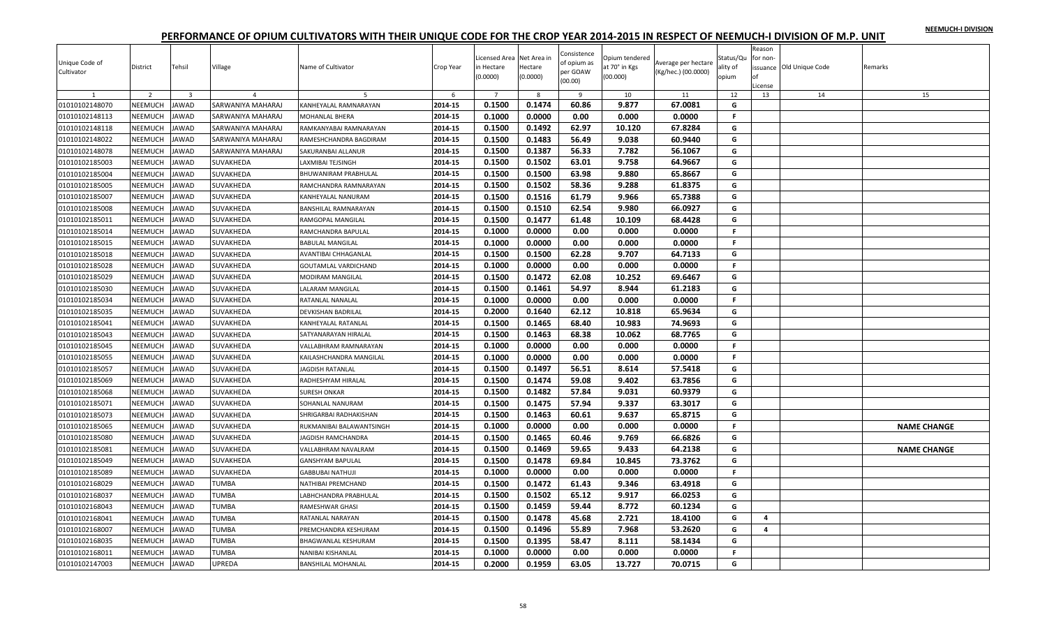|  |  | NEEMUCH-I DIVISION |
|--|--|--------------------|
|  |  |                    |

| Unique Code of<br>Cultivator | District           | Tehsil                  | Village           | Name of Cultivator                       | Crop Year          | Licensed Area Net Area in<br>in Hectare<br>(0.0000) | Hectare<br>(0.0000) | Consistence<br>of opium as<br>per GOAW<br>(00.00) | Opium tendered<br>at 70° in Kgs<br>(00.000) | Average per hectare<br>(Kg/hec.) (00.0000) | Status/Qu<br>ality of<br>opium | Reason<br>for non-<br>of<br>License | issuance Old Unique Code | Remarks            |
|------------------------------|--------------------|-------------------------|-------------------|------------------------------------------|--------------------|-----------------------------------------------------|---------------------|---------------------------------------------------|---------------------------------------------|--------------------------------------------|--------------------------------|-------------------------------------|--------------------------|--------------------|
| 1                            | $\overline{2}$     | $\overline{\mathbf{3}}$ | $\overline{a}$    | -5                                       | 6                  | $7\overline{ }$<br>0.1500                           | 8<br>0.1474         | 9<br>60.86                                        | 10<br>9.877                                 | 11<br>67.0081                              | 12<br>G                        | 13                                  | 14                       | 15                 |
| 01010102148070               | <b>NEEMUCH</b>     | <b>JAWAD</b>            | SARWANIYA MAHARAJ | KANHEYALAL RAMNARAYAN                    | 2014-15            |                                                     |                     |                                                   |                                             |                                            | F.                             |                                     |                          |                    |
| 01010102148113               | NEEMUCH<br>NEEMUCH | <b>JAWAD</b>            | SARWANIYA MAHARAJ | MOHANLAL BHERA<br>RAMKANYABAI RAMNARAYAN | 2014-15<br>2014-15 | 0.1000<br>0.1500                                    | 0.0000<br>0.1492    | 0.00<br>62.97                                     | 0.000<br>10.120                             | 0.0000<br>67.8284                          | G                              |                                     |                          |                    |
| 01010102148118               |                    | <b>JAWAD</b>            | SARWANIYA MAHARAJ |                                          |                    |                                                     |                     |                                                   |                                             |                                            |                                |                                     |                          |                    |
| 01010102148022               | <b>NEEMUCH</b>     | JAWAD                   | SARWANIYA MAHARAJ | RAMESHCHANDRA BAGDIRAM                   | 2014-15            | 0.1500                                              | 0.1483              | 56.49                                             | 9.038                                       | 60.9440                                    | G                              |                                     |                          |                    |
| 01010102148078               | NEEMUCH            | JAWAD                   | SARWANIYA MAHARAJ | SAKURANBAI ALLANUR                       | 2014-15            | 0.1500                                              | 0.1387              | 56.33                                             | 7.782                                       | 56.1067                                    | G                              |                                     |                          |                    |
| 01010102185003               | NEEMUCH            | <b>JAWAD</b>            | SUVAKHEDA         | LAXMIBAI TEJSINGH                        | 2014-15            | 0.1500                                              | 0.1502              | 63.01                                             | 9.758                                       | 64.9667                                    | G                              |                                     |                          |                    |
| 01010102185004               | NEEMUCH            | <b>JAWAD</b>            | SUVAKHEDA         | BHUWANIRAM PRABHULAL                     | 2014-15            | 0.1500                                              | 0.1500              | 63.98                                             | 9.880                                       | 65.8667                                    | G                              |                                     |                          |                    |
| 01010102185005               | <b>NEEMUCH</b>     | JAWAD                   | SUVAKHEDA         | RAMCHANDRA RAMNARAYAN                    | 2014-15            | 0.1500                                              | 0.1502              | 58.36                                             | 9.288                                       | 61.8375                                    | G                              |                                     |                          |                    |
| 01010102185007               | NEEMUCH            | JAWAD                   | SUVAKHEDA         | KANHEYALAL NANURAM                       | 2014-15            | 0.1500                                              | 0.1516              | 61.79                                             | 9.966                                       | 65.7388                                    | G                              |                                     |                          |                    |
| 01010102185008               | <b>NEEMUCH</b>     | <b>JAWAD</b>            | SUVAKHEDA         | <b>BANSHILAL RAMNARAYAN</b>              | 2014-15            | 0.1500                                              | 0.1510              | 62.54                                             | 9.980                                       | 66.0927                                    | G                              |                                     |                          |                    |
| 01010102185011               | NEEMUCH            | <b>JAWAD</b>            | SUVAKHEDA         | RAMGOPAL MANGILAL                        | 2014-15            | 0.1500                                              | 0.1477              | 61.48                                             | 10.109                                      | 68.4428                                    | G                              |                                     |                          |                    |
| 01010102185014               | NEEMUCH            | JAWAD                   | SUVAKHEDA         | RAMCHANDRA BAPULAL                       | 2014-15            | 0.1000                                              | 0.0000              | 0.00                                              | 0.000                                       | 0.0000                                     | F.                             |                                     |                          |                    |
| 01010102185015               | NEEMUCH            | <b>JAWAD</b>            | SUVAKHEDA         | <b>BABULAL MANGILAL</b>                  | 2014-15            | 0.1000                                              | 0.0000              | 0.00                                              | 0.000                                       | 0.0000                                     | F.                             |                                     |                          |                    |
| 01010102185018               | NEEMUCH            | <b>JAWAD</b>            | SUVAKHEDA         | AVANTIBAI CHHAGANLAL                     | 2014-15            | 0.1500                                              | 0.1500              | 62.28                                             | 9.707                                       | 64.7133                                    | G                              |                                     |                          |                    |
| 01010102185028               | NEEMUCH            | <b>JAWAD</b>            | SUVAKHEDA         | GOUTAMLAL VARDICHAND                     | 2014-15            | 0.1000                                              | 0.0000              | 0.00                                              | 0.000                                       | 0.0000                                     | F.                             |                                     |                          |                    |
| 01010102185029               | NEEMUCH            | <b>JAWAD</b>            | SUVAKHEDA         | <b>MODIRAM MANGILAL</b>                  | 2014-15            | 0.1500                                              | 0.1472              | 62.08                                             | 10.252                                      | 69.6467                                    | G                              |                                     |                          |                    |
| 01010102185030               | NEEMUCH            | <b>JAWAD</b>            | SUVAKHEDA         | LALARAM MANGILAL                         | 2014-15            | 0.1500                                              | 0.1461              | 54.97                                             | 8.944                                       | 61.2183                                    | G                              |                                     |                          |                    |
| 01010102185034               | NEEMUCH            | <b>JAWAD</b>            | SUVAKHEDA         | RATANLAL NANALAL                         | 2014-15            | 0.1000                                              | 0.0000              | 0.00                                              | 0.000                                       | 0.0000                                     | F                              |                                     |                          |                    |
| 01010102185035               | <b>NEEMUCH</b>     | <b>JAWAD</b>            | SUVAKHEDA         | DEVKISHAN BADRILAL                       | 2014-15            | 0.2000                                              | 0.1640              | 62.12                                             | 10.818                                      | 65.9634                                    | G                              |                                     |                          |                    |
| 01010102185041               | NEEMUCH            | JAWAD                   | <b>SUVAKHEDA</b>  | KANHEYALAL RATANLAL                      | 2014-15            | 0.1500                                              | 0.1465              | 68.40                                             | 10.983                                      | 74.9693                                    | G                              |                                     |                          |                    |
| 01010102185043               | NEEMUCH            | <b>JAWAD</b>            | SUVAKHEDA         | SATYANARAYAN HIRALAL                     | 2014-15            | 0.1500                                              | 0.1463              | 68.38                                             | 10.062                                      | 68.7765                                    | G                              |                                     |                          |                    |
| 01010102185045               | NEEMUCH            | <b>JAWAD</b>            | SUVAKHEDA         | <b>/ALLABHRAM RAMNARAYAN</b>             | 2014-15            | 0.1000                                              | 0.0000              | 0.00                                              | 0.000                                       | 0.0000                                     | F                              |                                     |                          |                    |
| 01010102185055               | <b>NEEMUCH</b>     | JAWAD                   | SUVAKHEDA         | KAILASHCHANDRA MANGILAL                  | 2014-15            | 0.1000                                              | 0.0000              | 0.00                                              | 0.000                                       | 0.0000                                     | F.                             |                                     |                          |                    |
| 01010102185057               | NEEMUCH            | <b>JAWAD</b>            | SUVAKHEDA         | JAGDISH RATANLAL                         | 2014-15            | 0.1500                                              | 0.1497              | 56.51                                             | 8.614                                       | 57.5418                                    | G                              |                                     |                          |                    |
| 01010102185069               | NEEMUCH            | <b>AWAD</b>             | SUVAKHEDA         | RADHESHYAM HIRALAL                       | 2014-15            | 0.1500                                              | 0.1474              | 59.08                                             | 9.402                                       | 63.7856                                    | G                              |                                     |                          |                    |
| 01010102185068               | NEEMUCH            | <b>JAWAD</b>            | SUVAKHEDA         | <b>SURESH ONKAR</b>                      | 2014-15            | 0.1500                                              | 0.1482              | 57.84                                             | 9.031                                       | 60.9379                                    | G                              |                                     |                          |                    |
| 01010102185071               | NEEMUCH            | <b>JAWAD</b>            | SUVAKHEDA         | SOHANLAL NANURAM                         | 2014-15            | 0.1500                                              | 0.1475              | 57.94                                             | 9.337                                       | 63.3017                                    | G                              |                                     |                          |                    |
| 01010102185073               | NEEMUCH            | JAWAD                   | SUVAKHEDA         | SHRIGARBAI RADHAKISHAN                   | 2014-15            | 0.1500                                              | 0.1463              | 60.61                                             | 9.637                                       | 65.8715                                    | G                              |                                     |                          |                    |
| 01010102185065               | NEEMUCH            | JAWAD                   | SUVAKHEDA         | RUKMANIBAI BALAWANTSINGH                 | 2014-15            | 0.1000                                              | 0.0000              | 0.00                                              | 0.000                                       | 0.0000                                     | F                              |                                     |                          | <b>NAME CHANGE</b> |
| 01010102185080               | NEEMUCH            | <b>JAWAD</b>            | SUVAKHEDA         | <b>IAGDISH RAMCHANDRA</b>                | 2014-15            | 0.1500                                              | 0.1465              | 60.46                                             | 9.769                                       | 66.6826                                    | G                              |                                     |                          |                    |
| 01010102185081               | NEEMUCH            | <b>JAWAD</b>            | SUVAKHEDA         | VALLABHRAM NAVALRAM                      | 2014-15            | 0.1500                                              | 0.1469              | 59.65                                             | 9.433                                       | 64.2138                                    | G                              |                                     |                          | <b>NAME CHANGE</b> |
| 01010102185049               | NEEMUCH            | <b>JAWAD</b>            | SUVAKHEDA         | GANSHYAM BAPULAI                         | 2014-15            | 0.1500                                              | 0.1478              | 69.84                                             | 10.845                                      | 73.3762                                    | G                              |                                     |                          |                    |
| 01010102185089               | NEEMUCH            | <b>JAWAD</b>            | SUVAKHEDA         | GABBUBAI NATHUJI                         | 2014-15            | 0.1000                                              | 0.0000              | 0.00                                              | 0.000                                       | 0.0000                                     | F                              |                                     |                          |                    |
| 01010102168029               | NEEMUCH            | <b>JAWAD</b>            | <b>TUMBA</b>      | NATHIBAI PREMCHAND                       | 2014-15            | 0.1500                                              | 0.1472              | 61.43                                             | 9.346                                       | 63.4918                                    | G                              |                                     |                          |                    |
| 01010102168037               | <b>NEEMUCH</b>     | <b>JAWAD</b>            | <b>TUMBA</b>      | LABHCHANDRA PRABHULAL                    | 2014-15            | 0.1500                                              | 0.1502              | 65.12                                             | 9.917                                       | 66.0253                                    | G                              |                                     |                          |                    |
| 01010102168043               | <b>NEEMUCH</b>     | <b>JAWAD</b>            | <b>TUMBA</b>      | RAMESHWAR GHASI                          | 2014-15            | 0.1500                                              | 0.1459              | 59.44                                             | 8.772                                       | 60.1234                                    | G                              |                                     |                          |                    |
| 01010102168041               | NEEMUCH            | <b>JAWAD</b>            | <b>TUMBA</b>      | RATANLAL NARAYAN                         | 2014-15            | 0.1500                                              | 0.1478              | 45.68                                             | 2.721                                       | 18.4100                                    | G                              | 4                                   |                          |                    |
| 01010102168007               | NEEMUCH            | <b>JAWAD</b>            | <b>TUMBA</b>      | PREMCHANDRA KESHURAM                     | 2014-15            | 0.1500                                              | 0.1496              | 55.89                                             | 7.968                                       | 53.2620                                    | G                              | 4                                   |                          |                    |
| 01010102168035               | NEEMUCH            | <b>JAWAD</b>            | <b>TUMBA</b>      | BHAGWANLAL KESHURAM                      | 2014-15            | 0.1500                                              | 0.1395              | 58.47                                             | 8.111                                       | 58.1434                                    | G                              |                                     |                          |                    |
| 01010102168011               | NEEMUCH            | JAWAD                   | TUMBA             | NANIBAI KISHANLAL                        | 2014-15            | 0.1000                                              | 0.0000              | 0.00                                              | 0.000                                       | 0.0000                                     | F                              |                                     |                          |                    |
| 01010102147003               | NEEMUCH            | <b>JAWAD</b>            | UPREDA            | <b>BANSHILAL MOHANLAL</b>                | 2014-15            | 0.2000                                              | 0.1959              | 63.05                                             | 13.727                                      | 70.0715                                    | G                              |                                     |                          |                    |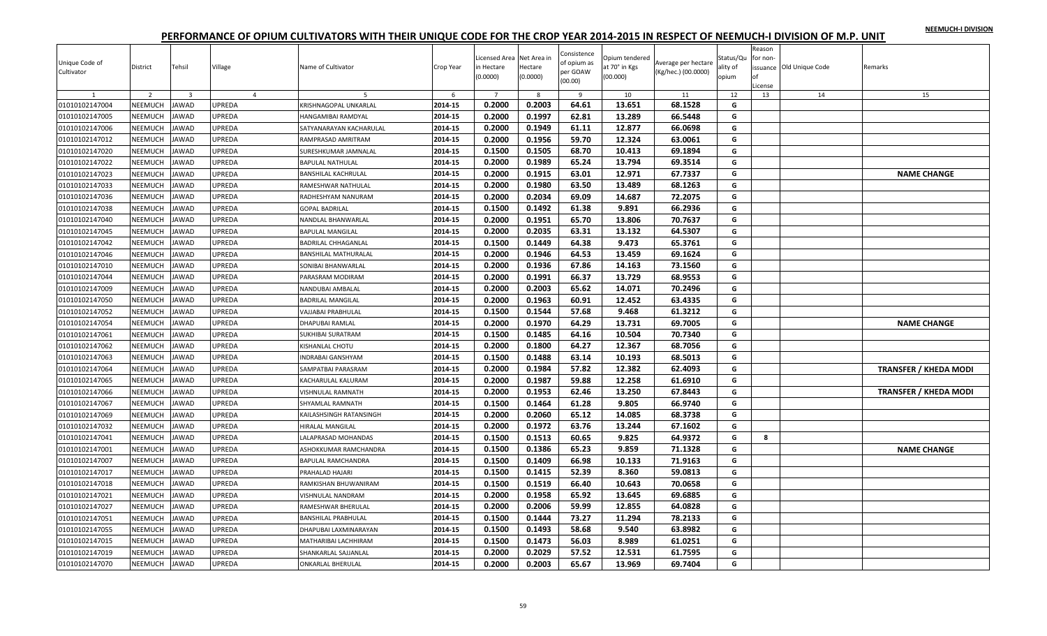|  |  | NEEMUCH-I DIVISION |
|--|--|--------------------|
|  |  |                    |

| Unique Code of<br>Cultivator | District       | Tehsil                  | Village        | Name of Cultivator         | Crop Year | Licensed Area Net Area in<br>in Hectare<br>(0.0000) | Hectare<br>(0.0000) | Consistence<br>of opium as<br>per GOAW<br>(00.00) | Opium tendered<br>at 70° in Kgs<br>(00.000) | Average per hectare<br>(Kg/hec.) (00.0000) | Status/Qu<br>ality of<br>opium | Reason<br>for non<br>∩f<br>License | issuance Old Unique Code | Remarks                      |
|------------------------------|----------------|-------------------------|----------------|----------------------------|-----------|-----------------------------------------------------|---------------------|---------------------------------------------------|---------------------------------------------|--------------------------------------------|--------------------------------|------------------------------------|--------------------------|------------------------------|
|                              | $\overline{2}$ | $\overline{\mathbf{3}}$ | $\overline{4}$ | $\overline{5}$             | 6         | $\overline{7}$                                      | 8                   | 9                                                 | 10                                          | 11                                         | 12                             | 13                                 | 14                       | 15                           |
| 01010102147004               | NEEMUCH        | <b>JAWAD</b>            | UPREDA         | KRISHNAGOPAL UNKARLAL      | 2014-15   | 0.2000                                              | 0.2003              | 64.61                                             | 13.651                                      | 68.1528                                    | G                              |                                    |                          |                              |
| 01010102147005               | NEEMUCH        | <b>JAWAD</b>            | UPREDA         | <b>HANGAMIBAI RAMDYAL</b>  | 2014-15   | 0.2000                                              | 0.1997              | 62.81                                             | 13.289                                      | 66.5448                                    | G                              |                                    |                          |                              |
| 01010102147006               | NEEMUCH        | <b>JAWAD</b>            | UPREDA         | SATYANARAYAN KACHARULAL    | 2014-15   | 0.2000                                              | 0.1949              | 61.11                                             | 12.877                                      | 66.0698                                    | G                              |                                    |                          |                              |
| 01010102147012               | NEEMUCH        | <b>JAWAD</b>            | UPREDA         | RAMPRASAD AMRITRAM         | 2014-15   | 0.2000                                              | 0.1956              | 59.70                                             | 12.324                                      | 63.0061                                    | G                              |                                    |                          |                              |
| 01010102147020               | <b>NEEMUCH</b> | <b>JAWAD</b>            | UPREDA         | SURESHKUMAR JAMNALAL       | 2014-15   | 0.1500                                              | 0.1505              | 68.70                                             | 10.413                                      | 69.1894                                    | G                              |                                    |                          |                              |
| 01010102147022               | NEEMUCH        | JAWAD                   | UPREDA         | <b>BAPULAL NATHULAL</b>    | 2014-15   | 0.2000                                              | 0.1989              | 65.24                                             | 13.794                                      | 69.3514                                    | G                              |                                    |                          |                              |
| 01010102147023               | NEEMUCH        | <b>JAWAD</b>            | UPREDA         | <b>BANSHILAL KACHRULAL</b> | 2014-15   | 0.2000                                              | 0.1915              | 63.01                                             | 12.971                                      | 67.7337                                    | G                              |                                    |                          | <b>NAME CHANGE</b>           |
| 01010102147033               | NEEMUCH        | <b>JAWAD</b>            | UPREDA         | RAMESHWAR NATHULAL         | 2014-15   | 0.2000                                              | 0.1980              | 63.50                                             | 13.489                                      | 68.1263                                    | G                              |                                    |                          |                              |
| 01010102147036               | NEEMUCH        | <b>JAWAD</b>            | UPREDA         | RADHESHYAM NANURAM         | 2014-15   | 0.2000                                              | 0.2034              | 69.09                                             | 14.687                                      | 72.2075                                    | G                              |                                    |                          |                              |
| 01010102147038               | NEEMUCH        | <b>JAWAD</b>            | UPREDA         | <b>GOPAL BADRILAL</b>      | 2014-15   | 0.1500                                              | 0.1492              | 61.38                                             | 9.891                                       | 66.2936                                    | G                              |                                    |                          |                              |
| 01010102147040               | NEEMUCH        | <b>JAWAD</b>            | UPREDA         | NANDLAL BHANWARLAL         | 2014-15   | 0.2000                                              | 0.1951              | 65.70                                             | 13.806                                      | 70.7637                                    | G                              |                                    |                          |                              |
| 01010102147045               | NEEMUCH        | <b>JAWAD</b>            | UPREDA         | <b>BAPULAL MANGILAL</b>    | 2014-15   | 0.2000                                              | 0.2035              | 63.31                                             | 13.132                                      | 64.5307                                    | G                              |                                    |                          |                              |
| 01010102147042               | NEEMUCH        | <b>JAWAD</b>            | UPREDA         | <b>BADRILAL CHHAGANLAL</b> | 2014-15   | 0.1500                                              | 0.1449              | 64.38                                             | 9.473                                       | 65.3761                                    | G                              |                                    |                          |                              |
| 01010102147046               | NEEMUCH        | <b>JAWAD</b>            | UPREDA         | BANSHILAL MATHURALAL       | 2014-15   | 0.2000                                              | 0.1946              | 64.53                                             | 13.459                                      | 69.1624                                    | G                              |                                    |                          |                              |
| 01010102147010               | NEEMUCH        | <b>JAWAD</b>            | UPREDA         | SONIBAI BHANWARLAL         | 2014-15   | 0.2000                                              | 0.1936              | 67.86                                             | 14.163                                      | 73.1560                                    | G                              |                                    |                          |                              |
| 01010102147044               | <b>NEEMUCH</b> | <b>JAWAD</b>            | UPREDA         | PARASRAM MODIRAM           | 2014-15   | 0.2000                                              | 0.1991              | 66.37                                             | 13.729                                      | 68.9553                                    | G                              |                                    |                          |                              |
| 01010102147009               | NEEMUCH        | JAWAD                   | UPREDA         | NANDUBAI AMBALAL           | 2014-15   | 0.2000                                              | 0.2003              | 65.62                                             | 14.071                                      | 70.2496                                    | G                              |                                    |                          |                              |
| 01010102147050               | NEEMUCH        | <b>JAWAD</b>            | UPREDA         | <b>BADRILAL MANGILAL</b>   | 2014-15   | 0.2000                                              | 0.1963              | 60.91                                             | 12.452                                      | 63.4335                                    | G                              |                                    |                          |                              |
| 01010102147052               | NEEMUCH        | <b>JAWAD</b>            | UPREDA         | VAJJABAI PRABHULAL         | 2014-15   | 0.1500                                              | 0.1544              | 57.68                                             | 9.468                                       | 61.3212                                    | G                              |                                    |                          |                              |
| 01010102147054               | NEEMUCH        | <b>JAWAD</b>            | UPREDA         | DHAPUBAI RAMLAI            | 2014-15   | 0.2000                                              | 0.1970              | 64.29                                             | 13.731                                      | 69.7005                                    | G                              |                                    |                          | <b>NAME CHANGE</b>           |
| 01010102147061               | NEEMUCH        | <b>JAWAD</b>            | UPREDA         | <b>SUKHIBAI SURATRAM</b>   | 2014-15   | 0.1500                                              | 0.1485              | 64.16                                             | 10.504                                      | 70.7340                                    | G                              |                                    |                          |                              |
| 01010102147062               | NEEMUCH        | <b>JAWAD</b>            | UPREDA         | KISHANLAL CHOTU            | 2014-15   | 0.2000                                              | 0.1800              | 64.27                                             | 12.367                                      | 68.7056                                    | G                              |                                    |                          |                              |
| 01010102147063               | NEEMUCH        | <b>JAWAD</b>            | UPREDA         | <b>INDRABAI GANSHYAM</b>   | 2014-15   | 0.1500                                              | 0.1488              | 63.14                                             | 10.193                                      | 68.5013                                    | G                              |                                    |                          |                              |
| 01010102147064               | NEEMUCH        | <b>JAWAD</b>            | UPREDA         | SAMPATBAI PARASRAM         | 2014-15   | 0.2000                                              | 0.1984              | 57.82                                             | 12.382                                      | 62.4093                                    | G                              |                                    |                          | <b>TRANSFER / KHEDA MODI</b> |
| 01010102147065               | NEEMUCH        | JAWAD                   | <b>JPREDA</b>  | KACHARULAL KALURAM         | 2014-15   | 0.2000                                              | 0.1987              | 59.88                                             | 12.258                                      | 61.6910                                    | G                              |                                    |                          |                              |
| 01010102147066               | NEEMUCH        | <b>JAWAD</b>            | UPREDA         | VISHNULAL RAMNATH          | 2014-15   | 0.2000                                              | 0.1953              | 62.46                                             | 13.250                                      | 67.8443                                    | G                              |                                    |                          | <b>TRANSFER / KHEDA MODI</b> |
| 01010102147067               | NEEMUCH        | <b>JAWAD</b>            | UPREDA         | SHYAMLAL RAMNATH           | 2014-15   | 0.1500                                              | 0.1464              | 61.28                                             | 9.805                                       | 66.9740                                    | G                              |                                    |                          |                              |
| 01010102147069               | NEEMUCH        | JAWAD                   | UPREDA         | KAILASHSINGH RATANSINGH    | 2014-15   | 0.2000                                              | 0.2060              | 65.12                                             | 14.085                                      | 68.3738                                    | G                              |                                    |                          |                              |
| 01010102147032               | NEEMUCH        | <b>JAWAD</b>            | UPREDA         | <b>HIRALAL MANGILAL</b>    | 2014-15   | 0.2000                                              | 0.1972              | 63.76                                             | 13.244                                      | 67.1602                                    | G                              |                                    |                          |                              |
| 01010102147041               | NEEMUCH        | <b>JAWAD</b>            | UPREDA         | LALAPRASAD MOHANDAS        | 2014-15   | 0.1500                                              | 0.1513              | 60.65                                             | 9.825                                       | 64.9372                                    | G                              | 8                                  |                          |                              |
| 01010102147001               | NEEMUCH        | <b>JAWAD</b>            | UPREDA         | ASHOKKUMAR RAMCHANDRA      | 2014-15   | 0.1500                                              | 0.1386              | 65.23                                             | 9.859                                       | 71.1328                                    | G                              |                                    |                          | <b>NAME CHANGE</b>           |
| 01010102147007               | NEEMUCH        | <b>JAWAD</b>            | UPREDA         | BAPULAL RAMCHANDRA         | 2014-15   | 0.1500                                              | 0.1409              | 66.98                                             | 10.133                                      | 71.9163                                    | G                              |                                    |                          |                              |
| 01010102147017               | NEEMUCH        | JAWAD                   | UPREDA         | PRAHALAD HAJARI            | 2014-15   | 0.1500                                              | 0.1415              | 52.39                                             | 8.360                                       | 59.0813                                    | G                              |                                    |                          |                              |
| 01010102147018               | NEEMUCH        | <b>JAWAD</b>            | UPREDA         | RAMKISHAN BHUWANIRAM       | 2014-15   | 0.1500                                              | 0.1519              | 66.40                                             | 10.643                                      | 70.0658                                    | G                              |                                    |                          |                              |
| 01010102147021               | <b>NEEMUCH</b> | <b>JAWAD</b>            | UPREDA         | VISHNULAL NANDRAM          | 2014-15   | 0.2000                                              | 0.1958              | 65.92                                             | 13.645                                      | 69.6885                                    | G                              |                                    |                          |                              |
| 01010102147027               | NEEMUCH        | <b>JAWAD</b>            | UPREDA         | RAMESHWAR BHERULAL         | 2014-15   | 0.2000                                              | 0.2006              | 59.99                                             | 12.855                                      | 64.0828                                    | G                              |                                    |                          |                              |
| 01010102147051               | NEEMUCH        | <b>JAWAD</b>            | UPREDA         | <b>BANSHILAL PRABHULAL</b> | 2014-15   | 0.1500                                              | 0.1444              | 73.27                                             | 11.294                                      | 78.2133                                    | G                              |                                    |                          |                              |
| 01010102147055               | NEEMUCH        | <b>JAWAD</b>            | UPREDA         | DHAPUBAI LAXMINARAYAN      | 2014-15   | 0.1500                                              | 0.1493              | 58.68                                             | 9.540                                       | 63.8982                                    | G                              |                                    |                          |                              |
| 01010102147015               | NEEMUCH        | <b>JAWAD</b>            | <b>JPREDA</b>  | MATHARIBAI LACHHIRAM       | 2014-15   | 0.1500                                              | 0.1473              | 56.03                                             | 8.989                                       | 61.0251                                    | G                              |                                    |                          |                              |
| 01010102147019               | NEEMUCH        | <b>JAWAD</b>            | UPREDA         | SHANKARLAL SAJJANLAL       | 2014-15   | 0.2000                                              | 0.2029              | 57.52                                             | 12.531                                      | 61.7595                                    | G                              |                                    |                          |                              |
| 01010102147070               | NEEMUCH        | <b>JAWAD</b>            | UPREDA         | <b>ONKARLAL BHERULAL</b>   | 2014-15   | 0.2000                                              | 0.2003              | 65.67                                             | 13.969                                      | 69.7404                                    | G                              |                                    |                          |                              |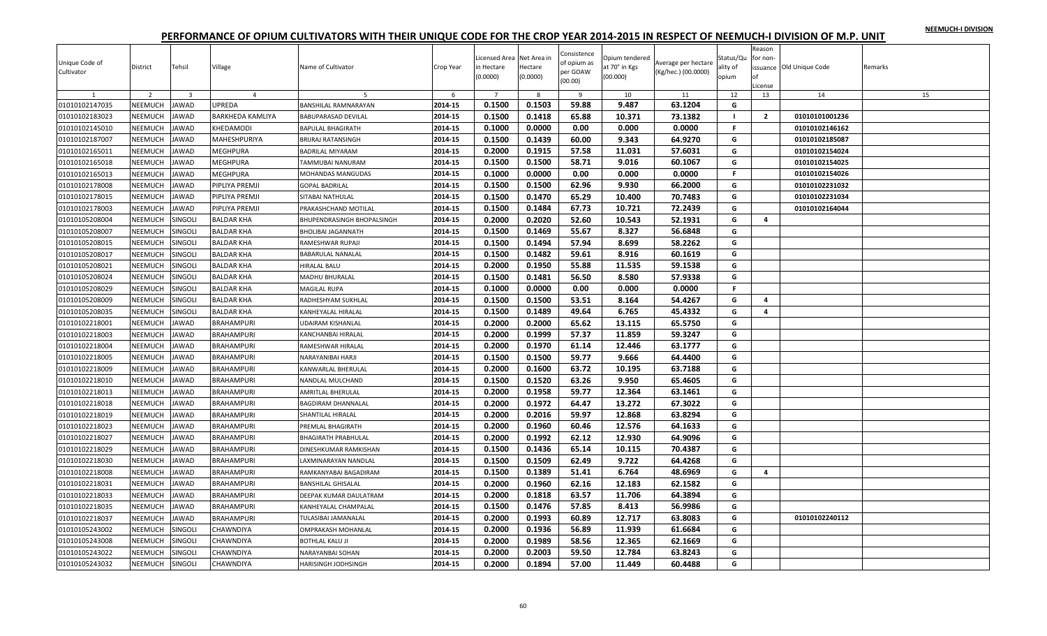|  |  | NEEMUCH-I DIVISION |
|--|--|--------------------|
|  |  |                    |

| Unique Code of<br>Cultivator<br>$\mathbf{1}$ | District<br>$\overline{z}$ | Tehsil<br>$\overline{3}$ | Village<br>$\overline{4}$ | Name of Cultivator<br>-5   | Crop Year<br>6 | icensed Area<br>in Hectare<br>(0.0000)<br>$\overline{7}$ | Net Area in<br>Hectare<br>(0.0000)<br>$\mathbf{R}$ | Consistence<br>of opium as<br>per GOAW<br>(00.00)<br>9 | Opium tendered<br>at 70° in Kgs<br>(00.000)<br>10 | Average per hectare<br>(Kg/hec.) (00.0000)<br>11 | Status/Qu<br>ality of<br>opium<br>12 | Reason<br>for non-<br>License<br>13 | issuance Old Unique Code<br>14 | Remarks<br>15 |
|----------------------------------------------|----------------------------|--------------------------|---------------------------|----------------------------|----------------|----------------------------------------------------------|----------------------------------------------------|--------------------------------------------------------|---------------------------------------------------|--------------------------------------------------|--------------------------------------|-------------------------------------|--------------------------------|---------------|
| 01010102147035                               | NEEMUCH                    | JAWAD                    | <b>UPREDA</b>             | BANSHILAL RAMNARAYAN       | 2014-15        | 0.1500                                                   | 0.1503                                             | 59.88                                                  | 9.487                                             | 63.1204                                          | G                                    |                                     |                                |               |
| 01010102183023                               | <b>NEEMUCH</b>             | <b>JAWAD</b>             | <b>BARKHEDA KAMLIYA</b>   | <b>BABUPARASAD DEVILAL</b> | 2014-15        | 0.1500                                                   | 0.1418                                             | 65.88                                                  | 10.371                                            | 73.1382                                          | - 1                                  | $\overline{2}$                      | 01010101001236                 |               |
| 01010102145010                               | NEEMUCH                    | <b>JAWAD</b>             | KHEDAMODI                 | <b>BAPULAL BHAGIRATH</b>   | 2014-15        | 0.1000                                                   | 0.0000                                             | 0.00                                                   | 0.000                                             | 0.0000                                           | F.                                   |                                     | 01010102146162                 |               |
| 01010102187007                               | NEEMUCH                    | <b>JAWAD</b>             | MAHESHPURIYA              | <b>BRIJRAJ RATANSINGH</b>  | 2014-15        | 0.1500                                                   | 0.1439                                             | 60.00                                                  | 9.343                                             | 64.9270                                          | G                                    |                                     | 01010102185087                 |               |
| 01010102165011                               | NEEMUCH                    | <b>JAWAD</b>             | <b>MEGHPURA</b>           | <b>BADRILAL MIYARAM</b>    | 2014-15        | 0.2000                                                   | 0.1915                                             | 57.58                                                  | 11.031                                            | 57.6031                                          | G                                    |                                     | 01010102154024                 |               |
| 01010102165018                               | <b>NEEMUCH</b>             | JAWAD                    | <b>MEGHPURA</b>           | TAMMUBAI NANURAM           | 2014-15        | 0.1500                                                   | 0.1500                                             | 58.71                                                  | 9.016                                             | 60.1067                                          | G                                    |                                     | 01010102154025                 |               |
| 01010102165013                               | <b>NEEMUCH</b>             | <b>JAWAD</b>             | MEGHPURA                  | MOHANDAS MANGUDAS          | 2014-15        | 0.1000                                                   | 0.0000                                             | 0.00                                                   | 0.000                                             | 0.0000                                           | F.                                   |                                     | 01010102154026                 |               |
| 01010102178008                               | NEEMUCH                    | JAWAD                    | PIPLIYA PREMJI            | <b>GOPAL BADRILAL</b>      | 2014-15        | 0.1500                                                   | 0.1500                                             | 62.96                                                  | 9.930                                             | 66.2000                                          | G                                    |                                     | 01010102231032                 |               |
| 01010102178015                               | <b>NEEMUCH</b>             | <b>JAWAD</b>             | PIPLIYA PREMJI            | SITABAI NATHULAL           | 2014-15        | 0.1500                                                   | 0.1470                                             | 65.29                                                  | 10.400                                            | 70.7483                                          | G                                    |                                     | 01010102231034                 |               |
| 01010102178003                               | <b>NEEMUCH</b>             | <b>JAWAD</b>             | PIPLIYA PREMJI            | PRAKASHCHAND MOTILAL       | 2014-15        | 0.1500                                                   | 0.1484                                             | 67.73                                                  | 10.721                                            | 72.2439                                          | G                                    |                                     | 01010102164044                 |               |
| 01010105208004                               | NEEMUCH                    | SINGOLI                  | <b>BALDAR KHA</b>         | BHUPENDRASINGH BHOPALSINGH | 2014-15        | 0.2000                                                   | 0.2020                                             | 52.60                                                  | 10.543                                            | 52.1931                                          | G                                    | $\overline{a}$                      |                                |               |
| 01010105208007                               | NEEMUCH                    | SINGOLI                  | <b>BALDAR KHA</b>         | <b>BHOLIBAI JAGANNATH</b>  | 2014-15        | 0.1500                                                   | 0.1469                                             | 55.67                                                  | 8.327                                             | 56.6848                                          | G                                    |                                     |                                |               |
| 01010105208015                               | NEEMUCH                    | SINGOLI                  | <b>BALDAR KHA</b>         | RAMESHWAR RUPAJI           | 2014-15        | 0.1500                                                   | 0.1494                                             | 57.94                                                  | 8.699                                             | 58.2262                                          | G                                    |                                     |                                |               |
| 01010105208017                               | NEEMUCH                    | SINGOLI                  | <b>BALDAR KHA</b>         | <b>BABARULAL NANALAL</b>   | 2014-15        | 0.1500                                                   | 0.1482                                             | 59.61                                                  | 8.916                                             | 60.1619                                          | G                                    |                                     |                                |               |
| 01010105208021                               | NEEMUCH                    | SINGOLI                  | <b>BALDAR KHA</b>         | HIRALAL BALU               | 2014-15        | 0.2000                                                   | 0.1950                                             | 55.88                                                  | 11.535                                            | 59.1538                                          | G                                    |                                     |                                |               |
| 01010105208024                               | <b>NEEMUCH</b>             | SINGOLI                  | <b>BALDAR KHA</b>         | MADHU BHURALAL             | 2014-15        | 0.1500                                                   | 0.1481                                             | 56.50                                                  | 8.580                                             | 57.9338                                          | G                                    |                                     |                                |               |
| 01010105208029                               | <b>NEEMUCH</b>             | SINGOLI                  | <b>BALDAR KHA</b>         | MAGILAL RUPA               | 2014-15        | 0.1000                                                   | 0.0000                                             | 0.00                                                   | 0.000                                             | 0.0000                                           | F.                                   |                                     |                                |               |
| 01010105208009                               | NEEMUCH                    | SINGOLI                  | <b>BALDAR KHA</b>         | RADHESHYAM SUKHLAL         | 2014-15        | 0.1500                                                   | 0.1500                                             | 53.51                                                  | 8.164                                             | 54.4267                                          | G                                    | $\overline{a}$                      |                                |               |
| 01010105208035                               | NEEMUCH                    | SINGOLI                  | <b>BALDAR KHA</b>         | KANHEYALAL HIRALAL         | 2014-15        | 0.1500                                                   | 0.1489                                             | 49.64                                                  | 6.765                                             | 45.4332                                          | G                                    | $\overline{a}$                      |                                |               |
| 01010102218001                               | <b>NEEMUCH</b>             | JAWAD                    | <b>BRAHAMPURI</b>         | UDAIRAM KISHANLAL          | 2014-15        | 0.2000                                                   | 0.2000                                             | 65.62                                                  | 13.115                                            | 65.5750                                          | G                                    |                                     |                                |               |
| 01010102218003                               | <b>NEEMUCH</b>             | JAWAD                    | <b>BRAHAMPURI</b>         | KANCHANBAI HIRALAL         | 2014-15        | 0.2000                                                   | 0.1999                                             | 57.37                                                  | 11.859                                            | 59.3247                                          | G                                    |                                     |                                |               |
| 01010102218004                               | NEEMUCH                    | <b>JAWAD</b>             | <b>BRAHAMPURI</b>         | RAMESHWAR HIRALAL          | 2014-15        | 0.2000                                                   | 0.1970                                             | 61.14                                                  | 12.446                                            | 63.1777                                          | G                                    |                                     |                                |               |
| 01010102218005                               | <b>NEEMUCH</b>             | <b>JAWAD</b>             | <b>BRAHAMPURI</b>         | NARAYANIBAI HARJI          | 2014-15        | 0.1500                                                   | 0.1500                                             | 59.77                                                  | 9.666                                             | 64.4400                                          | G                                    |                                     |                                |               |
| 01010102218009                               | NEEMUCH                    | <b>JAWAD</b>             | <b>BRAHAMPURI</b>         | KANWARLAL BHERULAL         | 2014-15        | 0.2000                                                   | 0.1600                                             | 63.72                                                  | 10.195                                            | 63.7188                                          | G                                    |                                     |                                |               |
| 01010102218010                               | NEEMUCH                    | <b>JAWAD</b>             | <b>BRAHAMPURI</b>         | NANDLAL MULCHAND           | 2014-15        | 0.1500                                                   | 0.1520                                             | 63.26                                                  | 9.950                                             | 65.4605                                          | G                                    |                                     |                                |               |
| 01010102218013                               | NEEMUCH                    | JAWAD                    | <b>BRAHAMPURI</b>         | AMRITLAL BHERULAL          | 2014-15        | 0.2000                                                   | 0.1958                                             | 59.77                                                  | 12.364                                            | 63.1461                                          | G                                    |                                     |                                |               |
| 01010102218018                               | <b>NEEMUCH</b>             | <b>JAWAD</b>             | <b>BRAHAMPURI</b>         | <b>BAGDIRAM DHANNALAL</b>  | 2014-15        | 0.2000                                                   | 0.1972                                             | 64.47                                                  | 13.272                                            | 67.3022                                          | G                                    |                                     |                                |               |
| 01010102218019                               | <b>NEEMUCH</b>             | <b>JAWAD</b>             | <b>BRAHAMPURI</b>         | <b>SHANTILAL HIRALAL</b>   | 2014-15        | 0.2000                                                   | 0.2016                                             | 59.97                                                  | 12.868                                            | 63.8294                                          | G                                    |                                     |                                |               |
| 01010102218023                               | NEEMUCH                    | <b>JAWAD</b>             | <b>BRAHAMPURI</b>         | PREMLAL BHAGIRATH          | 2014-15        | 0.2000                                                   | 0.1960                                             | 60.46                                                  | 12.576                                            | 64.1633                                          | G                                    |                                     |                                |               |
| 01010102218027                               | <b>NEEMUCH</b>             | JAWAD                    | <b>BRAHAMPURI</b>         | <b>BHAGIRATH PRABHULAL</b> | 2014-15        | 0.2000                                                   | 0.1992                                             | 62.12                                                  | 12.930                                            | 64.9096                                          | G                                    |                                     |                                |               |
| 01010102218029                               | NEEMUCH                    | JAWAD                    | <b>BRAHAMPURI</b>         | DINESHKUMAR RAMKISHAN      | 2014-15        | 0.1500                                                   | 0.1436                                             | 65.14                                                  | 10.115                                            | 70.4387                                          | G                                    |                                     |                                |               |
| 01010102218030                               | <b>NEEMUCH</b>             | <b>JAWAD</b>             | <b>BRAHAMPURI</b>         | LAXMINARAYAN NANDLAL       | 2014-15        | 0.1500                                                   | 0.1509                                             | 62.49                                                  | 9.722                                             | 64.4268                                          | G                                    |                                     |                                |               |
| 01010102218008                               | NEEMUCH                    | <b>JAWAD</b>             | <b>BRAHAMPURI</b>         | RAMKANYABAI BAGADIRAM      | 2014-15        | 0.1500                                                   | 0.1389                                             | 51.41                                                  | 6.764                                             | 48.6969                                          | G                                    | $\overline{a}$                      |                                |               |
| 01010102218031                               | <b>NEEMUCH</b>             | <b>JAWAD</b>             | <b>BRAHAMPURI</b>         | <b>BANSHILAL GHISALAL</b>  | 2014-15        | 0.2000                                                   | 0.1960                                             | 62.16                                                  | 12.183                                            | 62.1582                                          | G                                    |                                     |                                |               |
| 01010102218033                               | <b>NEEMUCH</b>             | <b>JAWAD</b>             | <b>BRAHAMPURI</b>         | DEEPAK KUMAR DAULATRAM     | 2014-15        | 0.2000                                                   | 0.1818                                             | 63.57                                                  | 11.706                                            | 64.3894                                          | G                                    |                                     |                                |               |
| 01010102218035                               | NEEMUCH                    | <b>JAWAD</b>             | <b>BRAHAMPURI</b>         | KANHEYALAL CHAMPALAL       | 2014-15        | 0.1500                                                   | 0.1476                                             | 57.85                                                  | 8.413                                             | 56.9986                                          | G                                    |                                     |                                |               |
| 01010102218037                               | NEEMUCH                    | <b>JAWAD</b>             | <b>BRAHAMPURI</b>         | TULASIBAI JAMANALAL        | 2014-15        | 0.2000                                                   | 0.1993                                             | 60.89                                                  | 12.717                                            | 63.8083                                          | G                                    |                                     | 01010102240112                 |               |
| 01010105243002                               | NEEMUCH                    | SINGOLI                  | CHAWNDIYA                 | OMPRAKASH MOHANLAL         | 2014-15        | 0.2000                                                   | 0.1936                                             | 56.89                                                  | 11.939                                            | 61.6684                                          | G                                    |                                     |                                |               |
| 01010105243008                               | <b>NEEMUCH</b>             | SINGOLI                  | <b>CHAWNDIYA</b>          | <b>BOTHLAL KALU JI</b>     | 2014-15        | 0.2000                                                   | 0.1989                                             | 58.56                                                  | 12.365                                            | 62.1669                                          | G                                    |                                     |                                |               |
| 01010105243022                               | NEEMUCH                    | SINGOLI                  | <b>CHAWNDIYA</b>          | NARAYANBAI SOHAN           | 2014-15        | 0.2000                                                   | 0.2003                                             | 59.50                                                  | 12.784                                            | 63.8243                                          | G                                    |                                     |                                |               |
| 01010105243032                               | NEEMUCH                    | <b>SINGOLI</b>           | <b>CHAWNDIYA</b>          | HARISINGH JODHSINGH        | 2014-15        | 0.2000                                                   | 0.1894                                             | 57.00                                                  | 11.449                                            | 60.4488                                          | G                                    |                                     |                                |               |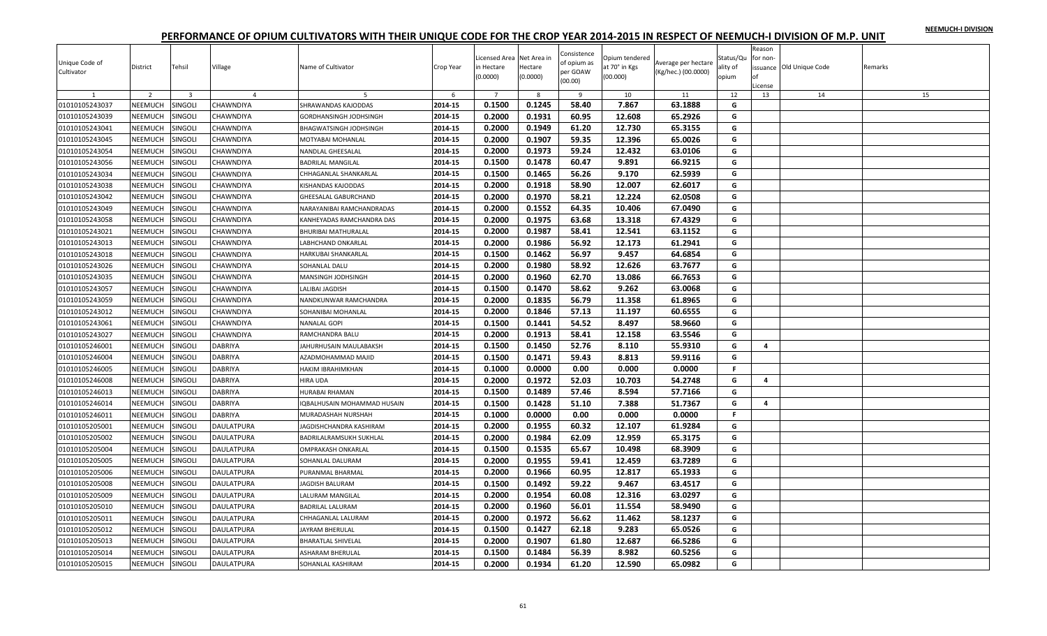|  |  | NEEMUCH-I DIVISION |
|--|--|--------------------|
|  |  |                    |

| Unique Code of<br>Cultivator | District       | Tehsil         | Village           | Name of Cultivator          | Crop Year | Licensed Area Net Area in<br>in Hectare<br>(0.0000) | Hectare<br>(0.0000) | Consistence<br>of opium as<br>per GOAW<br>(00.00) | Opium tendered<br>at 70° in Kgs<br>(00.000) | Average per hectare<br>(Kg/hec.) (00.0000) | Status/Qu<br>ality of<br>opium | Reason<br>for non-<br>of<br>License | issuance Old Unique Code | Remarks |
|------------------------------|----------------|----------------|-------------------|-----------------------------|-----------|-----------------------------------------------------|---------------------|---------------------------------------------------|---------------------------------------------|--------------------------------------------|--------------------------------|-------------------------------------|--------------------------|---------|
| $\mathbf{1}$                 | $\overline{2}$ | $\overline{3}$ | $\overline{4}$    | 5                           | 6         | $\overline{7}$                                      | 8                   | 9                                                 | 10                                          | 11                                         | 12                             | 13                                  | 14                       | 15      |
| 01010105243037               | NEEMUCH        | SINGOLI        | CHAWNDIYA         | SHRAWANDAS KAJODDAS         | 2014-15   | 0.1500                                              | 0.1245              | 58.40                                             | 7.867                                       | 63.1888                                    | G                              |                                     |                          |         |
| 01010105243039               | NEEMUCH        | Singoli        | CHAWNDIYA         | GORDHANSINGH JODHSINGH      | 2014-15   | 0.2000                                              | 0.1931              | 60.95                                             | 12.608                                      | 65.2926                                    | G                              |                                     |                          |         |
| 01010105243041               | NEEMUCH        | SINGOLI        | CHAWNDIYA         | BHAGWATSINGH JODHSINGH      | 2014-15   | 0.2000                                              | 0.1949              | 61.20                                             | 12.730                                      | 65.3155                                    | G                              |                                     |                          |         |
| 01010105243045               | NEEMUCH        | SINGOLI        | CHAWNDIYA         | MOTYABAI MOHANLAL           | 2014-15   | 0.2000                                              | 0.1907              | 59.35                                             | 12.396                                      | 65.0026                                    | G                              |                                     |                          |         |
| 01010105243054               | NEEMUCH        | SINGOLI        | CHAWNDIYA         | NANDLAL GHEESALAL           | 2014-15   | 0.2000                                              | 0.1973              | 59.24                                             | 12.432                                      | 63.0106                                    | G                              |                                     |                          |         |
| 01010105243056               | NEEMUCH        | Singoli        | CHAWNDIYA         | <b>BADRILAL MANGILAL</b>    | 2014-15   | 0.1500                                              | 0.1478              | 60.47                                             | 9.891                                       | 66.9215                                    | G                              |                                     |                          |         |
| 01010105243034               | NEEMUCH        | SINGOLI        | CHAWNDIYA         | CHHAGANLAL SHANKARLAL       | 2014-15   | 0.1500                                              | 0.1465              | 56.26                                             | 9.170                                       | 62.5939                                    | G                              |                                     |                          |         |
| 01010105243038               | NEEMUCH        | SINGOLI        | CHAWNDIYA         | KISHANDAS KAJODDAS          | 2014-15   | 0.2000                                              | 0.1918              | 58.90                                             | 12.007                                      | 62.6017                                    | G                              |                                     |                          |         |
| 01010105243042               | <b>NEEMUCH</b> | SINGOLI        | CHAWNDIYA         | GHEESALAL GABURCHAND        | 2014-15   | 0.2000                                              | 0.1970              | 58.21                                             | 12.224                                      | 62.0508                                    | G                              |                                     |                          |         |
| 01010105243049               | NEEMUCH        | SINGOLI        | CHAWNDIYA         | NARAYANIBAI RAMCHANDRADAS   | 2014-15   | 0.2000                                              | 0.1552              | 64.35                                             | 10.406                                      | 67.0490                                    | G                              |                                     |                          |         |
| 01010105243058               | NEEMUCH        | SINGOLI        | CHAWNDIYA         | KANHEYADAS RAMCHANDRA DAS   | 2014-15   | 0.2000                                              | 0.1975              | 63.68                                             | 13.318                                      | 67.4329                                    | G                              |                                     |                          |         |
| 01010105243021               | NEEMUCH        | SINGOLI        | CHAWNDIYA         | <b>BHURIBAI MATHURALAL</b>  | 2014-15   | 0.2000                                              | 0.1987              | 58.41                                             | 12.541                                      | 63.1152                                    | G                              |                                     |                          |         |
| 01010105243013               | NEEMUCH        | SINGOLI        | CHAWNDIYA         | LABHCHAND ONKARLAL          | 2014-15   | 0.2000                                              | 0.1986              | 56.92                                             | 12.173                                      | 61.2941                                    | G                              |                                     |                          |         |
| 01010105243018               | NEEMUCH        | SINGOLI        | CHAWNDIYA         | HARKUBAI SHANKARLAL         | 2014-15   | 0.1500                                              | 0.1462              | 56.97                                             | 9.457                                       | 64.6854                                    | G                              |                                     |                          |         |
| 01010105243026               | NEEMUCH        | SINGOLI        | CHAWNDIYA         | SOHANLAL DALU               | 2014-15   | 0.2000                                              | 0.1980              | 58.92                                             | 12.626                                      | 63.7677                                    | G                              |                                     |                          |         |
| 01010105243035               | NEEMUCH        | SINGOLI        | CHAWNDIYA         | MANSINGH JODHSINGH          | 2014-15   | 0.2000                                              | 0.1960              | 62.70                                             | 13.086                                      | 66.7653                                    | G                              |                                     |                          |         |
| 01010105243057               | NEEMUCH        | SINGOLI        | CHAWNDIYA         | LALIBAI JAGDISH             | 2014-15   | 0.1500                                              | 0.1470              | 58.62                                             | 9.262                                       | 63.0068                                    | G                              |                                     |                          |         |
| 01010105243059               | <b>NEEMUCH</b> | SINGOLI        | CHAWNDIYA         | NANDKUNWAR RAMCHANDRA       | 2014-15   | 0.2000                                              | 0.1835              | 56.79                                             | 11.358                                      | 61.8965                                    | G                              |                                     |                          |         |
| 01010105243012               | NEEMUCH        | Singoli        | CHAWNDIYA         | SOHANIBAI MOHANLAL          | 2014-15   | 0.2000                                              | 0.1846              | 57.13                                             | 11.197                                      | 60.6555                                    | G                              |                                     |                          |         |
| 01010105243061               | NEEMUCH        | SINGOLI        | CHAWNDIYA         | <b>NANALAL GOPI</b>         | 2014-15   | 0.1500                                              | 0.1441              | 54.52                                             | 8.497                                       | 58.9660                                    | G                              |                                     |                          |         |
| 01010105243027               | NEEMUCH        | SINGOLI        | CHAWNDIYA         | RAMCHANDRA BALU             | 2014-15   | 0.2000                                              | 0.1913              | 58.41                                             | 12.158                                      | 63.5546                                    | G                              |                                     |                          |         |
| 01010105246001               | <b>NEEMUCH</b> | SINGOLI        | <b>DABRIYA</b>    | JAHURHUSAIN MAULABAKSH      | 2014-15   | 0.1500                                              | 0.1450              | 52.76                                             | 8.110                                       | 55.9310                                    | G                              | 4                                   |                          |         |
| 01010105246004               | <b>NEEMUCH</b> | SINGOLI        | <b>DABRIYA</b>    | AZADMOHAMMAD MAJID          | 2014-15   | 0.1500                                              | 0.1471              | 59.43                                             | 8.813                                       | 59.9116                                    | G                              |                                     |                          |         |
| 01010105246005               | NEEMUCH        | SINGOLI        | DABRIYA           | HAKIM IBRAHIMKHAN           | 2014-15   | 0.1000                                              | 0.0000              | 0.00                                              | 0.000                                       | 0.0000                                     | F.                             |                                     |                          |         |
| 01010105246008               | NEEMUCH        | SINGOLI        | <b>DABRIYA</b>    | HIRA UDA                    | 2014-15   | 0.2000                                              | 0.1972              | 52.03                                             | 10.703                                      | 54.2748                                    | G                              | 4                                   |                          |         |
| 01010105246013               | NEEMUCH        | SINGOLI        | <b>DABRIYA</b>    | HURABAI RHAMAN              | 2014-15   | 0.1500                                              | 0.1489              | 57.46                                             | 8.594                                       | 57.7166                                    | G                              |                                     |                          |         |
| 01010105246014               | NEEMUCH        | SINGOLI        | DABRIYA           | IQBALHUSAIN MOHAMMAD HUSAIN | 2014-15   | 0.1500                                              | 0.1428              | 51.10                                             | 7.388                                       | 51.7367                                    | G                              | $\overline{4}$                      |                          |         |
| 01010105246011               | NEEMUCH        | SINGOLI        | DABRIYA           | MURADASHAH NURSHAH          | 2014-15   | 0.1000                                              | 0.0000              | 0.00                                              | 0.000                                       | 0.0000                                     | F.                             |                                     |                          |         |
| 01010105205001               | NEEMUCH        | SINGOLI        | <b>DAULATPURA</b> | AGDISHCHANDRA KASHIRAM      | 2014-15   | 0.2000                                              | 0.1955              | 60.32                                             | 12.107                                      | 61.9284                                    | G                              |                                     |                          |         |
| 01010105205002               | NEEMUCH        | SINGOLI        | <b>DAULATPURA</b> | BADRILALRAMSUKH SUKHLAL     | 2014-15   | 0.2000                                              | 0.1984              | 62.09                                             | 12.959                                      | 65.3175                                    | G                              |                                     |                          |         |
| 01010105205004               | <b>NEEMUCH</b> | SINGOLI        | <b>DAULATPURA</b> | OMPRAKASH ONKARLAL          | 2014-15   | 0.1500                                              | 0.1535              | 65.67                                             | 10.498                                      | 68.3909                                    | G                              |                                     |                          |         |
| 01010105205005               | NEEMUCH        | SINGOLI        | <b>DAULATPURA</b> | SOHANLAL DALURAM            | 2014-15   | 0.2000                                              | 0.1955              | 59.41                                             | 12.459                                      | 63.7289                                    | G                              |                                     |                          |         |
| 01010105205006               | NEEMUCH        | SINGOLI        | DAULATPURA        | PURANMAL BHARMAL            | 2014-15   | 0.2000                                              | 0.1966              | 60.95                                             | 12.817                                      | 65.1933                                    | G                              |                                     |                          |         |
| 01010105205008               | NEEMUCH        | SINGOLI        | <b>DAULATPURA</b> | <b>JAGDISH BALURAM</b>      | 2014-15   | 0.1500                                              | 0.1492              | 59.22                                             | 9.467                                       | 63.4517                                    | G                              |                                     |                          |         |
| 01010105205009               | NEEMUCH        | Singoli        | <b>DAULATPURA</b> | LALURAM MANGILAL            | 2014-15   | 0.2000                                              | 0.1954              | 60.08                                             | 12.316                                      | 63.0297                                    | G                              |                                     |                          |         |
| 01010105205010               | NEEMUCH        | SINGOLI        | <b>DAULATPURA</b> | <b>BADRILAL LALURAM</b>     | 2014-15   | 0.2000                                              | 0.1960              | 56.01                                             | 11.554                                      | 58.9490                                    | G                              |                                     |                          |         |
| 01010105205011               | NEEMUCH        | SINGOLI        | <b>DAULATPURA</b> | CHHAGANLAL LALURAM          | 2014-15   | 0.2000                                              | 0.1972              | 56.62                                             | 11.462                                      | 58.1237                                    | G                              |                                     |                          |         |
| 01010105205012               | NEEMUCH        | SINGOLI        | <b>DAULATPURA</b> | JAYRAM BHERULAL             | 2014-15   | 0.1500                                              | 0.1427              | 62.18                                             | 9.283                                       | 65.0526                                    | G                              |                                     |                          |         |
| 01010105205013               | NEEMUCH        | SINGOLI        | <b>DAULATPURA</b> | <b>BHARATLAL SHIVELAL</b>   | 2014-15   | 0.2000                                              | 0.1907              | 61.80                                             | 12.687                                      | 66.5286                                    | G                              |                                     |                          |         |
| 01010105205014               | NEEMUCH        | SINGOLI        | DAULATPURA        | ASHARAM BHERULAL            | 2014-15   | 0.1500                                              | 0.1484              | 56.39                                             | 8.982                                       | 60.5256                                    | G                              |                                     |                          |         |
|                              |                |                |                   |                             |           |                                                     |                     |                                                   |                                             |                                            |                                |                                     |                          |         |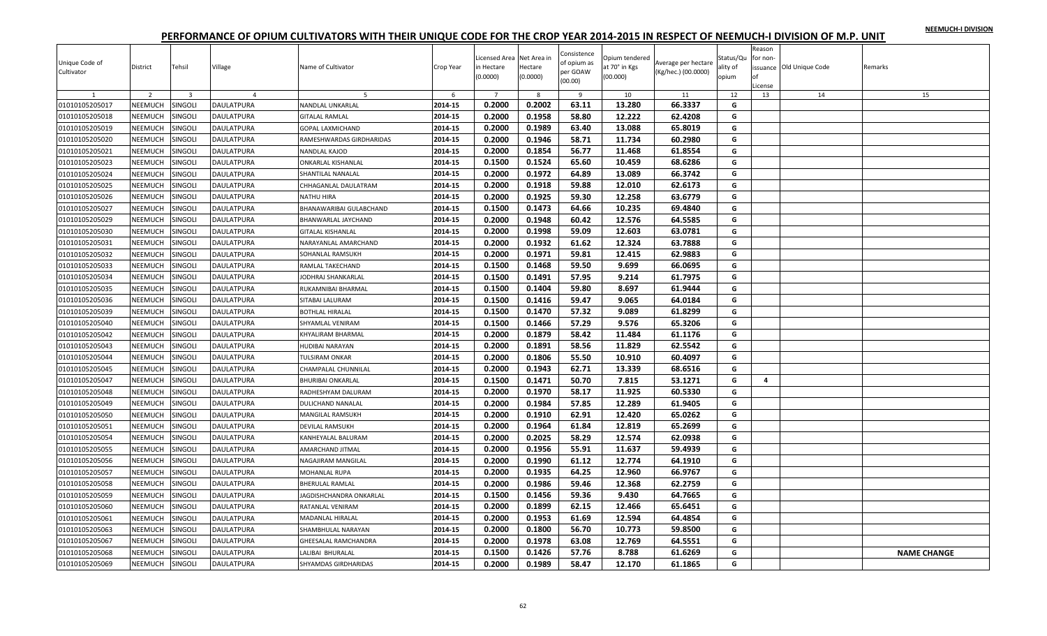| NEEMUCH-I DIVISION |  |
|--------------------|--|
|                    |  |

| Unique Code of<br>Cultivator | District       | Tehsil                  | Village           | Name of Cultivator          | Crop Year | Licensed Area Net Area in<br>in Hectare<br>(0.0000) | Hectare<br>(0.0000) | Consistence<br>of opium as<br>per GOAW<br>(00.00) | Opium tendered<br>at 70° in Kgs<br>(00.000) | Average per hectare<br>(Kg/hec.) (00.0000) | Status/Qu<br>ality of<br>opium | Reason<br>for non-<br>оf<br>License | issuance Old Unique Code | Remarks            |
|------------------------------|----------------|-------------------------|-------------------|-----------------------------|-----------|-----------------------------------------------------|---------------------|---------------------------------------------------|---------------------------------------------|--------------------------------------------|--------------------------------|-------------------------------------|--------------------------|--------------------|
|                              | $\overline{z}$ | $\overline{\mathbf{3}}$ | $\overline{a}$    | 5                           | 6         | $\overline{7}$                                      | 8                   | $\overline{9}$                                    | 10                                          | 11                                         | 12                             | 13                                  | 14                       | 15                 |
| 01010105205017               | NEEMUCH        | SINGOLI                 | <b>DAULATPURA</b> | NANDLAL UNKARLAL            | 2014-15   | 0.2000                                              | 0.2002              | 63.11                                             | 13.280                                      | 66.3337                                    | G                              |                                     |                          |                    |
| 01010105205018               | NEEMUCH        | SINGOLI                 | DAULATPURA        | <b>GITALAL RAMLAL</b>       | 2014-15   | 0.2000                                              | 0.1958              | 58.80                                             | 12.222                                      | 62.4208                                    | G                              |                                     |                          |                    |
| 01010105205019               | NEEMUCH        | SINGOLI                 | <b>DAULATPURA</b> | GOPAL LAXMICHAND            | 2014-15   | 0.2000                                              | 0.1989              | 63.40                                             | 13.088                                      | 65.8019                                    | G                              |                                     |                          |                    |
| 01010105205020               | NEEMUCH        | SINGOLI                 | DAULATPURA        | RAMESHWARDAS GIRDHARIDAS    | 2014-15   | 0.2000                                              | 0.1946              | 58.71                                             | 11.734                                      | 60.2980                                    | G                              |                                     |                          |                    |
| 01010105205021               | <b>NEEMUCH</b> | SINGOLI                 | <b>DAULATPURA</b> | NANDLAL KAJOD               | 2014-15   | 0.2000                                              | 0.1854              | 56.77                                             | 11.468                                      | 61.8554                                    | G                              |                                     |                          |                    |
| 01010105205023               | NEEMUCH        | Singoli                 | DAULATPURA        | ONKARLAL KISHANLAL          | 2014-15   | 0.1500                                              | 0.1524              | 65.60                                             | 10.459                                      | 68.6286                                    | G                              |                                     |                          |                    |
| 01010105205024               | NEEMUCH        | SINGOLI                 | <b>DAULATPURA</b> | SHANTILAL NANALAL           | 2014-15   | 0.2000                                              | 0.1972              | 64.89                                             | 13.089                                      | 66.3742                                    | G                              |                                     |                          |                    |
| 01010105205025               | NEEMUCH        | SINGOLI                 | DAULATPURA        | CHHAGANLAL DAULATRAM        | 2014-15   | 0.2000                                              | 0.1918              | 59.88                                             | 12.010                                      | 62.6173                                    | G                              |                                     |                          |                    |
| 01010105205026               | <b>NEEMUCH</b> | SINGOLI                 | <b>DAULATPURA</b> | <b>NATHU HIRA</b>           | 2014-15   | 0.2000                                              | 0.1925              | 59.30                                             | 12.258                                      | 63.6779                                    | G                              |                                     |                          |                    |
| 01010105205027               | NEEMUCH        | SINGOLI                 | <b>DAULATPURA</b> | BHANAWARIBAI GULABCHAND     | 2014-15   | 0.1500                                              | 0.1473              | 64.66                                             | 10.235                                      | 69.4840                                    | G                              |                                     |                          |                    |
| 01010105205029               | NEEMUCH        | SINGOLI                 | <b>DAULATPURA</b> | BHANWARLAL JAYCHAND         | 2014-15   | 0.2000                                              | 0.1948              | 60.42                                             | 12.576                                      | 64.5585                                    | G                              |                                     |                          |                    |
| 01010105205030               | NEEMUCH        | SINGOLI                 | DAULATPURA        | <b>GITALAL KISHANLAL</b>    | 2014-15   | 0.2000                                              | 0.1998              | 59.09                                             | 12.603                                      | 63.0781                                    | G                              |                                     |                          |                    |
| 01010105205031               | NEEMUCH        | SINGOLI                 | DAULATPURA        | NARAYANLAL AMARCHAND        | 2014-15   | 0.2000                                              | 0.1932              | 61.62                                             | 12.324                                      | 63.7888                                    | G                              |                                     |                          |                    |
| 01010105205032               | NEEMUCH        | <b>SINGOLI</b>          | DAULATPURA        | SOHANLAL RAMSUKH            | 2014-15   | 0.2000                                              | 0.1971              | 59.81                                             | 12.415                                      | 62.9883                                    | G                              |                                     |                          |                    |
| 01010105205033               | NEEMUCH        | SINGOLI                 | DAULATPURA        | RAMLAL TAKECHAND            | 2014-15   | 0.1500                                              | 0.1468              | 59.50                                             | 9.699                                       | 66.0695                                    | G                              |                                     |                          |                    |
| 01010105205034               | NEEMUCH        | SINGOLI                 | <b>DAULATPURA</b> | JODHRAJ SHANKARLAL          | 2014-15   | 0.1500                                              | 0.1491              | 57.95                                             | 9.214                                       | 61.7975                                    | G                              |                                     |                          |                    |
| 01010105205035               | NEEMUCH        | SINGOLI                 | DAULATPURA        | RUKAMNIBAI BHARMAL          | 2014-15   | 0.1500                                              | 0.1404              | 59.80                                             | 8.697                                       | 61.9444                                    | G                              |                                     |                          |                    |
| 01010105205036               | NEEMUCH        | SINGOLI                 | <b>DAULATPURA</b> | SITABAI LALURAM             | 2014-15   | 0.1500                                              | 0.1416              | 59.47                                             | 9.065                                       | 64.0184                                    | G                              |                                     |                          |                    |
| 01010105205039               | NEEMUCH        | SINGOLI                 | DAULATPURA        | <b>BOTHLAL HIRALAL</b>      | 2014-15   | 0.1500                                              | 0.1470              | 57.32                                             | 9.089                                       | 61.8299                                    | G                              |                                     |                          |                    |
| 01010105205040               | <b>NEEMUCH</b> | SINGOLI                 | <b>DAULATPURA</b> | SHYAMLAL VENIRAM            | 2014-15   | 0.1500                                              | 0.1466              | 57.29                                             | 9.576                                       | 65.3206                                    | G                              |                                     |                          |                    |
| 01010105205042               | NEEMUCH        | SINGOLI                 | <b>DAULATPURA</b> | KHYALIRAM BHARMAL           | 2014-15   | 0.2000                                              | 0.1879              | 58.42                                             | 11.484                                      | 61.1176                                    | G                              |                                     |                          |                    |
| 01010105205043               | NEEMUCH        | SINGOLI                 | DAULATPURA        | HUDIBAI NARAYAN             | 2014-15   | 0.2000                                              | 0.1891              | 58.56                                             | 11.829                                      | 62.5542                                    | G                              |                                     |                          |                    |
| 01010105205044               | NEEMUCH        | SINGOLI                 | <b>DAULATPURA</b> | <b>TULSIRAM ONKAR</b>       | 2014-15   | 0.2000                                              | 0.1806              | 55.50                                             | 10.910                                      | 60.4097                                    | G                              |                                     |                          |                    |
| 01010105205045               | NEEMUCH        | SINGOLI                 | DAULATPURA        | CHAMPALAL CHUNNILAL         | 2014-15   | 0.2000                                              | 0.1943              | 62.71                                             | 13.339                                      | 68.6516                                    | G                              |                                     |                          |                    |
| 01010105205047               | NEEMUCH        | SINGOLI                 | <b>DAULATPURA</b> | <b>BHURIBAI ONKARLAL</b>    | 2014-15   | 0.1500                                              | 0.1471              | 50.70                                             | 7.815                                       | 53.1271                                    | G                              | 4                                   |                          |                    |
| 01010105205048               | NEEMUCH        | SINGOLI                 | <b>DAULATPURA</b> | RADHESHYAM DALURAM          | 2014-15   | 0.2000                                              | 0.1970              | 58.17                                             | 11.925                                      | 60.5330                                    | G                              |                                     |                          |                    |
| 01010105205049               | NEEMUCH        | SINGOLI                 | DAULATPURA        | DULICHAND NANALAI           | 2014-15   | 0.2000                                              | 0.1984              | 57.85                                             | 12.289                                      | 61.9405                                    | G                              |                                     |                          |                    |
| 01010105205050               | NEEMUCH        | Singoli                 | DAULATPURA        | MANGILAL RAMSUKH            | 2014-15   | 0.2000                                              | 0.1910              | 62.91                                             | 12.420                                      | 65.0262                                    | G                              |                                     |                          |                    |
| 01010105205051               | NEEMUCH        | SINGOLI                 | <b>DAULATPURA</b> | DEVILAL RAMSUKH             | 2014-15   | 0.2000                                              | 0.1964              | 61.84                                             | 12.819                                      | 65.2699                                    | G                              |                                     |                          |                    |
| 01010105205054               | NEEMUCH        | SINGOLI                 | DAULATPURA        | KANHEYALAL BALURAM          | 2014-15   | 0.2000                                              | 0.2025              | 58.29                                             | 12.574                                      | 62.0938                                    | G                              |                                     |                          |                    |
| 01010105205055               | <b>NEEMUCH</b> | SINGOLI                 | <b>DAULATPURA</b> | <b>AMARCHAND JITMAL</b>     | 2014-15   | 0.2000                                              | 0.1956              | 55.91                                             | 11.637                                      | 59.4939                                    | G                              |                                     |                          |                    |
| 01010105205056               | NEEMUCH        | SINGOLI                 | <b>DAULATPURA</b> | NAGAJIRAM MANGILAL          | 2014-15   | 0.2000                                              | 0.1990              | 61.12                                             | 12.774                                      | 64.1910                                    | G                              |                                     |                          |                    |
| 01010105205057               | NEEMUCH        | SINGOLI                 | DAULATPURA        | MOHANLAL RUPA               | 2014-15   | 0.2000                                              | 0.1935              | 64.25                                             | 12.960                                      | 66.9767                                    | G                              |                                     |                          |                    |
|                              |                |                         |                   | <b>BHERULAL RAMLAL</b>      | 2014-15   | 0.2000                                              | 0.1986              | 59.46                                             | 12.368                                      | 62.2759                                    | G                              |                                     |                          |                    |
| 01010105205058               | NEEMUCH        | SINGOLI                 | <b>DAULATPURA</b> |                             |           |                                                     |                     |                                                   |                                             |                                            |                                |                                     |                          |                    |
| 01010105205059               | NEEMUCH        | SINGOLI                 | DAULATPURA        | JAGDISHCHANDRA ONKARLAL     | 2014-15   | 0.1500                                              | 0.1456              | 59.36                                             | 9.430                                       | 64.7665                                    | G                              |                                     |                          |                    |
| 01010105205060               | NEEMUCH        | singoli                 | DAULATPURA        | RATANLAL VENIRAM            | 2014-15   | 0.2000                                              | 0.1899              | 62.15                                             | 12.466                                      | 65.6451                                    | G                              |                                     |                          |                    |
| 01010105205061               | NEEMUCH        | SINGOLI                 | <b>DAULATPURA</b> | MADANLAL HIRALAL            | 2014-15   | 0.2000                                              | 0.1953              | 61.69                                             | 12.594                                      | 64.4854                                    | G                              |                                     |                          |                    |
| 01010105205063               | NEEMUCH        | SINGOLI                 | DAULATPURA        | SHAMBHULAL NARAYAN          | 2014-15   | 0.2000                                              | 0.1800              | 56.70                                             | 10.773                                      | 59.8500                                    | G                              |                                     |                          |                    |
| 01010105205067               | NEEMUCH        | SINGOLI                 | DAULATPURA        | <b>GHEESALAL RAMCHANDRA</b> | 2014-15   | 0.2000                                              | 0.1978              | 63.08                                             | 12.769                                      | 64.5551                                    | G                              |                                     |                          |                    |
| 01010105205068               | NEEMUCH        | SINGOLI                 | DAULATPURA        | ALIBAI BHURALAL             | 2014-15   | 0.1500                                              | 0.1426              | 57.76                                             | 8.788                                       | 61.6269                                    | G                              |                                     |                          | <b>NAME CHANGE</b> |
| 01010105205069               | NEEMUCH        | SINGOLI                 | <b>DAULATPURA</b> | <b>SHYAMDAS GIRDHARIDAS</b> | 2014-15   | 0.2000                                              | 0.1989              | 58.47                                             | 12.170                                      | 61.1865                                    | G                              |                                     |                          |                    |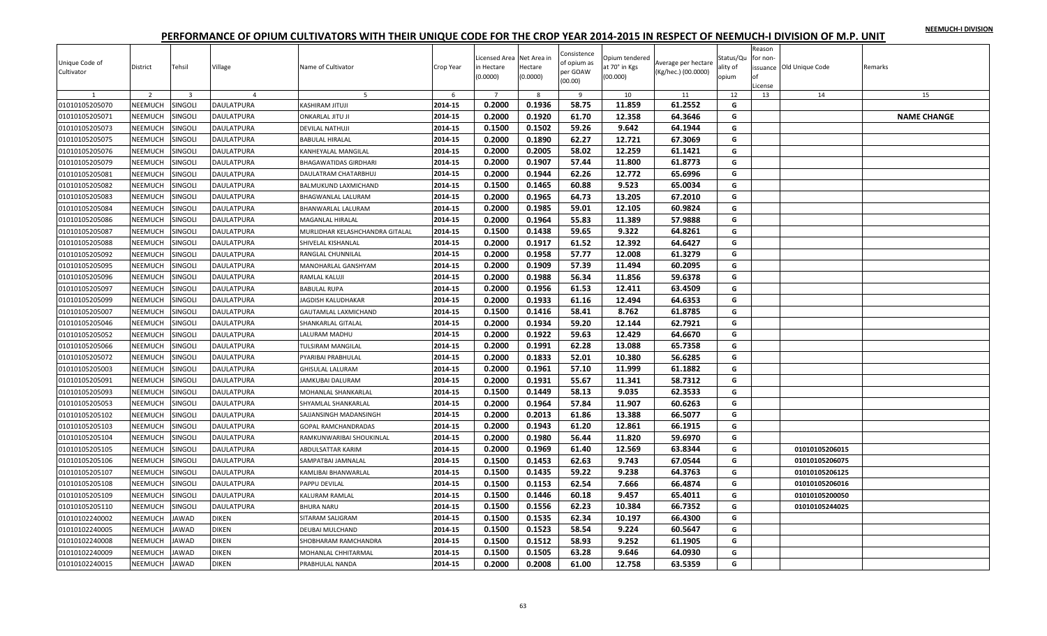|  |  | NEEMUCH-I DIVISION |
|--|--|--------------------|
|  |  |                    |

| Unique Code of<br>Cultivator | District       | Tehsil                  | Village           | Name of Cultivator              | Crop Year | Licensed Area Net Area in<br>in Hectare<br>(0.0000) | Hectare<br>(0.0000) | Consistence<br>of opium as<br>per GOAW<br>(00.00) | Opium tendered<br>at 70° in Kgs<br>(00.000) | Average per hectare<br>(Kg/hec.) (00.0000) | Status/Qu<br>ality of<br>opium | Reason<br>for non-<br>оf<br>License | issuance Old Unique Code | Remarks            |
|------------------------------|----------------|-------------------------|-------------------|---------------------------------|-----------|-----------------------------------------------------|---------------------|---------------------------------------------------|---------------------------------------------|--------------------------------------------|--------------------------------|-------------------------------------|--------------------------|--------------------|
|                              | $\overline{z}$ | $\overline{\mathbf{3}}$ | $\overline{a}$    | 5                               | 6         | $\overline{7}$                                      | -8                  | $\overline{9}$                                    | 10                                          | 11                                         | 12                             | 13                                  | 14                       | 15                 |
| 01010105205070               | NEEMUCH        | SINGOLI                 | <b>DAULATPURA</b> | KASHIRAM JITUJI                 | 2014-15   | 0.2000                                              | 0.1936              | 58.75                                             | 11.859                                      | 61.2552                                    | G                              |                                     |                          |                    |
| 01010105205071               | NEEMUCH        | SINGOLI                 | DAULATPURA        | ONKARLAL JITU JI                | 2014-15   | 0.2000                                              | 0.1920              | 61.70                                             | 12.358                                      | 64.3646                                    | G                              |                                     |                          | <b>NAME CHANGE</b> |
| 01010105205073               | NEEMUCH        | SINGOLI                 | <b>DAULATPURA</b> | DEVILAL NATHUJI                 | 2014-15   | 0.1500                                              | 0.1502              | 59.26                                             | 9.642                                       | 64.1944                                    | G                              |                                     |                          |                    |
| 01010105205075               | <b>NEEMUCH</b> | SINGOLI                 | DAULATPURA        | <b>BABULAL HIRALAL</b>          | 2014-15   | 0.2000                                              | 0.1890              | 62.27                                             | 12.721                                      | 67.3069                                    | G                              |                                     |                          |                    |
| 01010105205076               | <b>NEEMUCH</b> | SINGOLI                 | <b>DAULATPURA</b> | KANHEYALAL MANGILAL             | 2014-15   | 0.2000                                              | 0.2005              | 58.02                                             | 12.259                                      | 61.1421                                    | G                              |                                     |                          |                    |
| 01010105205079               | NEEMUCH        | SINGOLI                 | DAULATPURA        | <b>BHAGAWATIDAS GIRDHARI</b>    | 2014-15   | 0.2000                                              | 0.1907              | 57.44                                             | 11.800                                      | 61.8773                                    | G                              |                                     |                          |                    |
| 01010105205081               | NEEMUCH        | SINGOLI                 | <b>DAULATPURA</b> | DAULATRAM CHATARBHUJ            | 2014-15   | 0.2000                                              | 0.1944              | 62.26                                             | 12.772                                      | 65.6996                                    | G                              |                                     |                          |                    |
| 01010105205082               | NEEMUCH        | SINGOLI                 | DAULATPURA        | BALMUKUND LAXMICHAND            | 2014-15   | 0.1500                                              | 0.1465              | 60.88                                             | 9.523                                       | 65.0034                                    | G                              |                                     |                          |                    |
| 01010105205083               | <b>NEEMUCH</b> | SINGOLI                 | <b>DAULATPURA</b> | BHAGWANLAL LALURAM              | 2014-15   | 0.2000                                              | 0.1965              | 64.73                                             | 13.205                                      | 67.2010                                    | G                              |                                     |                          |                    |
| 01010105205084               | NEEMUCH        | SINGOLI                 | <b>DAULATPURA</b> | BHANWARLAL LALURAM              | 2014-15   | 0.2000                                              | 0.1985              | 59.01                                             | 12.105                                      | 60.9824                                    | G                              |                                     |                          |                    |
| 01010105205086               | NEEMUCH        | SINGOLI                 | <b>DAULATPURA</b> | MAGANLAL HIRALAL                | 2014-15   | 0.2000                                              | 0.1964              | 55.83                                             | 11.389                                      | 57.9888                                    | G                              |                                     |                          |                    |
| 01010105205087               | NEEMUCH        | SINGOLI                 | DAULATPURA        | MURLIDHAR KELASHCHANDRA GITALAL | 2014-15   | 0.1500                                              | 0.1438              | 59.65                                             | 9.322                                       | 64.8261                                    | G                              |                                     |                          |                    |
| 01010105205088               | NEEMUCH        | SINGOLI                 | DAULATPURA        | SHIVELAL KISHANLAL              | 2014-15   | 0.2000                                              | 0.1917              | 61.52                                             | 12.392                                      | 64.6427                                    | G                              |                                     |                          |                    |
| 01010105205092               | NEEMUCH        | <b>SINGOLI</b>          | DAULATPURA        | RANGLAL CHUNNILAL               | 2014-15   | 0.2000                                              | 0.1958              | 57.77                                             | 12.008                                      | 61.3279                                    | G                              |                                     |                          |                    |
| 01010105205095               | NEEMUCH        | SINGOLI                 | DAULATPURA        | MANOHARLAL GANSHYAM             | 2014-15   | 0.2000                                              | 0.1909              | 57.39                                             | 11.494                                      | 60.2095                                    | G                              |                                     |                          |                    |
| 01010105205096               | NEEMUCH        | SINGOLI                 | <b>DAULATPURA</b> | RAMLAL KALUJI                   | 2014-15   | 0.2000                                              | 0.1988              | 56.34                                             | 11.856                                      | 59.6378                                    | G                              |                                     |                          |                    |
| 01010105205097               | NEEMUCH        | SINGOLI                 | DAULATPURA        | <b>BABULAL RUPA</b>             | 2014-15   | 0.2000                                              | 0.1956              | 61.53                                             | 12.411                                      | 63.4509                                    | G                              |                                     |                          |                    |
| 01010105205099               | NEEMUCH        | SINGOLI                 | <b>DAULATPURA</b> | <b>AGDISH KALUDHAKAR</b>        | 2014-15   | 0.2000                                              | 0.1933              | 61.16                                             | 12.494                                      | 64.6353                                    | G                              |                                     |                          |                    |
| 01010105205007               | NEEMUCH        | SINGOLI                 | DAULATPURA        | GAUTAMLAL LAXMICHAND            | 2014-15   | 0.1500                                              | 0.1416              | 58.41                                             | 8.762                                       | 61.8785                                    | G                              |                                     |                          |                    |
| 01010105205046               | <b>NEEMUCH</b> | SINGOLI                 | <b>DAULATPURA</b> | SHANKARLAL GITALAI              | 2014-15   | 0.2000                                              | 0.1934              | 59.20                                             | 12.144                                      | 62.7921                                    | G                              |                                     |                          |                    |
| 01010105205052               | NEEMUCH        | SINGOLI                 | <b>DAULATPURA</b> | LALURAM MADHU                   | 2014-15   | 0.2000                                              | 0.1922              | 59.63                                             | 12.429                                      | 64.6670                                    | G                              |                                     |                          |                    |
| 01010105205066               | <b>NEEMUCH</b> | SINGOLI                 | DAULATPURA        | TULSIRAM MANGILAL               | 2014-15   | 0.2000                                              | 0.1991              | 62.28                                             | 13.088                                      | 65.7358                                    | G                              |                                     |                          |                    |
| 01010105205072               | <b>NEEMUCH</b> | SINGOLI                 | <b>DAULATPURA</b> | PYARIBAI PRABHULAL              | 2014-15   | 0.2000                                              | 0.1833              | 52.01                                             | 10.380                                      | 56.6285                                    | G                              |                                     |                          |                    |
| 01010105205003               | NEEMUCH        | SINGOLI                 | DAULATPURA        | <b>GHISULAL LALURAM</b>         | 2014-15   | 0.2000                                              | 0.1961              | 57.10                                             | 11.999                                      | 61.1882                                    | G                              |                                     |                          |                    |
| 01010105205091               | NEEMUCH        | SINGOLI                 | <b>DAULATPURA</b> | JAMKUBAI DALURAM                | 2014-15   | 0.2000                                              | 0.1931              | 55.67                                             | 11.341                                      | 58.7312                                    | G                              |                                     |                          |                    |
| 01010105205093               | NEEMUCH        | SINGOLI                 | DAULATPURA        | MOHANLAL SHANKARLAL             | 2014-15   | 0.1500                                              | 0.1449              | 58.13                                             | 9.035                                       | 62.3533                                    | G                              |                                     |                          |                    |
| 01010105205053               | <b>NEEMUCH</b> | SINGOLI                 | DAULATPURA        | SHYAMLAL SHANKARLAL             | 2014-15   | 0.2000                                              | 0.1964              | 57.84                                             | 11.907                                      | 60.6263                                    | G                              |                                     |                          |                    |
| 01010105205102               | NEEMUCH        | Singoli                 | DAULATPURA        | SAJJANSINGH MADANSINGH          | 2014-15   | 0.2000                                              | 0.2013              | 61.86                                             | 13.388                                      | 66.5077                                    | G                              |                                     |                          |                    |
| 01010105205103               | NEEMUCH        | SINGOLI                 | <b>DAULATPURA</b> | GOPAL RAMCHANDRADAS             | 2014-15   | 0.2000                                              | 0.1943              | 61.20                                             | 12.861                                      | 66.1915                                    | G                              |                                     |                          |                    |
| 01010105205104               | NEEMUCH        | SINGOLI                 | DAULATPURA        | RAMKUNWARIBAI SHOUKINLAL        | 2014-15   | 0.2000                                              | 0.1980              | 56.44                                             | 11.820                                      | 59.6970                                    | G                              |                                     |                          |                    |
| 01010105205105               | <b>NEEMUCH</b> | SINGOLI                 | <b>DAULATPURA</b> | ABDULSATTAR KARIM               | 2014-15   | 0.2000                                              | 0.1969              | 61.40                                             | 12.569                                      | 63.8344                                    | G                              |                                     | 01010105206015           |                    |
| 01010105205106               | NEEMUCH        | SINGOLI                 | <b>DAULATPURA</b> | SAMPATBAI JAMNALAL              | 2014-15   | 0.1500                                              | 0.1453              | 62.63                                             | 9.743                                       | 67.0544                                    | G                              |                                     | 01010105206075           |                    |
| 01010105205107               | NEEMUCH        | SINGOLI                 | DAULATPURA        | KAMLIBAI BHANWARLAL             | 2014-15   | 0.1500                                              | 0.1435              | 59.22                                             | 9.238                                       | 64.3763                                    | G                              |                                     | 01010105206125           |                    |
| 01010105205108               | <b>NEEMUCH</b> | SINGOLI                 | <b>DAULATPURA</b> | PAPPU DEVILAL                   | 2014-15   | 0.1500                                              | 0.1153              | 62.54                                             | 7.666                                       | 66.4874                                    | G                              |                                     | 01010105206016           |                    |
| 01010105205109               | NEEMUCH        | SINGOLI                 | DAULATPURA        | KALURAM RAMLAL                  | 2014-15   | 0.1500                                              | 0.1446              | 60.18                                             | 9.457                                       | 65.4011                                    | G                              |                                     | 01010105200050           |                    |
| 01010105205110               | NEEMUCH        | singoli                 | DAULATPURA        | <b>BHURA NARU</b>               | 2014-15   | 0.1500                                              | 0.1556              | 62.23                                             | 10.384                                      | 66.7352                                    | G                              |                                     | 01010105244025           |                    |
| 01010102240002               | NEEMUCH        | AWAD                    | <b>DIKEN</b>      | SITARAM SALIGRAM                | 2014-15   | 0.1500                                              | 0.1535              | 62.34                                             | 10.197                                      | 66.4300                                    | G                              |                                     |                          |                    |
| 01010102240005               | <b>NEEMUCH</b> | AWAD                    | <b>DIKEN</b>      | DEUBAI MULCHAND                 | 2014-15   | 0.1500                                              | 0.1523              | 58.54                                             | 9.224                                       | 60.5647                                    | G                              |                                     |                          |                    |
| 01010102240008               | NEEMUCH        | <b>AWAD</b>             | DIKEN             | SHOBHARAM RAMCHANDRA            | 2014-15   | 0.1500                                              | 0.1512              | 58.93                                             | 9.252                                       | 61.1905                                    | G                              |                                     |                          |                    |
| 01010102240009               | <b>NEEMUCH</b> | <b>JAWAD</b>            | <b>DIKEN</b>      | MOHANLAL CHHITARMAL             | 2014-15   | 0.1500                                              | 0.1505              | 63.28                                             | 9.646                                       | 64.0930                                    | G                              |                                     |                          |                    |
| 01010102240015               | NEEMUCH        | <b>JAWAD</b>            | <b>DIKEN</b>      | PRABHULAL NANDA                 | 2014-15   | 0.2000                                              | 0.2008              | 61.00                                             | 12.758                                      | 63.5359                                    | G                              |                                     |                          |                    |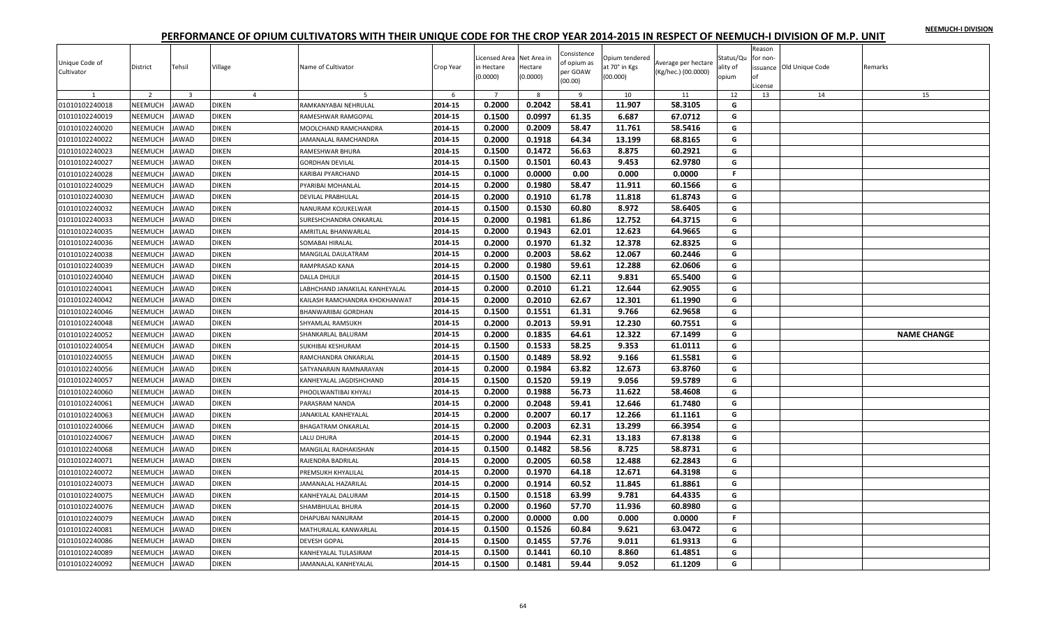|  |  | NEEMUCH-I DIVISION |
|--|--|--------------------|
|  |  |                    |

| Unique Code of<br>Cultivator | District       | Tehsil                  | Village        | Name of Cultivator            | Crop Year | Licensed Area Net Area in<br>in Hectare<br>(0.0000) | Hectare<br>(0.0000) | Consistence<br>of opium as<br>per GOAW<br>(00.00) | Opium tendered<br>at 70° in Kgs<br>(00.000) | Average per hectare<br>(Kg/hec.) (00.0000) | Status/Qu<br>ality of<br>opium | Reason<br>for non-<br>оf<br>License | issuance Old Unique Code | Remarks            |
|------------------------------|----------------|-------------------------|----------------|-------------------------------|-----------|-----------------------------------------------------|---------------------|---------------------------------------------------|---------------------------------------------|--------------------------------------------|--------------------------------|-------------------------------------|--------------------------|--------------------|
|                              | $\overline{z}$ | $\overline{\mathbf{3}}$ | $\overline{4}$ | 5                             | -6        | $\overline{7}$                                      | $\mathbf{8}$        | $\overline{9}$                                    | 10                                          | 11                                         | 12                             | 13                                  | 14                       | 15                 |
| 01010102240018               | NEEMUCH        | AWAD                    | <b>DIKEN</b>   | RAMKANYABAI NEHRULAL          | 2014-15   | 0.2000                                              | 0.2042              | 58.41                                             | 11.907                                      | 58.3105                                    | G                              |                                     |                          |                    |
| 01010102240019               | NEEMUCH        | <b>AWAD</b>             | <b>DIKEN</b>   | RAMESHWAR RAMGOPAL            | 2014-15   | 0.1500                                              | 0.0997              | 61.35                                             | 6.687                                       | 67.0712                                    | G                              |                                     |                          |                    |
| 01010102240020               | NEEMUCH        | AWAD                    | <b>DIKEN</b>   | MOOLCHAND RAMCHANDRA          | 2014-15   | 0.2000                                              | 0.2009              | 58.47                                             | 11.761                                      | 58.5416                                    | G                              |                                     |                          |                    |
| 01010102240022               | NEEMUCH        | AWAD                    | <b>DIKEN</b>   | JAMANALAL RAMCHANDRA          | 2014-15   | 0.2000                                              | 0.1918              | 64.34                                             | 13.199                                      | 68.8165                                    | G                              |                                     |                          |                    |
| 01010102240023               | <b>NEEMUCH</b> | <b>AWAD</b>             | <b>DIKEN</b>   | RAMESHWAR BHURA               | 2014-15   | 0.1500                                              | 0.1472              | 56.63                                             | 8.875                                       | 60.2921                                    | G                              |                                     |                          |                    |
| 01010102240027               | NEEMUCH        | <b>JAWAD</b>            | <b>DIKEN</b>   | GORDHAN DEVILAL               | 2014-15   | 0.1500                                              | 0.1501              | 60.43                                             | 9.453                                       | 62.9780                                    | G                              |                                     |                          |                    |
| 01010102240028               | NEEMUCH        | <b>JAWAD</b>            | <b>DIKEN</b>   | KARIBAI PYARCHAND             | 2014-15   | 0.1000                                              | 0.0000              | 0.00                                              | 0.000                                       | 0.0000                                     | $\mathbb F$                    |                                     |                          |                    |
| 01010102240029               | NEEMUCH        | <b>AWAD</b>             | <b>DIKEN</b>   | PYARIBAI MOHANLAL             | 2014-15   | 0.2000                                              | 0.1980              | 58.47                                             | 11.911                                      | 60.1566                                    | G                              |                                     |                          |                    |
| 01010102240030               | <b>NEEMUCH</b> | <b>AWAD</b>             | <b>DIKEN</b>   | DEVILAL PRABHULAL             | 2014-15   | 0.2000                                              | 0.1910              | 61.78                                             | 11.818                                      | 61.8743                                    | G                              |                                     |                          |                    |
| 01010102240032               | NEEMUCH        | <b>AWAD</b>             | <b>DIKEN</b>   | NANURAM KOJUKELWAR            | 2014-15   | 0.1500                                              | 0.1530              | 60.80                                             | 8.972                                       | 58.6405                                    | G                              |                                     |                          |                    |
| 01010102240033               | NEEMUCH        | <b>AWAD</b>             | <b>DIKEN</b>   | SURESHCHANDRA ONKARLAL        | 2014-15   | 0.2000                                              | 0.1981              | 61.86                                             | 12.752                                      | 64.3715                                    | G                              |                                     |                          |                    |
| 01010102240035               | NEEMUCH        | <b>AWAD</b>             | <b>DIKEN</b>   | AMRITLAL BHANWARLAL           | 2014-15   | 0.2000                                              | 0.1943              | 62.01                                             | 12.623                                      | 64.9665                                    | G                              |                                     |                          |                    |
| 01010102240036               | NEEMUCH        | <b>AWAD</b>             | <b>DIKEN</b>   | SOMABAI HIRALAL               | 2014-15   | 0.2000                                              | 0.1970              | 61.32                                             | 12.378                                      | 62.8325                                    | G                              |                                     |                          |                    |
| 01010102240038               | NEEMUCH        | AWAD                    | <b>DIKEN</b>   | MANGILAL DAULATRAM            | 2014-15   | 0.2000                                              | 0.2003              | 58.62                                             | 12.067                                      | 60.2446                                    | G                              |                                     |                          |                    |
| 01010102240039               | NEEMUCH        | <b>AWAD</b>             | <b>DIKEN</b>   | RAMPRASAD KANA                | 2014-15   | 0.2000                                              | 0.1980              | 59.61                                             | 12.288                                      | 62.0606                                    | G                              |                                     |                          |                    |
| 01010102240040               | NEEMUCH        | <b>AWAD</b>             | <b>DIKEN</b>   | DALLA DHULJI                  | 2014-15   | 0.1500                                              | 0.1500              | 62.11                                             | 9.831                                       | 65.5400                                    | G                              |                                     |                          |                    |
| 01010102240041               | NEEMUCH        | AWAD                    | DIKEN          | ABHCHAND JANAKILAL KANHEYALAL | 2014-15   | 0.2000                                              | 0.2010              | 61.21                                             | 12.644                                      | 62.9055                                    | G                              |                                     |                          |                    |
| 01010102240042               | NEEMUCH        | <b>JAWAD</b>            | <b>DIKEN</b>   | KAILASH RAMCHANDRA KHOKHANWAT | 2014-15   | 0.2000                                              | 0.2010              | 62.67                                             | 12.301                                      | 61.1990                                    | G                              |                                     |                          |                    |
| 01010102240046               | NEEMUCH        | <b>JAWAD</b>            | <b>DIKEN</b>   | <b>BHANWARIBAI GORDHAN</b>    | 2014-15   | 0.1500                                              | 0.1551              | 61.31                                             | 9.766                                       | 62.9658                                    | G                              |                                     |                          |                    |
| 01010102240048               | <b>NEEMUCH</b> | <b>AWAD</b>             | <b>DIKEN</b>   | SHYAMLAL RAMSUKH              | 2014-15   | 0.2000                                              | 0.2013              | 59.91                                             | 12.230                                      | 60.7551                                    | G                              |                                     |                          |                    |
| 01010102240052               | NEEMUCH        | AWAD                    | <b>DIKEN</b>   | SHANKARLAL BALURAM            | 2014-15   | 0.2000                                              | 0.1835              | 64.61                                             | 12.322                                      | 67.1499                                    | G                              |                                     |                          | <b>NAME CHANGE</b> |
| 01010102240054               | <b>NEEMUCH</b> | AWAD                    | <b>DIKEN</b>   | SUKHIBAI KESHURAM             | 2014-15   | 0.1500                                              | 0.1533              | 58.25                                             | 9.353                                       | 61.0111                                    | G                              |                                     |                          |                    |
| 01010102240055               | <b>NEEMUCH</b> | AWAD                    | <b>DIKEN</b>   | RAMCHANDRA ONKARLAL           | 2014-15   | 0.1500                                              | 0.1489              | 58.92                                             | 9.166                                       | 61.5581                                    | G                              |                                     |                          |                    |
| 01010102240056               | NEEMUCH        | <b>AWAD</b>             | <b>DIKEN</b>   | SATYANARAIN RAMNARAYAN        | 2014-15   | 0.2000                                              | 0.1984              | 63.82                                             | 12.673                                      | 63.8760                                    | G                              |                                     |                          |                    |
| 01010102240057               | NEEMUCH        | AWAD                    | <b>DIKEN</b>   | KANHEYALAL JAGDISHCHAND       | 2014-15   | 0.1500                                              | 0.1520              | 59.19                                             | 9.056                                       | 59.5789                                    | G                              |                                     |                          |                    |
| 01010102240060               | NEEMUCH        | AWAD                    | <b>DIKEN</b>   | PHOOLWANTIBAI KHYALI          | 2014-15   | 0.2000                                              | 0.1988              | 56.73                                             | 11.622                                      | 58.4608                                    | G                              |                                     |                          |                    |
| 01010102240061               | <b>NEEMUCH</b> | <b>JAWAD</b>            | <b>DIKEN</b>   | PARASRAM NANDA                | 2014-15   | 0.2000                                              | 0.2048              | 59.41                                             | 12.646                                      | 61.7480                                    | G                              |                                     |                          |                    |
| 01010102240063               | NEEMUCH        | <b>JAWAD</b>            | <b>DIKEN</b>   | <b>ANAKILAL KANHEYALAL</b>    | 2014-15   | 0.2000                                              | 0.2007              | 60.17                                             | 12.266                                      | 61.1161                                    | G                              |                                     |                          |                    |
| 01010102240066               | NEEMUCH        | <b>JAWAD</b>            | <b>DIKEN</b>   | <b>BHAGATRAM ONKARLAL</b>     | 2014-15   | 0.2000                                              | 0.2003              | 62.31                                             | 13.299                                      | 66.3954                                    | G                              |                                     |                          |                    |
| 01010102240067               | NEEMUCH        | AWAD                    | <b>DIKEN</b>   | LALU DHURA                    | 2014-15   | 0.2000                                              | 0.1944              | 62.31                                             | 13.183                                      | 67.8138                                    | G                              |                                     |                          |                    |
| 01010102240068               | <b>NEEMUCH</b> | <b>AWAD</b>             | <b>DIKEN</b>   | MANGILAL RADHAKISHAN          | 2014-15   | 0.1500                                              | 0.1482              | 58.56                                             | 8.725                                       | 58.8731                                    | G                              |                                     |                          |                    |
| 01010102240071               | NEEMUCH        | <b>JAWAD</b>            | <b>DIKEN</b>   | RAJENDRA BADRILAL             | 2014-15   | 0.2000                                              | 0.2005              | 60.58                                             | 12.488                                      | 62.2843                                    | G                              |                                     |                          |                    |
| 01010102240072               | NEEMUCH        | <b>AWAD</b>             | <b>DIKEN</b>   | PREMSUKH KHYALILAL            | 2014-15   | 0.2000                                              | 0.1970              | 64.18                                             | 12.671                                      | 64.3198                                    | G                              |                                     |                          |                    |
| 01010102240073               | <b>NEEMUCH</b> | <b>AWAD</b>             | <b>DIKEN</b>   | JAMANALAL HAZARILAL           | 2014-15   | 0.2000                                              | 0.1914              | 60.52                                             | 11.845                                      | 61.8861                                    | G                              |                                     |                          |                    |
| 01010102240075               | NEEMUCH        | <b>AWAD</b>             | <b>DIKEN</b>   | KANHEYALAL DALURAM            | 2014-15   | 0.1500                                              | 0.1518              | 63.99                                             | 9.781                                       | 64.4335                                    | G                              |                                     |                          |                    |
| 01010102240076               | NEEMUCH        | AWAD                    | <b>DIKEN</b>   | SHAMBHULAL BHURA              | 2014-15   | 0.2000                                              | 0.1960              | 57.70                                             | 11.936                                      | 60.8980                                    | G                              |                                     |                          |                    |
| 01010102240079               | NEEMUCH        | <b>AWAD</b>             | <b>DIKEN</b>   | DHAPUBAI NANURAM              | 2014-15   | 0.2000                                              | 0.0000              | 0.00                                              | 0.000                                       | 0.0000                                     | F.                             |                                     |                          |                    |
| 01010102240081               | NEEMUCH        | <b>AWAD</b>             | <b>DIKEN</b>   | MATHURALAL KANWARLAL          | 2014-15   | 0.1500                                              | 0.1526              | 60.84                                             | 9.621                                       | 63.0472                                    | G                              |                                     |                          |                    |
| 01010102240086               | <b>NEEMUCH</b> | AWAD                    | DIKEN          | <b>DEVESH GOPAL</b>           | 2014-15   | 0.1500                                              | 0.1455              | 57.76                                             | 9.011                                       | 61.9313                                    | G                              |                                     |                          |                    |
| 01010102240089               | NEEMUCH        | <b>JAWAD</b>            | <b>DIKEN</b>   | KANHEYALAL TULASIRAM          | 2014-15   | 0.1500                                              | 0.1441              | 60.10                                             | 8.860                                       | 61.4851                                    | G                              |                                     |                          |                    |
| 01010102240092               | <b>NEEMUCH</b> | <b>JAWAD</b>            | <b>DIKEN</b>   | JAMANALAL KANHEYALAL          | 2014-15   | 0.1500                                              | 0.1481              | 59.44                                             | 9.052                                       | 61.1209                                    | G                              |                                     |                          |                    |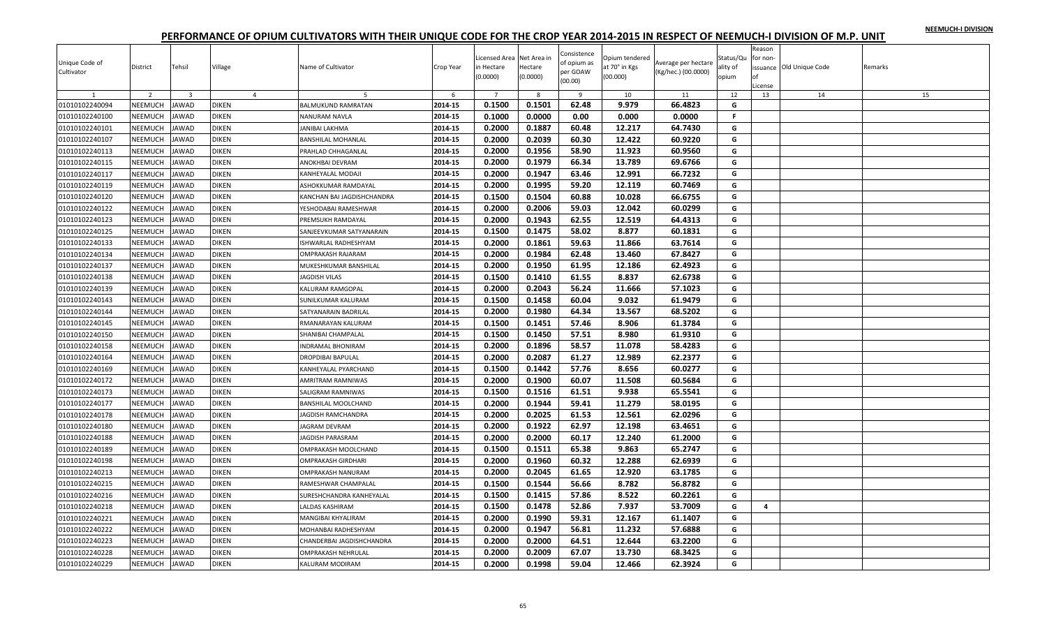|  |  | NEEMUCH-I DIVISION |
|--|--|--------------------|
|  |  |                    |

| Unique Code of<br>Cultivator | District       | Tehsil                  | Village        | Name of Cultivator         | Crop Year | Licensed Area Net Area in<br>in Hectare<br>(0.0000) | Hectare<br>(0.0000) | Consistence<br>of opium as<br>per GOAW<br>(00.00) | Opium tendered<br>at 70° in Kgs<br>(00.000) | Average per hectare<br>(Kg/hec.) (00.0000) | Status/Qu<br>ality of<br>opium | Reason<br>for non-<br>nf<br>.icense | issuance Old Unique Code | Remarks |
|------------------------------|----------------|-------------------------|----------------|----------------------------|-----------|-----------------------------------------------------|---------------------|---------------------------------------------------|---------------------------------------------|--------------------------------------------|--------------------------------|-------------------------------------|--------------------------|---------|
| 1                            | $\overline{2}$ | $\overline{\mathbf{3}}$ | $\overline{4}$ | -5                         | 6         | $\overline{7}$                                      | 8                   | 9                                                 | 10                                          | 11                                         | 12                             | 13                                  | 14                       | 15      |
| 01010102240094               | NEEMUCH        | <b>JAWAD</b>            | <b>DIKEN</b>   | BALMUKUND RAMRATAN         | 2014-15   | 0.1500                                              | 0.1501              | 62.48                                             | 9.979                                       | 66.4823                                    | G                              |                                     |                          |         |
| 01010102240100               | NEEMUCH        | AWAD                    | <b>DIKEN</b>   | NANURAM NAVLA              | 2014-15   | 0.1000                                              | 0.0000              | 0.00                                              | 0.000                                       | 0.0000                                     | F.                             |                                     |                          |         |
| 01010102240101               | NEEMUCH        | <b>IAWAD</b>            | <b>DIKEN</b>   | JANIBAI LAKHMA             | 2014-15   | 0.2000                                              | 0.1887              | 60.48                                             | 12.217                                      | 64.7430                                    | G                              |                                     |                          |         |
| 01010102240107               | NEEMUCH        | <b>JAWAD</b>            | <b>DIKEN</b>   | BANSHILAL MOHANLAL         | 2014-15   | 0.2000                                              | 0.2039              | 60.30                                             | 12.422                                      | 60.9220                                    | G                              |                                     |                          |         |
| 01010102240113               | NEEMUCH        | AWAD                    | <b>DIKEN</b>   | PRAHLAD CHHAGANLAL         | 2014-15   | 0.2000                                              | 0.1956              | 58.90                                             | 11.923                                      | 60.9560                                    | G                              |                                     |                          |         |
| 01010102240115               | NEEMUCH        | AWAD                    | <b>DIKEN</b>   | ANOKHBAI DEVRAM            | 2014-15   | 0.2000                                              | 0.1979              | 66.34                                             | 13.789                                      | 69.6766                                    | G                              |                                     |                          |         |
| 01010102240117               | NEEMUCH        | <b>IAWAD</b>            | <b>DIKEN</b>   | KANHEYALAL MODAJI          | 2014-15   | 0.2000                                              | 0.1947              | 63.46                                             | 12.991                                      | 66.7232                                    | G                              |                                     |                          |         |
| 01010102240119               | NEEMUCH        | <b>JAWAD</b>            | <b>DIKEN</b>   | ASHOKKUMAR RAMDAYAL        | 2014-15   | 0.2000                                              | 0.1995              | 59.20                                             | 12.119                                      | 60.7469                                    | G                              |                                     |                          |         |
| 01010102240120               | NEEMUCH        | AWAD                    | <b>DIKEN</b>   | KANCHAN BAI JAGDISHCHANDRA | 2014-15   | 0.1500                                              | 0.1504              | 60.88                                             | 10.028                                      | 66.6755                                    | G                              |                                     |                          |         |
| 01010102240122               | NEEMUCH        | AWAD                    | DIKEN          | YESHODABAI RAMESHWAR       | 2014-15   | 0.2000                                              | 0.2006              | 59.03                                             | 12.042                                      | 60.0299                                    | G                              |                                     |                          |         |
| 01010102240123               | NEEMUCH        | AWAD                    | <b>DIKEN</b>   | PREMSUKH RAMDAYAL          | 2014-15   | 0.2000                                              | 0.1943              | 62.55                                             | 12.519                                      | 64.4313                                    | G                              |                                     |                          |         |
| 01010102240125               | NEEMUCH        | AWAD                    | <b>DIKEN</b>   | SANJEEVKUMAR SATYANARAIN   | 2014-15   | 0.1500                                              | 0.1475              | 58.02                                             | 8.877                                       | 60.1831                                    | G                              |                                     |                          |         |
| 01010102240133               | NEEMUCH        | AWAD                    | <b>DIKEN</b>   | ISHWARLAL RADHESHYAM       | 2014-15   | 0.2000                                              | 0.1861              | 59.63                                             | 11.866                                      | 63.7614                                    | G                              |                                     |                          |         |
| 01010102240134               | NEEMUCH        | AWAD                    | DIKEN          | OMPRAKASH RAJARAM          | 2014-15   | 0.2000                                              | 0.1984              | 62.48                                             | 13.460                                      | 67.8427                                    | G                              |                                     |                          |         |
| 01010102240137               | NEEMUCH        | <b>IAWAD</b>            | <b>DIKEN</b>   | MUKESHKUMAR BANSHILAL      | 2014-15   | 0.2000                                              | 0.1950              | 61.95                                             | 12.186                                      | 62.4923                                    | G                              |                                     |                          |         |
| 01010102240138               | NEEMUCH        | AWAD                    | <b>DIKEN</b>   | <b>JAGDISH VILAS</b>       | 2014-15   | 0.1500                                              | 0.1410              | 61.55                                             | 8.837                                       | 62.6738                                    | G                              |                                     |                          |         |
| 01010102240139               | NEEMUCH        | AWAD                    | DIKEN          | KALURAM RAMGOPAL           | 2014-15   | 0.2000                                              | 0.2043              | 56.24                                             | 11.666                                      | 57.1023                                    | G                              |                                     |                          |         |
| 01010102240143               | NEEMUCH        | <b>JAWAD</b>            | <b>DIKEN</b>   | SUNILKUMAR KALURAM         | 2014-15   | 0.1500                                              | 0.1458              | 60.04                                             | 9.032                                       | 61.9479                                    | G                              |                                     |                          |         |
| 01010102240144               | NEEMUCH        | <b>IAWAD</b>            | <b>DIKEN</b>   | SATYANARAIN BADRILAL       | 2014-15   | 0.2000                                              | 0.1980              | 64.34                                             | 13.567                                      | 68.5202                                    | G                              |                                     |                          |         |
| 01010102240145               | NEEMUCH        | <b>JAWAD</b>            | <b>DIKEN</b>   | RMANARAYAN KALURAM         | 2014-15   | 0.1500                                              | 0.1451              | 57.46                                             | 8.906                                       | 61.3784                                    | G                              |                                     |                          |         |
| 01010102240150               | NEEMUCH        | <b>JAWAD</b>            | <b>DIKEN</b>   | SHANIBAI CHAMPALAL         | 2014-15   | 0.1500                                              | 0.1450              | 57.51                                             | 8.980                                       | 61.9310                                    | G                              |                                     |                          |         |
| 01010102240158               | NEEMUCH        | AWAD                    | <b>DIKEN</b>   | INDRAMAL BHONIRAM          | 2014-15   | 0.2000                                              | 0.1896              | 58.57                                             | 11.078                                      | 58.4283                                    | G                              |                                     |                          |         |
| 01010102240164               | NEEMUCH        | AWAD                    | <b>DIKEN</b>   | DROPDIBAI BAPULAL          | 2014-15   | 0.2000                                              | 0.2087              | 61.27                                             | 12.989                                      | 62.2377                                    | G                              |                                     |                          |         |
| 01010102240169               | NEEMUCH        | AWAD                    | DIKEN          | KANHEYALAL PYARCHAND       | 2014-15   | 0.1500                                              | 0.1442              | 57.76                                             | 8.656                                       | 60.0277                                    | G                              |                                     |                          |         |
| 01010102240172               | NEEMUCH        | <b>JAWAD</b>            | <b>DIKEN</b>   | AMRITRAM RAMNIWAS          | 2014-15   | 0.2000                                              | 0.1900              | 60.07                                             | 11.508                                      | 60.5684                                    | G                              |                                     |                          |         |
| 01010102240173               | NEEMUCH        | AWAD                    | <b>DIKEN</b>   | SALIGRAM RAMNIWAS          | 2014-15   | 0.1500                                              | 0.1516              | 61.51                                             | 9.938                                       | 65.5541                                    | G                              |                                     |                          |         |
| 01010102240177               | NEEMUCH        | <b>IAWAD</b>            | <b>DIKEN</b>   | BANSHILAL MOOLCHAND        | 2014-15   | 0.2000                                              | 0.1944              | 59.41                                             | 11.279                                      | 58.0195                                    | G                              |                                     |                          |         |
| 01010102240178               | NEEMUCH        | <b>JAWAD</b>            | DIKEN          | <b>AGDISH RAMCHANDRA</b>   | 2014-15   | 0.2000                                              | 0.2025              | 61.53                                             | 12.561                                      | 62.0296                                    | G                              |                                     |                          |         |
| 01010102240180               | NEEMUCH        | <b>JAWAD</b>            | <b>DIKEN</b>   | <b>AGRAM DEVRAM</b>        | 2014-15   | 0.2000                                              | 0.1922              | 62.97                                             | 12.198                                      | 63.4651                                    | G                              |                                     |                          |         |
| 01010102240188               | NEEMUCH        | AWAD                    | <b>DIKEN</b>   | <b>AGDISH PARASRAM</b>     | 2014-15   | 0.2000                                              | 0.2000              | 60.17                                             | 12.240                                      | 61.2000                                    | G                              |                                     |                          |         |
| 01010102240189               | NEEMUCH        | AWAD                    | <b>DIKEN</b>   | OMPRAKASH MOOLCHAND        | 2014-15   | 0.1500                                              | 0.1511              | 65.38                                             | 9.863                                       | 65.2747                                    | G                              |                                     |                          |         |
| 01010102240198               | NEEMUCH        | <b>JAWAD</b>            | DIKEN          | OMPRAKASH GIRDHARI         | 2014-15   | 0.2000                                              | 0.1960              | 60.32                                             | 12.288                                      | 62.6939                                    | G                              |                                     |                          |         |
| 01010102240213               | NEEMUCH        | AWAD                    | <b>DIKEN</b>   | OMPRAKASH NANURAM          | 2014-15   | 0.2000                                              | 0.2045              | 61.65                                             | 12.920                                      | 63.1785                                    | G                              |                                     |                          |         |
| 01010102240215               | NEEMUCH        | AWAD                    | <b>DIKEN</b>   | RAMESHWAR CHAMPALAL        | 2014-15   | 0.1500                                              | 0.1544              | 56.66                                             | 8.782                                       | 56.8782                                    | G                              |                                     |                          |         |
| 01010102240216               | NEEMUCH        | <b>AWAD</b>             | <b>DIKEN</b>   | SURESHCHANDRA KANHEYALAL   | 2014-15   | 0.1500                                              | 0.1415              | 57.86                                             | 8.522                                       | 60.2261                                    | G                              |                                     |                          |         |
| 01010102240218               | NEEMUCH        | AWAD                    | DIKEN          | ALDAS KASHIRAM             | 2014-15   | 0.1500                                              | 0.1478              | 52.86                                             | 7.937                                       | 53.7009                                    | G                              | 4                                   |                          |         |
| 01010102240221               | NEEMUCH        | <b>JAWAD</b>            | <b>DIKEN</b>   | MANGIBAI KHYALIRAM         | 2014-15   | 0.2000                                              | 0.1990              | 59.31                                             | 12.167                                      | 61.1407                                    | G                              |                                     |                          |         |
| 01010102240222               | NEEMUCH        | AWAD                    | <b>DIKEN</b>   | MOHANBAI RADHESHYAM        | 2014-15   | 0.2000                                              | 0.1947              | 56.81                                             | 11.232                                      | 57.6888                                    | G                              |                                     |                          |         |
| 01010102240223               | <b>NEEMUCH</b> | AWAD                    | DIKEN          | CHANDERBAI JAGDISHCHANDRA  | 2014-15   | 0.2000                                              | 0.2000              | 64.51                                             | 12.644                                      | 63.2200                                    | G                              |                                     |                          |         |
| 01010102240228               | NEEMUCH        | <b>IAWAD</b>            | <b>DIKEN</b>   | OMPRAKASH NEHRULAL         | 2014-15   | 0.2000                                              | 0.2009              | 67.07                                             | 13.730                                      | 68.3425                                    | G                              |                                     |                          |         |
| 01010102240229               | <b>NEEMUCH</b> | <b>JAWAD</b>            | <b>DIKEN</b>   | KALURAM MODIRAM            | 2014-15   | 0.2000                                              | 0.1998              | 59.04                                             | 12.466                                      | 62.3924                                    | G                              |                                     |                          |         |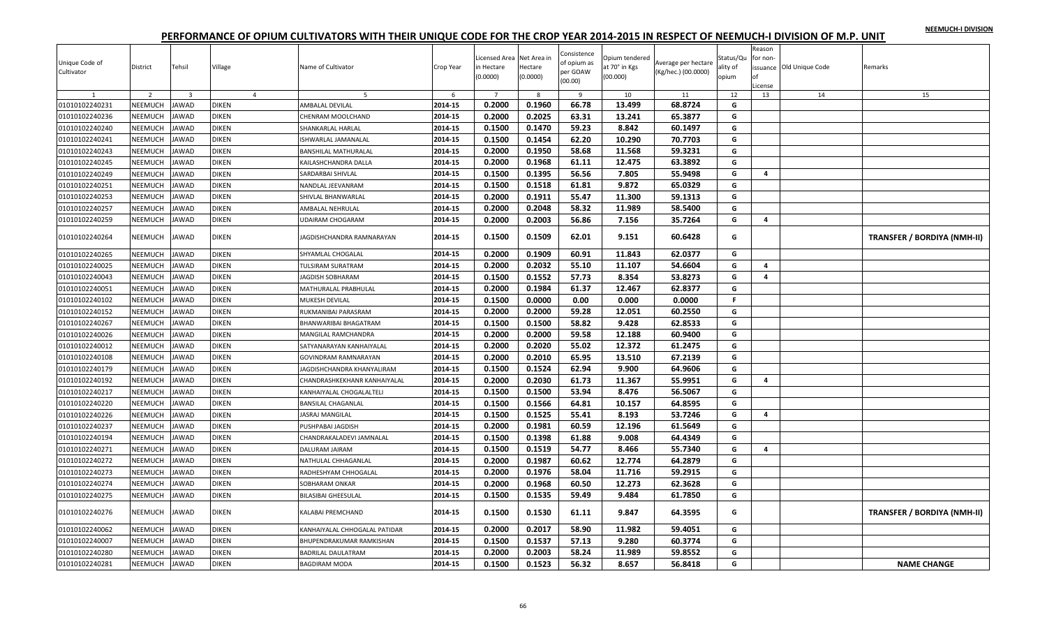|  |  | NEEMUCH-I DIVISION |
|--|--|--------------------|
|  |  |                    |

| Unique Code of<br>Cultivator | District       | Tehsil         | Village        | Name of Cultivator            | Crop Year | Licensed Area Net Area in<br>in Hectare<br>0.0000 | Hectare<br>(0.0000) | Consistence<br>of opium as<br>per GOAW<br>(00.00) | Opium tendered<br>at 70° in Kgs<br>(00.000) | Average per hectare<br>(Kg/hec.) (00.0000) | Status/Qu<br>ılity of<br>opium | Reason<br>for non<br>∩f<br>License | issuance Old Unique Code | Remarks                            |
|------------------------------|----------------|----------------|----------------|-------------------------------|-----------|---------------------------------------------------|---------------------|---------------------------------------------------|---------------------------------------------|--------------------------------------------|--------------------------------|------------------------------------|--------------------------|------------------------------------|
|                              | $\overline{z}$ | $\overline{3}$ | $\overline{4}$ | .5                            | 6         | $\overline{7}$                                    | 8                   | $\overline{9}$                                    | 10                                          | 11                                         | 12                             | 13                                 | 14                       | 15                                 |
| 01010102240231               | NEEMUCH        | <b>JAWAD</b>   | <b>DIKEN</b>   | AMBALAL DEVILAL               | 2014-15   | 0.2000                                            | 0.1960              | 66.78                                             | 13.499                                      | 68.8724                                    | G                              |                                    |                          |                                    |
| 01010102240236               | NEEMUCH        | JAWAD          | <b>DIKEN</b>   | CHENRAM MOOLCHAND             | 2014-15   | 0.2000                                            | 0.2025              | 63.31                                             | 13.241                                      | 65.3877                                    | G                              |                                    |                          |                                    |
| 01010102240240               | NEEMUCH        | <b>JAWAD</b>   | <b>DIKEN</b>   | SHANKARLAL HARLAL             | 2014-15   | 0.1500                                            | 0.1470              | 59.23                                             | 8.842                                       | 60.1497                                    | G                              |                                    |                          |                                    |
| 01010102240241               | NEEMUCH        | <b>JAWAD</b>   | <b>DIKEN</b>   | ISHWARLAL JAMANALAL           | 2014-15   | 0.1500                                            | 0.1454              | 62.20                                             | 10.290                                      | 70.7703                                    | G                              |                                    |                          |                                    |
| 01010102240243               | NEEMUCH        | <b>JAWAD</b>   | <b>DIKEN</b>   | <b>BANSHILAL MATHURALAL</b>   | 2014-15   | 0.2000                                            | 0.1950              | 58.68                                             | 11.568                                      | 59.3231                                    | G                              |                                    |                          |                                    |
| 01010102240245               | NEEMUCH        | <b>JAWAD</b>   | DIKEN          | KAILASHCHANDRA DALLA          | 2014-15   | 0.2000                                            | 0.1968              | 61.11                                             | 12.475                                      | 63.3892                                    | G                              |                                    |                          |                                    |
| 01010102240249               | NEEMUCH        | <b>JAWAD</b>   | <b>DIKEN</b>   | SARDARBAI SHIVLAL             | 2014-15   | 0.1500                                            | 0.1395              | 56.56                                             | 7.805                                       | 55.9498                                    | G                              | $\overline{a}$                     |                          |                                    |
| 01010102240251               | NEEMUCH        | <b>JAWAD</b>   | <b>DIKEN</b>   | NANDLAL JEEVANRAM             | 2014-15   | 0.1500                                            | 0.1518              | 61.81                                             | 9.872                                       | 65.0329                                    | G                              |                                    |                          |                                    |
| 01010102240253               | <b>NEEMUCH</b> | <b>JAWAD</b>   | <b>DIKEN</b>   | SHIVLAL BHANWARLAL            | 2014-15   | 0.2000                                            | 0.1911              | 55.47                                             | 11.300                                      | 59.1313                                    | G                              |                                    |                          |                                    |
| 01010102240257               | NEEMUCH        | <b>JAWAD</b>   | <b>DIKEN</b>   | AMBALAL NEHRULAL              | 2014-15   | 0.2000                                            | 0.2048              | 58.32                                             | 11.989                                      | 58.5400                                    | G                              |                                    |                          |                                    |
| 01010102240259               | NEEMUCH        | <b>JAWAD</b>   | <b>DIKEN</b>   | <b>JDAIRAM CHOGARAM</b>       | 2014-15   | 0.2000                                            | 0.2003              | 56.86                                             | 7.156                                       | 35.7264                                    | G                              | 4                                  |                          |                                    |
| 01010102240264               | NEEMUCH        | <b>JAWAD</b>   | <b>DIKEN</b>   | JAGDISHCHANDRA RAMNARAYAN     | 2014-15   | 0.1500                                            | 0.1509              | 62.01                                             | 9.151                                       | 60.6428                                    | G                              |                                    |                          | <b>TRANSFER / BORDIYA (NMH-II)</b> |
| 01010102240265               | <b>NEEMUCH</b> | <b>JAWAD</b>   | <b>DIKEN</b>   | SHYAMLAL CHOGALAL             | 2014-15   | 0.2000                                            | 0.1909              | 60.91                                             | 11.843                                      | 62.0377                                    | G                              |                                    |                          |                                    |
| 01010102240025               | NEEMUCH        | <b>JAWAD</b>   | <b>DIKEN</b>   | TULSIRAM SURATRAM             | 2014-15   | 0.2000                                            | 0.2032              | 55.10                                             | 11.107                                      | 54.6604                                    | G                              | $\overline{a}$                     |                          |                                    |
| 01010102240043               | NEEMUCH        | <b>JAWAD</b>   | <b>DIKEN</b>   | JAGDISH SOBHARAM              | 2014-15   | 0.1500                                            | 0.1552              | 57.73                                             | 8.354                                       | 53.8273                                    | G                              | 4                                  |                          |                                    |
| 01010102240051               | <b>NEEMUCH</b> | <b>JAWAD</b>   | <b>DIKEN</b>   | MATHURALAL PRABHULAL          | 2014-15   | 0.2000                                            | 0.1984              | 61.37                                             | 12.467                                      | 62.8377                                    | G                              |                                    |                          |                                    |
| 01010102240102               | NEEMUCH        | <b>JAWAD</b>   | <b>DIKEN</b>   | MUKESH DEVILAL                | 2014-15   | 0.1500                                            | 0.0000              | 0.00                                              | 0.000                                       | 0.0000                                     | $\mathsf F$                    |                                    |                          |                                    |
| 01010102240152               | <b>NEEMUCH</b> | <b>JAWAD</b>   | <b>DIKEN</b>   | RUKMANIBAI PARASRAM           | 2014-15   | 0.2000                                            | 0.2000              | 59.28                                             | 12.051                                      | 60.2550                                    | G                              |                                    |                          |                                    |
| 01010102240267               | NEEMUCH        | <b>JAWAD</b>   | <b>DIKEN</b>   | BHANWARIBAI BHAGATRAM         | 2014-15   | 0.1500                                            | 0.1500              | 58.82                                             | 9.428                                       | 62.8533                                    | G                              |                                    |                          |                                    |
| 01010102240026               | NEEMUCH        | <b>JAWAD</b>   | <b>DIKEN</b>   | MANGILAL RAMCHANDRA           | 2014-15   | 0.2000                                            | 0.2000              | 59.58                                             | 12.188                                      | 60.9400                                    | G                              |                                    |                          |                                    |
| 01010102240012               | NEEMUCH        | JAWAD          | <b>DIKEN</b>   | SATYANARAYAN KANHAIYALAL      | 2014-15   | 0.2000                                            | 0.2020              | 55.02                                             | 12.372                                      | 61.2475                                    | G                              |                                    |                          |                                    |
| 01010102240108               | NEEMUCH        | JAWAD          | <b>DIKEN</b>   | GOVINDRAM RAMNARAYAN          | 2014-15   | 0.2000                                            | 0.2010              | 65.95                                             | 13.510                                      | 67.2139                                    | G                              |                                    |                          |                                    |
| 01010102240179               | NEEMUCH        | <b>JAWAD</b>   | <b>DIKEN</b>   | JAGDISHCHANDRA KHANYALIRAM    | 2014-15   | 0.1500                                            | 0.1524              | 62.94                                             | 9.900                                       | 64.9606                                    | G                              |                                    |                          |                                    |
| 01010102240192               | NEEMUCH        | <b>JAWAD</b>   | DIKEN          | CHANDRASHKEKHANR KANHAIYALAL  | 2014-15   | 0.2000                                            | 0.2030              | 61.73                                             | 11.367                                      | 55.9951                                    | G                              | 4                                  |                          |                                    |
| 01010102240217               | NEEMUCH        | <b>JAWAD</b>   | <b>DIKEN</b>   | KANHAIYALAL CHOGALALTELI      | 2014-15   | 0.1500                                            | 0.1500              | 53.94                                             | 8.476                                       | 56.5067                                    | G                              |                                    |                          |                                    |
| 01010102240220               | NEEMUCH        | <b>JAWAD</b>   | <b>DIKEN</b>   | <b>BANSILAL CHAGANLAL</b>     | 2014-15   | 0.1500                                            | 0.1566              | 64.81                                             | 10.157                                      | 64.8595                                    | G                              |                                    |                          |                                    |
| 01010102240226               | NEEMUCH        | JAWAD          | <b>DIKEN</b>   | JASRAJ MANGILAL               | 2014-15   | 0.1500                                            | 0.1525              | 55.41                                             | 8.193                                       | 53.7246                                    | G                              | 4                                  |                          |                                    |
| 01010102240237               | NEEMUCH        | JAWAD          | <b>DIKEN</b>   | <b>PUSHPABAI JAGDISH</b>      | 2014-15   | 0.2000                                            | 0.1981              | 60.59                                             | 12.196                                      | 61.5649                                    | G                              |                                    |                          |                                    |
| 01010102240194               | NEEMUCH        | <b>JAWAD</b>   | <b>DIKEN</b>   | CHANDRAKALADEVI JAMNALAL      | 2014-15   | 0.1500                                            | 0.1398              | 61.88                                             | 9.008                                       | 64.4349                                    | G                              |                                    |                          |                                    |
| 01010102240271               | NEEMUCH        | <b>JAWAD</b>   | <b>DIKEN</b>   | <b>DALURAM JAIRAM</b>         | 2014-15   | 0.1500                                            | 0.1519              | 54.77                                             | 8.466                                       | 55.7340                                    | G                              | 4                                  |                          |                                    |
| 01010102240272               | NEEMUCH        | JAWAD          | <b>DIKEN</b>   | NATHULAL CHHAGANLAL           | 2014-15   | 0.2000                                            | 0.1987              | 60.62                                             | 12.774                                      | 64.2879                                    | G                              |                                    |                          |                                    |
| 01010102240273               | NEEMUCH        | <b>JAWAD</b>   | <b>DIKEN</b>   | RADHESHYAM CHHOGALAL          | 2014-15   | 0.2000                                            | 0.1976              | 58.04                                             | 11.716                                      | 59.2915                                    | G                              |                                    |                          |                                    |
| 01010102240274               | <b>NEEMUCH</b> | <b>JAWAD</b>   | <b>DIKEN</b>   | SOBHARAM ONKAR                | 2014-15   | 0.2000                                            | 0.1968              | 60.50                                             | 12.273                                      | 62.3628                                    | G                              |                                    |                          |                                    |
| 01010102240275               | NEEMUCH        | JAWAD          | <b>DIKEN</b>   | <b>BILASIBAI GHEESULAL</b>    | 2014-15   | 0.1500                                            | 0.1535              | 59.49                                             | 9.484                                       | 61.7850                                    | G                              |                                    |                          |                                    |
| 01010102240276               | NEEMUCH        | <b>JAWAD</b>   | <b>DIKEN</b>   | KALABAI PREMCHAND             | 2014-15   | 0.1500                                            | 0.1530              | 61.11                                             | 9.847                                       | 64.3595                                    | G                              |                                    |                          | <b>TRANSFER / BORDIYA (NMH-II)</b> |
| 01010102240062               | NEEMUCH        | <b>JAWAD</b>   | <b>DIKEN</b>   | KANHAIYALAL CHHOGALAL PATIDAR | 2014-15   | 0.2000                                            | 0.2017              | 58.90                                             | 11.982                                      | 59.4051                                    | G                              |                                    |                          |                                    |
| 01010102240007               | NEEMUCH        | <b>JAWAD</b>   | <b>DIKEN</b>   | BHUPENDRAKUMAR RAMKISHAN      | 2014-15   | 0.1500                                            | 0.1537              | 57.13                                             | 9.280                                       | 60.3774                                    | G                              |                                    |                          |                                    |
| 01010102240280               | NEEMUCH        | <b>JAWAD</b>   | DIKEN          | <b>BADRILAL DAULATRAM</b>     | 2014-15   | 0.2000                                            | 0.2003              | 58.24                                             | 11.989                                      | 59.8552                                    | G                              |                                    |                          |                                    |
| 01010102240281               | NEEMUCH        | <b>JAWAD</b>   | DIKEN          | <b>BAGDIRAM MODA</b>          | 2014-15   | 0.1500                                            | 0.1523              | 56.32                                             | 8.657                                       | 56.8418                                    | G                              |                                    |                          | <b>NAME CHANGE</b>                 |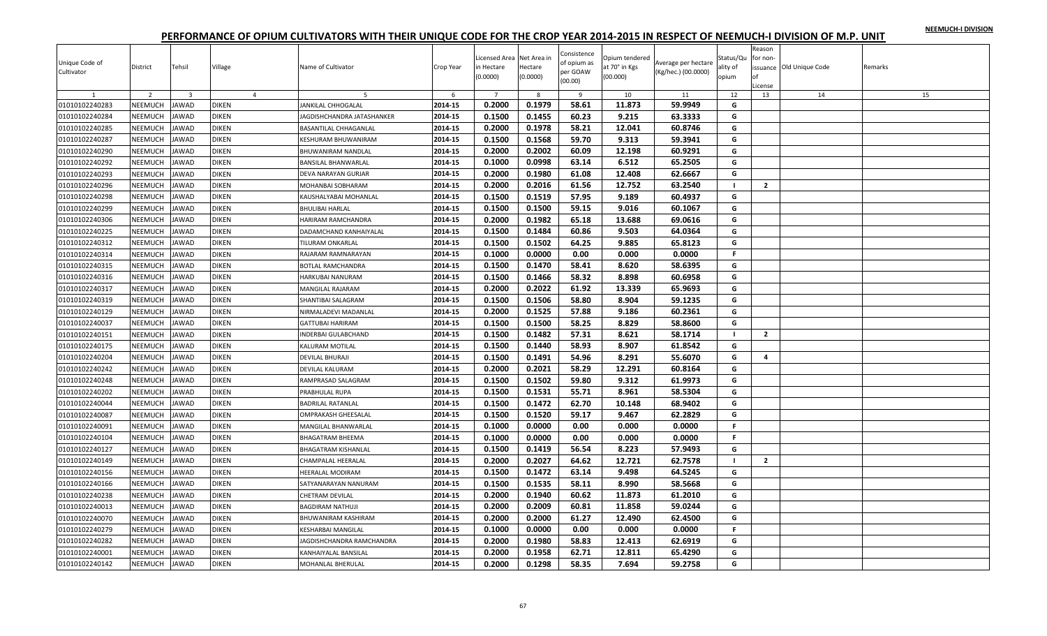|  |  | NEEMUCH-I DIVISION |
|--|--|--------------------|
|  |  |                    |

| Unique Code of<br>Cultivator | District       | Tehsil         | Village      | Name of Cultivator         | Crop Year | Licensed Area Net Area in<br>in Hectare<br>(0.0000) | Hectare<br>(0.0000) | Consistence<br>of opium as<br>per GOAW<br>(00.00) | Opium tendered<br>at 70° in Kgs<br>(00.000) | Average per hectare<br>(Kg/hec.) (00.0000) | Status/Qu<br>ality of<br>opium | Reason<br>for non-<br>nf<br>License | issuance Old Unique Code | Remarks |
|------------------------------|----------------|----------------|--------------|----------------------------|-----------|-----------------------------------------------------|---------------------|---------------------------------------------------|---------------------------------------------|--------------------------------------------|--------------------------------|-------------------------------------|--------------------------|---------|
|                              | $\overline{2}$ | $\overline{3}$ |              | $\overline{4}$             | -6        | $\overline{7}$                                      | -8                  | <sup>9</sup>                                      | 10                                          | 11                                         | 12                             | 13                                  | 14                       | 15      |
| 01010102240283               | NEEMUCH        | <b>JAWAD</b>   | <b>DIKEN</b> | JANKILAL CHHOGALAL         | 2014-15   | 0.2000                                              | 0.1979              | 58.61                                             | 11.873                                      | 59.9949                                    | G                              |                                     |                          |         |
| 01010102240284               | NEEMUCH        | <b>JAWAD</b>   | <b>DIKEN</b> | JAGDISHCHANDRA JATASHANKER | 2014-15   | 0.1500                                              | 0.1455              | 60.23                                             | 9.215                                       | 63.3333                                    | G                              |                                     |                          |         |
| 01010102240285               | NEEMUCH        | <b>JAWAD</b>   | <b>DIKEN</b> | BASANTILAL CHHAGANLAL      | 2014-15   | 0.2000                                              | 0.1978              | 58.21                                             | 12.041                                      | 60.8746                                    | G                              |                                     |                          |         |
| 01010102240287               | NEEMUCH        | <b>JAWAD</b>   | <b>DIKEN</b> | KESHURAM BHUWANIRAM        | 2014-15   | 0.1500                                              | 0.1568              | 59.70                                             | 9.313                                       | 59.3941                                    | G                              |                                     |                          |         |
| 01010102240290               | NEEMUCH        | <b>JAWAD</b>   | <b>DIKEN</b> | <b>BHUWANIRAM NANDLAL</b>  | 2014-15   | 0.2000                                              | 0.2002              | 60.09                                             | 12.198                                      | 60.9291                                    | G                              |                                     |                          |         |
| 01010102240292               | NEEMUCH        | <b>JAWAD</b>   | <b>DIKEN</b> | BANSILAL BHANWARLAL        | 2014-15   | 0.1000                                              | 0.0998              | 63.14                                             | 6.512                                       | 65.2505                                    | G                              |                                     |                          |         |
| 01010102240293               | NEEMUCH        | <b>JAWAD</b>   | <b>DIKEN</b> | DEVA NARAYAN GURJAR        | 2014-15   | 0.2000                                              | 0.1980              | 61.08                                             | 12.408                                      | 62.6667                                    | G                              |                                     |                          |         |
| 01010102240296               | NEEMUCH        | <b>JAWAD</b>   | <b>DIKEN</b> | MOHANBAI SOBHARAM          | 2014-15   | 0.2000                                              | 0.2016              | 61.56                                             | 12.752                                      | 63.2540                                    | $\blacksquare$                 | $\overline{2}$                      |                          |         |
| 01010102240298               | NEEMUCH        | <b>JAWAD</b>   | <b>DIKEN</b> | KAUSHALYABAI MOHANLAL      | 2014-15   | 0.1500                                              | 0.1519              | 57.95                                             | 9.189                                       | 60.4937                                    | G                              |                                     |                          |         |
| 01010102240299               | NEEMUCH        | <b>JAWAD</b>   | <b>DIKEN</b> | <b>BHULIBAI HARLAL</b>     | 2014-15   | 0.1500                                              | 0.1500              | 59.15                                             | 9.016                                       | 60.1067                                    | G                              |                                     |                          |         |
| 01010102240306               | NEEMUCH        | <b>JAWAD</b>   | <b>DIKEN</b> | HARIRAM RAMCHANDRA         | 2014-15   | 0.2000                                              | 0.1982              | 65.18                                             | 13.688                                      | 69.0616                                    | G                              |                                     |                          |         |
| 01010102240225               | NEEMUCH        | <b>JAWAD</b>   | <b>DIKEN</b> | DADAMCHAND KANHAIYALAL     | 2014-15   | 0.1500                                              | 0.1484              | 60.86                                             | 9.503                                       | 64.0364                                    | G                              |                                     |                          |         |
| 01010102240312               | NEEMUCH        | <b>JAWAD</b>   | <b>DIKEN</b> | <b>TILURAM ONKARLAL</b>    | 2014-15   | 0.1500                                              | 0.1502              | 64.25                                             | 9.885                                       | 65.8123                                    | G                              |                                     |                          |         |
| 01010102240314               | NEEMUCH        | <b>JAWAD</b>   | DIKEN        | RAJARAM RAMNARAYAN         | 2014-15   | 0.1000                                              | 0.0000              | 0.00                                              | 0.000                                       | 0.0000                                     | F.                             |                                     |                          |         |
| 01010102240315               | NEEMUCH        | <b>JAWAD</b>   | <b>DIKEN</b> | BOTLAL RAMCHANDRA          | 2014-15   | 0.1500                                              | 0.1470              | 58.41                                             | 8.620                                       | 58.6395                                    | G                              |                                     |                          |         |
| 01010102240316               | NEEMUCH        | <b>JAWAD</b>   | <b>DIKEN</b> | HARKUBAI NANURAM           | 2014-15   | 0.1500                                              | 0.1466              | 58.32                                             | 8.898                                       | 60.6958                                    | G                              |                                     |                          |         |
| 01010102240317               | NEEMUCH        | <b>JAWAD</b>   | DIKEN        | MANGILAL RAJARAM           | 2014-15   | 0.2000                                              | 0.2022              | 61.92                                             | 13.339                                      | 65.9693                                    | G                              |                                     |                          |         |
| 01010102240319               | NEEMUCH        | <b>JAWAD</b>   | <b>DIKEN</b> | SHANTIBAI SALAGRAM         | 2014-15   | 0.1500                                              | 0.1506              | 58.80                                             | 8.904                                       | 59.1235                                    | G                              |                                     |                          |         |
| 01010102240129               | NEEMUCH        | <b>JAWAD</b>   | <b>DIKEN</b> | NIRMALADEVI MADANLAL       | 2014-15   | 0.2000                                              | 0.1525              | 57.88                                             | 9.186                                       | 60.2361                                    | G                              |                                     |                          |         |
| 01010102240037               | NEEMUCH        | <b>JAWAD</b>   | <b>DIKEN</b> | <b>GATTUBAI HARIRAM</b>    | 2014-15   | 0.1500                                              | 0.1500              | 58.25                                             | 8.829                                       | 58.8600                                    | G                              |                                     |                          |         |
| 01010102240151               | NEEMUCH        | <b>JAWAD</b>   | <b>DIKEN</b> | INDERBAI GULABCHAND        | 2014-15   | 0.1500                                              | 0.1482              | 57.31                                             | 8.621                                       | 58.1714                                    | $\blacksquare$                 | $\overline{2}$                      |                          |         |
| 01010102240175               | NEEMUCH        | <b>JAWAD</b>   | <b>DIKEN</b> | KALURAM MOTILAL            | 2014-15   | 0.1500                                              | 0.1440              | 58.93                                             | 8.907                                       | 61.8542                                    | G                              |                                     |                          |         |
| 01010102240204               | NEEMUCH        | <b>JAWAD</b>   | <b>DIKEN</b> | <b>DEVILAL BHURAJI</b>     | 2014-15   | 0.1500                                              | 0.1491              | 54.96                                             | 8.291                                       | 55.6070                                    | G                              | 4                                   |                          |         |
| 01010102240242               | NEEMUCH        | <b>JAWAD</b>   | <b>DIKEN</b> | <b>DEVILAL KALURAM</b>     | 2014-15   | 0.2000                                              | 0.2021              | 58.29                                             | 12.291                                      | 60.8164                                    | G                              |                                     |                          |         |
| 01010102240248               | NEEMUCH        | <b>JAWAD</b>   | <b>DIKEN</b> | RAMPRASAD SALAGRAM         | 2014-15   | 0.1500                                              | 0.1502              | 59.80                                             | 9.312                                       | 61.9973                                    | G                              |                                     |                          |         |
| 01010102240202               | NEEMUCH        | <b>JAWAD</b>   | DIKEN        | PRABHULAL RUPA             | 2014-15   | 0.1500                                              | 0.1531              | 55.71                                             | 8.961                                       | 58.5304                                    | G                              |                                     |                          |         |
| 01010102240044               | NEEMUCH        | <b>JAWAD</b>   | <b>DIKEN</b> | <b>BADRILAL RATANLAL</b>   | 2014-15   | 0.1500                                              | 0.1472              | 62.70                                             | 10.148                                      | 68.9402                                    | G                              |                                     |                          |         |
| 01010102240087               | NEEMUCH        | <b>JAWAD</b>   | <b>DIKEN</b> | OMPRAKASH GHEESALAL        | 2014-15   | 0.1500                                              | 0.1520              | 59.17                                             | 9.467                                       | 62.2829                                    | G                              |                                     |                          |         |
| 01010102240091               | NEEMUCH        | <b>JAWAD</b>   | <b>DIKEN</b> | MANGILAL BHANWARLAL        | 2014-15   | 0.1000                                              | 0.0000              | 0.00                                              | 0.000                                       | 0.0000                                     | $\mathbb F$                    |                                     |                          |         |
| 01010102240104               | NEEMUCH        | <b>JAWAD</b>   | <b>DIKEN</b> | <b>BHAGATRAM BHEEMA</b>    | 2014-15   | 0.1000                                              | 0.0000              | 0.00                                              | 0.000                                       | 0.0000                                     | F.                             |                                     |                          |         |
| 01010102240127               | NEEMUCH        | <b>JAWAD</b>   | <b>DIKEN</b> | <b>BHAGATRAM KISHANLAL</b> | 2014-15   | 0.1500                                              | 0.1419              | 56.54                                             | 8.223                                       | 57.9493                                    | G                              |                                     |                          |         |
| 01010102240149               | NEEMUCH        | <b>JAWAD</b>   | <b>DIKEN</b> | CHAMPALAL HEERALAL         | 2014-15   | 0.2000                                              | 0.2027              | 64.62                                             | 12.721                                      | 62.7578                                    |                                | $\mathbf{2}$                        |                          |         |
| 01010102240156               | NEEMUCH        | <b>JAWAD</b>   | <b>DIKEN</b> | <b>HEERALAL MODIRAM</b>    | 2014-15   | 0.1500                                              | 0.1472              | 63.14                                             | 9.498                                       | 64.5245                                    | G                              |                                     |                          |         |
| 01010102240166               | NEEMUCH        | <b>JAWAD</b>   | <b>DIKEN</b> | SATYANARAYAN NANURAM       | 2014-15   | 0.1500                                              | 0.1535              | 58.11                                             | 8.990                                       | 58.5668                                    | G                              |                                     |                          |         |
| 01010102240238               | <b>NEEMUCH</b> | <b>JAWAD</b>   | <b>DIKEN</b> | <b>CHETRAM DEVILAL</b>     | 2014-15   | 0.2000                                              | 0.1940              | 60.62                                             | 11.873                                      | 61.2010                                    | G                              |                                     |                          |         |
| 01010102240013               | NEEMUCH        | <b>JAWAD</b>   | <b>DIKEN</b> | <b>BAGDIRAM NATHUJI</b>    | 2014-15   | 0.2000                                              | 0.2009              | 60.81                                             | 11.858                                      | 59.0244                                    | G                              |                                     |                          |         |
| 01010102240070               | NEEMUCH        | <b>JAWAD</b>   | <b>DIKEN</b> | BHUWANIRAM KASHIRAM        | 2014-15   | 0.2000                                              | 0.2000              | 61.27                                             | 12.490                                      | 62.4500                                    | G                              |                                     |                          |         |
| 01010102240279               | NEEMUCH        | <b>JAWAD</b>   | <b>DIKEN</b> | <b>KESHARBAI MANGILAL</b>  | 2014-15   | 0.1000                                              | 0.0000              | 0.00                                              | 0.000                                       | 0.0000                                     | F.                             |                                     |                          |         |
| 01010102240282               | NEEMUCH        | <b>JAWAD</b>   | DIKEN        | JAGDISHCHANDRA RAMCHANDRA  | 2014-15   | 0.2000                                              | 0.1980              | 58.83                                             | 12.413                                      | 62.6919                                    | G                              |                                     |                          |         |
| 01010102240001               | NEEMUCH        | <b>JAWAD</b>   | DIKEN        | KANHAIYALAL BANSILAL       | 2014-15   | 0.2000                                              | 0.1958              | 62.71                                             | 12.811                                      | 65.4290                                    | G                              |                                     |                          |         |
| 01010102240142               | NEEMUCH        | <b>JAWAD</b>   | <b>DIKEN</b> | MOHANLAL BHERULAL          | 2014-15   | 0.2000                                              | 0.1298              | 58.35                                             | 7.694                                       | 59.2758                                    | G                              |                                     |                          |         |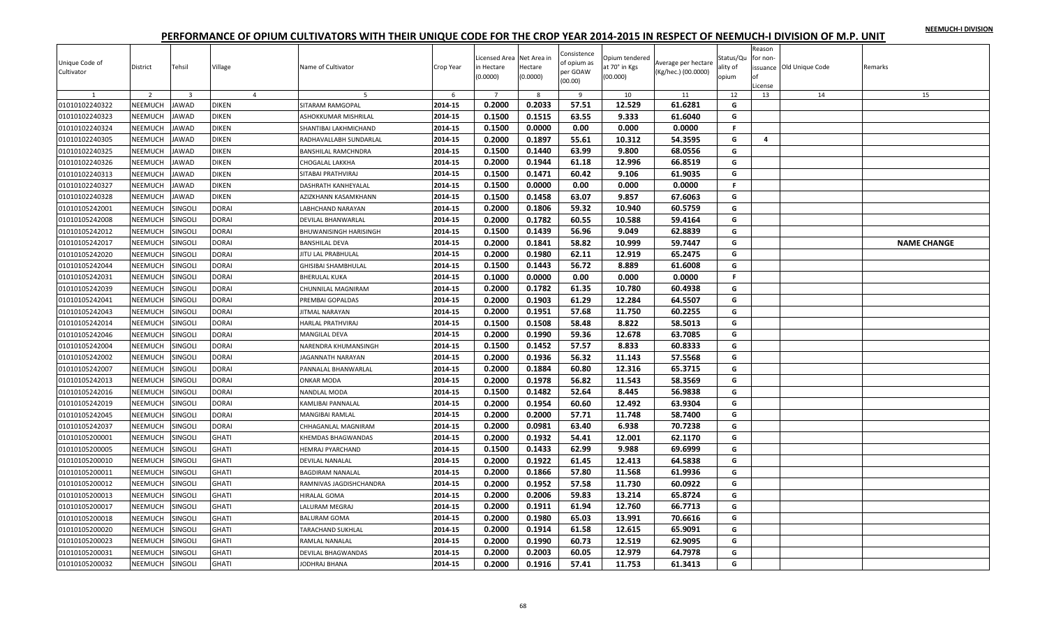|  |  | NEEMUCH-I DIVISION |
|--|--|--------------------|
|  |  |                    |

| Unique Code of<br>Cultivator | District       | Tehsil                  | Village        | Name of Cultivator         | Crop Year | Licensed Area Net Area in<br>in Hectare<br>(0.0000) | Hectare<br>(0.0000) | Consistence<br>of opium as<br>per GOAW<br>(00.00) | Opium tendered<br>at 70° in Kgs<br>(00.000) | Average per hectare<br>(Kg/hec.) (00.0000) | Status/Qu<br>ality of<br>opium | Reason<br>for non-<br>nf<br>License | issuance Old Unique Code | Remarks            |
|------------------------------|----------------|-------------------------|----------------|----------------------------|-----------|-----------------------------------------------------|---------------------|---------------------------------------------------|---------------------------------------------|--------------------------------------------|--------------------------------|-------------------------------------|--------------------------|--------------------|
| 1                            | $\overline{2}$ | $\overline{\mathbf{3}}$ | $\overline{4}$ | 5                          | 6         | $\overline{7}$                                      | 8                   | 9                                                 | 10                                          | 11                                         | 12                             | 13                                  | 14                       | 15                 |
| 01010102240322               | NEEMUCH        | <b>JAWAD</b>            | <b>DIKEN</b>   | SITARAM RAMGOPAL           | 2014-15   | 0.2000                                              | 0.2033              | 57.51                                             | 12.529                                      | 61.6281                                    | G                              |                                     |                          |                    |
| 01010102240323               | NEEMUCH        | AWAD                    | <b>DIKEN</b>   | ASHOKKUMAR MISHRILAL       | 2014-15   | 0.1500                                              | 0.1515              | 63.55                                             | 9.333                                       | 61.6040                                    | G                              |                                     |                          |                    |
| 01010102240324               | NEEMUCH        | <b>IAWAD</b>            | <b>DIKEN</b>   | SHANTIBAI LAKHMICHAND      | 2014-15   | 0.1500                                              | 0.0000              | 0.00                                              | 0.000                                       | 0.0000                                     | F.                             |                                     |                          |                    |
| 01010102240305               | NEEMUCH        | AWAD                    | <b>DIKEN</b>   | RADHAVALLABH SUNDARLAL     | 2014-15   | 0.2000                                              | 0.1897              | 55.61                                             | 10.312                                      | 54.3595                                    | G                              | 4                                   |                          |                    |
| 01010102240325               | NEEMUCH        | AWAD                    | <b>DIKEN</b>   | <b>BANSHILAL RAMCHNDRA</b> | 2014-15   | 0.1500                                              | 0.1440              | 63.99                                             | 9.800                                       | 68.0556                                    | G                              |                                     |                          |                    |
| 01010102240326               | NEEMUCH        | AWAD                    | <b>DIKEN</b>   | <b>HOGALAL LAKKHA</b>      | 2014-15   | 0.2000                                              | 0.1944              | 61.18                                             | 12.996                                      | 66.8519                                    | G                              |                                     |                          |                    |
| 01010102240313               | NEEMUCH        | <b>IAWAD</b>            | <b>DIKEN</b>   | SITABAI PRATHVIRAJ         | 2014-15   | 0.1500                                              | 0.1471              | 60.42                                             | 9.106                                       | 61.9035                                    | G                              |                                     |                          |                    |
| 01010102240327               | NEEMUCH        | AWAD                    | <b>DIKEN</b>   | <b>DASHRATH KANHEYALAL</b> | 2014-15   | 0.1500                                              | 0.0000              | 0.00                                              | 0.000                                       | 0.0000                                     | F.                             |                                     |                          |                    |
| 01010102240328               | NEEMUCH        | AWAD                    | <b>DIKEN</b>   | AZIZKHANN KASAMKHANN       | 2014-15   | 0.1500                                              | 0.1458              | 63.07                                             | 9.857                                       | 67.6063                                    | G                              |                                     |                          |                    |
| 01010105242001               | NEEMUCH        | SINGOLI                 | DORAI          | <b>ABHCHAND NARAYAN</b>    | 2014-15   | 0.2000                                              | 0.1806              | 59.32                                             | 10.940                                      | 60.5759                                    | G                              |                                     |                          |                    |
| 01010105242008               | NEEMUCH        | <b>SINGOLI</b>          | <b>DORAI</b>   | DEVILAL BHANWARLAL         | 2014-15   | 0.2000                                              | 0.1782              | 60.55                                             | 10.588                                      | 59.4164                                    | G                              |                                     |                          |                    |
| 01010105242012               | NEEMUCH        | SINGOLI                 | <b>DORAI</b>   | BHUWANISINGH HARISINGH     | 2014-15   | 0.1500                                              | 0.1439              | 56.96                                             | 9.049                                       | 62.8839                                    | G                              |                                     |                          |                    |
| 01010105242017               | NEEMUCH        | SINGOLI                 | <b>DORAI</b>   | BANSHILAL DEVA             | 2014-15   | 0.2000                                              | 0.1841              | 58.82                                             | 10.999                                      | 59.7447                                    | G                              |                                     |                          | <b>NAME CHANGE</b> |
| 01010105242020               | NEEMUCH        | <b>SINGOLI</b>          | <b>DORAI</b>   | <b>ITU LAL PRABHULAL</b>   | 2014-15   | 0.2000                                              | 0.1980              | 62.11                                             | 12.919                                      | 65.2475                                    | G                              |                                     |                          |                    |
| 01010105242044               | NEEMUCH        | SINGOLI                 | <b>DORAI</b>   | <b>GHISIBAI SHAMBHULAL</b> | 2014-15   | 0.1500                                              | 0.1443              | 56.72                                             | 8.889                                       | 61.6008                                    | G                              |                                     |                          |                    |
| 01010105242031               | NEEMUCH        | SINGOLI                 | <b>DORAI</b>   | <b>BHERULAL KUKA</b>       | 2014-15   | 0.1000                                              | 0.0000              | 0.00                                              | 0.000                                       | 0.0000                                     | F.                             |                                     |                          |                    |
| 01010105242039               | NEEMUCH        | SINGOLI                 | DORAI          | CHUNNILAL MAGNIRAM         | 2014-15   | 0.2000                                              | 0.1782              | 61.35                                             | 10.780                                      | 60.4938                                    | G                              |                                     |                          |                    |
| 01010105242041               | NEEMUCH        | SINGOLI                 | <b>DORAI</b>   | PREMBAI GOPALDAS           | 2014-15   | 0.2000                                              | 0.1903              | 61.29                                             | 12.284                                      | 64.5507                                    | G                              |                                     |                          |                    |
| 01010105242043               | NEEMUCH        | SINGOLI                 | <b>DORAI</b>   | JITMAL NARAYAN             | 2014-15   | 0.2000                                              | 0.1951              | 57.68                                             | 11.750                                      | 60.2255                                    | G                              |                                     |                          |                    |
| 01010105242014               | NEEMUCH        | SINGOLI                 | <b>DORAI</b>   | HARLAL PRATHVIRAJ          | 2014-15   | 0.1500                                              | 0.1508              | 58.48                                             | 8.822                                       | 58.5013                                    | G                              |                                     |                          |                    |
| 01010105242046               | NEEMUCH        | SINGOLI                 | <b>DORAI</b>   | MANGILAL DEVA              | 2014-15   | 0.2000                                              | 0.1990              | 59.36                                             | 12.678                                      | 63.7085                                    | G                              |                                     |                          |                    |
| 01010105242004               | NEEMUCH        | <b>SINGOLI</b>          | <b>DORAI</b>   | NARENDRA KHUMANSINGH       | 2014-15   | 0.1500                                              | 0.1452              | 57.57                                             | 8.833                                       | 60.8333                                    | G                              |                                     |                          |                    |
| 01010105242002               | NEEMUCH        | SINGOLI                 | <b>DORAI</b>   | AGANNATH NARAYAN           | 2014-15   | 0.2000                                              | 0.1936              | 56.32                                             | 11.143                                      | 57.5568                                    | G                              |                                     |                          |                    |
| 01010105242007               | NEEMUCH        | SINGOLI                 | <b>DORAI</b>   | PANNALAL BHANWARLAL        | 2014-15   | 0.2000                                              | 0.1884              | 60.80                                             | 12.316                                      | 65.3715                                    | G                              |                                     |                          |                    |
| 01010105242013               | NEEMUCH        | SINGOLI                 | <b>DORAI</b>   | ONKAR MODA                 | 2014-15   | 0.2000                                              | 0.1978              | 56.82                                             | 11.543                                      | 58.3569                                    | G                              |                                     |                          |                    |
| 01010105242016               | NEEMUCH        | <b>SINGOLI</b>          | DORAI          | NANDLAL MODA               | 2014-15   | 0.1500                                              | 0.1482              | 52.64                                             | 8.445                                       | 56.9838                                    | G                              |                                     |                          |                    |
| 01010105242019               | NEEMUCH        | SINGOLI                 | <b>DORAI</b>   | KAMLIBAI PANNALAL          | 2014-15   | 0.2000                                              | 0.1954              | 60.60                                             | 12.492                                      | 63.9304                                    | G                              |                                     |                          |                    |
| 01010105242045               | NEEMUCH        | SINGOLI                 | <b>DORAI</b>   | MANGIBAI RAMLAL            | 2014-15   | 0.2000                                              | 0.2000              | 57.71                                             | 11.748                                      | 58.7400                                    | G                              |                                     |                          |                    |
| 01010105242037               | NEEMUCH        | SINGOLI                 | <b>DORAI</b>   | CHHAGANLAL MAGNIRAM        | 2014-15   | 0.2000                                              | 0.0981              | 63.40                                             | 6.938                                       | 70.7238                                    | G                              |                                     |                          |                    |
| 01010105200001               | NEEMUCH        | SINGOLI                 | <b>GHATI</b>   | <b>KHEMDAS BHAGWANDAS</b>  | 2014-15   | 0.2000                                              | 0.1932              | 54.41                                             | 12.001                                      | 62.1170                                    | G                              |                                     |                          |                    |
| 01010105200005               | NEEMUCH        | SINGOLI                 | <b>GHATI</b>   | <b>HEMRAJ PYARCHAND</b>    | 2014-15   | 0.1500                                              | 0.1433              | 62.99                                             | 9.988                                       | 69.6999                                    | G                              |                                     |                          |                    |
| 01010105200010               | NEEMUCH        | SINGOLI                 | <b>GHATI</b>   | DEVILAL NANALAL            | 2014-15   | 0.2000                                              | 0.1922              | 61.45                                             | 12.413                                      | 64.5838                                    | G                              |                                     |                          |                    |
| 01010105200011               | NEEMUCH        | <b>SINGOLI</b>          | <b>GHATI</b>   | BAGDIRAM NANALAL           | 2014-15   | 0.2000                                              | 0.1866              | 57.80                                             | 11.568                                      | 61.9936                                    | G                              |                                     |                          |                    |
| 01010105200012               | NEEMUCH        | SINGOLI                 | <b>GHATI</b>   | RAMNIVAS JAGDISHCHANDRA    | 2014-15   | 0.2000                                              | 0.1952              | 57.58                                             | 11.730                                      | 60.0922                                    | G                              |                                     |                          |                    |
| 01010105200013               | NEEMUCH        | SINGOLI                 | <b>GHATI</b>   | <b>HIRALAL GOMA</b>        | 2014-15   | 0.2000                                              | 0.2006              | 59.83                                             | 13.214                                      | 65.8724                                    | G                              |                                     |                          |                    |
| 01010105200017               | NEEMUCH        | SINGOLI                 | <b>GHATI</b>   | ALURAM MEGRAJ              | 2014-15   | 0.2000                                              | 0.1911              | 61.94                                             | 12.760                                      | 66.7713                                    | G                              |                                     |                          |                    |
| 01010105200018               | NEEMUCH        | SINGOLI                 | <b>GHATI</b>   | <b>BALURAM GOMA</b>        | 2014-15   | 0.2000                                              | 0.1980              | 65.03                                             | 13.991                                      | 70.6616                                    | G                              |                                     |                          |                    |
| 01010105200020               | NEEMUCH        | SINGOLI                 | <b>GHATI</b>   | TARACHAND SUKHLAL          | 2014-15   | 0.2000                                              | 0.1914              | 61.58                                             | 12.615                                      | 65.9091                                    | G                              |                                     |                          |                    |
| 01010105200023               | <b>NEEMUCH</b> | SINGOLI                 | GHATI          | RAMLAL NANALAL             | 2014-15   | 0.2000                                              | 0.1990              | 60.73                                             | 12.519                                      | 62.9095                                    | G                              |                                     |                          |                    |
| 01010105200031               | NEEMUCH        | SINGOLI                 | <b>GHATI</b>   | DEVILAL BHAGWANDAS         | 2014-15   | 0.2000                                              | 0.2003              | 60.05                                             | 12.979                                      | 64.7978                                    | G                              |                                     |                          |                    |
| 01010105200032               | NEEMUCH        | SINGOLI                 | <b>GHATI</b>   | JODHRAJ BHANA              | 2014-15   | 0.2000                                              | 0.1916              | 57.41                                             | 11.753                                      | 61.3413                                    | G                              |                                     |                          |                    |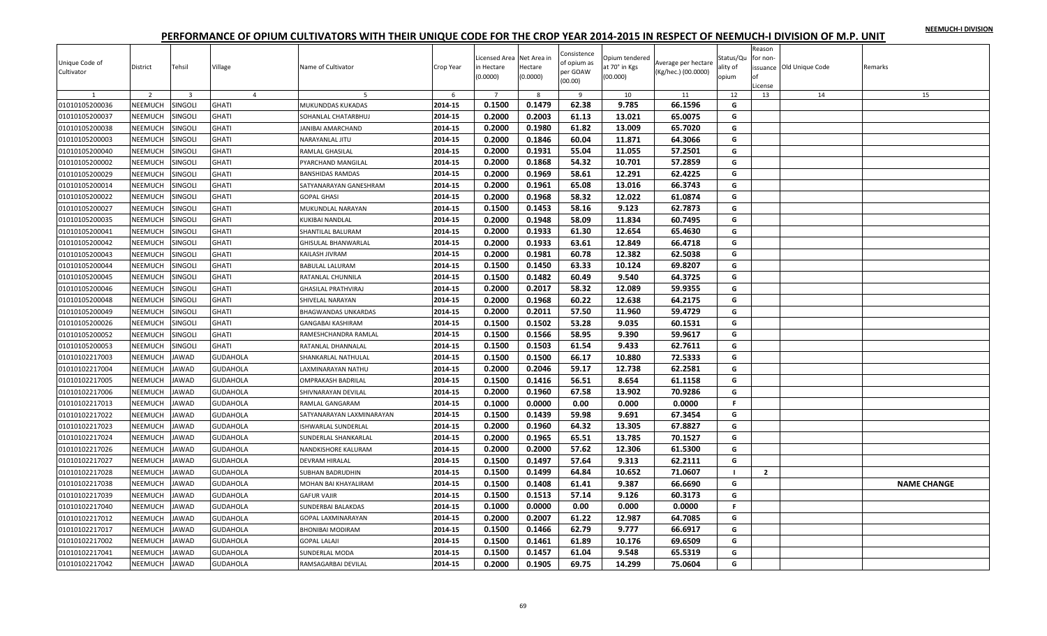|  |  | NEEMUCH-I DIVISION |
|--|--|--------------------|
|  |  |                    |

| Unique Code of<br>Cultivator | District       | Tehsil                  | Village         | Name of Cultivator         | Crop Year | Licensed Area Net Area in<br>in Hectare<br>(0.0000) | Hectare<br>(0.0000) | Consistence<br>of opium as<br>per GOAW<br>(00.00) | Opium tendered<br>at 70° in Kgs<br>(00.000) | Average per hectare<br>(Kg/hec.) (00.0000) | Status/Qu<br>ality of<br>opium | Reason<br>for non-<br>оf<br>License | issuance Old Unique Code | Remarks            |
|------------------------------|----------------|-------------------------|-----------------|----------------------------|-----------|-----------------------------------------------------|---------------------|---------------------------------------------------|---------------------------------------------|--------------------------------------------|--------------------------------|-------------------------------------|--------------------------|--------------------|
|                              | $\overline{z}$ | $\overline{\mathbf{3}}$ | $\overline{4}$  | 5                          | 6         | $\overline{7}$                                      | $\mathbf{8}$        | $\overline{9}$                                    | 10                                          | 11                                         | 12                             | 13                                  | 14                       | 15                 |
| 01010105200036               | NEEMUCH        | SINGOLI                 | <b>GHATI</b>    | MUKUNDDAS KUKADAS          | 2014-15   | 0.1500                                              | 0.1479              | 62.38                                             | 9.785                                       | 66.1596                                    | G                              |                                     |                          |                    |
| 01010105200037               | NEEMUCH        | SINGOLI                 | <b>GHATI</b>    | SOHANLAL CHATARBHUJ        | 2014-15   | 0.2000                                              | 0.2003              | 61.13                                             | 13.021                                      | 65.0075                                    | G                              |                                     |                          |                    |
| 01010105200038               | NEEMUCH        | SINGOLI                 | <b>GHATI</b>    | ANIBAI AMARCHAND           | 2014-15   | 0.2000                                              | 0.1980              | 61.82                                             | 13.009                                      | 65.7020                                    | G                              |                                     |                          |                    |
| 01010105200003               | NEEMUCH        | SINGOLI                 | <b>GHATI</b>    | NARAYANLAL JITU            | 2014-15   | 0.2000                                              | 0.1846              | 60.04                                             | 11.871                                      | 64.3066                                    | G                              |                                     |                          |                    |
| 01010105200040               | <b>NEEMUCH</b> | SINGOLI                 | <b>GHATI</b>    | RAMLAL GHASILAL            | 2014-15   | 0.2000                                              | 0.1931              | 55.04                                             | 11.055                                      | 57.2501                                    | G                              |                                     |                          |                    |
| 01010105200002               | NEEMUCH        | SINGOLI                 | <b>GHATI</b>    | PYARCHAND MANGILAL         | 2014-15   | 0.2000                                              | 0.1868              | 54.32                                             | 10.701                                      | 57.2859                                    | G                              |                                     |                          |                    |
| 01010105200029               | NEEMUCH        | SINGOLI                 | <b>GHATI</b>    | <b>BANSHIDAS RAMDAS</b>    | 2014-15   | 0.2000                                              | 0.1969              | 58.61                                             | 12.291                                      | 62.4225                                    | G                              |                                     |                          |                    |
| 01010105200014               | NEEMUCH        | SINGOLI                 | <b>GHATI</b>    | SATYANARAYAN GANESHRAM     | 2014-15   | 0.2000                                              | 0.1961              | 65.08                                             | 13.016                                      | 66.3743                                    | G                              |                                     |                          |                    |
| 01010105200022               | <b>NEEMUCH</b> | SINGOLI                 | <b>GHATI</b>    | <b>GOPAL GHASI</b>         | 2014-15   | 0.2000                                              | 0.1968              | 58.32                                             | 12.022                                      | 61.0874                                    | G                              |                                     |                          |                    |
| 01010105200027               | NEEMUCH        | SINGOLI                 | <b>GHATI</b>    | MUKUNDLAL NARAYAN          | 2014-15   | 0.1500                                              | 0.1453              | 58.16                                             | 9.123                                       | 62.7873                                    | G                              |                                     |                          |                    |
| 01010105200035               | NEEMUCH        | SINGOLI                 | <b>GHATI</b>    | KUKIBAI NANDLAL            | 2014-15   | 0.2000                                              | 0.1948              | 58.09                                             | 11.834                                      | 60.7495                                    | G                              |                                     |                          |                    |
| 01010105200041               | NEEMUCH        | SINGOLI                 | <b>GHATI</b>    | SHANTILAL BALURAM          | 2014-15   | 0.2000                                              | 0.1933              | 61.30                                             | 12.654                                      | 65.4630                                    | G                              |                                     |                          |                    |
| 01010105200042               | NEEMUCH        | SINGOLI                 | <b>GHATI</b>    | <b>GHISULAL BHANWARLAL</b> | 2014-15   | 0.2000                                              | 0.1933              | 63.61                                             | 12.849                                      | 66.4718                                    | G                              |                                     |                          |                    |
| 01010105200043               | NEEMUCH        | <b>SINGOLI</b>          | <b>GHATI</b>    | KAILASH JIVRAM             | 2014-15   | 0.2000                                              | 0.1981              | 60.78                                             | 12.382                                      | 62.5038                                    | G                              |                                     |                          |                    |
| 01010105200044               | NEEMUCH        | SINGOLI                 | <b>GHATI</b>    | <b>BABULAL LALURAM</b>     | 2014-15   | 0.1500                                              | 0.1450              | 63.33                                             | 10.124                                      | 69.8207                                    | G                              |                                     |                          |                    |
| 01010105200045               | NEEMUCH        | SINGOLI                 | <b>GHATI</b>    | RATANLAL CHUNNILA          | 2014-15   | 0.1500                                              | 0.1482              | 60.49                                             | 9.540                                       | 64.3725                                    | G                              |                                     |                          |                    |
| 01010105200046               | NEEMUCH        | SINGOLI                 | <b>GHATI</b>    | <b>GHASILAL PRATHVIRAJ</b> | 2014-15   | 0.2000                                              | 0.2017              | 58.32                                             | 12.089                                      | 59.9355                                    | G                              |                                     |                          |                    |
| 01010105200048               | NEEMUCH        | SINGOLI                 | <b>GHATI</b>    | SHIVELAL NARAYAN           | 2014-15   | 0.2000                                              | 0.1968              | 60.22                                             | 12.638                                      | 64.2175                                    | G                              |                                     |                          |                    |
| 01010105200049               | NEEMUCH        | SINGOLI                 | <b>GHATI</b>    | <b>BHAGWANDAS UNKARDAS</b> | 2014-15   | 0.2000                                              | 0.2011              | 57.50                                             | 11.960                                      | 59.4729                                    | G                              |                                     |                          |                    |
| 01010105200026               | <b>NEEMUCH</b> | SINGOLI                 | <b>GHATI</b>    | GANGABAI KASHIRAM          | 2014-15   | 0.1500                                              | 0.1502              | 53.28                                             | 9.035                                       | 60.1531                                    | G                              |                                     |                          |                    |
| 01010105200052               | NEEMUCH        | SINGOLI                 | <b>GHATI</b>    | RAMESHCHANDRA RAMLAL       | 2014-15   | 0.1500                                              | 0.1566              | 58.95                                             | 9.390                                       | 59.9617                                    | G                              |                                     |                          |                    |
| 01010105200053               | NEEMUCH        | SINGOLI                 | <b>GHATI</b>    | RATANLAL DHANNALAL         | 2014-15   | 0.1500                                              | 0.1503              | 61.54                                             | 9.433                                       | 62.7611                                    | G                              |                                     |                          |                    |
| 01010102217003               | <b>NEEMUCH</b> | <b>AWAD</b>             | <b>GUDAHOLA</b> | SHANKARLAL NATHULAL        | 2014-15   | 0.1500                                              | 0.1500              | 66.17                                             | 10.880                                      | 72.5333                                    | G                              |                                     |                          |                    |
| 01010102217004               | NEEMUCH        | <b>AWAD</b>             | <b>GUDAHOLA</b> | AXMINARAYAN NATHU          | 2014-15   | 0.2000                                              | 0.2046              | 59.17                                             | 12.738                                      | 62.2581                                    | G                              |                                     |                          |                    |
| 01010102217005               | NEEMUCH        | AWAD                    | <b>GUDAHOLA</b> | OMPRAKASH BADRILAL         | 2014-15   | 0.1500                                              | 0.1416              | 56.51                                             | 8.654                                       | 61.1158                                    | G                              |                                     |                          |                    |
| 01010102217006               | NEEMUCH        | <b>AWAD</b>             | <b>GUDAHOLA</b> | SHIVNARAYAN DEVILAL        | 2014-15   | 0.2000                                              | 0.1960              | 67.58                                             | 13.902                                      | 70.9286                                    | G                              |                                     |                          |                    |
| 01010102217013               | NEEMUCH        | <b>JAWAD</b>            | <b>GUDAHOLA</b> | RAMLAL GANGARAM            | 2014-15   | 0.1000                                              | 0.0000              | 0.00                                              | 0.000                                       | 0.0000                                     | $\mathbb F$                    |                                     |                          |                    |
| 01010102217022               | NEEMUCH        | <b>JAWAD</b>            | <b>GUDAHOLA</b> | SATYANARAYAN LAXMINARAYAN  | 2014-15   | 0.1500                                              | 0.1439              | 59.98                                             | 9.691                                       | 67.3454                                    | G                              |                                     |                          |                    |
| 01010102217023               | NEEMUCH        | <b>JAWAD</b>            | <b>GUDAHOLA</b> | ISHWARLAL SUNDERLAL        | 2014-15   | 0.2000                                              | 0.1960              | 64.32                                             | 13.305                                      | 67.8827                                    | G                              |                                     |                          |                    |
| 01010102217024               | NEEMUCH        | <b>AWAD</b>             | <b>GUDAHOLA</b> | SUNDERLAL SHANKARLAL       | 2014-15   | 0.2000                                              | 0.1965              | 65.51                                             | 13.785                                      | 70.1527                                    | G                              |                                     |                          |                    |
| 01010102217026               | <b>NEEMUCH</b> | <b>AWAD</b>             | <b>GUDAHOLA</b> | NANDKISHORE KALURAM        | 2014-15   | 0.2000                                              | 0.2000              | 57.62                                             | 12.306                                      | 61.5300                                    | G                              |                                     |                          |                    |
| 01010102217027               | NEEMUCH        | <b>JAWAD</b>            | <b>GUDAHOLA</b> | DEVRAM HIRALAL             | 2014-15   | 0.1500                                              | 0.1497              | 57.64                                             | 9.313                                       | 62.2111                                    | G                              |                                     |                          |                    |
| 01010102217028               | NEEMUCH        | <b>AWAD</b>             | <b>GUDAHOLA</b> | SUBHAN BADRUDHIN           | 2014-15   | 0.1500                                              | 0.1499              | 64.84                                             | 10.652                                      | 71.0607                                    | - 1                            | $\overline{2}$                      |                          |                    |
| 01010102217038               | <b>NEEMUCH</b> | <b>AWAD</b>             | <b>GUDAHOLA</b> | MOHAN BAI KHAYALIRAM       | 2014-15   | 0.1500                                              | 0.1408              | 61.41                                             | 9.387                                       | 66.6690                                    | G                              |                                     |                          | <b>NAME CHANGE</b> |
| 01010102217039               | NEEMUCH        | <b>AWAD</b>             | <b>GUDAHOLA</b> | <b>GAFUR VAJIR</b>         | 2014-15   | 0.1500                                              | 0.1513              | 57.14                                             | 9.126                                       | 60.3173                                    | G                              |                                     |                          |                    |
| 01010102217040               | NEEMUCH        | AWAD                    | <b>GUDAHOLA</b> | SUNDERBAI BALAKDAS         | 2014-15   | 0.1000                                              | 0.0000              | 0.00                                              | 0.000                                       | 0.0000                                     | F.                             |                                     |                          |                    |
| 01010102217012               | NEEMUCH        | <b>JAWAD</b>            | <b>GUDAHOLA</b> | <b>GOPAL LAXMINARAYAN</b>  | 2014-15   | 0.2000                                              | 0.2007              | 61.22                                             | 12.987                                      | 64.7085                                    | G                              |                                     |                          |                    |
| 01010102217017               | NEEMUCH        | <b>AWAD</b>             | <b>GUDAHOLA</b> | <b>BHONIBAI MODIRAM</b>    | 2014-15   | 0.1500                                              | 0.1466              | 62.79                                             | 9.777                                       | 66.6917                                    | G                              |                                     |                          |                    |
| 01010102217002               | <b>NEEMUCH</b> | <b>AWAD</b>             | <b>GUDAHOLA</b> | <b>GOPAL LALAJI</b>        | 2014-15   | 0.1500                                              | 0.1461              | 61.89                                             | 10.176                                      | 69.6509                                    | G                              |                                     |                          |                    |
| 01010102217041               |                |                         |                 |                            |           |                                                     |                     |                                                   |                                             |                                            |                                |                                     |                          |                    |
|                              | NEEMUCH        | <b>JAWAD</b>            | <b>GUDAHOLA</b> | SUNDERLAL MODA             | 2014-15   | 0.1500                                              | 0.1457              | 61.04                                             | 9.548                                       | 65.5319                                    | G                              |                                     |                          |                    |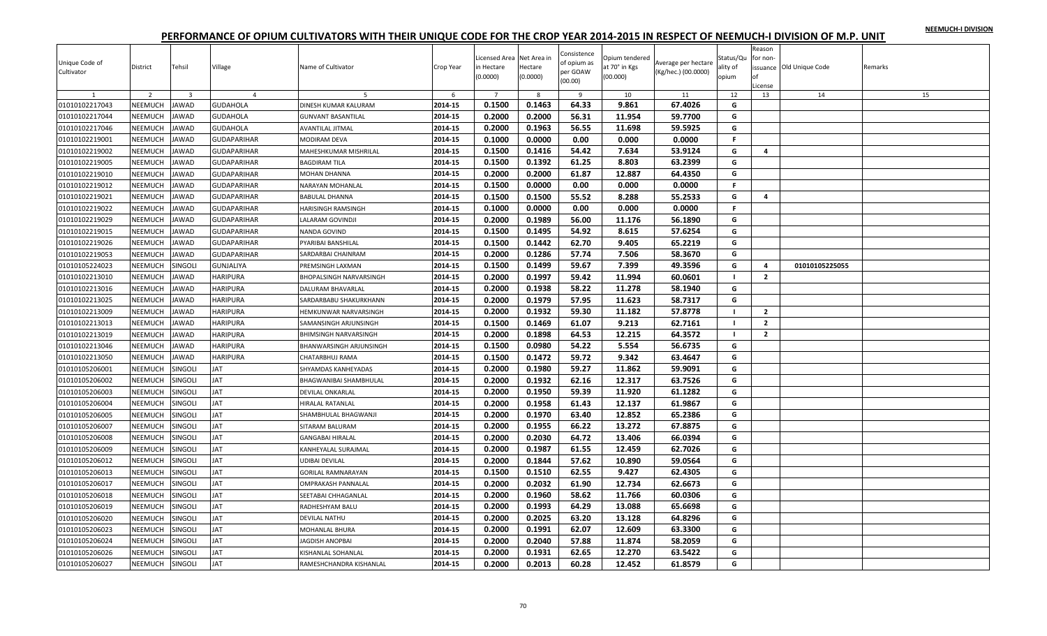|  |  | NEEMUCH-I DIVISION |
|--|--|--------------------|
|  |  |                    |

| Unique Code of<br>Cultivator | District       | Tehsil                  | Village            | Name of Cultivator             | Crop Year | Licensed Area Net Area in<br>in Hectare<br>(0.0000) | Hectare<br>(0.0000) | Consistence<br>of opium as<br>per GOAW<br>(00.00) | Opium tendered<br>at 70° in Kgs<br>(00.000) | Average per hectare<br>(Kg/hec.) (00.0000) | Status/Qu<br>ality of<br>opium | Reason<br>for non-<br>оf<br>License | issuance Old Unique Code | Remarks |
|------------------------------|----------------|-------------------------|--------------------|--------------------------------|-----------|-----------------------------------------------------|---------------------|---------------------------------------------------|---------------------------------------------|--------------------------------------------|--------------------------------|-------------------------------------|--------------------------|---------|
|                              | $\overline{2}$ | $\overline{\mathbf{3}}$ | $\overline{4}$     |                                | -6        | $\overline{7}$                                      | -8                  | $\mathbf{q}$                                      | 10                                          | 11                                         | 12                             | 13                                  | 14                       | 15      |
| 01010102217043               | NEEMUCH        | <b>JAWAD</b>            | <b>GUDAHOLA</b>    | DINESH KUMAR KALURAM           | 2014-15   | 0.1500                                              | 0.1463              | 64.33                                             | 9.861                                       | 67.4026                                    | G                              |                                     |                          |         |
| 01010102217044               | NEEMUCH        | <b>JAWAD</b>            | <b>GUDAHOLA</b>    | <b>GUNVANT BASANTILAL</b>      | 2014-15   | 0.2000                                              | 0.2000              | 56.31                                             | 11.954                                      | 59.7700                                    | G                              |                                     |                          |         |
| 01010102217046               | NEEMUCH        | <b>JAWAD</b>            | <b>GUDAHOLA</b>    | AVANTILAL JITMAL               | 2014-15   | 0.2000                                              | 0.1963              | 56.55                                             | 11.698                                      | 59.5925                                    | G                              |                                     |                          |         |
| 01010102219001               | NEEMUCH        | <b>JAWAD</b>            | <b>GUDAPARIHAR</b> | MODIRAM DEVA                   | 2014-15   | 0.1000                                              | 0.0000              | 0.00                                              | 0.000                                       | 0.0000                                     | F.                             |                                     |                          |         |
| 01010102219002               | NEEMUCH        | <b>JAWAD</b>            | <b>GUDAPARIHAR</b> | MAHESHKUMAR MISHRILAL          | 2014-15   | 0.1500                                              | 0.1416              | 54.42                                             | 7.634                                       | 53.9124                                    | G                              | 4                                   |                          |         |
| 01010102219005               | NEEMUCH        | <b>JAWAD</b>            | <b>GUDAPARIHAR</b> | <b>BAGDIRAM TILA</b>           | 2014-15   | 0.1500                                              | 0.1392              | 61.25                                             | 8.803                                       | 63.2399                                    | G                              |                                     |                          |         |
| 01010102219010               | NEEMUCH        | <b>JAWAD</b>            | <b>GUDAPARIHAR</b> | MOHAN DHANNA                   | 2014-15   | 0.2000                                              | 0.2000              | 61.87                                             | 12.887                                      | 64.4350                                    | G                              |                                     |                          |         |
| 01010102219012               | NEEMUCH        | <b>JAWAD</b>            | <b>GUDAPARIHAR</b> | NARAYAN MOHANLAL               | 2014-15   | 0.1500                                              | 0.0000              | 0.00                                              | 0.000                                       | 0.0000                                     | F.                             |                                     |                          |         |
| 01010102219021               | NEEMUCH        | <b>JAWAD</b>            | <b>GUDAPARIHAR</b> | <b>BABULAL DHANNA</b>          | 2014-15   | 0.1500                                              | 0.1500              | 55.52                                             | 8.288                                       | 55.2533                                    | G                              | 4                                   |                          |         |
| 01010102219022               | NEEMUCH        | <b>JAWAD</b>            | <b>GUDAPARIHAR</b> | HARISINGH RAMSINGH             | 2014-15   | 0.1000                                              | 0.0000              | 0.00                                              | 0.000                                       | 0.0000                                     | F.                             |                                     |                          |         |
| 01010102219029               | NEEMUCH        | <b>JAWAD</b>            | <b>GUDAPARIHAR</b> | LALARAM GOVINDJI               | 2014-15   | 0.2000                                              | 0.1989              | 56.00                                             | 11.176                                      | 56.1890                                    | G                              |                                     |                          |         |
| 01010102219015               | NEEMUCH        | <b>JAWAD</b>            | <b>GUDAPARIHAR</b> | NANDA GOVIND                   | 2014-15   | 0.1500                                              | 0.1495              | 54.92                                             | 8.615                                       | 57.6254                                    | G                              |                                     |                          |         |
| 01010102219026               | NEEMUCH        | <b>JAWAD</b>            | <b>GUDAPARIHAR</b> | PYARIBAI BANSHILAL             | 2014-15   | 0.1500                                              | 0.1442              | 62.70                                             | 9.405                                       | 65.2219                                    | G                              |                                     |                          |         |
| 01010102219053               | NEEMUCH        | <b>JAWAD</b>            | GUDAPARIHAR        | SARDARBAI CHAINRAM             | 2014-15   | 0.2000                                              | 0.1286              | 57.74                                             | 7.506                                       | 58.3670                                    | G                              |                                     |                          |         |
| 01010105224023               | NEEMUCH        | SINGOLI                 | <b>GUNJALIYA</b>   | PREMSINGH LAXMAN               | 2014-15   | 0.1500                                              | 0.1499              | 59.67                                             | 7.399                                       | 49.3596                                    | G                              | 4                                   | 01010105225055           |         |
| 01010102213010               | NEEMUCH        | <b>JAWAD</b>            | HARIPURA           | BHOPALSINGH NARVARSINGH        | 2014-15   | 0.2000                                              | 0.1997              | 59.42                                             | 11.994                                      | 60.0601                                    | $\blacksquare$                 | $\mathbf{2}$                        |                          |         |
| 01010102213016               | NEEMUCH        | <b>JAWAD</b>            | <b>HARIPURA</b>    | DALURAM BHAVARLAL              | 2014-15   | 0.2000                                              | 0.1938              | 58.22                                             | 11.278                                      | 58.1940                                    | G                              |                                     |                          |         |
| 01010102213025               | NEEMUCH        | <b>JAWAD</b>            | HARIPURA           | SARDARBABU SHAKURKHANN         | 2014-15   | 0.2000                                              | 0.1979              | 57.95                                             | 11.623                                      | 58.7317                                    | G                              |                                     |                          |         |
| 01010102213009               | NEEMUCH        | <b>JAWAD</b>            | HARIPURA           | HEMKUNWAR NARVARSINGH          | 2014-15   | 0.2000                                              | 0.1932              | 59.30                                             | 11.182                                      | 57.8778                                    | $\blacksquare$                 | $\overline{2}$                      |                          |         |
| 01010102213013               | NEEMUCH        | <b>JAWAD</b>            | HARIPURA           | SAMANSINGH ARJUNSINGH          | 2014-15   | 0.1500                                              | 0.1469              | 61.07                                             | 9.213                                       | 62.7161                                    | $\blacksquare$                 | $\overline{2}$                      |                          |         |
| 01010102213019               | NEEMUCH        | <b>JAWAD</b>            | HARIPURA           | BHIMSINGH NARVARSINGH          | 2014-15   | 0.2000                                              | 0.1898              | 64.53                                             | 12.215                                      | 64.3572                                    | $\blacksquare$                 | $\overline{2}$                      |                          |         |
| 01010102213046               | NEEMUCH        | <b>JAWAD</b>            | HARIPURA           | <b>BHANWARSINGH ARJUNSINGH</b> | 2014-15   | 0.1500                                              | 0.0980              | 54.22                                             | 5.554                                       | 56.6735                                    | G                              |                                     |                          |         |
| 01010102213050               | NEEMUCH        | <b>JAWAD</b>            | HARIPURA           | CHATARBHUJ RAMA                | 2014-15   | 0.1500                                              | 0.1472              | 59.72                                             | 9.342                                       | 63.4647                                    | G                              |                                     |                          |         |
| 01010105206001               | NEEMUCH        | SINGOLI                 | JAT                | SHYAMDAS KANHEYADAS            | 2014-15   | 0.2000                                              | 0.1980              | 59.27                                             | 11.862                                      | 59.9091                                    | G                              |                                     |                          |         |
| 01010105206002               | NEEMUCH        | SINGOLI                 | <b>AT</b>          | BHAGWANIBAI SHAMBHULAL         | 2014-15   | 0.2000                                              | 0.1932              | 62.16                                             | 12.317                                      | 63.7526                                    | G                              |                                     |                          |         |
| 01010105206003               | NEEMUCH        | SINGOLI                 | <b>TAI</b>         | DEVILAL ONKARLAL               | 2014-15   | 0.2000                                              | 0.1950              | 59.39                                             | 11.920                                      | 61.1282                                    | G                              |                                     |                          |         |
| 01010105206004               | NEEMUCH        | SINGOLI                 | <b>AT</b>          | HIRALAL RATANLAL               | 2014-15   | 0.2000                                              | 0.1958              | 61.43                                             | 12.137                                      | 61.9867                                    | G                              |                                     |                          |         |
| 01010105206005               | NEEMUCH        | SINGOLI                 | AT                 | SHAMBHULAL BHAGWANJI           | 2014-15   | 0.2000                                              | 0.1970              | 63.40                                             | 12.852                                      | 65.2386                                    | G                              |                                     |                          |         |
| 01010105206007               | NEEMUCH        | SINGOLI                 | JAT                | SITARAM BALURAM                | 2014-15   | 0.2000                                              | 0.1955              | 66.22                                             | 13.272                                      | 67.8875                                    | G                              |                                     |                          |         |
| 01010105206008               | NEEMUCH        | SINGOLI                 | <b>AT</b>          | <b>GANGABAI HIRALAL</b>        | 2014-15   | 0.2000                                              | 0.2030              | 64.72                                             | 13.406                                      | 66.0394                                    | G                              |                                     |                          |         |
| 01010105206009               | NEEMUCH        | SINGOLI                 | <b>AT</b>          | KANHEYALAL SURAJMAL            | 2014-15   | 0.2000                                              | 0.1987              | 61.55                                             | 12.459                                      | 62.7026                                    | G                              |                                     |                          |         |
| 01010105206012               | NEEMUCH        | SINGOLI                 | IAT                | UDIBAI DEVILAL                 | 2014-15   | 0.2000                                              | 0.1844              | 57.62                                             | 10.890                                      | 59.0564                                    | G                              |                                     |                          |         |
| 01010105206013               | NEEMUCH        | SINGOLI                 | <b>AT</b>          | <b>GORILAL RAMNARAYAN</b>      | 2014-15   | 0.1500                                              | 0.1510              | 62.55                                             | 9.427                                       | 62.4305                                    | G                              |                                     |                          |         |
| 01010105206017               | NEEMUCH        | SINGOLI                 | <b>AT</b>          | <b>OMPRAKASH PANNALAL</b>      | 2014-15   | 0.2000                                              | 0.2032              | 61.90                                             | 12.734                                      | 62.6673                                    | G                              |                                     |                          |         |
| 01010105206018               | <b>NEEMUCH</b> | SINGOLI                 | <b>AT</b>          | SEETABAI CHHAGANLAL            | 2014-15   | 0.2000                                              | 0.1960              | 58.62                                             | 11.766                                      | 60.0306                                    | G                              |                                     |                          |         |
| 01010105206019               | NEEMUCH        | SINGOLI                 | IAT                | RADHESHYAM BALU                | 2014-15   | 0.2000                                              | 0.1993              | 64.29                                             | 13.088                                      | 65.6698                                    | G                              |                                     |                          |         |
| 01010105206020               | NEEMUCH        | SINGOLI                 | <b>AT</b>          | <b>DEVILAL NATHU</b>           | 2014-15   | 0.2000                                              | 0.2025              | 63.20                                             | 13.128                                      | 64.8296                                    | G                              |                                     |                          |         |
| 01010105206023               | NEEMUCH        | SINGOLI                 | <b>AT</b>          | MOHANLAL BHURA                 | 2014-15   | 0.2000                                              | 0.1991              | 62.07                                             | 12.609                                      | 63.3300                                    | G                              |                                     |                          |         |
| 01010105206024               | NEEMUCH        | SINGOLI                 | AT                 | <b>IAGDISH ANOPBAI</b>         | 2014-15   | 0.2000                                              | 0.2040              | 57.88                                             | 11.874                                      | 58.2059                                    | G                              |                                     |                          |         |
| 01010105206026               | NEEMUCH        | SINGOLI                 | <b>AT</b>          | KISHANLAL SOHANLAL             | 2014-15   | 0.2000                                              | 0.1931              | 62.65                                             | 12.270                                      | 63.5422                                    | G                              |                                     |                          |         |
| 01010105206027               | NEEMUCH        | SINGOLI                 | <b>JAT</b>         | RAMESHCHANDRA KISHANLAL        | 2014-15   | 0.2000                                              | 0.2013              | 60.28                                             | 12.452                                      | 61.8579                                    | G                              |                                     |                          |         |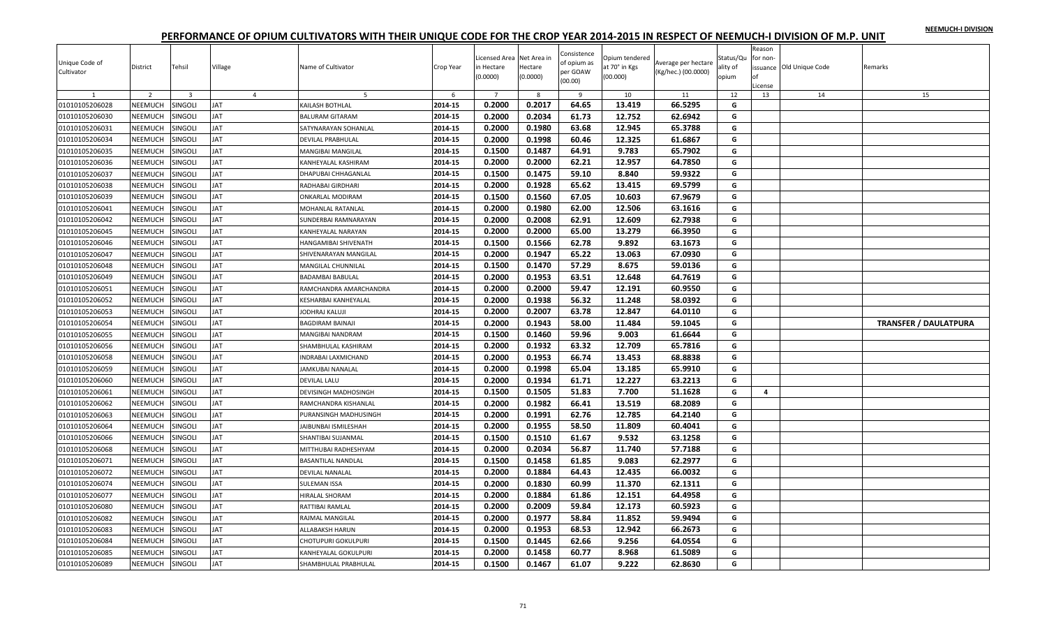|  |  | NEEMUCH-I DIVISION |
|--|--|--------------------|
|  |  |                    |

| Unique Code of<br>Cultivator | District       | Tehsil                  | Village        | Name of Cultivator          | Crop Year | Licensed Area Net Area in<br>in Hectare<br>(0.0000) | Hectare<br>(0.0000) | Consistence<br>of opium as<br>per GOAW<br>(00.00) | Opium tendered<br>at 70° in Kgs<br>(00.000) | Average per hectare<br>(Kg/hec.) (00.0000) | Status/Qu<br>ality of<br>opium | Reason<br>for non-<br>nf<br>.icense | issuance Old Unique Code | Remarks                      |
|------------------------------|----------------|-------------------------|----------------|-----------------------------|-----------|-----------------------------------------------------|---------------------|---------------------------------------------------|---------------------------------------------|--------------------------------------------|--------------------------------|-------------------------------------|--------------------------|------------------------------|
| 1                            | $\overline{2}$ | $\overline{\mathbf{3}}$ | $\overline{4}$ | 5                           | 6         | $\overline{7}$                                      | 8                   | 9                                                 | 10                                          | 11                                         | 12                             | 13                                  | 14                       | 15                           |
| 01010105206028               | NEEMUCH        | SINGOLI                 | <b>JAT</b>     | KAILASH BOTHLAL             | 2014-15   | 0.2000                                              | 0.2017              | 64.65                                             | 13.419                                      | 66.5295                                    | G                              |                                     |                          |                              |
| 01010105206030               | NEEMUCH        | SINGOLI                 | <b>JAT</b>     | <b>BALURAM GITARAM</b>      | 2014-15   | 0.2000                                              | 0.2034              | 61.73                                             | 12.752                                      | 62.6942                                    | G                              |                                     |                          |                              |
| 01010105206031               | NEEMUCH        | SINGOLI                 | <b>JAT</b>     | SATYNARAYAN SOHANLAL        | 2014-15   | 0.2000                                              | 0.1980              | 63.68                                             | 12.945                                      | 65.3788                                    | G                              |                                     |                          |                              |
| 01010105206034               | NEEMUCH        | SINGOLI                 | <b>JAT</b>     | DEVILAL PRABHULAL           | 2014-15   | 0.2000                                              | 0.1998              | 60.46                                             | 12.325                                      | 61.6867                                    | G                              |                                     |                          |                              |
| 01010105206035               | NEEMUCH        | SINGOLI                 | <b>JAT</b>     | MANGIBAI MANGILAL           | 2014-15   | 0.1500                                              | 0.1487              | 64.91                                             | 9.783                                       | 65.7902                                    | G                              |                                     |                          |                              |
| 01010105206036               | NEEMUCH        | <b>SINGOLI</b>          | <b>TAL</b>     | KANHEYALAL KASHIRAM         | 2014-15   | 0.2000                                              | 0.2000              | 62.21                                             | 12.957                                      | 64.7850                                    | G                              |                                     |                          |                              |
| 01010105206037               | NEEMUCH        | SINGOLI                 | JAT            | DHAPUBAI CHHAGANLAL         | 2014-15   | 0.1500                                              | 0.1475              | 59.10                                             | 8.840                                       | 59.9322                                    | G                              |                                     |                          |                              |
| 01010105206038               | NEEMUCH        | singoli                 | JAT            | RADHABAI GIRDHARI           | 2014-15   | 0.2000                                              | 0.1928              | 65.62                                             | 13.415                                      | 69.5799                                    | G                              |                                     |                          |                              |
| 01010105206039               | NEEMUCH        | SINGOLI                 | <b>JAT</b>     | ONKARLAL MODIRAM            | 2014-15   | 0.1500                                              | 0.1560              | 67.05                                             | 10.603                                      | 67.9679                                    | G                              |                                     |                          |                              |
| 01010105206041               | NEEMUCH        | SINGOLI                 | <b>JAT</b>     | MOHANLAL RATANLAL           | 2014-15   | 0.2000                                              | 0.1980              | 62.00                                             | 12.506                                      | 63.1616                                    | G                              |                                     |                          |                              |
| 01010105206042               | NEEMUCH        | <b>SINGOLI</b>          | <b>JAT</b>     | SUNDERBAI RAMNARAYAN        | 2014-15   | 0.2000                                              | 0.2008              | 62.91                                             | 12.609                                      | 62.7938                                    | G                              |                                     |                          |                              |
| 01010105206045               | NEEMUCH        | SINGOLI                 | <b>JAT</b>     | KANHEYALAL NARAYAN          | 2014-15   | 0.2000                                              | 0.2000              | 65.00                                             | 13.279                                      | 66.3950                                    | G                              |                                     |                          |                              |
| 01010105206046               | NEEMUCH        | SINGOLI                 | JAT            | HANGAMIBAI SHIVENATH        | 2014-15   | 0.1500                                              | 0.1566              | 62.78                                             | 9.892                                       | 63.1673                                    | G                              |                                     |                          |                              |
| 01010105206047               | NEEMUCH        | <b>SINGOLI</b>          | JAT            | SHIVENARAYAN MANGILAL       | 2014-15   | 0.2000                                              | 0.1947              | 65.22                                             | 13.063                                      | 67.0930                                    | G                              |                                     |                          |                              |
| 01010105206048               | NEEMUCH        | SINGOLI                 | <b>JAT</b>     | MANGILAL CHUNNILAL          | 2014-15   | 0.1500                                              | 0.1470              | 57.29                                             | 8.675                                       | 59.0136                                    | G                              |                                     |                          |                              |
| 01010105206049               | NEEMUCH        | <b>SINGOLI</b>          | JAT            | <b>BADAMBAI BABULAL</b>     | 2014-15   | 0.2000                                              | 0.1953              | 63.51                                             | 12.648                                      | 64.7619                                    | G                              |                                     |                          |                              |
| 01010105206051               | NEEMUCH        | <b>SINGOLI</b>          | <b>JAT</b>     | RAMCHANDRA AMARCHANDRA      | 2014-15   | 0.2000                                              | 0.2000              | 59.47                                             | 12.191                                      | 60.9550                                    | G                              |                                     |                          |                              |
| 01010105206052               | NEEMUCH        | SINGOLI                 | <b>JAT</b>     | KESHARBAI KANHEYALAL        | 2014-15   | 0.2000                                              | 0.1938              | 56.32                                             | 11.248                                      | 58.0392                                    | G                              |                                     |                          |                              |
| 01010105206053               | NEEMUCH        | SINGOLI                 | <b>JAT</b>     | JODHRAJ KALUJI              | 2014-15   | 0.2000                                              | 0.2007              | 63.78                                             | 12.847                                      | 64.0110                                    | G                              |                                     |                          |                              |
| 01010105206054               | NEEMUCH        | SINGOLI                 | <b>JAT</b>     | BAGDIRAM BAINAJI            | 2014-15   | 0.2000                                              | 0.1943              | 58.00                                             | 11.484                                      | 59.1045                                    | G                              |                                     |                          | <b>TRANSFER / DAULATPURA</b> |
| 01010105206055               | NEEMUCH        | SINGOLI                 | <b>JAT</b>     | MANGIBAI NANDRAM            | 2014-15   | 0.1500                                              | 0.1460              | 59.96                                             | 9.003                                       | 61.6644                                    | G                              |                                     |                          |                              |
| 01010105206056               | NEEMUCH        | <b>SINGOLI</b>          | <b>JAT</b>     | SHAMBHULAL KASHIRAM         | 2014-15   | 0.2000                                              | 0.1932              | 63.32                                             | 12.709                                      | 65.7816                                    | G                              |                                     |                          |                              |
| 01010105206058               | NEEMUCH        | SINGOLI                 | <b>JAT</b>     | <b>INDRABAI LAXMICHAND</b>  | 2014-15   | 0.2000                                              | 0.1953              | 66.74                                             | 13.453                                      | 68.8838                                    | G                              |                                     |                          |                              |
| 01010105206059               | NEEMUCH        | <b>SINGOLI</b>          | JAT            | JAMKUBAI NANALAL            | 2014-15   | 0.2000                                              | 0.1998              | 65.04                                             | 13.185                                      | 65.9910                                    | G                              |                                     |                          |                              |
| 01010105206060               | NEEMUCH        | <b>SINGOLI</b>          | JAT            | <b>DEVILAL LALU</b>         | 2014-15   | 0.2000                                              | 0.1934              | 61.71                                             | 12.227                                      | 63.2213                                    | G                              |                                     |                          |                              |
| 01010105206061               | NEEMUCH        | <b>SINGOLI</b>          | <b>JAT</b>     | DEVISINGH MADHOSINGH        | 2014-15   | 0.1500                                              | 0.1505              | 51.83                                             | 7.700                                       | 51.1628                                    | G                              | $\overline{4}$                      |                          |                              |
| 01010105206062               | NEEMUCH        | SINGOLI                 | JAT            | RAMCHANDRA KISHANLAL        | 2014-15   | 0.2000                                              | 0.1982              | 66.41                                             | 13.519                                      | 68.2089                                    | G                              |                                     |                          |                              |
| 01010105206063               | NEEMUCH        | SINGOLI                 | <b>JAT</b>     | <b>URANSINGH MADHUSINGH</b> | 2014-15   | 0.2000                                              | 0.1991              | 62.76                                             | 12.785                                      | 64.2140                                    | G                              |                                     |                          |                              |
| 01010105206064               | NEEMUCH        | SINGOLI                 | JAT            | JAIBUNBAI ISMILESHAH        | 2014-15   | 0.2000                                              | 0.1955              | 58.50                                             | 11.809                                      | 60.4041                                    | G                              |                                     |                          |                              |
| 01010105206066               | NEEMUCH        | SINGOLI                 | <b>JAT</b>     | SHANTIBAI SUJANMAL          | 2014-15   | 0.1500                                              | 0.1510              | 61.67                                             | 9.532                                       | 63.1258                                    | G                              |                                     |                          |                              |
| 01010105206068               | NEEMUCH        | <b>SINGOLI</b>          | <b>JAT</b>     | MITTHUBAI RADHESHYAM        | 2014-15   | 0.2000                                              | 0.2034              | 56.87                                             | 11.740                                      | 57.7188                                    | G                              |                                     |                          |                              |
| 01010105206071               | NEEMUCH        | SINGOLI                 | <b>JAT</b>     | BASANTILAL NANDLAL          | 2014-15   | 0.1500                                              | 0.1458              | 61.85                                             | 9.083                                       | 62.2977                                    | G                              |                                     |                          |                              |
| 01010105206072               | NEEMUCH        | <b>SINGOLI</b>          | JAT            | DEVILAL NANALAL             | 2014-15   | 0.2000                                              | 0.1884              | 64.43                                             | 12.435                                      | 66.0032                                    | G                              |                                     |                          |                              |
| 01010105206074               | NEEMUCH        | SINGOLI                 | <b>JAT</b>     | <b>SULEMAN ISSA</b>         | 2014-15   | 0.2000                                              | 0.1830              | 60.99                                             | 11.370                                      | 62.1311                                    | G                              |                                     |                          |                              |
| 01010105206077               | NEEMUCH        | SINGOLI                 | <b>JAT</b>     | <b>HIRALAL SHORAM</b>       | 2014-15   | 0.2000                                              | 0.1884              | 61.86                                             | 12.151                                      | 64.4958                                    | G                              |                                     |                          |                              |
| 01010105206080               | NEEMUCH        | singoli                 | <b>JAT</b>     | RATTIBAI RAMLAL             | 2014-15   | 0.2000                                              | 0.2009              | 59.84                                             | 12.173                                      | 60.5923                                    | G                              |                                     |                          |                              |
| 01010105206082               | NEEMUCH        | SINGOLI                 | <b>JAT</b>     | RAJMAL MANGILAL             | 2014-15   | 0.2000                                              | 0.1977              | 58.84                                             | 11.852                                      | 59.9494                                    | G                              |                                     |                          |                              |
| 01010105206083               | NEEMUCH        | SINGOLI                 | <b>JAT</b>     | ALLABAKSH HARUN             | 2014-15   | 0.2000                                              | 0.1953              | 68.53                                             | 12.942                                      | 66.2673                                    | G                              |                                     |                          |                              |
| 01010105206084               | <b>NEEMUCH</b> | SINGOLI                 | <b>TAL</b>     | CHOTUPURI GOKULPURI         | 2014-15   | 0.1500                                              | 0.1445              | 62.66                                             | 9.256                                       | 64.0554                                    | G                              |                                     |                          |                              |
| 01010105206085               | NEEMUCH        | <b>SINGOLI</b>          | JAT            | KANHEYALAL GOKULPURI        | 2014-15   | 0.2000                                              | 0.1458              | 60.77                                             | 8.968                                       | 61.5089                                    | G                              |                                     |                          |                              |
| 01010105206089               | NEEMUCH        | SINGOLI                 | <b>JAT</b>     | SHAMBHULAL PRABHULAL        | 2014-15   | 0.1500                                              | 0.1467              | 61.07                                             | 9.222                                       | 62.8630                                    | G                              |                                     |                          |                              |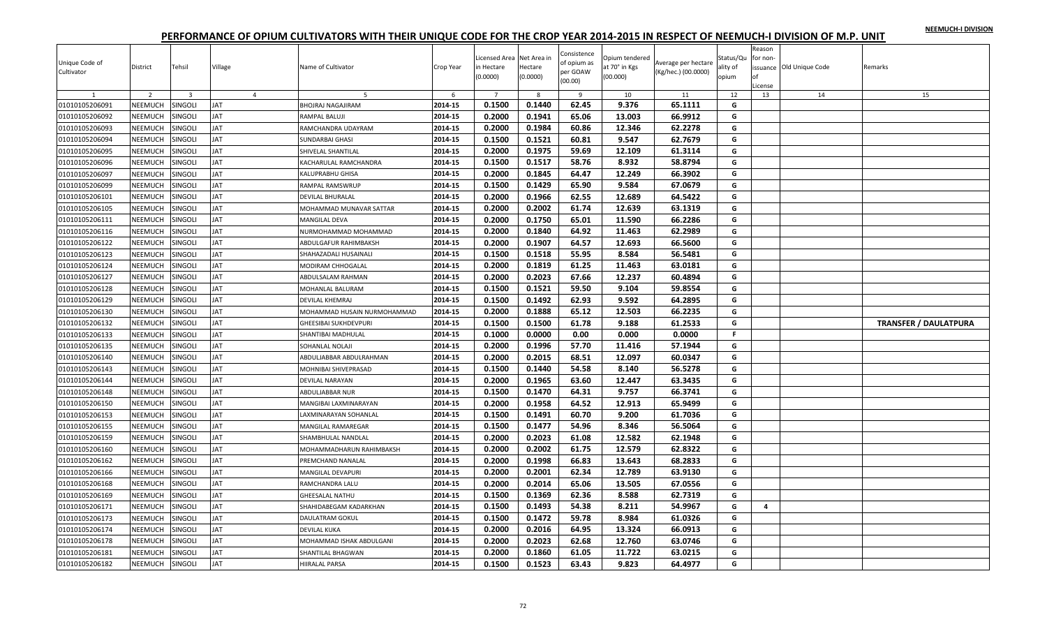|  |  | NEEMUCH-I DIVISION |
|--|--|--------------------|
|  |  |                    |

| Unique Code of<br>Cultivator | District       | Tehsil                  | Village        | Name of Cultivator          | Crop Year | Licensed Area Net Area in<br>in Hectare<br>(0.0000) | Hectare<br>(0.0000) | Consistence<br>of opium as<br>per GOAW<br>(00.00) | Opium tendered<br>at 70° in Kgs<br>(00.000) | Average per hectare<br>(Kg/hec.) (00.0000) | Status/Qu<br>ality of<br>opium | Reason<br>for non-<br>of<br>.icense | ssuance Old Unique Code | Remarks                      |
|------------------------------|----------------|-------------------------|----------------|-----------------------------|-----------|-----------------------------------------------------|---------------------|---------------------------------------------------|---------------------------------------------|--------------------------------------------|--------------------------------|-------------------------------------|-------------------------|------------------------------|
| 1                            | 2              | $\overline{\mathbf{3}}$ | $\overline{4}$ | 5                           | 6         | $\overline{7}$                                      | 8                   | 9                                                 | 10                                          | 11                                         | 12                             | 13                                  | 14                      | 15                           |
| 01010105206091               | NEEMUCH        | SINGOLI                 | <b>JAT</b>     | <b>BHOJRAJ NAGAJIRAM</b>    | 2014-15   | 0.1500                                              | 0.1440              | 62.45                                             | 9.376                                       | 65.1111                                    | G                              |                                     |                         |                              |
| 01010105206092               | NEEMUCH        | SINGOLI                 | <b>JAT</b>     | RAMPAL BALUJI               | 2014-15   | 0.2000                                              | 0.1941              | 65.06                                             | 13.003                                      | 66.9912                                    | G                              |                                     |                         |                              |
| 01010105206093               | NEEMUCH        | SINGOLI                 | <b>JAT</b>     | RAMCHANDRA UDAYRAM          | 2014-15   | 0.2000                                              | 0.1984              | 60.86                                             | 12.346                                      | 62.2278                                    | G                              |                                     |                         |                              |
| 01010105206094               | NEEMUCH        | SINGOLI                 | <b>JAT</b>     | SUNDARBAI GHASI             | 2014-15   | 0.1500                                              | 0.1521              | 60.81                                             | 9.547                                       | 62.7679                                    | G                              |                                     |                         |                              |
| 01010105206095               | NEEMUCH        | SINGOLI                 | <b>JAT</b>     | SHIVELAL SHANTILAL          | 2014-15   | 0.2000                                              | 0.1975              | 59.69                                             | 12.109                                      | 61.3114                                    | G                              |                                     |                         |                              |
| 01010105206096               | NEEMUCH        | <b>SINGOLI</b>          | <b>TAL</b>     | KACHARULAL RAMCHANDRA       | 2014-15   | 0.1500                                              | 0.1517              | 58.76                                             | 8.932                                       | 58.8794                                    | G                              |                                     |                         |                              |
| 01010105206097               | NEEMUCH        | SINGOLI                 | JAT            | KALUPRABHU GHISA            | 2014-15   | 0.2000                                              | 0.1845              | 64.47                                             | 12.249                                      | 66.3902                                    | G                              |                                     |                         |                              |
| 01010105206099               | NEEMUCH        | SINGOLI                 | <b>JAT</b>     | RAMPAL RAMSWRUP             | 2014-15   | 0.1500                                              | 0.1429              | 65.90                                             | 9.584                                       | 67.0679                                    | G                              |                                     |                         |                              |
| 01010105206101               | NEEMUCH        | SINGOLI                 | <b>JAT</b>     | DEVILAL BHURALAL            | 2014-15   | 0.2000                                              | 0.1966              | 62.55                                             | 12.689                                      | 64.5422                                    | G                              |                                     |                         |                              |
| 01010105206105               | NEEMUCH        | SINGOLI                 | <b>TAL</b>     | MOHAMMAD MUNAVAR SATTAR     | 2014-15   | 0.2000                                              | 0.2002              | 61.74                                             | 12.639                                      | 63.1319                                    | G                              |                                     |                         |                              |
| 01010105206111               | NEEMUCH        | <b>SINGOLI</b>          | JAT            | <b>MANGILAL DEVA</b>        | 2014-15   | 0.2000                                              | 0.1750              | 65.01                                             | 11.590                                      | 66.2286                                    | G                              |                                     |                         |                              |
| 01010105206116               | NEEMUCH        | SINGOLI                 | <b>JAT</b>     | NURMOHAMMAD MOHAMMAD        | 2014-15   | 0.2000                                              | 0.1840              | 64.92                                             | 11.463                                      | 62.2989                                    | G                              |                                     |                         |                              |
| 01010105206122               | NEEMUCH        | SINGOLI                 | <b>JAT</b>     | ABDULGAFUR RAHIMBAKSH       | 2014-15   | 0.2000                                              | 0.1907              | 64.57                                             | 12.693                                      | 66.5600                                    | G                              |                                     |                         |                              |
| 01010105206123               | NEEMUCH        | SINGOLI                 | <b>TAL</b>     | SHAHAZADALI HUSAINALI       | 2014-15   | 0.1500                                              | 0.1518              | 55.95                                             | 8.584                                       | 56.5481                                    | G                              |                                     |                         |                              |
| 01010105206124               | NEEMUCH        | SINGOLI                 | JAT            | MODIRAM CHHOGALAL           | 2014-15   | 0.2000                                              | 0.1819              | 61.25                                             | 11.463                                      | 63.0181                                    | G                              |                                     |                         |                              |
| 01010105206127               | NEEMUCH        | <b>SINGOLI</b>          | <b>JAT</b>     | ABDULSALAM RAHMAN           | 2014-15   | 0.2000                                              | 0.2023              | 67.66                                             | 12.237                                      | 60.4894                                    | G                              |                                     |                         |                              |
| 01010105206128               | <b>NEEMUCH</b> | SINGOLI                 | <b>JAT</b>     | MOHANLAL BALURAM            | 2014-15   | 0.1500                                              | 0.1521              | 59.50                                             | 9.104                                       | 59.8554                                    | G                              |                                     |                         |                              |
| 01010105206129               | NEEMUCH        | SINGOLI                 | JAT            | DEVILAL KHEMRAJ             | 2014-15   | 0.1500                                              | 0.1492              | 62.93                                             | 9.592                                       | 64.2895                                    | G                              |                                     |                         |                              |
| 01010105206130               | NEEMUCH        | <b>SINGOLI</b>          | <b>JAT</b>     | MOHAMMAD HUSAIN NURMOHAMMAD | 2014-15   | 0.2000                                              | 0.1888              | 65.12                                             | 12.503                                      | 66.2235                                    | G                              |                                     |                         |                              |
| 01010105206132               | <b>NEEMUCH</b> | SINGOLI                 | <b>JAT</b>     | GHEESIBAI SUKHDEVPURI       | 2014-15   | 0.1500                                              | 0.1500              | 61.78                                             | 9.188                                       | 61.2533                                    | G                              |                                     |                         | <b>TRANSFER / DAULATPURA</b> |
| 01010105206133               | NEEMUCH        | SINGOLI                 | <b>JAT</b>     | SHANTIBAI MADHULAL          | 2014-15   | 0.1000                                              | 0.0000              | 0.00                                              | 0.000                                       | 0.0000                                     | F.                             |                                     |                         |                              |
| 01010105206135               | NEEMUCH        | SINGOLI                 | JAT            | SOHANLAL NOLAJI             | 2014-15   | 0.2000                                              | 0.1996              | 57.70                                             | 11.416                                      | 57.1944                                    | G                              |                                     |                         |                              |
| 01010105206140               | NEEMUCH        | SINGOLI                 | <b>JAT</b>     | ABDULJABBAR ABDULRAHMAN     | 2014-15   | 0.2000                                              | 0.2015              | 68.51                                             | 12.097                                      | 60.0347                                    | G                              |                                     |                         |                              |
| 01010105206143               | NEEMUCH        | SINGOLI                 | <b>JAT</b>     | MOHNIBAI SHIVEPRASAD        | 2014-15   | 0.1500                                              | 0.1440              | 54.58                                             | 8.140                                       | 56.5278                                    | G                              |                                     |                         |                              |
| 01010105206144               | NEEMUCH        | SINGOLI                 | <b>JAT</b>     | DEVILAL NARAYAN             | 2014-15   | 0.2000                                              | 0.1965              | 63.60                                             | 12.447                                      | 63.3435                                    | G                              |                                     |                         |                              |
| 01010105206148               | NEEMUCH        | <b>SINGOLI</b>          | <b>JAT</b>     | ABDULJABBAR NUR             | 2014-15   | 0.1500                                              | 0.1470              | 64.31                                             | 9.757                                       | 66.3741                                    | G                              |                                     |                         |                              |
| 01010105206150               | NEEMUCH        | SINGOLI                 | <b>JAT</b>     | MANGIBAI LAXMINARAYAN       | 2014-15   | 0.2000                                              | 0.1958              | 64.52                                             | 12.913                                      | 65.9499                                    | G                              |                                     |                         |                              |
| 01010105206153               | NEEMUCH        | <b>SINGOLI</b>          | <b>TAL</b>     | AXMINARAYAN SOHANLAL        | 2014-15   | 0.1500                                              | 0.1491              | 60.70                                             | 9.200                                       | 61.7036                                    | G                              |                                     |                         |                              |
| 01010105206155               | NEEMUCH        | SINGOLI                 | JAT            | MANGILAL RAMAREGAR          | 2014-15   | 0.1500                                              | 0.1477              | 54.96                                             | 8.346                                       | 56.5064                                    | G                              |                                     |                         |                              |
| 01010105206159               | NEEMUCH        | SINGOLI                 | <b>JAT</b>     | SHAMBHULAL NANDLAL          | 2014-15   | 0.2000                                              | 0.2023              | 61.08                                             | 12.582                                      | 62.1948                                    | G                              |                                     |                         |                              |
| 01010105206160               | NEEMUCH        | SINGOLI                 | <b>JAT</b>     | MOHAMMADHARUN RAHIMBAKSH    | 2014-15   | 0.2000                                              | 0.2002              | 61.75                                             | 12.579                                      | 62.8322                                    | G                              |                                     |                         |                              |
| 01010105206162               | NEEMUCH        | <b>SINGOLI</b>          | <b>TAL</b>     | PREMCHAND NANALAL           | 2014-15   | 0.2000                                              | 0.1998              | 66.83                                             | 13.643                                      | 68.2833                                    | G                              |                                     |                         |                              |
| 01010105206166               | NEEMUCH        | <b>SINGOLI</b>          | JAT            | MANGILAL DEVAPURI           | 2014-15   | 0.2000                                              | 0.2001              | 62.34                                             | 12.789                                      | 63.9130                                    | G                              |                                     |                         |                              |
| 01010105206168               | NEEMUCH        | SINGOLI                 | <b>JAT</b>     | RAMCHANDRA LALU             | 2014-15   | 0.2000                                              | 0.2014              | 65.06                                             | 13.505                                      | 67.0556                                    | G                              |                                     |                         |                              |
| 01010105206169               | NEEMUCH        | SINGOLI                 | <b>JAT</b>     | <b>GHEESALAL NATHU</b>      | 2014-15   | 0.1500                                              | 0.1369              | 62.36                                             | 8.588                                       | 62.7319                                    | G                              |                                     |                         |                              |
| 01010105206171               | NEEMUCH        | <b>SINGOLI</b>          | <b>TAL</b>     | SHAHIDABEGAM KADARKHAN      | 2014-15   | 0.1500                                              | 0.1493              | 54.38                                             | 8.211                                       | 54.9967                                    | G                              | $\overline{\mathbf{a}}$             |                         |                              |
| 01010105206173               | NEEMUCH        | <b>SINGOLI</b>          | JAT            | DAULATRAM GOKUL             | 2014-15   | 0.1500                                              | 0.1472              | 59.78                                             | 8.984                                       | 61.0326                                    | G                              |                                     |                         |                              |
| 01010105206174               | NEEMUCH        | SINGOLI                 | JAT            | DEVILAL KUKA                | 2014-15   | 0.2000                                              | 0.2016              | 64.95                                             | 13.324                                      | 66.0913                                    | G                              |                                     |                         |                              |
| 01010105206178               | NEEMUCH        | <b>SINGOLI</b>          | <b>TAL</b>     | MOHAMMAD ISHAK ABDULGANI    | 2014-15   | 0.2000                                              | 0.2023              | 62.68                                             | 12.760                                      | 63.0746                                    | G                              |                                     |                         |                              |
| 01010105206181               | NEEMUCH        | Singoli                 | JAT            | SHANTILAL BHAGWAN           | 2014-15   | 0.2000                                              | 0.1860              | 61.05                                             | 11.722                                      | 63.0215                                    | G                              |                                     |                         |                              |
| 01010105206182               | <b>NEEMUCH</b> | SINGOLI                 | <b>JAT</b>     | <b>HIIRALAL PARSA</b>       | 2014-15   | 0.1500                                              | 0.1523              | 63.43                                             | 9.823                                       | 64.4977                                    | G                              |                                     |                         |                              |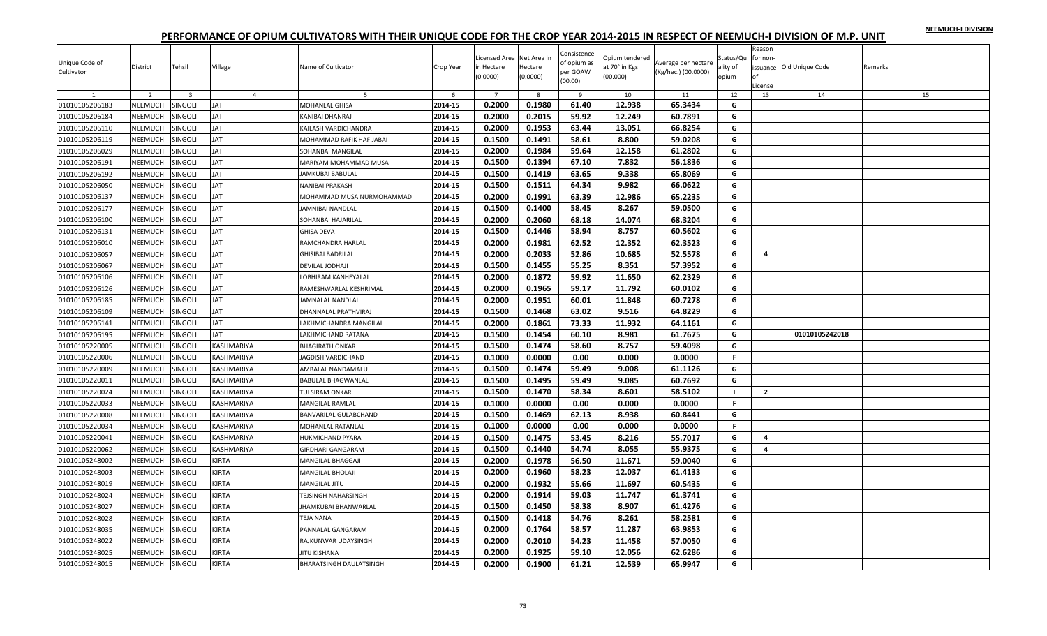|  |  | NEEMUCH-I DIVISION |
|--|--|--------------------|
|  |  |                    |

| Unique Code of<br>Cultivator | District       | Tehsil                  | Village        | Name of Cultivator        | Crop Year | Licensed Area Net Area in<br>in Hectare<br>(0.0000) | Hectare<br>(0.0000) | Consistence<br>of opium as<br>per GOAW<br>(00.00) | Opium tendered<br>at 70° in Kgs<br>(00.000) | Average per hectare<br>(Kg/hec.) (00.0000) | Status/Qu<br>ality of<br>opium | Reason<br>for non-<br>nf<br>.icense | issuance Old Unique Code | Remarks |
|------------------------------|----------------|-------------------------|----------------|---------------------------|-----------|-----------------------------------------------------|---------------------|---------------------------------------------------|---------------------------------------------|--------------------------------------------|--------------------------------|-------------------------------------|--------------------------|---------|
| 1                            | $\overline{2}$ | $\overline{\mathbf{3}}$ | $\overline{4}$ | 5                         | 6         | $\overline{7}$                                      | 8                   | 9                                                 | 10                                          | 11                                         | 12                             | 13                                  | 14                       | 15      |
| 01010105206183               | NEEMUCH        | SINGOLI                 | <b>JAT</b>     | MOHANLAL GHISA            | 2014-15   | 0.2000                                              | 0.1980              | 61.40                                             | 12.938                                      | 65.3434                                    | G                              |                                     |                          |         |
| 01010105206184               | NEEMUCH        | SINGOLI                 | <b>JAT</b>     | KANIBAI DHANRAJ           | 2014-15   | 0.2000                                              | 0.2015              | 59.92                                             | 12.249                                      | 60.7891                                    | G                              |                                     |                          |         |
| 01010105206110               | NEEMUCH        | SINGOLI                 | <b>JAT</b>     | KAILASH VARDICHANDRA      | 2014-15   | 0.2000                                              | 0.1953              | 63.44                                             | 13.051                                      | 66.8254                                    | G                              |                                     |                          |         |
| 01010105206119               | <b>NEEMUCH</b> | SINGOLI                 | <b>JAT</b>     | MOHAMMAD RAFIK HAFIJABAI  | 2014-15   | 0.1500                                              | 0.1491              | 58.61                                             | 8.800                                       | 59.0208                                    | G                              |                                     |                          |         |
| 01010105206029               | NEEMUCH        | SINGOLI                 | JAT            | SOHANBAI MANGILAL         | 2014-15   | 0.2000                                              | 0.1984              | 59.64                                             | 12.158                                      | 61.2802                                    | G                              |                                     |                          |         |
| 01010105206191               | NEEMUCH        | <b>SINGOLI</b>          | <b>JAT</b>     | MARIYAM MOHAMMAD MUSA     | 2014-15   | 0.1500                                              | 0.1394              | 67.10                                             | 7.832                                       | 56.1836                                    | G                              |                                     |                          |         |
| 01010105206192               | NEEMUCH        | Singoli                 | JAT            | JAMKUBAI BABULAL          | 2014-15   | 0.1500                                              | 0.1419              | 63.65                                             | 9.338                                       | 65.8069                                    | G                              |                                     |                          |         |
| 01010105206050               | NEEMUCH        | singoli                 | JAT            | NANIBAI PRAKASH           | 2014-15   | 0.1500                                              | 0.1511              | 64.34                                             | 9.982                                       | 66.0622                                    | G                              |                                     |                          |         |
| 01010105206137               | NEEMUCH        | SINGOLI                 | <b>JAT</b>     | MOHAMMAD MUSA NURMOHAMMAD | 2014-15   | 0.2000                                              | 0.1991              | 63.39                                             | 12.986                                      | 65.2235                                    | G                              |                                     |                          |         |
| 01010105206177               | NEEMUCH        | SINGOLI                 | <b>JAT</b>     | JAMNIBAI NANDLAL          | 2014-15   | 0.1500                                              | 0.1400              | 58.45                                             | 8.267                                       | 59.0500                                    | G                              |                                     |                          |         |
| 01010105206100               | NEEMUCH        | <b>SINGOLI</b>          | <b>JAT</b>     | SOHANBAI HAJARILAL        | 2014-15   | 0.2000                                              | 0.2060              | 68.18                                             | 14.074                                      | 68.3204                                    | G                              |                                     |                          |         |
| 01010105206131               | NEEMUCH        | SINGOLI                 | <b>JAT</b>     | <b>GHISA DEVA</b>         | 2014-15   | 0.1500                                              | 0.1446              | 58.94                                             | 8.757                                       | 60.5602                                    | G                              |                                     |                          |         |
| 01010105206010               | NEEMUCH        | SINGOLI                 | JAT            | RAMCHANDRA HARLAL         | 2014-15   | 0.2000                                              | 0.1981              | 62.52                                             | 12.352                                      | 62.3523                                    | G                              |                                     |                          |         |
| 01010105206057               | NEEMUCH        | <b>SINGOLI</b>          | JAT            | <b>SHISIBAI BADRILAL</b>  | 2014-15   | 0.2000                                              | 0.2033              | 52.86                                             | 10.685                                      | 52.5578                                    | G                              | 4                                   |                          |         |
| 01010105206067               | NEEMUCH        | SINGOLI                 | <b>JAT</b>     | DEVILAL JODHAJI           | 2014-15   | 0.1500                                              | 0.1455              | 55.25                                             | 8.351                                       | 57.3952                                    | G                              |                                     |                          |         |
| 01010105206106               | NEEMUCH        | SINGOLI                 | JAT            | OBHIRAM KANHEYALAL        | 2014-15   | 0.2000                                              | 0.1872              | 59.92                                             | 11.650                                      | 62.2329                                    | G                              |                                     |                          |         |
| 01010105206126               | NEEMUCH        | SINGOLI                 | <b>JAT</b>     | RAMESHWARLAL KESHRIMAL    | 2014-15   | 0.2000                                              | 0.1965              | 59.17                                             | 11.792                                      | 60.0102                                    | G                              |                                     |                          |         |
| 01010105206185               | NEEMUCH        | SINGOLI                 | JAT            | JAMNALAL NANDLAL          | 2014-15   | 0.2000                                              | 0.1951              | 60.01                                             | 11.848                                      | 60.7278                                    | G                              |                                     |                          |         |
| 01010105206109               | NEEMUCH        | SINGOLI                 | <b>JAT</b>     | DHANNALAL PRATHVIRAJ      | 2014-15   | 0.1500                                              | 0.1468              | 63.02                                             | 9.516                                       | 64.8229                                    | G                              |                                     |                          |         |
| 01010105206141               | NEEMUCH        | SINGOLI                 | <b>JAT</b>     | AKHMICHANDRA MANGILAL     | 2014-15   | 0.2000                                              | 0.1861              | 73.33                                             | 11.932                                      | 64.1161                                    | G                              |                                     |                          |         |
| 01010105206195               | NEEMUCH        | SINGOLI                 | JAT            | AKHMICHAND RATANA         | 2014-15   | 0.1500                                              | 0.1454              | 60.10                                             | 8.981                                       | 61.7675                                    | G                              |                                     | 01010105242018           |         |
| 01010105220005               | <b>NEEMUCH</b> | SINGOLI                 | KASHMARIYA     | <b>BHAGIRATH ONKAR</b>    | 2014-15   | 0.1500                                              | 0.1474              | 58.60                                             | 8.757                                       | 59.4098                                    | G                              |                                     |                          |         |
| 01010105220006               | NEEMUCH        | SINGOLI                 | KASHMARIYA     | <b>AGDISH VARDICHAND</b>  | 2014-15   | 0.1000                                              | 0.0000              | 0.00                                              | 0.000                                       | 0.0000                                     | F.                             |                                     |                          |         |
| 01010105220009               | NEEMUCH        | SINGOLI                 | KASHMARIYA     | AMBALAL NANDAMALU         | 2014-15   | 0.1500                                              | 0.1474              | 59.49                                             | 9.008                                       | 61.1126                                    | G                              |                                     |                          |         |
| 01010105220011               | NEEMUCH        | SINGOLI                 | KASHMARIYA     | BABULAL BHAGWANLAL        | 2014-15   | 0.1500                                              | 0.1495              | 59.49                                             | 9.085                                       | 60.7692                                    | G                              |                                     |                          |         |
| 01010105220024               | NEEMUCH        | SINGOLI                 | KASHMARIYA     | TULSIRAM ONKAR            | 2014-15   | 0.1500                                              | 0.1470              | 58.34                                             | 8.601                                       | 58.5102                                    | $\mathbf{I}$                   | $\overline{2}$                      |                          |         |
| 01010105220033               | <b>NEEMUCH</b> | SINGOLI                 | KASHMARIYA     | MANGILAL RAMLAL           | 2014-15   | 0.1000                                              | 0.0000              | 0.00                                              | 0.000                                       | 0.0000                                     | F.                             |                                     |                          |         |
| 01010105220008               | NEEMUCH        | SINGOLI                 | KASHMARIYA     | BANVARILAL GULABCHAND     | 2014-15   | 0.1500                                              | 0.1469              | 62.13                                             | 8.938                                       | 60.8441                                    | G                              |                                     |                          |         |
| 01010105220034               | NEEMUCH        | SINGOLI                 | KASHMARIYA     | MOHANLAL RATANLAL         | 2014-15   | 0.1000                                              | 0.0000              | 0.00                                              | 0.000                                       | 0.0000                                     | F.                             |                                     |                          |         |
| 01010105220041               | NEEMUCH        | SINGOLI                 | KASHMARIYA     | HUKMICHAND PYARA          | 2014-15   | 0.1500                                              | 0.1475              | 53.45                                             | 8.216                                       | 55.7017                                    | G                              | 4                                   |                          |         |
| 01010105220062               | NEEMUCH        | SINGOLI                 | KASHMARIYA     | <b>GIRDHARI GANGARAM</b>  | 2014-15   | 0.1500                                              | 0.1440              | 54.74                                             | 8.055                                       | 55.9375                                    | G                              | 4                                   |                          |         |
| 01010105248002               | NEEMUCH        | SINGOLI                 | KIRTA          | MANGILAL BHAGGAJI         | 2014-15   | 0.2000                                              | 0.1978              | 56.50                                             | 11.671                                      | 59.0040                                    | G                              |                                     |                          |         |
| 01010105248003               | NEEMUCH        | <b>SINGOLI</b>          | KIRTA          | MANGILAL BHOLAJI          | 2014-15   | 0.2000                                              | 0.1960              | 58.23                                             | 12.037                                      | 61.4133                                    | G                              |                                     |                          |         |
| 01010105248019               | NEEMUCH        | Singoli                 | KIRTA          | MANGILAL JITU             | 2014-15   | 0.2000                                              | 0.1932              | 55.66                                             | 11.697                                      | 60.5435                                    | G                              |                                     |                          |         |
| 01010105248024               | NEEMUCH        | SINGOLI                 | <b>KIRTA</b>   | TEJSINGH NAHARSINGH       | 2014-15   | 0.2000                                              | 0.1914              | 59.03                                             | 11.747                                      | 61.3741                                    | G                              |                                     |                          |         |
| 01010105248027               | NEEMUCH        | SINGOLI                 | KIRTA          | HAMKUBAI BHANWARLAL       | 2014-15   | 0.1500                                              | 0.1450              | 58.38                                             | 8.907                                       | 61.4276                                    | G                              |                                     |                          |         |
| 01010105248028               | NEEMUCH        | SINGOLI                 | <b>KIRTA</b>   | TEJA NANA                 | 2014-15   | 0.1500                                              | 0.1418              | 54.76                                             | 8.261                                       | 58.2581                                    | G                              |                                     |                          |         |
| 01010105248035               | NEEMUCH        | SINGOLI                 | <b>KIRTA</b>   | PANNALAL GANGARAM         | 2014-15   | 0.2000                                              | 0.1764              | 58.57                                             | 11.287                                      | 63.9853                                    | G                              |                                     |                          |         |
| 01010105248022               | <b>NEEMUCH</b> | SINGOLI                 | KIRTA          | RAJKUNWAR UDAYSINGH       | 2014-15   | 0.2000                                              | 0.2010              | 54.23                                             | 11.458                                      | 57.0050                                    | G                              |                                     |                          |         |
| 01010105248025               | NEEMUCH        | <b>SINGOLI</b>          | KIRTA          | <b>IITU KISHANA</b>       | 2014-15   | 0.2000                                              | 0.1925              | 59.10                                             | 12.056                                      | 62.6286                                    | G                              |                                     |                          |         |
| 01010105248015               | <b>NEEMUCH</b> | SINGOLI                 | KIRTA          | BHARATSINGH DAULATSINGH   | 2014-15   | 0.2000                                              | 0.1900              | 61.21                                             | 12.539                                      | 65.9947                                    | G                              |                                     |                          |         |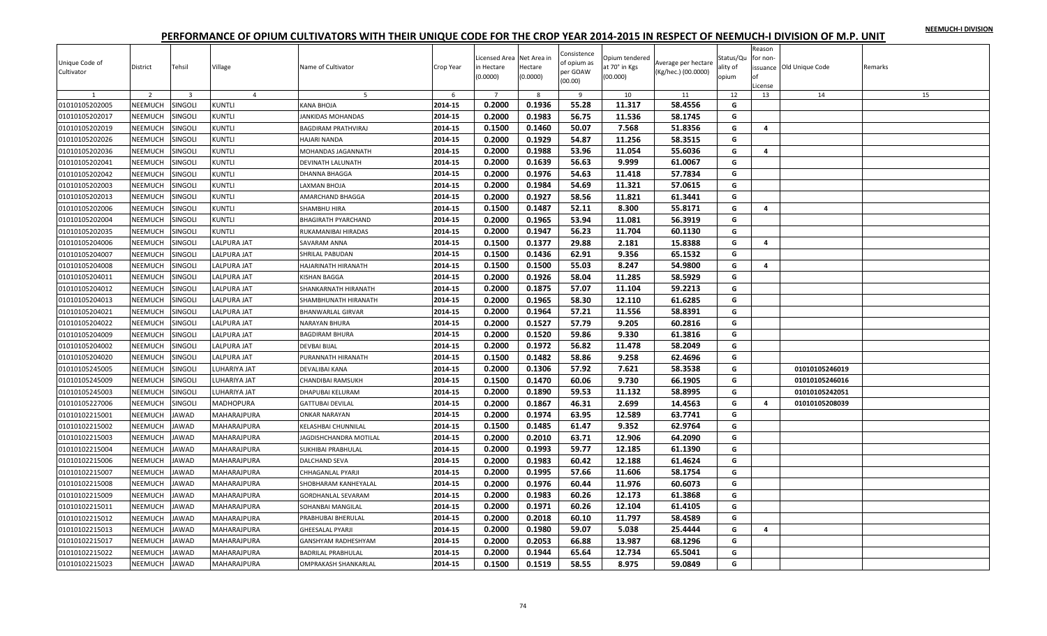|  |  | NEEMUCH-I DIVISION |
|--|--|--------------------|
|  |  |                    |

| Unique Code of<br>Cultivator | District       | Tehsil                  | Village            | Name of Cultivator          | Crop Year | Licensed Area Net Area in<br>in Hectare<br>(0.0000) | Hectare<br>(0.0000) | Consistence<br>of opium as<br>per GOAW | Opium tendered<br>at 70° in Kgs<br>(00.000) | Average per hectare<br>(Kg/hec.) (00.0000) | Status/Qu<br>ality of<br>opium | Reason<br>for non-<br>Ωf | ssuance Old Unique Code | Remarks |
|------------------------------|----------------|-------------------------|--------------------|-----------------------------|-----------|-----------------------------------------------------|---------------------|----------------------------------------|---------------------------------------------|--------------------------------------------|--------------------------------|--------------------------|-------------------------|---------|
|                              |                |                         |                    |                             |           |                                                     |                     | (00.00)                                |                                             |                                            |                                | License                  |                         |         |
| 1                            | $\overline{2}$ | $\overline{\mathbf{3}}$ | $\overline{4}$     | 5                           | 6         | $\overline{7}$                                      | 8                   | 9                                      | 10                                          | 11                                         | 12                             | 13                       | 14                      | 15      |
| 01010105202005               | NEEMUCH        | SINGOLI                 | <b>KUNTLI</b>      | KANA BHOJA                  | 2014-15   | 0.2000                                              | 0.1936              | 55.28                                  | 11.317                                      | 58.4556                                    | G                              |                          |                         |         |
| 01010105202017               | NEEMUCH        | SINGOLI                 | <b>KUNTLI</b>      | JANKIDAS MOHANDAS           | 2014-15   | 0.2000                                              | 0.1983              | 56.75                                  | 11.536                                      | 58.1745                                    | G                              |                          |                         |         |
| 01010105202019               | <b>NEEMUCH</b> | SINGOLI                 | <b>KUNTLI</b>      | <b>BAGDIRAM PRATHVIRAJ</b>  | 2014-15   | 0.1500                                              | 0.1460              | 50.07                                  | 7.568                                       | 51.8356                                    | G                              | 4                        |                         |         |
| 01010105202026               | NEEMUCH        | SINGOLI                 | <b>KUNTLI</b>      | HAJARI NANDA                | 2014-15   | 0.2000                                              | 0.1929              | 54.87                                  | 11.256                                      | 58.3515                                    | G                              |                          |                         |         |
| 01010105202036               | NEEMUCH        | SINGOLI                 | <b>KUNTLI</b>      | MOHANDAS JAGANNATH          | 2014-15   | 0.2000                                              | 0.1988              | 53.96                                  | 11.054                                      | 55.6036                                    | G                              | 4                        |                         |         |
| 01010105202041               | NEEMUCH        | SINGOLI                 | <b>KUNTLI</b>      | <b>DEVINATH LALUNATH</b>    | 2014-15   | 0.2000                                              | 0.1639              | 56.63                                  | 9.999                                       | 61.0067                                    | G                              |                          |                         |         |
| 01010105202042               | <b>NEEMUCH</b> | SINGOLI                 | <b>KUNTLI</b>      | DHANNA BHAGGA               | 2014-15   | 0.2000                                              | 0.1976              | 54.63                                  | 11.418                                      | 57.7834                                    | G                              |                          |                         |         |
| 01010105202003               | NEEMUCH        | SINGOLI                 | <b>KUNTLI</b>      | LAXMAN BHOJA                | 2014-15   | 0.2000                                              | 0.1984              | 54.69                                  | 11.321                                      | 57.0615                                    | G                              |                          |                         |         |
| 01010105202013               | NEEMUCH        | SINGOLI                 | <b>KUNTLI</b>      | AMARCHAND BHAGGA            | 2014-15   | 0.2000                                              | 0.1927              | 58.56                                  | 11.821                                      | 61.3441                                    | G                              |                          |                         |         |
| 01010105202006               | NEEMUCH        | SINGOLI                 | <b>KUNTLI</b>      | SHAMBHU HIRA                | 2014-15   | 0.1500                                              | 0.1487              | 52.11                                  | 8.300                                       | 55.8171                                    | G                              | 4                        |                         |         |
| 01010105202004               | <b>NEEMUCH</b> | <b>SINGOLI</b>          | <b>KUNTLI</b>      | <b>BHAGIRATH PYARCHAND</b>  | 2014-15   | 0.2000                                              | 0.1965              | 53.94                                  | 11.081                                      | 56.3919                                    | G                              |                          |                         |         |
| 01010105202035               | NEEMUCH        | SINGOLI                 | <b>KUNTLI</b>      | RUKAMANIBAI HIRADAS         | 2014-15   | 0.2000                                              | 0.1947              | 56.23                                  | 11.704                                      | 60.1130                                    | G                              |                          |                         |         |
| 01010105204006               | NEEMUCH        | SINGOLI                 | <b>LALPURA JAT</b> | SAVARAM ANNA                | 2014-15   | 0.1500                                              | 0.1377              | 29.88                                  | 2.181                                       | 15.8388                                    | G                              | 4                        |                         |         |
| 01010105204007               | NEEMUCH        | SINGOLI                 | LALPURA JAT        | SHRILAL PABUDAN             | 2014-15   | 0.1500                                              | 0.1436              | 62.91                                  | 9.356                                       | 65.1532                                    | G                              |                          |                         |         |
| 01010105204008               | <b>NEEMUCH</b> | SINGOLI                 | LALPURA JAT        | HAJARINATH HIRANATH         | 2014-15   | 0.1500                                              | 0.1500              | 55.03                                  | 8.247                                       | 54.9800                                    | G                              | 4                        |                         |         |
| 01010105204011               | NEEMUCH        | SINGOLI                 | LALPURA JAT        | KISHAN BAGGA                | 2014-15   | 0.2000                                              | 0.1926              | 58.04                                  | 11.285                                      | 58.5929                                    | G                              |                          |                         |         |
| 01010105204012               | NEEMUCH        | SINGOLI                 | LALPURA JAT        | SHANKARNATH HIRANATH        | 2014-15   | 0.2000                                              | 0.1875              | 57.07                                  | 11.104                                      | 59.2213                                    | G                              |                          |                         |         |
| 01010105204013               | <b>NEEMUCH</b> | SINGOLI                 | <b>LALPURA JAT</b> | SHAMBHUNATH HIRANATH        | 2014-15   | 0.2000                                              | 0.1965              | 58.30                                  | 12.110                                      | 61.6285                                    | G                              |                          |                         |         |
| 01010105204021               | NEEMUCH        | SINGOLI                 | LALPURA JAT        | <b>BHANWARLAL GIRVAR</b>    | 2014-15   | 0.2000                                              | 0.1964              | 57.21                                  | 11.556                                      | 58.8391                                    | G                              |                          |                         |         |
| 01010105204022               | NEEMUCH        | SINGOLI                 | LALPURA JAT        | <b>NARAYAN BHURA</b>        | 2014-15   | 0.2000                                              | 0.1527              | 57.79                                  | 9.205                                       | 60.2816                                    | G                              |                          |                         |         |
| 01010105204009               | NEEMUCH        | SINGOLI                 | LALPURA JAT        | <b>BAGDIRAM BHURA</b>       | 2014-15   | 0.2000                                              | 0.1520              | 59.86                                  | 9.330                                       | 61.3816                                    | G                              |                          |                         |         |
| 01010105204002               | <b>NEEMUCH</b> | SINGOLI                 | <b>LALPURA JAT</b> | DEVBAI BIJAL                | 2014-15   | 0.2000                                              | 0.1972              | 56.82                                  | 11.478                                      | 58.2049                                    | G                              |                          |                         |         |
| 01010105204020               | NEEMUCH        | Singoli                 | LALPURA JAT        | PURANNATH HIRANATH          | 2014-15   | 0.1500                                              | 0.1482              | 58.86                                  | 9.258                                       | 62.4696                                    | G                              |                          |                         |         |
| 01010105245005               | <b>NEEMUCH</b> | SINGOLI                 | LUHARIYA JAT       | DEVALIBAI KANA              | 2014-15   | 0.2000                                              | 0.1306              | 57.92                                  | 7.621                                       | 58.3538                                    | G                              |                          | 01010105246019          |         |
| 01010105245009               | NEEMUCH        | SINGOLI                 | LUHARIYA JAT       | CHANDIBAI RAMSUKH           | 2014-15   | 0.1500                                              | 0.1470              | 60.06                                  | 9.730                                       | 66.1905                                    | G                              |                          | 01010105246016          |         |
| 01010105245003               | NEEMUCH        | SINGOLI                 | LUHARIYA JAT       | DHAPUBAI KELURAM            | 2014-15   | 0.2000                                              | 0.1890              | 59.53                                  | 11.132                                      | 58.8995                                    | G                              |                          | 01010105242051          |         |
| 01010105227006               | <b>NEEMUCH</b> | SINGOLI                 | <b>MADHOPURA</b>   | <b>GATTUBAI DEVILAL</b>     | 2014-15   | 0.2000                                              | 0.1867              | 46.31                                  | 2.699                                       | 14.4563                                    | G                              | 4                        | 01010105208039          |         |
| 01010102215001               | NEEMUCH        | <b>JAWAD</b>            | MAHARAJPURA        | <b>ONKAR NARAYAN</b>        | 2014-15   | 0.2000                                              | 0.1974              | 63.95                                  | 12.589                                      | 63.7741                                    | G                              |                          |                         |         |
| 01010102215002               | NEEMUCH        | <b>JAWAD</b>            | MAHARAJPURA        | KELASHBAI CHUNNILAL         | 2014-15   | 0.1500                                              | 0.1485              | 61.47                                  | 9.352                                       | 62.9764                                    | G                              |                          |                         |         |
| 01010102215003               | NEEMUCH        | <b>AWAD</b>             | MAHARAJPURA        | JAGDISHCHANDRA MOTILAL      | 2014-15   | 0.2000                                              | 0.2010              | 63.71                                  | 12.906                                      | 64.2090                                    | G                              |                          |                         |         |
| 01010102215004               | <b>NEEMUCH</b> | AWAD                    | MAHARAJPURA        | SUKHIBAI PRABHULAI          | 2014-15   | 0.2000                                              | 0.1993              | 59.77                                  | 12.185                                      | 61.1390                                    | G                              |                          |                         |         |
| 01010102215006               | NEEMUCH        | <b>JAWAD</b>            | MAHARAJPURA        | DALCHAND SEVA               | 2014-15   | 0.2000                                              | 0.1983              | 60.42                                  | 12.188                                      | 61.4624                                    | G                              |                          |                         |         |
| 01010102215007               | <b>NEEMUCH</b> | <b>AWAD</b>             | MAHARAJPURA        | CHHAGANLAL PYARJI           | 2014-15   | 0.2000                                              | 0.1995              | 57.66                                  | 11.606                                      | 58.1754                                    | G                              |                          |                         |         |
| 01010102215008               | <b>NEEMUCH</b> | <b>AWAD</b>             | MAHARAJPURA        | SHOBHARAM KANHEYALAL        | 2014-15   | 0.2000                                              | 0.1976              | 60.44                                  | 11.976                                      | 60.6073                                    | G                              |                          |                         |         |
| 01010102215009               | <b>NEEMUCH</b> | <b>AWAD</b>             | MAHARAJPURA        | <b>GORDHANLAL SEVARAM</b>   | 2014-15   | 0.2000                                              | 0.1983              | 60.26                                  | 12.173                                      | 61.3868                                    | G                              |                          |                         |         |
| 01010102215011               | NEEMUCH        | AWAD                    | MAHARAJPURA        | SOHANBAI MANGILAL           | 2014-15   | 0.2000                                              | 0.1971              | 60.26                                  | 12.104                                      | 61.4105                                    | G                              |                          |                         |         |
| 01010102215012               | <b>NEEMUCH</b> | <b>JAWAD</b>            |                    | PRABHUBAI BHERULAL          | 2014-15   | 0.2000                                              | 0.2018              | 60.10                                  | 11.797                                      | 58.4589                                    | G                              |                          |                         |         |
|                              |                |                         | MAHARAJPURA        |                             |           |                                                     |                     |                                        |                                             |                                            | G                              | 4                        |                         |         |
| 01010102215013               | <b>NEEMUCH</b> | AWAD                    | MAHARAJPURA        | <b>GHEESALAL PYARJI</b>     | 2014-15   | 0.2000                                              | 0.1980              | 59.07                                  | 5.038                                       | 25.4444                                    | G                              |                          |                         |         |
| 01010102215017               | NEEMUCH        | <b>AWAD</b>             | MAHARAJPURA        | <b>GANSHYAM RADHESHYAM</b>  | 2014-15   | 0.2000                                              | 0.2053              | 66.88                                  | 13.987                                      | 68.1296                                    |                                |                          |                         |         |
| 01010102215022               | <b>NEEMUCH</b> | <b>JAWAD</b>            | MAHARAJPURA        | <b>BADRILAL PRABHULAL</b>   | 2014-15   | 0.2000                                              | 0.1944              | 65.64                                  | 12.734                                      | 65.5041                                    | G                              |                          |                         |         |
| 01010102215023               | <b>NEEMUCH</b> | <b>JAWAD</b>            | MAHARAJPURA        | <b>OMPRAKASH SHANKARLAL</b> | 2014-15   | 0.1500                                              | 0.1519              | 58.55                                  | 8.975                                       | 59.0849                                    | G                              |                          |                         |         |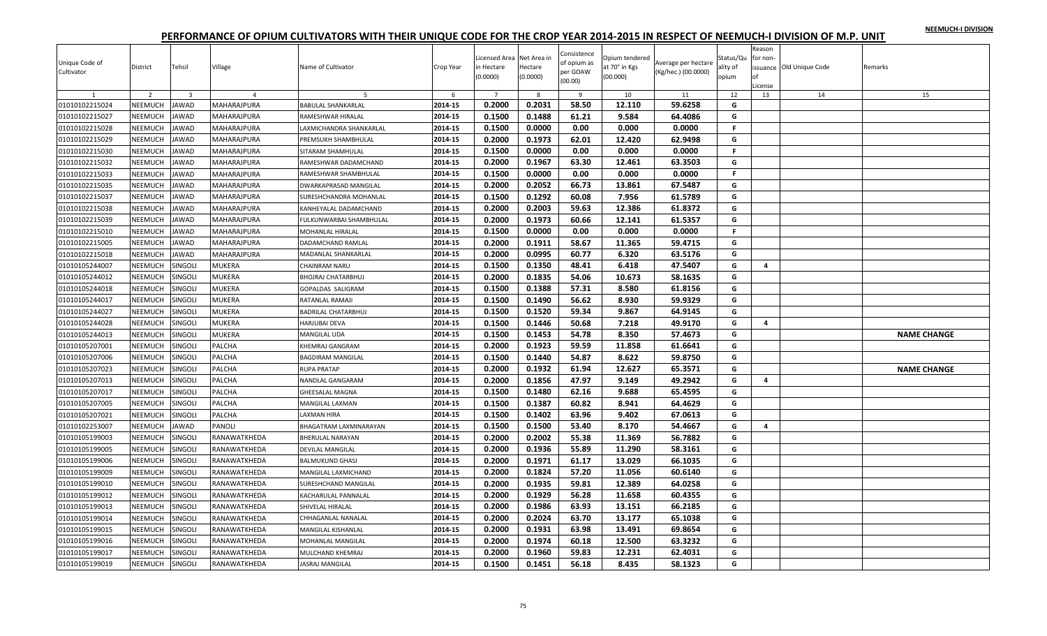|  |  | NEEMUCH-I DIVISION |
|--|--|--------------------|
|  |  |                    |

| Unique Code of<br>Cultivator | District       | Tehsil                  | Village        | Name of Cultivator         | Crop Year | icensed Area Net Area in<br>in Hectare<br>(0.0000) | Hectare<br>(0.0000) | Consistence<br>of opium as<br>per GOAW<br>(00.00) | Opium tendered<br>at 70° in Kgs<br>(00.000) | Average per hectare<br>(Kg/hec.) (00.0000) | Status/Qu<br>ality of<br>opium | Reason<br>for non-<br>Ωf<br>License | issuance Old Unique Code | Remarks            |
|------------------------------|----------------|-------------------------|----------------|----------------------------|-----------|----------------------------------------------------|---------------------|---------------------------------------------------|---------------------------------------------|--------------------------------------------|--------------------------------|-------------------------------------|--------------------------|--------------------|
| 1                            | $\overline{2}$ | $\overline{\mathbf{3}}$ | $\overline{4}$ | - 5                        | 6         | $\overline{7}$                                     | 8                   | 9                                                 | 10                                          | 11                                         | 12                             | 13                                  | 14                       | 15                 |
| 01010102215024               | NEEMUCH        | <b>JAWAD</b>            | MAHARAJPURA    | <b>BABULAL SHANKARLAL</b>  | 2014-15   | 0.2000                                             | 0.2031              | 58.50                                             | 12.110                                      | 59.6258                                    | G                              |                                     |                          |                    |
| 01010102215027               | NEEMUCH        | <b>JAWAD</b>            | MAHARAJPURA    | RAMESHWAR HIRALAL          | 2014-15   | 0.1500                                             | 0.1488              | 61.21                                             | 9.584                                       | 64.4086                                    | G                              |                                     |                          |                    |
| 01010102215028               | NEEMUCH        | <b>JAWAD</b>            | MAHARAJPURA    | LAXMICHANDRA SHANKARLAL    | 2014-15   | 0.1500                                             | 0.0000              | 0.00                                              | 0.000                                       | 0.0000                                     | F.                             |                                     |                          |                    |
| 01010102215029               | NEEMUCH        | <b>JAWAD</b>            | MAHARAJPURA    | PREMSUKH SHAMBHULAL        | 2014-15   | 0.2000                                             | 0.1973              | 62.01                                             | 12.420                                      | 62.9498                                    | G                              |                                     |                          |                    |
| 01010102215030               | NEEMUCH        | <b>JAWAD</b>            | MAHARAJPURA    | SITARAM SHAMHULAL          | 2014-15   | 0.1500                                             | 0.0000              | 0.00                                              | 0.000                                       | 0.0000                                     | F.                             |                                     |                          |                    |
| 01010102215032               | NEEMUCH        | <b>JAWAD</b>            | MAHARAJPURA    | RAMESHWAR DADAMCHAND       | 2014-15   | 0.2000                                             | 0.1967              | 63.30                                             | 12.461                                      | 63.3503                                    | G                              |                                     |                          |                    |
| 01010102215033               | NEEMUCH        | <b>JAWAD</b>            | MAHARAJPURA    | RAMESHWAR SHAMBHULAL       | 2014-15   | 0.1500                                             | 0.0000              | 0.00                                              | 0.000                                       | 0.0000                                     | F.                             |                                     |                          |                    |
| 01010102215035               | NEEMUCH        | <b>JAWAD</b>            | MAHARAJPURA    | DWARKAPRASAD MANGILAL      | 2014-15   | 0.2000                                             | 0.2052              | 66.73                                             | 13.861                                      | 67.5487                                    | G                              |                                     |                          |                    |
| 01010102215037               | NEEMUCH        | <b>JAWAD</b>            | MAHARAJPURA    | SURESHCHANDRA MOHANLAL     | 2014-15   | 0.1500                                             | 0.1292              | 60.08                                             | 7.956                                       | 61.5789                                    | G                              |                                     |                          |                    |
| 01010102215038               | NEEMUCH        | <b>JAWAD</b>            | MAHARAJPURA    | KANHEYALAL DADAMCHAND      | 2014-15   | 0.2000                                             | 0.2003              | 59.63                                             | 12.386                                      | 61.8372                                    | G                              |                                     |                          |                    |
| 01010102215039               | NEEMUCH        | <b>JAWAD</b>            | MAHARAJPURA    | FULKUNWARBAI SHAMBHULAL    | 2014-15   | 0.2000                                             | 0.1973              | 60.66                                             | 12.141                                      | 61.5357                                    | G                              |                                     |                          |                    |
| 01010102215010               | NEEMUCH        | <b>JAWAD</b>            | MAHARAJPURA    | MOHANLAL HIRALAL           | 2014-15   | 0.1500                                             | 0.0000              | 0.00                                              | 0.000                                       | 0.0000                                     | F.                             |                                     |                          |                    |
| 01010102215005               | NEEMUCH        | <b>JAWAD</b>            | MAHARAJPURA    | DADAMCHAND RAMLAL          | 2014-15   | 0.2000                                             | 0.1911              | 58.67                                             | 11.365                                      | 59.4715                                    | G                              |                                     |                          |                    |
| 01010102215018               | NEEMUCH        | <b>JAWAD</b>            | MAHARAJPURA    | MADANLAL SHANKARLAL        | 2014-15   | 0.2000                                             | 0.0995              | 60.77                                             | 6.320                                       | 63.5176                                    | G                              |                                     |                          |                    |
| 01010105244007               | <b>NEEMUCH</b> | <b>SINGOLI</b>          | <b>MUKERA</b>  | <b>CHAINRAM NARU</b>       | 2014-15   | 0.1500                                             | 0.1350              | 48.41                                             | 6.418                                       | 47.5407                                    | G                              | 4                                   |                          |                    |
| 01010105244012               | NEEMUCH        | SINGOLI                 | <b>MUKERA</b>  | BHOJRAJ CHATARBHUJ         | 2014-15   | 0.2000                                             | 0.1835              | 54.06                                             | 10.673                                      | 58.1635                                    | G                              |                                     |                          |                    |
| 01010105244018               | NEEMUCH        | SINGOLI                 | MUKERA         | GOPALDAS SALIGRAM          | 2014-15   | 0.1500                                             | 0.1388              | 57.31                                             | 8.580                                       | 61.8156                                    | G                              |                                     |                          |                    |
| 01010105244017               | NEEMUCH        | <b>SINGOLI</b>          | MUKERA         | RATANLAL RAMAJI            | 2014-15   | 0.1500                                             | 0.1490              | 56.62                                             | 8.930                                       | 59.9329                                    | G                              |                                     |                          |                    |
| 01010105244027               | NEEMUCH        | SINGOLI                 | MUKERA         | <b>BADRILAL CHATARBHUJ</b> | 2014-15   | 0.1500                                             | 0.1520              | 59.34                                             | 9.867                                       | 64.9145                                    | G                              |                                     |                          |                    |
| 01010105244028               | NEEMUCH        | SINGOLI                 | <b>MUKERA</b>  | HARJUBAI DEVA              | 2014-15   | 0.1500                                             | 0.1446              | 50.68                                             | 7.218                                       | 49.9170                                    | G                              | 4                                   |                          |                    |
| 01010105244013               | NEEMUCH        | SINGOLI                 | <b>MUKERA</b>  | MANGILAL UDA               | 2014-15   | 0.1500                                             | 0.1453              | 54.78                                             | 8.350                                       | 57.4673                                    | G                              |                                     |                          | <b>NAME CHANGE</b> |
| 01010105207001               | NEEMUCH        | SINGOLI                 | PALCHA         | KHEMRAJ GANGRAM            | 2014-15   | 0.2000                                             | 0.1923              | 59.59                                             | 11.858                                      | 61.6641                                    | G                              |                                     |                          |                    |
| 01010105207006               | NEEMUCH        | SINGOLI                 | PALCHA         | <b>BAGDIRAM MANGILAL</b>   | 2014-15   | 0.1500                                             | 0.1440              | 54.87                                             | 8.622                                       | 59.8750                                    | G                              |                                     |                          |                    |
| 01010105207023               | NEEMUCH        | SINGOLI                 | PALCHA         | <b>RUPA PRATAP</b>         | 2014-15   | 0.2000                                             | 0.1932              | 61.94                                             | 12.627                                      | 65.3571                                    | G                              |                                     |                          | <b>NAME CHANGE</b> |
| 01010105207013               | NEEMUCH        | SINGOLI                 | PALCHA         | NANDLAL GANGARAM           | 2014-15   | 0.2000                                             | 0.1856              | 47.97                                             | 9.149                                       | 49.2942                                    | G                              | 4                                   |                          |                    |
| 01010105207017               | NEEMUCH        | SINGOLI                 | PALCHA         | <b>GHEESALAL MAGNA</b>     | 2014-15   | 0.1500                                             | 0.1480              | 62.16                                             | 9.688                                       | 65.4595                                    | G                              |                                     |                          |                    |
| 01010105207005               | NEEMUCH        | <b>SINGOLI</b>          | PALCHA         | MANGILAL LAXMAN            | 2014-15   | 0.1500                                             | 0.1387              | 60.82                                             | 8.941                                       | 64.4629                                    | G                              |                                     |                          |                    |
| 01010105207021               | NEEMUCH        | SINGOLI                 | PALCHA         | LAXMAN HIRA                | 2014-15   | 0.1500                                             | 0.1402              | 63.96                                             | 9.402                                       | 67.0613                                    | G                              |                                     |                          |                    |
| 01010102253007               | NEEMUCH        | <b>JAWAD</b>            | PANOLI         | BHAGATRAM LAXMINARAYAN     | 2014-15   | 0.1500                                             | 0.1500              | 53.40                                             | 8.170                                       | 54.4667                                    | G                              | 4                                   |                          |                    |
| 01010105199003               | NEEMUCH        | SINGOLI                 | RANAWATKHEDA   | <b>BHERULAL NARAYAN</b>    | 2014-15   | 0.2000                                             | 0.2002              | 55.38                                             | 11.369                                      | 56.7882                                    | G                              |                                     |                          |                    |
| 01010105199005               | NEEMUCH        | <b>SINGOLI</b>          | RANAWATKHEDA   | <b>DEVILAL MANGILAL</b>    | 2014-15   | 0.2000                                             | 0.1936              | 55.89                                             | 11.290                                      | 58.3161                                    | G                              |                                     |                          |                    |
| 01010105199006               | NEEMUCH        | SINGOLI                 | RANAWATKHEDA   | <b>BALMUKUND GHASI</b>     | 2014-15   | 0.2000                                             | 0.1971              | 61.17                                             | 13.029                                      | 66.1035                                    | G                              |                                     |                          |                    |
| 01010105199009               | NEEMUCH        | SINGOLI                 | RANAWATKHEDA   | MANGILAL LAXMICHAND        | 2014-15   | 0.2000                                             | 0.1824              | 57.20                                             | 11.056                                      | 60.6140                                    | G                              |                                     |                          |                    |
| 01010105199010               | NEEMUCH        | <b>SINGOLI</b>          | RANAWATKHEDA   | SURESHCHAND MANGILAL       | 2014-15   | 0.2000                                             | 0.1935              | 59.81                                             | 12.389                                      | 64.0258                                    | G                              |                                     |                          |                    |
| 01010105199012               | <b>NEEMUCH</b> | SINGOLI                 | RANAWATKHEDA   | KACHARULAL PANNALAL        | 2014-15   | 0.2000                                             | 0.1929              | 56.28                                             | 11.658                                      | 60.4355                                    | G                              |                                     |                          |                    |
| 01010105199013               | NEEMUCH        | SINGOLI                 | RANAWATKHEDA   | SHIVELAL HIRALAL           | 2014-15   | 0.2000                                             | 0.1986              | 63.93                                             | 13.151                                      | 66.2185                                    | G                              |                                     |                          |                    |
| 01010105199014               | NEEMUCH        | SINGOLI                 | RANAWATKHEDA   | CHHAGANLAL NANALAL         | 2014-15   | 0.2000                                             | 0.2024              | 63.70                                             | 13.177                                      | 65.1038                                    | G                              |                                     |                          |                    |
| 01010105199015               | NEEMUCH        | SINGOLI                 | RANAWATKHEDA   | MANGILAL KISHANLAL         | 2014-15   | 0.2000                                             | 0.1931              | 63.98                                             | 13.491                                      | 69.8654                                    | G                              |                                     |                          |                    |
| 01010105199016               | NEEMUCH        | SINGOLI                 | RANAWATKHEDA   | MOHANLAL MANGILAL          | 2014-15   | 0.2000                                             | 0.1974              | 60.18                                             | 12.500                                      | 63.3232                                    | G                              |                                     |                          |                    |
| 01010105199017               | NEEMUCH        | SINGOLI                 | RANAWATKHEDA   | MULCHAND KHEMRAJ           | 2014-15   | 0.2000                                             | 0.1960              | 59.83                                             | 12.231                                      | 62.4031                                    | G                              |                                     |                          |                    |
| 01010105199019               | NEEMUCH        | <b>SINGOLI</b>          | RANAWATKHEDA   | <b>JASRAJ MANGILAL</b>     | 2014-15   | 0.1500                                             | 0.1451              | 56.18                                             | 8.435                                       | 58.1323                                    | G                              |                                     |                          |                    |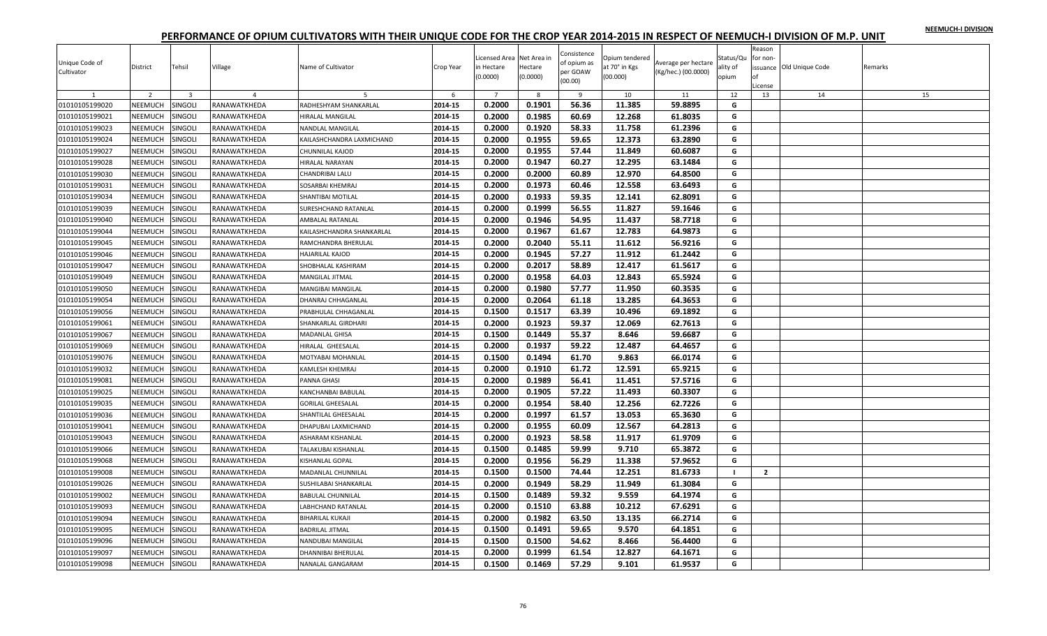|  |  | NEEMUCH-I DIVISION |
|--|--|--------------------|
|  |  |                    |

| Unique Code of<br>Cultivator | District       | Tehsil                  | Village        | Name of Cultivator        | Crop Year | Licensed Area Net Area in<br>in Hectare<br>(0.0000) | Hectare<br>(0.0000) | Consistence<br>of opium as<br>per GOAW<br>(00.00) | Opium tendered<br>at 70° in Kgs<br>(00.000) | Average per hectare<br>(Kg/hec.) (00.0000) | Status/Qu<br>ality of<br>opium | Reason<br>for non-<br>nf<br>License | issuance Old Unique Code | Remarks |
|------------------------------|----------------|-------------------------|----------------|---------------------------|-----------|-----------------------------------------------------|---------------------|---------------------------------------------------|---------------------------------------------|--------------------------------------------|--------------------------------|-------------------------------------|--------------------------|---------|
|                              | $\overline{z}$ | $\overline{\mathbf{3}}$ | $\overline{a}$ |                           | -6        | $\overline{7}$                                      | 8                   | $\overline{9}$                                    | 10                                          | 11                                         | 12                             | 13                                  | 14                       | 15      |
| 01010105199020               | NEEMUCH        | SINGOLI                 | RANAWATKHEDA   | RADHESHYAM SHANKARLAL     | 2014-15   | 0.2000                                              | 0.1901              | 56.36                                             | 11.385                                      | 59.8895                                    | G                              |                                     |                          |         |
| 01010105199021               | NEEMUCH        | SINGOLI                 | RANAWATKHEDA   | <b>HIRALAL MANGILAL</b>   | 2014-15   | 0.2000                                              | 0.1985              | 60.69                                             | 12.268                                      | 61.8035                                    | G                              |                                     |                          |         |
| 01010105199023               | NEEMUCH        | SINGOLI                 | RANAWATKHEDA   | NANDLAL MANGILAL          | 2014-15   | 0.2000                                              | 0.1920              | 58.33                                             | 11.758                                      | 61.2396                                    | G                              |                                     |                          |         |
| 01010105199024               | NEEMUCH        | SINGOLI                 | RANAWATKHEDA   | KAILASHCHANDRA LAXMICHAND | 2014-15   | 0.2000                                              | 0.1955              | 59.65                                             | 12.373                                      | 63.2890                                    | G                              |                                     |                          |         |
| 01010105199027               | <b>NEEMUCH</b> | SINGOLI                 | RANAWATKHEDA   | CHUNNILAL KAJOD           | 2014-15   | 0.2000                                              | 0.1955              | 57.44                                             | 11.849                                      | 60.6087                                    | G                              |                                     |                          |         |
| 01010105199028               | NEEMUCH        | Singoli                 | RANAWATKHEDA   | <b>HIRALAL NARAYAN</b>    | 2014-15   | 0.2000                                              | 0.1947              | 60.27                                             | 12.295                                      | 63.1484                                    | G                              |                                     |                          |         |
| 01010105199030               | NEEMUCH        | SINGOLI                 | RANAWATKHEDA   | CHANDRIBAI LALU           | 2014-15   | 0.2000                                              | 0.2000              | 60.89                                             | 12.970                                      | 64.8500                                    | G                              |                                     |                          |         |
| 01010105199031               | NEEMUCH        | SINGOLI                 | RANAWATKHEDA   | SOSARBAI KHEMRAJ          | 2014-15   | 0.2000                                              | 0.1973              | 60.46                                             | 12.558                                      | 63.6493                                    | G                              |                                     |                          |         |
| 01010105199034               | NEEMUCH        | SINGOLI                 | RANAWATKHEDA   | SHANTIBAI MOTILAL         | 2014-15   | 0.2000                                              | 0.1933              | 59.35                                             | 12.141                                      | 62.8091                                    | G                              |                                     |                          |         |
| 01010105199039               | NEEMUCH        | SINGOLI                 | RANAWATKHEDA   | SURESHCHAND RATANLAL      | 2014-15   | 0.2000                                              | 0.1999              | 56.55                                             | 11.827                                      | 59.1646                                    | G                              |                                     |                          |         |
| 01010105199040               | NEEMUCH        | SINGOLI                 | RANAWATKHEDA   | AMBALAL RATANLAL          | 2014-15   | 0.2000                                              | 0.1946              | 54.95                                             | 11.437                                      | 58.7718                                    | G                              |                                     |                          |         |
| 01010105199044               | NEEMUCH        | SINGOLI                 | RANAWATKHEDA   | KAILASHCHANDRA SHANKARLAL | 2014-15   | 0.2000                                              | 0.1967              | 61.67                                             | 12.783                                      | 64.9873                                    | G                              |                                     |                          |         |
| 01010105199045               | NEEMUCH        | SINGOLI                 | RANAWATKHEDA   | RAMCHANDRA BHERULAL       | 2014-15   | 0.2000                                              | 0.2040              | 55.11                                             | 11.612                                      | 56.9216                                    | G                              |                                     |                          |         |
| 01010105199046               | NEEMUCH        | SINGOLI                 | RANAWATKHEDA   | HAJARILAL KAJOD           | 2014-15   | 0.2000                                              | 0.1945              | 57.27                                             | 11.912                                      | 61.2442                                    | G                              |                                     |                          |         |
| 01010105199047               | NEEMUCH        | SINGOLI                 | RANAWATKHEDA   | SHOBHALAL KASHIRAM        | 2014-15   | 0.2000                                              | 0.2017              | 58.89                                             | 12.417                                      | 61.5617                                    | G                              |                                     |                          |         |
| 01010105199049               | <b>NEEMUCH</b> | SINGOLI                 | RANAWATKHEDA   | MANGILAL JITMAL           | 2014-15   | 0.2000                                              | 0.1958              | 64.03                                             | 12.843                                      | 65.5924                                    | G                              |                                     |                          |         |
| 01010105199050               | NEEMUCH        | SINGOLI                 | RANAWATKHEDA   | MANGIBAI MANGILAL         | 2014-15   | 0.2000                                              | 0.1980              | 57.77                                             | 11.950                                      | 60.3535                                    | G                              |                                     |                          |         |
| 01010105199054               | NEEMUCH        | SINGOLI                 | RANAWATKHEDA   | DHANRAJ CHHAGANLAL        | 2014-15   | 0.2000                                              | 0.2064              | 61.18                                             | 13.285                                      | 64.3653                                    | G                              |                                     |                          |         |
| 01010105199056               | NEEMUCH        | SINGOLI                 | RANAWATKHEDA   | PRABHULAL CHHAGANLAL      | 2014-15   | 0.1500                                              | 0.1517              | 63.39                                             | 10.496                                      | 69.1892                                    | G                              |                                     |                          |         |
| 01010105199061               | <b>NEEMUCH</b> | SINGOLI                 | RANAWATKHEDA   | SHANKARLAL GIRDHARI       | 2014-15   | 0.2000                                              | 0.1923              | 59.37                                             | 12.069                                      | 62.7613                                    | G                              |                                     |                          |         |
| 01010105199067               | NEEMUCH        | Singoli                 | RANAWATKHEDA   | MADANLAL GHISA            | 2014-15   | 0.1500                                              | 0.1449              | 55.37                                             | 8.646                                       | 59.6687                                    | G                              |                                     |                          |         |
| 01010105199069               | <b>NEEMUCH</b> | SINGOLI                 | RANAWATKHEDA   | HIRALAL GHEESALAL         | 2014-15   | 0.2000                                              | 0.1937              | 59.22                                             | 12.487                                      | 64.4657                                    | G                              |                                     |                          |         |
| 01010105199076               | <b>NEEMUCH</b> | SINGOLI                 | RANAWATKHEDA   | MOTYABAI MOHANLAL         | 2014-15   | 0.1500                                              | 0.1494              | 61.70                                             | 9.863                                       | 66.0174                                    | G                              |                                     |                          |         |
| 01010105199032               | NEEMUCH        | SINGOLI                 | RANAWATKHEDA   | KAMLESH KHEMRAJ           | 2014-15   | 0.2000                                              | 0.1910              | 61.72                                             | 12.591                                      | 65.9215                                    | G                              |                                     |                          |         |
| 01010105199081               | NEEMUCH        | SINGOLI                 | RANAWATKHEDA   | PANNA GHASI               | 2014-15   | 0.2000                                              | 0.1989              | 56.41                                             | 11.451                                      | 57.5716                                    | G                              |                                     |                          |         |
| 01010105199025               | NEEMUCH        | SINGOLI                 | RANAWATKHEDA   | KANCHANBAI BABULAL        | 2014-15   | 0.2000                                              | 0.1905              | 57.22                                             | 11.493                                      | 60.3307                                    | G                              |                                     |                          |         |
| 01010105199035               | <b>NEEMUCH</b> | SINGOLI                 | RANAWATKHEDA   | <b>GORILAL GHEESALAL</b>  | 2014-15   | 0.2000                                              | 0.1954              | 58.40                                             | 12.256                                      | 62.7226                                    | G                              |                                     |                          |         |
| 01010105199036               | NEEMUCH        | Singoli                 | RANAWATKHEDA   | SHANTILAL GHEESALAL       | 2014-15   | 0.2000                                              | 0.1997              | 61.57                                             | 13.053                                      | 65.3630                                    | G                              |                                     |                          |         |
| 01010105199041               | NEEMUCH        | SINGOLI                 | RANAWATKHEDA   | DHAPUBAI LAXMICHAND       | 2014-15   | 0.2000                                              | 0.1955              | 60.09                                             | 12.567                                      | 64.2813                                    | G                              |                                     |                          |         |
| 01010105199043               | NEEMUCH        | SINGOLI                 | RANAWATKHEDA   | ASHARAM KISHANLAL         | 2014-15   | 0.2000                                              | 0.1923              | 58.58                                             | 11.917                                      | 61.9709                                    | G                              |                                     |                          |         |
| 01010105199066               | NEEMUCH        | SINGOLI                 | RANAWATKHEDA   | TALAKUBAI KISHANLAL       | 2014-15   | 0.1500                                              | 0.1485              | 59.99                                             | 9.710                                       | 65.3872                                    | G                              |                                     |                          |         |
| 01010105199068               | NEEMUCH        | <b>SINGOLI</b>          | RANAWATKHEDA   | KISHANLAL GOPAL           | 2014-15   | 0.2000                                              | 0.1956              | 56.29                                             | 11.338                                      | 57.9652                                    | G                              |                                     |                          |         |
| 01010105199008               | NEEMUCH        | SINGOLI                 | RANAWATKHEDA   | MADANLAL CHUNNILAL        | 2014-15   | 0.1500                                              | 0.1500              | 74.44                                             | 12.251                                      | 81.6733                                    | $\mathbf{I}$                   | $\overline{2}$                      |                          |         |
| 01010105199026               | NEEMUCH        | SINGOLI                 | RANAWATKHEDA   | SUSHILABAI SHANKARLAL     | 2014-15   | 0.2000                                              | 0.1949              | 58.29                                             | 11.949                                      | 61.3084                                    | G                              |                                     |                          |         |
| 01010105199002               | NEEMUCH        | SINGOLI                 | RANAWATKHEDA   | <b>BABULAL CHUNNILAL</b>  | 2014-15   | 0.1500                                              | 0.1489              | 59.32                                             | 9.559                                       | 64.1974                                    | G                              |                                     |                          |         |
| 01010105199093               | NEEMUCH        | singoli                 | RANAWATKHEDA   | <b>ABHCHAND RATANLAL</b>  | 2014-15   | 0.2000                                              | 0.1510              | 63.88                                             | 10.212                                      | 67.6291                                    | G                              |                                     |                          |         |
| 01010105199094               | NEEMUCH        | SINGOLI                 | RANAWATKHEDA   | BIHARILAL KUKAJI          | 2014-15   | 0.2000                                              | 0.1982              | 63.50                                             | 13.135                                      | 66.2714                                    | G                              |                                     |                          |         |
| 01010105199095               | <b>NEEMUCH</b> | SINGOLI                 | RANAWATKHEDA   | <b>BADRILAL JITMAL</b>    | 2014-15   | 0.1500                                              | 0.1491              | 59.65                                             | 9.570                                       | 64.1851                                    | G                              |                                     |                          |         |
| 01010105199096               | NEEMUCH        | SINGOLI                 | RANAWATKHEDA   | VANDUBAI MANGILAL         | 2014-15   | 0.1500                                              | 0.1500              | 54.62                                             | 8.466                                       | 56.4400                                    | G                              |                                     |                          |         |
| 01010105199097               | <b>NEEMUCH</b> | SINGOLI                 | RANAWATKHEDA   | DHANNIBAI BHERULAL        | 2014-15   | 0.2000                                              | 0.1999              | 61.54                                             | 12.827                                      | 64.1671                                    | G                              |                                     |                          |         |
| 01010105199098               | <b>NEEMUCH</b> | SINGOLI                 | RANAWATKHEDA   | NANALAL GANGARAM          | 2014-15   | 0.1500                                              | 0.1469              | 57.29                                             | 9.101                                       | 61.9537                                    | G                              |                                     |                          |         |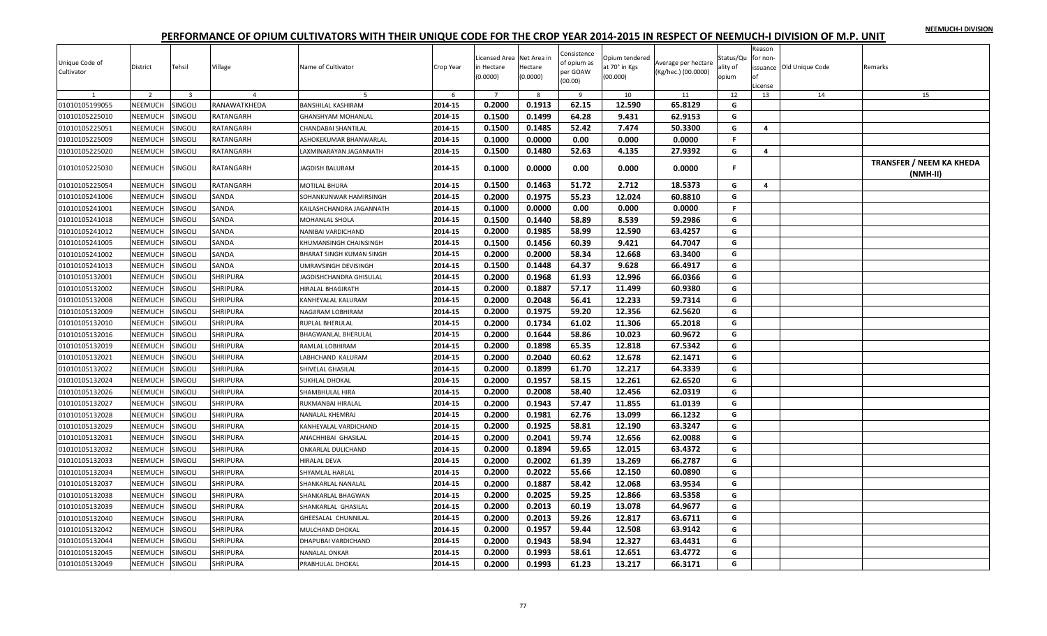| NEEMUCH-I DIVISION |  |
|--------------------|--|
|                    |  |

| Unique Code of<br>Cultivator | District       | Tehsil                  | Village         | Name of Cultivator         | Crop Year | Licensed Area Net Area in<br>in Hectare<br>(0.0000) | Hectare<br>(0.0000) | Consistence<br>of opium as<br>per GOAW<br>(00.00) | Opium tendered<br>at 70° in Kgs<br>(00.000) | Average per hectare<br>(Kg/hec.) (00.0000) | Status/Qu<br>ality of<br>opium | Reason<br>for non-<br>nf<br>License | issuance Old Unique Code | Remarks                                     |
|------------------------------|----------------|-------------------------|-----------------|----------------------------|-----------|-----------------------------------------------------|---------------------|---------------------------------------------------|---------------------------------------------|--------------------------------------------|--------------------------------|-------------------------------------|--------------------------|---------------------------------------------|
|                              | $\overline{z}$ | $\overline{\mathbf{3}}$ | $\overline{a}$  |                            | -6        | $\overline{7}$                                      | 8                   | $\overline{9}$                                    | 10                                          | 11                                         | 12                             | 13                                  | 14                       | 15                                          |
| 01010105199055               | NEEMUCH        | SINGOLI                 | RANAWATKHEDA    | <b>BANSHILAL KASHIRAM</b>  | 2014-15   | 0.2000                                              | 0.1913              | 62.15                                             | 12.590                                      | 65.8129                                    | G                              |                                     |                          |                                             |
| 01010105225010               | NEEMUCH        | SINGOLI                 | RATANGARH       | <b>GHANSHYAM MOHANLAL</b>  | 2014-15   | 0.1500                                              | 0.1499              | 64.28                                             | 9.431                                       | 62.9153                                    | G                              |                                     |                          |                                             |
| 01010105225051               | NEEMUCH        | SINGOLI                 | RATANGARH       | CHANDABAI SHANTILAL        | 2014-15   | 0.1500                                              | 0.1485              | 52.42                                             | 7.474                                       | 50.3300                                    | G                              | $\overline{a}$                      |                          |                                             |
| 01010105225009               | NEEMUCH        | SINGOLI                 | RATANGARH       | ASHOKEKUMAR BHANWARLAL     | 2014-15   | 0.1000                                              | 0.0000              | 0.00                                              | 0.000                                       | 0.0000                                     | F.                             |                                     |                          |                                             |
| 01010105225020               | <b>NEEMUCH</b> | SINGOLI                 | RATANGARH       | AXMINARAYAN JAGANNATH      | 2014-15   | 0.1500                                              | 0.1480              | 52.63                                             | 4.135                                       | 27.9392                                    | G                              | 4                                   |                          |                                             |
| 01010105225030               | NEEMUCH        | SINGOLI                 | RATANGARH       | JAGDISH BALURAM            | 2014-15   | 0.1000                                              | 0.0000              | 0.00                                              | 0.000                                       | 0.0000                                     | F.                             |                                     |                          | <b>TRANSFER / NEEM KA KHEDA</b><br>(NMH-II) |
| 01010105225054               | NEEMUCH        | SINGOLI                 | RATANGARH       | MOTILAL BHURA              | 2014-15   | 0.1500                                              | 0.1463              | 51.72                                             | 2.712                                       | 18.5373                                    | G                              | $\overline{4}$                      |                          |                                             |
| 01010105241006               | NEEMUCH        | SINGOLI                 | SANDA           | SOHANKUNWAR HAMIRSINGH     | 2014-15   | 0.2000                                              | 0.1975              | 55.23                                             | 12.024                                      | 60.8810                                    | G                              |                                     |                          |                                             |
| 01010105241001               | NEEMUCH        | SINGOLI                 | SANDA           | KAILASHCHANDRA JAGANNATH   | 2014-15   | 0.1000                                              | 0.0000              | 0.00                                              | 0.000                                       | 0.0000                                     | F.                             |                                     |                          |                                             |
| 01010105241018               | NEEMUCH        | SINGOLI                 | SANDA           | MOHANLAL SHOLA             | 2014-15   | 0.1500                                              | 0.1440              | 58.89                                             | 8.539                                       | 59.2986                                    | G                              |                                     |                          |                                             |
| 01010105241012               | NEEMUCH        | SINGOLI                 | SANDA           | NANIBAI VARDICHAND         | 2014-15   | 0.2000                                              | 0.1985              | 58.99                                             | 12.590                                      | 63.4257                                    | G                              |                                     |                          |                                             |
| 01010105241005               | NEEMUCH        | SINGOLI                 | SANDA           | KHUMANSINGH CHAINSINGH     | 2014-15   | 0.1500                                              | 0.1456              | 60.39                                             | 9.421                                       | 64.7047                                    | G                              |                                     |                          |                                             |
| 01010105241002               | NEEMUCH        | <b>SINGOLI</b>          | SANDA           | BHARAT SINGH KUMAN SINGH   | 2014-15   | 0.2000                                              | 0.2000              | 58.34                                             | 12.668                                      | 63.3400                                    | G                              |                                     |                          |                                             |
| 01010105241013               | NEEMUCH        | SINGOLI                 | SANDA           | JMRAVSINGH DEVISINGH       | 2014-15   | 0.1500                                              | 0.1448              | 64.37                                             | 9.628                                       | 66.4917                                    | G                              |                                     |                          |                                             |
| 01010105132001               | NEEMUCH        | <b>SINGOLI</b>          | SHRIPURA        | JAGDISHCHANDRA GHISULAL    | 2014-15   | 0.2000                                              | 0.1968              | 61.93                                             | 12.996                                      | 66.0366                                    | G                              |                                     |                          |                                             |
| 01010105132002               | NEEMUCH        | SINGOLI                 | SHRIPURA        | <b>IIRALAL BHAGIRATH</b>   | 2014-15   | 0.2000                                              | 0.1887              | 57.17                                             | 11.499                                      | 60.9380                                    | G                              |                                     |                          |                                             |
| 01010105132008               | NEEMUCH        | SINGOLI                 | <b>SHRIPURA</b> | KANHEYALAL KALURAM         | 2014-15   | 0.2000                                              | 0.2048              | 56.41                                             | 12.233                                      | 59.7314                                    | G                              |                                     |                          |                                             |
| 01010105132009               | NEEMUCH        | SINGOLI                 | <b>SHRIPURA</b> | NAGJIRAM LOBHIRAM          | 2014-15   | 0.2000                                              | 0.1975              | 59.20                                             | 12.356                                      | 62.5620                                    | G                              |                                     |                          |                                             |
| 01010105132010               | <b>NEEMUCH</b> | SINGOLI                 | <b>SHRIPURA</b> | RUPLAL BHERULAL            | 2014-15   | 0.2000                                              | 0.1734              | 61.02                                             | 11.306                                      | 65.2018                                    | G                              |                                     |                          |                                             |
| 01010105132016               | NEEMUCH        | SINGOLI                 | SHRIPURA        | BHAGWANLAL BHERULAL        | 2014-15   | 0.2000                                              | 0.1644              | 58.86                                             | 10.023                                      | 60.9672                                    | G                              |                                     |                          |                                             |
| 01010105132019               | NEEMUCH        | SINGOLI                 | <b>SHRIPURA</b> | RAMLAL LOBHIRAM            | 2014-15   | 0.2000                                              | 0.1898              | 65.35                                             | 12.818                                      | 67.5342                                    | G                              |                                     |                          |                                             |
| 01010105132021               | <b>NEEMUCH</b> | SINGOLI                 | <b>SHRIPURA</b> | ABHCHAND KALURAM           | 2014-15   | 0.2000                                              | 0.2040              | 60.62                                             | 12.678                                      | 62.1471                                    | G                              |                                     |                          |                                             |
| 01010105132022               | NEEMUCH        | SINGOLI                 | SHRIPURA        | SHIVELAL GHASILAL          | 2014-15   | 0.2000                                              | 0.1899              | 61.70                                             | 12.217                                      | 64.3339                                    | G                              |                                     |                          |                                             |
| 01010105132024               | NEEMUCH        | <b>SINGOLI</b>          | <b>SHRIPURA</b> | SUKHLAL DHOKAL             | 2014-15   | 0.2000                                              | 0.1957              | 58.15                                             | 12.261                                      | 62.6520                                    | G                              |                                     |                          |                                             |
| 01010105132026               | NEEMUCH        | SINGOLI                 | <b>SHRIPURA</b> | SHAMBHULAL HIRA            | 2014-15   | 0.2000                                              | 0.2008              | 58.40                                             | 12.456                                      | 62.0319                                    | G                              |                                     |                          |                                             |
| 01010105132027               | <b>NEEMUCH</b> | SINGOLI                 | <b>SHRIPURA</b> | RUKMANBAI HIRALAL          | 2014-15   | 0.2000                                              | 0.1943              | 57.47                                             | 11.855                                      | 61.0139                                    | G                              |                                     |                          |                                             |
| 01010105132028               | NEEMUCH        | SINGOLI                 | SHRIPURA        | VANALAL KHEMRAJ            | 2014-15   | 0.2000                                              | 0.1981              | 62.76                                             | 13.099                                      | 66.1232                                    | G                              |                                     |                          |                                             |
| 01010105132029               | NEEMUCH        | SINGOLI                 | SHRIPURA        | KANHEYALAL VARDICHAND      | 2014-15   | 0.2000                                              | 0.1925              | 58.81                                             | 12.190                                      | 63.3247                                    | G                              |                                     |                          |                                             |
| 01010105132031               | NEEMUCH        | SINGOLI                 | <b>SHRIPURA</b> | ANACHHIBAI GHASILAL        | 2014-15   | 0.2000                                              | 0.2041              | 59.74                                             | 12.656                                      | 62.0088                                    | G                              |                                     |                          |                                             |
| 01010105132032               | NEEMUCH        | <b>SINGOLI</b>          | <b>SHRIPURA</b> | ONKARLAL DULICHAND         | 2014-15   | 0.2000                                              | 0.1894              | 59.65                                             | 12.015                                      | 63.4372                                    | G                              |                                     |                          |                                             |
| 01010105132033               | NEEMUCH        | SINGOLI                 | SHRIPURA        | <b>HIRALAL DEVA</b>        | 2014-15   | 0.2000                                              | 0.2002              | 61.39                                             | 13.269                                      | 66.2787                                    | G                              |                                     |                          |                                             |
| 01010105132034               | NEEMUCH        | <b>SINGOLI</b>          | SHRIPURA        | SHYAMLAL HARLAL            | 2014-15   | 0.2000                                              | 0.2022              | 55.66                                             | 12.150                                      | 60.0890                                    | G                              |                                     |                          |                                             |
| 01010105132037               | NEEMUCH        | SINGOLI                 | <b>SHRIPURA</b> | SHANKARLAL NANALAL         | 2014-15   | 0.2000                                              | 0.1887              | 58.42                                             | 12.068                                      | 63.9534                                    | G                              |                                     |                          |                                             |
| 01010105132038               | NEEMUCH        | SINGOLI                 | <b>SHRIPURA</b> | SHANKARLAL BHAGWAN         | 2014-15   | 0.2000                                              | 0.2025              | 59.25                                             | 12.866                                      | 63.5358                                    | G                              |                                     |                          |                                             |
| 01010105132039               | NEEMUCH        | SINGOLI                 | SHRIPURA        | SHANKARLAL GHASILAL        | 2014-15   | 0.2000                                              | 0.2013              | 60.19                                             | 13.078                                      | 64.9677                                    | G                              |                                     |                          |                                             |
| 01010105132040               | NEEMUCH        | SINGOLI                 | <b>SHRIPURA</b> | GHEESALAL CHUNNILAL        | 2014-15   | 0.2000                                              | 0.2013              | 59.26                                             | 12.817                                      | 63.6711                                    | G                              |                                     |                          |                                             |
| 01010105132042               | <b>NEEMUCH</b> | SINGOLI                 | <b>SHRIPURA</b> | MULCHAND DHOKAL            | 2014-15   | 0.2000                                              | 0.1957              | 59.44                                             | 12.508                                      | 63.9142                                    | G                              |                                     |                          |                                             |
| 01010105132044               | <b>NEEMUCH</b> | SINGOLI                 | SHRIPURA        | <b>DHAPUBAI VARDICHAND</b> | 2014-15   | 0.2000                                              | 0.1943              | 58.94                                             | 12.327                                      | 63.4431                                    | G                              |                                     |                          |                                             |
| 01010105132045               | NEEMUCH        | SINGOLI                 | <b>SHRIPURA</b> | NANALAL ONKAR              | 2014-15   | 0.2000                                              | 0.1993              | 58.61                                             | 12.651                                      | 63.4772                                    | G                              |                                     |                          |                                             |
| 01010105132049               | <b>NEEMUCH</b> | SINGOLI                 | <b>SHRIPURA</b> | PRABHULAL DHOKAL           | 2014-15   | 0.2000                                              | 0.1993              | 61.23                                             | 13.217                                      | 66.3171                                    | G                              |                                     |                          |                                             |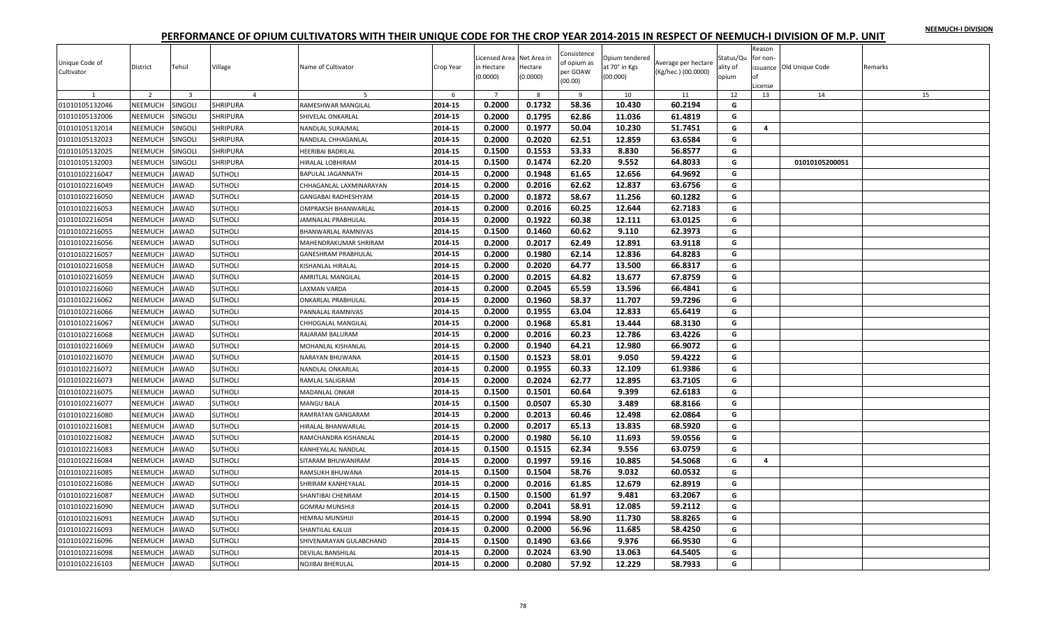|  |  | NEEMUCH-I DIVISION |
|--|--|--------------------|
|  |  |                    |

| 5<br>6<br>10<br>11<br>0.1732<br>0.2000<br>58.36<br>10.430<br>60.2194<br>01010105132046<br><b>NEEMUCH</b><br>SINGOLI<br><b>SHRIPURA</b><br>2014-15<br>RAMESHWAR MANGILAL<br>G<br>0.2000<br>0.1795<br>62.86<br>61.4819<br>01010105132006<br>NEEMUCH<br>SINGOLI<br>SHRIPURA<br>2014-15<br>11.036<br>G<br>SHIVELAL ONKARLAL<br>0.2000<br>0.1977<br>50.04<br>10.230<br>51.7451<br>NEEMUCH<br>2014-15<br>G<br>4<br>01010105132014<br>SINGOLI<br>SHRIPURA<br>NANDLAL SURAJMAL<br><b>NEEMUCH</b><br>2014-15<br>0.2020<br>62.51<br>01010105132023<br>SINGOLI<br><b>SHRIPURA</b><br>0.2000<br>12.859<br>63.6584<br>G<br>NANDLAL CHHAGANLAL<br>2014-15<br>0.1500<br>0.1553<br><b>NEEMUCH</b><br>SINGOLI<br>53.33<br>8.830<br>56.8577<br>G<br>01010105132025<br><b>SHRIPURA</b><br><b>HEERIBAI BADRILAL</b><br>62.20<br>9.552<br>NEEMUCH<br>SINGOLI<br>0.1500<br>0.1474<br>64.8033<br>G<br>01010105132003<br><b>SHRIPURA</b><br>2014-15<br>01010105200051<br><b>IIRALAL LOBHIRAM</b><br>2014-15<br>12.656<br>01010102216047<br>NEEMUCH<br><b>JAWAD</b><br><b>SUTHOLI</b><br>0.2000<br>0.1948<br>61.65<br>64.9692<br>G<br>BAPULAL JAGANNATH<br>0.2000<br>0.2016<br>62.62<br>12.837<br>01010102216049<br>NEEMUCH<br><b>AWAD</b><br><b>SUTHOLI</b><br>2014-15<br>63.6756<br>G<br>CHHAGANLAL LAXMINARAYAN<br>01010102216050<br><b>NEEMUCH</b><br><b>SUTHOLI</b><br>2014-15<br>0.2000<br>0.1872<br>58.67<br>11.256<br>60.1282<br>G<br><b>AWAD</b><br>GANGABAI RADHESHYAM<br>0.2000<br>01010102216053<br>NEEMUCH<br><b>JAWAD</b><br><b>SUTHOLI</b><br>2014-15<br>0.2016<br>60.25<br>12.644<br>62.7183<br>OMPRAKSH BHANWARLAL<br>G<br>0.2000<br>0.1922<br>NEEMUCH<br>AWAD<br><b>SUTHOLI</b><br>2014-15<br>60.38<br>12.111<br>63.0125<br>G<br>01010102216054<br>JAMNALAL PRABHULAL<br>0.1500<br>0.1460<br>60.62<br>2014-15<br>9.110<br>62.3973<br>G<br>01010102216055<br><b>NEEMUCH</b><br>AWAD<br><b>SUTHOLI</b><br><b>BHANWARLAL RAMNIVAS</b><br>NEEMUCH<br>2014-15<br>0.2000<br>0.2017<br>62.49<br>12.891<br>63.9118<br>G<br>01010102216056<br><b>AWAD</b><br><b>SUTHOLI</b><br>MAHENDRAKUMAR SHRIRAM<br>0.2000<br>0.1980<br>62.14<br>12.836<br>64.8283<br>NEEMUCH<br>2014-15<br>G<br>01010102216057<br>AWAD<br><b>SUTHOLI</b><br>GANESHRAM PRABHULAL<br>NEEMUCH<br>0.2020<br>64.77<br>01010102216058<br><b>JAWAD</b><br><b>SUTHOLI</b><br>2014-15<br>0.2000<br>13.500<br>66.8317<br>G<br>KISHANLAL HIRALAL<br>2014-15<br>0.2000<br>0.2015<br>64.82<br><b>NEEMUCH</b><br>13.677<br>67.8759<br>G<br>01010102216059<br><b>AWAD</b><br><b>SUTHOLI</b><br>AMRITLAL MANGILAL<br>NEEMUCH<br>0.2000<br>0.2045<br>65.59<br>13.596<br>66.4841<br>G<br>01010102216060<br>AWAD<br>SUTHOLI<br>2014-15<br>AXMAN VARDA<br>0.2000<br>0.1960<br>58.37<br>11.707<br>01010102216062<br>NEEMUCH<br><b>JAWAD</b><br><b>SUTHOLI</b><br>2014-15<br>59.7296<br>G<br>ONKARLAL PRABHULAL<br>0.2000<br>0.1955<br>63.04<br>12.833<br>65.6419<br>01010102216066<br>NEEMUCH<br><b>JAWAD</b><br><b>SUTHOLI</b><br>2014-15<br>G<br>PANNALAL RAMNIVAS<br>0.1968<br>01010102216067<br><b>NEEMUCH</b><br><b>AWAD</b><br><b>SUTHOLI</b><br>2014-15<br>0.2000<br>65.81<br>13.444<br>68.3130<br>G<br>CHHOGALAL MANGILAL<br>2014-15<br>0.2000<br>0.2016<br>60.23<br>12.786<br>63.4226<br>G<br>NEEMUCH<br><b>SUTHOLI</b><br>01010102216068<br><b>JAWAD</b><br>RAJARAM BALURAM<br>0.2000<br>0.1940<br>64.21<br>12.980<br>66.9072<br>NEEMUCH<br><b>AWAD</b><br>2014-15<br>G<br>01010102216069<br><b>SUTHOLI</b><br>MOHANLAL KISHANLAL<br>0.1500<br>0.1523<br><b>NEEMUCH</b><br>2014-15<br>58.01<br>9.050<br>59.4222<br>01010102216070<br><b>AWAD</b><br><b>SUTHOLI</b><br>NARAYAN BHUWANA<br>G<br><b>NEEMUCH</b><br>2014-15<br>0.2000<br>0.1955<br>60.33<br>12.109<br>61.9386<br>G<br>01010102216072<br><b>AWAD</b><br><b>SUTHOLI</b><br>NANDLAL ONKARLAL<br>0.2000<br>0.2024<br>62.77<br>12.895<br>63.7105<br>NEEMUCH<br>RAMLAL SALIGRAM<br>2014-15<br>G<br>01010102216073<br>AWAD<br><b>SUTHOLI</b><br>NEEMUCH<br>2014-15<br>0.1500<br>0.1501<br>01010102216075<br><b>AWAD</b><br><b>SUTHOLI</b><br>60.64<br>9.399<br>62.6183<br>G<br>MADANLAL ONKAR<br>0.1500<br>0.0507<br>01010102216077<br><b>NEEMUCH</b><br><b>JAWAD</b><br><b>SUTHOLI</b><br>2014-15<br>65.30<br>3.489<br>68.8166<br>G<br><b>MANGU BALA</b><br>60.46<br>NEEMUCH<br>0.2000<br>0.2013<br>12.498<br>62.0864<br>G<br>01010102216080<br><b>JAWAD</b><br><b>SUTHOLI</b><br>2014-15<br>RAMRATAN GANGARAM<br>2014-15<br>0.2017<br>13.835<br>01010102216081<br>NEEMUCH<br><b>JAWAD</b><br><b>SUTHOLI</b><br>0.2000<br>65.13<br>68.5920<br>G<br>HIRALAL BHANWARLAL<br>0.2000<br>2014-15<br>0.1980<br>56.10<br>11.693<br>59.0556<br>G<br>01010102216082<br>NEEMUCH<br><b>AWAD</b><br><b>SUTHOLI</b><br>RAMCHANDRA KISHANLAL<br>01010102216083<br><b>NEEMUCH</b><br><b>SUTHOLI</b><br>2014-15<br>0.1500<br>0.1515<br>62.34<br>9.556<br>63.0759<br>G<br><b>AWAD</b><br>KANHEYALAL NANDLAL<br>0.2000<br>2014-15<br>0.1997<br>59.16<br>10.885<br>54.5068<br>01010102216084<br>NEEMUCH<br><b>JAWAD</b><br><b>SUTHOLI</b><br>G<br>SITARAM BHUWANIRAM<br>4<br>0.1500<br>0.1504<br>58.76<br>9.032<br>NEEMUCH<br>2014-15<br>60.0532<br>G<br>01010102216085<br><b>AWAD</b><br><b>SUTHOLI</b><br>RAMSUKH BHUWANA<br>0.2016<br>2014-15<br>0.2000<br>61.85<br>12.679<br>62.8919<br>01010102216086<br>NEEMUCH<br><b>AWAD</b><br><b>SUTHOLI</b><br>SHRIRAM KANHEYALAL<br>G<br>0.1500<br>01010102216087<br>NEEMUCH<br><b>SUTHOLI</b><br>2014-15<br>0.1500<br>61.97<br>9.481<br>63.2067<br>G<br><b>AWAD</b><br>SHANTIBAI CHENRAM<br>NEEMUCH<br>0.2000<br>0.2041<br>58.91<br>12.085<br>59.2112<br>01010102216090<br><b>JAWAD</b><br><b>SUTHOLI</b><br>2014-15<br>G<br>GOMRAJ MUNSHIJI<br>NEEMUCH<br>0.1994<br>58.90<br><b>JAWAD</b><br><b>SUTHOLI</b><br>2014-15<br>0.2000<br>11.730<br>58.8265<br>G<br>01010102216091<br><b>IEMRAJ MUNSHIJI</b><br>0.2000<br>01010102216093<br>NEEMUCH<br><b>AWAD</b><br><b>SUTHOLI</b><br>2014-15<br>0.2000<br>56.96<br>11.685<br>58.4250<br>G<br>SHANTILAL KALUJI<br>0.1500<br>0.1490<br>63.66<br>9.976<br>66.9530<br>G<br>NEEMUCH<br>2014-15<br>01010102216096<br><b>AWAD</b><br><b>SUTHOLI</b><br>SHIVENARAYAN GULABCHAND<br>0.2024<br>13.063<br>01010102216098<br>NEEMUCH<br><b>JAWAD</b><br><b>SUTHOLI</b><br>2014-15<br>0.2000<br>63.90<br>64.5405<br>G<br>DEVILAL BANSHILAL<br>2014-15<br>0.2000<br>0.2080<br>57.92<br>12.229<br>G<br><b>NEEMUCH</b><br>58.7933<br>01010102216103<br><b>JAWAD</b><br><b>SUTHOLI</b><br><b>NOJIBAI BHERULAL</b> | Unique Code of<br>Cultivator | District       | Tehsil                  | Village        | Name of Cultivator | Crop Year | Licensed Area Net Area in<br>in Hectare<br>(0.0000) | Hectare<br>(0.0000) | Consistence<br>of opium as<br>per GOAW<br>(00.00) | Opium tendered<br>at 70° in Kgs<br>(00.000) | Average per hectare<br>(Kg/hec.) (00.0000) | Status/Qu<br>ality of<br>opium | Reason<br>for non-<br>оf<br>License | issuance Old Unique Code | Remarks |
|-------------------------------------------------------------------------------------------------------------------------------------------------------------------------------------------------------------------------------------------------------------------------------------------------------------------------------------------------------------------------------------------------------------------------------------------------------------------------------------------------------------------------------------------------------------------------------------------------------------------------------------------------------------------------------------------------------------------------------------------------------------------------------------------------------------------------------------------------------------------------------------------------------------------------------------------------------------------------------------------------------------------------------------------------------------------------------------------------------------------------------------------------------------------------------------------------------------------------------------------------------------------------------------------------------------------------------------------------------------------------------------------------------------------------------------------------------------------------------------------------------------------------------------------------------------------------------------------------------------------------------------------------------------------------------------------------------------------------------------------------------------------------------------------------------------------------------------------------------------------------------------------------------------------------------------------------------------------------------------------------------------------------------------------------------------------------------------------------------------------------------------------------------------------------------------------------------------------------------------------------------------------------------------------------------------------------------------------------------------------------------------------------------------------------------------------------------------------------------------------------------------------------------------------------------------------------------------------------------------------------------------------------------------------------------------------------------------------------------------------------------------------------------------------------------------------------------------------------------------------------------------------------------------------------------------------------------------------------------------------------------------------------------------------------------------------------------------------------------------------------------------------------------------------------------------------------------------------------------------------------------------------------------------------------------------------------------------------------------------------------------------------------------------------------------------------------------------------------------------------------------------------------------------------------------------------------------------------------------------------------------------------------------------------------------------------------------------------------------------------------------------------------------------------------------------------------------------------------------------------------------------------------------------------------------------------------------------------------------------------------------------------------------------------------------------------------------------------------------------------------------------------------------------------------------------------------------------------------------------------------------------------------------------------------------------------------------------------------------------------------------------------------------------------------------------------------------------------------------------------------------------------------------------------------------------------------------------------------------------------------------------------------------------------------------------------------------------------------------------------------------------------------------------------------------------------------------------------------------------------------------------------------------------------------------------------------------------------------------------------------------------------------------------------------------------------------------------------------------------------------------------------------------------------------------------------------------------------------------------------------------------------------------------------------------------------------------------------------------------------------------------------------------------------------------------------------------------------------------------------------------------------------------------------------------------------------------------------------------------------------------------------------------------------------------------------------------------------------------------------------------------------------------------------------------------------------------------------------------------------------------------------------------------------------------------------------------------------------------------------------------------------------------------------------------------------------------------------------------------------------------------------------------------------------------------------------------------------------------------------------------------------------------------------------------------------------------------------------------------------------------------------------------------------------------------------------------------------------|------------------------------|----------------|-------------------------|----------------|--------------------|-----------|-----------------------------------------------------|---------------------|---------------------------------------------------|---------------------------------------------|--------------------------------------------|--------------------------------|-------------------------------------|--------------------------|---------|
|                                                                                                                                                                                                                                                                                                                                                                                                                                                                                                                                                                                                                                                                                                                                                                                                                                                                                                                                                                                                                                                                                                                                                                                                                                                                                                                                                                                                                                                                                                                                                                                                                                                                                                                                                                                                                                                                                                                                                                                                                                                                                                                                                                                                                                                                                                                                                                                                                                                                                                                                                                                                                                                                                                                                                                                                                                                                                                                                                                                                                                                                                                                                                                                                                                                                                                                                                                                                                                                                                                                                                                                                                                                                                                                                                                                                                                                                                                                                                                                                                                                                                                                                                                                                                                                                                                                                                                                                                                                                                                                                                                                                                                                                                                                                                                                                                                                                                                                                                                                                                                                                                                                                                                                                                                                                                                                                                                                                                                                                                                                                                                                                                                                                                                                                                                                                                                                                                                                                                                                                                                                                                                                                                                                                                                                                                                                                                                                                                                                                         |                              | $\overline{z}$ | $\overline{\mathbf{3}}$ | $\overline{4}$ |                    |           | $\overline{7}$                                      | 8                   | $\overline{9}$                                    |                                             |                                            | 12                             | 13                                  | 14                       | 15      |
|                                                                                                                                                                                                                                                                                                                                                                                                                                                                                                                                                                                                                                                                                                                                                                                                                                                                                                                                                                                                                                                                                                                                                                                                                                                                                                                                                                                                                                                                                                                                                                                                                                                                                                                                                                                                                                                                                                                                                                                                                                                                                                                                                                                                                                                                                                                                                                                                                                                                                                                                                                                                                                                                                                                                                                                                                                                                                                                                                                                                                                                                                                                                                                                                                                                                                                                                                                                                                                                                                                                                                                                                                                                                                                                                                                                                                                                                                                                                                                                                                                                                                                                                                                                                                                                                                                                                                                                                                                                                                                                                                                                                                                                                                                                                                                                                                                                                                                                                                                                                                                                                                                                                                                                                                                                                                                                                                                                                                                                                                                                                                                                                                                                                                                                                                                                                                                                                                                                                                                                                                                                                                                                                                                                                                                                                                                                                                                                                                                                                         |                              |                |                         |                |                    |           |                                                     |                     |                                                   |                                             |                                            |                                |                                     |                          |         |
|                                                                                                                                                                                                                                                                                                                                                                                                                                                                                                                                                                                                                                                                                                                                                                                                                                                                                                                                                                                                                                                                                                                                                                                                                                                                                                                                                                                                                                                                                                                                                                                                                                                                                                                                                                                                                                                                                                                                                                                                                                                                                                                                                                                                                                                                                                                                                                                                                                                                                                                                                                                                                                                                                                                                                                                                                                                                                                                                                                                                                                                                                                                                                                                                                                                                                                                                                                                                                                                                                                                                                                                                                                                                                                                                                                                                                                                                                                                                                                                                                                                                                                                                                                                                                                                                                                                                                                                                                                                                                                                                                                                                                                                                                                                                                                                                                                                                                                                                                                                                                                                                                                                                                                                                                                                                                                                                                                                                                                                                                                                                                                                                                                                                                                                                                                                                                                                                                                                                                                                                                                                                                                                                                                                                                                                                                                                                                                                                                                                                         |                              |                |                         |                |                    |           |                                                     |                     |                                                   |                                             |                                            |                                |                                     |                          |         |
|                                                                                                                                                                                                                                                                                                                                                                                                                                                                                                                                                                                                                                                                                                                                                                                                                                                                                                                                                                                                                                                                                                                                                                                                                                                                                                                                                                                                                                                                                                                                                                                                                                                                                                                                                                                                                                                                                                                                                                                                                                                                                                                                                                                                                                                                                                                                                                                                                                                                                                                                                                                                                                                                                                                                                                                                                                                                                                                                                                                                                                                                                                                                                                                                                                                                                                                                                                                                                                                                                                                                                                                                                                                                                                                                                                                                                                                                                                                                                                                                                                                                                                                                                                                                                                                                                                                                                                                                                                                                                                                                                                                                                                                                                                                                                                                                                                                                                                                                                                                                                                                                                                                                                                                                                                                                                                                                                                                                                                                                                                                                                                                                                                                                                                                                                                                                                                                                                                                                                                                                                                                                                                                                                                                                                                                                                                                                                                                                                                                                         |                              |                |                         |                |                    |           |                                                     |                     |                                                   |                                             |                                            |                                |                                     |                          |         |
|                                                                                                                                                                                                                                                                                                                                                                                                                                                                                                                                                                                                                                                                                                                                                                                                                                                                                                                                                                                                                                                                                                                                                                                                                                                                                                                                                                                                                                                                                                                                                                                                                                                                                                                                                                                                                                                                                                                                                                                                                                                                                                                                                                                                                                                                                                                                                                                                                                                                                                                                                                                                                                                                                                                                                                                                                                                                                                                                                                                                                                                                                                                                                                                                                                                                                                                                                                                                                                                                                                                                                                                                                                                                                                                                                                                                                                                                                                                                                                                                                                                                                                                                                                                                                                                                                                                                                                                                                                                                                                                                                                                                                                                                                                                                                                                                                                                                                                                                                                                                                                                                                                                                                                                                                                                                                                                                                                                                                                                                                                                                                                                                                                                                                                                                                                                                                                                                                                                                                                                                                                                                                                                                                                                                                                                                                                                                                                                                                                                                         |                              |                |                         |                |                    |           |                                                     |                     |                                                   |                                             |                                            |                                |                                     |                          |         |
|                                                                                                                                                                                                                                                                                                                                                                                                                                                                                                                                                                                                                                                                                                                                                                                                                                                                                                                                                                                                                                                                                                                                                                                                                                                                                                                                                                                                                                                                                                                                                                                                                                                                                                                                                                                                                                                                                                                                                                                                                                                                                                                                                                                                                                                                                                                                                                                                                                                                                                                                                                                                                                                                                                                                                                                                                                                                                                                                                                                                                                                                                                                                                                                                                                                                                                                                                                                                                                                                                                                                                                                                                                                                                                                                                                                                                                                                                                                                                                                                                                                                                                                                                                                                                                                                                                                                                                                                                                                                                                                                                                                                                                                                                                                                                                                                                                                                                                                                                                                                                                                                                                                                                                                                                                                                                                                                                                                                                                                                                                                                                                                                                                                                                                                                                                                                                                                                                                                                                                                                                                                                                                                                                                                                                                                                                                                                                                                                                                                                         |                              |                |                         |                |                    |           |                                                     |                     |                                                   |                                             |                                            |                                |                                     |                          |         |
|                                                                                                                                                                                                                                                                                                                                                                                                                                                                                                                                                                                                                                                                                                                                                                                                                                                                                                                                                                                                                                                                                                                                                                                                                                                                                                                                                                                                                                                                                                                                                                                                                                                                                                                                                                                                                                                                                                                                                                                                                                                                                                                                                                                                                                                                                                                                                                                                                                                                                                                                                                                                                                                                                                                                                                                                                                                                                                                                                                                                                                                                                                                                                                                                                                                                                                                                                                                                                                                                                                                                                                                                                                                                                                                                                                                                                                                                                                                                                                                                                                                                                                                                                                                                                                                                                                                                                                                                                                                                                                                                                                                                                                                                                                                                                                                                                                                                                                                                                                                                                                                                                                                                                                                                                                                                                                                                                                                                                                                                                                                                                                                                                                                                                                                                                                                                                                                                                                                                                                                                                                                                                                                                                                                                                                                                                                                                                                                                                                                                         |                              |                |                         |                |                    |           |                                                     |                     |                                                   |                                             |                                            |                                |                                     |                          |         |
|                                                                                                                                                                                                                                                                                                                                                                                                                                                                                                                                                                                                                                                                                                                                                                                                                                                                                                                                                                                                                                                                                                                                                                                                                                                                                                                                                                                                                                                                                                                                                                                                                                                                                                                                                                                                                                                                                                                                                                                                                                                                                                                                                                                                                                                                                                                                                                                                                                                                                                                                                                                                                                                                                                                                                                                                                                                                                                                                                                                                                                                                                                                                                                                                                                                                                                                                                                                                                                                                                                                                                                                                                                                                                                                                                                                                                                                                                                                                                                                                                                                                                                                                                                                                                                                                                                                                                                                                                                                                                                                                                                                                                                                                                                                                                                                                                                                                                                                                                                                                                                                                                                                                                                                                                                                                                                                                                                                                                                                                                                                                                                                                                                                                                                                                                                                                                                                                                                                                                                                                                                                                                                                                                                                                                                                                                                                                                                                                                                                                         |                              |                |                         |                |                    |           |                                                     |                     |                                                   |                                             |                                            |                                |                                     |                          |         |
|                                                                                                                                                                                                                                                                                                                                                                                                                                                                                                                                                                                                                                                                                                                                                                                                                                                                                                                                                                                                                                                                                                                                                                                                                                                                                                                                                                                                                                                                                                                                                                                                                                                                                                                                                                                                                                                                                                                                                                                                                                                                                                                                                                                                                                                                                                                                                                                                                                                                                                                                                                                                                                                                                                                                                                                                                                                                                                                                                                                                                                                                                                                                                                                                                                                                                                                                                                                                                                                                                                                                                                                                                                                                                                                                                                                                                                                                                                                                                                                                                                                                                                                                                                                                                                                                                                                                                                                                                                                                                                                                                                                                                                                                                                                                                                                                                                                                                                                                                                                                                                                                                                                                                                                                                                                                                                                                                                                                                                                                                                                                                                                                                                                                                                                                                                                                                                                                                                                                                                                                                                                                                                                                                                                                                                                                                                                                                                                                                                                                         |                              |                |                         |                |                    |           |                                                     |                     |                                                   |                                             |                                            |                                |                                     |                          |         |
|                                                                                                                                                                                                                                                                                                                                                                                                                                                                                                                                                                                                                                                                                                                                                                                                                                                                                                                                                                                                                                                                                                                                                                                                                                                                                                                                                                                                                                                                                                                                                                                                                                                                                                                                                                                                                                                                                                                                                                                                                                                                                                                                                                                                                                                                                                                                                                                                                                                                                                                                                                                                                                                                                                                                                                                                                                                                                                                                                                                                                                                                                                                                                                                                                                                                                                                                                                                                                                                                                                                                                                                                                                                                                                                                                                                                                                                                                                                                                                                                                                                                                                                                                                                                                                                                                                                                                                                                                                                                                                                                                                                                                                                                                                                                                                                                                                                                                                                                                                                                                                                                                                                                                                                                                                                                                                                                                                                                                                                                                                                                                                                                                                                                                                                                                                                                                                                                                                                                                                                                                                                                                                                                                                                                                                                                                                                                                                                                                                                                         |                              |                |                         |                |                    |           |                                                     |                     |                                                   |                                             |                                            |                                |                                     |                          |         |
|                                                                                                                                                                                                                                                                                                                                                                                                                                                                                                                                                                                                                                                                                                                                                                                                                                                                                                                                                                                                                                                                                                                                                                                                                                                                                                                                                                                                                                                                                                                                                                                                                                                                                                                                                                                                                                                                                                                                                                                                                                                                                                                                                                                                                                                                                                                                                                                                                                                                                                                                                                                                                                                                                                                                                                                                                                                                                                                                                                                                                                                                                                                                                                                                                                                                                                                                                                                                                                                                                                                                                                                                                                                                                                                                                                                                                                                                                                                                                                                                                                                                                                                                                                                                                                                                                                                                                                                                                                                                                                                                                                                                                                                                                                                                                                                                                                                                                                                                                                                                                                                                                                                                                                                                                                                                                                                                                                                                                                                                                                                                                                                                                                                                                                                                                                                                                                                                                                                                                                                                                                                                                                                                                                                                                                                                                                                                                                                                                                                                         |                              |                |                         |                |                    |           |                                                     |                     |                                                   |                                             |                                            |                                |                                     |                          |         |
|                                                                                                                                                                                                                                                                                                                                                                                                                                                                                                                                                                                                                                                                                                                                                                                                                                                                                                                                                                                                                                                                                                                                                                                                                                                                                                                                                                                                                                                                                                                                                                                                                                                                                                                                                                                                                                                                                                                                                                                                                                                                                                                                                                                                                                                                                                                                                                                                                                                                                                                                                                                                                                                                                                                                                                                                                                                                                                                                                                                                                                                                                                                                                                                                                                                                                                                                                                                                                                                                                                                                                                                                                                                                                                                                                                                                                                                                                                                                                                                                                                                                                                                                                                                                                                                                                                                                                                                                                                                                                                                                                                                                                                                                                                                                                                                                                                                                                                                                                                                                                                                                                                                                                                                                                                                                                                                                                                                                                                                                                                                                                                                                                                                                                                                                                                                                                                                                                                                                                                                                                                                                                                                                                                                                                                                                                                                                                                                                                                                                         |                              |                |                         |                |                    |           |                                                     |                     |                                                   |                                             |                                            |                                |                                     |                          |         |
|                                                                                                                                                                                                                                                                                                                                                                                                                                                                                                                                                                                                                                                                                                                                                                                                                                                                                                                                                                                                                                                                                                                                                                                                                                                                                                                                                                                                                                                                                                                                                                                                                                                                                                                                                                                                                                                                                                                                                                                                                                                                                                                                                                                                                                                                                                                                                                                                                                                                                                                                                                                                                                                                                                                                                                                                                                                                                                                                                                                                                                                                                                                                                                                                                                                                                                                                                                                                                                                                                                                                                                                                                                                                                                                                                                                                                                                                                                                                                                                                                                                                                                                                                                                                                                                                                                                                                                                                                                                                                                                                                                                                                                                                                                                                                                                                                                                                                                                                                                                                                                                                                                                                                                                                                                                                                                                                                                                                                                                                                                                                                                                                                                                                                                                                                                                                                                                                                                                                                                                                                                                                                                                                                                                                                                                                                                                                                                                                                                                                         |                              |                |                         |                |                    |           |                                                     |                     |                                                   |                                             |                                            |                                |                                     |                          |         |
|                                                                                                                                                                                                                                                                                                                                                                                                                                                                                                                                                                                                                                                                                                                                                                                                                                                                                                                                                                                                                                                                                                                                                                                                                                                                                                                                                                                                                                                                                                                                                                                                                                                                                                                                                                                                                                                                                                                                                                                                                                                                                                                                                                                                                                                                                                                                                                                                                                                                                                                                                                                                                                                                                                                                                                                                                                                                                                                                                                                                                                                                                                                                                                                                                                                                                                                                                                                                                                                                                                                                                                                                                                                                                                                                                                                                                                                                                                                                                                                                                                                                                                                                                                                                                                                                                                                                                                                                                                                                                                                                                                                                                                                                                                                                                                                                                                                                                                                                                                                                                                                                                                                                                                                                                                                                                                                                                                                                                                                                                                                                                                                                                                                                                                                                                                                                                                                                                                                                                                                                                                                                                                                                                                                                                                                                                                                                                                                                                                                                         |                              |                |                         |                |                    |           |                                                     |                     |                                                   |                                             |                                            |                                |                                     |                          |         |
|                                                                                                                                                                                                                                                                                                                                                                                                                                                                                                                                                                                                                                                                                                                                                                                                                                                                                                                                                                                                                                                                                                                                                                                                                                                                                                                                                                                                                                                                                                                                                                                                                                                                                                                                                                                                                                                                                                                                                                                                                                                                                                                                                                                                                                                                                                                                                                                                                                                                                                                                                                                                                                                                                                                                                                                                                                                                                                                                                                                                                                                                                                                                                                                                                                                                                                                                                                                                                                                                                                                                                                                                                                                                                                                                                                                                                                                                                                                                                                                                                                                                                                                                                                                                                                                                                                                                                                                                                                                                                                                                                                                                                                                                                                                                                                                                                                                                                                                                                                                                                                                                                                                                                                                                                                                                                                                                                                                                                                                                                                                                                                                                                                                                                                                                                                                                                                                                                                                                                                                                                                                                                                                                                                                                                                                                                                                                                                                                                                                                         |                              |                |                         |                |                    |           |                                                     |                     |                                                   |                                             |                                            |                                |                                     |                          |         |
|                                                                                                                                                                                                                                                                                                                                                                                                                                                                                                                                                                                                                                                                                                                                                                                                                                                                                                                                                                                                                                                                                                                                                                                                                                                                                                                                                                                                                                                                                                                                                                                                                                                                                                                                                                                                                                                                                                                                                                                                                                                                                                                                                                                                                                                                                                                                                                                                                                                                                                                                                                                                                                                                                                                                                                                                                                                                                                                                                                                                                                                                                                                                                                                                                                                                                                                                                                                                                                                                                                                                                                                                                                                                                                                                                                                                                                                                                                                                                                                                                                                                                                                                                                                                                                                                                                                                                                                                                                                                                                                                                                                                                                                                                                                                                                                                                                                                                                                                                                                                                                                                                                                                                                                                                                                                                                                                                                                                                                                                                                                                                                                                                                                                                                                                                                                                                                                                                                                                                                                                                                                                                                                                                                                                                                                                                                                                                                                                                                                                         |                              |                |                         |                |                    |           |                                                     |                     |                                                   |                                             |                                            |                                |                                     |                          |         |
|                                                                                                                                                                                                                                                                                                                                                                                                                                                                                                                                                                                                                                                                                                                                                                                                                                                                                                                                                                                                                                                                                                                                                                                                                                                                                                                                                                                                                                                                                                                                                                                                                                                                                                                                                                                                                                                                                                                                                                                                                                                                                                                                                                                                                                                                                                                                                                                                                                                                                                                                                                                                                                                                                                                                                                                                                                                                                                                                                                                                                                                                                                                                                                                                                                                                                                                                                                                                                                                                                                                                                                                                                                                                                                                                                                                                                                                                                                                                                                                                                                                                                                                                                                                                                                                                                                                                                                                                                                                                                                                                                                                                                                                                                                                                                                                                                                                                                                                                                                                                                                                                                                                                                                                                                                                                                                                                                                                                                                                                                                                                                                                                                                                                                                                                                                                                                                                                                                                                                                                                                                                                                                                                                                                                                                                                                                                                                                                                                                                                         |                              |                |                         |                |                    |           |                                                     |                     |                                                   |                                             |                                            |                                |                                     |                          |         |
|                                                                                                                                                                                                                                                                                                                                                                                                                                                                                                                                                                                                                                                                                                                                                                                                                                                                                                                                                                                                                                                                                                                                                                                                                                                                                                                                                                                                                                                                                                                                                                                                                                                                                                                                                                                                                                                                                                                                                                                                                                                                                                                                                                                                                                                                                                                                                                                                                                                                                                                                                                                                                                                                                                                                                                                                                                                                                                                                                                                                                                                                                                                                                                                                                                                                                                                                                                                                                                                                                                                                                                                                                                                                                                                                                                                                                                                                                                                                                                                                                                                                                                                                                                                                                                                                                                                                                                                                                                                                                                                                                                                                                                                                                                                                                                                                                                                                                                                                                                                                                                                                                                                                                                                                                                                                                                                                                                                                                                                                                                                                                                                                                                                                                                                                                                                                                                                                                                                                                                                                                                                                                                                                                                                                                                                                                                                                                                                                                                                                         |                              |                |                         |                |                    |           |                                                     |                     |                                                   |                                             |                                            |                                |                                     |                          |         |
|                                                                                                                                                                                                                                                                                                                                                                                                                                                                                                                                                                                                                                                                                                                                                                                                                                                                                                                                                                                                                                                                                                                                                                                                                                                                                                                                                                                                                                                                                                                                                                                                                                                                                                                                                                                                                                                                                                                                                                                                                                                                                                                                                                                                                                                                                                                                                                                                                                                                                                                                                                                                                                                                                                                                                                                                                                                                                                                                                                                                                                                                                                                                                                                                                                                                                                                                                                                                                                                                                                                                                                                                                                                                                                                                                                                                                                                                                                                                                                                                                                                                                                                                                                                                                                                                                                                                                                                                                                                                                                                                                                                                                                                                                                                                                                                                                                                                                                                                                                                                                                                                                                                                                                                                                                                                                                                                                                                                                                                                                                                                                                                                                                                                                                                                                                                                                                                                                                                                                                                                                                                                                                                                                                                                                                                                                                                                                                                                                                                                         |                              |                |                         |                |                    |           |                                                     |                     |                                                   |                                             |                                            |                                |                                     |                          |         |
|                                                                                                                                                                                                                                                                                                                                                                                                                                                                                                                                                                                                                                                                                                                                                                                                                                                                                                                                                                                                                                                                                                                                                                                                                                                                                                                                                                                                                                                                                                                                                                                                                                                                                                                                                                                                                                                                                                                                                                                                                                                                                                                                                                                                                                                                                                                                                                                                                                                                                                                                                                                                                                                                                                                                                                                                                                                                                                                                                                                                                                                                                                                                                                                                                                                                                                                                                                                                                                                                                                                                                                                                                                                                                                                                                                                                                                                                                                                                                                                                                                                                                                                                                                                                                                                                                                                                                                                                                                                                                                                                                                                                                                                                                                                                                                                                                                                                                                                                                                                                                                                                                                                                                                                                                                                                                                                                                                                                                                                                                                                                                                                                                                                                                                                                                                                                                                                                                                                                                                                                                                                                                                                                                                                                                                                                                                                                                                                                                                                                         |                              |                |                         |                |                    |           |                                                     |                     |                                                   |                                             |                                            |                                |                                     |                          |         |
|                                                                                                                                                                                                                                                                                                                                                                                                                                                                                                                                                                                                                                                                                                                                                                                                                                                                                                                                                                                                                                                                                                                                                                                                                                                                                                                                                                                                                                                                                                                                                                                                                                                                                                                                                                                                                                                                                                                                                                                                                                                                                                                                                                                                                                                                                                                                                                                                                                                                                                                                                                                                                                                                                                                                                                                                                                                                                                                                                                                                                                                                                                                                                                                                                                                                                                                                                                                                                                                                                                                                                                                                                                                                                                                                                                                                                                                                                                                                                                                                                                                                                                                                                                                                                                                                                                                                                                                                                                                                                                                                                                                                                                                                                                                                                                                                                                                                                                                                                                                                                                                                                                                                                                                                                                                                                                                                                                                                                                                                                                                                                                                                                                                                                                                                                                                                                                                                                                                                                                                                                                                                                                                                                                                                                                                                                                                                                                                                                                                                         |                              |                |                         |                |                    |           |                                                     |                     |                                                   |                                             |                                            |                                |                                     |                          |         |
|                                                                                                                                                                                                                                                                                                                                                                                                                                                                                                                                                                                                                                                                                                                                                                                                                                                                                                                                                                                                                                                                                                                                                                                                                                                                                                                                                                                                                                                                                                                                                                                                                                                                                                                                                                                                                                                                                                                                                                                                                                                                                                                                                                                                                                                                                                                                                                                                                                                                                                                                                                                                                                                                                                                                                                                                                                                                                                                                                                                                                                                                                                                                                                                                                                                                                                                                                                                                                                                                                                                                                                                                                                                                                                                                                                                                                                                                                                                                                                                                                                                                                                                                                                                                                                                                                                                                                                                                                                                                                                                                                                                                                                                                                                                                                                                                                                                                                                                                                                                                                                                                                                                                                                                                                                                                                                                                                                                                                                                                                                                                                                                                                                                                                                                                                                                                                                                                                                                                                                                                                                                                                                                                                                                                                                                                                                                                                                                                                                                                         |                              |                |                         |                |                    |           |                                                     |                     |                                                   |                                             |                                            |                                |                                     |                          |         |
|                                                                                                                                                                                                                                                                                                                                                                                                                                                                                                                                                                                                                                                                                                                                                                                                                                                                                                                                                                                                                                                                                                                                                                                                                                                                                                                                                                                                                                                                                                                                                                                                                                                                                                                                                                                                                                                                                                                                                                                                                                                                                                                                                                                                                                                                                                                                                                                                                                                                                                                                                                                                                                                                                                                                                                                                                                                                                                                                                                                                                                                                                                                                                                                                                                                                                                                                                                                                                                                                                                                                                                                                                                                                                                                                                                                                                                                                                                                                                                                                                                                                                                                                                                                                                                                                                                                                                                                                                                                                                                                                                                                                                                                                                                                                                                                                                                                                                                                                                                                                                                                                                                                                                                                                                                                                                                                                                                                                                                                                                                                                                                                                                                                                                                                                                                                                                                                                                                                                                                                                                                                                                                                                                                                                                                                                                                                                                                                                                                                                         |                              |                |                         |                |                    |           |                                                     |                     |                                                   |                                             |                                            |                                |                                     |                          |         |
|                                                                                                                                                                                                                                                                                                                                                                                                                                                                                                                                                                                                                                                                                                                                                                                                                                                                                                                                                                                                                                                                                                                                                                                                                                                                                                                                                                                                                                                                                                                                                                                                                                                                                                                                                                                                                                                                                                                                                                                                                                                                                                                                                                                                                                                                                                                                                                                                                                                                                                                                                                                                                                                                                                                                                                                                                                                                                                                                                                                                                                                                                                                                                                                                                                                                                                                                                                                                                                                                                                                                                                                                                                                                                                                                                                                                                                                                                                                                                                                                                                                                                                                                                                                                                                                                                                                                                                                                                                                                                                                                                                                                                                                                                                                                                                                                                                                                                                                                                                                                                                                                                                                                                                                                                                                                                                                                                                                                                                                                                                                                                                                                                                                                                                                                                                                                                                                                                                                                                                                                                                                                                                                                                                                                                                                                                                                                                                                                                                                                         |                              |                |                         |                |                    |           |                                                     |                     |                                                   |                                             |                                            |                                |                                     |                          |         |
|                                                                                                                                                                                                                                                                                                                                                                                                                                                                                                                                                                                                                                                                                                                                                                                                                                                                                                                                                                                                                                                                                                                                                                                                                                                                                                                                                                                                                                                                                                                                                                                                                                                                                                                                                                                                                                                                                                                                                                                                                                                                                                                                                                                                                                                                                                                                                                                                                                                                                                                                                                                                                                                                                                                                                                                                                                                                                                                                                                                                                                                                                                                                                                                                                                                                                                                                                                                                                                                                                                                                                                                                                                                                                                                                                                                                                                                                                                                                                                                                                                                                                                                                                                                                                                                                                                                                                                                                                                                                                                                                                                                                                                                                                                                                                                                                                                                                                                                                                                                                                                                                                                                                                                                                                                                                                                                                                                                                                                                                                                                                                                                                                                                                                                                                                                                                                                                                                                                                                                                                                                                                                                                                                                                                                                                                                                                                                                                                                                                                         |                              |                |                         |                |                    |           |                                                     |                     |                                                   |                                             |                                            |                                |                                     |                          |         |
|                                                                                                                                                                                                                                                                                                                                                                                                                                                                                                                                                                                                                                                                                                                                                                                                                                                                                                                                                                                                                                                                                                                                                                                                                                                                                                                                                                                                                                                                                                                                                                                                                                                                                                                                                                                                                                                                                                                                                                                                                                                                                                                                                                                                                                                                                                                                                                                                                                                                                                                                                                                                                                                                                                                                                                                                                                                                                                                                                                                                                                                                                                                                                                                                                                                                                                                                                                                                                                                                                                                                                                                                                                                                                                                                                                                                                                                                                                                                                                                                                                                                                                                                                                                                                                                                                                                                                                                                                                                                                                                                                                                                                                                                                                                                                                                                                                                                                                                                                                                                                                                                                                                                                                                                                                                                                                                                                                                                                                                                                                                                                                                                                                                                                                                                                                                                                                                                                                                                                                                                                                                                                                                                                                                                                                                                                                                                                                                                                                                                         |                              |                |                         |                |                    |           |                                                     |                     |                                                   |                                             |                                            |                                |                                     |                          |         |
|                                                                                                                                                                                                                                                                                                                                                                                                                                                                                                                                                                                                                                                                                                                                                                                                                                                                                                                                                                                                                                                                                                                                                                                                                                                                                                                                                                                                                                                                                                                                                                                                                                                                                                                                                                                                                                                                                                                                                                                                                                                                                                                                                                                                                                                                                                                                                                                                                                                                                                                                                                                                                                                                                                                                                                                                                                                                                                                                                                                                                                                                                                                                                                                                                                                                                                                                                                                                                                                                                                                                                                                                                                                                                                                                                                                                                                                                                                                                                                                                                                                                                                                                                                                                                                                                                                                                                                                                                                                                                                                                                                                                                                                                                                                                                                                                                                                                                                                                                                                                                                                                                                                                                                                                                                                                                                                                                                                                                                                                                                                                                                                                                                                                                                                                                                                                                                                                                                                                                                                                                                                                                                                                                                                                                                                                                                                                                                                                                                                                         |                              |                |                         |                |                    |           |                                                     |                     |                                                   |                                             |                                            |                                |                                     |                          |         |
|                                                                                                                                                                                                                                                                                                                                                                                                                                                                                                                                                                                                                                                                                                                                                                                                                                                                                                                                                                                                                                                                                                                                                                                                                                                                                                                                                                                                                                                                                                                                                                                                                                                                                                                                                                                                                                                                                                                                                                                                                                                                                                                                                                                                                                                                                                                                                                                                                                                                                                                                                                                                                                                                                                                                                                                                                                                                                                                                                                                                                                                                                                                                                                                                                                                                                                                                                                                                                                                                                                                                                                                                                                                                                                                                                                                                                                                                                                                                                                                                                                                                                                                                                                                                                                                                                                                                                                                                                                                                                                                                                                                                                                                                                                                                                                                                                                                                                                                                                                                                                                                                                                                                                                                                                                                                                                                                                                                                                                                                                                                                                                                                                                                                                                                                                                                                                                                                                                                                                                                                                                                                                                                                                                                                                                                                                                                                                                                                                                                                         |                              |                |                         |                |                    |           |                                                     |                     |                                                   |                                             |                                            |                                |                                     |                          |         |
|                                                                                                                                                                                                                                                                                                                                                                                                                                                                                                                                                                                                                                                                                                                                                                                                                                                                                                                                                                                                                                                                                                                                                                                                                                                                                                                                                                                                                                                                                                                                                                                                                                                                                                                                                                                                                                                                                                                                                                                                                                                                                                                                                                                                                                                                                                                                                                                                                                                                                                                                                                                                                                                                                                                                                                                                                                                                                                                                                                                                                                                                                                                                                                                                                                                                                                                                                                                                                                                                                                                                                                                                                                                                                                                                                                                                                                                                                                                                                                                                                                                                                                                                                                                                                                                                                                                                                                                                                                                                                                                                                                                                                                                                                                                                                                                                                                                                                                                                                                                                                                                                                                                                                                                                                                                                                                                                                                                                                                                                                                                                                                                                                                                                                                                                                                                                                                                                                                                                                                                                                                                                                                                                                                                                                                                                                                                                                                                                                                                                         |                              |                |                         |                |                    |           |                                                     |                     |                                                   |                                             |                                            |                                |                                     |                          |         |
|                                                                                                                                                                                                                                                                                                                                                                                                                                                                                                                                                                                                                                                                                                                                                                                                                                                                                                                                                                                                                                                                                                                                                                                                                                                                                                                                                                                                                                                                                                                                                                                                                                                                                                                                                                                                                                                                                                                                                                                                                                                                                                                                                                                                                                                                                                                                                                                                                                                                                                                                                                                                                                                                                                                                                                                                                                                                                                                                                                                                                                                                                                                                                                                                                                                                                                                                                                                                                                                                                                                                                                                                                                                                                                                                                                                                                                                                                                                                                                                                                                                                                                                                                                                                                                                                                                                                                                                                                                                                                                                                                                                                                                                                                                                                                                                                                                                                                                                                                                                                                                                                                                                                                                                                                                                                                                                                                                                                                                                                                                                                                                                                                                                                                                                                                                                                                                                                                                                                                                                                                                                                                                                                                                                                                                                                                                                                                                                                                                                                         |                              |                |                         |                |                    |           |                                                     |                     |                                                   |                                             |                                            |                                |                                     |                          |         |
|                                                                                                                                                                                                                                                                                                                                                                                                                                                                                                                                                                                                                                                                                                                                                                                                                                                                                                                                                                                                                                                                                                                                                                                                                                                                                                                                                                                                                                                                                                                                                                                                                                                                                                                                                                                                                                                                                                                                                                                                                                                                                                                                                                                                                                                                                                                                                                                                                                                                                                                                                                                                                                                                                                                                                                                                                                                                                                                                                                                                                                                                                                                                                                                                                                                                                                                                                                                                                                                                                                                                                                                                                                                                                                                                                                                                                                                                                                                                                                                                                                                                                                                                                                                                                                                                                                                                                                                                                                                                                                                                                                                                                                                                                                                                                                                                                                                                                                                                                                                                                                                                                                                                                                                                                                                                                                                                                                                                                                                                                                                                                                                                                                                                                                                                                                                                                                                                                                                                                                                                                                                                                                                                                                                                                                                                                                                                                                                                                                                                         |                              |                |                         |                |                    |           |                                                     |                     |                                                   |                                             |                                            |                                |                                     |                          |         |
|                                                                                                                                                                                                                                                                                                                                                                                                                                                                                                                                                                                                                                                                                                                                                                                                                                                                                                                                                                                                                                                                                                                                                                                                                                                                                                                                                                                                                                                                                                                                                                                                                                                                                                                                                                                                                                                                                                                                                                                                                                                                                                                                                                                                                                                                                                                                                                                                                                                                                                                                                                                                                                                                                                                                                                                                                                                                                                                                                                                                                                                                                                                                                                                                                                                                                                                                                                                                                                                                                                                                                                                                                                                                                                                                                                                                                                                                                                                                                                                                                                                                                                                                                                                                                                                                                                                                                                                                                                                                                                                                                                                                                                                                                                                                                                                                                                                                                                                                                                                                                                                                                                                                                                                                                                                                                                                                                                                                                                                                                                                                                                                                                                                                                                                                                                                                                                                                                                                                                                                                                                                                                                                                                                                                                                                                                                                                                                                                                                                                         |                              |                |                         |                |                    |           |                                                     |                     |                                                   |                                             |                                            |                                |                                     |                          |         |
|                                                                                                                                                                                                                                                                                                                                                                                                                                                                                                                                                                                                                                                                                                                                                                                                                                                                                                                                                                                                                                                                                                                                                                                                                                                                                                                                                                                                                                                                                                                                                                                                                                                                                                                                                                                                                                                                                                                                                                                                                                                                                                                                                                                                                                                                                                                                                                                                                                                                                                                                                                                                                                                                                                                                                                                                                                                                                                                                                                                                                                                                                                                                                                                                                                                                                                                                                                                                                                                                                                                                                                                                                                                                                                                                                                                                                                                                                                                                                                                                                                                                                                                                                                                                                                                                                                                                                                                                                                                                                                                                                                                                                                                                                                                                                                                                                                                                                                                                                                                                                                                                                                                                                                                                                                                                                                                                                                                                                                                                                                                                                                                                                                                                                                                                                                                                                                                                                                                                                                                                                                                                                                                                                                                                                                                                                                                                                                                                                                                                         |                              |                |                         |                |                    |           |                                                     |                     |                                                   |                                             |                                            |                                |                                     |                          |         |
|                                                                                                                                                                                                                                                                                                                                                                                                                                                                                                                                                                                                                                                                                                                                                                                                                                                                                                                                                                                                                                                                                                                                                                                                                                                                                                                                                                                                                                                                                                                                                                                                                                                                                                                                                                                                                                                                                                                                                                                                                                                                                                                                                                                                                                                                                                                                                                                                                                                                                                                                                                                                                                                                                                                                                                                                                                                                                                                                                                                                                                                                                                                                                                                                                                                                                                                                                                                                                                                                                                                                                                                                                                                                                                                                                                                                                                                                                                                                                                                                                                                                                                                                                                                                                                                                                                                                                                                                                                                                                                                                                                                                                                                                                                                                                                                                                                                                                                                                                                                                                                                                                                                                                                                                                                                                                                                                                                                                                                                                                                                                                                                                                                                                                                                                                                                                                                                                                                                                                                                                                                                                                                                                                                                                                                                                                                                                                                                                                                                                         |                              |                |                         |                |                    |           |                                                     |                     |                                                   |                                             |                                            |                                |                                     |                          |         |
|                                                                                                                                                                                                                                                                                                                                                                                                                                                                                                                                                                                                                                                                                                                                                                                                                                                                                                                                                                                                                                                                                                                                                                                                                                                                                                                                                                                                                                                                                                                                                                                                                                                                                                                                                                                                                                                                                                                                                                                                                                                                                                                                                                                                                                                                                                                                                                                                                                                                                                                                                                                                                                                                                                                                                                                                                                                                                                                                                                                                                                                                                                                                                                                                                                                                                                                                                                                                                                                                                                                                                                                                                                                                                                                                                                                                                                                                                                                                                                                                                                                                                                                                                                                                                                                                                                                                                                                                                                                                                                                                                                                                                                                                                                                                                                                                                                                                                                                                                                                                                                                                                                                                                                                                                                                                                                                                                                                                                                                                                                                                                                                                                                                                                                                                                                                                                                                                                                                                                                                                                                                                                                                                                                                                                                                                                                                                                                                                                                                                         |                              |                |                         |                |                    |           |                                                     |                     |                                                   |                                             |                                            |                                |                                     |                          |         |
|                                                                                                                                                                                                                                                                                                                                                                                                                                                                                                                                                                                                                                                                                                                                                                                                                                                                                                                                                                                                                                                                                                                                                                                                                                                                                                                                                                                                                                                                                                                                                                                                                                                                                                                                                                                                                                                                                                                                                                                                                                                                                                                                                                                                                                                                                                                                                                                                                                                                                                                                                                                                                                                                                                                                                                                                                                                                                                                                                                                                                                                                                                                                                                                                                                                                                                                                                                                                                                                                                                                                                                                                                                                                                                                                                                                                                                                                                                                                                                                                                                                                                                                                                                                                                                                                                                                                                                                                                                                                                                                                                                                                                                                                                                                                                                                                                                                                                                                                                                                                                                                                                                                                                                                                                                                                                                                                                                                                                                                                                                                                                                                                                                                                                                                                                                                                                                                                                                                                                                                                                                                                                                                                                                                                                                                                                                                                                                                                                                                                         |                              |                |                         |                |                    |           |                                                     |                     |                                                   |                                             |                                            |                                |                                     |                          |         |
|                                                                                                                                                                                                                                                                                                                                                                                                                                                                                                                                                                                                                                                                                                                                                                                                                                                                                                                                                                                                                                                                                                                                                                                                                                                                                                                                                                                                                                                                                                                                                                                                                                                                                                                                                                                                                                                                                                                                                                                                                                                                                                                                                                                                                                                                                                                                                                                                                                                                                                                                                                                                                                                                                                                                                                                                                                                                                                                                                                                                                                                                                                                                                                                                                                                                                                                                                                                                                                                                                                                                                                                                                                                                                                                                                                                                                                                                                                                                                                                                                                                                                                                                                                                                                                                                                                                                                                                                                                                                                                                                                                                                                                                                                                                                                                                                                                                                                                                                                                                                                                                                                                                                                                                                                                                                                                                                                                                                                                                                                                                                                                                                                                                                                                                                                                                                                                                                                                                                                                                                                                                                                                                                                                                                                                                                                                                                                                                                                                                                         |                              |                |                         |                |                    |           |                                                     |                     |                                                   |                                             |                                            |                                |                                     |                          |         |
|                                                                                                                                                                                                                                                                                                                                                                                                                                                                                                                                                                                                                                                                                                                                                                                                                                                                                                                                                                                                                                                                                                                                                                                                                                                                                                                                                                                                                                                                                                                                                                                                                                                                                                                                                                                                                                                                                                                                                                                                                                                                                                                                                                                                                                                                                                                                                                                                                                                                                                                                                                                                                                                                                                                                                                                                                                                                                                                                                                                                                                                                                                                                                                                                                                                                                                                                                                                                                                                                                                                                                                                                                                                                                                                                                                                                                                                                                                                                                                                                                                                                                                                                                                                                                                                                                                                                                                                                                                                                                                                                                                                                                                                                                                                                                                                                                                                                                                                                                                                                                                                                                                                                                                                                                                                                                                                                                                                                                                                                                                                                                                                                                                                                                                                                                                                                                                                                                                                                                                                                                                                                                                                                                                                                                                                                                                                                                                                                                                                                         |                              |                |                         |                |                    |           |                                                     |                     |                                                   |                                             |                                            |                                |                                     |                          |         |
|                                                                                                                                                                                                                                                                                                                                                                                                                                                                                                                                                                                                                                                                                                                                                                                                                                                                                                                                                                                                                                                                                                                                                                                                                                                                                                                                                                                                                                                                                                                                                                                                                                                                                                                                                                                                                                                                                                                                                                                                                                                                                                                                                                                                                                                                                                                                                                                                                                                                                                                                                                                                                                                                                                                                                                                                                                                                                                                                                                                                                                                                                                                                                                                                                                                                                                                                                                                                                                                                                                                                                                                                                                                                                                                                                                                                                                                                                                                                                                                                                                                                                                                                                                                                                                                                                                                                                                                                                                                                                                                                                                                                                                                                                                                                                                                                                                                                                                                                                                                                                                                                                                                                                                                                                                                                                                                                                                                                                                                                                                                                                                                                                                                                                                                                                                                                                                                                                                                                                                                                                                                                                                                                                                                                                                                                                                                                                                                                                                                                         |                              |                |                         |                |                    |           |                                                     |                     |                                                   |                                             |                                            |                                |                                     |                          |         |
|                                                                                                                                                                                                                                                                                                                                                                                                                                                                                                                                                                                                                                                                                                                                                                                                                                                                                                                                                                                                                                                                                                                                                                                                                                                                                                                                                                                                                                                                                                                                                                                                                                                                                                                                                                                                                                                                                                                                                                                                                                                                                                                                                                                                                                                                                                                                                                                                                                                                                                                                                                                                                                                                                                                                                                                                                                                                                                                                                                                                                                                                                                                                                                                                                                                                                                                                                                                                                                                                                                                                                                                                                                                                                                                                                                                                                                                                                                                                                                                                                                                                                                                                                                                                                                                                                                                                                                                                                                                                                                                                                                                                                                                                                                                                                                                                                                                                                                                                                                                                                                                                                                                                                                                                                                                                                                                                                                                                                                                                                                                                                                                                                                                                                                                                                                                                                                                                                                                                                                                                                                                                                                                                                                                                                                                                                                                                                                                                                                                                         |                              |                |                         |                |                    |           |                                                     |                     |                                                   |                                             |                                            |                                |                                     |                          |         |
|                                                                                                                                                                                                                                                                                                                                                                                                                                                                                                                                                                                                                                                                                                                                                                                                                                                                                                                                                                                                                                                                                                                                                                                                                                                                                                                                                                                                                                                                                                                                                                                                                                                                                                                                                                                                                                                                                                                                                                                                                                                                                                                                                                                                                                                                                                                                                                                                                                                                                                                                                                                                                                                                                                                                                                                                                                                                                                                                                                                                                                                                                                                                                                                                                                                                                                                                                                                                                                                                                                                                                                                                                                                                                                                                                                                                                                                                                                                                                                                                                                                                                                                                                                                                                                                                                                                                                                                                                                                                                                                                                                                                                                                                                                                                                                                                                                                                                                                                                                                                                                                                                                                                                                                                                                                                                                                                                                                                                                                                                                                                                                                                                                                                                                                                                                                                                                                                                                                                                                                                                                                                                                                                                                                                                                                                                                                                                                                                                                                                         |                              |                |                         |                |                    |           |                                                     |                     |                                                   |                                             |                                            |                                |                                     |                          |         |
|                                                                                                                                                                                                                                                                                                                                                                                                                                                                                                                                                                                                                                                                                                                                                                                                                                                                                                                                                                                                                                                                                                                                                                                                                                                                                                                                                                                                                                                                                                                                                                                                                                                                                                                                                                                                                                                                                                                                                                                                                                                                                                                                                                                                                                                                                                                                                                                                                                                                                                                                                                                                                                                                                                                                                                                                                                                                                                                                                                                                                                                                                                                                                                                                                                                                                                                                                                                                                                                                                                                                                                                                                                                                                                                                                                                                                                                                                                                                                                                                                                                                                                                                                                                                                                                                                                                                                                                                                                                                                                                                                                                                                                                                                                                                                                                                                                                                                                                                                                                                                                                                                                                                                                                                                                                                                                                                                                                                                                                                                                                                                                                                                                                                                                                                                                                                                                                                                                                                                                                                                                                                                                                                                                                                                                                                                                                                                                                                                                                                         |                              |                |                         |                |                    |           |                                                     |                     |                                                   |                                             |                                            |                                |                                     |                          |         |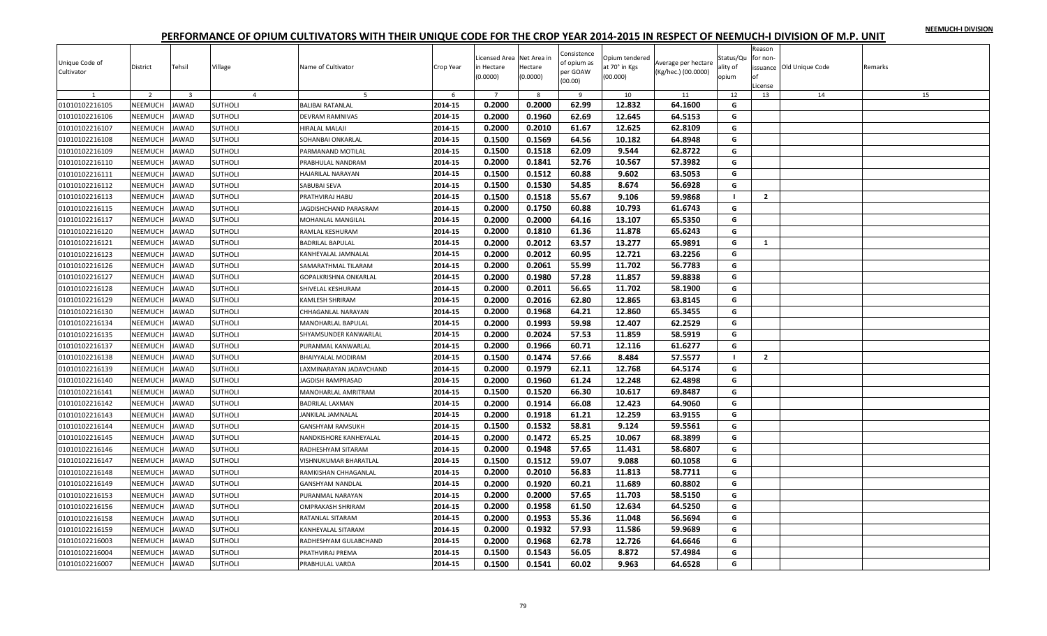|  |  | NEEMUCH-I DIVISION |
|--|--|--------------------|
|  |  |                    |

| Unique Code of<br>Cultivator | District       | Tehsil                  | Village        | Name of Cultivator      | Crop Year | Licensed Area Net Area in<br>in Hectare<br>(0.0000) | Hectare<br>(0.0000) | Consistence<br>of opium as<br>per GOAW<br>(00.00) | Opium tendered<br>at 70° in Kgs<br>(00.000) | Average per hectare<br>(Kg/hec.) (00.0000) | Status/Qu<br>ality of<br>opium | Reason<br>for non-<br>оf | issuance Old Unique Code | Remarks |
|------------------------------|----------------|-------------------------|----------------|-------------------------|-----------|-----------------------------------------------------|---------------------|---------------------------------------------------|---------------------------------------------|--------------------------------------------|--------------------------------|--------------------------|--------------------------|---------|
| 1                            | 2              | $\overline{\mathbf{3}}$ | $\overline{4}$ | 5                       | 6         | $\overline{7}$                                      | 8                   | 9                                                 | 10                                          | 11                                         | 12                             | License<br>13            | 14                       | 15      |
| 01010102216105               | NEEMUCH        | <b>JAWAD</b>            | <b>SUTHOLI</b> | <b>BALIBAI RATANLAL</b> | 2014-15   | 0.2000                                              | 0.2000              | 62.99                                             | 12.832                                      | 64.1600                                    | G                              |                          |                          |         |
| 01010102216106               | NEEMUCH        | <b>JAWAD</b>            | <b>SUTHOLI</b> | DEVRAM RAMNIVAS         | 2014-15   | 0.2000                                              | 0.1960              | 62.69                                             | 12.645                                      | 64.5153                                    | G                              |                          |                          |         |
| 01010102216107               | NEEMUCH        | <b>JAWAD</b>            | <b>SUTHOLI</b> | <b>IIRALAL MALAJI</b>   | 2014-15   | 0.2000                                              | 0.2010              | 61.67                                             | 12.625                                      | 62.8109                                    | G                              |                          |                          |         |
| 01010102216108               | NEEMUCH        | <b>JAWAD</b>            | <b>SUTHOLI</b> | SOHANBAI ONKARLAL       | 2014-15   | 0.1500                                              | 0.1569              | 64.56                                             | 10.182                                      | 64.8948                                    | G                              |                          |                          |         |
| 01010102216109               | NEEMUCH        | <b>AWAD</b>             | <b>SUTHOLI</b> | PARMANAND MOTILAL       | 2014-15   | 0.1500                                              | 0.1518              | 62.09                                             | 9.544                                       | 62.8722                                    | G                              |                          |                          |         |
| 01010102216110               | <b>NEEMUCH</b> | <b>AWAD</b>             | <b>SUTHOLI</b> | PRABHULAL NANDRAM       | 2014-15   | 0.2000                                              | 0.1841              | 52.76                                             | 10.567                                      | 57.3982                                    | G                              |                          |                          |         |
| 01010102216111               | NEEMUCH        | <b>JAWAD</b>            | <b>SUTHOLI</b> | HAJARILAL NARAYAN       | 2014-15   | 0.1500                                              | 0.1512              | 60.88                                             | 9.602                                       | 63.5053                                    | G                              |                          |                          |         |
| 01010102216112               | NEEMUCH        | <b>AWAD</b>             | <b>SUTHOLI</b> | SABUBAI SEVA            | 2014-15   | 0.1500                                              | 0.1530              | 54.85                                             | 8.674                                       | 56.6928                                    | G                              |                          |                          |         |
| 01010102216113               | NEEMUCH        | <b>JAWAD</b>            | <b>SUTHOLI</b> | PRATHVIRAJ HABU         | 2014-15   | 0.1500                                              | 0.1518              | 55.67                                             | 9.106                                       | 59.9868                                    | $\blacksquare$                 | $\overline{2}$           |                          |         |
| 01010102216115               | NEEMUCH        | <b>JAWAD</b>            | <b>SUTHOLI</b> | JAGDISHCHAND PARASRAM   | 2014-15   | 0.2000                                              | 0.1750              | 60.88                                             | 10.793                                      | 61.6743                                    | G                              |                          |                          |         |
| 01010102216117               | NEEMUCH        | <b>JAWAD</b>            | <b>SUTHOLI</b> | MOHANLAL MANGILAL       | 2014-15   | 0.2000                                              | 0.2000              | 64.16                                             | 13.107                                      | 65.5350                                    | G                              |                          |                          |         |
| 01010102216120               | NEEMUCH        | <b>JAWAD</b>            | <b>SUTHOLI</b> | RAMLAL KESHURAM         | 2014-15   | 0.2000                                              | 0.1810              | 61.36                                             | 11.878                                      | 65.6243                                    | G                              |                          |                          |         |
| 01010102216121               | NEEMUCH        | <b>JAWAD</b>            | <b>SUTHOLI</b> | <b>BADRILAL BAPULAL</b> | 2014-15   | 0.2000                                              | 0.2012              | 63.57                                             | 13.277                                      | 65.9891                                    | G                              | 1                        |                          |         |
| 01010102216123               | NEEMUCH        | AWAD                    | <b>SUTHOLI</b> | KANHEYALAL JAMNALAL     | 2014-15   | 0.2000                                              | 0.2012              | 60.95                                             | 12.721                                      | 63.2256                                    | G                              |                          |                          |         |
| 01010102216126               | NEEMUCH        | <b>AWAD</b>             | <b>SUTHOLI</b> | SAMARATHMAL TILARAM     | 2014-15   | 0.2000                                              | 0.2061              | 55.99                                             | 11.702                                      | 56.7783                                    | G                              |                          |                          |         |
| 01010102216127               | <b>NEEMUCH</b> | <b>JAWAD</b>            | <b>SUTHOLI</b> | GOPALKRISHNA ONKARLAL   | 2014-15   | 0.2000                                              | 0.1980              | 57.28                                             | 11.857                                      | 59.8838                                    | G                              |                          |                          |         |
| 01010102216128               | NEEMUCH        | <b>AWAD</b>             | <b>SUTHOLI</b> | SHIVELAL KESHURAM       | 2014-15   | 0.2000                                              | 0.2011              | 56.65                                             | 11.702                                      | 58.1900                                    | G                              |                          |                          |         |
| 01010102216129               | NEEMUCH        | <b>JAWAD</b>            | <b>SUTHOLI</b> | KAMLESH SHRIRAM         | 2014-15   | 0.2000                                              | 0.2016              | 62.80                                             | 12.865                                      | 63.8145                                    | G                              |                          |                          |         |
| 01010102216130               | NEEMUCH        | <b>JAWAD</b>            | <b>SUTHOLI</b> | CHHAGANLAL NARAYAN      | 2014-15   | 0.2000                                              | 0.1968              | 64.21                                             | 12.860                                      | 65.3455                                    | G                              |                          |                          |         |
| 01010102216134               | NEEMUCH        | <b>JAWAD</b>            | <b>SUTHOLI</b> | MANOHARLAL BAPULAL      | 2014-15   | 0.2000                                              | 0.1993              | 59.98                                             | 12.407                                      | 62.2529                                    | G                              |                          |                          |         |
| 01010102216135               | NEEMUCH        | <b>JAWAD</b>            | SUTHOLI        | SHYAMSUNDER KANWARLAL   | 2014-15   | 0.2000                                              | 0.2024              | 57.53                                             | 11.859                                      | 58.5919                                    | G                              |                          |                          |         |
| 01010102216137               | NEEMUCH        | AWAD                    | <b>SUTHOLI</b> | PURANMAL KANWARLAL      | 2014-15   | 0.2000                                              | 0.1966              | 60.71                                             | 12.116                                      | 61.6277                                    | G                              |                          |                          |         |
| 01010102216138               | NEEMUCH        | <b>JAWAD</b>            | <b>SUTHOLI</b> | BHAIYYALAL MODIRAM      | 2014-15   | 0.1500                                              | 0.1474              | 57.66                                             | 8.484                                       | 57.5577                                    | $\blacksquare$                 | $\overline{2}$           |                          |         |
| 01010102216139               | <b>NEEMUCH</b> | <b>AWAD</b>             | <b>SUTHOLI</b> | AXMINARAYAN JADAVCHAND  | 2014-15   | 0.2000                                              | 0.1979              | 62.11                                             | 12.768                                      | 64.5174                                    | G                              |                          |                          |         |
| 01010102216140               | NEEMUCH        | <b>AWAD</b>             | <b>SUTHOLI</b> | <b>AGDISH RAMPRASAD</b> | 2014-15   | 0.2000                                              | 0.1960              | 61.24                                             | 12.248                                      | 62.4898                                    | G                              |                          |                          |         |
| 01010102216141               | NEEMUCH        | AWAD                    | <b>SUTHOLI</b> | MANOHARLAL AMRITRAM     | 2014-15   | 0.1500                                              | 0.1520              | 66.30                                             | 10.617                                      | 69.8487                                    | G                              |                          |                          |         |
| 01010102216142               | NEEMUCH        | <b>JAWAD</b>            | <b>SUTHOLI</b> | <b>BADRILAL LAXMAN</b>  | 2014-15   | 0.2000                                              | 0.1914              | 66.08                                             | 12.423                                      | 64.9060                                    | G                              |                          |                          |         |
| 01010102216143               | NEEMUCH        | AWAD                    | <b>SUTHOLI</b> | <b>ANKILAL JAMNALAL</b> | 2014-15   | 0.2000                                              | 0.1918              | 61.21                                             | 12.259                                      | 63.9155                                    | G                              |                          |                          |         |
| 01010102216144               | NEEMUCH        | <b>JAWAD</b>            | <b>SUTHOLI</b> | GANSHYAM RAMSUKH        | 2014-15   | 0.1500                                              | 0.1532              | 58.81                                             | 9.124                                       | 59.5561                                    | G                              |                          |                          |         |
| 01010102216145               | NEEMUCH        | <b>AWAD</b>             | <b>SUTHOLI</b> | NANDKISHORE KANHEYALAL  | 2014-15   | 0.2000                                              | 0.1472              | 65.25                                             | 10.067                                      | 68.3899                                    | G                              |                          |                          |         |
| 01010102216146               | NEEMUCH        | <b>AWAD</b>             | <b>SUTHOLI</b> | RADHESHYAM SITARAM      | 2014-15   | 0.2000                                              | 0.1948              | 57.65                                             | 11.431                                      | 58.6807                                    | G                              |                          |                          |         |
| 01010102216147               | NEEMUCH        | <b>JAWAD</b>            | <b>SUTHOLI</b> | VISHNUKUMAR BHARATLAL   | 2014-15   | 0.1500                                              | 0.1512              | 59.07                                             | 9.088                                       | 60.1058                                    | G                              |                          |                          |         |
| 01010102216148               | NEEMUCH        | <b>AWAD</b>             | <b>SUTHOLI</b> | RAMKISHAN CHHAGANLAL    | 2014-15   | 0.2000                                              | 0.2010              | 56.83                                             | 11.813                                      | 58.7711                                    | G                              |                          |                          |         |
| 01010102216149               | NEEMUCH        | <b>AWAD</b>             | <b>SUTHOLI</b> | <b>GANSHYAM NANDLAL</b> | 2014-15   | 0.2000                                              | 0.1920              | 60.21                                             | 11.689                                      | 60.8802                                    | G                              |                          |                          |         |
| 01010102216153               | <b>NEEMUCH</b> | <b>AWAD</b>             | <b>SUTHOLI</b> | PURANMAL NARAYAN        | 2014-15   | 0.2000                                              | 0.2000              | 57.65                                             | 11.703                                      | 58.5150                                    | G                              |                          |                          |         |
| 01010102216156               | NEEMUCH        | AWAD                    | <b>SUTHOLI</b> | OMPRAKASH SHRIRAM       | 2014-15   | 0.2000                                              | 0.1958              | 61.50                                             | 12.634                                      | 64.5250                                    | G                              |                          |                          |         |
| 01010102216158               | <b>NEEMUCH</b> | <b>JAWAD</b>            | <b>SUTHOLI</b> | RATANLAL SITARAM        | 2014-15   | 0.2000                                              | 0.1953              | 55.36                                             | 11.048                                      | 56.5694                                    | G                              |                          |                          |         |
| 01010102216159               | <b>NEEMUCH</b> | <b>AWAD</b>             | <b>SUTHOLI</b> | KANHEYALAL SITARAM      | 2014-15   | 0.2000                                              | 0.1932              | 57.93                                             | 11.586                                      | 59.9689                                    | G                              |                          |                          |         |
| 01010102216003               | NEEMUCH        | <b>AWAD</b>             | <b>SUTHOLI</b> | RADHESHYAM GULABCHAND   | 2014-15   | 0.2000                                              | 0.1968              | 62.78                                             | 12.726                                      | 64.6646                                    | G                              |                          |                          |         |
| 01010102216004               | NEEMUCH        | <b>JAWAD</b>            | <b>SUTHOLI</b> | PRATHVIRAJ PREMA        | 2014-15   | 0.1500                                              | 0.1543              | 56.05                                             | 8.872                                       | 57.4984                                    | G                              |                          |                          |         |
| 01010102216007               | <b>NEEMUCH</b> | <b>JAWAD</b>            | <b>SUTHOLI</b> | PRABHULAL VARDA         | 2014-15   | 0.1500                                              | 0.1541              | 60.02                                             | 9.963                                       | 64.6528                                    | G                              |                          |                          |         |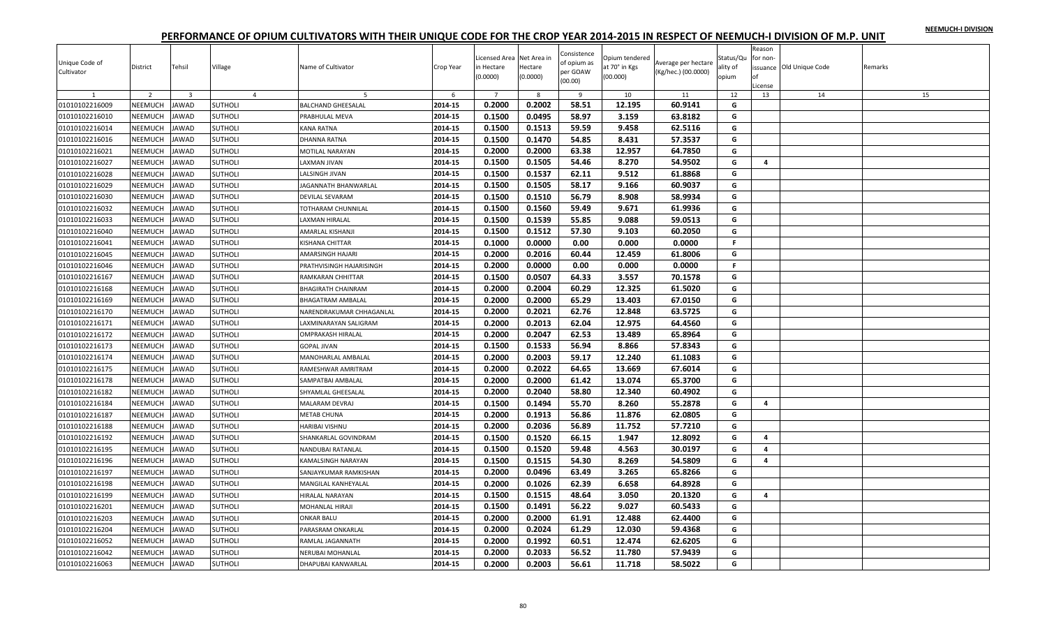|  |  | NEEMUCH-I DIVISION |
|--|--|--------------------|
|  |  |                    |

| Unique Code of<br>Cultivator | District       | Tehsil                  | Village        | Name of Cultivator        | Crop Year          | Licensed Area Net Area in<br>in Hectare<br>(0.0000) | Hectare<br>(0.0000) | Consistence<br>of opium as<br>per GOAW<br>(00.00) | Opium tendered<br>at 70° in Kgs<br>(00.000) | Average per hectare<br>(Kg/hec.) (00.0000) | Status/Qu<br>ality of<br>opium | Reason<br>for non-<br>оf<br>License | issuance Old Unique Code | Remarks |
|------------------------------|----------------|-------------------------|----------------|---------------------------|--------------------|-----------------------------------------------------|---------------------|---------------------------------------------------|---------------------------------------------|--------------------------------------------|--------------------------------|-------------------------------------|--------------------------|---------|
|                              | $\overline{2}$ | $\overline{\mathbf{3}}$ | $\overline{4}$ | 5                         | 6                  | $\overline{7}$                                      | 8                   | $\overline{9}$                                    | 10                                          | 11                                         | 12                             | 13                                  | 14                       | 15      |
| 01010102216009               | NEEMUCH        | <b>AWAD</b>             | <b>SUTHOLI</b> | <b>BALCHAND GHEESALAL</b> | 2014-15            | 0.2000                                              | 0.2002              | 58.51                                             | 12.195                                      | 60.9141                                    | G                              |                                     |                          |         |
| 01010102216010               | NEEMUCH        | <b>AWAD</b>             | <b>SUTHOLI</b> | PRABHULAL MEVA            | 2014-15            | 0.1500                                              | 0.0495              | 58.97                                             | 3.159                                       | 63.8182                                    | G                              |                                     |                          |         |
| 01010102216014               | NEEMUCH        | AWAD                    | <b>SUTHOLI</b> | KANA RATNA                | 2014-15            | 0.1500                                              | 0.1513              | 59.59                                             | 9.458                                       | 62.5116                                    | G                              |                                     |                          |         |
| 01010102216016               | <b>NEEMUCH</b> | <b>AWAD</b>             | <b>SUTHOLI</b> | DHANNA RATNA              | 2014-15            | 0.1500                                              | 0.1470              | 54.85                                             | 8.431                                       | 57.3537                                    | G                              |                                     |                          |         |
| 01010102216021               | <b>NEEMUCH</b> | <b>AWAD</b>             | <b>SUTHOLI</b> | MOTILAL NARAYAN           | 2014-15            | 0.2000                                              | 0.2000              | 63.38                                             | 12.957                                      | 64.7850                                    | G                              |                                     |                          |         |
| 01010102216027               | NEEMUCH        | <b>JAWAD</b>            | <b>SUTHOLI</b> | <b>AXMAN JIVAN</b>        | 2014-15            | 0.1500                                              | 0.1505              | 54.46                                             | 8.270                                       | 54.9502                                    | G                              | $\overline{\mathbf{a}}$             |                          |         |
| 01010102216028               | NEEMUCH        | <b>JAWAD</b>            | <b>SUTHOLI</b> | LALSINGH JIVAN            | 2014-15            | 0.1500                                              | 0.1537              | 62.11                                             | 9.512                                       | 61.8868                                    | G                              |                                     |                          |         |
| 01010102216029               | NEEMUCH        | <b>AWAD</b>             | <b>SUTHOLI</b> | JAGANNATH BHANWARLAL      | 2014-15            | 0.1500                                              | 0.1505              | 58.17                                             | 9.166                                       | 60.9037                                    | G                              |                                     |                          |         |
| 01010102216030               | <b>NEEMUCH</b> | <b>AWAD</b>             | <b>SUTHOLI</b> | DEVILAL SEVARAM           | 2014-15            | 0.1500                                              | 0.1510              | 56.79                                             | 8.908                                       | 58.9934                                    | G                              |                                     |                          |         |
| 01010102216032               | NEEMUCH        | <b>JAWAD</b>            | <b>SUTHOLI</b> | TOTHARAM CHUNNILAL        | 2014-15            | 0.1500                                              | 0.1560              | 59.49                                             | 9.671                                       | 61.9936                                    | G                              |                                     |                          |         |
| 01010102216033               | NEEMUCH        | <b>AWAD</b>             | <b>SUTHOLI</b> | <b>AXMAN HIRALAL</b>      | 2014-15            | 0.1500                                              | 0.1539              | 55.85                                             | 9.088                                       | 59.0513                                    | G                              |                                     |                          |         |
| 01010102216040               | NEEMUCH        | <b>AWAD</b>             | <b>SUTHOLI</b> | AMARLAL KISHANJI          | 2014-15            | 0.1500                                              | 0.1512              | 57.30                                             | 9.103                                       | 60.2050                                    | G                              |                                     |                          |         |
| 01010102216041               | NEEMUCH        | <b>AWAD</b>             | <b>SUTHOLI</b> | KISHANA CHITTAR           | 2014-15            | 0.1000                                              | 0.0000              | 0.00                                              | 0.000                                       | 0.0000                                     | F.                             |                                     |                          |         |
| 01010102216045               | NEEMUCH        | AWAD                    | <b>SUTHOLI</b> | AMARSINGH HAJARI          | 2014-15            | 0.2000                                              | 0.2016              | 60.44                                             | 12.459                                      | 61.8006                                    | G                              |                                     |                          |         |
| 01010102216046               | NEEMUCH        | <b>JAWAD</b>            | <b>SUTHOLI</b> | PRATHVISINGH HAJARISINGH  | 2014-15            | 0.2000                                              | 0.0000              | 0.00                                              | 0.000                                       | 0.0000                                     | F.                             |                                     |                          |         |
| 01010102216167               | <b>NEEMUCH</b> | <b>AWAD</b>             | <b>SUTHOLI</b> | RAMKARAN CHHITTAR         | 2014-15            | 0.1500                                              | 0.0507              | 64.33                                             | 3.557                                       | 70.1578                                    | G                              |                                     |                          |         |
| 01010102216168               | NEEMUCH        | AWAD                    | SUTHOLI        | BHAGIRATH CHAINRAM        | 2014-15            | 0.2000                                              | 0.2004              | 60.29                                             | 12.325                                      | 61.5020                                    | G                              |                                     |                          |         |
| 01010102216169               | NEEMUCH        | <b>JAWAD</b>            | <b>SUTHOLI</b> | BHAGATRAM AMBALAL         | 2014-15            | 0.2000                                              | 0.2000              | 65.29                                             | 13.403                                      | 67.0150                                    | G                              |                                     |                          |         |
| 01010102216170               | NEEMUCH        | <b>JAWAD</b>            | <b>SUTHOLI</b> | NARENDRAKUMAR CHHAGANLAL  | 2014-15            | 0.2000                                              | 0.2021              | 62.76                                             | 12.848                                      | 63.5725                                    | G                              |                                     |                          |         |
| 01010102216171               | <b>NEEMUCH</b> | AWAD                    | <b>SUTHOLI</b> | LAXMINARAYAN SALIGRAM     | 2014-15            | 0.2000                                              | 0.2013              | 62.04                                             | 12.975                                      | 64.4560                                    | G                              |                                     |                          |         |
| 01010102216172               | NEEMUCH        | <b>JAWAD</b>            | <b>SUTHOLI</b> | OMPRAKASH HIRALAL         | 2014-15            | 0.2000                                              | 0.2047              | 62.53                                             | 13.489                                      | 65.8964                                    | G                              |                                     |                          |         |
| 01010102216173               | NEEMUCH        | <b>AWAD</b>             | <b>SUTHOLI</b> | <b>GOPAL JIVAN</b>        | 2014-15            | 0.1500                                              | 0.1533              | 56.94                                             | 8.866                                       | 57.8343                                    | G                              |                                     |                          |         |
| 01010102216174               | <b>NEEMUCH</b> | <b>AWAD</b>             | <b>SUTHOLI</b> | MANOHARLAL AMBALAL        | 2014-15            | 0.2000                                              | 0.2003              | 59.17                                             | 12.240                                      | 61.1083                                    | G                              |                                     |                          |         |
| 01010102216175               | NEEMUCH        | <b>AWAD</b>             | <b>SUTHOLI</b> | RAMESHWAR AMRITRAM        | 2014-15            | 0.2000                                              | 0.2022              | 64.65                                             | 13.669                                      | 67.6014                                    | G                              |                                     |                          |         |
| 01010102216178               | NEEMUCH        | AWAD                    | <b>SUTHOLI</b> | SAMPATBAI AMBALAL         | 2014-15            | 0.2000                                              | 0.2000              | 61.42                                             | 13.074                                      | 65.3700                                    | G                              |                                     |                          |         |
| 01010102216182               | NEEMUCH        | <b>AWAD</b>             | <b>SUTHOLI</b> | SHYAMLAL GHEESALAL        | 2014-15            | 0.2000                                              | 0.2040              | 58.80                                             | 12.340                                      | 60.4902                                    | G                              |                                     |                          |         |
| 01010102216184               | <b>NEEMUCH</b> | <b>JAWAD</b>            | <b>SUTHOLI</b> | MALARAM DEVRAJ            | 2014-15            | 0.1500                                              | 0.1494              | 55.70                                             | 8.260                                       | 55.2878                                    | G                              | 4                                   |                          |         |
| 01010102216187               | NEEMUCH        | <b>JAWAD</b>            | <b>SUTHOLI</b> | <b>METAB CHUNA</b>        | 2014-15            | 0.2000                                              | 0.1913              | 56.86                                             | 11.876                                      | 62.0805                                    | G                              |                                     |                          |         |
| 01010102216188               | NEEMUCH        | <b>JAWAD</b>            | <b>SUTHOLI</b> | HARIBAI VISHNU            | 2014-15            | 0.2000                                              | 0.2036              | 56.89                                             | 11.752                                      | 57.7210                                    | G                              |                                     |                          |         |
| 01010102216192               | NEEMUCH        | <b>AWAD</b>             | <b>SUTHOLI</b> | SHANKARLAL GOVINDRAM      | 2014-15            | 0.1500                                              | 0.1520              | 66.15                                             | 1.947                                       | 12.8092                                    | G                              | 4                                   |                          |         |
| 01010102216195               | <b>NEEMUCH</b> | <b>AWAD</b>             | <b>SUTHOLI</b> | NANDUBAI RATANLAL         | 2014-15            | 0.1500                                              | 0.1520              | 59.48                                             | 4.563                                       | 30.0197                                    | G                              | 4                                   |                          |         |
| 01010102216196               | NEEMUCH        | <b>JAWAD</b>            | <b>SUTHOLI</b> | KAMALSINGH NARAYAN        | 2014-15            | 0.1500                                              | 0.1515              | 54.30                                             | 8.269                                       | 54.5809                                    | G                              | 4                                   |                          |         |
| 01010102216197               | NEEMUCH        | <b>AWAD</b>             | <b>SUTHOLI</b> | SANJAYKUMAR RAMKISHAN     | 2014-15            | 0.2000                                              | 0.0496              | 63.49                                             | 3.265                                       | 65.8266                                    | G                              |                                     |                          |         |
| 01010102216198               | <b>NEEMUCH</b> | <b>AWAD</b>             | <b>SUTHOLI</b> | MANGILAL KANHEYALAL       | 2014-15            | 0.2000                                              | 0.1026              | 62.39                                             | 6.658                                       | 64.8928                                    | G                              |                                     |                          |         |
| 01010102216199               | NEEMUCH        | <b>AWAD</b>             | <b>SUTHOLI</b> | <b>HIRALAL NARAYAN</b>    | 2014-15            | 0.1500                                              | 0.1515              | 48.64                                             | 3.050                                       | 20.1320                                    | G                              | 4                                   |                          |         |
| 01010102216201               | NEEMUCH        | <b>JAWAD</b>            | <b>SUTHOLI</b> | MOHANLAL HIRAJI           | 2014-15            | 0.1500                                              | 0.1491              | 56.22                                             | 9.027                                       | 60.5433                                    | G                              |                                     |                          |         |
| 01010102216203               | NEEMUCH        | <b>JAWAD</b>            | <b>SUTHOLI</b> | <b>ONKAR BALU</b>         | 2014-15            | 0.2000                                              | 0.2000              | 61.91                                             | 12.488                                      | 62.4400                                    | G                              |                                     |                          |         |
| 01010102216204               | <b>NEEMUCH</b> | <b>AWAD</b>             | <b>SUTHOLI</b> | PARASRAM ONKARLAL         | 2014-15            | 0.2000                                              | 0.2024              | 61.29                                             | 12.030                                      | 59.4368                                    | G                              |                                     |                          |         |
|                              | NEEMUCH        |                         |                | RAMLAL JAGANNATH          | 2014-15            | 0.2000                                              | 0.1992              | 60.51                                             | 12.474                                      | 62.6205                                    | G                              |                                     |                          |         |
| 01010102216052               |                | <b>AWAD</b>             | <b>SUTHOLI</b> |                           |                    |                                                     | 0.2033              | 56.52                                             | 11.780                                      |                                            | G                              |                                     |                          |         |
| 01010102216042               | NEEMUCH        | <b>JAWAD</b>            | <b>SUTHOLI</b> | NERUBAI MOHANLAL          | 2014-15<br>2014-15 | 0.2000                                              |                     |                                                   |                                             | 57.9439                                    | G                              |                                     |                          |         |
| 01010102216063               | <b>NEEMUCH</b> | <b>JAWAD</b>            | <b>SUTHOLI</b> | DHAPUBAI KANWARLAL        |                    | 0.2000                                              | 0.2003              | 56.61                                             | 11.718                                      | 58.5022                                    |                                |                                     |                          |         |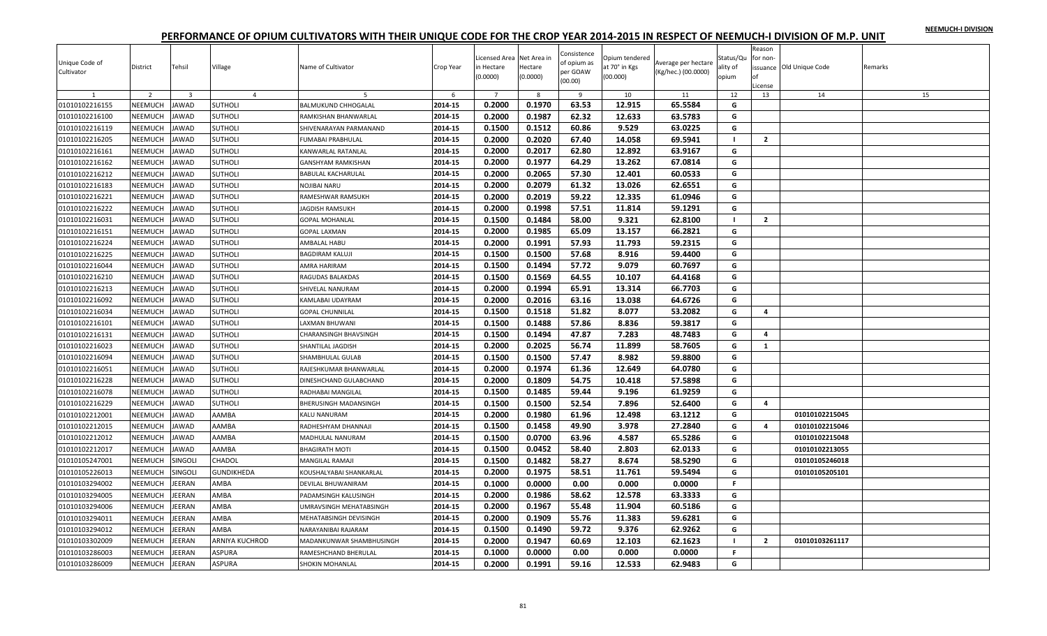|  |  | NEEMUCH-I DIVISION |
|--|--|--------------------|
|  |  |                    |

| Unique Code of<br>Cultivator | District       | Tehsil                  | Village           | Name of Cultivator           | Crop Year | Licensed Area Net Area in<br>in Hectare<br>(0.0000) | Hectare<br>(0.0000) | Consistence<br>of opium as<br>per GOAW<br>(00.00) | Opium tendered<br>at 70° in Kgs<br>(00.000) | Average per hectare<br>(Kg/hec.) (00.0000) | Status/Qu<br>ality of<br>opium | Reason<br>for non-<br>Ωf<br>.icense | ssuance Old Unique Code | Remarks |
|------------------------------|----------------|-------------------------|-------------------|------------------------------|-----------|-----------------------------------------------------|---------------------|---------------------------------------------------|---------------------------------------------|--------------------------------------------|--------------------------------|-------------------------------------|-------------------------|---------|
| 1                            | $\overline{2}$ | $\overline{\mathbf{3}}$ | $\overline{4}$    | 5                            | 6         | $\overline{7}$                                      | 8                   | 9                                                 | 10                                          | 11                                         | 12                             | 13                                  | 14                      | 15      |
| 01010102216155               | NEEMUCH        | <b>JAWAD</b>            | <b>SUTHOLI</b>    | <b>BALMUKUND CHHOGALAL</b>   | 2014-15   | 0.2000                                              | 0.1970              | 63.53                                             | 12.915                                      | 65.5584                                    | G                              |                                     |                         |         |
| 01010102216100               | <b>NEEMUCH</b> | <b>AWAD</b>             | <b>SUTHOLI</b>    | RAMKISHAN BHANWARLAL         | 2014-15   | 0.2000                                              | 0.1987              | 62.32                                             | 12.633                                      | 63.5783                                    | G                              |                                     |                         |         |
| 01010102216119               | <b>NEEMUCH</b> | <b>JAWAD</b>            | <b>SUTHOLI</b>    | SHIVENARAYAN PARMANAND       | 2014-15   | 0.1500                                              | 0.1512              | 60.86                                             | 9.529                                       | 63.0225                                    | G                              |                                     |                         |         |
| 01010102216205               | NEEMUCH        | <b>JAWAD</b>            | <b>SUTHOLI</b>    | FUMABAI PRABHULAL            | 2014-15   | 0.2000                                              | 0.2020              | 67.40                                             | 14.058                                      | 69.5941                                    | -1                             | $\overline{2}$                      |                         |         |
| 01010102216161               | NEEMUCH        | <b>JAWAD</b>            | <b>SUTHOLI</b>    | KANWARLAL RATANLAL           | 2014-15   | 0.2000                                              | 0.2017              | 62.80                                             | 12.892                                      | 63.9167                                    | G                              |                                     |                         |         |
| 01010102216162               | NEEMUCH        | <b>AWAD</b>             | <b>SUTHOLI</b>    | GANSHYAM RAMKISHAN           | 2014-15   | 0.2000                                              | 0.1977              | 64.29                                             | 13.262                                      | 67.0814                                    | G                              |                                     |                         |         |
| 01010102216212               | <b>NEEMUCH</b> | <b>JAWAD</b>            | <b>SUTHOLI</b>    | BABULAL KACHARULAL           | 2014-15   | 0.2000                                              | 0.2065              | 57.30                                             | 12.401                                      | 60.0533                                    | G                              |                                     |                         |         |
| 01010102216183               | NEEMUCH        | <b>JAWAD</b>            | <b>SUTHOLI</b>    | NOJIBAI NARU                 | 2014-15   | 0.2000                                              | 0.2079              | 61.32                                             | 13.026                                      | 62.6551                                    | G                              |                                     |                         |         |
| 01010102216221               | NEEMUCH        | <b>JAWAD</b>            | <b>SUTHOLI</b>    | RAMESHWAR RAMSUKH            | 2014-15   | 0.2000                                              | 0.2019              | 59.22                                             | 12.335                                      | 61.0946                                    | G                              |                                     |                         |         |
| 01010102216222               | NEEMUCH        | <b>AWAD</b>             | <b>SUTHOLI</b>    | <b>JAGDISH RAMSUKH</b>       | 2014-15   | 0.2000                                              | 0.1998              | 57.51                                             | 11.814                                      | 59.1291                                    | G                              |                                     |                         |         |
| 01010102216031               | <b>NEEMUCH</b> | <b>AWAD</b>             | <b>SUTHOLI</b>    | <b>GOPAL MOHANLAL</b>        | 2014-15   | 0.1500                                              | 0.1484              | 58.00                                             | 9.321                                       | 62.8100                                    | - 1                            | $\overline{2}$                      |                         |         |
| 01010102216151               | NEEMUCH        | <b>AWAD</b>             | <b>SUTHOLI</b>    | <b>GOPAL LAXMAN</b>          | 2014-15   | 0.2000                                              | 0.1985              | 65.09                                             | 13.157                                      | 66.2821                                    | G                              |                                     |                         |         |
| 01010102216224               | <b>NEEMUCH</b> | <b>AWAD</b>             | <b>SUTHOLI</b>    | AMBALAL HABU                 | 2014-15   | 0.2000                                              | 0.1991              | 57.93                                             | 11.793                                      | 59.2315                                    | G                              |                                     |                         |         |
| 01010102216225               | NEEMUCH        | <b>AWAD</b>             | <b>SUTHOLI</b>    | <b>BAGDIRAM KALUJI</b>       | 2014-15   | 0.1500                                              | 0.1500              | 57.68                                             | 8.916                                       | 59.4400                                    | G                              |                                     |                         |         |
| 01010102216044               | <b>NEEMUCH</b> | <b>JAWAD</b>            | <b>SUTHOLI</b>    | AMRA HARIRAM                 | 2014-15   | 0.1500                                              | 0.1494              | 57.72                                             | 9.079                                       | 60.7697                                    | G                              |                                     |                         |         |
| 01010102216210               | NEEMUCH        | <b>AWAD</b>             | <b>SUTHOLI</b>    | RAGUDAS BALAKDAS             | 2014-15   | 0.1500                                              | 0.1569              | 64.55                                             | 10.107                                      | 64.4168                                    | G                              |                                     |                         |         |
| 01010102216213               | NEEMUCH        | AWAD                    | <b>SUTHOLI</b>    | SHIVELAL NANURAM             | 2014-15   | 0.2000                                              | 0.1994              | 65.91                                             | 13.314                                      | 66.7703                                    | G                              |                                     |                         |         |
| 01010102216092               | <b>NEEMUCH</b> | <b>JAWAD</b>            | <b>SUTHOLI</b>    | KAMLABAI UDAYRAM             | 2014-15   | 0.2000                                              | 0.2016              | 63.16                                             | 13.038                                      | 64.6726                                    | G                              |                                     |                         |         |
| 01010102216034               | NEEMUCH        | <b>JAWAD</b>            | <b>SUTHOLI</b>    | <b>GOPAL CHUNNILAL</b>       | 2014-15   | 0.1500                                              | 0.1518              | 51.82                                             | 8.077                                       | 53.2082                                    | G                              | 4                                   |                         |         |
| 01010102216101               | NEEMUCH        | <b>JAWAD</b>            | <b>SUTHOLI</b>    | LAXMAN BHUWANI               | 2014-15   | 0.1500                                              | 0.1488              | 57.86                                             | 8.836                                       | 59.3817                                    | G                              |                                     |                         |         |
| 01010102216131               | NEEMUCH        | <b>JAWAD</b>            | <b>SUTHOLI</b>    | CHARANSINGH BHAVSINGH        | 2014-15   | 0.1500                                              | 0.1494              | 47.87                                             | 7.283                                       | 48.7483                                    | G                              | 4                                   |                         |         |
| 01010102216023               | <b>NEEMUCH</b> | <b>AWAD</b>             | <b>SUTHOLI</b>    | SHANTILAL JAGDISH            | 2014-15   | 0.2000                                              | 0.2025              | 56.74                                             | 11.899                                      | 58.7605                                    | G                              | 1                                   |                         |         |
| 01010102216094               | NEEMUCH        | AWAD                    | <b>SUTHOLI</b>    | SHAMBHULAL GULAB             | 2014-15   | 0.1500                                              | 0.1500              | 57.47                                             | 8.982                                       | 59.8800                                    | G                              |                                     |                         |         |
| 01010102216051               | <b>NEEMUCH</b> | <b>AWAD</b>             | <b>SUTHOLI</b>    | RAJESHKUMAR BHANWARLAL       | 2014-15   | 0.2000                                              | 0.1974              | 61.36                                             | 12.649                                      | 64.0780                                    | G                              |                                     |                         |         |
| 01010102216228               | NEEMUCH        | <b>JAWAD</b>            | <b>SUTHOLI</b>    | DINESHCHAND GULABCHAND       | 2014-15   | 0.2000                                              | 0.1809              | 54.75                                             | 10.418                                      | 57.5898                                    | G                              |                                     |                         |         |
| 01010102216078               | NEEMUCH        | <b>AWAD</b>             | <b>SUTHOLI</b>    | RADHABAI MANGILAL            | 2014-15   | 0.1500                                              | 0.1485              | 59.44                                             | 9.196                                       | 61.9259                                    | G                              |                                     |                         |         |
| 01010102216229               | <b>NEEMUCH</b> | <b>JAWAD</b>            | <b>SUTHOLI</b>    | <b>BHERUSINGH MADANSINGH</b> | 2014-15   | 0.1500                                              | 0.1500              | 52.54                                             | 7.896                                       | 52.6400                                    | G                              | $\overline{4}$                      |                         |         |
| 01010102212001               | NEEMUCH        | <b>JAWAD</b>            | AAMBA             | KALU NANURAM                 | 2014-15   | 0.2000                                              | 0.1980              | 61.96                                             | 12.498                                      | 63.1212                                    | G                              |                                     | 01010102215045          |         |
| 01010102212015               | NEEMUCH        | <b>JAWAD</b>            | AAMBA             | RADHESHYAM DHANNAJI          | 2014-15   | 0.1500                                              | 0.1458              | 49.90                                             | 3.978                                       | 27.2840                                    | G                              | 4                                   | 01010102215046          |         |
| 01010102212012               | NEEMUCH        | <b>AWAD</b>             | AAMBA             | MADHULAL NANURAM             | 2014-15   | 0.1500                                              | 0.0700              | 63.96                                             | 4.587                                       | 65.5286                                    | G                              |                                     | 01010102215048          |         |
| 01010102212017               | <b>NEEMUCH</b> | AWAD                    | AAMBA             | <b>BHAGIRATH MOTI</b>        | 2014-15   | 0.1500                                              | 0.0452              | 58.40                                             | 2.803                                       | 62.0133                                    | G                              |                                     | 01010102213055          |         |
| 01010105247001               | NEEMUCH        | SINGOLI                 | CHADOL            | MANGILAL RAMAJI              | 2014-15   | 0.1500                                              | 0.1482              | 58.27                                             | 8.674                                       | 58.5290                                    | G                              |                                     | 01010105246018          |         |
| 01010105226013               | NEEMUCH        | SINGOLI                 | <b>GUNDIKHEDA</b> | KOUSHALYABAI SHANKARLAL      | 2014-15   | 0.2000                                              | 0.1975              | 58.51                                             | 11.761                                      | 59.5494                                    | G                              |                                     | 01010105205101          |         |
| 01010103294002               | <b>NEEMUCH</b> | EERAN                   | AMBA              | DEVILAL BHUWANIRAM           | 2014-15   | 0.1000                                              | 0.0000              | 0.00                                              | 0.000                                       | 0.0000                                     | F.                             |                                     |                         |         |
| 01010103294005               | NEEMUCH        | <b>JEERAN</b>           | AMBA              | PADAMSINGH KALUSINGH         | 2014-15   | 0.2000                                              | 0.1986              | 58.62                                             | 12.578                                      | 63.3333                                    | G                              |                                     |                         |         |
| 01010103294006               | NEEMUCH        | EERAN                   | AMBA              | JMRAVSINGH MEHATABSINGH      | 2014-15   | 0.2000                                              | 0.1967              | 55.48                                             | 11.904                                      | 60.5186                                    | G                              |                                     |                         |         |
| 01010103294011               | NEEMUCH        | <b>JEERAN</b>           | AMBA              | MEHATABSINGH DEVISINGH       | 2014-15   | 0.2000                                              | 0.1909              | 55.76                                             | 11.383                                      | 59.6281                                    | G                              |                                     |                         |         |
| 01010103294012               | <b>NEEMUCH</b> | EERAN                   | AMBA              | NARAYANIBAI RAJARAM          | 2014-15   | 0.1500                                              | 0.1490              | 59.72                                             | 9.376                                       | 62.9262                                    | G                              |                                     |                         |         |
| 01010103302009               | <b>NEEMUCH</b> | EERAN                   | ARNIYA KUCHROD    | MADANKUNWAR SHAMBHUSINGH     | 2014-15   | 0.2000                                              | 0.1947              | 60.69                                             | 12.103                                      | 62.1623                                    | $\blacksquare$                 | $\overline{2}$                      | 01010103261117          |         |
| 01010103286003               | <b>NEEMUCH</b> | EERAN                   | ASPURA            | RAMESHCHAND BHERULAL         | 2014-15   | 0.1000                                              | 0.0000              | 0.00                                              | 0.000                                       | 0.0000                                     | $\mathbb F$                    |                                     |                         |         |
| 01010103286009               | <b>NEEMUCH</b> | JEERAN                  | <b>ASPURA</b>     | <b>SHOKIN MOHANLAL</b>       | 2014-15   | 0.2000                                              | 0.1991              | 59.16                                             | 12.533                                      | 62.9483                                    | G                              |                                     |                         |         |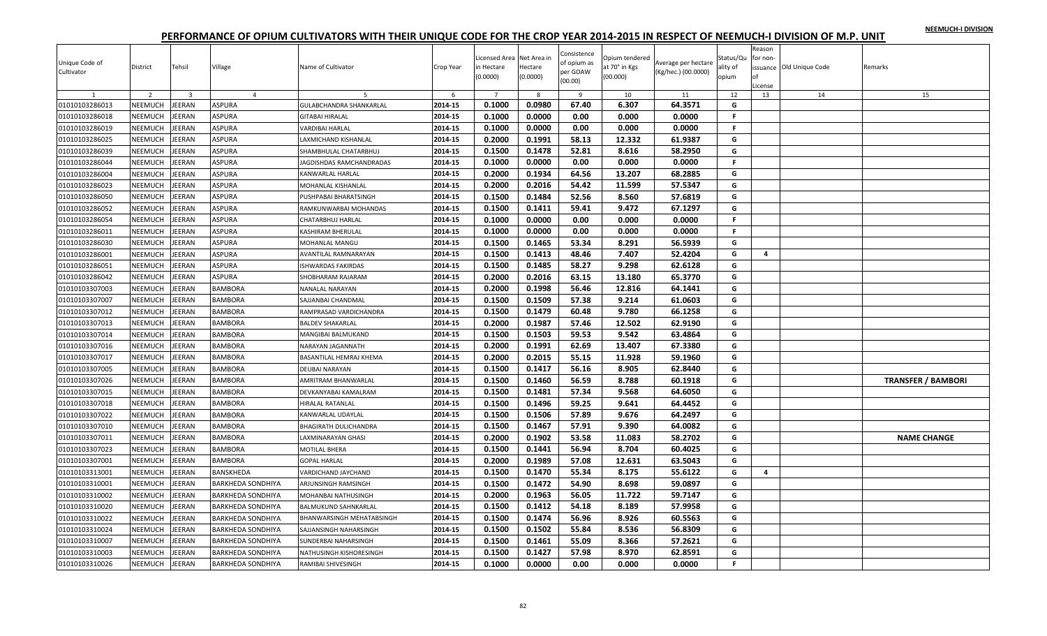|  |  | NEEMUCH-I DIVISION |
|--|--|--------------------|
|  |  |                    |

| (00.00)<br>.icense                                                                                                                                                  |                           |
|---------------------------------------------------------------------------------------------------------------------------------------------------------------------|---------------------------|
| $\overline{2}$<br>$\overline{\mathbf{3}}$<br>$\overline{4}$<br>5<br>$\overline{7}$<br>8<br>9<br>10<br>11<br>12<br>13<br>14<br>1<br>6                                | 15                        |
| 0.1000<br>0.0980<br>67.40<br>6.307<br>64.3571<br>01010103286013<br>NEEMUCH<br>EERAN<br><b>ASPURA</b><br>2014-15<br>GULABCHANDRA SHANKARLAI<br>G                     |                           |
| NEEMUCH<br>EERAN<br>ASPURA<br>0.1000<br>0.0000<br>0.00<br>0.000<br>0.0000<br>01010103286018<br>2014-15<br>F.<br><b>GITABAI HIRALAL</b>                              |                           |
| 2014-15<br>0.1000<br>0.0000<br>0.00<br>0.000<br>0.0000<br>NEEMUCH<br>EERAN<br>ASPURA<br>F.<br>01010103286019<br>VARDIBAI HARLAL                                     |                           |
| 0.2000<br>0.1991<br>58.13<br>12.332<br>61.9387<br>01010103286025<br><b>NEEMUCH</b><br>EERAN<br><b>ASPURA</b><br>2014-15<br>G<br>AXMICHAND KISHANLAL                 |                           |
| 0.1500<br>52.81<br>2014-15<br>0.1478<br>8.616<br>58.2950<br>01010103286039<br>NEEMUCH<br>EERAN<br><b>ASPURA</b><br>SHAMBHULAL CHATARBHUJ<br>G                       |                           |
| NEEMUCH<br>EERAN<br>ASPURA<br>2014-15<br>0.1000<br>0.0000<br>0.00<br>0.000<br>0.0000<br>$\mathsf{F}$<br>01010103286044<br><b>AGDISHDAS RAMCHANDRADAS</b>            |                           |
| 0.2000<br>0.1934<br>64.56<br>13.207<br>68.2885<br>01010103286004<br>NEEMUCH<br>EERAN<br>ASPURA<br>2014-15<br>G<br>KANWARLAL HARLAL                                  |                           |
| 54.42<br>NEEMUCH<br>EERAN<br>ASPURA<br>2014-15<br>0.2000<br>0.2016<br>11.599<br>57.5347<br>G<br>01010103286023<br>MOHANLAL KISHANLAL                                |                           |
| <b>NEEMUCH</b><br>ASPURA<br>2014-15<br>0.1500<br>0.1484<br>52.56<br>01010103286050<br>EERAN<br>8.560<br>57.6819<br>G<br>PUSHPABAI BHARATSINGH                       |                           |
| NEEMUCH<br>0.1500<br>0.1411<br>59.41<br>9.472<br>67.1297<br>G<br>01010103286052<br>EERAN<br>ASPURA<br>2014-15<br>RAMKUNWARBAI MOHANDAS                              |                           |
| NEEMUCH<br>EERAN<br>ASPURA<br>0.1000<br>0.0000<br>0.00<br>0.000<br>0.0000<br>01010103286054<br>2014-15<br>F.<br>CHATARBHUJ HARLAL                                   |                           |
| 2014-15<br>0.1000<br>0.0000<br>0.00<br>0.000<br>$\mathsf F$<br>01010103286011<br>NEEMUCH<br>EERAN<br><b>ASPURA</b><br>KASHIRAM BHERULAL<br>0.0000                   |                           |
| 0.1500<br>0.1465<br>53.34<br>8.291<br>56.5939<br>01010103286030<br>NEEMUCH<br>EERAN<br><b>ASPURA</b><br>2014-15<br>G<br>MOHANLAL MANGU                              |                           |
| 0.1500<br>0.1413<br>48.46<br>7.407<br>52.4204<br>2014-15<br>G<br>01010103286001<br>NEEMUCH<br>EERAN<br>ASPURA<br><b>AVANTILAL RAMNARAYAN</b><br>4                   |                           |
| 0.1500<br>58.27<br>9.298<br>NEEMUCH<br>EERAN<br><b>ASPURA</b><br>2014-15<br>0.1485<br>62.6128<br>01010103286051<br>G<br><b>ISHWARDAS FAKIRDAS</b>                   |                           |
| 2014-15<br>0.2000<br>0.2016<br>63.15<br>13.180<br>65.3770<br>01010103286042<br>NEEMUCH<br>EERAN<br>ASPURA<br>SHOBHARAM RAJARAM<br>G                                 |                           |
| 56.46<br>0.2000<br>0.1998<br>12.816<br>G<br>NEEMUCH<br>EERAN<br><b>BAMBORA</b><br>2014-15<br>64.1441<br>01010103307003<br><b>VANALAL NARAYAN</b>                    |                           |
| <b>BAMBORA</b><br>2014-15<br>0.1500<br>0.1509<br>57.38<br>9.214<br>61.0603<br>01010103307007<br>NEEMUCH<br>EERAN<br>G<br>SAJJANBAI CHANDMAL                         |                           |
| 0.1500<br>0.1479<br>60.48<br>9.780<br>66.1258<br>NEEMUCH<br>EERAN<br>2014-15<br>01010103307012<br><b>BAMBORA</b><br>G<br>RAMPRASAD VARDICHANDRA                     |                           |
| 0.2000<br>0.1987<br>57.46<br>12.502<br>01010103307013<br>NEEMUCH<br>EERAN<br><b>BAMBORA</b><br>2014-15<br>62.9190<br>G<br><b>BALDEV SHAKARLAI</b>                   |                           |
| 0.1500<br>0.1503<br>59.53<br>9.542<br>G<br>2014-15<br>63.4864<br>01010103307014<br>NEEMUCH<br>EERAN<br><b>BAMBORA</b><br>MANGIBAI BALMUKAND                         |                           |
| <b>NEEMUCH</b><br>EERAN<br><b>BAMBORA</b><br>0.2000<br>0.1991<br>62.69<br>13.407<br>67.3380<br>G<br>01010103307016<br>2014-15<br>NARAYAN JAGANNATH                  |                           |
| 2014-15<br>0.2000<br>0.2015<br>55.15<br>11.928<br>59.1960<br>NEEMUCH<br>EERAN<br><b>BAMBORA</b><br>BASANTILAL HEMRAJ KHEMA<br>G<br>01010103307017                   |                           |
| 0.1500<br>0.1417<br>56.16<br>8.905<br>62.8440<br>01010103307005<br>NEEMUCH<br>EERAN<br><b>BAMBORA</b><br>2014-15<br>G<br>DEUBAI NARAYAN                             |                           |
| 0.1500<br>56.59<br>2014-15<br>0.1460<br>8.788<br>60.1918<br>G<br>NEEMUCH<br>EERAN<br><b>BAMBORA</b><br>AMRITRAM BHANWARLAL<br>01010103307026                        | <b>TRANSFER / BAMBORI</b> |
| NEEMUCH<br>EERAN<br>2014-15<br>0.1500<br>0.1481<br>57.34<br>9.568<br>G<br>01010103307015<br><b>BAMBORA</b><br>64.6050<br>DEVKANYABAI KAMALRAM                       |                           |
| <b>NEEMUCH</b><br>2014-15<br>0.1500<br>0.1496<br>59.25<br>9.641<br>64.4452<br>01010103307018<br>EERAN<br><b>BAMBORA</b><br>G<br><b>HIRALAL RATANLAL</b>             |                           |
| 0.1500<br>0.1506<br>57.89<br>NEEMUCH<br>EERAN<br><b>BAMBORA</b><br>2014-15<br>9.676<br>64.2497<br>G<br>01010103307022<br>KANWARLAL UDAYLAL                          |                           |
| 2014-15<br>0.1500<br>0.1467<br>57.91<br>9.390<br>01010103307010<br>NEEMUCH<br>EERAN<br><b>BAMBORA</b><br>64.0082<br>G<br>BHAGIRATH DULICHANDRA                      |                           |
| 2014-15<br>0.2000<br>0.1902<br>53.58<br>11.083<br>58.2702<br>G<br>NEEMUCH<br>01010103307011<br>EERAN<br><b>BAMBORA</b><br>AXMINARAYAN GHASI                         | <b>NAME CHANGE</b>        |
| 0.1500<br>0.1441<br>56.94<br>01010103307023<br>NEEMUCH<br>EERAN<br><b>BAMBORA</b><br>2014-15<br>8.704<br>60.4025<br>G<br>MOTILAL BHERA                              |                           |
| 0.2000<br>0.1989<br>57.08<br>12.631<br>2014-15<br>63.5043<br>G<br>01010103307001<br>NEEMUCH<br>EERAN<br><b>BAMBORA</b><br><b>GOPAL HARLAL</b>                       |                           |
| 0.1500<br>0.1470<br>55.34<br>8.175<br>55.6122<br>NEEMUCH<br>EERAN<br>2014-15<br>G<br>$\overline{a}$<br>01010103313001<br>BANSKHEDA<br>VARDICHAND JAYCHAND           |                           |
| 2014-15<br>0.1500<br>0.1472<br>54.90<br>8.698<br>NEEMUCH<br>59.0897<br>G<br>01010103310001<br>EERAN<br><b>BARKHEDA SONDHIYA</b><br>ARJUNSINGH RAMSINGH              |                           |
| <b>NEEMUCH</b><br>0.2000<br>0.1963<br>56.05<br>11.722<br>01010103310002<br>EERAN<br>2014-15<br>59.7147<br>G<br><b>BARKHEDA SONDHIYA</b><br>MOHANBAI NATHUSINGH      |                           |
| 54.18<br>NEEMUCH<br>EERAN<br>0.1500<br>0.1412<br>8.189<br>57.9958<br>01010103310020<br><b>BARKHEDA SONDHIYA</b><br>2014-15<br>G<br>BALMUKUND SAHNKARLAL             |                           |
| NEEMUCH<br>0.1500<br>0.1474<br>56.96<br>8.926<br>01010103310022<br>EERAN<br>2014-15<br>60.5563<br>G<br><b>BARKHEDA SONDHIYA</b><br>BHANWARSINGH MEHATABSINGH        |                           |
| 0.1500<br>0.1502<br>56.8309<br>01010103310024<br>NEEMUCH<br>EERAN<br><b>BARKHEDA SONDHIYA</b><br>2014-15<br>55.84<br>8.536<br>G<br>SAJJANSINGH NAHARSINGH           |                           |
| 55.09<br>57.2621<br>0.1500<br>0.1461<br>8.366<br>G<br><b>NEEMUCH</b><br>2014-15<br>01010103310007<br>EERAN<br><b>BARKHEDA SONDHIYA</b><br>SUNDERBAI NAHARSINGH      |                           |
| 0.1500<br>0.1427<br>57.98<br>8.970<br>62.8591<br>01010103310003<br>NEEMUCH<br>EERAN<br>2014-15<br>G<br><b>BARKHEDA SONDHIYA</b><br>NATHUSINGH KISHORESINGH          |                           |
| 2014-15<br>0.1000<br>0.0000<br>0.00<br>F.<br><b>JEERAN</b><br>0.000<br>0.0000<br>01010103310026<br><b>NEEMUCH</b><br><b>BARKHEDA SONDHIYA</b><br>RAMIBAI SHIVESINGH |                           |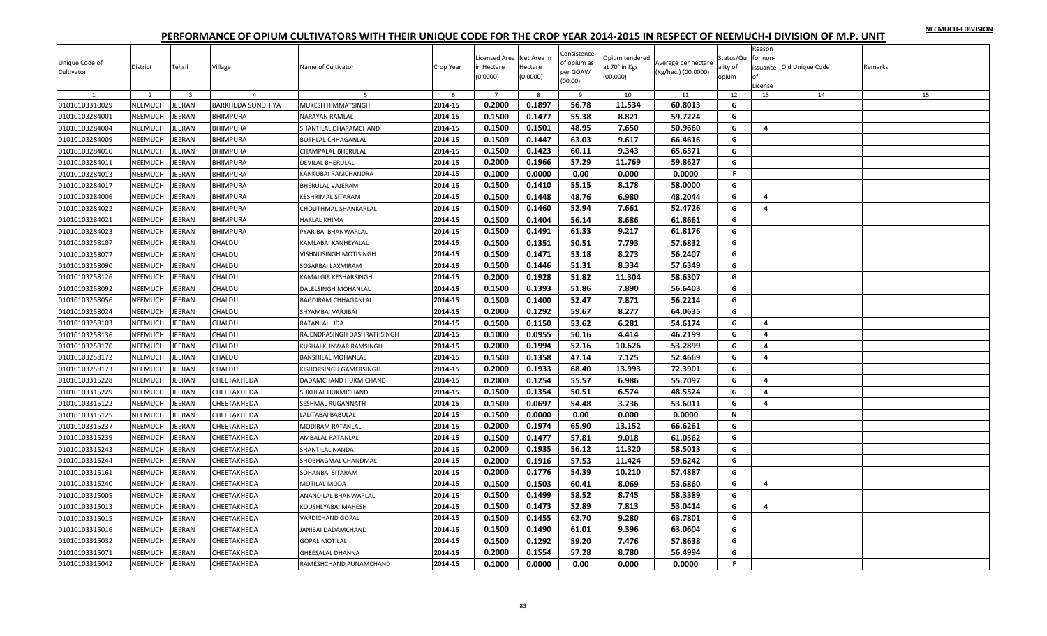|  |  | NEEMUCH-I DIVISION |
|--|--|--------------------|
|  |  |                    |

| Reason<br>Consistence<br>Licensed Area Net Area in<br>Status/Qu<br>Opium tendered<br>for non-<br>Unique Code of<br>of opium as<br>Average per hectare<br>Village<br>at 70° in Kgs<br>issuance Old Unique Code<br>District<br>Tehsil<br>Name of Cultivator<br>Crop Year<br>in Hectare<br>Hectare<br>ality of<br>per GOAW<br>(Kg/hec.) (00.0000)<br>Cultivator<br>(0.0000)<br>(00.000)<br>(0.0000)<br>opium<br>nf<br>(00.00)<br>License | Remarks |
|---------------------------------------------------------------------------------------------------------------------------------------------------------------------------------------------------------------------------------------------------------------------------------------------------------------------------------------------------------------------------------------------------------------------------------------|---------|
| $\overline{z}$<br>$\overline{\mathbf{3}}$<br>$\overline{7}$<br>8<br>11<br>12<br>13<br>14<br>$\overline{a}$<br>-6<br>$\overline{9}$<br>10                                                                                                                                                                                                                                                                                              | 15      |
| 0.2000<br>0.1897<br>56.78<br>11.534<br>60.8013<br>01010103310029<br>NEEMUCH<br>EERAN<br><b>BARKHEDA SONDHIYA</b><br>2014-15<br>MUKESH HIMMATSINGH<br>G                                                                                                                                                                                                                                                                                |         |
| 0.1500<br>0.1477<br>55.38<br>8.821<br>59.7224<br>01010103284001<br>NEEMUCH<br><b>JEERAN</b><br><b>BHIMPURA</b><br>2014-15<br>G<br>NARAYAN RAMLAL                                                                                                                                                                                                                                                                                      |         |
| 0.1500<br>0.1501<br>48.95<br>50.9660<br>2014-15<br>7.650<br>G<br>4<br>01010103284004<br>NEEMUCH<br>EERAN<br><b>BHIMPURA</b><br>SHANTILAL DHARAMCHAND                                                                                                                                                                                                                                                                                  |         |
| NEEMUCH<br>0.1500<br>0.1447<br>63.03<br>01010103284009<br>EERAN<br>BHIMPURA<br>2014-15<br>9.617<br>66.4616<br>G<br>BOTHLAL CHHAGANLAL                                                                                                                                                                                                                                                                                                 |         |
| 0.1500<br>0.1423<br>NEEMUCH<br>2014-15<br>60.11<br>9.343<br>65.6571<br>G<br>01010103284010<br>EERAN<br><b>BHIMPURA</b><br>CHAMPALAL BHERULAL                                                                                                                                                                                                                                                                                          |         |
| 57.29<br>NEEMUCH<br>0.2000<br>0.1966<br>11.769<br>59.8627<br>G<br>01010103284011<br>EERAN<br><b>BHIMPURA</b><br>2014-15<br>DEVILAL BHERULAL                                                                                                                                                                                                                                                                                           |         |
| 01010103284013<br>NEEMUCH<br>EERAN<br>BHIMPURA<br>2014-15<br>0.1000<br>0.0000<br>0.00<br>0.000<br>0.0000<br>F.<br>KANKUBAI RAMCHANDRA                                                                                                                                                                                                                                                                                                 |         |
| 0.1500<br>55.15<br>01010103284017<br>NEEMUCH<br>EERAN<br>BHIMPURA<br>2014-15<br>0.1410<br>8.178<br>58.0000<br>G<br><b>BHERULAL VAJERAM</b>                                                                                                                                                                                                                                                                                            |         |
| 01010103284006<br>NEEMUCH<br>EERAN<br><b>BHIMPURA</b><br>2014-15<br>0.1500<br>0.1448<br>48.76<br>6.980<br>48.2044<br>G<br>$\overline{a}$<br>KESHRIMAL SITARAM                                                                                                                                                                                                                                                                         |         |
| 0.1500<br>52.94<br>01010103284022<br>NEEMUCH<br>EERAN<br>2014-15<br>0.1460<br>7.661<br>52.4726<br><b>BHIMPURA</b><br>G<br>4<br>CHOUTHMAL SHANKARLAL                                                                                                                                                                                                                                                                                   |         |
| 0.1500<br>56.14<br>8.686<br>61.8661<br>NEEMUCH<br>EERAN<br>BHIMPURA<br>2014-15<br>0.1404<br>G<br>01010103284021<br>HARLAL KHIMA                                                                                                                                                                                                                                                                                                       |         |
| 0.1500<br>61.33<br>2014-15<br>0.1491<br>9.217<br>61.8176<br>01010103284023<br>NEEMUCH<br>EERAN<br><b>BHIMPURA</b><br>PYARIBAI BHANWARLAL<br>G                                                                                                                                                                                                                                                                                         |         |
| 0.1500<br>NEEMUCH<br>2014-15<br>0.1351<br>50.51<br>7.793<br>57.6832<br>G<br>01010103258107<br>EERAN<br>CHALDU<br>KAMLABAI KANHEYALAL                                                                                                                                                                                                                                                                                                  |         |
| 0.1500<br>0.1471<br>53.18<br>8.273<br>56.2407<br>NEEMUCH<br>EERAN<br>2014-15<br>G<br>01010103258077<br>CHALDU<br>VISHNUSINGH MOTISINGH                                                                                                                                                                                                                                                                                                |         |
| NEEMUCH<br>0.1500<br>51.31<br>8.334<br>01010103258090<br><b>JEERAN</b><br>CHALDU<br>2014-15<br>0.1446<br>57.6349<br>G<br>SOSARBAI LAXMIRAM                                                                                                                                                                                                                                                                                            |         |
| 0.2000<br>0.1928<br>51.82<br>NEEMUCH<br>2014-15<br>11.304<br>58.6307<br>G<br>01010103258126<br>EERAN<br>CHALDU<br>KAMALGIR KESHARSINGH                                                                                                                                                                                                                                                                                                |         |
| 0.1393<br>NEEMUCH<br>0.1500<br>51.86<br>7.890<br>56.6403<br>G<br>01010103258092<br>EERAN<br>CHALDU<br>2014-15<br><b>DALELSINGH MOHANLAL</b>                                                                                                                                                                                                                                                                                           |         |
| 0.1500<br>0.1400<br>52.47<br>7.871<br>01010103258056<br>NEEMUCH<br>EERAN<br>CHALDU<br>2014-15<br>56.2214<br>G<br>BAGDIRAM CHHAGANLAL                                                                                                                                                                                                                                                                                                  |         |
| 0.2000<br>0.1292<br>59.67<br>8.277<br>64.0635<br>01010103258024<br>NEEMUCH<br>EERAN<br>CHALDU<br>2014-15<br>G<br>SHYAMBAI VARJIBAI                                                                                                                                                                                                                                                                                                    |         |
| 01010103258103<br><b>NEEMUCH</b><br>EERAN<br>CHALDU<br>2014-15<br>0.1500<br>0.1150<br>53.62<br>6.281<br>54.6174<br>G<br>RATANLAL UDA<br>4                                                                                                                                                                                                                                                                                             |         |
| 2014-15<br>0.1000<br>0.0955<br>50.16<br>4.414<br>46.2199<br>NEEMUCH<br>CHALDU<br>G<br>$\overline{a}$<br>01010103258136<br>EERAN<br>RAJENDRASINGH DASHRATHSINGH                                                                                                                                                                                                                                                                        |         |
| 0.2000<br>52.16<br>53.2899<br>NEEMUCH<br>EERAN<br>2014-15<br>0.1994<br>10.626<br>G<br>01010103258170<br>CHALDU<br>$\overline{a}$<br>KUSHALKUNWAR RAMSINGH                                                                                                                                                                                                                                                                             |         |
| 0.1500<br>0.1358<br>47.14<br>2014-15<br>7.125<br>52.4669<br>01010103258172<br><b>NEEMUCH</b><br>EERAN<br>CHALDU<br><b>BANSHILAL MOHANLAL</b><br>G<br>4                                                                                                                                                                                                                                                                                |         |
| NEEMUCH<br>2014-15<br>0.2000<br>0.1933<br>68.40<br>13.993<br>72.3901<br>01010103258173<br><b>JEERAN</b><br>CHALDU<br>G<br>KISHORSINGH GAMERSINGH                                                                                                                                                                                                                                                                                      |         |
| 0.2000<br>0.1254<br>55.57<br>6.986<br>55.7097<br>NEEMUCH<br>EERAN<br>2014-15<br>G<br>4<br>01010103315228<br>CHEETAKHEDA<br>DADAMCHAND HUKMICHAND                                                                                                                                                                                                                                                                                      |         |
| NEEMUCH<br>0.1500<br>0.1354<br>50.51<br>01010103315229<br>EERAN<br>CHEETAKHEDA<br>2014-15<br>6.574<br>48.5524<br>SUKHLAL HUKMICHAND<br>G<br>$\overline{a}$                                                                                                                                                                                                                                                                            |         |
| 0.1500<br>0.0697<br>01010103315122<br><b>NEEMUCH</b><br><b>JEERAN</b><br>CHEETAKHEDA<br>2014-15<br>54.48<br>3.736<br>53.6011<br>G<br>SESHMAL RUGANNATH<br>4                                                                                                                                                                                                                                                                           |         |
| NEEMUCH<br>0.1500<br>0.0000<br>0.00<br>0.000<br>0.0000<br>01010103315125<br>EERAN<br>CHEETAKHEDA<br>2014-15<br>$\mathbf N$<br>ALITABAI BABULAL                                                                                                                                                                                                                                                                                        |         |
| 01010103315237<br>NEEMUCH<br>EERAN<br>CHEETAKHEDA<br>2014-15<br>0.2000<br>0.1974<br>65.90<br>13.152<br>66.6261<br>G<br>MODIRAM RATANLAL                                                                                                                                                                                                                                                                                               |         |
| 0.1500<br>57.81<br>2014-15<br>0.1477<br>9.018<br>61.0562<br>G<br>01010103315239<br>NEEMUCH<br>EERAN<br>CHEETAKHEDA<br>AMBALAL RATANLAL                                                                                                                                                                                                                                                                                                |         |
| 56.12<br>01010103315243<br>NEEMUCH<br>EERAN<br>2014-15<br>0.2000<br>0.1935<br>11.320<br>58.5013<br>G<br>CHEETAKHEDA<br>SHANTILAL NANDA                                                                                                                                                                                                                                                                                                |         |
| 0.2000<br>57.53<br>2014-15<br>0.1916<br>11.424<br>59.6242<br>01010103315244<br>NEEMUCH<br>EERAN<br>G<br>CHEETAKHEDA<br>SHOBHAGMAL CHANDMAL                                                                                                                                                                                                                                                                                            |         |
| 0.2000<br>0.1776<br>54.39<br>57.4887<br>NEEMUCH<br>EERAN<br>10.210<br>G<br>01010103315161<br>CHEETAKHEDA<br>2014-15<br>SOHANBAI SITARAM                                                                                                                                                                                                                                                                                               |         |
| 0.1500<br>0.1503<br>60.41<br>2014-15<br>8.069<br>53.6860<br>01010103315240<br>NEEMUCH<br>EERAN<br>CHEETAKHEDA<br>MOTILAL MODA<br>G<br>4                                                                                                                                                                                                                                                                                               |         |
| 0.1500<br>58.52<br>NEEMUCH<br><b>JEERAN</b><br>2014-15<br>0.1499<br>8.745<br>58.3389<br>G<br>01010103315005<br>CHEETAKHEDA<br>ANANDILAL BHANWARLAL                                                                                                                                                                                                                                                                                    |         |
| NEEMUCH<br>0.1500<br>0.1473<br>52.89<br>7.813<br>53.0414<br>01010103315013<br>EERAN<br>CHEETAKHEDA<br>2014-15<br>G<br>4<br>KOUSHLYABAI MAHESH                                                                                                                                                                                                                                                                                         |         |
| NEEMUCH<br>0.1500<br>62.70<br><b>JEERAN</b><br>2014-15<br>0.1455<br>9.280<br>63.7801<br>G<br>01010103315015<br>CHEETAKHEDA<br>VARDICHAND GOPAL                                                                                                                                                                                                                                                                                        |         |
| 0.1500<br>01010103315016<br><b>NEEMUCH</b><br>EERAN<br>CHEETAKHEDA<br>2014-15<br>0.1490<br>61.01<br>9.396<br>63.0604<br>G<br>JANIBAI DADAMCHAND                                                                                                                                                                                                                                                                                       |         |
| 0.1500<br>0.1292<br>59.20<br>7.476<br>57.8638<br><b>NEEMUCH</b><br>2014-15<br>G<br>01010103315032<br>EERAN<br>CHEETAKHEDA<br><b>GOPAL MOTILAL</b>                                                                                                                                                                                                                                                                                     |         |
| 0.1554<br>57.28<br>8.780<br>01010103315071<br>NEEMUCH<br>EERAN<br>2014-15<br>0.2000<br>56.4994<br>G<br>CHEETAKHEDA<br>GHEESALAL DHANNA                                                                                                                                                                                                                                                                                                |         |
| 0.1000<br>0.00<br>F.<br><b>NEEMUCH</b><br><b>JEERAN</b><br>2014-15<br>0.0000<br>0.000<br>0.0000<br>01010103315042<br>CHEETAKHEDA<br>RAMESHCHAND PUNAMCHAND                                                                                                                                                                                                                                                                            |         |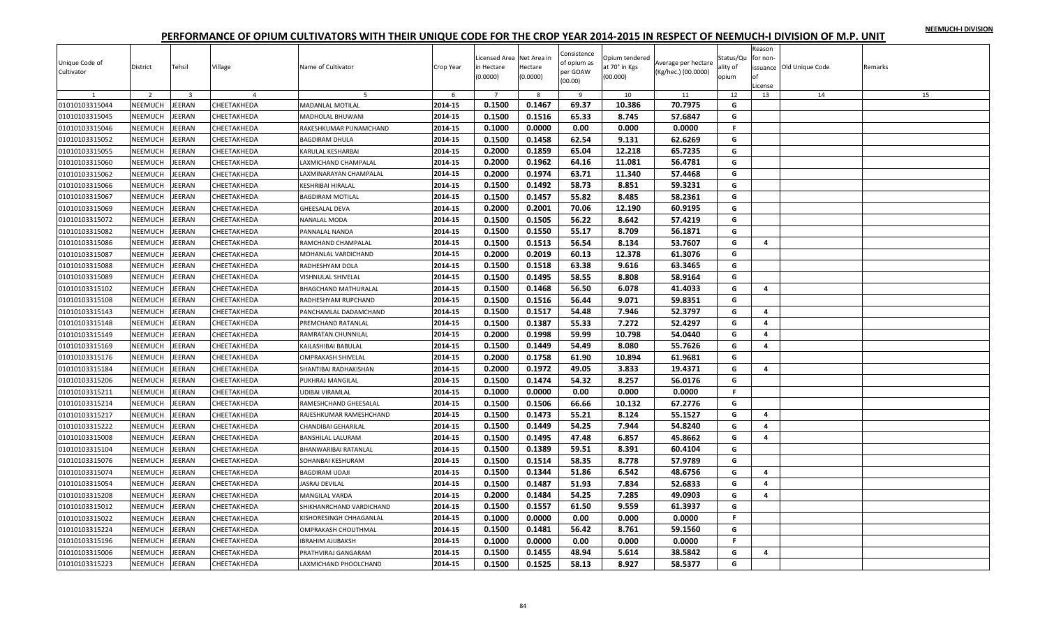| NEEMUCH-I DIVISION |  |
|--------------------|--|
|                    |  |

| $\overline{z}$<br>$\overline{\mathbf{3}}$<br>$\overline{7}$<br>8<br>11<br>12<br>13<br>14<br>15<br>$\overline{a}$<br>5<br>-6<br>$\overline{9}$<br>10<br>0.1500<br>0.1467<br>69.37<br>10.386<br>70.7975<br>01010103315044<br>NEEMUCH<br>EERAN<br>CHEETAKHEDA<br>2014-15<br>MADANLAL MOTILAL<br>G<br>0.1500<br>0.1516<br>65.33<br>8.745<br>57.6847<br>01010103315045<br>NEEMUCH<br><b>JEERAN</b><br>2014-15<br>G<br>CHEETAKHEDA<br>MADHOLAL BHUWANI<br>0.1000<br>0.0000<br>0.0000<br>2014-15<br>0.00<br>0.000<br>F.<br>01010103315046<br>NEEMUCH<br>EERAN<br>CHEETAKHEDA<br>RAKESHKUMAR PUNAMCHAND<br>NEEMUCH<br>0.1500<br>0.1458<br>62.54<br>01010103315052<br>EERAN<br>CHEETAKHEDA<br>2014-15<br>9.131<br>62.6269<br>G<br>BAGDIRAM DHULA<br>0.2000<br><b>NEEMUCH</b><br>2014-15<br>0.1859<br>65.04<br>12.218<br>65.7235<br>G<br>01010103315055<br><b>JEERAN</b><br>CHEETAKHEDA<br>KARULAL KESHARBAI<br>64.16<br>NEEMUCH<br>0.2000<br>0.1962<br>11.081<br>56.4781<br>G<br>01010103315060<br>EERAN<br>CHEETAKHEDA<br>2014-15<br>AXMICHAND CHAMPALAL<br>01010103315062<br>NEEMUCH<br>EERAN<br>CHEETAKHEDA<br>2014-15<br>0.2000<br>0.1974<br>63.71<br>11.340<br>57.4468<br>G<br>AXMINARAYAN CHAMPALAL<br>0.1500<br>58.73<br>01010103315066<br>NEEMUCH<br>EERAN<br>CHEETAKHEDA<br>2014-15<br>0.1492<br>8.851<br>59.3231<br>G<br>KESHRIBAI HIRALAL<br>01010103315067<br><b>NEEMUCH</b><br>EERAN<br>2014-15<br>0.1500<br>0.1457<br>55.82<br>8.485<br>58.2361<br>CHEETAKHEDA<br>G<br><b>BAGDIRAM MOTILAL</b><br>01010103315069<br>NEEMUCH<br>EERAN<br>2014-15<br>0.2000<br>0.2001<br>70.06<br>12.190<br>60.9195<br>CHEETAKHEDA<br><b>GHEESALAL DEVA</b><br>G<br>0.1500<br>56.22<br>8.642<br>NEEMUCH<br>EERAN<br>2014-15<br>0.1505<br>57.4219<br>G<br>01010103315072<br>CHEETAKHEDA<br>NANALAL MODA<br>0.1500<br>0.1550<br>55.17<br>2014-15<br>8.709<br>56.1871<br>01010103315082<br>NEEMUCH<br>EERAN<br>CHEETAKHEDA<br>PANNALAL NANDA<br>G<br>NEEMUCH<br>2014-15<br>0.1500<br>0.1513<br>56.54<br>8.134<br>53.7607<br>G<br>01010103315086<br><b>JEERAN</b><br>CHEETAKHEDA<br>RAMCHAND CHAMPALAL<br>4<br>0.2000<br>0.2019<br>60.13<br>12.378<br>61.3076<br>NEEMUCH<br>EERAN<br>2014-15<br>G<br>01010103315087<br>CHEETAKHEDA<br>MOHANLAL VARDICHAND<br>NEEMUCH<br>0.1500<br>0.1518<br>63.38<br>01010103315088<br><b>JEERAN</b><br>2014-15<br>9.616<br>63.3465<br>G<br>CHEETAKHEDA<br>RADHESHYAM DOLA<br>0.1500<br>58.55<br>NEEMUCH<br>2014-15<br>0.1495<br>8.808<br>58.9164<br>G<br>01010103315089<br>EERAN<br>CHEETAKHEDA<br>VISHNULAL SHIVELAL<br>NEEMUCH<br>0.1500<br>0.1468<br>56.50<br>41.4033<br>G<br>01010103315102<br>EERAN<br>CHEETAKHEDA<br>2014-15<br>6.078<br>4<br>BHAGCHAND MATHURALAL<br>0.1500<br>0.1516<br>59.8351<br>01010103315108<br>NEEMUCH<br>EERAN<br>2014-15<br>56.44<br>9.071<br>G<br>CHEETAKHEDA<br>RADHESHYAM RUPCHAND<br>0.1500<br>0.1517<br>54.48<br>7.946<br>52.3797<br>01010103315143<br>NEEMUCH<br>EERAN<br>CHEETAKHEDA<br>2014-15<br>G<br>PANCHAMLAL DADAMCHAND<br>$\overline{4}$<br>01010103315148<br><b>NEEMUCH</b><br><b>JEERAN</b><br>2014-15<br>0.1500<br>0.1387<br>55.33<br>7.272<br>52.4297<br>CHEETAKHEDA<br>G<br>4<br>PREMCHAND RATANLAL<br>2014-15<br>0.2000<br>0.1998<br>59.99<br>10.798<br>54.0440<br>NEEMUCH<br>G<br>$\overline{a}$<br>01010103315149<br>EERAN<br>CHEETAKHEDA<br>RAMRATAN CHUNNILAL<br>0.1500<br>54.49<br>55.7626<br><b>NEEMUCH</b><br>EERAN<br>0.1449<br>8.080<br>G<br>01010103315169<br>CHEETAKHEDA<br>2014-15<br>$\overline{a}$<br>KAILASHIBAI BABULAL<br>0.1758<br>2014-15<br>0.2000<br>61.90<br>10.894<br>61.9681<br>01010103315176<br><b>NEEMUCH</b><br>EERAN<br>CHEETAKHEDA<br>OMPRAKASH SHIVELAL<br>G<br>NEEMUCH<br>0.2000<br>0.1972<br>49.05<br>3.833<br>19.4371<br>01010103315184<br><b>JEERAN</b><br>2014-15<br>G<br>CHEETAKHEDA<br>SHANTIBAI RADHAKISHAN<br>4<br>0.1500<br>0.1474<br>54.32<br>NEEMUCH<br>2014-15<br>8.257<br>56.0176<br>G<br>01010103315206<br>EERAN<br>CHEETAKHEDA<br>PUKHRAJ MANGILAL<br>NEEMUCH<br>01010103315211<br>EERAN<br>2014-15<br>0.1000<br>0.0000<br>0.00<br>0.000<br>0.0000<br>$\mathbf{F}$<br>CHEETAKHEDA<br>JDIBAI VIRAMLAL<br>0.1500<br>01010103315214<br><b>NEEMUCH</b><br><b>JEERAN</b><br>CHEETAKHEDA<br>2014-15<br>0.1506<br>66.66<br>10.132<br>67.2776<br>G<br>RAMESHCHAND GHEESALAL<br>55.21<br>NEEMUCH<br>0.1500<br>0.1473<br>8.124<br>55.1527<br>G<br>01010103315217<br>EERAN<br>CHEETAKHEDA<br>2014-15<br>$\overline{a}$<br>RAJESHKUMAR RAMESHCHAND<br>01010103315222<br>NEEMUCH<br>EERAN<br>CHEETAKHEDA<br>2014-15<br>0.1500<br>0.1449<br>54.25<br>7.944<br>54.8240<br>G<br>4<br>CHANDIBAI GEHARILAL<br>0.1500<br>2014-15<br>0.1495<br>47.48<br>6.857<br>45.8662<br>G<br>01010103315008<br>NEEMUCH<br>EERAN<br>CHEETAKHEDA<br><b>BANSHILAL LALURAM</b><br>$\overline{a}$<br>59.51<br>01010103315104<br>NEEMUCH<br><b>JEERAN</b><br>2014-15<br>0.1500<br>0.1389<br>8.391<br>60.4104<br>CHEETAKHEDA<br>G<br>BHANWARIBAI RATANLAL<br>0.1500<br>58.35<br>2014-15<br>0.1514<br>8.778<br>57.9789<br>01010103315076<br>NEEMUCH<br>EERAN<br>G<br>CHEETAKHEDA<br>SOHANBAI KESHURAM<br>0.1500<br>51.86<br>6.542<br>48.6756<br>NEEMUCH<br>0.1344<br>G<br>01010103315074<br>EERAN<br>CHEETAKHEDA<br>2014-15<br>$\overline{a}$<br><b>BAGDIRAM UDAJI</b><br>0.1487<br>2014-15<br>0.1500<br>51.93<br>7.834<br>52.6833<br>01010103315054<br>NEEMUCH<br>EERAN<br>CHEETAKHEDA<br>JASRAJ DEVILAL<br>G<br>4<br>0.2000<br>NEEMUCH<br>2014-15<br>0.1484<br>54.25<br>7.285<br>49.0903<br>01010103315208<br><b>JEERAN</b><br>CHEETAKHEDA<br>G<br>MANGILAL VARDA<br>4<br>NEEMUCH<br>0.1500<br>0.1557<br>61.50<br>9.559<br>61.3937<br>01010103315012<br>EERAN<br>CHEETAKHEDA<br>2014-15<br>G<br>SHIKHANRCHAND VARDICHAND<br>01010103315022<br>NEEMUCH<br><b>JEERAN</b><br>2014-15<br>0.1000<br>0.0000<br>0.00<br>0.000<br>0.0000<br>F<br>CHEETAKHEDA<br>KISHORESINGH CHHAGANLAL<br>0.1500<br>01010103315224<br><b>NEEMUCH</b><br>EERAN<br>CHEETAKHEDA<br>2014-15<br>0.1481<br>56.42<br>8.761<br>59.1560<br>G<br>OMPRAKASH CHOUTHMAL<br>0.1000<br>0.0000<br>0.00<br>0.000<br>0.0000<br>F.<br><b>NEEMUCH</b><br>2014-15<br>01010103315196<br>EERAN<br>CHEETAKHEDA<br><b>BRAHIM AJIJBAKSH</b><br>01010103315006<br><b>NEEMUCH</b><br>EERAN<br>2014-15<br>0.1500<br>0.1455<br>48.94<br>5.614<br>38.5842<br>G<br>CHEETAKHEDA<br>4<br>PRATHVIRAJ GANGARAM<br>0.1500<br>0.1525<br>58.13<br>8.927<br>G<br><b>NEEMUCH</b><br><b>JEERAN</b><br>2014-15<br>58.5377<br>01010103315223<br>CHEETAKHEDA<br>LAXMICHAND PHOOLCHAND | Unique Code of<br>Cultivator | District | Tehsil | Village | Name of Cultivator | Crop Year | Licensed Area Net Area in<br>in Hectare<br>(0.0000) | Hectare<br>(0.0000) | Consistence<br>of opium as<br>per GOAW<br>(00.00) | Opium tendered<br>at 70° in Kgs<br>(00.000) | Average per hectare<br>(Kg/hec.) (00.0000) | Status/Qu<br>ality of<br>opium | Reason<br>for non-<br>nf<br>License | issuance Old Unique Code | Remarks |
|------------------------------------------------------------------------------------------------------------------------------------------------------------------------------------------------------------------------------------------------------------------------------------------------------------------------------------------------------------------------------------------------------------------------------------------------------------------------------------------------------------------------------------------------------------------------------------------------------------------------------------------------------------------------------------------------------------------------------------------------------------------------------------------------------------------------------------------------------------------------------------------------------------------------------------------------------------------------------------------------------------------------------------------------------------------------------------------------------------------------------------------------------------------------------------------------------------------------------------------------------------------------------------------------------------------------------------------------------------------------------------------------------------------------------------------------------------------------------------------------------------------------------------------------------------------------------------------------------------------------------------------------------------------------------------------------------------------------------------------------------------------------------------------------------------------------------------------------------------------------------------------------------------------------------------------------------------------------------------------------------------------------------------------------------------------------------------------------------------------------------------------------------------------------------------------------------------------------------------------------------------------------------------------------------------------------------------------------------------------------------------------------------------------------------------------------------------------------------------------------------------------------------------------------------------------------------------------------------------------------------------------------------------------------------------------------------------------------------------------------------------------------------------------------------------------------------------------------------------------------------------------------------------------------------------------------------------------------------------------------------------------------------------------------------------------------------------------------------------------------------------------------------------------------------------------------------------------------------------------------------------------------------------------------------------------------------------------------------------------------------------------------------------------------------------------------------------------------------------------------------------------------------------------------------------------------------------------------------------------------------------------------------------------------------------------------------------------------------------------------------------------------------------------------------------------------------------------------------------------------------------------------------------------------------------------------------------------------------------------------------------------------------------------------------------------------------------------------------------------------------------------------------------------------------------------------------------------------------------------------------------------------------------------------------------------------------------------------------------------------------------------------------------------------------------------------------------------------------------------------------------------------------------------------------------------------------------------------------------------------------------------------------------------------------------------------------------------------------------------------------------------------------------------------------------------------------------------------------------------------------------------------------------------------------------------------------------------------------------------------------------------------------------------------------------------------------------------------------------------------------------------------------------------------------------------------------------------------------------------------------------------------------------------------------------------------------------------------------------------------------------------------------------------------------------------------------------------------------------------------------------------------------------------------------------------------------------------------------------------------------------------------------------------------------------------------------------------------------------------------------------------------------------------------------------------------------------------------------------------------------------------------------------------------------------------------------------------------------------------------------------------------------------------------------------------------------------------------------------------------------------------------------------------------------------------------------------------------------------------------------------------------------------------------------------------------------------------------------------------------------------------------------------------------------------------------------------------------------------------------|------------------------------|----------|--------|---------|--------------------|-----------|-----------------------------------------------------|---------------------|---------------------------------------------------|---------------------------------------------|--------------------------------------------|--------------------------------|-------------------------------------|--------------------------|---------|
|                                                                                                                                                                                                                                                                                                                                                                                                                                                                                                                                                                                                                                                                                                                                                                                                                                                                                                                                                                                                                                                                                                                                                                                                                                                                                                                                                                                                                                                                                                                                                                                                                                                                                                                                                                                                                                                                                                                                                                                                                                                                                                                                                                                                                                                                                                                                                                                                                                                                                                                                                                                                                                                                                                                                                                                                                                                                                                                                                                                                                                                                                                                                                                                                                                                                                                                                                                                                                                                                                                                                                                                                                                                                                                                                                                                                                                                                                                                                                                                                                                                                                                                                                                                                                                                                                                                                                                                                                                                                                                                                                                                                                                                                                                                                                                                                                                                                                                                                                                                                                                                                                                                                                                                                                                                                                                                                                                                                                                                                                                                                                                                                                                                                                                                                                                                                                                                                                                                                                                                                                                                                                                                                                                                                                                                                                                                                                                                                                                                                                                |                              |          |        |         |                    |           |                                                     |                     |                                                   |                                             |                                            |                                |                                     |                          |         |
|                                                                                                                                                                                                                                                                                                                                                                                                                                                                                                                                                                                                                                                                                                                                                                                                                                                                                                                                                                                                                                                                                                                                                                                                                                                                                                                                                                                                                                                                                                                                                                                                                                                                                                                                                                                                                                                                                                                                                                                                                                                                                                                                                                                                                                                                                                                                                                                                                                                                                                                                                                                                                                                                                                                                                                                                                                                                                                                                                                                                                                                                                                                                                                                                                                                                                                                                                                                                                                                                                                                                                                                                                                                                                                                                                                                                                                                                                                                                                                                                                                                                                                                                                                                                                                                                                                                                                                                                                                                                                                                                                                                                                                                                                                                                                                                                                                                                                                                                                                                                                                                                                                                                                                                                                                                                                                                                                                                                                                                                                                                                                                                                                                                                                                                                                                                                                                                                                                                                                                                                                                                                                                                                                                                                                                                                                                                                                                                                                                                                                                |                              |          |        |         |                    |           |                                                     |                     |                                                   |                                             |                                            |                                |                                     |                          |         |
|                                                                                                                                                                                                                                                                                                                                                                                                                                                                                                                                                                                                                                                                                                                                                                                                                                                                                                                                                                                                                                                                                                                                                                                                                                                                                                                                                                                                                                                                                                                                                                                                                                                                                                                                                                                                                                                                                                                                                                                                                                                                                                                                                                                                                                                                                                                                                                                                                                                                                                                                                                                                                                                                                                                                                                                                                                                                                                                                                                                                                                                                                                                                                                                                                                                                                                                                                                                                                                                                                                                                                                                                                                                                                                                                                                                                                                                                                                                                                                                                                                                                                                                                                                                                                                                                                                                                                                                                                                                                                                                                                                                                                                                                                                                                                                                                                                                                                                                                                                                                                                                                                                                                                                                                                                                                                                                                                                                                                                                                                                                                                                                                                                                                                                                                                                                                                                                                                                                                                                                                                                                                                                                                                                                                                                                                                                                                                                                                                                                                                                |                              |          |        |         |                    |           |                                                     |                     |                                                   |                                             |                                            |                                |                                     |                          |         |
|                                                                                                                                                                                                                                                                                                                                                                                                                                                                                                                                                                                                                                                                                                                                                                                                                                                                                                                                                                                                                                                                                                                                                                                                                                                                                                                                                                                                                                                                                                                                                                                                                                                                                                                                                                                                                                                                                                                                                                                                                                                                                                                                                                                                                                                                                                                                                                                                                                                                                                                                                                                                                                                                                                                                                                                                                                                                                                                                                                                                                                                                                                                                                                                                                                                                                                                                                                                                                                                                                                                                                                                                                                                                                                                                                                                                                                                                                                                                                                                                                                                                                                                                                                                                                                                                                                                                                                                                                                                                                                                                                                                                                                                                                                                                                                                                                                                                                                                                                                                                                                                                                                                                                                                                                                                                                                                                                                                                                                                                                                                                                                                                                                                                                                                                                                                                                                                                                                                                                                                                                                                                                                                                                                                                                                                                                                                                                                                                                                                                                                |                              |          |        |         |                    |           |                                                     |                     |                                                   |                                             |                                            |                                |                                     |                          |         |
|                                                                                                                                                                                                                                                                                                                                                                                                                                                                                                                                                                                                                                                                                                                                                                                                                                                                                                                                                                                                                                                                                                                                                                                                                                                                                                                                                                                                                                                                                                                                                                                                                                                                                                                                                                                                                                                                                                                                                                                                                                                                                                                                                                                                                                                                                                                                                                                                                                                                                                                                                                                                                                                                                                                                                                                                                                                                                                                                                                                                                                                                                                                                                                                                                                                                                                                                                                                                                                                                                                                                                                                                                                                                                                                                                                                                                                                                                                                                                                                                                                                                                                                                                                                                                                                                                                                                                                                                                                                                                                                                                                                                                                                                                                                                                                                                                                                                                                                                                                                                                                                                                                                                                                                                                                                                                                                                                                                                                                                                                                                                                                                                                                                                                                                                                                                                                                                                                                                                                                                                                                                                                                                                                                                                                                                                                                                                                                                                                                                                                                |                              |          |        |         |                    |           |                                                     |                     |                                                   |                                             |                                            |                                |                                     |                          |         |
|                                                                                                                                                                                                                                                                                                                                                                                                                                                                                                                                                                                                                                                                                                                                                                                                                                                                                                                                                                                                                                                                                                                                                                                                                                                                                                                                                                                                                                                                                                                                                                                                                                                                                                                                                                                                                                                                                                                                                                                                                                                                                                                                                                                                                                                                                                                                                                                                                                                                                                                                                                                                                                                                                                                                                                                                                                                                                                                                                                                                                                                                                                                                                                                                                                                                                                                                                                                                                                                                                                                                                                                                                                                                                                                                                                                                                                                                                                                                                                                                                                                                                                                                                                                                                                                                                                                                                                                                                                                                                                                                                                                                                                                                                                                                                                                                                                                                                                                                                                                                                                                                                                                                                                                                                                                                                                                                                                                                                                                                                                                                                                                                                                                                                                                                                                                                                                                                                                                                                                                                                                                                                                                                                                                                                                                                                                                                                                                                                                                                                                |                              |          |        |         |                    |           |                                                     |                     |                                                   |                                             |                                            |                                |                                     |                          |         |
|                                                                                                                                                                                                                                                                                                                                                                                                                                                                                                                                                                                                                                                                                                                                                                                                                                                                                                                                                                                                                                                                                                                                                                                                                                                                                                                                                                                                                                                                                                                                                                                                                                                                                                                                                                                                                                                                                                                                                                                                                                                                                                                                                                                                                                                                                                                                                                                                                                                                                                                                                                                                                                                                                                                                                                                                                                                                                                                                                                                                                                                                                                                                                                                                                                                                                                                                                                                                                                                                                                                                                                                                                                                                                                                                                                                                                                                                                                                                                                                                                                                                                                                                                                                                                                                                                                                                                                                                                                                                                                                                                                                                                                                                                                                                                                                                                                                                                                                                                                                                                                                                                                                                                                                                                                                                                                                                                                                                                                                                                                                                                                                                                                                                                                                                                                                                                                                                                                                                                                                                                                                                                                                                                                                                                                                                                                                                                                                                                                                                                                |                              |          |        |         |                    |           |                                                     |                     |                                                   |                                             |                                            |                                |                                     |                          |         |
|                                                                                                                                                                                                                                                                                                                                                                                                                                                                                                                                                                                                                                                                                                                                                                                                                                                                                                                                                                                                                                                                                                                                                                                                                                                                                                                                                                                                                                                                                                                                                                                                                                                                                                                                                                                                                                                                                                                                                                                                                                                                                                                                                                                                                                                                                                                                                                                                                                                                                                                                                                                                                                                                                                                                                                                                                                                                                                                                                                                                                                                                                                                                                                                                                                                                                                                                                                                                                                                                                                                                                                                                                                                                                                                                                                                                                                                                                                                                                                                                                                                                                                                                                                                                                                                                                                                                                                                                                                                                                                                                                                                                                                                                                                                                                                                                                                                                                                                                                                                                                                                                                                                                                                                                                                                                                                                                                                                                                                                                                                                                                                                                                                                                                                                                                                                                                                                                                                                                                                                                                                                                                                                                                                                                                                                                                                                                                                                                                                                                                                |                              |          |        |         |                    |           |                                                     |                     |                                                   |                                             |                                            |                                |                                     |                          |         |
|                                                                                                                                                                                                                                                                                                                                                                                                                                                                                                                                                                                                                                                                                                                                                                                                                                                                                                                                                                                                                                                                                                                                                                                                                                                                                                                                                                                                                                                                                                                                                                                                                                                                                                                                                                                                                                                                                                                                                                                                                                                                                                                                                                                                                                                                                                                                                                                                                                                                                                                                                                                                                                                                                                                                                                                                                                                                                                                                                                                                                                                                                                                                                                                                                                                                                                                                                                                                                                                                                                                                                                                                                                                                                                                                                                                                                                                                                                                                                                                                                                                                                                                                                                                                                                                                                                                                                                                                                                                                                                                                                                                                                                                                                                                                                                                                                                                                                                                                                                                                                                                                                                                                                                                                                                                                                                                                                                                                                                                                                                                                                                                                                                                                                                                                                                                                                                                                                                                                                                                                                                                                                                                                                                                                                                                                                                                                                                                                                                                                                                |                              |          |        |         |                    |           |                                                     |                     |                                                   |                                             |                                            |                                |                                     |                          |         |
|                                                                                                                                                                                                                                                                                                                                                                                                                                                                                                                                                                                                                                                                                                                                                                                                                                                                                                                                                                                                                                                                                                                                                                                                                                                                                                                                                                                                                                                                                                                                                                                                                                                                                                                                                                                                                                                                                                                                                                                                                                                                                                                                                                                                                                                                                                                                                                                                                                                                                                                                                                                                                                                                                                                                                                                                                                                                                                                                                                                                                                                                                                                                                                                                                                                                                                                                                                                                                                                                                                                                                                                                                                                                                                                                                                                                                                                                                                                                                                                                                                                                                                                                                                                                                                                                                                                                                                                                                                                                                                                                                                                                                                                                                                                                                                                                                                                                                                                                                                                                                                                                                                                                                                                                                                                                                                                                                                                                                                                                                                                                                                                                                                                                                                                                                                                                                                                                                                                                                                                                                                                                                                                                                                                                                                                                                                                                                                                                                                                                                                |                              |          |        |         |                    |           |                                                     |                     |                                                   |                                             |                                            |                                |                                     |                          |         |
|                                                                                                                                                                                                                                                                                                                                                                                                                                                                                                                                                                                                                                                                                                                                                                                                                                                                                                                                                                                                                                                                                                                                                                                                                                                                                                                                                                                                                                                                                                                                                                                                                                                                                                                                                                                                                                                                                                                                                                                                                                                                                                                                                                                                                                                                                                                                                                                                                                                                                                                                                                                                                                                                                                                                                                                                                                                                                                                                                                                                                                                                                                                                                                                                                                                                                                                                                                                                                                                                                                                                                                                                                                                                                                                                                                                                                                                                                                                                                                                                                                                                                                                                                                                                                                                                                                                                                                                                                                                                                                                                                                                                                                                                                                                                                                                                                                                                                                                                                                                                                                                                                                                                                                                                                                                                                                                                                                                                                                                                                                                                                                                                                                                                                                                                                                                                                                                                                                                                                                                                                                                                                                                                                                                                                                                                                                                                                                                                                                                                                                |                              |          |        |         |                    |           |                                                     |                     |                                                   |                                             |                                            |                                |                                     |                          |         |
|                                                                                                                                                                                                                                                                                                                                                                                                                                                                                                                                                                                                                                                                                                                                                                                                                                                                                                                                                                                                                                                                                                                                                                                                                                                                                                                                                                                                                                                                                                                                                                                                                                                                                                                                                                                                                                                                                                                                                                                                                                                                                                                                                                                                                                                                                                                                                                                                                                                                                                                                                                                                                                                                                                                                                                                                                                                                                                                                                                                                                                                                                                                                                                                                                                                                                                                                                                                                                                                                                                                                                                                                                                                                                                                                                                                                                                                                                                                                                                                                                                                                                                                                                                                                                                                                                                                                                                                                                                                                                                                                                                                                                                                                                                                                                                                                                                                                                                                                                                                                                                                                                                                                                                                                                                                                                                                                                                                                                                                                                                                                                                                                                                                                                                                                                                                                                                                                                                                                                                                                                                                                                                                                                                                                                                                                                                                                                                                                                                                                                                |                              |          |        |         |                    |           |                                                     |                     |                                                   |                                             |                                            |                                |                                     |                          |         |
|                                                                                                                                                                                                                                                                                                                                                                                                                                                                                                                                                                                                                                                                                                                                                                                                                                                                                                                                                                                                                                                                                                                                                                                                                                                                                                                                                                                                                                                                                                                                                                                                                                                                                                                                                                                                                                                                                                                                                                                                                                                                                                                                                                                                                                                                                                                                                                                                                                                                                                                                                                                                                                                                                                                                                                                                                                                                                                                                                                                                                                                                                                                                                                                                                                                                                                                                                                                                                                                                                                                                                                                                                                                                                                                                                                                                                                                                                                                                                                                                                                                                                                                                                                                                                                                                                                                                                                                                                                                                                                                                                                                                                                                                                                                                                                                                                                                                                                                                                                                                                                                                                                                                                                                                                                                                                                                                                                                                                                                                                                                                                                                                                                                                                                                                                                                                                                                                                                                                                                                                                                                                                                                                                                                                                                                                                                                                                                                                                                                                                                |                              |          |        |         |                    |           |                                                     |                     |                                                   |                                             |                                            |                                |                                     |                          |         |
|                                                                                                                                                                                                                                                                                                                                                                                                                                                                                                                                                                                                                                                                                                                                                                                                                                                                                                                                                                                                                                                                                                                                                                                                                                                                                                                                                                                                                                                                                                                                                                                                                                                                                                                                                                                                                                                                                                                                                                                                                                                                                                                                                                                                                                                                                                                                                                                                                                                                                                                                                                                                                                                                                                                                                                                                                                                                                                                                                                                                                                                                                                                                                                                                                                                                                                                                                                                                                                                                                                                                                                                                                                                                                                                                                                                                                                                                                                                                                                                                                                                                                                                                                                                                                                                                                                                                                                                                                                                                                                                                                                                                                                                                                                                                                                                                                                                                                                                                                                                                                                                                                                                                                                                                                                                                                                                                                                                                                                                                                                                                                                                                                                                                                                                                                                                                                                                                                                                                                                                                                                                                                                                                                                                                                                                                                                                                                                                                                                                                                                |                              |          |        |         |                    |           |                                                     |                     |                                                   |                                             |                                            |                                |                                     |                          |         |
|                                                                                                                                                                                                                                                                                                                                                                                                                                                                                                                                                                                                                                                                                                                                                                                                                                                                                                                                                                                                                                                                                                                                                                                                                                                                                                                                                                                                                                                                                                                                                                                                                                                                                                                                                                                                                                                                                                                                                                                                                                                                                                                                                                                                                                                                                                                                                                                                                                                                                                                                                                                                                                                                                                                                                                                                                                                                                                                                                                                                                                                                                                                                                                                                                                                                                                                                                                                                                                                                                                                                                                                                                                                                                                                                                                                                                                                                                                                                                                                                                                                                                                                                                                                                                                                                                                                                                                                                                                                                                                                                                                                                                                                                                                                                                                                                                                                                                                                                                                                                                                                                                                                                                                                                                                                                                                                                                                                                                                                                                                                                                                                                                                                                                                                                                                                                                                                                                                                                                                                                                                                                                                                                                                                                                                                                                                                                                                                                                                                                                                |                              |          |        |         |                    |           |                                                     |                     |                                                   |                                             |                                            |                                |                                     |                          |         |
|                                                                                                                                                                                                                                                                                                                                                                                                                                                                                                                                                                                                                                                                                                                                                                                                                                                                                                                                                                                                                                                                                                                                                                                                                                                                                                                                                                                                                                                                                                                                                                                                                                                                                                                                                                                                                                                                                                                                                                                                                                                                                                                                                                                                                                                                                                                                                                                                                                                                                                                                                                                                                                                                                                                                                                                                                                                                                                                                                                                                                                                                                                                                                                                                                                                                                                                                                                                                                                                                                                                                                                                                                                                                                                                                                                                                                                                                                                                                                                                                                                                                                                                                                                                                                                                                                                                                                                                                                                                                                                                                                                                                                                                                                                                                                                                                                                                                                                                                                                                                                                                                                                                                                                                                                                                                                                                                                                                                                                                                                                                                                                                                                                                                                                                                                                                                                                                                                                                                                                                                                                                                                                                                                                                                                                                                                                                                                                                                                                                                                                |                              |          |        |         |                    |           |                                                     |                     |                                                   |                                             |                                            |                                |                                     |                          |         |
|                                                                                                                                                                                                                                                                                                                                                                                                                                                                                                                                                                                                                                                                                                                                                                                                                                                                                                                                                                                                                                                                                                                                                                                                                                                                                                                                                                                                                                                                                                                                                                                                                                                                                                                                                                                                                                                                                                                                                                                                                                                                                                                                                                                                                                                                                                                                                                                                                                                                                                                                                                                                                                                                                                                                                                                                                                                                                                                                                                                                                                                                                                                                                                                                                                                                                                                                                                                                                                                                                                                                                                                                                                                                                                                                                                                                                                                                                                                                                                                                                                                                                                                                                                                                                                                                                                                                                                                                                                                                                                                                                                                                                                                                                                                                                                                                                                                                                                                                                                                                                                                                                                                                                                                                                                                                                                                                                                                                                                                                                                                                                                                                                                                                                                                                                                                                                                                                                                                                                                                                                                                                                                                                                                                                                                                                                                                                                                                                                                                                                                |                              |          |        |         |                    |           |                                                     |                     |                                                   |                                             |                                            |                                |                                     |                          |         |
|                                                                                                                                                                                                                                                                                                                                                                                                                                                                                                                                                                                                                                                                                                                                                                                                                                                                                                                                                                                                                                                                                                                                                                                                                                                                                                                                                                                                                                                                                                                                                                                                                                                                                                                                                                                                                                                                                                                                                                                                                                                                                                                                                                                                                                                                                                                                                                                                                                                                                                                                                                                                                                                                                                                                                                                                                                                                                                                                                                                                                                                                                                                                                                                                                                                                                                                                                                                                                                                                                                                                                                                                                                                                                                                                                                                                                                                                                                                                                                                                                                                                                                                                                                                                                                                                                                                                                                                                                                                                                                                                                                                                                                                                                                                                                                                                                                                                                                                                                                                                                                                                                                                                                                                                                                                                                                                                                                                                                                                                                                                                                                                                                                                                                                                                                                                                                                                                                                                                                                                                                                                                                                                                                                                                                                                                                                                                                                                                                                                                                                |                              |          |        |         |                    |           |                                                     |                     |                                                   |                                             |                                            |                                |                                     |                          |         |
|                                                                                                                                                                                                                                                                                                                                                                                                                                                                                                                                                                                                                                                                                                                                                                                                                                                                                                                                                                                                                                                                                                                                                                                                                                                                                                                                                                                                                                                                                                                                                                                                                                                                                                                                                                                                                                                                                                                                                                                                                                                                                                                                                                                                                                                                                                                                                                                                                                                                                                                                                                                                                                                                                                                                                                                                                                                                                                                                                                                                                                                                                                                                                                                                                                                                                                                                                                                                                                                                                                                                                                                                                                                                                                                                                                                                                                                                                                                                                                                                                                                                                                                                                                                                                                                                                                                                                                                                                                                                                                                                                                                                                                                                                                                                                                                                                                                                                                                                                                                                                                                                                                                                                                                                                                                                                                                                                                                                                                                                                                                                                                                                                                                                                                                                                                                                                                                                                                                                                                                                                                                                                                                                                                                                                                                                                                                                                                                                                                                                                                |                              |          |        |         |                    |           |                                                     |                     |                                                   |                                             |                                            |                                |                                     |                          |         |
|                                                                                                                                                                                                                                                                                                                                                                                                                                                                                                                                                                                                                                                                                                                                                                                                                                                                                                                                                                                                                                                                                                                                                                                                                                                                                                                                                                                                                                                                                                                                                                                                                                                                                                                                                                                                                                                                                                                                                                                                                                                                                                                                                                                                                                                                                                                                                                                                                                                                                                                                                                                                                                                                                                                                                                                                                                                                                                                                                                                                                                                                                                                                                                                                                                                                                                                                                                                                                                                                                                                                                                                                                                                                                                                                                                                                                                                                                                                                                                                                                                                                                                                                                                                                                                                                                                                                                                                                                                                                                                                                                                                                                                                                                                                                                                                                                                                                                                                                                                                                                                                                                                                                                                                                                                                                                                                                                                                                                                                                                                                                                                                                                                                                                                                                                                                                                                                                                                                                                                                                                                                                                                                                                                                                                                                                                                                                                                                                                                                                                                |                              |          |        |         |                    |           |                                                     |                     |                                                   |                                             |                                            |                                |                                     |                          |         |
|                                                                                                                                                                                                                                                                                                                                                                                                                                                                                                                                                                                                                                                                                                                                                                                                                                                                                                                                                                                                                                                                                                                                                                                                                                                                                                                                                                                                                                                                                                                                                                                                                                                                                                                                                                                                                                                                                                                                                                                                                                                                                                                                                                                                                                                                                                                                                                                                                                                                                                                                                                                                                                                                                                                                                                                                                                                                                                                                                                                                                                                                                                                                                                                                                                                                                                                                                                                                                                                                                                                                                                                                                                                                                                                                                                                                                                                                                                                                                                                                                                                                                                                                                                                                                                                                                                                                                                                                                                                                                                                                                                                                                                                                                                                                                                                                                                                                                                                                                                                                                                                                                                                                                                                                                                                                                                                                                                                                                                                                                                                                                                                                                                                                                                                                                                                                                                                                                                                                                                                                                                                                                                                                                                                                                                                                                                                                                                                                                                                                                                |                              |          |        |         |                    |           |                                                     |                     |                                                   |                                             |                                            |                                |                                     |                          |         |
|                                                                                                                                                                                                                                                                                                                                                                                                                                                                                                                                                                                                                                                                                                                                                                                                                                                                                                                                                                                                                                                                                                                                                                                                                                                                                                                                                                                                                                                                                                                                                                                                                                                                                                                                                                                                                                                                                                                                                                                                                                                                                                                                                                                                                                                                                                                                                                                                                                                                                                                                                                                                                                                                                                                                                                                                                                                                                                                                                                                                                                                                                                                                                                                                                                                                                                                                                                                                                                                                                                                                                                                                                                                                                                                                                                                                                                                                                                                                                                                                                                                                                                                                                                                                                                                                                                                                                                                                                                                                                                                                                                                                                                                                                                                                                                                                                                                                                                                                                                                                                                                                                                                                                                                                                                                                                                                                                                                                                                                                                                                                                                                                                                                                                                                                                                                                                                                                                                                                                                                                                                                                                                                                                                                                                                                                                                                                                                                                                                                                                                |                              |          |        |         |                    |           |                                                     |                     |                                                   |                                             |                                            |                                |                                     |                          |         |
|                                                                                                                                                                                                                                                                                                                                                                                                                                                                                                                                                                                                                                                                                                                                                                                                                                                                                                                                                                                                                                                                                                                                                                                                                                                                                                                                                                                                                                                                                                                                                                                                                                                                                                                                                                                                                                                                                                                                                                                                                                                                                                                                                                                                                                                                                                                                                                                                                                                                                                                                                                                                                                                                                                                                                                                                                                                                                                                                                                                                                                                                                                                                                                                                                                                                                                                                                                                                                                                                                                                                                                                                                                                                                                                                                                                                                                                                                                                                                                                                                                                                                                                                                                                                                                                                                                                                                                                                                                                                                                                                                                                                                                                                                                                                                                                                                                                                                                                                                                                                                                                                                                                                                                                                                                                                                                                                                                                                                                                                                                                                                                                                                                                                                                                                                                                                                                                                                                                                                                                                                                                                                                                                                                                                                                                                                                                                                                                                                                                                                                |                              |          |        |         |                    |           |                                                     |                     |                                                   |                                             |                                            |                                |                                     |                          |         |
|                                                                                                                                                                                                                                                                                                                                                                                                                                                                                                                                                                                                                                                                                                                                                                                                                                                                                                                                                                                                                                                                                                                                                                                                                                                                                                                                                                                                                                                                                                                                                                                                                                                                                                                                                                                                                                                                                                                                                                                                                                                                                                                                                                                                                                                                                                                                                                                                                                                                                                                                                                                                                                                                                                                                                                                                                                                                                                                                                                                                                                                                                                                                                                                                                                                                                                                                                                                                                                                                                                                                                                                                                                                                                                                                                                                                                                                                                                                                                                                                                                                                                                                                                                                                                                                                                                                                                                                                                                                                                                                                                                                                                                                                                                                                                                                                                                                                                                                                                                                                                                                                                                                                                                                                                                                                                                                                                                                                                                                                                                                                                                                                                                                                                                                                                                                                                                                                                                                                                                                                                                                                                                                                                                                                                                                                                                                                                                                                                                                                                                |                              |          |        |         |                    |           |                                                     |                     |                                                   |                                             |                                            |                                |                                     |                          |         |
|                                                                                                                                                                                                                                                                                                                                                                                                                                                                                                                                                                                                                                                                                                                                                                                                                                                                                                                                                                                                                                                                                                                                                                                                                                                                                                                                                                                                                                                                                                                                                                                                                                                                                                                                                                                                                                                                                                                                                                                                                                                                                                                                                                                                                                                                                                                                                                                                                                                                                                                                                                                                                                                                                                                                                                                                                                                                                                                                                                                                                                                                                                                                                                                                                                                                                                                                                                                                                                                                                                                                                                                                                                                                                                                                                                                                                                                                                                                                                                                                                                                                                                                                                                                                                                                                                                                                                                                                                                                                                                                                                                                                                                                                                                                                                                                                                                                                                                                                                                                                                                                                                                                                                                                                                                                                                                                                                                                                                                                                                                                                                                                                                                                                                                                                                                                                                                                                                                                                                                                                                                                                                                                                                                                                                                                                                                                                                                                                                                                                                                |                              |          |        |         |                    |           |                                                     |                     |                                                   |                                             |                                            |                                |                                     |                          |         |
|                                                                                                                                                                                                                                                                                                                                                                                                                                                                                                                                                                                                                                                                                                                                                                                                                                                                                                                                                                                                                                                                                                                                                                                                                                                                                                                                                                                                                                                                                                                                                                                                                                                                                                                                                                                                                                                                                                                                                                                                                                                                                                                                                                                                                                                                                                                                                                                                                                                                                                                                                                                                                                                                                                                                                                                                                                                                                                                                                                                                                                                                                                                                                                                                                                                                                                                                                                                                                                                                                                                                                                                                                                                                                                                                                                                                                                                                                                                                                                                                                                                                                                                                                                                                                                                                                                                                                                                                                                                                                                                                                                                                                                                                                                                                                                                                                                                                                                                                                                                                                                                                                                                                                                                                                                                                                                                                                                                                                                                                                                                                                                                                                                                                                                                                                                                                                                                                                                                                                                                                                                                                                                                                                                                                                                                                                                                                                                                                                                                                                                |                              |          |        |         |                    |           |                                                     |                     |                                                   |                                             |                                            |                                |                                     |                          |         |
|                                                                                                                                                                                                                                                                                                                                                                                                                                                                                                                                                                                                                                                                                                                                                                                                                                                                                                                                                                                                                                                                                                                                                                                                                                                                                                                                                                                                                                                                                                                                                                                                                                                                                                                                                                                                                                                                                                                                                                                                                                                                                                                                                                                                                                                                                                                                                                                                                                                                                                                                                                                                                                                                                                                                                                                                                                                                                                                                                                                                                                                                                                                                                                                                                                                                                                                                                                                                                                                                                                                                                                                                                                                                                                                                                                                                                                                                                                                                                                                                                                                                                                                                                                                                                                                                                                                                                                                                                                                                                                                                                                                                                                                                                                                                                                                                                                                                                                                                                                                                                                                                                                                                                                                                                                                                                                                                                                                                                                                                                                                                                                                                                                                                                                                                                                                                                                                                                                                                                                                                                                                                                                                                                                                                                                                                                                                                                                                                                                                                                                |                              |          |        |         |                    |           |                                                     |                     |                                                   |                                             |                                            |                                |                                     |                          |         |
|                                                                                                                                                                                                                                                                                                                                                                                                                                                                                                                                                                                                                                                                                                                                                                                                                                                                                                                                                                                                                                                                                                                                                                                                                                                                                                                                                                                                                                                                                                                                                                                                                                                                                                                                                                                                                                                                                                                                                                                                                                                                                                                                                                                                                                                                                                                                                                                                                                                                                                                                                                                                                                                                                                                                                                                                                                                                                                                                                                                                                                                                                                                                                                                                                                                                                                                                                                                                                                                                                                                                                                                                                                                                                                                                                                                                                                                                                                                                                                                                                                                                                                                                                                                                                                                                                                                                                                                                                                                                                                                                                                                                                                                                                                                                                                                                                                                                                                                                                                                                                                                                                                                                                                                                                                                                                                                                                                                                                                                                                                                                                                                                                                                                                                                                                                                                                                                                                                                                                                                                                                                                                                                                                                                                                                                                                                                                                                                                                                                                                                |                              |          |        |         |                    |           |                                                     |                     |                                                   |                                             |                                            |                                |                                     |                          |         |
|                                                                                                                                                                                                                                                                                                                                                                                                                                                                                                                                                                                                                                                                                                                                                                                                                                                                                                                                                                                                                                                                                                                                                                                                                                                                                                                                                                                                                                                                                                                                                                                                                                                                                                                                                                                                                                                                                                                                                                                                                                                                                                                                                                                                                                                                                                                                                                                                                                                                                                                                                                                                                                                                                                                                                                                                                                                                                                                                                                                                                                                                                                                                                                                                                                                                                                                                                                                                                                                                                                                                                                                                                                                                                                                                                                                                                                                                                                                                                                                                                                                                                                                                                                                                                                                                                                                                                                                                                                                                                                                                                                                                                                                                                                                                                                                                                                                                                                                                                                                                                                                                                                                                                                                                                                                                                                                                                                                                                                                                                                                                                                                                                                                                                                                                                                                                                                                                                                                                                                                                                                                                                                                                                                                                                                                                                                                                                                                                                                                                                                |                              |          |        |         |                    |           |                                                     |                     |                                                   |                                             |                                            |                                |                                     |                          |         |
|                                                                                                                                                                                                                                                                                                                                                                                                                                                                                                                                                                                                                                                                                                                                                                                                                                                                                                                                                                                                                                                                                                                                                                                                                                                                                                                                                                                                                                                                                                                                                                                                                                                                                                                                                                                                                                                                                                                                                                                                                                                                                                                                                                                                                                                                                                                                                                                                                                                                                                                                                                                                                                                                                                                                                                                                                                                                                                                                                                                                                                                                                                                                                                                                                                                                                                                                                                                                                                                                                                                                                                                                                                                                                                                                                                                                                                                                                                                                                                                                                                                                                                                                                                                                                                                                                                                                                                                                                                                                                                                                                                                                                                                                                                                                                                                                                                                                                                                                                                                                                                                                                                                                                                                                                                                                                                                                                                                                                                                                                                                                                                                                                                                                                                                                                                                                                                                                                                                                                                                                                                                                                                                                                                                                                                                                                                                                                                                                                                                                                                |                              |          |        |         |                    |           |                                                     |                     |                                                   |                                             |                                            |                                |                                     |                          |         |
|                                                                                                                                                                                                                                                                                                                                                                                                                                                                                                                                                                                                                                                                                                                                                                                                                                                                                                                                                                                                                                                                                                                                                                                                                                                                                                                                                                                                                                                                                                                                                                                                                                                                                                                                                                                                                                                                                                                                                                                                                                                                                                                                                                                                                                                                                                                                                                                                                                                                                                                                                                                                                                                                                                                                                                                                                                                                                                                                                                                                                                                                                                                                                                                                                                                                                                                                                                                                                                                                                                                                                                                                                                                                                                                                                                                                                                                                                                                                                                                                                                                                                                                                                                                                                                                                                                                                                                                                                                                                                                                                                                                                                                                                                                                                                                                                                                                                                                                                                                                                                                                                                                                                                                                                                                                                                                                                                                                                                                                                                                                                                                                                                                                                                                                                                                                                                                                                                                                                                                                                                                                                                                                                                                                                                                                                                                                                                                                                                                                                                                |                              |          |        |         |                    |           |                                                     |                     |                                                   |                                             |                                            |                                |                                     |                          |         |
|                                                                                                                                                                                                                                                                                                                                                                                                                                                                                                                                                                                                                                                                                                                                                                                                                                                                                                                                                                                                                                                                                                                                                                                                                                                                                                                                                                                                                                                                                                                                                                                                                                                                                                                                                                                                                                                                                                                                                                                                                                                                                                                                                                                                                                                                                                                                                                                                                                                                                                                                                                                                                                                                                                                                                                                                                                                                                                                                                                                                                                                                                                                                                                                                                                                                                                                                                                                                                                                                                                                                                                                                                                                                                                                                                                                                                                                                                                                                                                                                                                                                                                                                                                                                                                                                                                                                                                                                                                                                                                                                                                                                                                                                                                                                                                                                                                                                                                                                                                                                                                                                                                                                                                                                                                                                                                                                                                                                                                                                                                                                                                                                                                                                                                                                                                                                                                                                                                                                                                                                                                                                                                                                                                                                                                                                                                                                                                                                                                                                                                |                              |          |        |         |                    |           |                                                     |                     |                                                   |                                             |                                            |                                |                                     |                          |         |
|                                                                                                                                                                                                                                                                                                                                                                                                                                                                                                                                                                                                                                                                                                                                                                                                                                                                                                                                                                                                                                                                                                                                                                                                                                                                                                                                                                                                                                                                                                                                                                                                                                                                                                                                                                                                                                                                                                                                                                                                                                                                                                                                                                                                                                                                                                                                                                                                                                                                                                                                                                                                                                                                                                                                                                                                                                                                                                                                                                                                                                                                                                                                                                                                                                                                                                                                                                                                                                                                                                                                                                                                                                                                                                                                                                                                                                                                                                                                                                                                                                                                                                                                                                                                                                                                                                                                                                                                                                                                                                                                                                                                                                                                                                                                                                                                                                                                                                                                                                                                                                                                                                                                                                                                                                                                                                                                                                                                                                                                                                                                                                                                                                                                                                                                                                                                                                                                                                                                                                                                                                                                                                                                                                                                                                                                                                                                                                                                                                                                                                |                              |          |        |         |                    |           |                                                     |                     |                                                   |                                             |                                            |                                |                                     |                          |         |
|                                                                                                                                                                                                                                                                                                                                                                                                                                                                                                                                                                                                                                                                                                                                                                                                                                                                                                                                                                                                                                                                                                                                                                                                                                                                                                                                                                                                                                                                                                                                                                                                                                                                                                                                                                                                                                                                                                                                                                                                                                                                                                                                                                                                                                                                                                                                                                                                                                                                                                                                                                                                                                                                                                                                                                                                                                                                                                                                                                                                                                                                                                                                                                                                                                                                                                                                                                                                                                                                                                                                                                                                                                                                                                                                                                                                                                                                                                                                                                                                                                                                                                                                                                                                                                                                                                                                                                                                                                                                                                                                                                                                                                                                                                                                                                                                                                                                                                                                                                                                                                                                                                                                                                                                                                                                                                                                                                                                                                                                                                                                                                                                                                                                                                                                                                                                                                                                                                                                                                                                                                                                                                                                                                                                                                                                                                                                                                                                                                                                                                |                              |          |        |         |                    |           |                                                     |                     |                                                   |                                             |                                            |                                |                                     |                          |         |
|                                                                                                                                                                                                                                                                                                                                                                                                                                                                                                                                                                                                                                                                                                                                                                                                                                                                                                                                                                                                                                                                                                                                                                                                                                                                                                                                                                                                                                                                                                                                                                                                                                                                                                                                                                                                                                                                                                                                                                                                                                                                                                                                                                                                                                                                                                                                                                                                                                                                                                                                                                                                                                                                                                                                                                                                                                                                                                                                                                                                                                                                                                                                                                                                                                                                                                                                                                                                                                                                                                                                                                                                                                                                                                                                                                                                                                                                                                                                                                                                                                                                                                                                                                                                                                                                                                                                                                                                                                                                                                                                                                                                                                                                                                                                                                                                                                                                                                                                                                                                                                                                                                                                                                                                                                                                                                                                                                                                                                                                                                                                                                                                                                                                                                                                                                                                                                                                                                                                                                                                                                                                                                                                                                                                                                                                                                                                                                                                                                                                                                |                              |          |        |         |                    |           |                                                     |                     |                                                   |                                             |                                            |                                |                                     |                          |         |
|                                                                                                                                                                                                                                                                                                                                                                                                                                                                                                                                                                                                                                                                                                                                                                                                                                                                                                                                                                                                                                                                                                                                                                                                                                                                                                                                                                                                                                                                                                                                                                                                                                                                                                                                                                                                                                                                                                                                                                                                                                                                                                                                                                                                                                                                                                                                                                                                                                                                                                                                                                                                                                                                                                                                                                                                                                                                                                                                                                                                                                                                                                                                                                                                                                                                                                                                                                                                                                                                                                                                                                                                                                                                                                                                                                                                                                                                                                                                                                                                                                                                                                                                                                                                                                                                                                                                                                                                                                                                                                                                                                                                                                                                                                                                                                                                                                                                                                                                                                                                                                                                                                                                                                                                                                                                                                                                                                                                                                                                                                                                                                                                                                                                                                                                                                                                                                                                                                                                                                                                                                                                                                                                                                                                                                                                                                                                                                                                                                                                                                |                              |          |        |         |                    |           |                                                     |                     |                                                   |                                             |                                            |                                |                                     |                          |         |
|                                                                                                                                                                                                                                                                                                                                                                                                                                                                                                                                                                                                                                                                                                                                                                                                                                                                                                                                                                                                                                                                                                                                                                                                                                                                                                                                                                                                                                                                                                                                                                                                                                                                                                                                                                                                                                                                                                                                                                                                                                                                                                                                                                                                                                                                                                                                                                                                                                                                                                                                                                                                                                                                                                                                                                                                                                                                                                                                                                                                                                                                                                                                                                                                                                                                                                                                                                                                                                                                                                                                                                                                                                                                                                                                                                                                                                                                                                                                                                                                                                                                                                                                                                                                                                                                                                                                                                                                                                                                                                                                                                                                                                                                                                                                                                                                                                                                                                                                                                                                                                                                                                                                                                                                                                                                                                                                                                                                                                                                                                                                                                                                                                                                                                                                                                                                                                                                                                                                                                                                                                                                                                                                                                                                                                                                                                                                                                                                                                                                                                |                              |          |        |         |                    |           |                                                     |                     |                                                   |                                             |                                            |                                |                                     |                          |         |
|                                                                                                                                                                                                                                                                                                                                                                                                                                                                                                                                                                                                                                                                                                                                                                                                                                                                                                                                                                                                                                                                                                                                                                                                                                                                                                                                                                                                                                                                                                                                                                                                                                                                                                                                                                                                                                                                                                                                                                                                                                                                                                                                                                                                                                                                                                                                                                                                                                                                                                                                                                                                                                                                                                                                                                                                                                                                                                                                                                                                                                                                                                                                                                                                                                                                                                                                                                                                                                                                                                                                                                                                                                                                                                                                                                                                                                                                                                                                                                                                                                                                                                                                                                                                                                                                                                                                                                                                                                                                                                                                                                                                                                                                                                                                                                                                                                                                                                                                                                                                                                                                                                                                                                                                                                                                                                                                                                                                                                                                                                                                                                                                                                                                                                                                                                                                                                                                                                                                                                                                                                                                                                                                                                                                                                                                                                                                                                                                                                                                                                |                              |          |        |         |                    |           |                                                     |                     |                                                   |                                             |                                            |                                |                                     |                          |         |
|                                                                                                                                                                                                                                                                                                                                                                                                                                                                                                                                                                                                                                                                                                                                                                                                                                                                                                                                                                                                                                                                                                                                                                                                                                                                                                                                                                                                                                                                                                                                                                                                                                                                                                                                                                                                                                                                                                                                                                                                                                                                                                                                                                                                                                                                                                                                                                                                                                                                                                                                                                                                                                                                                                                                                                                                                                                                                                                                                                                                                                                                                                                                                                                                                                                                                                                                                                                                                                                                                                                                                                                                                                                                                                                                                                                                                                                                                                                                                                                                                                                                                                                                                                                                                                                                                                                                                                                                                                                                                                                                                                                                                                                                                                                                                                                                                                                                                                                                                                                                                                                                                                                                                                                                                                                                                                                                                                                                                                                                                                                                                                                                                                                                                                                                                                                                                                                                                                                                                                                                                                                                                                                                                                                                                                                                                                                                                                                                                                                                                                |                              |          |        |         |                    |           |                                                     |                     |                                                   |                                             |                                            |                                |                                     |                          |         |
|                                                                                                                                                                                                                                                                                                                                                                                                                                                                                                                                                                                                                                                                                                                                                                                                                                                                                                                                                                                                                                                                                                                                                                                                                                                                                                                                                                                                                                                                                                                                                                                                                                                                                                                                                                                                                                                                                                                                                                                                                                                                                                                                                                                                                                                                                                                                                                                                                                                                                                                                                                                                                                                                                                                                                                                                                                                                                                                                                                                                                                                                                                                                                                                                                                                                                                                                                                                                                                                                                                                                                                                                                                                                                                                                                                                                                                                                                                                                                                                                                                                                                                                                                                                                                                                                                                                                                                                                                                                                                                                                                                                                                                                                                                                                                                                                                                                                                                                                                                                                                                                                                                                                                                                                                                                                                                                                                                                                                                                                                                                                                                                                                                                                                                                                                                                                                                                                                                                                                                                                                                                                                                                                                                                                                                                                                                                                                                                                                                                                                                |                              |          |        |         |                    |           |                                                     |                     |                                                   |                                             |                                            |                                |                                     |                          |         |
|                                                                                                                                                                                                                                                                                                                                                                                                                                                                                                                                                                                                                                                                                                                                                                                                                                                                                                                                                                                                                                                                                                                                                                                                                                                                                                                                                                                                                                                                                                                                                                                                                                                                                                                                                                                                                                                                                                                                                                                                                                                                                                                                                                                                                                                                                                                                                                                                                                                                                                                                                                                                                                                                                                                                                                                                                                                                                                                                                                                                                                                                                                                                                                                                                                                                                                                                                                                                                                                                                                                                                                                                                                                                                                                                                                                                                                                                                                                                                                                                                                                                                                                                                                                                                                                                                                                                                                                                                                                                                                                                                                                                                                                                                                                                                                                                                                                                                                                                                                                                                                                                                                                                                                                                                                                                                                                                                                                                                                                                                                                                                                                                                                                                                                                                                                                                                                                                                                                                                                                                                                                                                                                                                                                                                                                                                                                                                                                                                                                                                                |                              |          |        |         |                    |           |                                                     |                     |                                                   |                                             |                                            |                                |                                     |                          |         |
|                                                                                                                                                                                                                                                                                                                                                                                                                                                                                                                                                                                                                                                                                                                                                                                                                                                                                                                                                                                                                                                                                                                                                                                                                                                                                                                                                                                                                                                                                                                                                                                                                                                                                                                                                                                                                                                                                                                                                                                                                                                                                                                                                                                                                                                                                                                                                                                                                                                                                                                                                                                                                                                                                                                                                                                                                                                                                                                                                                                                                                                                                                                                                                                                                                                                                                                                                                                                                                                                                                                                                                                                                                                                                                                                                                                                                                                                                                                                                                                                                                                                                                                                                                                                                                                                                                                                                                                                                                                                                                                                                                                                                                                                                                                                                                                                                                                                                                                                                                                                                                                                                                                                                                                                                                                                                                                                                                                                                                                                                                                                                                                                                                                                                                                                                                                                                                                                                                                                                                                                                                                                                                                                                                                                                                                                                                                                                                                                                                                                                                |                              |          |        |         |                    |           |                                                     |                     |                                                   |                                             |                                            |                                |                                     |                          |         |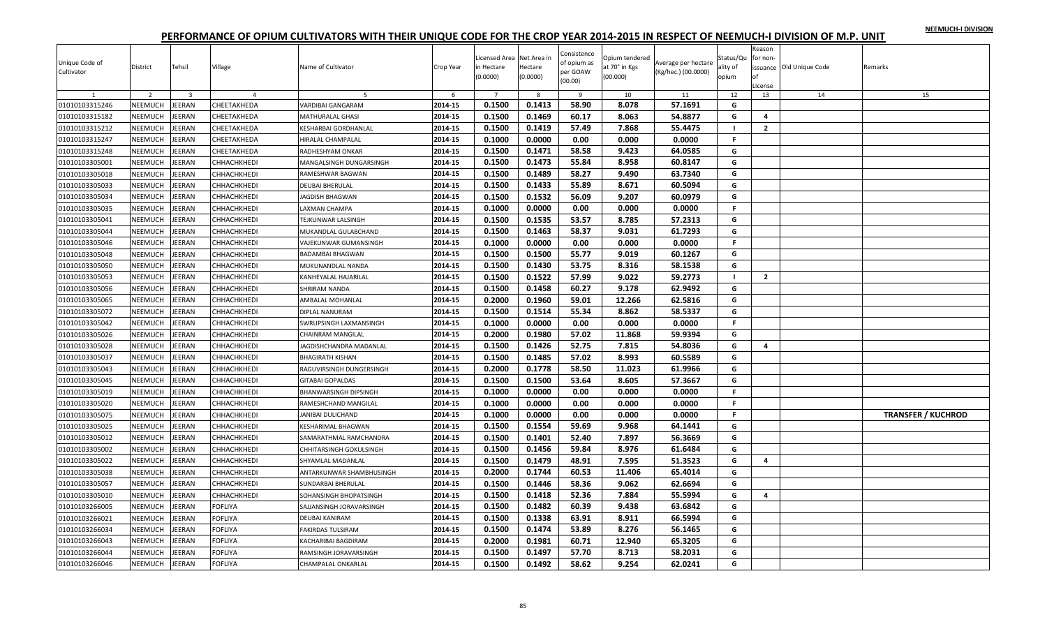|  |  | NEEMUCH-I DIVISION |
|--|--|--------------------|
|  |  |                    |

| Unique Code of<br>Cultivator | District       | Tehsil                  | Village            | Name of Cultivator        | Crop Year | Licensed Area Net Area in<br>in Hectare<br>(0.0000) | Hectare<br>(0.0000) | Consistence<br>of opium as<br>per GOAW<br>(00.00) | Opium tendered<br>at 70° in Kgs<br>(00.000) | Average per hectare<br>(Kg/hec.) (00.0000) | Status/Qu<br>ality of<br>opium | Reason<br>for non-<br>оf<br>License | issuance Old Unique Code | Remarks                   |
|------------------------------|----------------|-------------------------|--------------------|---------------------------|-----------|-----------------------------------------------------|---------------------|---------------------------------------------------|---------------------------------------------|--------------------------------------------|--------------------------------|-------------------------------------|--------------------------|---------------------------|
|                              | $\overline{2}$ | $\overline{\mathbf{3}}$ | $\overline{a}$     |                           | -6        | $\overline{7}$                                      | -8                  | <sup>9</sup>                                      | 10                                          | 11                                         | 12                             | 13                                  | 14                       | 15                        |
| 01010103315246               | NEEMUCH        | JEERAN                  | CHEETAKHEDA        | VARDIBAI GANGARAM         | 2014-15   | 0.1500                                              | 0.1413              | 58.90                                             | 8.078                                       | 57.1691                                    | G                              |                                     |                          |                           |
| 01010103315182               | NEEMUCH        | JEERAN                  | СНЕЕТАКНЕDА        | MATHURALAL GHASI          | 2014-15   | 0.1500                                              | 0.1469              | 60.17                                             | 8.063                                       | 54.8877                                    | G                              | 4                                   |                          |                           |
| 01010103315212               | NEEMUCH        | JEERAN                  | CHEETAKHEDA        | KESHARBAI GORDHANLAL      | 2014-15   | 0.1500                                              | 0.1419              | 57.49                                             | 7.868                                       | 55.4475                                    | - 1                            | $\overline{2}$                      |                          |                           |
| 01010103315247               | NEEMUCH        | JEERAN                  | CHEETAKHEDA        | HIRALAL CHAMPALAL         | 2014-15   | 0.1000                                              | 0.0000              | 0.00                                              | 0.000                                       | 0.0000                                     | F.                             |                                     |                          |                           |
| 01010103315248               | NEEMUCH        | JEERAN                  | CHEETAKHEDA        | RADHESHYAM ONKAR          | 2014-15   | 0.1500                                              | 0.1471              | 58.58                                             | 9.423                                       | 64.0585                                    | G                              |                                     |                          |                           |
| 01010103305001               | NEEMUCH        | JEERAN                  | CHHACHKHEDI        | MANGALSINGH DUNGARSINGH   | 2014-15   | 0.1500                                              | 0.1473              | 55.84                                             | 8.958                                       | 60.8147                                    | G                              |                                     |                          |                           |
| 01010103305018               | NEEMUCH        | JEERAN                  | <b>СННАСНКНЕDI</b> | RAMESHWAR BAGWAN          | 2014-15   | 0.1500                                              | 0.1489              | 58.27                                             | 9.490                                       | 63.7340                                    | G                              |                                     |                          |                           |
| 01010103305033               | NEEMUCH        | JEERAN                  | <b>СННАСНКНЕDI</b> | <b>DEUBAI BHERULAL</b>    | 2014-15   | 0.1500                                              | 0.1433              | 55.89                                             | 8.671                                       | 60.5094                                    | G                              |                                     |                          |                           |
| 01010103305034               | NEEMUCH        | JEERAN                  | CHHACHKHEDI        | JAGDISH BHAGWAN           | 2014-15   | 0.1500                                              | 0.1532              | 56.09                                             | 9.207                                       | 60.0979                                    | G                              |                                     |                          |                           |
| 01010103305035               | NEEMUCH        | JEERAN                  | СННАСНКНЕDІ        | LAXMAN CHAMPA             | 2014-15   | 0.1000                                              | 0.0000              | 0.00                                              | 0.000                                       | 0.0000                                     | F.                             |                                     |                          |                           |
| 01010103305041               | NEEMUCH        | JEERAN                  | CHHACHKHEDI        | TEJKUNWAR LALSINGH        | 2014-15   | 0.1500                                              | 0.1535              | 53.57                                             | 8.785                                       | 57.2313                                    | G                              |                                     |                          |                           |
| 01010103305044               | NEEMUCH        | JEERAN                  | <b>СННАСНКНЕDI</b> | MUKANDLAL GULABCHAND      | 2014-15   | 0.1500                                              | 0.1463              | 58.37                                             | 9.031                                       | 61.7293                                    | G                              |                                     |                          |                           |
| 01010103305046               | NEEMUCH        | JEERAN                  | СННАСНКНЕDІ        | VAJEKUNWAR GUMANSINGH     | 2014-15   | 0.1000                                              | 0.0000              | 0.00                                              | 0.000                                       | 0.0000                                     | F.                             |                                     |                          |                           |
| 01010103305048               | NEEMUCH        | JEERAN                  | СННАСНКНЕDІ        | <b>BADAMBAI BHAGWAN</b>   | 2014-15   | 0.1500                                              | 0.1500              | 55.77                                             | 9.019                                       | 60.1267                                    | G                              |                                     |                          |                           |
| 01010103305050               | NEEMUCH        | JEERAN                  | CHHACHKHEDI        | MUKUNANDLAL NANDA         | 2014-15   | 0.1500                                              | 0.1430              | 53.75                                             | 8.316                                       | 58.1538                                    | G                              |                                     |                          |                           |
| 01010103305053               | NEEMUCH        | JEERAN                  | СННАСНКНЕDІ        | KANHEYALAL HAJARILAI      | 2014-15   | 0.1500                                              | 0.1522              | 57.99                                             | 9.022                                       | 59.2773                                    | $\blacksquare$                 | $\mathbf{2}$                        |                          |                           |
| 01010103305056               | NEEMUCH        | JEERAN                  | СННАСНКНЕDІ        | SHRIRAM NANDA             | 2014-15   | 0.1500                                              | 0.1458              | 60.27                                             | 9.178                                       | 62.9492                                    | G                              |                                     |                          |                           |
| 01010103305065               | NEEMUCH        | JEERAN                  | CHHACHKHEDI        | AMBALAL MOHANLAL          | 2014-15   | 0.2000                                              | 0.1960              | 59.01                                             | 12.266                                      | 62.5816                                    | G                              |                                     |                          |                           |
| 01010103305072               | NEEMUCH        | JEERAN                  | <b>СННАСНКНЕDI</b> | DIPLAL NANURAM            | 2014-15   | 0.1500                                              | 0.1514              | 55.34                                             | 8.862                                       | 58.5337                                    | G                              |                                     |                          |                           |
| 01010103305042               | NEEMUCH        | JEERAN                  | <b>СННАСНКНЕDI</b> | SWRUPSINGH LAXMANSINGH    | 2014-15   | 0.1000                                              | 0.0000              | 0.00                                              | 0.000                                       | 0.0000                                     | F.                             |                                     |                          |                           |
| 01010103305026               | NEEMUCH        | JEERAN                  | CHHACHKHEDI        | CHAINRAM MANGILAL         | 2014-15   | 0.2000                                              | 0.1980              | 57.02                                             | 11.868                                      | 59.9394                                    | G                              |                                     |                          |                           |
| 01010103305028               | NEEMUCH        | JEERAN                  | CHHACHKHEDI        | JAGDISHCHANDRA MADANLAL   | 2014-15   | 0.1500                                              | 0.1426              | 52.75                                             | 7.815                                       | 54.8036                                    | G                              | $\overline{a}$                      |                          |                           |
| 01010103305037               | NEEMUCH        | JEERAN                  | <b>СННАСНКНЕDI</b> | <b>BHAGIRATH KISHAN</b>   | 2014-15   | 0.1500                                              | 0.1485              | 57.02                                             | 8.993                                       | 60.5589                                    | G                              |                                     |                          |                           |
| 01010103305043               | NEEMUCH        | JEERAN                  | СННАСНКНЕDІ        | RAGUVIRSINGH DUNGERSINGH  | 2014-15   | 0.2000                                              | 0.1778              | 58.50                                             | 11.023                                      | 61.9966                                    | G                              |                                     |                          |                           |
| 01010103305045               | NEEMUCH        | JEERAN                  | CHHACHKHEDI        | <b>GITABAI GOPALDAS</b>   | 2014-15   | 0.1500                                              | 0.1500              | 53.64                                             | 8.605                                       | 57.3667                                    | G                              |                                     |                          |                           |
| 01010103305019               | NEEMUCH        | JEERAN                  | CHHACHKHEDI        | BHANWARSINGH DIPSINGH     | 2014-15   | 0.1000                                              | 0.0000              | 0.00                                              | 0.000                                       | 0.0000                                     | F.                             |                                     |                          |                           |
| 01010103305020               | NEEMUCH        | JEERAN                  | <b>СННАСНКНЕDI</b> | RAMESHCHAND MANGILAL      | 2014-15   | 0.1000                                              | 0.0000              | 0.00                                              | 0.000                                       | 0.0000                                     | F.                             |                                     |                          |                           |
| 01010103305075               | NEEMUCH        | JEERAN                  | CHHACHKHEDI        | JANIBAI DULICHAND         | 2014-15   | 0.1000                                              | 0.0000              | 0.00                                              | 0.000                                       | 0.0000                                     | F.                             |                                     |                          | <b>TRANSFER / KUCHROD</b> |
| 01010103305025               | NEEMUCH        | <b>JEERAN</b>           | <b>СННАСНКНЕDI</b> | KESHARIMAL BHAGWAN        | 2014-15   | 0.1500                                              | 0.1554              | 59.69                                             | 9.968                                       | 64.1441                                    | G                              |                                     |                          |                           |
| 01010103305012               | NEEMUCH        | JEERAN                  | <b>СННАСНКНЕDI</b> | SAMARATHMAL RAMCHANDRA    | 2014-15   | 0.1500                                              | 0.1401              | 52.40                                             | 7.897                                       | 56.3669                                    | G                              |                                     |                          |                           |
| 01010103305002               | NEEMUCH        | JEERAN                  | CHHACHKHEDI        | CHHITARSINGH GOKULSINGH   | 2014-15   | 0.1500                                              | 0.1456              | 59.84                                             | 8.976                                       | 61.6484                                    | G                              |                                     |                          |                           |
| 01010103305022               | NEEMUCH        | JEERAN                  | СННАСНКНЕDІ        | SHYAMLAL MADANLAL         | 2014-15   | 0.1500                                              | 0.1479              | 48.91                                             | 7.595                                       | 51.3523                                    | G                              | 4                                   |                          |                           |
| 01010103305038               | NEEMUCH        | JEERAN                  | CHHACHKHEDI        | ANTARKUNWAR SHAMBHUSINGH  | 2014-15   | 0.2000                                              | 0.1744              | 60.53                                             | 11.406                                      | 65.4014                                    | G                              |                                     |                          |                           |
| 01010103305057               | NEEMUCH        | JEERAN                  | <b>СННАСНКНЕDI</b> | <b>SUNDARBAI BHERULAL</b> | 2014-15   | 0.1500                                              | 0.1446              | 58.36                                             | 9.062                                       | 62.6694                                    | G                              |                                     |                          |                           |
| 01010103305010               | <b>NEEMUCH</b> | <b>JEERAN</b>           | СННАСНКНЕDІ        | SOHANSINGH BHOPATSINGH    | 2014-15   | 0.1500                                              | 0.1418              | 52.36                                             | 7.884                                       | 55.5994                                    | G                              | 4                                   |                          |                           |
| 01010103266005               | NEEMUCH        | JEERAN                  | <b>FOFLIYA</b>     | SAJJANSINGH JORAVARSINGH  | 2014-15   | 0.1500                                              | 0.1482              | 60.39                                             | 9.438                                       | 63.6842                                    | G                              |                                     |                          |                           |
| 01010103266021               | NEEMUCH        | JEERAN                  | <b>FOFLIYA</b>     | <b>DEUBAI KANIRAM</b>     | 2014-15   | 0.1500                                              | 0.1338              | 63.91                                             | 8.911                                       | 66.5994                                    | G                              |                                     |                          |                           |
| 01010103266034               | NEEMUCH        | JEERAN                  | <b>FOFLIYA</b>     | FAKIRDAS TULSIRAM         | 2014-15   | 0.1500                                              | 0.1474              | 53.89                                             | 8.276                                       | 56.1465                                    | G                              |                                     |                          |                           |
| 01010103266043               | NEEMUCH        | JEERAN                  | FOFLIYA            | KACHARIBAI BAGDIRAM       | 2014-15   | 0.2000                                              | 0.1981              | 60.71                                             | 12.940                                      | 65.3205                                    | G                              |                                     |                          |                           |
| 01010103266044               | NEEMUCH        | JEERAN                  | FOFLIYA            | RAMSINGH JORAVARSINGH     | 2014-15   | 0.1500                                              | 0.1497              | 57.70                                             | 8.713                                       | 58.2031                                    | G                              |                                     |                          |                           |
| 01010103266046               | NEEMUCH        | <b>JEERAN</b>           | <b>FOFLIYA</b>     | CHAMPALAL ONKARLAL        | 2014-15   | 0.1500                                              | 0.1492              | 58.62                                             | 9.254                                       | 62.0241                                    | G                              |                                     |                          |                           |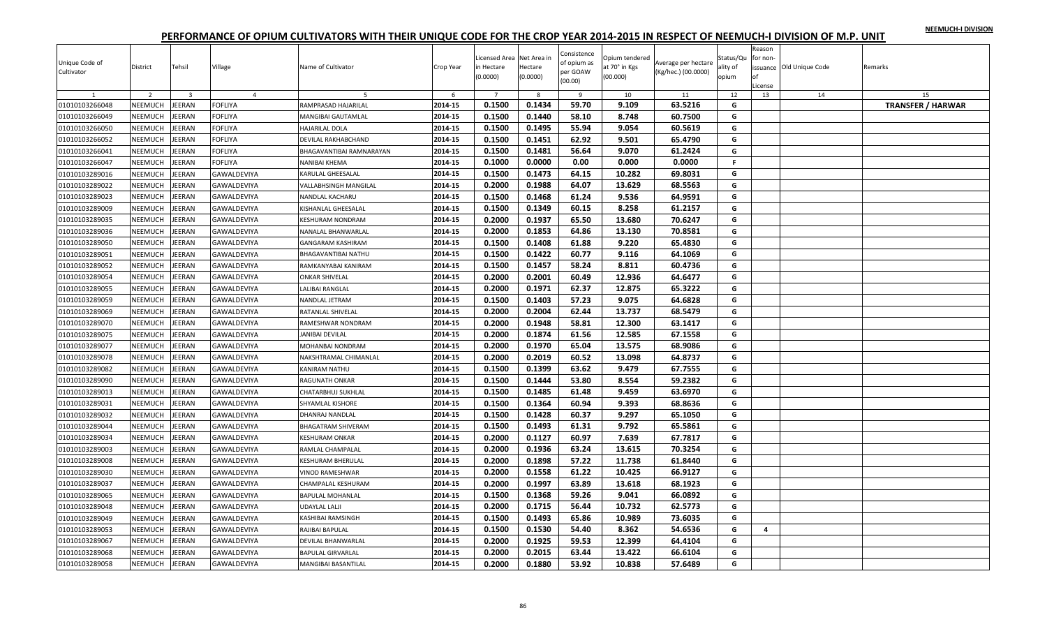|  |  | NEEMUCH-I DIVISION |
|--|--|--------------------|
|  |  |                    |

| Unique Code of<br>Cultivator | District       | Tehsil                  | Village        | Name of Cultivator        | Crop Year | Licensed Area Net Area in<br>in Hectare<br>(0.0000) | Hectare<br>(0.0000) | Consistence<br>of opium as<br>per GOAW<br>(00.00) | Opium tendered<br>at 70° in Kgs<br>(00.000) | Average per hectare<br>(Kg/hec.) (00.0000) | Status/Qu<br>ality of<br>opium | Reason<br>for non-<br>of<br>License | issuance Old Unique Code | Remarks                  |
|------------------------------|----------------|-------------------------|----------------|---------------------------|-----------|-----------------------------------------------------|---------------------|---------------------------------------------------|---------------------------------------------|--------------------------------------------|--------------------------------|-------------------------------------|--------------------------|--------------------------|
| 1                            | 2              | $\overline{\mathbf{3}}$ | $\overline{4}$ | - 5                       | 6         | $\overline{7}$                                      | 8                   | 9                                                 | 10                                          | 11                                         | 12                             | 13                                  | 14                       | 15                       |
| 01010103266048               | NEEMUCH        | JEERAN                  | <b>FOFLIYA</b> | RAMPRASAD HAJARILAL       | 2014-15   | 0.1500                                              | 0.1434              | 59.70                                             | 9.109                                       | 63.5216                                    | G                              |                                     |                          | <b>TRANSFER / HARWAR</b> |
| 01010103266049               | NEEMUCH        | JEERAN                  | <b>FOFLIYA</b> | MANGIBAI GAUTAMLAL        | 2014-15   | 0.1500                                              | 0.1440              | 58.10                                             | 8.748                                       | 60.7500                                    | G                              |                                     |                          |                          |
| 01010103266050               | NEEMUCH        | JEERAN                  | <b>FOFLIYA</b> | <b>HAJARILAL DOLA</b>     | 2014-15   | 0.1500                                              | 0.1495              | 55.94                                             | 9.054                                       | 60.5619                                    | G                              |                                     |                          |                          |
| 01010103266052               | <b>NEEMUCH</b> | JEERAN                  | <b>FOFLIYA</b> | DEVILAL RAKHABCHAND       | 2014-15   | 0.1500                                              | 0.1451              | 62.92                                             | 9.501                                       | 65.4790                                    | G                              |                                     |                          |                          |
| 01010103266041               | NEEMUCH        | JEERAN                  | <b>FOFLIYA</b> | BHAGAVANTIBAI RAMNARAYAN  | 2014-15   | 0.1500                                              | 0.1481              | 56.64                                             | 9.070                                       | 61.2424                                    | G                              |                                     |                          |                          |
| 01010103266047               | NEEMUCH        | <b>EERAN</b>            | <b>FOFLIYA</b> | NANIBAI KHEMA             | 2014-15   | 0.1000                                              | 0.0000              | 0.00                                              | 0.000                                       | 0.0000                                     | F.                             |                                     |                          |                          |
| 01010103289016               | NEEMUCH        | JEERAN                  | GAWALDEVIYA    | KARULAL GHEESALAL         | 2014-15   | 0.1500                                              | 0.1473              | 64.15                                             | 10.282                                      | 69.8031                                    | G                              |                                     |                          |                          |
| 01010103289022               | NEEMUCH        | JEERAN                  | GAWALDEVIYA    | VALLABHSINGH MANGILAL     | 2014-15   | 0.2000                                              | 0.1988              | 64.07                                             | 13.629                                      | 68.5563                                    | G                              |                                     |                          |                          |
| 01010103289023               | NEEMUCH        | JEERAN                  | GAWALDEVIYA    | NANDLAL KACHARU           | 2014-15   | 0.1500                                              | 0.1468              | 61.24                                             | 9.536                                       | 64.9591                                    | G                              |                                     |                          |                          |
| 01010103289009               | NEEMUCH        | JEERAN                  | GAWALDEVIYA    | KISHANLAL GHEESALAL       | 2014-15   | 0.1500                                              | 0.1349              | 60.15                                             | 8.258                                       | 61.2157                                    | G                              |                                     |                          |                          |
| 01010103289035               | NEEMUCH        | JEERAN                  | GAWALDEVIYA    | KESHURAM NONDRAM          | 2014-15   | 0.2000                                              | 0.1937              | 65.50                                             | 13.680                                      | 70.6247                                    | G                              |                                     |                          |                          |
| 01010103289036               | <b>NEEMUCH</b> | JEERAN                  | GAWALDEVIYA    | NANALAL BHANWARLAL        | 2014-15   | 0.2000                                              | 0.1853              | 64.86                                             | 13.130                                      | 70.8581                                    | G                              |                                     |                          |                          |
| 01010103289050               | NEEMUCH        | JEERAN                  | GAWALDEVIYA    | GANGARAM KASHIRAM         | 2014-15   | 0.1500                                              | 0.1408              | 61.88                                             | 9.220                                       | 65.4830                                    | G                              |                                     |                          |                          |
| 01010103289051               | NEEMUCH        | JEERAN                  | GAWALDEVIYA    | BHAGAVANTIBAI NATHU       | 2014-15   | 0.1500                                              | 0.1422              | 60.77                                             | 9.116                                       | 64.1069                                    | G                              |                                     |                          |                          |
| 01010103289052               | <b>NEEMUCH</b> | JEERAN                  | GAWALDEVIYA    | RAMKANYABAI KANIRAM       | 2014-15   | 0.1500                                              | 0.1457              | 58.24                                             | 8.811                                       | 60.4736                                    | G                              |                                     |                          |                          |
| 01010103289054               | NEEMUCH        | JEERAN                  | GAWALDEVIYA    | <b>ONKAR SHIVELAL</b>     | 2014-15   | 0.2000                                              | 0.2001              | 60.49                                             | 12.936                                      | 64.6477                                    | G                              |                                     |                          |                          |
| 01010103289055               | <b>NEEMUCH</b> | JEERAN                  | GAWALDEVIYA    | LALIBAI RANGLAL           | 2014-15   | 0.2000                                              | 0.1971              | 62.37                                             | 12.875                                      | 65.3222                                    | G                              |                                     |                          |                          |
| 01010103289059               | NEEMUCH        | JEERAN                  | GAWALDEVIYA    | NANDLAL JETRAM            | 2014-15   | 0.1500                                              | 0.1403              | 57.23                                             | 9.075                                       | 64.6828                                    | G                              |                                     |                          |                          |
| 01010103289069               | NEEMUCH        | JEERAN                  | GAWALDEVIYA    | RATANLAL SHIVELAL         | 2014-15   | 0.2000                                              | 0.2004              | 62.44                                             | 13.737                                      | 68.5479                                    | G                              |                                     |                          |                          |
| 01010103289070               | NEEMUCH        | JEERAN                  | GAWALDEVIYA    | RAMESHWAR NONDRAM         | 2014-15   | 0.2000                                              | 0.1948              | 58.81                                             | 12.300                                      | 63.1417                                    | G                              |                                     |                          |                          |
| 01010103289075               | NEEMUCH        | JEERAN                  | GAWALDEVIYA    | JANIBAI DEVILAL           | 2014-15   | 0.2000                                              | 0.1874              | 61.56                                             | 12.585                                      | 67.1558                                    | G                              |                                     |                          |                          |
| 01010103289077               | NEEMUCH        | JEERAN                  | GAWALDEVIYA    | MOHANBAI NONDRAM          | 2014-15   | 0.2000                                              | 0.1970              | 65.04                                             | 13.575                                      | 68.9086                                    | G                              |                                     |                          |                          |
| 01010103289078               | NEEMUCH        | JEERAN                  | GAWALDEVIYA    | NAKSHTRAMAL CHIMANLAL     | 2014-15   | 0.2000                                              | 0.2019              | 60.52                                             | 13.098                                      | 64.8737                                    | G                              |                                     |                          |                          |
| 01010103289082               | NEEMUCH        | JEERAN                  | GAWALDEVIYA    | KANIRAM NATHU             | 2014-15   | 0.1500                                              | 0.1399              | 63.62                                             | 9.479                                       | 67.7555                                    | G                              |                                     |                          |                          |
| 01010103289090               | NEEMUCH        | <b>IEERAN</b>           | GAWALDEVIYA    | RAGUNATH ONKAR            | 2014-15   | 0.1500                                              | 0.1444              | 53.80                                             | 8.554                                       | 59.2382                                    | G                              |                                     |                          |                          |
| 01010103289013               | NEEMUCH        | JEERAN                  | GAWALDEVIYA    | CHATARBHUJ SUKHLAL        | 2014-15   | 0.1500                                              | 0.1485              | 61.48                                             | 9.459                                       | 63.6970                                    | G                              |                                     |                          |                          |
| 01010103289031               | NEEMUCH        | JEERAN                  | GAWALDEVIYA    | SHYAMLAL KISHORE          | 2014-15   | 0.1500                                              | 0.1364              | 60.94                                             | 9.393                                       | 68.8636                                    | G                              |                                     |                          |                          |
| 01010103289032               | NEEMUCH        | JEERAN                  | GAWALDEVIYA    | DHANRAJ NANDLAL           | 2014-15   | 0.1500                                              | 0.1428              | 60.37                                             | 9.297                                       | 65.1050                                    | G                              |                                     |                          |                          |
| 01010103289044               | NEEMUCH        | JEERAN                  | GAWALDEVIYA    | <b>BHAGATRAM SHIVERAM</b> | 2014-15   | 0.1500                                              | 0.1493              | 61.31                                             | 9.792                                       | 65.5861                                    | G                              |                                     |                          |                          |
| 01010103289034               | NEEMUCH        | JEERAN                  | GAWALDEVIYA    | <b>KESHURAM ONKAR</b>     | 2014-15   | 0.2000                                              | 0.1127              | 60.97                                             | 7.639                                       | 67.7817                                    | G                              |                                     |                          |                          |
| 01010103289003               | NEEMUCH        | JEERAN                  | GAWALDEVIYA    | RAMLAL CHAMPALAL          | 2014-15   | 0.2000                                              | 0.1936              | 63.24                                             | 13.615                                      | 70.3254                                    | G                              |                                     |                          |                          |
| 01010103289008               | <b>NEEMUCH</b> | JEERAN                  | GAWALDEVIYA    | <b>KESHURAM BHERULAL</b>  | 2014-15   | 0.2000                                              | 0.1898              | 57.22                                             | 11.738                                      | 61.8440                                    | G                              |                                     |                          |                          |
| 01010103289030               | NEEMUCH        | JEERAN                  | GAWALDEVIYA    | VINOD RAMESHWAR           | 2014-15   | 0.2000                                              | 0.1558              | 61.22                                             | 10.425                                      | 66.9127                                    | G                              |                                     |                          |                          |
| 01010103289037               | NEEMUCH        | JEERAN                  | GAWALDEVIYA    | CHAMPALAL KESHURAM        | 2014-15   | 0.2000                                              | 0.1997              | 63.89                                             | 13.618                                      | 68.1923                                    | G                              |                                     |                          |                          |
| 01010103289065               | NEEMUCH        | JEERAN                  | GAWALDEVIYA    | <b>BAPULAL MOHANLAL</b>   | 2014-15   | 0.1500                                              | 0.1368              | 59.26                                             | 9.041                                       | 66.0892                                    | G                              |                                     |                          |                          |
| 01010103289048               | NEEMUCH        | JEERAN                  | GAWALDEVIYA    | UDAYLAL LALJI             | 2014-15   | 0.2000                                              | 0.1715              | 56.44                                             | 10.732                                      | 62.5773                                    | G                              |                                     |                          |                          |
| 01010103289049               | NEEMUCH        | JEERAN                  | GAWALDEVIYA    | KASHIBAI RAMSINGH         | 2014-15   | 0.1500                                              | 0.1493              | 65.86                                             | 10.989                                      | 73.6035                                    | G                              |                                     |                          |                          |
| 01010103289053               | NEEMUCH        | JEERAN                  | GAWALDEVIYA    | RAJIBAI BAPULAL           | 2014-15   | 0.1500                                              | 0.1530              | 54.40                                             | 8.362                                       | 54.6536                                    | G                              | $\overline{a}$                      |                          |                          |
| 01010103289067               | NEEMUCH        | JEERAN                  | GAWALDEVIYA    | DEVILAL BHANWARLAL        | 2014-15   | 0.2000                                              | 0.1925              | 59.53                                             | 12.399                                      | 64.4104                                    | G                              |                                     |                          |                          |
| 01010103289068               | NEEMUCH        | JEERAN                  | GAWALDEVIYA    | BAPULAL GIRVARLAL         | 2014-15   | 0.2000                                              | 0.2015              | 63.44                                             | 13.422                                      | 66.6104                                    | G                              |                                     |                          |                          |
| 01010103289058               | NEEMUCH        | JEERAN                  | GAWALDEVIYA    | MANGIBAI BASANTILAL       | 2014-15   | 0.2000                                              | 0.1880              | 53.92                                             | 10.838                                      | 57.6489                                    | G                              |                                     |                          |                          |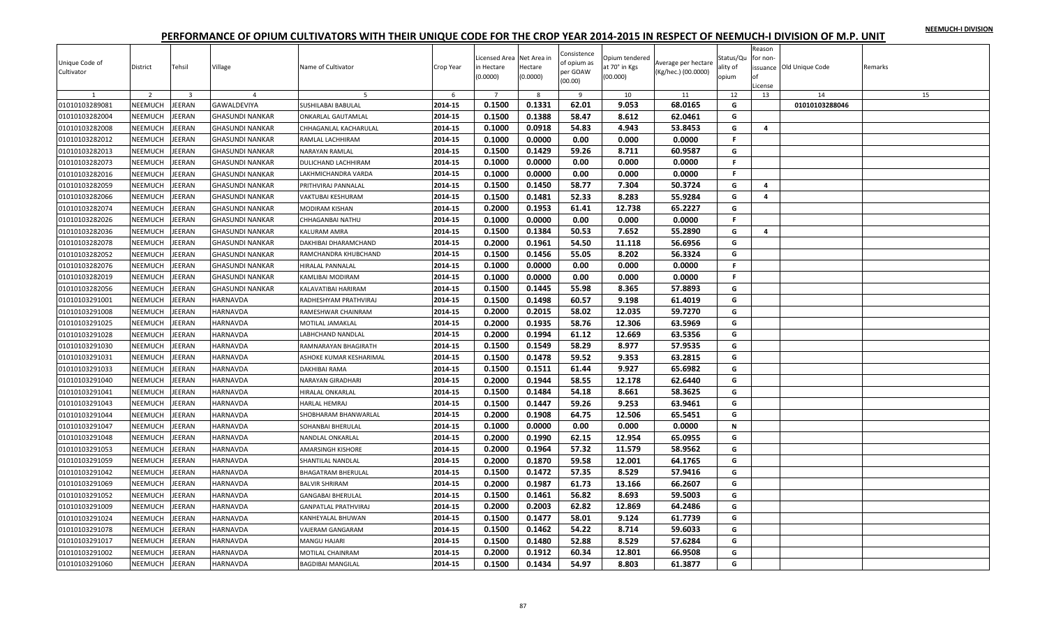|  |  | NEEMUCH-I DIVISION |
|--|--|--------------------|
|  |  |                    |

| Unique Code of<br>Cultivator | District       | Tehsil                  | Village                | Name of Cultivator          | Crop Year | Licensed Area Net Area in<br>in Hectare<br>(0.0000) | Hectare<br>(0.0000) | Consistence<br>of opium as<br>per GOAW<br>(00.00) | Opium tendered<br>at 70° in Kgs<br>(00.000) | Average per hectare<br>(Kg/hec.) (00.0000) | Status/Qu<br>ality of<br>opium | Reason<br>for non-<br>оf<br>License | issuance Old Unique Code | Remarks |
|------------------------------|----------------|-------------------------|------------------------|-----------------------------|-----------|-----------------------------------------------------|---------------------|---------------------------------------------------|---------------------------------------------|--------------------------------------------|--------------------------------|-------------------------------------|--------------------------|---------|
|                              | $\overline{z}$ | $\overline{\mathbf{3}}$ | $\overline{a}$         | 5                           | 6         | $\overline{7}$                                      | -8                  | $\overline{9}$                                    | 10                                          | 11                                         | 12                             | 13                                  | 14                       | 15      |
| 01010103289081               | NEEMUCH        | EERAN                   | GAWALDEVIYA            | <b>SUSHILABAI BABULAL</b>   | 2014-15   | 0.1500                                              | 0.1331              | 62.01                                             | 9.053                                       | 68.0165                                    | G                              |                                     | 01010103288046           |         |
| 01010103282004               | NEEMUCH        | JEERAN                  | <b>GHASUNDI NANKAR</b> | <b>ONKARLAL GAUTAMLAL</b>   | 2014-15   | 0.1500                                              | 0.1388              | 58.47                                             | 8.612                                       | 62.0461                                    | G                              |                                     |                          |         |
| 01010103282008               | NEEMUCH        | EERAN                   | <b>GHASUNDI NANKAR</b> | CHHAGANLAL KACHARULAL       | 2014-15   | 0.1000                                              | 0.0918              | 54.83                                             | 4.943                                       | 53.8453                                    | G                              | 4                                   |                          |         |
| 01010103282012               | <b>NEEMUCH</b> | <b>JEERAN</b>           | <b>GHASUNDI NANKAR</b> | RAMLAL LACHHIRAM            | 2014-15   | 0.1000                                              | 0.0000              | 0.00                                              | 0.000                                       | 0.0000                                     | F.                             |                                     |                          |         |
| 01010103282013               | <b>NEEMUCH</b> | <b>JEERAN</b>           | <b>GHASUNDI NANKAR</b> | NARAYAN RAMLAL              | 2014-15   | 0.1500                                              | 0.1429              | 59.26                                             | 8.711                                       | 60.9587                                    | G                              |                                     |                          |         |
| 01010103282073               | NEEMUCH        | <b>JEERAN</b>           | <b>GHASUNDI NANKAR</b> | DULICHAND LACHHIRAM         | 2014-15   | 0.1000                                              | 0.0000              | 0.00                                              | 0.000                                       | 0.0000                                     | F.                             |                                     |                          |         |
| 01010103282016               | NEEMUCH        | <b>JEERAN</b>           | <b>GHASUNDI NANKAR</b> | LAKHMICHANDRA VARDA         | 2014-15   | 0.1000                                              | 0.0000              | 0.00                                              | 0.000                                       | 0.0000                                     | $\mathbb F$                    |                                     |                          |         |
| 01010103282059               | NEEMUCH        | EERAN                   | <b>GHASUNDI NANKAR</b> | PRITHVIRAJ PANNALAI         | 2014-15   | 0.1500                                              | 0.1450              | 58.77                                             | 7.304                                       | 50.3724                                    | G                              | 4                                   |                          |         |
| 01010103282066               | <b>NEEMUCH</b> | <b>JEERAN</b>           | <b>GHASUNDI NANKAR</b> | VAKTUBAI KESHURAM           | 2014-15   | 0.1500                                              | 0.1481              | 52.33                                             | 8.283                                       | 55.9284                                    | G                              | 4                                   |                          |         |
| 01010103282074               | NEEMUCH        | EERAN                   | <b>GHASUNDI NANKAR</b> | <b>MODIRAM KISHAN</b>       | 2014-15   | 0.2000                                              | 0.1953              | 61.41                                             | 12.738                                      | 65.2227                                    | G                              |                                     |                          |         |
| 01010103282026               | NEEMUCH        | <b>JEERAN</b>           | <b>GHASUNDI NANKAR</b> | CHHAGANBAI NATHU            | 2014-15   | 0.1000                                              | 0.0000              | 0.00                                              | 0.000                                       | 0.0000                                     | F.                             |                                     |                          |         |
| 01010103282036               | NEEMUCH        | EERAN                   | <b>GHASUNDI NANKAR</b> | KALURAM AMRA                | 2014-15   | 0.1500                                              | 0.1384              | 50.53                                             | 7.652                                       | 55.2890                                    | G                              | 4                                   |                          |         |
| 01010103282078               | NEEMUCH        | <b>JEERAN</b>           | GHASUNDI NANKAR        | DAKHIBAI DHARAMCHAND        | 2014-15   | 0.2000                                              | 0.1961              | 54.50                                             | 11.118                                      | 56.6956                                    | G                              |                                     |                          |         |
| 01010103282052               | NEEMUCH        | EERAN                   | <b>GHASUNDI NANKAR</b> | RAMCHANDRA KHUBCHAND        | 2014-15   | 0.1500                                              | 0.1456              | 55.05                                             | 8.202                                       | 56.3324                                    | G                              |                                     |                          |         |
| 01010103282076               | NEEMUCH        | <b>JEERAN</b>           | <b>GHASUNDI NANKAR</b> | HIRALAL PANNALAL            | 2014-15   | 0.1000                                              | 0.0000              | 0.00                                              | 0.000                                       | 0.0000                                     | F.                             |                                     |                          |         |
| 01010103282019               | <b>NEEMUCH</b> | EERAN                   | <b>GHASUNDI NANKAR</b> | KAMLIBAI MODIRAM            | 2014-15   | 0.1000                                              | 0.0000              | 0.00                                              | 0.000                                       | 0.0000                                     | F.                             |                                     |                          |         |
| 01010103282056               | NEEMUCH        | EERAN                   | <b>GHASUNDI NANKAR</b> | KALAVATIBAI HARIRAM         | 2014-15   | 0.1500                                              | 0.1445              | 55.98                                             | 8.365                                       | 57.8893                                    | G                              |                                     |                          |         |
| 01010103291001               | NEEMUCH        | EERAN                   | <b>HARNAVDA</b>        | RADHESHYAM PRATHVIRAJ       | 2014-15   | 0.1500                                              | 0.1498              | 60.57                                             | 9.198                                       | 61.4019                                    | G                              |                                     |                          |         |
| 01010103291008               | NEEMUCH        | EERAN                   | <b>HARNAVDA</b>        | RAMESHWAR CHAINRAM          | 2014-15   | 0.2000                                              | 0.2015              | 58.02                                             | 12.035                                      | 59.7270                                    | G                              |                                     |                          |         |
| 01010103291025               | <b>NEEMUCH</b> | <b>JEERAN</b>           | <b>HARNAVDA</b>        | MOTILAL JAMAKLAL            | 2014-15   | 0.2000                                              | 0.1935              | 58.76                                             | 12.306                                      | 63.5969                                    | G                              |                                     |                          |         |
| 01010103291028               | NEEMUCH        | EERAN                   | <b>HARNAVDA</b>        | LABHCHAND NANDLAL           | 2014-15   | 0.2000                                              | 0.1994              | 61.12                                             | 12.669                                      | 63.5356                                    | G                              |                                     |                          |         |
| 01010103291030               | NEEMUCH        | <b>JEERAN</b>           | <b>HARNAVDA</b>        | RAMNARAYAN BHAGIRATH        | 2014-15   | 0.1500                                              | 0.1549              | 58.29                                             | 8.977                                       | 57.9535                                    | G                              |                                     |                          |         |
| 01010103291031               | NEEMUCH        | EERAN                   | <b>HARNAVDA</b>        | ASHOKE KUMAR KESHARIMAL     | 2014-15   | 0.1500                                              | 0.1478              | 59.52                                             | 9.353                                       | 63.2815                                    | G                              |                                     |                          |         |
| 01010103291033               | NEEMUCH        | <b>JEERAN</b>           | HARNAVDA               | DAKHIBAI RAMA               | 2014-15   | 0.1500                                              | 0.1511              | 61.44                                             | 9.927                                       | 65.6982                                    | G                              |                                     |                          |         |
| 01010103291040               | NEEMUCH        | EERAN                   | <b>HARNAVDA</b>        | NARAYAN GIRADHARI           | 2014-15   | 0.2000                                              | 0.1944              | 58.55                                             | 12.178                                      | 62.6440                                    | G                              |                                     |                          |         |
| 01010103291041               | NEEMUCH        | EERAN                   | <b>HARNAVDA</b>        | <b>HIRALAL ONKARLAL</b>     | 2014-15   | 0.1500                                              | 0.1484              | 54.18                                             | 8.661                                       | 58.3625                                    | G                              |                                     |                          |         |
| 01010103291043               | NEEMUCH        | <b>JEERAN</b>           | <b>HARNAVDA</b>        | HARLAL HEMRAJ               | 2014-15   | 0.1500                                              | 0.1447              | 59.26                                             | 9.253                                       | 63.9461                                    | G                              |                                     |                          |         |
| 01010103291044               | NEEMUCH        | EERAN                   | HARNAVDA               | SHOBHARAM BHANWARLAL        | 2014-15   | 0.2000                                              | 0.1908              | 64.75                                             | 12.506                                      | 65.5451                                    | G                              |                                     |                          |         |
| 01010103291047               | NEEMUCH        | EERAN                   | HARNAVDA               | SOHANBAI BHERULAL           | 2014-15   | 0.1000                                              | 0.0000              | 0.00                                              | 0.000                                       | 0.0000                                     | N                              |                                     |                          |         |
| 01010103291048               | NEEMUCH        | EERAN                   | <b>HARNAVDA</b>        | NANDLAL ONKARLAL            | 2014-15   | 0.2000                                              | 0.1990              | 62.15                                             | 12.954                                      | 65.0955                                    | G                              |                                     |                          |         |
| 01010103291053               | <b>NEEMUCH</b> | <b>JEERAN</b>           | <b>HARNAVDA</b>        | AMARSINGH KISHORE           | 2014-15   | 0.2000                                              | 0.1964              | 57.32                                             | 11.579                                      | 58.9562                                    | G                              |                                     |                          |         |
| 01010103291059               | NEEMUCH        | EERAN                   | <b>HARNAVDA</b>        | SHANTILAL NANDLAL           | 2014-15   | 0.2000                                              | 0.1870              | 59.58                                             | 12.001                                      | 64.1765                                    | G                              |                                     |                          |         |
| 01010103291042               | NEEMUCH        | EERAN                   | <b>HARNAVDA</b>        | BHAGATRAM BHERULAL          | 2014-15   | 0.1500                                              | 0.1472              | 57.35                                             | 8.529                                       | 57.9416                                    | G                              |                                     |                          |         |
| 01010103291069               | NEEMUCH        | EERAN                   | <b>HARNAVDA</b>        | <b>BALVIR SHRIRAM</b>       | 2014-15   | 0.2000                                              | 0.1987              | 61.73                                             | 13.166                                      | 66.2607                                    | G                              |                                     |                          |         |
| 01010103291052               | NEEMUCH        | <b>JEERAN</b>           | <b>HARNAVDA</b>        | <b>GANGABAI BHERULAL</b>    | 2014-15   | 0.1500                                              | 0.1461              | 56.82                                             | 8.693                                       | 59.5003                                    | G                              |                                     |                          |         |
| 01010103291009               | NEEMUCH        | EERAN                   | <b>HARNAVDA</b>        | <b>GANPATLAL PRATHVIRAJ</b> | 2014-15   | 0.2000                                              | 0.2003              | 62.82                                             | 12.869                                      | 64.2486                                    | G                              |                                     |                          |         |
| 01010103291024               | NEEMUCH        | <b>JEERAN</b>           | <b>HARNAVDA</b>        | KANHEYALAL BHUWAN           | 2014-15   | 0.1500                                              | 0.1477              | 58.01                                             | 9.124                                       | 61.7739                                    | G                              |                                     |                          |         |
| 01010103291078               | NEEMUCH        | EERAN                   | <b>HARNAVDA</b>        | VAJERAM GANGARAM            | 2014-15   | 0.1500                                              | 0.1462              | 54.22                                             | 8.714                                       | 59.6033                                    | G                              |                                     |                          |         |
| 01010103291017               | NEEMUCH        | EERAN                   | HARNAVDA               | <b>MANGU HAJARI</b>         | 2014-15   | 0.1500                                              | 0.1480              | 52.88                                             | 8.529                                       | 57.6284                                    | G                              |                                     |                          |         |
| 01010103291002               | NEEMUCH        | EERAN                   | <b>HARNAVDA</b>        | MOTILAL CHAINRAM            | 2014-15   | 0.2000                                              | 0.1912              | 60.34                                             | 12.801                                      | 66.9508                                    | G                              |                                     |                          |         |
| 01010103291060               | <b>NEEMUCH</b> | JEERAN                  | <b>HARNAVDA</b>        | <b>BAGDIBAI MANGILAL</b>    | 2014-15   | 0.1500                                              | 0.1434              | 54.97                                             | 8.803                                       | 61.3877                                    | G                              |                                     |                          |         |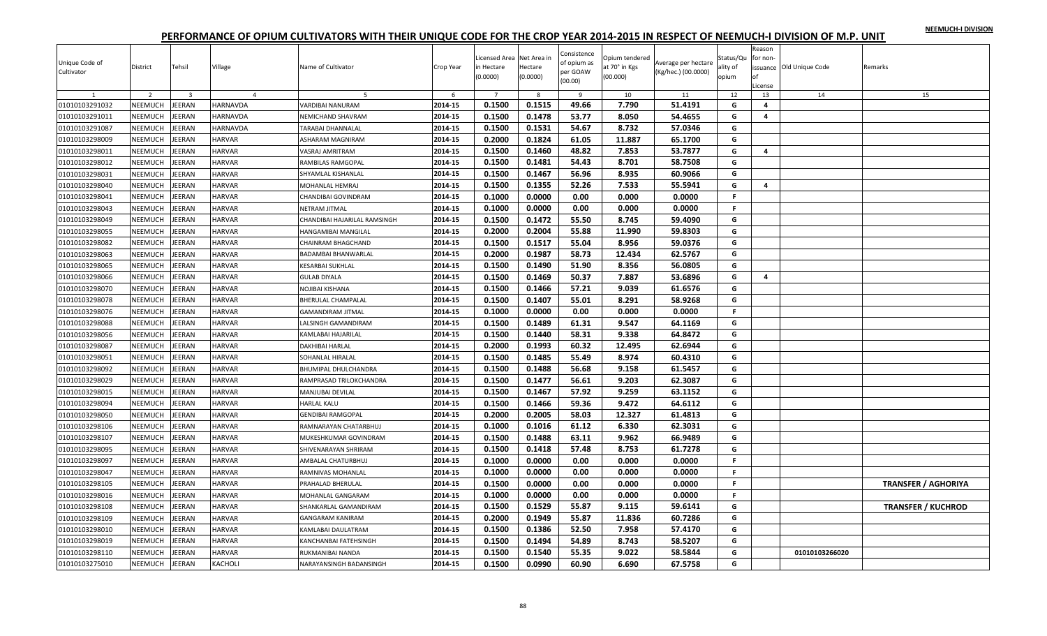|  |  | NEEMUCH-I DIVISION |
|--|--|--------------------|
|  |  |                    |

| Unique Code of<br>Cultivator | District       | Tehsil                  | Village        | Name of Cultivator           | Crop Year | icensed Area Net Area in<br>in Hectare<br>(0.0000) | Hectare<br>(0.0000) | Consistence<br>of opium as<br>per GOAW<br>(00.00) | Opium tendered<br>at 70° in Kgs<br>(00.000) | Average per hectare<br>(Kg/hec.) (00.0000) | Status/Qu<br>ality of<br>opium | Reason<br>for non-<br>nf<br>License | issuance Old Unique Code | Remarks                    |
|------------------------------|----------------|-------------------------|----------------|------------------------------|-----------|----------------------------------------------------|---------------------|---------------------------------------------------|---------------------------------------------|--------------------------------------------|--------------------------------|-------------------------------------|--------------------------|----------------------------|
| $\mathbf{1}$                 | $\overline{2}$ | $\overline{\mathbf{3}}$ | $\overline{4}$ | 5                            | 6         | $7^{\circ}$                                        | 8                   | 9                                                 | 10                                          | 11                                         | 12                             | 13                                  | 14                       | 15                         |
| 01010103291032               | NEEMUCH        | JEERAN                  | HARNAVDA       | VARDIBAI NANURAM             | 2014-15   | 0.1500                                             | 0.1515              | 49.66                                             | 7.790                                       | 51.4191                                    | G                              | 4                                   |                          |                            |
| 01010103291011               | NEEMUCH        | JEERAN                  | HARNAVDA       | NEMICHAND SHAVRAM            | 2014-15   | 0.1500                                             | 0.1478              | 53.77                                             | 8.050                                       | 54.4655                                    | G                              | 4                                   |                          |                            |
| 01010103291087               | NEEMUCH        | JEERAN                  | HARNAVDA       | TARABAI DHANNALAL            | 2014-15   | 0.1500                                             | 0.1531              | 54.67                                             | 8.732                                       | 57.0346                                    | G                              |                                     |                          |                            |
| 01010103298009               | NEEMUCH        | JEERAN                  | <b>HARVAR</b>  | ASHARAM MAGNIRAM             | 2014-15   | 0.2000                                             | 0.1824              | 61.05                                             | 11.887                                      | 65.1700                                    | G                              |                                     |                          |                            |
| 01010103298011               | NEEMUCH        | JEERAN                  | <b>HARVAR</b>  | VASRAJ AMRITRAM              | 2014-15   | 0.1500                                             | 0.1460              | 48.82                                             | 7.853                                       | 53.7877                                    | G                              | 4                                   |                          |                            |
| 01010103298012               | NEEMUCH        | JEERAN                  | <b>HARVAR</b>  | RAMBILAS RAMGOPAL            | 2014-15   | 0.1500                                             | 0.1481              | 54.43                                             | 8.701                                       | 58.7508                                    | G                              |                                     |                          |                            |
| 01010103298031               | NEEMUCH        | JEERAN                  | HARVAR         | SHYAMLAL KISHANLAL           | 2014-15   | 0.1500                                             | 0.1467              | 56.96                                             | 8.935                                       | 60.9066                                    | G                              |                                     |                          |                            |
| 01010103298040               | NEEMUCH        | JEERAN                  | <b>HARVAR</b>  | MOHANLAL HEMRAJ              | 2014-15   | 0.1500                                             | 0.1355              | 52.26                                             | 7.533                                       | 55.5941                                    | G                              | $\overline{a}$                      |                          |                            |
| 01010103298041               | NEEMUCH        | JEERAN                  | <b>HARVAR</b>  | CHANDIBAI GOVINDRAM          | 2014-15   | 0.1000                                             | 0.0000              | 0.00                                              | 0.000                                       | 0.0000                                     | $\mathbb F$                    |                                     |                          |                            |
| 01010103298043               | NEEMUCH        | JEERAN                  | <b>HARVAR</b>  | NETRAM JITMAL                | 2014-15   | 0.1000                                             | 0.0000              | 0.00                                              | 0.000                                       | 0.0000                                     | F.                             |                                     |                          |                            |
| 01010103298049               | NEEMUCH        | JEERAN                  | HARVAR         | CHANDIBAI HAJARILAL RAMSINGH | 2014-15   | 0.1500                                             | 0.1472              | 55.50                                             | 8.745                                       | 59.4090                                    | G                              |                                     |                          |                            |
| 01010103298055               | NEEMUCH        | JEERAN                  | <b>HARVAR</b>  | HANGAMIBAI MANGILAL          | 2014-15   | 0.2000                                             | 0.2004              | 55.88                                             | 11.990                                      | 59.8303                                    | G                              |                                     |                          |                            |
| 01010103298082               | NEEMUCH        | JEERAN                  | <b>HARVAR</b>  | CHAINRAM BHAGCHAND           | 2014-15   | 0.1500                                             | 0.1517              | 55.04                                             | 8.956                                       | 59.0376                                    | G                              |                                     |                          |                            |
| 01010103298063               | NEEMUCH        | JEERAN                  | <b>HARVAR</b>  | BADAMBAI BHANWARLAL          | 2014-15   | 0.2000                                             | 0.1987              | 58.73                                             | 12.434                                      | 62.5767                                    | G                              |                                     |                          |                            |
| 01010103298065               | <b>NEEMUCH</b> | <b>JEERAN</b>           | <b>HARVAR</b>  | <b>KESARBAI SUKHLAL</b>      | 2014-15   | 0.1500                                             | 0.1490              | 51.90                                             | 8.356                                       | 56.0805                                    | G                              |                                     |                          |                            |
| 01010103298066               | NEEMUCH        | JEERAN                  | <b>HARVAR</b>  | <b>GULAB DIYALA</b>          | 2014-15   | 0.1500                                             | 0.1469              | 50.37                                             | 7.887                                       | 53.6896                                    | G                              | 4                                   |                          |                            |
| 01010103298070               | NEEMUCH        | JEERAN                  | <b>HARVAR</b>  | NOJIBAI KISHANA              | 2014-15   | 0.1500                                             | 0.1466              | 57.21                                             | 9.039                                       | 61.6576                                    | G                              |                                     |                          |                            |
| 01010103298078               | NEEMUCH        | JEERAN                  | <b>HARVAR</b>  | BHERULAL CHAMPALAL           | 2014-15   | 0.1500                                             | 0.1407              | 55.01                                             | 8.291                                       | 58.9268                                    | G                              |                                     |                          |                            |
| 01010103298076               | NEEMUCH        | JEERAN                  | HARVAR         | <b>GAMANDIRAM JITMAL</b>     | 2014-15   | 0.1000                                             | 0.0000              | 0.00                                              | 0.000                                       | 0.0000                                     | F.                             |                                     |                          |                            |
| 01010103298088               | NEEMUCH        | JEERAN                  | <b>HARVAR</b>  | LALSINGH GAMANDIRAM          | 2014-15   | 0.1500                                             | 0.1489              | 61.31                                             | 9.547                                       | 64.1169                                    | G                              |                                     |                          |                            |
| 01010103298056               | NEEMUCH        | JEERAN                  | <b>HARVAR</b>  | KAMLABAI HAJARILAL           | 2014-15   | 0.1500                                             | 0.1440              | 58.31                                             | 9.338                                       | 64.8472                                    | G                              |                                     |                          |                            |
| 01010103298087               | NEEMUCH        | JEERAN                  | <b>HARVAR</b>  | DAKHIBAI HARLAL              | 2014-15   | 0.2000                                             | 0.1993              | 60.32                                             | 12.495                                      | 62.6944                                    | G                              |                                     |                          |                            |
| 01010103298051               | NEEMUCH        | JEERAN                  | <b>HARVAR</b>  | <b>SOHANLAL HIRALAL</b>      | 2014-15   | 0.1500                                             | 0.1485              | 55.49                                             | 8.974                                       | 60.4310                                    | G                              |                                     |                          |                            |
| 01010103298092               | NEEMUCH        | JEERAN                  | <b>HARVAR</b>  | BHUMIPAL DHULCHANDRA         | 2014-15   | 0.1500                                             | 0.1488              | 56.68                                             | 9.158                                       | 61.5457                                    | G                              |                                     |                          |                            |
| 01010103298029               | NEEMUCH        | <b>JEERAN</b>           | <b>HARVAR</b>  | RAMPRASAD TRILOKCHANDRA      | 2014-15   | 0.1500                                             | 0.1477              | 56.61                                             | 9.203                                       | 62.3087                                    | G                              |                                     |                          |                            |
| 01010103298015               | NEEMUCH        | JEERAN                  | <b>HARVAR</b>  | MANJUBAI DEVILAL             | 2014-15   | 0.1500                                             | 0.1467              | 57.92                                             | 9.259                                       | 63.1152                                    | G                              |                                     |                          |                            |
| 01010103298094               | NEEMUCH        | JEERAN                  | HARVAR         | <b>HARLAL KALU</b>           | 2014-15   | 0.1500                                             | 0.1466              | 59.36                                             | 9.472                                       | 64.6112                                    | G                              |                                     |                          |                            |
| 01010103298050               | NEEMUCH        | JEERAN                  | <b>HARVAR</b>  | <b>GENDIBAI RAMGOPAL</b>     | 2014-15   | 0.2000                                             | 0.2005              | 58.03                                             | 12.327                                      | 61.4813                                    | G                              |                                     |                          |                            |
| 01010103298106               | NEEMUCH        | JEERAN                  | <b>HARVAR</b>  | RAMNARAYAN CHATARBHUJ        | 2014-15   | 0.1000                                             | 0.1016              | 61.12                                             | 6.330                                       | 62.3031                                    | G                              |                                     |                          |                            |
| 01010103298107               | NEEMUCH        | JEERAN                  | HARVAR         | MUKESHKUMAR GOVINDRAM        | 2014-15   | 0.1500                                             | 0.1488              | 63.11                                             | 9.962                                       | 66.9489                                    | G                              |                                     |                          |                            |
| 01010103298095               | NEEMUCH        | JEERAN                  | <b>HARVAR</b>  | SHIVENARAYAN SHRIRAM         | 2014-15   | 0.1500                                             | 0.1418              | 57.48                                             | 8.753                                       | 61.7278                                    | G                              |                                     |                          |                            |
| 01010103298097               | NEEMUCH        | JEERAN                  | <b>HARVAR</b>  | AMBALAL CHATURBHUJ           | 2014-15   | 0.1000                                             | 0.0000              | 0.00                                              | 0.000                                       | 0.0000                                     | F.                             |                                     |                          |                            |
| 01010103298047               | NEEMUCH        | JEERAN                  | <b>HARVAR</b>  | RAMNIVAS MOHANLAL            | 2014-15   | 0.1000                                             | 0.0000              | 0.00                                              | 0.000                                       | 0.0000                                     | F.                             |                                     |                          |                            |
| 01010103298105               | NEEMUCH        | JEERAN                  | <b>HARVAR</b>  | PRAHALAD BHERULAL            | 2014-15   | 0.1500                                             | 0.0000              | 0.00                                              | 0.000                                       | 0.0000                                     | F.                             |                                     |                          | <b>TRANSFER / AGHORIYA</b> |
| 01010103298016               | <b>NEEMUCH</b> | JEERAN                  | <b>HARVAR</b>  | MOHANLAL GANGARAM            | 2014-15   | 0.1000                                             | 0.0000              | 0.00                                              | 0.000                                       | 0.0000                                     | F.                             |                                     |                          |                            |
| 01010103298108               | NEEMUCH        | JEERAN                  | <b>HARVAR</b>  | SHANKARLAL GAMANDIRAM        | 2014-15   | 0.1500                                             | 0.1529              | 55.87                                             | 9.115                                       | 59.6141                                    | G                              |                                     |                          | <b>TRANSFER / KUCHROD</b>  |
| 01010103298109               | NEEMUCH        | JEERAN                  | <b>HARVAR</b>  | <b>GANGARAM KANIRAM</b>      | 2014-15   | 0.2000                                             | 0.1949              | 55.87                                             | 11.836                                      | 60.7286                                    | G                              |                                     |                          |                            |
| 01010103298010               | NEEMUCH        | JEERAN                  | <b>HARVAR</b>  | KAMLABAI DAULATRAM           | 2014-15   | 0.1500                                             | 0.1386              | 52.50                                             | 7.958                                       | 57.4170                                    | G                              |                                     |                          |                            |
| 01010103298019               | NEEMUCH        | JEERAN                  | <b>HARVAR</b>  | KANCHANBAI FATEHSINGH        | 2014-15   | 0.1500                                             | 0.1494              | 54.89                                             | 8.743                                       | 58.5207                                    | G                              |                                     |                          |                            |
| 01010103298110               | NEEMUCH        | JEERAN                  | <b>HARVAR</b>  | RUKMANIBAI NANDA             | 2014-15   | 0.1500                                             | 0.1540              | 55.35                                             | 9.022                                       | 58.5844                                    | G                              |                                     | 01010103266020           |                            |
| 01010103275010               | NEEMUCH        | <b>JEERAN</b>           | KACHOLI        | NARAYANSINGH BADANSINGH      | 2014-15   | 0.1500                                             | 0.0990              | 60.90                                             | 6.690                                       | 67.5758                                    | G                              |                                     |                          |                            |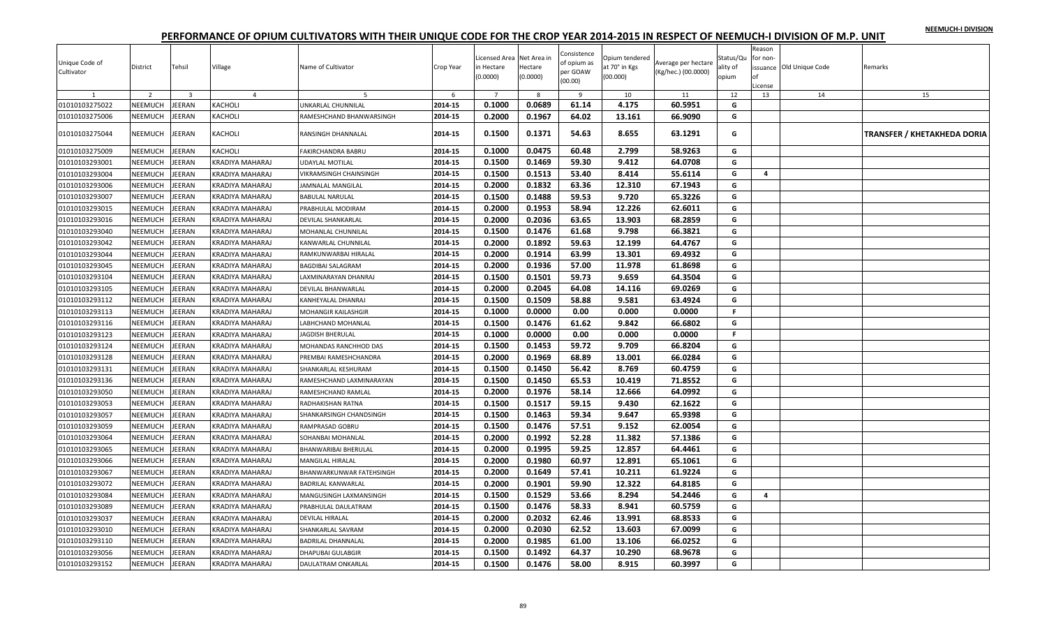**NEEMUCH-I DIVISION**

| Unique Code of<br>Cultivator | District       | Tehsil                  | Village         | Name of Cultivator        | Crop Year | Licensed Area Net Area in<br>in Hectare<br>(0.0000) | Hectare<br>(0.0000) | Consistence<br>of opium as<br>per GOAW<br>(00.00) | Opium tendered<br>at 70° in Kgs<br>(00.000) | Average per hectare<br>(Kg/hec.) (00.0000) | Status/Qu<br>ality of<br>opium | Reason<br>for non<br>License | issuance Old Unique Code | Remarks                            |
|------------------------------|----------------|-------------------------|-----------------|---------------------------|-----------|-----------------------------------------------------|---------------------|---------------------------------------------------|---------------------------------------------|--------------------------------------------|--------------------------------|------------------------------|--------------------------|------------------------------------|
|                              | $\overline{2}$ | $\overline{\mathbf{3}}$ | $\overline{4}$  | -5                        | 6         | $\overline{7}$                                      | 8                   | -9                                                | 10                                          | 11                                         | 12                             | 13                           | 14                       | 15                                 |
| 01010103275022               | <b>NEEMUCH</b> | JEERAN                  | KACHOLI         | UNKARLAL CHUNNILAL        | 2014-15   | 0.1000                                              | 0.0689              | 61.14                                             | 4.175                                       | 60.5951                                    | G                              |                              |                          |                                    |
| 01010103275006               | NEEMUCH        | <b>JEERAN</b>           | KACHOLI         | RAMESHCHAND BHANWARSINGH  | 2014-15   | 0.2000                                              | 0.1967              | 64.02                                             | 13.161                                      | 66.9090                                    | G                              |                              |                          |                                    |
| 01010103275044               | NEEMUCH        | JEERAN                  | KACHOLI         | RANSINGH DHANNALAL        | 2014-15   | 0.1500                                              | 0.1371              | 54.63                                             | 8.655                                       | 63.1291                                    | G                              |                              |                          | <b>TRANSFER / KHETAKHEDA DORIA</b> |
| 01010103275009               | NEEMUCH        | <b>JEERAN</b>           | KACHOLI         | FAKIRCHANDRA BABRU        | 2014-15   | 0.1000                                              | 0.0475              | 60.48                                             | 2.799                                       | 58.9263                                    | G                              |                              |                          |                                    |
| 01010103293001               | NEEMUCH        | JEERAN                  | KRADIYA MAHARAJ | UDAYLAL MOTILAL           | 2014-15   | 0.1500                                              | 0.1469              | 59.30                                             | 9.412                                       | 64.0708                                    | G                              |                              |                          |                                    |
| 01010103293004               | NEEMUCH        | JEERAN                  | KRADIYA MAHARAJ | VIKRAMSINGH CHAINSINGH    | 2014-15   | 0.1500                                              | 0.1513              | 53.40                                             | 8.414                                       | 55.6114                                    | G                              | $\overline{a}$               |                          |                                    |
| 01010103293006               | NEEMUCH        | JEERAN                  | KRADIYA MAHARAJ | JAMNALAL MANGILAL         | 2014-15   | 0.2000                                              | 0.1832              | 63.36                                             | 12.310                                      | 67.1943                                    | G                              |                              |                          |                                    |
| 01010103293007               | NEEMUCH        | JEERAN                  | KRADIYA MAHARAJ | <b>BABULAL NARULAL</b>    | 2014-15   | 0.1500                                              | 0.1488              | 59.53                                             | 9.720                                       | 65.3226                                    | G                              |                              |                          |                                    |
| 01010103293015               | NEEMUCH        | JEERAN                  | KRADIYA MAHARAJ | PRABHULAL MODIRAM         | 2014-15   | 0.2000                                              | 0.1953              | 58.94                                             | 12.226                                      | 62.6011                                    | G                              |                              |                          |                                    |
| 01010103293016               | NEEMUCH        | JEERAN                  | KRADIYA MAHARAJ | DEVILAL SHANKARLAL        | 2014-15   | 0.2000                                              | 0.2036              | 63.65                                             | 13.903                                      | 68.2859                                    | G                              |                              |                          |                                    |
| 01010103293040               | NEEMUCH        | JEERAN                  | KRADIYA MAHARAJ | MOHANLAL CHUNNILAL        | 2014-15   | 0.1500                                              | 0.1476              | 61.68                                             | 9.798                                       | 66.3821                                    | G                              |                              |                          |                                    |
| 01010103293042               | NEEMUCH        | JEERAN                  | KRADIYA MAHARAJ | KANWARLAL CHUNNILAL       | 2014-15   | 0.2000                                              | 0.1892              | 59.63                                             | 12.199                                      | 64.4767                                    | G                              |                              |                          |                                    |
| 01010103293044               | NEEMUCH        | <b>JEERAN</b>           | KRADIYA MAHARAJ | RAMKUNWARBAI HIRALAL      | 2014-15   | 0.2000                                              | 0.1914              | 63.99                                             | 13.301                                      | 69.4932                                    | G                              |                              |                          |                                    |
| 01010103293045               | NEEMUCH        | JEERAN                  | KRADIYA MAHARAJ | <b>BAGDIBAI SALAGRAM</b>  | 2014-15   | 0.2000                                              | 0.1936              | 57.00                                             | 11.978                                      | 61.8698                                    | G                              |                              |                          |                                    |
| 01010103293104               | NEEMUCH        | JEERAN                  | KRADIYA MAHARAJ | LAXMINARAYAN DHANRAJ      | 2014-15   | 0.1500                                              | 0.1501              | 59.73                                             | 9.659                                       | 64.3504                                    | G                              |                              |                          |                                    |
| 01010103293105               | NEEMUCH        | JEERAN                  | KRADIYA MAHARAJ | DEVILAL BHANWARLAL        | 2014-15   | 0.2000                                              | 0.2045              | 64.08                                             | 14.116                                      | 69.0269                                    | G                              |                              |                          |                                    |
| 01010103293112               | NEEMUCH        | JEERAN                  | KRADIYA MAHARAJ | KANHEYALAL DHANRAJ        | 2014-15   | 0.1500                                              | 0.1509              | 58.88                                             | 9.581                                       | 63.4924                                    | G                              |                              |                          |                                    |
| 01010103293113               | NEEMUCH        | JEERAN                  | KRADIYA MAHARAJ | MOHANGIR KAILASHGIR       | 2014-15   | 0.1000                                              | 0.0000              | 0.00                                              | 0.000                                       | 0.0000                                     | F.                             |                              |                          |                                    |
| 01010103293116               | <b>NEEMUCH</b> | <b>JEERAN</b>           | KRADIYA MAHARAJ | <b>ABHCHAND MOHANLAL</b>  | 2014-15   | 0.1500                                              | 0.1476              | 61.62                                             | 9.842                                       | 66.6802                                    | G                              |                              |                          |                                    |
| 01010103293123               | NEEMUCH        | <b>JEERAN</b>           | KRADIYA MAHARAJ | <b>JAGDISH BHERULAL</b>   | 2014-15   | 0.1000                                              | 0.0000              | 0.00                                              | 0.000                                       | 0.0000                                     | F.                             |                              |                          |                                    |
| 01010103293124               | NEEMUCH        | <b>JEERAN</b>           | KRADIYA MAHARAJ | MOHANDAS RANCHHOD DAS     | 2014-15   | 0.1500                                              | 0.1453              | 59.72                                             | 9.709                                       | 66.8204                                    | G                              |                              |                          |                                    |
| 01010103293128               | NEEMUCH        | JEERAN                  | KRADIYA MAHARAJ | PREMBAI RAMESHCHANDRA     | 2014-15   | 0.2000                                              | 0.1969              | 68.89                                             | 13.001                                      | 66.0284                                    | G                              |                              |                          |                                    |
| 01010103293131               | NEEMUCH        | JEERAN                  | KRADIYA MAHARAJ | SHANKARLAL KESHURAM       | 2014-15   | 0.1500                                              | 0.1450              | 56.42                                             | 8.769                                       | 60.4759                                    | G                              |                              |                          |                                    |
| 01010103293136               | NEEMUCH        | <b>JEERAN</b>           | KRADIYA MAHARAJ | RAMESHCHAND LAXMINARAYAN  | 2014-15   | 0.1500                                              | 0.1450              | 65.53                                             | 10.419                                      | 71.8552                                    | G                              |                              |                          |                                    |
| 01010103293050               | NEEMUCH        | JEERAN                  | KRADIYA MAHARAJ | RAMESHCHAND RAMLAL        | 2014-15   | 0.2000                                              | 0.1976              | 58.14                                             | 12.666                                      | 64.0992                                    | G                              |                              |                          |                                    |
| 01010103293053               | NEEMUCH        | JEERAN                  | KRADIYA MAHARAJ | RADHAKISHAN RATNA         | 2014-15   | 0.1500                                              | 0.1517              | 59.15                                             | 9.430                                       | 62.1622                                    | G                              |                              |                          |                                    |
| 01010103293057               | NEEMUCH        | JEERAN                  | KRADIYA MAHARAJ | SHANKARSINGH CHANDSINGH   | 2014-15   | 0.1500                                              | 0.1463              | 59.34                                             | 9.647                                       | 65.9398                                    | G                              |                              |                          |                                    |
| 01010103293059               | NEEMUCH        | JEERAN                  | KRADIYA MAHARAJ | RAMPRASAD GOBRU           | 2014-15   | 0.1500                                              | 0.1476              | 57.51                                             | 9.152                                       | 62.0054                                    | G                              |                              |                          |                                    |
| 01010103293064               | NEEMUCH        | JEERAN                  | KRADIYA MAHARAJ | SOHANBAI MOHANLAL         | 2014-15   | 0.2000                                              | 0.1992              | 52.28                                             | 11.382                                      | 57.1386                                    | G                              |                              |                          |                                    |
| 01010103293065               | NEEMUCH        | JEERAN                  | KRADIYA MAHARAJ | BHANWARIBAI BHERULAL      | 2014-15   | 0.2000                                              | 0.1995              | 59.25                                             | 12.857                                      | 64.4461                                    | G                              |                              |                          |                                    |
| 01010103293066               | NEEMUCH        | JEERAN                  | KRADIYA MAHARAJ | MANGILAL HIRALAL          | 2014-15   | 0.2000                                              | 0.1980              | 60.97                                             | 12.891                                      | 65.1061                                    | G                              |                              |                          |                                    |
| 01010103293067               | NEEMUCH        | <b>JEERAN</b>           | KRADIYA MAHARAJ | BHANWARKUNWAR FATEHSINGH  | 2014-15   | 0.2000                                              | 0.1649              | 57.41                                             | 10.211                                      | 61.9224                                    | G                              |                              |                          |                                    |
| 01010103293072               | NEEMUCH        | JEERAN                  | KRADIYA MAHARAJ | <b>BADRILAL KANWARLAL</b> | 2014-15   | 0.2000                                              | 0.1901              | 59.90                                             | 12.322                                      | 64.8185                                    | G                              |                              |                          |                                    |
| 01010103293084               | <b>NEEMUCH</b> | JEERAN                  | KRADIYA MAHARAJ | MANGUSINGH LAXMANSINGH    | 2014-15   | 0.1500                                              | 0.1529              | 53.66                                             | 8.294                                       | 54.2446                                    | G                              | 4                            |                          |                                    |
| 01010103293089               | NEEMUCH        | JEERAN                  | KRADIYA MAHARAJ | PRABHULAL DAULATRAM       | 2014-15   | 0.1500                                              | 0.1476              | 58.33                                             | 8.941                                       | 60.5759                                    | G                              |                              |                          |                                    |
| 01010103293037               | NEEMUCH        | JEERAN                  | KRADIYA MAHARAJ | <b>DEVILAL HIRALAL</b>    | 2014-15   | 0.2000                                              | 0.2032              | 62.46                                             | 13.991                                      | 68.8533                                    | G                              |                              |                          |                                    |
| 01010103293010               | NEEMUCH        | JEERAN                  | KRADIYA MAHARAJ | SHANKARLAL SAVRAM         | 2014-15   | 0.2000                                              | 0.2030              | 62.52                                             | 13.603                                      | 67.0099                                    | G                              |                              |                          |                                    |
| 01010103293110               | NEEMUCH        | <b>JEERAN</b>           | KRADIYA MAHARAJ | <b>BADRILAL DHANNALAL</b> | 2014-15   | 0.2000                                              | 0.1985              | 61.00                                             | 13.106                                      | 66.0252                                    | G                              |                              |                          |                                    |
| 01010103293056               | NEEMUCH        | JEERAN                  | KRADIYA MAHARAJ | DHAPUBAI GULABGIR         | 2014-15   | 0.1500                                              | 0.1492              | 64.37                                             | 10.290                                      | 68.9678                                    | G                              |                              |                          |                                    |
| 01010103293152               | NEEMUCH        | <b>JEERAN</b>           | KRADIYA MAHARAJ | DAULATRAM ONKARLAL        | 2014-15   | 0.1500                                              | 0.1476              | 58.00                                             | 8.915                                       | 60.3997                                    | G                              |                              |                          |                                    |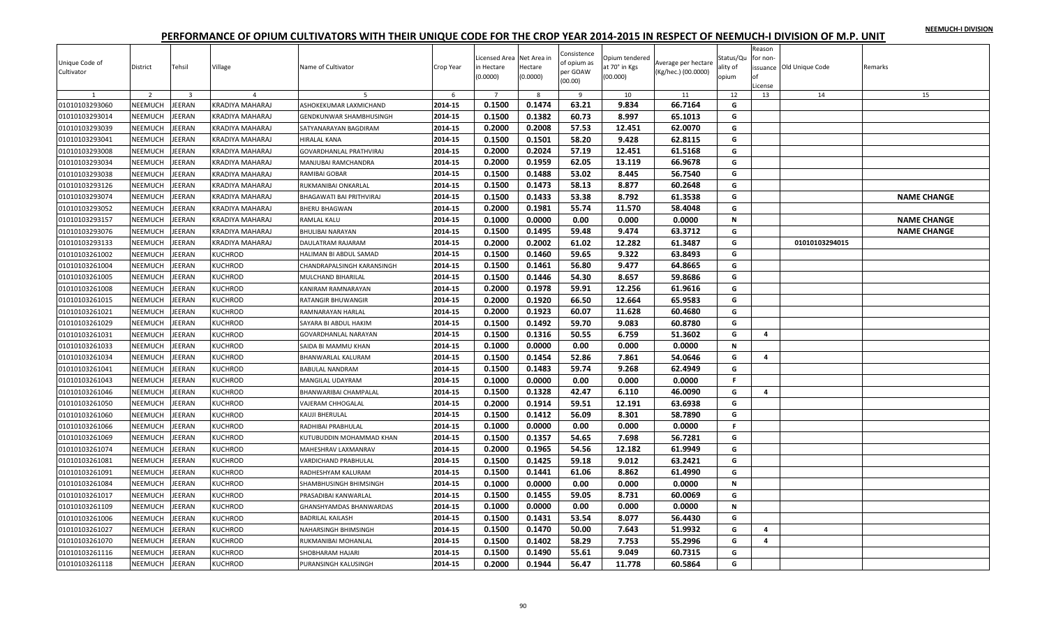|  |  | NEEMUCH-I DIVISION |
|--|--|--------------------|
|  |  |                    |

| Unique Code of<br>Cultivator | <b>District</b> | Tehsil                  | Village         | Name of Cultivator             | Crop Year | Licensed Area Net Area in<br>in Hectare<br>(0.0000) | Hectare<br>(0.0000) | Consistence<br>of opium as<br>per GOAW<br>(00.00) | Opium tendered<br>at 70° in Kgs<br>(00.000) | Average per hectare<br>(Kg/hec.) (00.0000) | Status/Qu<br>ality of<br>opium | Reason<br>for non-<br>nf<br>.icense | issuance Old Unique Code | Remarks            |
|------------------------------|-----------------|-------------------------|-----------------|--------------------------------|-----------|-----------------------------------------------------|---------------------|---------------------------------------------------|---------------------------------------------|--------------------------------------------|--------------------------------|-------------------------------------|--------------------------|--------------------|
| 1                            | 2               | $\overline{\mathbf{3}}$ | $\overline{4}$  | 5                              | 6         | $\overline{7}$                                      | 8                   | 9                                                 | 10                                          | 11                                         | 12                             | 13                                  | 14                       | 15                 |
| 01010103293060               | NEEMUCH         | EERAN                   | KRADIYA MAHARAJ | ASHOKEKUMAR LAXMICHAND         | 2014-15   | 0.1500                                              | 0.1474              | 63.21                                             | 9.834                                       | 66.7164                                    | G                              |                                     |                          |                    |
| 01010103293014               | NEEMUCH         | EERAN                   | KRADIYA MAHARAJ | GENDKUNWAR SHAMBHUSINGH        | 2014-15   | 0.1500                                              | 0.1382              | 60.73                                             | 8.997                                       | 65.1013                                    | G                              |                                     |                          |                    |
| 01010103293039               | NEEMUCH         | EERAN                   | KRADIYA MAHARAJ | SATYANARAYAN BAGDIRAM          | 2014-15   | 0.2000                                              | 0.2008              | 57.53                                             | 12.451                                      | 62.0070                                    | G                              |                                     |                          |                    |
| 01010103293041               | NEEMUCH         | EERAN                   | KRADIYA MAHARAJ | HIRALAL KANA                   | 2014-15   | 0.1500                                              | 0.1501              | 58.20                                             | 9.428                                       | 62.8115                                    | G                              |                                     |                          |                    |
| 01010103293008               | NEEMUCH         | EERAN                   | KRADIYA MAHARAJ | GOVARDHANLAL PRATHVIRAJ        | 2014-15   | 0.2000                                              | 0.2024              | 57.19                                             | 12.451                                      | 61.5168                                    | G                              |                                     |                          |                    |
| 01010103293034               | NEEMUCH         | EERAN                   | KRADIYA MAHARAJ | MANJUBAI RAMCHANDRA            | 2014-15   | 0.2000                                              | 0.1959              | 62.05                                             | 13.119                                      | 66.9678                                    | G                              |                                     |                          |                    |
| 01010103293038               | NEEMUCH         | EERAN                   | KRADIYA MAHARAJ | RAMIBAI GOBAR                  | 2014-15   | 0.1500                                              | 0.1488              | 53.02                                             | 8.445                                       | 56.7540                                    | G                              |                                     |                          |                    |
| 01010103293126               | NEEMUCH         | EERAN                   | KRADIYA MAHARAJ | RUKMANIBAI ONKARLAL            | 2014-15   | 0.1500                                              | 0.1473              | 58.13                                             | 8.877                                       | 60.2648                                    | G                              |                                     |                          |                    |
| 01010103293074               | NEEMUCH         | EERAN                   | KRADIYA MAHARAJ | BHAGAWATI BAI PRITHVIRAJ       | 2014-15   | 0.1500                                              | 0.1433              | 53.38                                             | 8.792                                       | 61.3538                                    | G                              |                                     |                          | <b>NAME CHANGE</b> |
| 01010103293052               | NEEMUCH         | EERAN                   | KRADIYA MAHARAJ | <b>BHERU BHAGWAN</b>           | 2014-15   | 0.2000                                              | 0.1981              | 55.74                                             | 11.570                                      | 58.4048                                    | G                              |                                     |                          |                    |
| 01010103293157               | NEEMUCH         | EERAN                   | KRADIYA MAHARAJ | RAMLAL KALU                    | 2014-15   | 0.1000                                              | 0.0000              | 0.00                                              | 0.000                                       | 0.0000                                     | $\mathbf N$                    |                                     |                          | <b>NAME CHANGE</b> |
| 01010103293076               | NEEMUCH         | EERAN                   | KRADIYA MAHARAJ | <b>BHULIBAI NARAYAN</b>        | 2014-15   | 0.1500                                              | 0.1495              | 59.48                                             | 9.474                                       | 63.3712                                    | G                              |                                     |                          | <b>NAME CHANGE</b> |
| 01010103293133               | NEEMUCH         | EERAN                   | KRADIYA MAHARAJ | DAULATRAM RAJARAM              | 2014-15   | 0.2000                                              | 0.2002              | 61.02                                             | 12.282                                      | 61.3487                                    | G                              |                                     | 01010103294015           |                    |
| 01010103261002               | NEEMUCH         | EERAN                   | KUCHROD         | <b>HALIMAN BI ABDUL SAMAD</b>  | 2014-15   | 0.1500                                              | 0.1460              | 59.65                                             | 9.322                                       | 63.8493                                    | G                              |                                     |                          |                    |
| 01010103261004               | NEEMUCH         | EERAN                   | <b>KUCHROD</b>  | CHANDRAPALSINGH KARANSINGH     | 2014-15   | 0.1500                                              | 0.1461              | 56.80                                             | 9.477                                       | 64.8665                                    | G                              |                                     |                          |                    |
| 01010103261005               | NEEMUCH         | EERAN                   | <b>KUCHROD</b>  | MULCHAND BIHARILAL             | 2014-15   | 0.1500                                              | 0.1446              | 54.30                                             | 8.657                                       | 59.8686                                    | G                              |                                     |                          |                    |
| 01010103261008               | NEEMUCH         | EERAN                   | KUCHROD         | KANIRAM RAMNARAYAN             | 2014-15   | 0.2000                                              | 0.1978              | 59.91                                             | 12.256                                      | 61.9616                                    | G                              |                                     |                          |                    |
| 01010103261015               | NEEMUCH         | EERAN                   | <b>KUCHROD</b>  | RATANGIR BHUWANGIR             | 2014-15   | 0.2000                                              | 0.1920              | 66.50                                             | 12.664                                      | 65.9583                                    | G                              |                                     |                          |                    |
| 01010103261021               | NEEMUCH         | EERAN                   | <b>KUCHROD</b>  | RAMNARAYAN HARLAL              | 2014-15   | 0.2000                                              | 0.1923              | 60.07                                             | 11.628                                      | 60.4680                                    | G                              |                                     |                          |                    |
| 01010103261029               | NEEMUCH         | EERAN                   | <b>KUCHROD</b>  | SAYARA BI ABDUL HAKIM          | 2014-15   | 0.1500                                              | 0.1492              | 59.70                                             | 9.083                                       | 60.8780                                    | G                              |                                     |                          |                    |
| 01010103261031               | NEEMUCH         | EERAN                   | <b>KUCHROD</b>  | GOVARDHANLAL NARAYAN           | 2014-15   | 0.1500                                              | 0.1316              | 50.55                                             | 6.759                                       | 51.3602                                    | G                              | 4                                   |                          |                    |
| 01010103261033               | <b>NEEMUCH</b>  | EERAN                   | <b>KUCHROD</b>  | SAIDA BI MAMMU KHAN            | 2014-15   | 0.1000                                              | 0.0000              | 0.00                                              | 0.000                                       | 0.0000                                     | N                              |                                     |                          |                    |
| 01010103261034               | NEEMUCH         | EERAN                   | <b>KUCHROD</b>  | BHANWARLAL KALURAM             | 2014-15   | 0.1500                                              | 0.1454              | 52.86                                             | 7.861                                       | 54.0646                                    | G                              | 4                                   |                          |                    |
| 01010103261041               | NEEMUCH         | EERAN                   | <b>KUCHROD</b>  | <b>BABULAL NANDRAM</b>         | 2014-15   | 0.1500                                              | 0.1483              | 59.74                                             | 9.268                                       | 62.4949                                    | G                              |                                     |                          |                    |
| 01010103261043               | NEEMUCH         | EERAN                   | KUCHROD         | MANGILAL UDAYRAM               | 2014-15   | 0.1000                                              | 0.0000              | 0.00                                              | 0.000                                       | 0.0000                                     | F.                             |                                     |                          |                    |
| 01010103261046               | NEEMUCH         | EERAN                   | <b>KUCHROD</b>  | BHANWARIBAI CHAMPALAL          | 2014-15   | 0.1500                                              | 0.1328              | 42.47                                             | 6.110                                       | 46.0090                                    | G                              | $\overline{4}$                      |                          |                    |
| 01010103261050               | NEEMUCH         | EERAN                   | <b>KUCHROD</b>  | VAJERAM CHHOGALAL              | 2014-15   | 0.2000                                              | 0.1914              | 59.51                                             | 12.191                                      | 63.6938                                    | G                              |                                     |                          |                    |
| 01010103261060               | NEEMUCH         | EERAN                   | KUCHROD         | KAUJI BHERULAL                 | 2014-15   | 0.1500                                              | 0.1412              | 56.09                                             | 8.301                                       | 58.7890                                    | G                              |                                     |                          |                    |
| 01010103261066               | NEEMUCH         | EERAN                   | <b>KUCHROD</b>  | RADHIBAI PRABHULAL             | 2014-15   | 0.1000                                              | 0.0000              | 0.00                                              | 0.000                                       | 0.0000                                     | F.                             |                                     |                          |                    |
| 01010103261069               | NEEMUCH         | EERAN                   | <b>KUCHROD</b>  | KUTUBUDDIN MOHAMMAD KHAN       | 2014-15   | 0.1500                                              | 0.1357              | 54.65                                             | 7.698                                       | 56.7281                                    | G                              |                                     |                          |                    |
| 01010103261074               | NEEMUCH         | EERAN                   | <b>KUCHROD</b>  | MAHESHRAV LAXMANRAV            | 2014-15   | 0.2000                                              | 0.1965              | 54.56                                             | 12.182                                      | 61.9949                                    | G                              |                                     |                          |                    |
|                              |                 |                         |                 | VARDICHAND PRABHULAL           | 2014-15   | 0.1500                                              | 0.1425              | 59.18                                             | 9.012                                       | 63.2421                                    | G                              |                                     |                          |                    |
| 01010103261081               | NEEMUCH         | EERAN                   | KUCHROD         |                                |           |                                                     |                     |                                                   |                                             |                                            | G                              |                                     |                          |                    |
| 01010103261091               | NEEMUCH         | EERAN                   | <b>KUCHROD</b>  | RADHESHYAM KALURAM             | 2014-15   | 0.1500                                              | 0.1441              | 61.06                                             | 8.862                                       | 61.4990                                    |                                |                                     |                          |                    |
| 01010103261084               | NEEMUCH         | EERAN                   | <b>KUCHROD</b>  | SHAMBHUSINGH BHIMSINGH         | 2014-15   | 0.1000                                              | 0.0000              | 0.00                                              | 0.000                                       | 0.0000                                     | N                              |                                     |                          |                    |
| 01010103261017               | NEEMUCH         | EERAN                   | <b>KUCHROD</b>  | PRASADIBAI KANWARLAL           | 2014-15   | 0.1500                                              | 0.1455              | 59.05                                             | 8.731                                       | 60.0069                                    | G                              |                                     |                          |                    |
| 01010103261109               | NEEMUCH         | EERAN                   | KUCHROD         | <b>GHANSHYAMDAS BHANWARDAS</b> | 2014-15   | 0.1000                                              | 0.0000              | 0.00                                              | 0.000                                       | 0.0000                                     | N                              |                                     |                          |                    |
| 01010103261006               | NEEMUCH         | EERAN                   | <b>KUCHROD</b>  | <b>BADRILAL KAILASH</b>        | 2014-15   | 0.1500                                              | 0.1431              | 53.54                                             | 8.077                                       | 56.4430                                    | G                              |                                     |                          |                    |
| 01010103261027               | NEEMUCH         | EERAN                   | <b>KUCHROD</b>  | NAHARSINGH BHIMSINGH           | 2014-15   | 0.1500                                              | 0.1470              | 50.00                                             | 7.643                                       | 51.9932                                    | G                              | 4                                   |                          |                    |
| 01010103261070               | <b>NEEMUCH</b>  | EERAN                   | KUCHROD         | RUKMANIBAI MOHANLAL            | 2014-15   | 0.1500                                              | 0.1402              | 58.29                                             | 7.753                                       | 55.2996                                    | G                              | 4                                   |                          |                    |
| 01010103261116               | NEEMUCH         | EERAN                   | KUCHROD         | SHOBHARAM HAJARI               | 2014-15   | 0.1500                                              | 0.1490              | 55.61                                             | 9.049                                       | 60.7315                                    | G                              |                                     |                          |                    |
| 01010103261118               | NEEMUCH         | <b>JEERAN</b>           | <b>KUCHROD</b>  | PURANSINGH KALUSINGH           | 2014-15   | 0.2000                                              | 0.1944              | 56.47                                             | 11.778                                      | 60.5864                                    | G                              |                                     |                          |                    |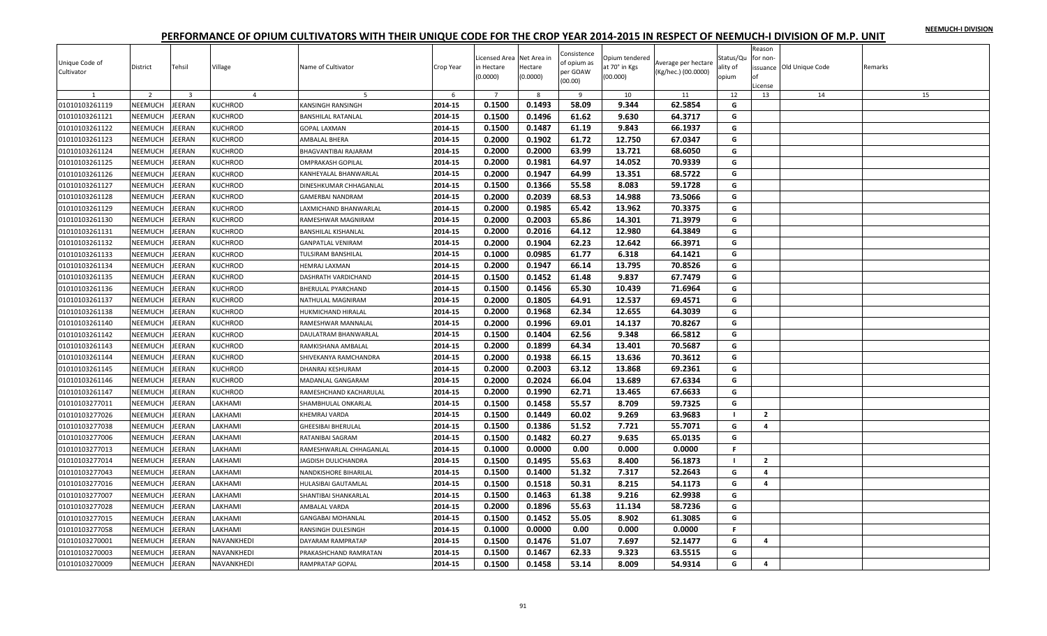|  |  | NEEMUCH-I DIVISION |
|--|--|--------------------|
|  |  |                    |

| Unique Code of<br>Cultivator | District       | Tehsil                  | Village        | Name of Cultivator         | Crop Year | Licensed Area Net Area in<br>in Hectare<br>(0.0000) | Hectare<br>(0.0000) | Consistence<br>of opium as<br>per GOAW<br>(00.00) | Opium tendered<br>at 70° in Kgs<br>(00.000) | Average per hectare<br>(Kg/hec.) (00.0000) | Status/Qu<br>ality of<br>opium | Reason<br>for non-<br>оf<br>License | issuance Old Unique Code | Remarks |
|------------------------------|----------------|-------------------------|----------------|----------------------------|-----------|-----------------------------------------------------|---------------------|---------------------------------------------------|---------------------------------------------|--------------------------------------------|--------------------------------|-------------------------------------|--------------------------|---------|
|                              | $\overline{z}$ | $\overline{\mathbf{3}}$ | $\overline{4}$ | 5                          | 6         | $\overline{7}$                                      | -8                  | - 9                                               | 10                                          | 11                                         | 12                             | 13                                  | 14                       | 15      |
| 01010103261119               | NEEMUCH        | EERAN                   | <b>KUCHROD</b> | KANSINGH RANSINGH          | 2014-15   | 0.1500                                              | 0.1493              | 58.09                                             | 9.344                                       | 62.5854                                    | G                              |                                     |                          |         |
| 01010103261121               | NEEMUCH        | <b>JEERAN</b>           | <b>KUCHROD</b> | <b>BANSHILAL RATANLAL</b>  | 2014-15   | 0.1500                                              | 0.1496              | 61.62                                             | 9.630                                       | 64.3717                                    | G                              |                                     |                          |         |
| 01010103261122               | NEEMUCH        | EERAN                   | <b>KUCHROD</b> | GOPAL LAXMAN               | 2014-15   | 0.1500                                              | 0.1487              | 61.19                                             | 9.843                                       | 66.1937                                    | G                              |                                     |                          |         |
| 01010103261123               | <b>NEEMUCH</b> | EERAN                   | <b>KUCHROD</b> | AMBALAL BHERA              | 2014-15   | 0.2000                                              | 0.1902              | 61.72                                             | 12.750                                      | 67.0347                                    | G                              |                                     |                          |         |
| 01010103261124               | <b>NEEMUCH</b> | <b>JEERAN</b>           | <b>KUCHROD</b> | BHAGVANTIBAI RAJARAM       | 2014-15   | 0.2000                                              | 0.2000              | 63.99                                             | 13.721                                      | 68.6050                                    | G                              |                                     |                          |         |
| 01010103261125               | NEEMUCH        | <b>JEERAN</b>           | <b>KUCHROD</b> | OMPRAKASH GOPILAL          | 2014-15   | 0.2000                                              | 0.1981              | 64.97                                             | 14.052                                      | 70.9339                                    | G                              |                                     |                          |         |
| 01010103261126               | NEEMUCH        | EERAN                   | <b>KUCHROD</b> | KANHEYALAL BHANWARLAL      | 2014-15   | 0.2000                                              | 0.1947              | 64.99                                             | 13.351                                      | 68.5722                                    | G                              |                                     |                          |         |
| 01010103261127               | NEEMUCH        | EERAN                   | <b>KUCHROD</b> | DINESHKUMAR CHHAGANLAL     | 2014-15   | 0.1500                                              | 0.1366              | 55.58                                             | 8.083                                       | 59.1728                                    | G                              |                                     |                          |         |
| 01010103261128               | <b>NEEMUCH</b> | EERAN                   | <b>KUCHROD</b> | <b>GAMERBAI NANDRAM</b>    | 2014-15   | 0.2000                                              | 0.2039              | 68.53                                             | 14.988                                      | 73.5066                                    | G                              |                                     |                          |         |
| 01010103261129               | NEEMUCH        | EERAN                   | <b>KUCHROD</b> | AXMICHAND BHANWARLAL       | 2014-15   | 0.2000                                              | 0.1985              | 65.42                                             | 13.962                                      | 70.3375                                    | G                              |                                     |                          |         |
| 01010103261130               | NEEMUCH        | EERAN                   | <b>KUCHROD</b> | RAMESHWAR MAGNIRAM         | 2014-15   | 0.2000                                              | 0.2003              | 65.86                                             | 14.301                                      | 71.3979                                    | G                              |                                     |                          |         |
| 01010103261131               | <b>NEEMUCH</b> | EERAN                   | <b>KUCHROD</b> | <b>BANSHILAL KISHANLAL</b> | 2014-15   | 0.2000                                              | 0.2016              | 64.12                                             | 12.980                                      | 64.3849                                    | G                              |                                     |                          |         |
| 01010103261132               | NEEMUCH        | <b>JEERAN</b>           | <b>KUCHROD</b> | <b>GANPATLAL VENIRAM</b>   | 2014-15   | 0.2000                                              | 0.1904              | 62.23                                             | 12.642                                      | 66.3971                                    | G                              |                                     |                          |         |
| 01010103261133               | NEEMUCH        | EERAN                   | <b>KUCHROD</b> | TULSIRAM BANSHILAL         | 2014-15   | 0.1000                                              | 0.0985              | 61.77                                             | 6.318                                       | 64.1421                                    | G                              |                                     |                          |         |
| 01010103261134               | NEEMUCH        | <b>JEERAN</b>           | <b>KUCHROD</b> | <b>HEMRAJ LAXMAN</b>       | 2014-15   | 0.2000                                              | 0.1947              | 66.14                                             | 13.795                                      | 70.8526                                    | G                              |                                     |                          |         |
| 01010103261135               | <b>NEEMUCH</b> | EERAN                   | <b>KUCHROD</b> | DASHRATH VARDICHAND        | 2014-15   | 0.1500                                              | 0.1452              | 61.48                                             | 9.837                                       | 67.7479                                    | G                              |                                     |                          |         |
| 01010103261136               | NEEMUCH        | EERAN                   | KUCHROD        | BHERULAL PYARCHAND         | 2014-15   | 0.1500                                              | 0.1456              | 65.30                                             | 10.439                                      | 71.6964                                    | G                              |                                     |                          |         |
| 01010103261137               | NEEMUCH        | EERAN                   | <b>KUCHROD</b> | NATHULAL MAGNIRAM          | 2014-15   | 0.2000                                              | 0.1805              | 64.91                                             | 12.537                                      | 69.4571                                    | G                              |                                     |                          |         |
| 01010103261138               | NEEMUCH        | EERAN                   | <b>KUCHROD</b> | HUKMICHAND HIRALAL         | 2014-15   | 0.2000                                              | 0.1968              | 62.34                                             | 12.655                                      | 64.3039                                    | G                              |                                     |                          |         |
| 01010103261140               | <b>NEEMUCH</b> | <b>JEERAN</b>           | <b>KUCHROD</b> | RAMESHWAR MANNALAL         | 2014-15   | 0.2000                                              | 0.1996              | 69.01                                             | 14.137                                      | 70.8267                                    | G                              |                                     |                          |         |
| 01010103261142               | NEEMUCH        | EERAN                   | <b>KUCHROD</b> | DAULATRAM BHANWARLAL       | 2014-15   | 0.1500                                              | 0.1404              | 62.56                                             | 9.348                                       | 66.5812                                    | G                              |                                     |                          |         |
| 01010103261143               | <b>NEEMUCH</b> | EERAN                   | <b>KUCHROD</b> | RAMKISHANA AMBALAL         | 2014-15   | 0.2000                                              | 0.1899              | 64.34                                             | 13.401                                      | 70.5687                                    | G                              |                                     |                          |         |
| 01010103261144               | <b>NEEMUCH</b> | EERAN                   | <b>KUCHROD</b> | SHIVEKANYA RAMCHANDRA      | 2014-15   | 0.2000                                              | 0.1938              | 66.15                                             | 13.636                                      | 70.3612                                    | G                              |                                     |                          |         |
| 01010103261145               | NEEMUCH        | <b>JEERAN</b>           | <b>KUCHROD</b> | DHANRAJ KESHURAM           | 2014-15   | 0.2000                                              | 0.2003              | 63.12                                             | 13.868                                      | 69.2361                                    | G                              |                                     |                          |         |
| 01010103261146               | NEEMUCH        | EERAN                   | <b>KUCHROD</b> | MADANLAL GANGARAM          | 2014-15   | 0.2000                                              | 0.2024              | 66.04                                             | 13.689                                      | 67.6334                                    | G                              |                                     |                          |         |
| 01010103261147               | NEEMUCH        | EERAN                   | <b>KUCHROD</b> | RAMESHCHAND KACHARULAL     | 2014-15   | 0.2000                                              | 0.1990              | 62.71                                             | 13.465                                      | 67.6633                                    | G                              |                                     |                          |         |
| 01010103277011               | NEEMUCH        | <b>JEERAN</b>           | LAKHAMI        | SHAMBHULAL ONKARLAL        | 2014-15   | 0.1500                                              | 0.1458              | 55.57                                             | 8.709                                       | 59.7325                                    | G                              |                                     |                          |         |
| 01010103277026               | NEEMUCH        | EERAN                   | LAKHAMI        | KHEMRAJ VARDA              | 2014-15   | 0.1500                                              | 0.1449              | 60.02                                             | 9.269                                       | 63.9683                                    | - 1                            | $\overline{2}$                      |                          |         |
| 01010103277038               | NEEMUCH        | EERAN                   | LAKHAMI        | <b>GHEESIBAI BHERULAL</b>  | 2014-15   | 0.1500                                              | 0.1386              | 51.52                                             | 7.721                                       | 55.7071                                    | G                              | 4                                   |                          |         |
| 01010103277006               | NEEMUCH        | EERAN                   | LAKHAMI        | RATANIBAI SAGRAM           | 2014-15   | 0.1500                                              | 0.1482              | 60.27                                             | 9.635                                       | 65.0135                                    | G                              |                                     |                          |         |
| 01010103277013               | <b>NEEMUCH</b> | <b>JEERAN</b>           | LAKHAMI        | RAMESHWARLAL CHHAGANLAL    | 2014-15   | 0.1000                                              | 0.0000              | 0.00                                              | 0.000                                       | 0.0000                                     | F.                             |                                     |                          |         |
| 01010103277014               | NEEMUCH        | EERAN                   | LAKHAMI        | JAGDISH DULICHANDRA        | 2014-15   | 0.1500                                              | 0.1495              | 55.63                                             | 8.400                                       | 56.1873                                    | $\blacksquare$                 | $\overline{2}$                      |                          |         |
| 01010103277043               | NEEMUCH        | EERAN                   | LAKHAMI        | NANDKISHORE BIHARILAL      | 2014-15   | 0.1500                                              | 0.1400              | 51.32                                             | 7.317                                       | 52.2643                                    | G                              | 4                                   |                          |         |
| 01010103277016               | NEEMUCH        | EERAN                   | LAKHAMI        | HULASIBAI GAUTAMLAL        | 2014-15   | 0.1500                                              | 0.1518              | 50.31                                             | 8.215                                       | 54.1173                                    | G                              | $\overline{4}$                      |                          |         |
| 01010103277007               | NEEMUCH        | <b>JEERAN</b>           | LAKHAMI        | SHANTIBAI SHANKARLAL       | 2014-15   | 0.1500                                              | 0.1463              | 61.38                                             | 9.216                                       | 62.9938                                    | G                              |                                     |                          |         |
| 01010103277028               | NEEMUCH        | EERAN                   | LAKHAMI        | AMBALAL VARDA              | 2014-15   | 0.2000                                              | 0.1896              | 55.63                                             | 11.134                                      | 58.7236                                    | G                              |                                     |                          |         |
| 01010103277015               | NEEMUCH        | <b>JEERAN</b>           | LAKHAMI        | GANGABAI MOHANLAL          | 2014-15   | 0.1500                                              | 0.1452              | 55.05                                             | 8.902                                       | 61.3085                                    | G                              |                                     |                          |         |
| 01010103277058               | NEEMUCH        | EERAN                   | LAKHAMI        | RANSINGH DULESINGH         | 2014-15   | 0.1000                                              | 0.0000              | 0.00                                              | 0.000                                       | 0.0000                                     | F.                             |                                     |                          |         |
| 01010103270001               | NEEMUCH        | EERAN                   | NAVANKHEDI     | DAYARAM RAMPRATAP          | 2014-15   | 0.1500                                              | 0.1476              | 51.07                                             | 7.697                                       | 52.1477                                    | G                              | 4                                   |                          |         |
| 01010103270003               | NEEMUCH        | EERAN                   | NAVANKHEDI     | PRAKASHCHAND RAMRATAN      | 2014-15   | 0.1500                                              | 0.1467              | 62.33                                             | 9.323                                       | 63.5515                                    | G                              |                                     |                          |         |
| 01010103270009               | NEEMUCH        | <b>JEERAN</b>           | NAVANKHEDI     | <b>RAMPRATAP GOPAL</b>     | 2014-15   | 0.1500                                              | 0.1458              | 53.14                                             | 8.009                                       | 54.9314                                    | G                              | $\overline{a}$                      |                          |         |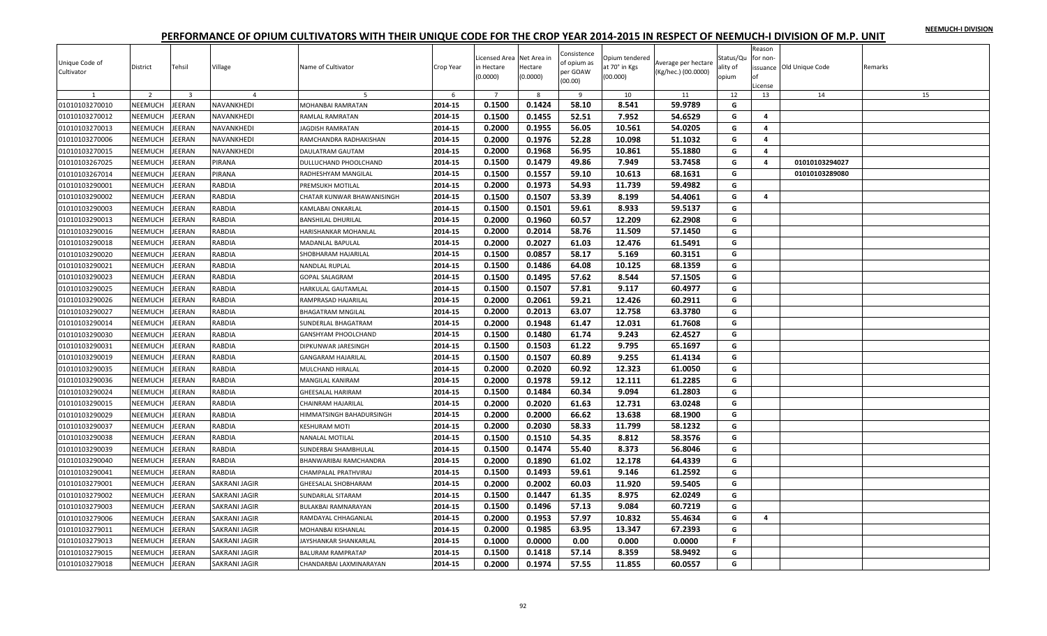|  |  | NEEMUCH-I DIVISION |
|--|--|--------------------|
|  |  |                    |

| Unique Code of<br>Cultivator | District       | Tehsil                  | Village              | Name of Cultivator         | Crop Year | Licensed Area Net Area in<br>in Hectare<br>(0.0000) | Hectare<br>(0.0000) | Consistence<br>of opium as<br>per GOAW<br>(00.00) | Opium tendered<br>at 70° in Kgs<br>(00.000) | Average per hectare<br>(Kg/hec.) (00.0000) | Status/Qu<br>ality of<br>opium | Reason<br>for non-<br>nf<br>License | issuance Old Unique Code | Remarks |
|------------------------------|----------------|-------------------------|----------------------|----------------------------|-----------|-----------------------------------------------------|---------------------|---------------------------------------------------|---------------------------------------------|--------------------------------------------|--------------------------------|-------------------------------------|--------------------------|---------|
|                              | $\overline{2}$ | $\overline{\mathbf{3}}$ | $\overline{a}$       |                            | -6        | $\overline{7}$                                      | -8                  | <sup>9</sup>                                      | 10                                          | 11                                         | 12                             | 13                                  | 14                       | 15      |
| 01010103270010               | NEEMUCH        | JEERAN                  | NAVANKHEDI           | MOHANBAI RAMRATAN          | 2014-15   | 0.1500                                              | 0.1424              | 58.10                                             | 8.541                                       | 59.9789                                    | G                              |                                     |                          |         |
| 01010103270012               | NEEMUCH        | JEERAN                  | NAVANKHEDI           | RAMLAL RAMRATAN            | 2014-15   | 0.1500                                              | 0.1455              | 52.51                                             | 7.952                                       | 54.6529                                    | G                              | 4                                   |                          |         |
| 01010103270013               | NEEMUCH        | JEERAN                  | NAVANKHEDI           | JAGDISH RAMRATAN           | 2014-15   | 0.2000                                              | 0.1955              | 56.05                                             | 10.561                                      | 54.0205                                    | G                              | 4                                   |                          |         |
| 01010103270006               | NEEMUCH        | JEERAN                  | NAVANKHEDI           | RAMCHANDRA RADHAKISHAN     | 2014-15   | 0.2000                                              | 0.1976              | 52.28                                             | 10.098                                      | 51.1032                                    | G                              | 4                                   |                          |         |
| 01010103270015               | NEEMUCH        | JEERAN                  | NAVANKHEDI           | DAULATRAM GAUTAM           | 2014-15   | 0.2000                                              | 0.1968              | 56.95                                             | 10.861                                      | 55.1880                                    | G                              | 4                                   |                          |         |
| 01010103267025               | NEEMUCH        | JEERAN                  | PIRANA               | DULLUCHAND PHOOLCHAND      | 2014-15   | 0.1500                                              | 0.1479              | 49.86                                             | 7.949                                       | 53.7458                                    | G                              | 4                                   | 01010103294027           |         |
| 01010103267014               | NEEMUCH        | <b>JEERAN</b>           | PIRANA               | RADHESHYAM MANGILAL        | 2014-15   | 0.1500                                              | 0.1557              | 59.10                                             | 10.613                                      | 68.1631                                    | G                              |                                     | 01010103289080           |         |
| 01010103290001               | NEEMUCH        | JEERAN                  | RABDIA               | PREMSUKH MOTILAL           | 2014-15   | 0.2000                                              | 0.1973              | 54.93                                             | 11.739                                      | 59.4982                                    | G                              |                                     |                          |         |
| 01010103290002               | NEEMUCH        | JEERAN                  | RABDIA               | CHATAR KUNWAR BHAWANISINGH | 2014-15   | 0.1500                                              | 0.1507              | 53.39                                             | 8.199                                       | 54.4061                                    | G                              | 4                                   |                          |         |
| 01010103290003               | NEEMUCH        | JEERAN                  | RABDIA               | KAMLABAI ONKARLAL          | 2014-15   | 0.1500                                              | 0.1501              | 59.61                                             | 8.933                                       | 59.5137                                    | G                              |                                     |                          |         |
| 01010103290013               | NEEMUCH        | JEERAN                  | RABDIA               | <b>BANSHILAL DHURILAL</b>  | 2014-15   | 0.2000                                              | 0.1960              | 60.57                                             | 12.209                                      | 62.2908                                    | G                              |                                     |                          |         |
| 01010103290016               | NEEMUCH        | JEERAN                  | RABDIA               | HARISHANKAR MOHANLAL       | 2014-15   | 0.2000                                              | 0.2014              | 58.76                                             | 11.509                                      | 57.1450                                    | G                              |                                     |                          |         |
| 01010103290018               | NEEMUCH        | JEERAN                  | RABDIA               | <b>MADANLAL BAPULAL</b>    | 2014-15   | 0.2000                                              | 0.2027              | 61.03                                             | 12.476                                      | 61.5491                                    | G                              |                                     |                          |         |
| 01010103290020               | NEEMUCH        | JEERAN                  | RABDIA               | SHOBHARAM HAJARILAL        | 2014-15   | 0.1500                                              | 0.0857              | 58.17                                             | 5.169                                       | 60.3151                                    | G                              |                                     |                          |         |
| 01010103290021               | NEEMUCH        | JEERAN                  | RABDIA               | NANDLAL RUPLAL             | 2014-15   | 0.1500                                              | 0.1486              | 64.08                                             | 10.125                                      | 68.1359                                    | G                              |                                     |                          |         |
| 01010103290023               | NEEMUCH        | JEERAN                  | RABDIA               | <b>GOPAL SALAGRAM</b>      | 2014-15   | 0.1500                                              | 0.1495              | 57.62                                             | 8.544                                       | 57.1505                                    | G                              |                                     |                          |         |
| 01010103290025               | NEEMUCH        | JEERAN                  | RABDIA               | HARKULAL GAUTAMLAL         | 2014-15   | 0.1500                                              | 0.1507              | 57.81                                             | 9.117                                       | 60.4977                                    | G                              |                                     |                          |         |
| 01010103290026               | NEEMUCH        | JEERAN                  | RABDIA               | RAMPRASAD HAJARILAL        | 2014-15   | 0.2000                                              | 0.2061              | 59.21                                             | 12.426                                      | 60.2911                                    | G                              |                                     |                          |         |
| 01010103290027               | NEEMUCH        | JEERAN                  | RABDIA               | <b>BHAGATRAM MNGILAL</b>   | 2014-15   | 0.2000                                              | 0.2013              | 63.07                                             | 12.758                                      | 63.3780                                    | G                              |                                     |                          |         |
| 01010103290014               | NEEMUCH        | JEERAN                  | <b>RABDIA</b>        | SUNDERLAL BHAGATRAM        | 2014-15   | 0.2000                                              | 0.1948              | 61.47                                             | 12.031                                      | 61.7608                                    | G                              |                                     |                          |         |
| 01010103290030               | NEEMUCH        | JEERAN                  | RABDIA               | GANSHYAM PHOOLCHAND        | 2014-15   | 0.1500                                              | 0.1480              | 61.74                                             | 9.243                                       | 62.4527                                    | G                              |                                     |                          |         |
| 01010103290031               | NEEMUCH        | JEERAN                  | RABDIA               | DIPKUNWAR JARESINGH        | 2014-15   | 0.1500                                              | 0.1503              | 61.22                                             | 9.795                                       | 65.1697                                    | G                              |                                     |                          |         |
| 01010103290019               | NEEMUCH        | JEERAN                  | RABDIA               | <b>GANGARAM HAJARILAL</b>  | 2014-15   | 0.1500                                              | 0.1507              | 60.89                                             | 9.255                                       | 61.4134                                    | G                              |                                     |                          |         |
| 01010103290035               | NEEMUCH        | JEERAN                  | RABDIA               | MULCHAND HIRALAL           | 2014-15   | 0.2000                                              | 0.2020              | 60.92                                             | 12.323                                      | 61.0050                                    | G                              |                                     |                          |         |
| 01010103290036               | NEEMUCH        | <b>JEERAN</b>           | RABDIA               | MANGILAL KANIRAM           | 2014-15   | 0.2000                                              | 0.1978              | 59.12                                             | 12.111                                      | 61.2285                                    | G                              |                                     |                          |         |
| 01010103290024               | NEEMUCH        | JEERAN                  | RABDIA               | <b>GHEESALAL HARIRAM</b>   | 2014-15   | 0.1500                                              | 0.1484              | 60.34                                             | 9.094                                       | 61.2803                                    | G                              |                                     |                          |         |
| 01010103290015               | NEEMUCH        | JEERAN                  | RABDIA               | CHAINRAM HAJARILAL         | 2014-15   | 0.2000                                              | 0.2020              | 61.63                                             | 12.731                                      | 63.0248                                    | G                              |                                     |                          |         |
| 01010103290029               | NEEMUCH        | JEERAN                  | RABDIA               | HIMMATSINGH BAHADURSINGH   | 2014-15   | 0.2000                                              | 0.2000              | 66.62                                             | 13.638                                      | 68.1900                                    | G                              |                                     |                          |         |
| 01010103290037               | NEEMUCH        | <b>JEERAN</b>           | RABDIA               | <b>KESHURAM MOTI</b>       | 2014-15   | 0.2000                                              | 0.2030              | 58.33                                             | 11.799                                      | 58.1232                                    | G                              |                                     |                          |         |
| 01010103290038               | NEEMUCH        | <b>JEERAN</b>           | RABDIA               | NANALAL MOTILAL            | 2014-15   | 0.1500                                              | 0.1510              | 54.35                                             | 8.812                                       | 58.3576                                    | G                              |                                     |                          |         |
| 01010103290039               | NEEMUCH        | JEERAN                  | RABDIA               | SUNDERBAI SHAMBHULAL       | 2014-15   | 0.1500                                              | 0.1474              | 55.40                                             | 8.373                                       | 56.8046                                    | G                              |                                     |                          |         |
| 01010103290040               | NEEMUCH        | <b>JEERAN</b>           | RABDIA               | BHANWARIBAI RAMCHANDRA     | 2014-15   | 0.2000                                              | 0.1890              | 61.02                                             | 12.178                                      | 64.4339                                    | G                              |                                     |                          |         |
| 01010103290041               | NEEMUCH        | JEERAN                  | RABDIA               | CHAMPALAL PRATHVIRAJ       | 2014-15   | 0.1500                                              | 0.1493              | 59.61                                             | 9.146                                       | 61.2592                                    | G                              |                                     |                          |         |
| 01010103279001               | NEEMUCH        | JEERAN                  | SAKRANI JAGIR        | GHEESALAL SHOBHARAM        | 2014-15   | 0.2000                                              | 0.2002              | 60.03                                             | 11.920                                      | 59.5405                                    | G                              |                                     |                          |         |
| 01010103279002               | <b>NEEMUCH</b> | <b>JEERAN</b>           | SAKRANI JAGIR        | <b>SUNDARLAL SITARAM</b>   | 2014-15   | 0.1500                                              | 0.1447              | 61.35                                             | 8.975                                       | 62.0249                                    | G                              |                                     |                          |         |
| 01010103279003               | NEEMUCH        | JEERAN                  | SAKRANI JAGIR        | BULAKBAI RAMNARAYAN        | 2014-15   | 0.1500                                              | 0.1496              | 57.13                                             | 9.084                                       | 60.7219                                    | G                              |                                     |                          |         |
| 01010103279006               | NEEMUCH        | JEERAN                  | SAKRANI JAGIR        | RAMDAYAL CHHAGANLAL        | 2014-15   | 0.2000                                              | 0.1953              | 57.97                                             | 10.832                                      | 55.4634                                    | G                              | 4                                   |                          |         |
| 01010103279011               | NEEMUCH        | JEERAN                  | SAKRANI JAGIR        | MOHANBAI KISHANLAL         | 2014-15   | 0.2000                                              | 0.1985              | 63.95                                             | 13.347                                      | 67.2393                                    | G                              |                                     |                          |         |
| 01010103279013               | NEEMUCH        | JEERAN                  | SAKRANI JAGIR        | JAYSHANKAR SHANKARLAL      | 2014-15   | 0.1000                                              | 0.0000              | 0.00                                              | 0.000                                       | 0.0000                                     | F.                             |                                     |                          |         |
| 01010103279015               | NEEMUCH        | JEERAN                  | SAKRANI JAGIR        | <b>BALURAM RAMPRATAP</b>   | 2014-15   | 0.1500                                              | 0.1418              | 57.14                                             | 8.359                                       | 58.9492                                    | G                              |                                     |                          |         |
| 01010103279018               | NEEMUCH        | <b>JEERAN</b>           | <b>SAKRANI JAGIR</b> | CHANDARBAI LAXMINARAYAN    | 2014-15   | 0.2000                                              | 0.1974              | 57.55                                             | 11.855                                      | 60.0557                                    | G                              |                                     |                          |         |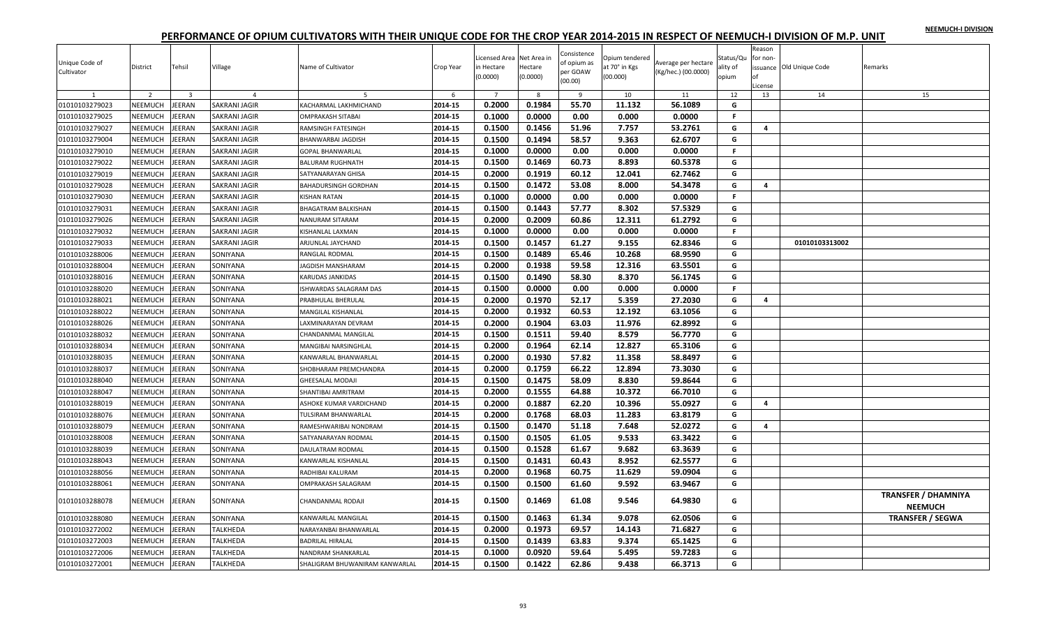| <b>NEEMUCH-I DIVISION</b> |  |
|---------------------------|--|
|---------------------------|--|

| Unique Code of<br>Cultivator<br>$\mathbf{1}$ | District<br>$\overline{2}$ | Tehsil<br>$\overline{\mathbf{3}}$ | Village<br>$\overline{4}$ | Name of Cultivator<br>-5       | Crop Year<br>6 | icensed Area Net Area in<br>in Hectare<br>(0.0000)<br>$\overline{7}$ | Hectare<br>(0.0000)<br>8 | Consistence<br>of opium as<br>per GOAW<br>(00.00)<br>9 | Opium tendered<br>at 70° in Kgs<br>(00.000)<br>10 | Average per hectare<br>(Kg/hec.) (00.0000)<br>11 | Status/Qu<br>ality of<br>opium<br>12 | Reason<br>for non-<br>of<br>License<br>13 | issuance Old Unique Code<br>14 | Remarks<br>15                                |
|----------------------------------------------|----------------------------|-----------------------------------|---------------------------|--------------------------------|----------------|----------------------------------------------------------------------|--------------------------|--------------------------------------------------------|---------------------------------------------------|--------------------------------------------------|--------------------------------------|-------------------------------------------|--------------------------------|----------------------------------------------|
| 01010103279023                               | NEEMUCH                    | JEERAN                            | <b>SAKRANI JAGIR</b>      | KACHARMAL LAKHMICHAND          | 2014-15        | 0.2000                                                               | 0.1984                   | 55.70                                                  | 11.132                                            | 56.1089                                          | G                                    |                                           |                                |                                              |
| 01010103279025                               | NEEMUCH                    | JEERAN                            | SAKRANI JAGIR             | <b>OMPRAKASH SITABAI</b>       | 2014-15        | 0.1000                                                               | 0.0000                   | 0.00                                                   | 0.000                                             | 0.0000                                           | F.                                   |                                           |                                |                                              |
| 01010103279027                               | NEEMUCH                    | <b>IEERAN</b>                     | <b>SAKRANI JAGIR</b>      | RAMSINGH FATESINGH             | 2014-15        | 0.1500                                                               | 0.1456                   | 51.96                                                  | 7.757                                             | 53.2761                                          | G                                    | 4                                         |                                |                                              |
| 01010103279004                               | NEEMUCH                    | <b>IEERAN</b>                     | SAKRANI JAGIR             | BHANWARBAI JAGDISH             | 2014-15        | 0.1500                                                               | 0.1494                   | 58.57                                                  | 9.363                                             | 62.6707                                          | G                                    |                                           |                                |                                              |
| 01010103279010                               | NEEMUCH                    | <b>EERAN</b>                      | SAKRANI JAGIR             | <b>GOPAL BHANWARLAL</b>        | 2014-15        | 0.1000                                                               | 0.0000                   | 0.00                                                   | 0.000                                             | 0.0000                                           | F.                                   |                                           |                                |                                              |
| 01010103279022                               | <b>NEEMUCH</b>             | <b>EERAN</b>                      | <b>SAKRANI JAGIR</b>      | <b>BALURAM RUGHNATH</b>        | 2014-15        | 0.1500                                                               | 0.1469                   | 60.73                                                  | 8.893                                             | 60.5378                                          | G                                    |                                           |                                |                                              |
| 01010103279019                               | NEEMUCH                    | EERAN                             | SAKRANI JAGIR             | SATYANARAYAN GHISA             | 2014-15        | 0.2000                                                               | 0.1919                   | 60.12                                                  | 12.041                                            | 62.7462                                          | G                                    |                                           |                                |                                              |
| 01010103279028                               | NEEMUCH                    | <b>EERAN</b>                      | SAKRANI JAGIR             | BAHADURSINGH GORDHAN           | 2014-15        | 0.1500                                                               | 0.1472                   | 53.08                                                  | 8.000                                             | 54.3478                                          | G                                    | 4                                         |                                |                                              |
| 01010103279030                               | <b>NEEMUCH</b>             | EERAN                             | <b>SAKRANI JAGIR</b>      | KISHAN RATAN                   | 2014-15        | 0.1000                                                               | 0.0000                   | 0.00                                                   | 0.000                                             | 0.0000                                           | F.                                   |                                           |                                |                                              |
| 01010103279031                               | NEEMUCH                    | JEERAN                            | <b>SAKRANI JAGIR</b>      | BHAGATRAM BALKISHAN            | 2014-15        | 0.1500                                                               | 0.1443                   | 57.77                                                  | 8.302                                             | 57.5329                                          | G                                    |                                           |                                |                                              |
| 01010103279026                               | NEEMUCH                    | <b>IEERAN</b>                     | <b>SAKRANI JAGIR</b>      | NANURAM SITARAM                | 2014-15        | 0.2000                                                               | 0.2009                   | 60.86                                                  | 12.311                                            | 61.2792                                          | G                                    |                                           |                                |                                              |
| 01010103279032                               | NEEMUCH                    | <b>EERAN</b>                      | <b>SAKRANI JAGIR</b>      | KISHANLAL LAXMAN               | 2014-15        | 0.1000                                                               | 0.0000                   | 0.00                                                   | 0.000                                             | 0.0000                                           | $\mathsf F$                          |                                           |                                |                                              |
| 01010103279033                               | <b>NEEMUCH</b>             | JEERAN                            | SAKRANI JAGIR             | ARJUNLAL JAYCHAND              | 2014-15        | 0.1500                                                               | 0.1457                   | 61.27                                                  | 9.155                                             | 62.8346                                          | G                                    |                                           | 01010103313002                 |                                              |
| 01010103288006                               | NEEMUCH                    | <b>EERAN</b>                      | SONIYANA                  | RANGLAL RODMAL                 | 2014-15        | 0.1500                                                               | 0.1489                   | 65.46                                                  | 10.268                                            | 68.9590                                          | G                                    |                                           |                                |                                              |
| 01010103288004                               | NEEMUCH                    | <b>IEERAN</b>                     | SONIYANA                  | JAGDISH MANSHARAM              | 2014-15        | 0.2000                                                               | 0.1938                   | 59.58                                                  | 12.316                                            | 63.5501                                          | G                                    |                                           |                                |                                              |
| 01010103288016                               | <b>NEEMUCH</b>             | <b>EERAN</b>                      | SONIYANA                  | KARUDAS JANKIDAS               | 2014-15        | 0.1500                                                               | 0.1490                   | 58.30                                                  | 8.370                                             | 56.1745                                          | G                                    |                                           |                                |                                              |
| 01010103288020                               | <b>NEEMUCH</b>             | JEERAN                            | SONIYANA                  | ISHWARDAS SALAGRAM DAS         | 2014-15        | 0.1500                                                               | 0.0000                   | 0.00                                                   | 0.000                                             | 0.0000                                           | F.                                   |                                           |                                |                                              |
| 01010103288021                               | NEEMUCH                    | EERAN                             | SONIYANA                  | PRABHULAL BHERULAL             | 2014-15        | 0.2000                                                               | 0.1970                   | 52.17                                                  | 5.359                                             | 27.2030                                          | G                                    | 4                                         |                                |                                              |
| 01010103288022                               | NEEMUCH                    | <b>EERAN</b>                      | SONIYANA                  | MANGILAL KISHANLAL             | 2014-15        | 0.2000                                                               | 0.1932                   | 60.53                                                  | 12.192                                            | 63.1056                                          | G                                    |                                           |                                |                                              |
| 01010103288026                               | NEEMUCH                    | EERAN                             | SONIYANA                  | LAXMINARAYAN DEVRAM            | 2014-15        | 0.2000                                                               | 0.1904                   | 63.03                                                  | 11.976                                            | 62.8992                                          | G                                    |                                           |                                |                                              |
| 01010103288032                               | NEEMUCH                    | JEERAN                            | SONIYANA                  | CHANDANMAL MANGILAL            | 2014-15        | 0.1500                                                               | 0.1511                   | 59.40                                                  | 8.579                                             | 56.7770                                          | G                                    |                                           |                                |                                              |
| 01010103288034                               | NEEMUCH                    | <b>EERAN</b>                      | SONIYANA                  | MANGIBAI NARSINGHLAL           | 2014-15        | 0.2000                                                               | 0.1964                   | 62.14                                                  | 12.827                                            | 65.3106                                          | G                                    |                                           |                                |                                              |
| 01010103288035                               | <b>NEEMUCH</b>             | <b>EERAN</b>                      | SONIYANA                  | KANWARLAL BHANWARLAL           | 2014-15        | 0.2000                                                               | 0.1930                   | 57.82                                                  | 11.358                                            | 58.8497                                          | G                                    |                                           |                                |                                              |
| 01010103288037                               | NEEMUCH                    | <b>IEERAN</b>                     | SONIYANA                  | SHOBHARAM PREMCHANDRA          | 2014-15        | 0.2000                                                               | 0.1759                   | 66.22                                                  | 12.894                                            | 73.3030                                          | G                                    |                                           |                                |                                              |
| 01010103288040                               | NEEMUCH                    | <b>EERAN</b>                      | SONIYANA                  | <b>GHEESALAL MODAJI</b>        | 2014-15        | 0.1500                                                               | 0.1475                   | 58.09                                                  | 8.830                                             | 59.8644                                          | G                                    |                                           |                                |                                              |
| 01010103288047                               | NEEMUCH                    | JEERAN                            | SONIYANA                  | SHANTIBAI AMRITRAM             | 2014-15        | 0.2000                                                               | 0.1555                   | 64.88                                                  | 10.372                                            | 66.7010                                          | G                                    |                                           |                                |                                              |
| 01010103288019                               | <b>NEEMUCH</b>             | JEERAN                            | SONIYANA                  | ASHOKE KUMAR VARDICHAND        | 2014-15        | 0.2000                                                               | 0.1887                   | 62.20                                                  | 10.396                                            | 55.0927                                          | G                                    | $\overline{a}$                            |                                |                                              |
| 01010103288076                               | NEEMUCH                    | <b>IEERAN</b>                     | SONIYANA                  | TULSIRAM BHANWARLAL            | 2014-15        | 0.2000                                                               | 0.1768                   | 68.03                                                  | 11.283                                            | 63.8179                                          | G                                    |                                           |                                |                                              |
| 01010103288079                               | NEEMUCH                    | EERAN                             | SONIYANA                  | RAMESHWARIBAI NONDRAM          | 2014-15        | 0.1500                                                               | 0.1470                   | 51.18                                                  | 7.648                                             | 52.0272                                          | G                                    | 4                                         |                                |                                              |
| 01010103288008                               | NEEMUCH                    | <b>EERAN</b>                      | SONIYANA                  | SATYANARAYAN RODMAL            | 2014-15        | 0.1500                                                               | 0.1505                   | 61.05                                                  | 9.533                                             | 63.3422                                          | G                                    |                                           |                                |                                              |
| 01010103288039                               | <b>NEEMUCH</b>             | EERAN                             | SONIYANA                  | DAULATRAM RODMAL               | 2014-15        | 0.1500                                                               | 0.1528                   | 61.67                                                  | 9.682                                             | 63.3639                                          | G                                    |                                           |                                |                                              |
| 01010103288043                               | NEEMUCH                    | JEERAN                            | SONIYANA                  | KANWARLAL KISHANLAL            | 2014-15        | 0.1500                                                               | 0.1431                   | 60.43                                                  | 8.952                                             | 62.5577                                          | G                                    |                                           |                                |                                              |
| 01010103288056                               | NEEMUCH                    | <b>EERAN</b>                      | SONIYANA                  | RADHIBAI KALURAM               | 2014-15        | 0.2000                                                               | 0.1968                   | 60.75                                                  | 11.629                                            | 59.0904                                          | G                                    |                                           |                                |                                              |
| 01010103288061                               | NEEMUCH                    | <b>IEERAN</b>                     | SONIYANA                  | OMPRAKASH SALAGRAM             | 2014-15        | 0.1500                                                               | 0.1500                   | 61.60                                                  | 9.592                                             | 63.9467                                          | G                                    |                                           |                                |                                              |
| 01010103288078                               | NEEMUCH                    | JEERAN                            | SONIYANA                  | CHANDANMAL RODAJI              | 2014-15        | 0.1500                                                               | 0.1469                   | 61.08                                                  | 9.546                                             | 64.9830                                          | G                                    |                                           |                                | <b>TRANSFER / DHAMNIYA</b><br><b>NEEMUCH</b> |
| 01010103288080                               | <b>NEEMUCH</b>             | JEERAN                            | SONIYANA                  | KANWARLAL MANGILAL             | 2014-15        | 0.1500                                                               | 0.1463                   | 61.34                                                  | 9.078                                             | 62.0506                                          | G                                    |                                           |                                | <b>TRANSFER / SEGWA</b>                      |
| 01010103272002                               | NEEMUCH                    | JEERAN                            | <b>TALKHEDA</b>           | NARAYANBAI BHANWARLAL          | 2014-15        | 0.2000                                                               | 0.1973                   | 69.57                                                  | 14.143                                            | 71.6827                                          | G                                    |                                           |                                |                                              |
| 01010103272003                               | NEEMUCH                    | <b>EERAN</b>                      | TALKHEDA                  | <b>BADRILAL HIRALAL</b>        | 2014-15        | 0.1500                                                               | 0.1439                   | 63.83                                                  | 9.374                                             | 65.1425                                          | G                                    |                                           |                                |                                              |
| 01010103272006                               | NEEMUCH                    | EERAN                             | <b>TALKHEDA</b>           | NANDRAM SHANKARLAL             | 2014-15        | 0.1000                                                               | 0.0920                   | 59.64                                                  | 5.495                                             | 59.7283                                          | G                                    |                                           |                                |                                              |
| 01010103272001                               | NEEMUCH                    | JEERAN                            | <b>TALKHEDA</b>           | SHALIGRAM BHUWANIRAM KANWARLAL | 2014-15        | 0.1500                                                               | 0.1422                   | 62.86                                                  | 9.438                                             | 66.3713                                          | G                                    |                                           |                                |                                              |